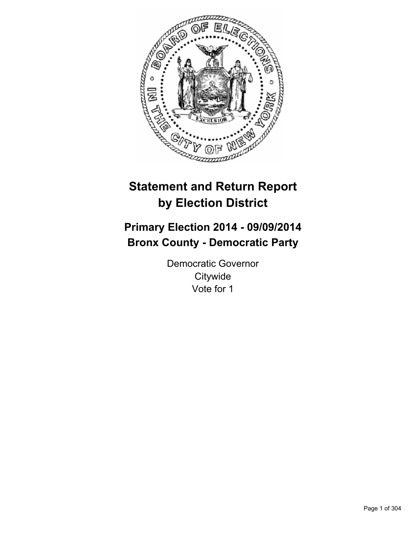

# **Statement and Return Report by Election District**

# **Primary Election 2014 - 09/09/2014 Bronx County - Democratic Party**

Democratic Governor **Citywide** Vote for 1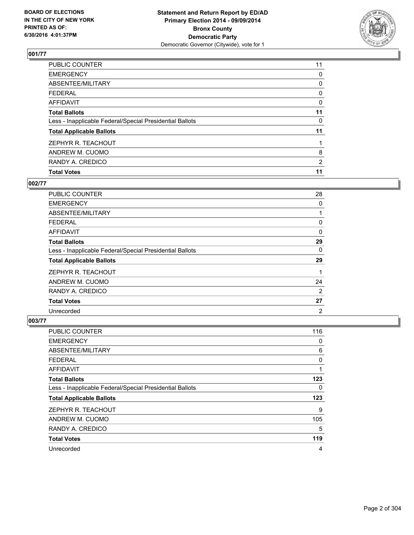

| <b>Total Votes</b>                                       | 11             |
|----------------------------------------------------------|----------------|
| RANDY A. CREDICO                                         | $\overline{2}$ |
| ANDREW M. CUOMO                                          | 8              |
| ZEPHYR R. TEACHOUT                                       |                |
| <b>Total Applicable Ballots</b>                          | 11             |
| Less - Inapplicable Federal/Special Presidential Ballots | 0              |
| <b>Total Ballots</b>                                     | 11             |
| <b>AFFIDAVIT</b>                                         | 0              |
| <b>FEDERAL</b>                                           | 0              |
| ABSENTEE/MILITARY                                        | 0              |
| <b>EMERGENCY</b>                                         | 0              |
| PUBLIC COUNTER                                           | 11             |

## **002/77**

| <b>PUBLIC COUNTER</b>                                    | 28             |
|----------------------------------------------------------|----------------|
| <b>EMERGENCY</b>                                         | 0              |
| ABSENTEE/MILITARY                                        |                |
| <b>FEDERAL</b>                                           | 0              |
| AFFIDAVIT                                                | 0              |
| <b>Total Ballots</b>                                     | 29             |
| Less - Inapplicable Federal/Special Presidential Ballots | 0              |
| <b>Total Applicable Ballots</b>                          | 29             |
| ZEPHYR R. TEACHOUT                                       |                |
| ANDREW M. CUOMO                                          | 24             |
| RANDY A. CREDICO                                         | 2              |
| <b>Total Votes</b>                                       | 27             |
| Unrecorded                                               | $\overline{2}$ |

| PUBLIC COUNTER                                           | 116 |
|----------------------------------------------------------|-----|
| <b>EMERGENCY</b>                                         | 0   |
| ABSENTEE/MILITARY                                        | 6   |
| <b>FEDERAL</b>                                           | 0   |
| AFFIDAVIT                                                | 1   |
| <b>Total Ballots</b>                                     | 123 |
| Less - Inapplicable Federal/Special Presidential Ballots | 0   |
| <b>Total Applicable Ballots</b>                          | 123 |
| ZEPHYR R. TEACHOUT                                       | 9   |
| ANDREW M. CUOMO                                          | 105 |
| RANDY A. CREDICO                                         | 5   |
| <b>Total Votes</b>                                       | 119 |
| Unrecorded                                               | 4   |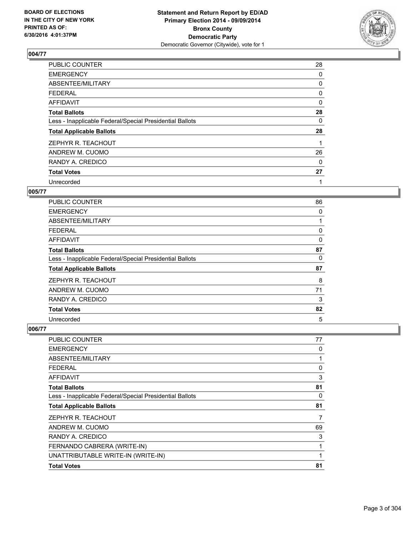

| PUBLIC COUNTER                                           | 28 |
|----------------------------------------------------------|----|
| <b>EMERGENCY</b>                                         | 0  |
| ABSENTEE/MILITARY                                        | 0  |
| <b>FEDERAL</b>                                           | 0  |
| AFFIDAVIT                                                | 0  |
| <b>Total Ballots</b>                                     | 28 |
| Less - Inapplicable Federal/Special Presidential Ballots | 0  |
| <b>Total Applicable Ballots</b>                          | 28 |
| ZEPHYR R. TEACHOUT                                       |    |
| ANDREW M. CUOMO                                          | 26 |
| RANDY A. CREDICO                                         | 0  |
| <b>Total Votes</b>                                       | 27 |
| Unrecorded                                               | 1  |

## **005/77**

| <b>PUBLIC COUNTER</b>                                    | 86 |
|----------------------------------------------------------|----|
| <b>EMERGENCY</b>                                         | 0  |
| ABSENTEE/MILITARY                                        |    |
| <b>FEDERAL</b>                                           | 0  |
| <b>AFFIDAVIT</b>                                         | 0  |
| <b>Total Ballots</b>                                     | 87 |
| Less - Inapplicable Federal/Special Presidential Ballots | 0  |
| <b>Total Applicable Ballots</b>                          | 87 |
| ZEPHYR R. TEACHOUT                                       | 8  |
| ANDREW M. CUOMO                                          | 71 |
| RANDY A. CREDICO                                         | 3  |
| <b>Total Votes</b>                                       | 82 |
| Unrecorded                                               | 5  |

| <b>PUBLIC COUNTER</b>                                    | 77 |
|----------------------------------------------------------|----|
| <b>EMERGENCY</b>                                         | 0  |
| ABSENTEE/MILITARY                                        | 1  |
| <b>FEDERAL</b>                                           | 0  |
| AFFIDAVIT                                                | 3  |
| <b>Total Ballots</b>                                     | 81 |
| Less - Inapplicable Federal/Special Presidential Ballots | 0  |
| <b>Total Applicable Ballots</b>                          | 81 |
| ZEPHYR R. TEACHOUT                                       | 7  |
| ANDREW M. CUOMO                                          | 69 |
| RANDY A. CREDICO                                         | 3  |
| FERNANDO CABRERA (WRITE-IN)                              | 1  |
| UNATTRIBUTABLE WRITE-IN (WRITE-IN)                       | 1  |
| <b>Total Votes</b>                                       | 81 |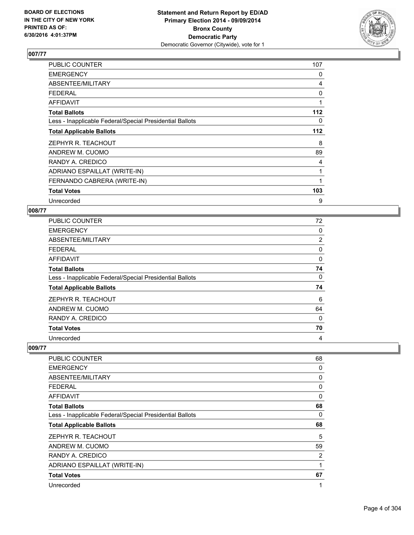

| PUBLIC COUNTER                                           | 107 |
|----------------------------------------------------------|-----|
| <b>EMERGENCY</b>                                         | 0   |
| ABSENTEE/MILITARY                                        | 4   |
| <b>FEDERAL</b>                                           | 0   |
| AFFIDAVIT                                                | 1   |
| <b>Total Ballots</b>                                     | 112 |
| Less - Inapplicable Federal/Special Presidential Ballots | 0   |
| <b>Total Applicable Ballots</b>                          | 112 |
| ZEPHYR R. TEACHOUT                                       | 8   |
| ANDREW M. CUOMO                                          | 89  |
| RANDY A. CREDICO                                         | 4   |
| ADRIANO ESPAILLAT (WRITE-IN)                             | 1   |
| FERNANDO CABRERA (WRITE-IN)                              | 1   |
| <b>Total Votes</b>                                       | 103 |
| Unrecorded                                               | 9   |

## **008/77**

| <b>PUBLIC COUNTER</b>                                    | 72             |
|----------------------------------------------------------|----------------|
| <b>EMERGENCY</b>                                         | 0              |
| ABSENTEE/MILITARY                                        | $\overline{2}$ |
| <b>FEDERAL</b>                                           | 0              |
| <b>AFFIDAVIT</b>                                         | 0              |
| <b>Total Ballots</b>                                     | 74             |
| Less - Inapplicable Federal/Special Presidential Ballots | 0              |
| <b>Total Applicable Ballots</b>                          | 74             |
| ZEPHYR R. TEACHOUT                                       | 6              |
| ANDREW M. CUOMO                                          | 64             |
| RANDY A. CREDICO                                         | $\Omega$       |
| <b>Total Votes</b>                                       | 70             |
| Unrecorded                                               | 4              |

| PUBLIC COUNTER                                           | 68 |
|----------------------------------------------------------|----|
| <b>EMERGENCY</b>                                         | 0  |
| ABSENTEE/MILITARY                                        | 0  |
| <b>FEDERAL</b>                                           | 0  |
| <b>AFFIDAVIT</b>                                         | 0  |
| <b>Total Ballots</b>                                     | 68 |
| Less - Inapplicable Federal/Special Presidential Ballots | 0  |
| <b>Total Applicable Ballots</b>                          | 68 |
| ZEPHYR R. TEACHOUT                                       | 5  |
| ANDREW M. CUOMO                                          | 59 |
| RANDY A. CREDICO                                         | 2  |
| ADRIANO ESPAILLAT (WRITE-IN)                             | 1  |
| <b>Total Votes</b>                                       | 67 |
|                                                          |    |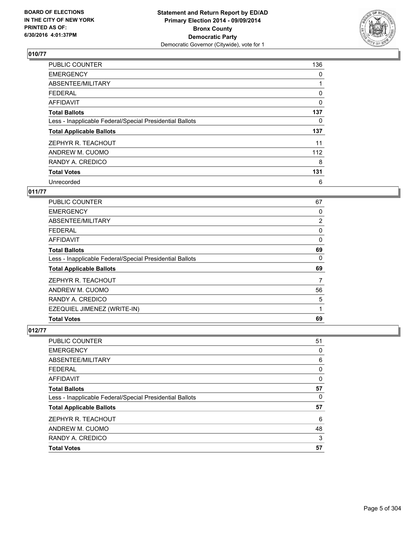

| <b>PUBLIC COUNTER</b>                                    | 136      |
|----------------------------------------------------------|----------|
| <b>EMERGENCY</b>                                         | 0        |
| ABSENTEE/MILITARY                                        |          |
| FEDERAL                                                  | 0        |
| AFFIDAVIT                                                | $\Omega$ |
| <b>Total Ballots</b>                                     | 137      |
| Less - Inapplicable Federal/Special Presidential Ballots | 0        |
| <b>Total Applicable Ballots</b>                          | 137      |
| ZEPHYR R. TEACHOUT                                       | 11       |
| ANDREW M. CUOMO                                          | 112      |
| RANDY A. CREDICO                                         | 8        |
| <b>Total Votes</b>                                       | 131      |
| Unrecorded                                               | 6        |

## **011/77**

| <b>PUBLIC COUNTER</b>                                    | 67             |
|----------------------------------------------------------|----------------|
| <b>EMERGENCY</b>                                         | 0              |
| ABSENTEE/MILITARY                                        | $\overline{2}$ |
| <b>FEDERAL</b>                                           | 0              |
| AFFIDAVIT                                                | 0              |
| <b>Total Ballots</b>                                     | 69             |
| Less - Inapplicable Federal/Special Presidential Ballots | 0              |
| <b>Total Applicable Ballots</b>                          | 69             |
| ZEPHYR R. TEACHOUT                                       | 7              |
| ANDREW M. CUOMO                                          | 56             |
| RANDY A. CREDICO                                         | 5              |
| EZEQUIEL JIMENEZ (WRITE-IN)                              | 1              |
| <b>Total Votes</b>                                       | 69             |

| <b>PUBLIC COUNTER</b>                                    | 51 |
|----------------------------------------------------------|----|
| <b>EMERGENCY</b>                                         | 0  |
| ABSENTEE/MILITARY                                        | 6  |
| FEDERAL                                                  | 0  |
| <b>AFFIDAVIT</b>                                         | 0  |
| <b>Total Ballots</b>                                     | 57 |
| Less - Inapplicable Federal/Special Presidential Ballots | 0  |
| <b>Total Applicable Ballots</b>                          | 57 |
| ZEPHYR R. TEACHOUT                                       | 6  |
| ANDREW M. CUOMO                                          | 48 |
| RANDY A. CREDICO                                         | 3  |
| <b>Total Votes</b>                                       | 57 |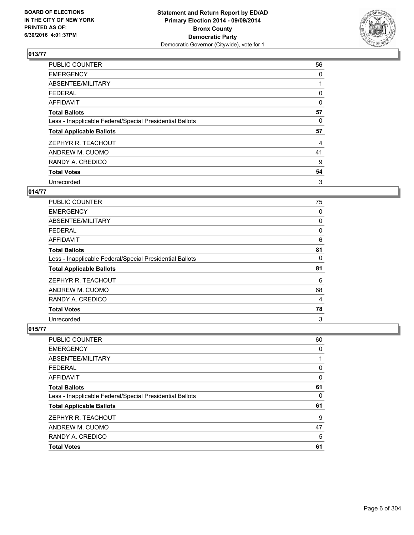

| <b>PUBLIC COUNTER</b>                                    | 56       |
|----------------------------------------------------------|----------|
| <b>EMERGENCY</b>                                         | 0        |
| ABSENTEE/MILITARY                                        |          |
| <b>FEDERAL</b>                                           | 0        |
| AFFIDAVIT                                                | $\Omega$ |
| <b>Total Ballots</b>                                     | 57       |
| Less - Inapplicable Federal/Special Presidential Ballots | 0        |
| <b>Total Applicable Ballots</b>                          | 57       |
| ZEPHYR R. TEACHOUT                                       | 4        |
| ANDREW M. CUOMO                                          | 41       |
| RANDY A. CREDICO                                         | 9        |
| <b>Total Votes</b>                                       | 54       |
| Unrecorded                                               | 3        |

## **014/77**

| <b>PUBLIC COUNTER</b>                                    | 75       |
|----------------------------------------------------------|----------|
| <b>EMERGENCY</b>                                         | 0        |
| ABSENTEE/MILITARY                                        | 0        |
| <b>FEDERAL</b>                                           | 0        |
| AFFIDAVIT                                                | 6        |
| <b>Total Ballots</b>                                     | 81       |
| Less - Inapplicable Federal/Special Presidential Ballots | $\Omega$ |
| <b>Total Applicable Ballots</b>                          | 81       |
| ZEPHYR R. TEACHOUT                                       | 6        |
| ANDREW M. CUOMO                                          | 68       |
| RANDY A. CREDICO                                         | 4        |
| <b>Total Votes</b>                                       | 78       |
| Unrecorded                                               | 3        |

| <b>PUBLIC COUNTER</b>                                    | 60 |
|----------------------------------------------------------|----|
| <b>EMERGENCY</b>                                         | 0  |
| ABSENTEE/MILITARY                                        |    |
| <b>FEDERAL</b>                                           | 0  |
| <b>AFFIDAVIT</b>                                         | 0  |
| <b>Total Ballots</b>                                     | 61 |
| Less - Inapplicable Federal/Special Presidential Ballots | 0  |
| <b>Total Applicable Ballots</b>                          | 61 |
| ZEPHYR R. TEACHOUT                                       | 9  |
| ANDREW M. CUOMO                                          | 47 |
| RANDY A. CREDICO                                         | 5  |
| <b>Total Votes</b>                                       | 61 |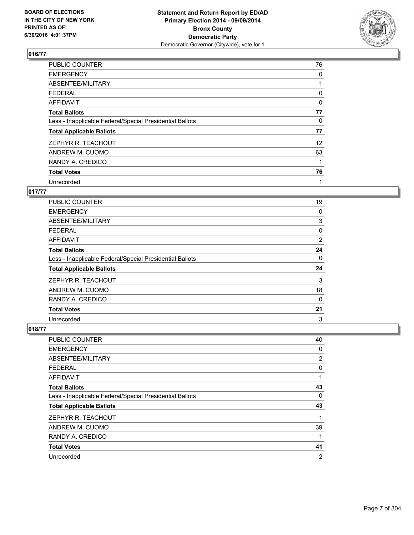

| <b>PUBLIC COUNTER</b>                                    | 76                |
|----------------------------------------------------------|-------------------|
| <b>EMERGENCY</b>                                         | 0                 |
| ABSENTEE/MILITARY                                        |                   |
| <b>FEDERAL</b>                                           | 0                 |
| AFFIDAVIT                                                | $\Omega$          |
| <b>Total Ballots</b>                                     | 77                |
| Less - Inapplicable Federal/Special Presidential Ballots | 0                 |
| <b>Total Applicable Ballots</b>                          | 77                |
| ZEPHYR R. TEACHOUT                                       | $12 \overline{ }$ |
| ANDREW M. CUOMO                                          | 63                |
| RANDY A. CREDICO                                         |                   |
| <b>Total Votes</b>                                       | 76                |
| Unrecorded                                               | 1                 |

## **017/77**

| <b>PUBLIC COUNTER</b>                                    | 19             |
|----------------------------------------------------------|----------------|
| <b>EMERGENCY</b>                                         | 0              |
| ABSENTEE/MILITARY                                        | 3              |
| <b>FEDERAL</b>                                           | 0              |
| AFFIDAVIT                                                | $\overline{2}$ |
| <b>Total Ballots</b>                                     | 24             |
| Less - Inapplicable Federal/Special Presidential Ballots | 0              |
| <b>Total Applicable Ballots</b>                          | 24             |
| ZEPHYR R. TEACHOUT                                       | 3              |
| ANDREW M. CUOMO                                          | 18             |
| RANDY A. CREDICO                                         | 0              |
| <b>Total Votes</b>                                       | 21             |
| Unrecorded                                               | 3              |

| <b>PUBLIC COUNTER</b>                                    | 40             |
|----------------------------------------------------------|----------------|
| <b>EMERGENCY</b>                                         | 0              |
| ABSENTEE/MILITARY                                        | 2              |
| <b>FEDERAL</b>                                           | 0              |
| <b>AFFIDAVIT</b>                                         | 1              |
| <b>Total Ballots</b>                                     | 43             |
| Less - Inapplicable Federal/Special Presidential Ballots | 0              |
| <b>Total Applicable Ballots</b>                          | 43             |
| ZEPHYR R. TEACHOUT                                       | 1              |
| ANDREW M. CUOMO                                          | 39             |
| RANDY A. CREDICO                                         | 1              |
| <b>Total Votes</b>                                       | 41             |
| Unrecorded                                               | $\overline{2}$ |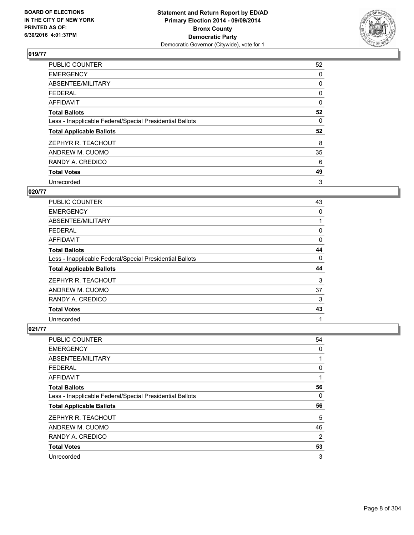

| <b>PUBLIC COUNTER</b>                                    | 52       |
|----------------------------------------------------------|----------|
| <b>EMERGENCY</b>                                         | 0        |
| ABSENTEE/MILITARY                                        | 0        |
| <b>FEDERAL</b>                                           | 0        |
| AFFIDAVIT                                                | $\Omega$ |
| <b>Total Ballots</b>                                     | 52       |
| Less - Inapplicable Federal/Special Presidential Ballots | 0        |
| <b>Total Applicable Ballots</b>                          | 52       |
| ZEPHYR R. TEACHOUT                                       | 8        |
| ANDREW M. CUOMO                                          | 35       |
| RANDY A. CREDICO                                         | 6        |
| <b>Total Votes</b>                                       | 49       |
| Unrecorded                                               | 3        |

## **020/77**

| <b>PUBLIC COUNTER</b>                                    | 43 |
|----------------------------------------------------------|----|
| <b>EMERGENCY</b>                                         | 0  |
| ABSENTEE/MILITARY                                        |    |
| <b>FEDERAL</b>                                           | 0  |
| AFFIDAVIT                                                | 0  |
| <b>Total Ballots</b>                                     | 44 |
| Less - Inapplicable Federal/Special Presidential Ballots | 0  |
| <b>Total Applicable Ballots</b>                          | 44 |
| ZEPHYR R. TEACHOUT                                       | 3  |
| ANDREW M. CUOMO                                          | 37 |
| RANDY A. CREDICO                                         | 3  |
| <b>Total Votes</b>                                       | 43 |
| Unrecorded                                               | 1  |

| <b>PUBLIC COUNTER</b>                                    | 54             |
|----------------------------------------------------------|----------------|
| <b>EMERGENCY</b>                                         | 0              |
| ABSENTEE/MILITARY                                        | 1              |
| <b>FEDERAL</b>                                           | 0              |
| AFFIDAVIT                                                | 1              |
| <b>Total Ballots</b>                                     | 56             |
| Less - Inapplicable Federal/Special Presidential Ballots | 0              |
| <b>Total Applicable Ballots</b>                          | 56             |
| ZEPHYR R. TEACHOUT                                       | 5              |
| ANDREW M. CUOMO                                          | 46             |
| RANDY A. CREDICO                                         | $\overline{2}$ |
| <b>Total Votes</b>                                       | 53             |
| Unrecorded                                               | 3              |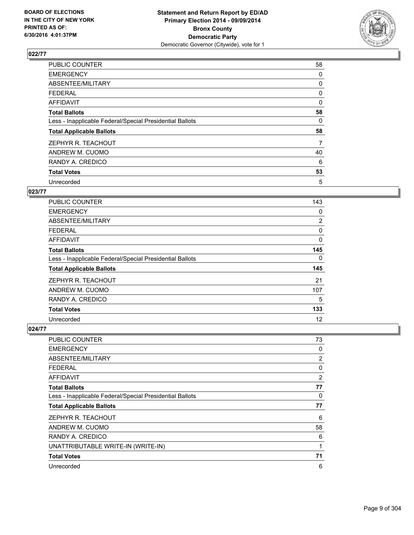

| <b>PUBLIC COUNTER</b>                                    | 58       |
|----------------------------------------------------------|----------|
| <b>EMERGENCY</b>                                         | 0        |
| ABSENTEE/MILITARY                                        | 0        |
| <b>FEDERAL</b>                                           | 0        |
| <b>AFFIDAVIT</b>                                         | $\Omega$ |
| <b>Total Ballots</b>                                     | 58       |
| Less - Inapplicable Federal/Special Presidential Ballots | 0        |
| <b>Total Applicable Ballots</b>                          | 58       |
| ZEPHYR R. TEACHOUT                                       | 7        |
| ANDREW M. CUOMO                                          | 40       |
| RANDY A. CREDICO                                         | 6        |
| <b>Total Votes</b>                                       | 53       |
| Unrecorded                                               | 5        |

## **023/77**

| PUBLIC COUNTER                                           | 143            |
|----------------------------------------------------------|----------------|
| <b>EMERGENCY</b>                                         | 0              |
| ABSENTEE/MILITARY                                        | $\overline{2}$ |
| <b>FEDERAL</b>                                           | 0              |
| AFFIDAVIT                                                | 0              |
| <b>Total Ballots</b>                                     | 145            |
| Less - Inapplicable Federal/Special Presidential Ballots | 0              |
| <b>Total Applicable Ballots</b>                          | 145            |
| ZEPHYR R. TEACHOUT                                       | 21             |
| ANDREW M. CUOMO                                          | 107            |
| RANDY A. CREDICO                                         | 5              |
| <b>Total Votes</b>                                       | 133            |
| Unrecorded                                               | 12             |

| PUBLIC COUNTER                                           | 73 |
|----------------------------------------------------------|----|
| <b>EMERGENCY</b>                                         | 0  |
| ABSENTEE/MILITARY                                        | 2  |
| <b>FEDERAL</b>                                           | 0  |
| AFFIDAVIT                                                | 2  |
| <b>Total Ballots</b>                                     | 77 |
| Less - Inapplicable Federal/Special Presidential Ballots | 0  |
| <b>Total Applicable Ballots</b>                          | 77 |
| ZEPHYR R. TEACHOUT                                       | 6  |
| ANDREW M. CUOMO                                          | 58 |
| RANDY A. CREDICO                                         | 6  |
| UNATTRIBUTABLE WRITE-IN (WRITE-IN)                       | 1  |
| <b>Total Votes</b>                                       | 71 |
| Unrecorded                                               | 6  |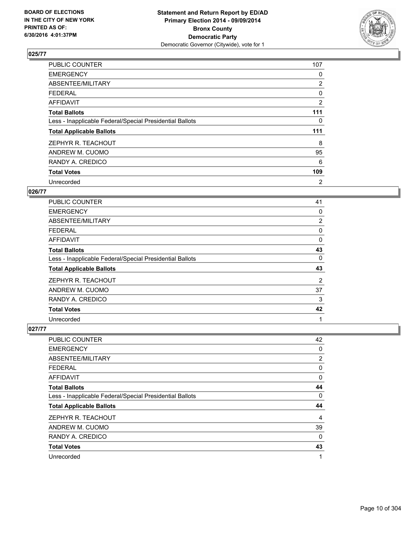

| <b>PUBLIC COUNTER</b>                                    | 107            |
|----------------------------------------------------------|----------------|
| <b>EMERGENCY</b>                                         | 0              |
| ABSENTEE/MILITARY                                        | $\overline{2}$ |
| <b>FEDERAL</b>                                           | 0              |
| <b>AFFIDAVIT</b>                                         | 2              |
| <b>Total Ballots</b>                                     | 111            |
| Less - Inapplicable Federal/Special Presidential Ballots | 0              |
| <b>Total Applicable Ballots</b>                          | 111            |
| ZEPHYR R. TEACHOUT                                       | 8              |
| ANDREW M. CUOMO                                          | 95             |
| RANDY A. CREDICO                                         | 6              |
| <b>Total Votes</b>                                       | 109            |
| Unrecorded                                               | 2              |

#### **026/77**

| <b>PUBLIC COUNTER</b>                                    | 41 |
|----------------------------------------------------------|----|
| <b>EMERGENCY</b>                                         | 0  |
| ABSENTEE/MILITARY                                        | 2  |
| <b>FEDERAL</b>                                           | 0  |
| <b>AFFIDAVIT</b>                                         | 0  |
| <b>Total Ballots</b>                                     | 43 |
| Less - Inapplicable Federal/Special Presidential Ballots | 0  |
| <b>Total Applicable Ballots</b>                          | 43 |
| ZEPHYR R. TEACHOUT                                       | 2  |
| ANDREW M. CUOMO                                          | 37 |
| RANDY A. CREDICO                                         | 3  |
| <b>Total Votes</b>                                       | 42 |
| Unrecorded                                               | 1  |

| <b>PUBLIC COUNTER</b>                                    | 42       |
|----------------------------------------------------------|----------|
| <b>EMERGENCY</b>                                         | 0        |
| ABSENTEE/MILITARY                                        | 2        |
| <b>FEDERAL</b>                                           | 0        |
| AFFIDAVIT                                                | 0        |
| <b>Total Ballots</b>                                     | 44       |
| Less - Inapplicable Federal/Special Presidential Ballots | 0        |
| <b>Total Applicable Ballots</b>                          | 44       |
| ZEPHYR R. TEACHOUT                                       | 4        |
| ANDREW M. CUOMO                                          | 39       |
| RANDY A. CREDICO                                         | $\Omega$ |
| <b>Total Votes</b>                                       | 43       |
| Unrecorded                                               | 1        |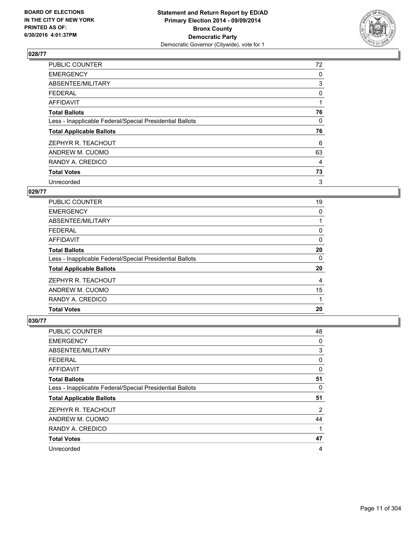

| <b>PUBLIC COUNTER</b>                                    | 72           |
|----------------------------------------------------------|--------------|
| <b>EMERGENCY</b>                                         | 0            |
| ABSENTEE/MILITARY                                        | 3            |
| <b>FEDERAL</b>                                           | 0            |
| AFFIDAVIT                                                |              |
| <b>Total Ballots</b>                                     | 76           |
| Less - Inapplicable Federal/Special Presidential Ballots | $\mathbf{0}$ |
| <b>Total Applicable Ballots</b>                          | 76           |
| ZEPHYR R. TEACHOUT                                       | 6            |
| ANDREW M. CUOMO                                          | 63           |
| RANDY A. CREDICO                                         | 4            |
| <b>Total Votes</b>                                       | 73           |
| Unrecorded                                               | 3            |

## **029/77**

| <b>PUBLIC COUNTER</b>                                    | 19 |
|----------------------------------------------------------|----|
| <b>EMERGENCY</b>                                         | 0  |
| ABSENTEE/MILITARY                                        |    |
| FEDERAL                                                  | 0  |
| AFFIDAVIT                                                | 0  |
| <b>Total Ballots</b>                                     | 20 |
| Less - Inapplicable Federal/Special Presidential Ballots | 0  |
| <b>Total Applicable Ballots</b>                          | 20 |
| ZEPHYR R. TEACHOUT                                       | 4  |
| ANDREW M. CUOMO                                          | 15 |
| RANDY A. CREDICO                                         |    |
| <b>Total Votes</b>                                       | 20 |

| <b>PUBLIC COUNTER</b>                                    | 48 |
|----------------------------------------------------------|----|
| <b>EMERGENCY</b>                                         | 0  |
| ABSENTEE/MILITARY                                        | 3  |
| <b>FEDERAL</b>                                           | 0  |
| AFFIDAVIT                                                | 0  |
| <b>Total Ballots</b>                                     | 51 |
| Less - Inapplicable Federal/Special Presidential Ballots | 0  |
| <b>Total Applicable Ballots</b>                          | 51 |
| ZEPHYR R. TEACHOUT                                       | 2  |
| ANDREW M. CUOMO                                          | 44 |
| RANDY A. CREDICO                                         | 1  |
| <b>Total Votes</b>                                       | 47 |
| Unrecorded                                               | 4  |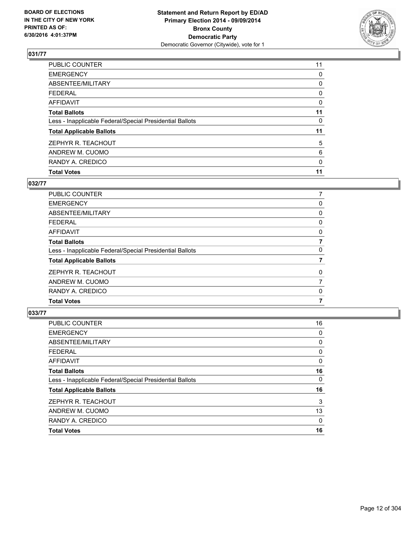

| <b>Total Votes</b>                                       | 11 |
|----------------------------------------------------------|----|
| RANDY A. CREDICO                                         | 0  |
| ANDREW M. CUOMO                                          | 6  |
| ZEPHYR R. TEACHOUT                                       | 5  |
| <b>Total Applicable Ballots</b>                          | 11 |
| Less - Inapplicable Federal/Special Presidential Ballots | 0  |
| <b>Total Ballots</b>                                     | 11 |
| <b>AFFIDAVIT</b>                                         | 0  |
| <b>FEDERAL</b>                                           | 0  |
| ABSENTEE/MILITARY                                        | 0  |
| <b>EMERGENCY</b>                                         | 0  |
| PUBLIC COUNTER                                           | 11 |

## **032/77**

| PUBLIC COUNTER                                           | 7 |
|----------------------------------------------------------|---|
| <b>EMERGENCY</b>                                         | 0 |
| ABSENTEE/MILITARY                                        | 0 |
| <b>FEDERAL</b>                                           | 0 |
| <b>AFFIDAVIT</b>                                         | 0 |
| <b>Total Ballots</b>                                     | 7 |
| Less - Inapplicable Federal/Special Presidential Ballots | 0 |
| <b>Total Applicable Ballots</b>                          | 7 |
| ZEPHYR R. TEACHOUT                                       | 0 |
| ANDREW M. CUOMO                                          | 7 |
| RANDY A. CREDICO                                         | 0 |
| <b>Total Votes</b>                                       |   |
|                                                          |   |

| PUBLIC COUNTER                                           | 16 |
|----------------------------------------------------------|----|
| <b>EMERGENCY</b>                                         | 0  |
| ABSENTEE/MILITARY                                        | 0  |
| <b>FEDERAL</b>                                           | 0  |
| <b>AFFIDAVIT</b>                                         | 0  |
| <b>Total Ballots</b>                                     | 16 |
| Less - Inapplicable Federal/Special Presidential Ballots | 0  |
| <b>Total Applicable Ballots</b>                          | 16 |
| ZEPHYR R. TEACHOUT                                       | 3  |
| ANDREW M. CUOMO                                          | 13 |
| RANDY A. CREDICO                                         | 0  |
| <b>Total Votes</b>                                       | 16 |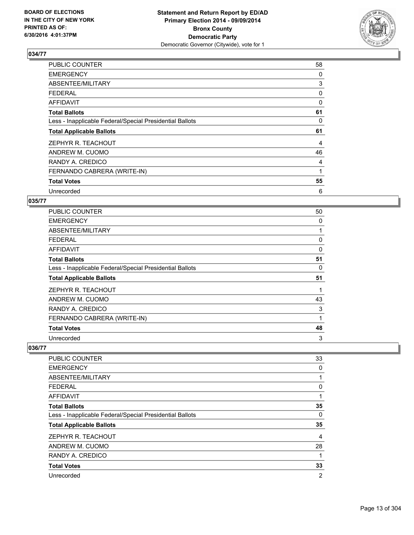

| <b>PUBLIC COUNTER</b>                                    | 58 |
|----------------------------------------------------------|----|
| <b>EMERGENCY</b>                                         | 0  |
| ABSENTEE/MILITARY                                        | 3  |
| <b>FEDERAL</b>                                           | 0  |
| <b>AFFIDAVIT</b>                                         | 0  |
| <b>Total Ballots</b>                                     | 61 |
| Less - Inapplicable Federal/Special Presidential Ballots | 0  |
| <b>Total Applicable Ballots</b>                          | 61 |
| ZEPHYR R. TEACHOUT                                       | 4  |
| ANDREW M. CUOMO                                          | 46 |
| RANDY A. CREDICO                                         | 4  |
| FERNANDO CABRERA (WRITE-IN)                              | 1  |
| <b>Total Votes</b>                                       | 55 |
| Unrecorded                                               | 6  |

## **035/77**

| <b>PUBLIC COUNTER</b>                                    | 50 |
|----------------------------------------------------------|----|
| <b>EMERGENCY</b>                                         | 0  |
| ABSENTEE/MILITARY                                        |    |
| <b>FEDERAL</b>                                           | 0  |
| AFFIDAVIT                                                | 0  |
| <b>Total Ballots</b>                                     | 51 |
| Less - Inapplicable Federal/Special Presidential Ballots | 0  |
| <b>Total Applicable Ballots</b>                          | 51 |
| ZEPHYR R. TEACHOUT                                       |    |
| ANDREW M. CUOMO                                          | 43 |
| RANDY A. CREDICO                                         | 3  |
| FERNANDO CABRERA (WRITE-IN)                              | 1  |
| <b>Total Votes</b>                                       | 48 |
| Unrecorded                                               | 3  |

| PUBLIC COUNTER                                           | 33             |
|----------------------------------------------------------|----------------|
| <b>EMERGENCY</b>                                         | 0              |
| ABSENTEE/MILITARY                                        |                |
| <b>FEDERAL</b>                                           | 0              |
| AFFIDAVIT                                                | 1              |
| <b>Total Ballots</b>                                     | 35             |
| Less - Inapplicable Federal/Special Presidential Ballots | 0              |
| <b>Total Applicable Ballots</b>                          | 35             |
| ZEPHYR R. TEACHOUT                                       | 4              |
| ANDREW M. CUOMO                                          | 28             |
| RANDY A. CREDICO                                         |                |
| <b>Total Votes</b>                                       | 33             |
| Unrecorded                                               | $\overline{2}$ |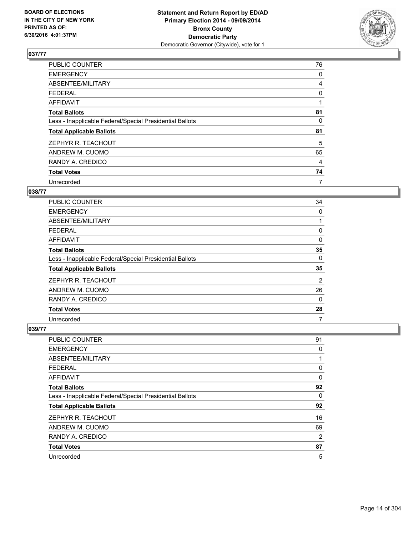

| <b>PUBLIC COUNTER</b>                                    | 76 |
|----------------------------------------------------------|----|
| <b>EMERGENCY</b>                                         | 0  |
| ABSENTEE/MILITARY                                        | 4  |
| <b>FEDERAL</b>                                           | 0  |
| AFFIDAVIT                                                | 1  |
| <b>Total Ballots</b>                                     | 81 |
| Less - Inapplicable Federal/Special Presidential Ballots | 0  |
| <b>Total Applicable Ballots</b>                          | 81 |
| ZEPHYR R. TEACHOUT                                       | 5  |
| ANDREW M. CUOMO                                          | 65 |
| RANDY A. CREDICO                                         | 4  |
| <b>Total Votes</b>                                       | 74 |
| Unrecorded                                               | 7  |

## **038/77**

| <b>PUBLIC COUNTER</b>                                    | 34       |
|----------------------------------------------------------|----------|
| <b>EMERGENCY</b>                                         | 0        |
| ABSENTEE/MILITARY                                        |          |
| <b>FEDERAL</b>                                           | 0        |
| AFFIDAVIT                                                | 0        |
| <b>Total Ballots</b>                                     | 35       |
| Less - Inapplicable Federal/Special Presidential Ballots | 0        |
| <b>Total Applicable Ballots</b>                          | 35       |
| ZEPHYR R. TEACHOUT                                       | 2        |
| ANDREW M. CUOMO                                          | 26       |
| RANDY A. CREDICO                                         | $\Omega$ |
| <b>Total Votes</b>                                       | 28       |
| Unrecorded                                               | 7        |

| <b>PUBLIC COUNTER</b>                                    | 91 |
|----------------------------------------------------------|----|
| <b>EMERGENCY</b>                                         | 0  |
| ABSENTEE/MILITARY                                        | 1  |
| <b>FEDERAL</b>                                           | 0  |
| AFFIDAVIT                                                | 0  |
| <b>Total Ballots</b>                                     | 92 |
| Less - Inapplicable Federal/Special Presidential Ballots | 0  |
| <b>Total Applicable Ballots</b>                          | 92 |
| ZEPHYR R. TEACHOUT                                       | 16 |
| ANDREW M. CUOMO                                          | 69 |
| RANDY A. CREDICO                                         | 2  |
| <b>Total Votes</b>                                       | 87 |
| Unrecorded                                               | 5  |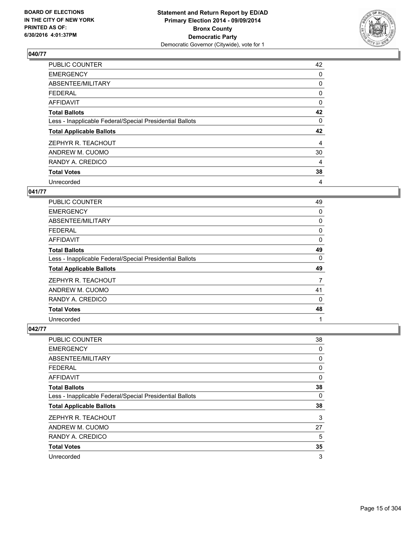

| PUBLIC COUNTER                                           | 42 |
|----------------------------------------------------------|----|
| <b>EMERGENCY</b>                                         | 0  |
| ABSENTEE/MILITARY                                        | 0  |
| <b>FEDERAL</b>                                           | 0  |
| AFFIDAVIT                                                | 0  |
| <b>Total Ballots</b>                                     | 42 |
| Less - Inapplicable Federal/Special Presidential Ballots | 0  |
| <b>Total Applicable Ballots</b>                          | 42 |
| ZEPHYR R. TEACHOUT                                       | 4  |
| ANDREW M. CUOMO                                          | 30 |
| RANDY A. CREDICO                                         | 4  |
| <b>Total Votes</b>                                       | 38 |
| Unrecorded                                               | 4  |

## **041/77**

| <b>PUBLIC COUNTER</b>                                    | 49       |
|----------------------------------------------------------|----------|
| <b>EMERGENCY</b>                                         | 0        |
| ABSENTEE/MILITARY                                        | 0        |
| <b>FEDERAL</b>                                           | 0        |
| AFFIDAVIT                                                | 0        |
| <b>Total Ballots</b>                                     | 49       |
| Less - Inapplicable Federal/Special Presidential Ballots | 0        |
| <b>Total Applicable Ballots</b>                          | 49       |
| ZEPHYR R. TEACHOUT                                       | 7        |
| ANDREW M. CUOMO                                          | 41       |
| RANDY A. CREDICO                                         | $\Omega$ |
| <b>Total Votes</b>                                       | 48       |
| Unrecorded                                               | 1        |

| PUBLIC COUNTER                                           | 38 |
|----------------------------------------------------------|----|
| <b>EMERGENCY</b>                                         | 0  |
| ABSENTEE/MILITARY                                        | 0  |
| <b>FEDERAL</b>                                           | 0  |
| <b>AFFIDAVIT</b>                                         | 0  |
| <b>Total Ballots</b>                                     | 38 |
| Less - Inapplicable Federal/Special Presidential Ballots | 0  |
| <b>Total Applicable Ballots</b>                          | 38 |
| ZEPHYR R. TEACHOUT                                       | 3  |
| ANDREW M. CUOMO                                          | 27 |
| RANDY A. CREDICO                                         | 5  |
| <b>Total Votes</b>                                       | 35 |
| Unrecorded                                               | 3  |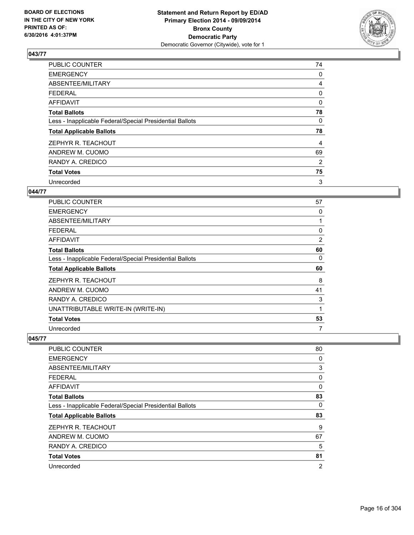

| <b>PUBLIC COUNTER</b>                                    | 74 |
|----------------------------------------------------------|----|
| <b>EMERGENCY</b>                                         | 0  |
| ABSENTEE/MILITARY                                        | 4  |
| <b>FEDERAL</b>                                           | 0  |
| AFFIDAVIT                                                | 0  |
| <b>Total Ballots</b>                                     | 78 |
| Less - Inapplicable Federal/Special Presidential Ballots | 0  |
| <b>Total Applicable Ballots</b>                          | 78 |
| ZEPHYR R. TEACHOUT                                       | 4  |
| ANDREW M. CUOMO                                          | 69 |
| RANDY A. CREDICO                                         | 2  |
| <b>Total Votes</b>                                       | 75 |
| Unrecorded                                               | 3  |

## **044/77**

| <b>PUBLIC COUNTER</b>                                    | 57 |
|----------------------------------------------------------|----|
| <b>EMERGENCY</b>                                         | 0  |
| ABSENTEE/MILITARY                                        |    |
| <b>FEDERAL</b>                                           | 0  |
| AFFIDAVIT                                                | 2  |
| <b>Total Ballots</b>                                     | 60 |
| Less - Inapplicable Federal/Special Presidential Ballots | 0  |
| <b>Total Applicable Ballots</b>                          | 60 |
| ZEPHYR R. TEACHOUT                                       | 8  |
| ANDREW M. CUOMO                                          | 41 |
| RANDY A. CREDICO                                         | 3  |
| UNATTRIBUTABLE WRITE-IN (WRITE-IN)                       | 1  |
| <b>Total Votes</b>                                       | 53 |
| Unrecorded                                               | 7  |

| <b>PUBLIC COUNTER</b>                                    | 80             |
|----------------------------------------------------------|----------------|
| <b>EMERGENCY</b>                                         | 0              |
| ABSENTEE/MILITARY                                        | 3              |
| FEDERAL                                                  | 0              |
| AFFIDAVIT                                                | 0              |
| <b>Total Ballots</b>                                     | 83             |
| Less - Inapplicable Federal/Special Presidential Ballots | 0              |
| <b>Total Applicable Ballots</b>                          | 83             |
| ZEPHYR R. TEACHOUT                                       | 9              |
| ANDREW M. CUOMO                                          | 67             |
| RANDY A. CREDICO                                         | 5              |
| <b>Total Votes</b>                                       | 81             |
| Unrecorded                                               | $\overline{2}$ |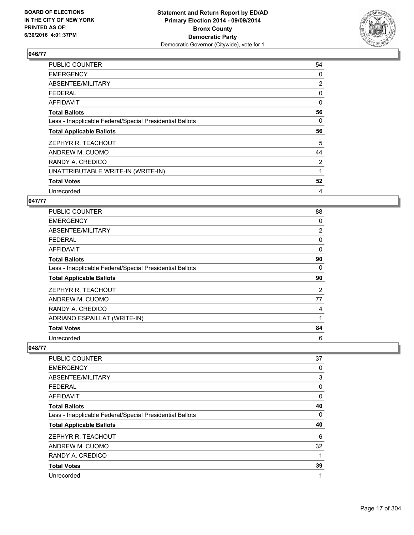

| <b>PUBLIC COUNTER</b>                                    | 54       |
|----------------------------------------------------------|----------|
| <b>EMERGENCY</b>                                         | 0        |
| ABSENTEE/MILITARY                                        | 2        |
| <b>FEDERAL</b>                                           | 0        |
| AFFIDAVIT                                                | $\Omega$ |
| <b>Total Ballots</b>                                     | 56       |
| Less - Inapplicable Federal/Special Presidential Ballots | 0        |
| <b>Total Applicable Ballots</b>                          | 56       |
| ZEPHYR R. TEACHOUT                                       | 5        |
| ANDREW M. CUOMO                                          | 44       |
| RANDY A. CREDICO                                         | 2        |
| UNATTRIBUTABLE WRITE-IN (WRITE-IN)                       | 1        |
| <b>Total Votes</b>                                       | 52       |
| Unrecorded                                               | 4        |

## **047/77**

| <b>PUBLIC COUNTER</b>                                    | 88             |
|----------------------------------------------------------|----------------|
| <b>EMERGENCY</b>                                         | 0              |
| ABSENTEE/MILITARY                                        | $\overline{2}$ |
| <b>FEDERAL</b>                                           | 0              |
| <b>AFFIDAVIT</b>                                         | 0              |
| <b>Total Ballots</b>                                     | 90             |
| Less - Inapplicable Federal/Special Presidential Ballots | 0              |
| <b>Total Applicable Ballots</b>                          | 90             |
| ZEPHYR R. TEACHOUT                                       | 2              |
| ANDREW M. CUOMO                                          | 77             |
| RANDY A. CREDICO                                         | 4              |
| ADRIANO ESPAILLAT (WRITE-IN)                             |                |
| <b>Total Votes</b>                                       | 84             |
| Unrecorded                                               | 6              |

| <b>PUBLIC COUNTER</b>                                    | 37 |
|----------------------------------------------------------|----|
| <b>EMERGENCY</b>                                         | 0  |
| ABSENTEE/MILITARY                                        | 3  |
| <b>FEDERAL</b>                                           | 0  |
| AFFIDAVIT                                                | 0  |
| <b>Total Ballots</b>                                     | 40 |
| Less - Inapplicable Federal/Special Presidential Ballots | 0  |
| <b>Total Applicable Ballots</b>                          | 40 |
| ZEPHYR R. TEACHOUT                                       | 6  |
| ANDREW M. CUOMO                                          | 32 |
| RANDY A. CREDICO                                         | 1  |
| <b>Total Votes</b>                                       | 39 |
| Unrecorded                                               | 1  |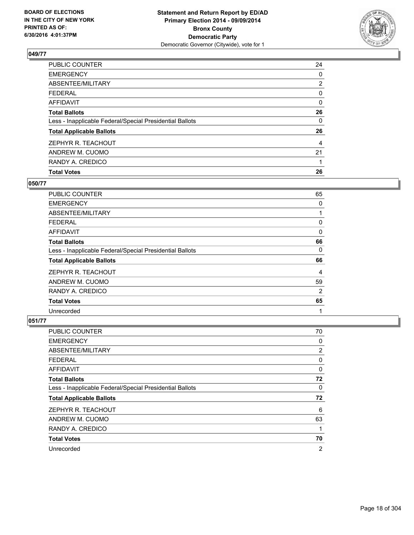

| <b>Total Votes</b>                                       | 26             |
|----------------------------------------------------------|----------------|
| RANDY A. CREDICO                                         |                |
| ANDREW M. CUOMO                                          | 21             |
| ZEPHYR R. TEACHOUT                                       | 4              |
| <b>Total Applicable Ballots</b>                          | 26             |
| Less - Inapplicable Federal/Special Presidential Ballots | 0              |
| <b>Total Ballots</b>                                     | 26             |
| <b>AFFIDAVIT</b>                                         | 0              |
| <b>FEDERAL</b>                                           | 0              |
| ABSENTEE/MILITARY                                        | $\overline{2}$ |
| <b>EMERGENCY</b>                                         | 0              |
| PUBLIC COUNTER                                           | 24             |

## **050/77**

| <b>PUBLIC COUNTER</b>                                    | 65 |
|----------------------------------------------------------|----|
| <b>EMERGENCY</b>                                         | 0  |
| ABSENTEE/MILITARY                                        |    |
| <b>FEDERAL</b>                                           | 0  |
| AFFIDAVIT                                                | 0  |
| <b>Total Ballots</b>                                     | 66 |
| Less - Inapplicable Federal/Special Presidential Ballots | 0  |
| <b>Total Applicable Ballots</b>                          | 66 |
| ZEPHYR R. TEACHOUT                                       | 4  |
| ANDREW M. CUOMO                                          | 59 |
| RANDY A. CREDICO                                         | 2  |
| <b>Total Votes</b>                                       | 65 |
| Unrecorded                                               | 1  |

| <b>PUBLIC COUNTER</b>                                    | 70 |
|----------------------------------------------------------|----|
| <b>EMERGENCY</b>                                         | 0  |
| ABSENTEE/MILITARY                                        | 2  |
| <b>FEDERAL</b>                                           | 0  |
| AFFIDAVIT                                                | 0  |
| <b>Total Ballots</b>                                     | 72 |
| Less - Inapplicable Federal/Special Presidential Ballots | 0  |
| <b>Total Applicable Ballots</b>                          | 72 |
| ZEPHYR R. TEACHOUT                                       | 6  |
| ANDREW M. CUOMO                                          | 63 |
| RANDY A. CREDICO                                         | 1  |
| <b>Total Votes</b>                                       | 70 |
| Unrecorded                                               | 2  |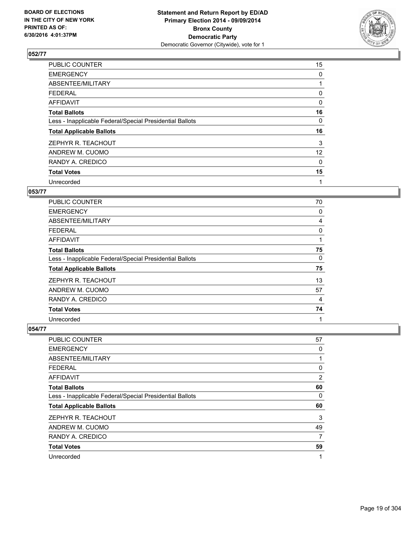

| PUBLIC COUNTER                                           | 15                |
|----------------------------------------------------------|-------------------|
| <b>EMERGENCY</b>                                         | 0                 |
| ABSENTEE/MILITARY                                        |                   |
| <b>FEDERAL</b>                                           | 0                 |
| AFFIDAVIT                                                | 0                 |
| <b>Total Ballots</b>                                     | 16                |
| Less - Inapplicable Federal/Special Presidential Ballots | 0                 |
| <b>Total Applicable Ballots</b>                          | 16                |
| ZEPHYR R. TEACHOUT                                       | 3                 |
| ANDREW M. CUOMO                                          | $12 \overline{ }$ |
| RANDY A. CREDICO                                         | 0                 |
| <b>Total Votes</b>                                       | 15                |
| Unrecorded                                               | 1                 |

## **053/77**

| <b>PUBLIC COUNTER</b>                                    | 70 |
|----------------------------------------------------------|----|
| <b>EMERGENCY</b>                                         | 0  |
| ABSENTEE/MILITARY                                        | 4  |
| <b>FEDERAL</b>                                           | 0  |
| AFFIDAVIT                                                |    |
| <b>Total Ballots</b>                                     | 75 |
| Less - Inapplicable Federal/Special Presidential Ballots | 0  |
| <b>Total Applicable Ballots</b>                          | 75 |
| ZEPHYR R. TEACHOUT                                       | 13 |
| ANDREW M. CUOMO                                          | 57 |
| RANDY A. CREDICO                                         | 4  |
| <b>Total Votes</b>                                       | 74 |
| Unrecorded                                               | 1  |

| PUBLIC COUNTER                                           | 57          |
|----------------------------------------------------------|-------------|
| <b>EMERGENCY</b>                                         | 0           |
| ABSENTEE/MILITARY                                        | 1           |
| <b>FEDERAL</b>                                           | 0           |
| <b>AFFIDAVIT</b>                                         | 2           |
| <b>Total Ballots</b>                                     | 60          |
| Less - Inapplicable Federal/Special Presidential Ballots | 0           |
| <b>Total Applicable Ballots</b>                          | 60          |
| ZEPHYR R. TEACHOUT                                       | 3           |
| ANDREW M. CUOMO                                          | 49          |
| RANDY A. CREDICO                                         | 7           |
| <b>Total Votes</b>                                       | 59          |
| Unrecorded                                               | $\mathbf 1$ |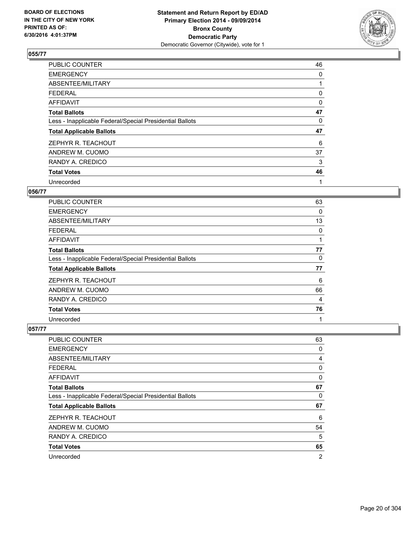

| <b>PUBLIC COUNTER</b>                                    | 46 |
|----------------------------------------------------------|----|
| <b>EMERGENCY</b>                                         | 0  |
| ABSENTEE/MILITARY                                        |    |
| <b>FEDERAL</b>                                           | 0  |
| AFFIDAVIT                                                | 0  |
| <b>Total Ballots</b>                                     | 47 |
| Less - Inapplicable Federal/Special Presidential Ballots | 0  |
| <b>Total Applicable Ballots</b>                          | 47 |
| ZEPHYR R. TEACHOUT                                       | 6  |
| ANDREW M. CUOMO                                          | 37 |
| RANDY A. CREDICO                                         | 3  |
| <b>Total Votes</b>                                       | 46 |
| Unrecorded                                               | 1  |

#### **056/77**

| <b>PUBLIC COUNTER</b>                                    | 63 |
|----------------------------------------------------------|----|
| <b>EMERGENCY</b>                                         | 0  |
| ABSENTEE/MILITARY                                        | 13 |
| FEDERAL                                                  | 0  |
| AFFIDAVIT                                                |    |
| <b>Total Ballots</b>                                     | 77 |
| Less - Inapplicable Federal/Special Presidential Ballots | 0  |
| <b>Total Applicable Ballots</b>                          | 77 |
| ZEPHYR R. TEACHOUT                                       | 6  |
| ANDREW M. CUOMO                                          | 66 |
| RANDY A. CREDICO                                         | 4  |
| <b>Total Votes</b>                                       | 76 |
| Unrecorded                                               | 1  |

| PUBLIC COUNTER                                           | 63             |
|----------------------------------------------------------|----------------|
| <b>EMERGENCY</b>                                         | 0              |
| ABSENTEE/MILITARY                                        | 4              |
| <b>FEDERAL</b>                                           | 0              |
| <b>AFFIDAVIT</b>                                         | 0              |
| <b>Total Ballots</b>                                     | 67             |
| Less - Inapplicable Federal/Special Presidential Ballots | 0              |
| <b>Total Applicable Ballots</b>                          | 67             |
| ZEPHYR R. TEACHOUT                                       | 6              |
| ANDREW M. CUOMO                                          | 54             |
| RANDY A. CREDICO                                         | 5              |
| <b>Total Votes</b>                                       | 65             |
| Unrecorded                                               | $\overline{2}$ |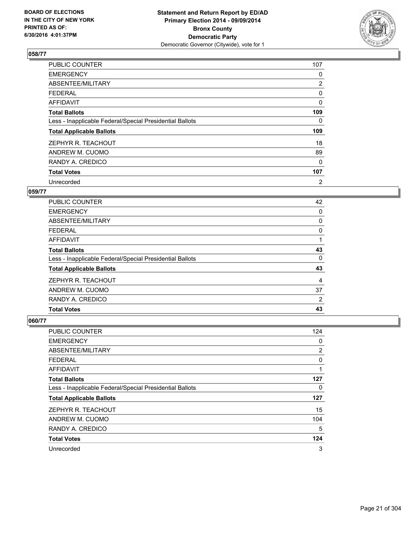

| <b>PUBLIC COUNTER</b>                                    | 107            |
|----------------------------------------------------------|----------------|
| <b>EMERGENCY</b>                                         | 0              |
| ABSENTEE/MILITARY                                        | $\overline{2}$ |
| <b>FEDERAL</b>                                           | 0              |
| AFFIDAVIT                                                | $\Omega$       |
| <b>Total Ballots</b>                                     | 109            |
| Less - Inapplicable Federal/Special Presidential Ballots | 0              |
| <b>Total Applicable Ballots</b>                          | 109            |
| ZEPHYR R. TEACHOUT                                       | 18             |
| ANDREW M. CUOMO                                          | 89             |
| RANDY A. CREDICO                                         | 0              |
| <b>Total Votes</b>                                       | 107            |
| Unrecorded                                               | 2              |

#### **059/77**

| <b>PUBLIC COUNTER</b>                                    | 42 |
|----------------------------------------------------------|----|
| <b>EMERGENCY</b>                                         | 0  |
| ABSENTEE/MILITARY                                        | 0  |
| <b>FEDERAL</b>                                           | 0  |
| AFFIDAVIT                                                |    |
| <b>Total Ballots</b>                                     | 43 |
| Less - Inapplicable Federal/Special Presidential Ballots | 0  |
| <b>Total Applicable Ballots</b>                          | 43 |
| ZEPHYR R. TEACHOUT                                       | 4  |
| ANDREW M. CUOMO                                          | 37 |
| RANDY A. CREDICO                                         | 2  |
| <b>Total Votes</b>                                       | 43 |

| <b>PUBLIC COUNTER</b>                                    | 124 |
|----------------------------------------------------------|-----|
| <b>EMERGENCY</b>                                         | 0   |
| ABSENTEE/MILITARY                                        | 2   |
| <b>FEDERAL</b>                                           | 0   |
| AFFIDAVIT                                                | 1   |
| <b>Total Ballots</b>                                     | 127 |
| Less - Inapplicable Federal/Special Presidential Ballots | 0   |
| <b>Total Applicable Ballots</b>                          | 127 |
| ZEPHYR R. TEACHOUT                                       | 15  |
| ANDREW M. CUOMO                                          | 104 |
| RANDY A. CREDICO                                         | 5   |
| <b>Total Votes</b>                                       | 124 |
| Unrecorded                                               | 3   |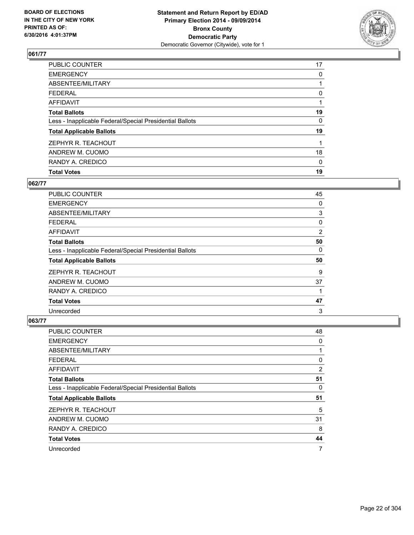

| <b>Total Votes</b>                                       | 19 |
|----------------------------------------------------------|----|
| RANDY A. CREDICO                                         | 0  |
| ANDREW M. CUOMO                                          | 18 |
| ZEPHYR R. TEACHOUT                                       |    |
| <b>Total Applicable Ballots</b>                          | 19 |
| Less - Inapplicable Federal/Special Presidential Ballots | 0  |
| <b>Total Ballots</b>                                     | 19 |
| <b>AFFIDAVIT</b>                                         |    |
| <b>FEDERAL</b>                                           | 0  |
| ABSENTEE/MILITARY                                        |    |
| <b>EMERGENCY</b>                                         | 0  |
| PUBLIC COUNTER                                           | 17 |

## **062/77**

| <b>PUBLIC COUNTER</b>                                    | 45             |
|----------------------------------------------------------|----------------|
| <b>EMERGENCY</b>                                         | 0              |
| ABSENTEE/MILITARY                                        | 3              |
| <b>FEDERAL</b>                                           | 0              |
| AFFIDAVIT                                                | $\overline{2}$ |
| <b>Total Ballots</b>                                     | 50             |
| Less - Inapplicable Federal/Special Presidential Ballots | 0              |
| <b>Total Applicable Ballots</b>                          | 50             |
| ZEPHYR R. TEACHOUT                                       | 9              |
| ANDREW M. CUOMO                                          | 37             |
| RANDY A. CREDICO                                         | 1              |
| <b>Total Votes</b>                                       | 47             |
| Unrecorded                                               | 3              |

| PUBLIC COUNTER                                           | 48 |
|----------------------------------------------------------|----|
| <b>EMERGENCY</b>                                         | 0  |
| ABSENTEE/MILITARY                                        | 1  |
| <b>FEDERAL</b>                                           | 0  |
| AFFIDAVIT                                                | 2  |
| <b>Total Ballots</b>                                     | 51 |
| Less - Inapplicable Federal/Special Presidential Ballots | 0  |
| <b>Total Applicable Ballots</b>                          | 51 |
| ZEPHYR R. TEACHOUT                                       | 5  |
| ANDREW M. CUOMO                                          | 31 |
| RANDY A. CREDICO                                         | 8  |
| <b>Total Votes</b>                                       | 44 |
| Unrecorded                                               | 7  |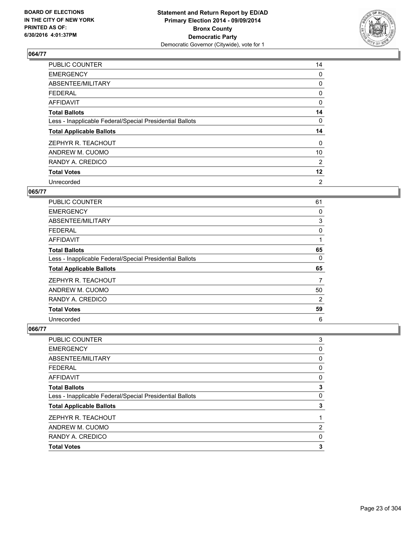

| PUBLIC COUNTER                                           | 14      |
|----------------------------------------------------------|---------|
| <b>EMERGENCY</b>                                         | 0       |
| ABSENTEE/MILITARY                                        | 0       |
| <b>FEDERAL</b>                                           | 0       |
| AFFIDAVIT                                                | 0       |
| <b>Total Ballots</b>                                     | 14      |
| Less - Inapplicable Federal/Special Presidential Ballots | 0       |
| <b>Total Applicable Ballots</b>                          | 14      |
| ZEPHYR R. TEACHOUT                                       | 0       |
| ANDREW M. CUOMO                                          | 10      |
| RANDY A. CREDICO                                         | 2       |
| <b>Total Votes</b>                                       | $12 \,$ |
| Unrecorded                                               | 2       |

#### **065/77**

| <b>PUBLIC COUNTER</b>                                    | 61             |
|----------------------------------------------------------|----------------|
| <b>EMERGENCY</b>                                         | 0              |
| ABSENTEE/MILITARY                                        | 3              |
| <b>FEDERAL</b>                                           | 0              |
| AFFIDAVIT                                                |                |
| <b>Total Ballots</b>                                     | 65             |
| Less - Inapplicable Federal/Special Presidential Ballots | $\Omega$       |
| <b>Total Applicable Ballots</b>                          | 65             |
| ZEPHYR R. TEACHOUT                                       | 7              |
| ANDREW M. CUOMO                                          | 50             |
| RANDY A. CREDICO                                         | $\overline{2}$ |
| <b>Total Votes</b>                                       | 59             |
| Unrecorded                                               | 6              |

| <b>AFFIDAVIT</b><br><b>Total Ballots</b>                 | 0<br>3 |
|----------------------------------------------------------|--------|
| Less - Inapplicable Federal/Special Presidential Ballots | 0      |
| <b>Total Applicable Ballots</b>                          | 3      |
| ZEPHYR R. TEACHOUT                                       |        |
| ANDREW M. CUOMO                                          | 2      |
| RANDY A. CREDICO                                         | 0      |
| <b>Total Votes</b>                                       | 3      |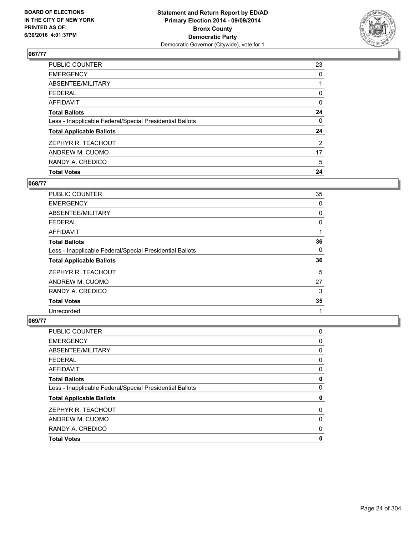

| <b>Total Votes</b>                                       | 24             |
|----------------------------------------------------------|----------------|
| RANDY A. CREDICO                                         | 5              |
| ANDREW M. CUOMO                                          | 17             |
| ZEPHYR R. TEACHOUT                                       | $\overline{2}$ |
| <b>Total Applicable Ballots</b>                          | 24             |
| Less - Inapplicable Federal/Special Presidential Ballots | 0              |
| <b>Total Ballots</b>                                     | 24             |
| <b>AFFIDAVIT</b>                                         | 0              |
| <b>FEDERAL</b>                                           | 0              |
| ABSENTEE/MILITARY                                        |                |
| <b>EMERGENCY</b>                                         | 0              |
| PUBLIC COUNTER                                           | 23             |

## **068/77**

| <b>PUBLIC COUNTER</b>                                    | 35 |
|----------------------------------------------------------|----|
| <b>EMERGENCY</b>                                         | 0  |
| ABSENTEE/MILITARY                                        | 0  |
| <b>FEDERAL</b>                                           | 0  |
| AFFIDAVIT                                                | 1  |
| <b>Total Ballots</b>                                     | 36 |
| Less - Inapplicable Federal/Special Presidential Ballots | 0  |
| <b>Total Applicable Ballots</b>                          | 36 |
| ZEPHYR R. TEACHOUT                                       | 5  |
| ANDREW M. CUOMO                                          | 27 |
| RANDY A. CREDICO                                         | 3  |
| <b>Total Votes</b>                                       | 35 |
| Unrecorded                                               | 1  |

| <b>PUBLIC COUNTER</b>                                    | 0 |
|----------------------------------------------------------|---|
| <b>EMERGENCY</b>                                         | 0 |
| <b>ABSENTEE/MILITARY</b>                                 | 0 |
| <b>FEDERAL</b>                                           | 0 |
| <b>AFFIDAVIT</b>                                         | 0 |
| <b>Total Ballots</b>                                     | 0 |
| Less - Inapplicable Federal/Special Presidential Ballots | 0 |
| <b>Total Applicable Ballots</b>                          | 0 |
| ZEPHYR R. TEACHOUT                                       | 0 |
| ANDREW M. CUOMO                                          | 0 |
| RANDY A. CREDICO                                         | 0 |
| <b>Total Votes</b>                                       | 0 |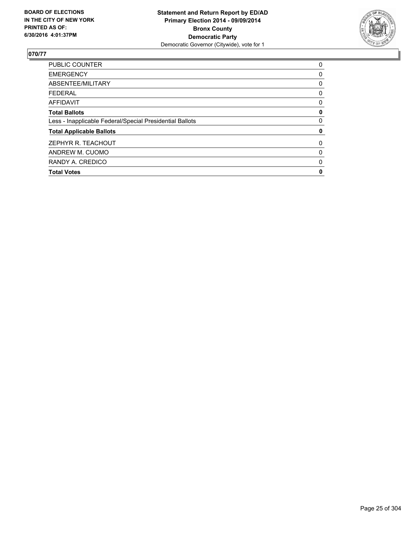

| <b>PUBLIC COUNTER</b>                                    | 0 |
|----------------------------------------------------------|---|
| <b>EMERGENCY</b>                                         | 0 |
| ABSENTEE/MILITARY                                        | 0 |
| <b>FEDERAL</b>                                           | 0 |
| AFFIDAVIT                                                | 0 |
| <b>Total Ballots</b>                                     | 0 |
| Less - Inapplicable Federal/Special Presidential Ballots | 0 |
| <b>Total Applicable Ballots</b>                          | 0 |
| ZEPHYR R. TEACHOUT                                       | 0 |
| ANDREW M. CUOMO                                          | 0 |
| RANDY A. CREDICO                                         | 0 |
| <b>Total Votes</b>                                       | 0 |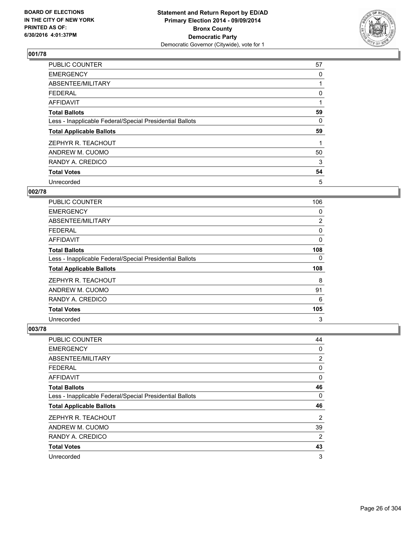

| <b>PUBLIC COUNTER</b>                                    | 57 |
|----------------------------------------------------------|----|
| <b>EMERGENCY</b>                                         | 0  |
| ABSENTEE/MILITARY                                        |    |
| <b>FEDERAL</b>                                           | 0  |
| <b>AFFIDAVIT</b>                                         |    |
| <b>Total Ballots</b>                                     | 59 |
| Less - Inapplicable Federal/Special Presidential Ballots | 0  |
| <b>Total Applicable Ballots</b>                          | 59 |
| ZEPHYR R. TEACHOUT                                       |    |
| ANDREW M. CUOMO                                          | 50 |
| RANDY A. CREDICO                                         | 3  |
| <b>Total Votes</b>                                       | 54 |
| Unrecorded                                               | 5  |

## **002/78**

| <b>PUBLIC COUNTER</b>                                    | 106            |
|----------------------------------------------------------|----------------|
| <b>EMERGENCY</b>                                         | 0              |
| ABSENTEE/MILITARY                                        | $\overline{2}$ |
| <b>FEDERAL</b>                                           | 0              |
| AFFIDAVIT                                                | 0              |
| <b>Total Ballots</b>                                     | 108            |
| Less - Inapplicable Federal/Special Presidential Ballots | 0              |
| <b>Total Applicable Ballots</b>                          | 108            |
| ZEPHYR R. TEACHOUT                                       | 8              |
| ANDREW M. CUOMO                                          | 91             |
| RANDY A. CREDICO                                         | 6              |
| <b>Total Votes</b>                                       | 105            |
| Unrecorded                                               | 3              |

| <b>PUBLIC COUNTER</b>                                    | 44             |
|----------------------------------------------------------|----------------|
| <b>EMERGENCY</b>                                         | 0              |
| ABSENTEE/MILITARY                                        | 2              |
| <b>FEDERAL</b>                                           | 0              |
| AFFIDAVIT                                                | 0              |
| <b>Total Ballots</b>                                     | 46             |
| Less - Inapplicable Federal/Special Presidential Ballots | 0              |
| <b>Total Applicable Ballots</b>                          | 46             |
| ZEPHYR R. TEACHOUT                                       | 2              |
| ANDREW M. CUOMO                                          | 39             |
| RANDY A. CREDICO                                         | $\overline{2}$ |
| <b>Total Votes</b>                                       | 43             |
| Unrecorded                                               | 3              |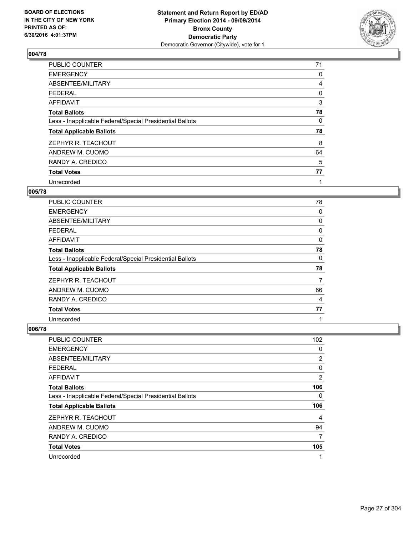

| PUBLIC COUNTER                                           | 71 |
|----------------------------------------------------------|----|
| <b>EMERGENCY</b>                                         | 0  |
| ABSENTEE/MILITARY                                        | 4  |
| <b>FEDERAL</b>                                           | 0  |
| AFFIDAVIT                                                | 3  |
| <b>Total Ballots</b>                                     | 78 |
| Less - Inapplicable Federal/Special Presidential Ballots | 0  |
| <b>Total Applicable Ballots</b>                          | 78 |
| ZEPHYR R. TEACHOUT                                       | 8  |
| ANDREW M. CUOMO                                          | 64 |
| RANDY A. CREDICO                                         | 5  |
| <b>Total Votes</b>                                       | 77 |
| Unrecorded                                               | 1  |

#### **005/78**

| <b>PUBLIC COUNTER</b>                                    | 78 |
|----------------------------------------------------------|----|
| <b>EMERGENCY</b>                                         | 0  |
| ABSENTEE/MILITARY                                        | 0  |
| <b>FEDERAL</b>                                           | 0  |
| AFFIDAVIT                                                | 0  |
| <b>Total Ballots</b>                                     | 78 |
| Less - Inapplicable Federal/Special Presidential Ballots | 0  |
| <b>Total Applicable Ballots</b>                          | 78 |
| ZEPHYR R. TEACHOUT                                       | 7  |
| ANDREW M. CUOMO                                          | 66 |
| RANDY A. CREDICO                                         | 4  |
| <b>Total Votes</b>                                       | 77 |
| Unrecorded                                               | 1  |

| <b>PUBLIC COUNTER</b>                                    | 102 |
|----------------------------------------------------------|-----|
| <b>EMERGENCY</b>                                         | 0   |
| ABSENTEE/MILITARY                                        | 2   |
| FEDERAL                                                  | 0   |
| AFFIDAVIT                                                | 2   |
| <b>Total Ballots</b>                                     | 106 |
| Less - Inapplicable Federal/Special Presidential Ballots | 0   |
| <b>Total Applicable Ballots</b>                          | 106 |
| ZEPHYR R. TEACHOUT                                       | 4   |
| ANDREW M. CUOMO                                          | 94  |
| RANDY A. CREDICO                                         | 7   |
| <b>Total Votes</b>                                       | 105 |
| Unrecorded                                               |     |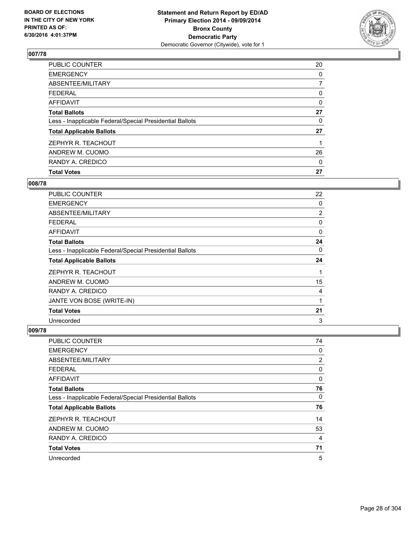

| <b>Total Votes</b>                                       | 27 |
|----------------------------------------------------------|----|
| RANDY A. CREDICO                                         | 0  |
| ANDREW M. CUOMO                                          | 26 |
| ZEPHYR R. TEACHOUT                                       |    |
| <b>Total Applicable Ballots</b>                          | 27 |
| Less - Inapplicable Federal/Special Presidential Ballots | 0  |
| <b>Total Ballots</b>                                     | 27 |
| <b>AFFIDAVIT</b>                                         | 0  |
| <b>FEDERAL</b>                                           | 0  |
| ABSENTEE/MILITARY                                        | 7  |
| <b>EMERGENCY</b>                                         | 0  |
| PUBLIC COUNTER                                           | 20 |

## **008/78**

| <b>PUBLIC COUNTER</b>                                    | 22       |
|----------------------------------------------------------|----------|
| <b>EMERGENCY</b>                                         | 0        |
| ABSENTEE/MILITARY                                        | 2        |
| <b>FEDERAL</b>                                           | 0        |
| AFFIDAVIT                                                | $\Omega$ |
| <b>Total Ballots</b>                                     | 24       |
| Less - Inapplicable Federal/Special Presidential Ballots | 0        |
| <b>Total Applicable Ballots</b>                          | 24       |
| ZEPHYR R. TEACHOUT                                       | 1        |
| ANDREW M. CUOMO                                          | 15       |
| RANDY A. CREDICO                                         | 4        |
| JANTE VON BOSE (WRITE-IN)                                | 1        |
| <b>Total Votes</b>                                       | 21       |
| Unrecorded                                               | 3        |

| PUBLIC COUNTER                                           | 74             |
|----------------------------------------------------------|----------------|
| <b>EMERGENCY</b>                                         | 0              |
| ABSENTEE/MILITARY                                        | $\overline{2}$ |
| <b>FEDERAL</b>                                           | 0              |
| <b>AFFIDAVIT</b>                                         | 0              |
| <b>Total Ballots</b>                                     | 76             |
| Less - Inapplicable Federal/Special Presidential Ballots | 0              |
| <b>Total Applicable Ballots</b>                          | 76             |
| ZEPHYR R. TEACHOUT                                       | 14             |
| ANDREW M. CUOMO                                          | 53             |
| RANDY A. CREDICO                                         | 4              |
| <b>Total Votes</b>                                       | 71             |
| Unrecorded                                               | 5              |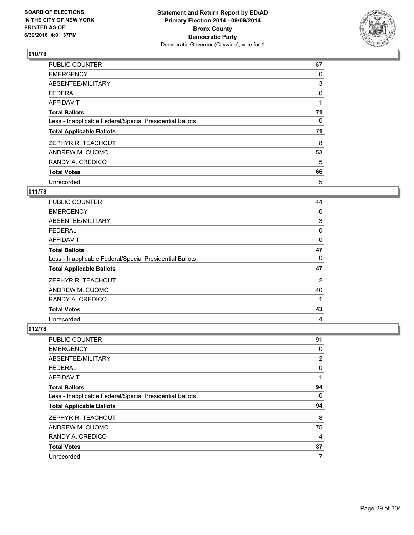

| PUBLIC COUNTER                                           | 67 |
|----------------------------------------------------------|----|
| <b>EMERGENCY</b>                                         | 0  |
| ABSENTEE/MILITARY                                        | 3  |
| <b>FEDERAL</b>                                           | 0  |
| <b>AFFIDAVIT</b>                                         |    |
| <b>Total Ballots</b>                                     | 71 |
| Less - Inapplicable Federal/Special Presidential Ballots | 0  |
| <b>Total Applicable Ballots</b>                          | 71 |
| ZEPHYR R. TEACHOUT                                       | 8  |
| ANDREW M. CUOMO                                          | 53 |
| RANDY A. CREDICO                                         | 5  |
| <b>Total Votes</b>                                       | 66 |
| Unrecorded                                               | 5  |

## **011/78**

| <b>PUBLIC COUNTER</b>                                    | 44 |
|----------------------------------------------------------|----|
| <b>EMERGENCY</b>                                         | 0  |
| ABSENTEE/MILITARY                                        | 3  |
| <b>FEDERAL</b>                                           | 0  |
| AFFIDAVIT                                                | 0  |
| <b>Total Ballots</b>                                     | 47 |
| Less - Inapplicable Federal/Special Presidential Ballots | 0  |
| <b>Total Applicable Ballots</b>                          | 47 |
| ZEPHYR R. TEACHOUT                                       | 2  |
| ANDREW M. CUOMO                                          | 40 |
| RANDY A. CREDICO                                         | 1  |
| <b>Total Votes</b>                                       | 43 |
| Unrecorded                                               | 4  |

| <b>PUBLIC COUNTER</b>                                    | 91 |
|----------------------------------------------------------|----|
| <b>EMERGENCY</b>                                         | 0  |
| ABSENTEE/MILITARY                                        | 2  |
| <b>FEDERAL</b>                                           | 0  |
| <b>AFFIDAVIT</b>                                         | 1  |
| <b>Total Ballots</b>                                     | 94 |
| Less - Inapplicable Federal/Special Presidential Ballots | 0  |
| <b>Total Applicable Ballots</b>                          | 94 |
| ZEPHYR R. TEACHOUT                                       | 8  |
| ANDREW M. CUOMO                                          | 75 |
| RANDY A. CREDICO                                         | 4  |
| <b>Total Votes</b>                                       | 87 |
| Unrecorded                                               | 7  |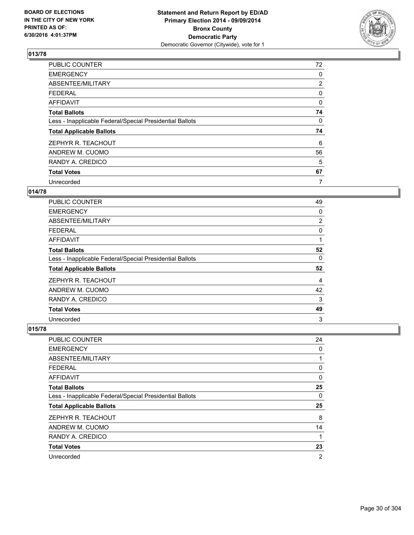

| <b>PUBLIC COUNTER</b>                                    | 72             |
|----------------------------------------------------------|----------------|
| <b>EMERGENCY</b>                                         | 0              |
| ABSENTEE/MILITARY                                        | $\overline{2}$ |
| <b>FEDERAL</b>                                           | 0              |
| <b>AFFIDAVIT</b>                                         | 0              |
| <b>Total Ballots</b>                                     | 74             |
| Less - Inapplicable Federal/Special Presidential Ballots | $\mathbf{0}$   |
| <b>Total Applicable Ballots</b>                          | 74             |
| ZEPHYR R. TEACHOUT                                       | 6              |
| ANDREW M. CUOMO                                          | 56             |
| RANDY A. CREDICO                                         | 5              |
| <b>Total Votes</b>                                       | 67             |
| Unrecorded                                               | 7              |

## **014/78**

| <b>PUBLIC COUNTER</b>                                    | 49             |
|----------------------------------------------------------|----------------|
| <b>EMERGENCY</b>                                         | 0              |
| ABSENTEE/MILITARY                                        | $\overline{2}$ |
| <b>FEDERAL</b>                                           | 0              |
| AFFIDAVIT                                                |                |
| <b>Total Ballots</b>                                     | 52             |
| Less - Inapplicable Federal/Special Presidential Ballots | 0              |
| <b>Total Applicable Ballots</b>                          | 52             |
| ZEPHYR R. TEACHOUT                                       | 4              |
| ANDREW M. CUOMO                                          | 42             |
| RANDY A. CREDICO                                         | 3              |
| <b>Total Votes</b>                                       | 49             |
| Unrecorded                                               | 3              |

| PUBLIC COUNTER                                           | 24 |
|----------------------------------------------------------|----|
| <b>EMERGENCY</b>                                         | 0  |
| ABSENTEE/MILITARY                                        | 1  |
| <b>FEDERAL</b>                                           | 0  |
| <b>AFFIDAVIT</b>                                         | 0  |
| <b>Total Ballots</b>                                     | 25 |
| Less - Inapplicable Federal/Special Presidential Ballots | 0  |
| <b>Total Applicable Ballots</b>                          | 25 |
| ZEPHYR R. TEACHOUT                                       | 8  |
| ANDREW M. CUOMO                                          | 14 |
| RANDY A. CREDICO                                         | 1  |
| <b>Total Votes</b>                                       | 23 |
| Unrecorded                                               | 2  |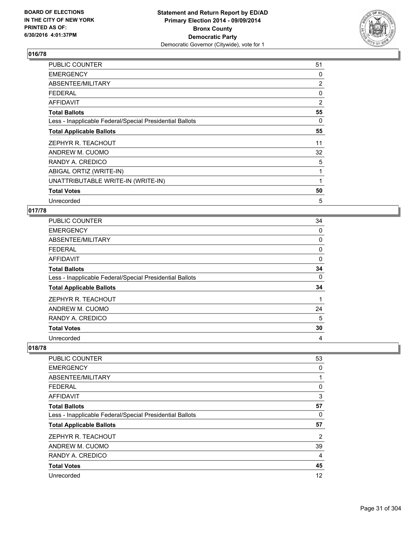

| PUBLIC COUNTER                                           | 51             |
|----------------------------------------------------------|----------------|
| <b>EMERGENCY</b>                                         | 0              |
| ABSENTEE/MILITARY                                        | $\overline{2}$ |
| <b>FEDERAL</b>                                           | 0              |
| AFFIDAVIT                                                | $\overline{2}$ |
| <b>Total Ballots</b>                                     | 55             |
| Less - Inapplicable Federal/Special Presidential Ballots | 0              |
| <b>Total Applicable Ballots</b>                          | 55             |
| ZEPHYR R. TEACHOUT                                       | 11             |
| ANDREW M. CUOMO                                          | 32             |
| RANDY A. CREDICO                                         | 5              |
| ABIGAL ORTIZ (WRITE-IN)                                  | 1              |
| UNATTRIBUTABLE WRITE-IN (WRITE-IN)                       | 1              |
| <b>Total Votes</b>                                       | 50             |
| Unrecorded                                               | 5              |

#### **017/78**

| PUBLIC COUNTER                                           | 34 |
|----------------------------------------------------------|----|
| <b>EMERGENCY</b>                                         | 0  |
| ABSENTEE/MILITARY                                        | 0  |
| <b>FEDERAL</b>                                           | 0  |
| <b>AFFIDAVIT</b>                                         | 0  |
| <b>Total Ballots</b>                                     | 34 |
| Less - Inapplicable Federal/Special Presidential Ballots | 0  |
| <b>Total Applicable Ballots</b>                          | 34 |
| ZEPHYR R. TEACHOUT                                       |    |
| ANDREW M. CUOMO                                          | 24 |
| RANDY A. CREDICO                                         | 5  |
| <b>Total Votes</b>                                       | 30 |
| Unrecorded                                               | 4  |

| PUBLIC COUNTER                                           | 53             |
|----------------------------------------------------------|----------------|
| <b>EMERGENCY</b>                                         | 0              |
| ABSENTEE/MILITARY                                        | 1              |
| <b>FEDERAL</b>                                           | 0              |
| AFFIDAVIT                                                | 3              |
| <b>Total Ballots</b>                                     | 57             |
| Less - Inapplicable Federal/Special Presidential Ballots | 0              |
| <b>Total Applicable Ballots</b>                          | 57             |
| ZEPHYR R. TEACHOUT                                       | $\overline{2}$ |
| ANDREW M. CUOMO                                          | 39             |
| RANDY A. CREDICO                                         | 4              |
| <b>Total Votes</b>                                       | 45             |
| Unrecorded                                               | 12             |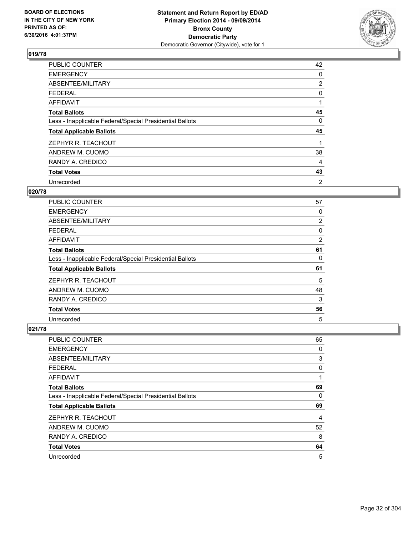

| PUBLIC COUNTER                                           | 42             |
|----------------------------------------------------------|----------------|
| <b>EMERGENCY</b>                                         | 0              |
| ABSENTEE/MILITARY                                        | $\overline{2}$ |
| <b>FEDERAL</b>                                           | 0              |
| AFFIDAVIT                                                | 1              |
| <b>Total Ballots</b>                                     | 45             |
| Less - Inapplicable Federal/Special Presidential Ballots | 0              |
| <b>Total Applicable Ballots</b>                          | 45             |
| ZEPHYR R. TEACHOUT                                       |                |
| ANDREW M. CUOMO                                          | 38             |
| RANDY A. CREDICO                                         | 4              |
| <b>Total Votes</b>                                       | 43             |
| Unrecorded                                               | 2              |

# **020/78**

| PUBLIC COUNTER                                           | 57             |
|----------------------------------------------------------|----------------|
| <b>EMERGENCY</b>                                         | 0              |
| ABSENTEE/MILITARY                                        | $\overline{2}$ |
| <b>FEDERAL</b>                                           | 0              |
| AFFIDAVIT                                                | 2              |
| <b>Total Ballots</b>                                     | 61             |
| Less - Inapplicable Federal/Special Presidential Ballots | 0              |
| <b>Total Applicable Ballots</b>                          | 61             |
| ZEPHYR R. TEACHOUT                                       | 5              |
| ANDREW M. CUOMO                                          | 48             |
| RANDY A. CREDICO                                         | 3              |
| <b>Total Votes</b>                                       | 56             |
| Unrecorded                                               | 5              |

| <b>PUBLIC COUNTER</b>                                    | 65 |
|----------------------------------------------------------|----|
| <b>EMERGENCY</b>                                         | 0  |
| ABSENTEE/MILITARY                                        | 3  |
| <b>FEDERAL</b>                                           | 0  |
| AFFIDAVIT                                                | 1  |
| <b>Total Ballots</b>                                     | 69 |
| Less - Inapplicable Federal/Special Presidential Ballots | 0  |
| <b>Total Applicable Ballots</b>                          | 69 |
| ZEPHYR R. TEACHOUT                                       | 4  |
| ANDREW M. CUOMO                                          | 52 |
| RANDY A. CREDICO                                         | 8  |
| <b>Total Votes</b>                                       | 64 |
| Unrecorded                                               | 5  |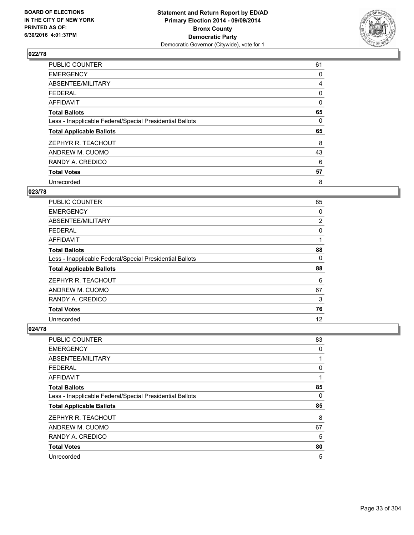

| <b>PUBLIC COUNTER</b>                                    | 61 |
|----------------------------------------------------------|----|
| <b>EMERGENCY</b>                                         | 0  |
| ABSENTEE/MILITARY                                        | 4  |
| <b>FEDERAL</b>                                           | 0  |
| AFFIDAVIT                                                | 0  |
| <b>Total Ballots</b>                                     | 65 |
| Less - Inapplicable Federal/Special Presidential Ballots | 0  |
| <b>Total Applicable Ballots</b>                          | 65 |
| ZEPHYR R. TEACHOUT                                       | 8  |
| ANDREW M. CUOMO                                          | 43 |
| RANDY A. CREDICO                                         | 6  |
| <b>Total Votes</b>                                       | 57 |
| Unrecorded                                               | 8  |

## **023/78**

| <b>PUBLIC COUNTER</b>                                    | 85             |
|----------------------------------------------------------|----------------|
| <b>EMERGENCY</b>                                         | 0              |
| ABSENTEE/MILITARY                                        | $\overline{2}$ |
| <b>FEDERAL</b>                                           | 0              |
| AFFIDAVIT                                                |                |
| <b>Total Ballots</b>                                     | 88             |
| Less - Inapplicable Federal/Special Presidential Ballots | 0              |
| <b>Total Applicable Ballots</b>                          | 88             |
| ZEPHYR R. TEACHOUT                                       | 6              |
| ANDREW M. CUOMO                                          | 67             |
| RANDY A. CREDICO                                         | 3              |
| <b>Total Votes</b>                                       | 76             |
| Unrecorded                                               | 12             |

| PUBLIC COUNTER                                           | 83 |
|----------------------------------------------------------|----|
| <b>EMERGENCY</b>                                         | 0  |
| ABSENTEE/MILITARY                                        | 1  |
| <b>FEDERAL</b>                                           | 0  |
| <b>AFFIDAVIT</b>                                         | 1  |
| <b>Total Ballots</b>                                     | 85 |
| Less - Inapplicable Federal/Special Presidential Ballots | 0  |
| <b>Total Applicable Ballots</b>                          | 85 |
| ZEPHYR R. TEACHOUT                                       | 8  |
| ANDREW M. CUOMO                                          | 67 |
| RANDY A. CREDICO                                         | 5  |
| <b>Total Votes</b>                                       | 80 |
| Unrecorded                                               | 5  |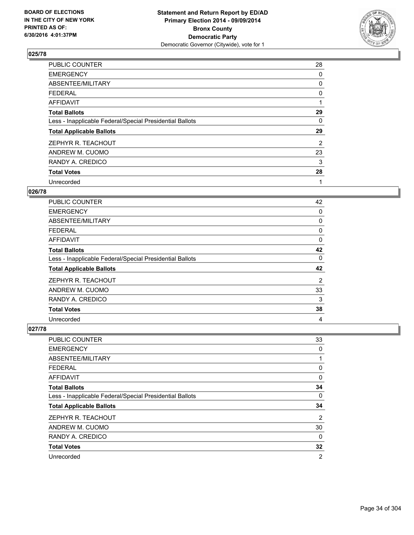

| PUBLIC COUNTER                                           | 28 |
|----------------------------------------------------------|----|
| <b>EMERGENCY</b>                                         | 0  |
| ABSENTEE/MILITARY                                        | 0  |
| <b>FEDERAL</b>                                           | 0  |
| AFFIDAVIT                                                | 1  |
| <b>Total Ballots</b>                                     | 29 |
| Less - Inapplicable Federal/Special Presidential Ballots | 0  |
| <b>Total Applicable Ballots</b>                          | 29 |
| ZEPHYR R. TEACHOUT                                       | 2  |
| ANDREW M. CUOMO                                          | 23 |
| RANDY A. CREDICO                                         | 3  |
| <b>Total Votes</b>                                       | 28 |
| Unrecorded                                               | 1  |

## **026/78**

| <b>PUBLIC COUNTER</b>                                    | 42 |
|----------------------------------------------------------|----|
| <b>EMERGENCY</b>                                         | 0  |
| ABSENTEE/MILITARY                                        | 0  |
| FEDERAL                                                  | 0  |
| <b>AFFIDAVIT</b>                                         | 0  |
| <b>Total Ballots</b>                                     | 42 |
| Less - Inapplicable Federal/Special Presidential Ballots | 0  |
| <b>Total Applicable Ballots</b>                          | 42 |
| ZEPHYR R. TEACHOUT                                       | 2  |
| ANDREW M. CUOMO                                          | 33 |
| RANDY A. CREDICO                                         | 3  |
| <b>Total Votes</b>                                       | 38 |
| Unrecorded                                               | 4  |

| <b>PUBLIC COUNTER</b>                                    | 33             |
|----------------------------------------------------------|----------------|
| <b>EMERGENCY</b>                                         | 0              |
| ABSENTEE/MILITARY                                        |                |
| <b>FEDERAL</b>                                           | 0              |
| AFFIDAVIT                                                | 0              |
| <b>Total Ballots</b>                                     | 34             |
| Less - Inapplicable Federal/Special Presidential Ballots | 0              |
| <b>Total Applicable Ballots</b>                          | 34             |
| ZEPHYR R. TEACHOUT                                       | 2              |
| ANDREW M. CUOMO                                          | 30             |
| RANDY A. CREDICO                                         | 0              |
| <b>Total Votes</b>                                       | 32             |
| Unrecorded                                               | $\overline{2}$ |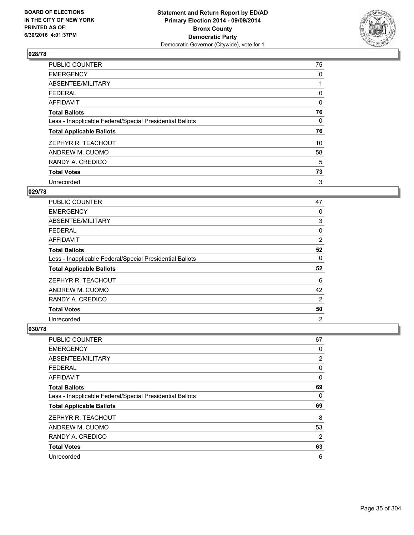

| <b>PUBLIC COUNTER</b>                                    | 75 |
|----------------------------------------------------------|----|
| <b>EMERGENCY</b>                                         | 0  |
| ABSENTEE/MILITARY                                        |    |
| <b>FEDERAL</b>                                           | 0  |
| AFFIDAVIT                                                | 0  |
| <b>Total Ballots</b>                                     | 76 |
| Less - Inapplicable Federal/Special Presidential Ballots | 0  |
| <b>Total Applicable Ballots</b>                          | 76 |
| ZEPHYR R. TEACHOUT                                       | 10 |
| ANDREW M. CUOMO                                          | 58 |
| RANDY A. CREDICO                                         | 5  |
| <b>Total Votes</b>                                       | 73 |
| Unrecorded                                               | 3  |

# **029/78**

| <b>PUBLIC COUNTER</b>                                    | 47             |
|----------------------------------------------------------|----------------|
| <b>EMERGENCY</b>                                         | 0              |
| ABSENTEE/MILITARY                                        | 3              |
| FEDERAL                                                  | 0              |
| AFFIDAVIT                                                | 2              |
| <b>Total Ballots</b>                                     | 52             |
| Less - Inapplicable Federal/Special Presidential Ballots | 0              |
| <b>Total Applicable Ballots</b>                          | 52             |
| ZEPHYR R. TEACHOUT                                       | 6              |
| ANDREW M. CUOMO                                          | 42             |
| RANDY A. CREDICO                                         | 2              |
| <b>Total Votes</b>                                       | 50             |
| Unrecorded                                               | $\overline{2}$ |

| PUBLIC COUNTER                                           | 67 |
|----------------------------------------------------------|----|
| <b>EMERGENCY</b>                                         | 0  |
| ABSENTEE/MILITARY                                        | 2  |
| <b>FEDERAL</b>                                           | 0  |
| <b>AFFIDAVIT</b>                                         | 0  |
| <b>Total Ballots</b>                                     | 69 |
| Less - Inapplicable Federal/Special Presidential Ballots | 0  |
| <b>Total Applicable Ballots</b>                          | 69 |
| ZEPHYR R. TEACHOUT                                       | 8  |
| ANDREW M. CUOMO                                          | 53 |
| RANDY A. CREDICO                                         | 2  |
| <b>Total Votes</b>                                       | 63 |
| Unrecorded                                               | 6  |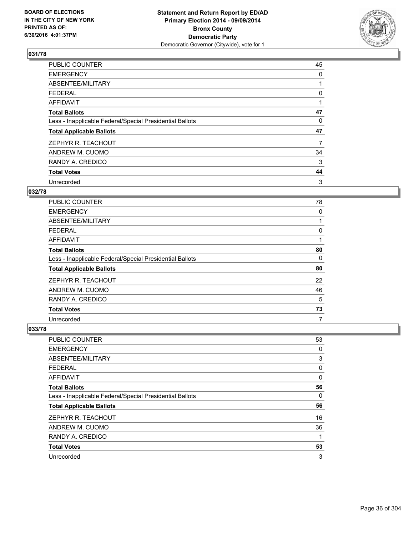

| <b>PUBLIC COUNTER</b>                                    | 45 |
|----------------------------------------------------------|----|
| <b>EMERGENCY</b>                                         | 0  |
| ABSENTEE/MILITARY                                        |    |
| <b>FEDERAL</b>                                           | 0  |
| AFFIDAVIT                                                | 1  |
| <b>Total Ballots</b>                                     | 47 |
| Less - Inapplicable Federal/Special Presidential Ballots | 0  |
| <b>Total Applicable Ballots</b>                          | 47 |
| ZEPHYR R. TEACHOUT                                       | 7  |
| ANDREW M. CUOMO                                          | 34 |
| RANDY A. CREDICO                                         | 3  |
| <b>Total Votes</b>                                       | 44 |
| Unrecorded                                               | 3  |

## **032/78**

| <b>PUBLIC COUNTER</b>                                    | 78 |
|----------------------------------------------------------|----|
| <b>EMERGENCY</b>                                         | 0  |
| ABSENTEE/MILITARY                                        |    |
| FEDERAL                                                  | 0  |
| AFFIDAVIT                                                |    |
| <b>Total Ballots</b>                                     | 80 |
| Less - Inapplicable Federal/Special Presidential Ballots | 0  |
| <b>Total Applicable Ballots</b>                          | 80 |
| ZEPHYR R. TEACHOUT                                       | 22 |
| ANDREW M. CUOMO                                          | 46 |
| RANDY A. CREDICO                                         | 5  |
| <b>Total Votes</b>                                       | 73 |
| Unrecorded                                               | 7  |

| PUBLIC COUNTER                                           | 53 |
|----------------------------------------------------------|----|
| <b>EMERGENCY</b>                                         | 0  |
| ABSENTEE/MILITARY                                        | 3  |
| <b>FEDERAL</b>                                           | 0  |
| <b>AFFIDAVIT</b>                                         | 0  |
| <b>Total Ballots</b>                                     | 56 |
| Less - Inapplicable Federal/Special Presidential Ballots | 0  |
| <b>Total Applicable Ballots</b>                          | 56 |
| ZEPHYR R. TEACHOUT                                       | 16 |
| ANDREW M. CUOMO                                          | 36 |
| RANDY A. CREDICO                                         | 1  |
| <b>Total Votes</b>                                       | 53 |
| Unrecorded                                               | 3  |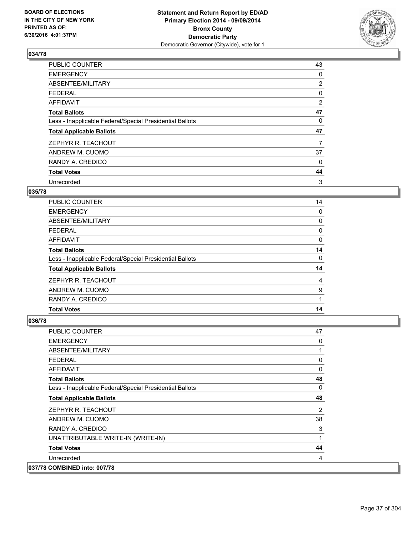

| <b>PUBLIC COUNTER</b>                                    | 43             |
|----------------------------------------------------------|----------------|
| <b>EMERGENCY</b>                                         | 0              |
| ABSENTEE/MILITARY                                        | $\overline{2}$ |
| <b>FEDERAL</b>                                           | 0              |
| AFFIDAVIT                                                | 2              |
| <b>Total Ballots</b>                                     | 47             |
| Less - Inapplicable Federal/Special Presidential Ballots | 0              |
| <b>Total Applicable Ballots</b>                          | 47             |
| ZEPHYR R. TEACHOUT                                       | 7              |
| ANDREW M. CUOMO                                          | 37             |
| RANDY A. CREDICO                                         | 0              |
| <b>Total Votes</b>                                       | 44             |
| Unrecorded                                               | 3              |

# **035/78**

| <b>PUBLIC COUNTER</b>                                    | 14 |
|----------------------------------------------------------|----|
| <b>EMERGENCY</b>                                         | 0  |
| ABSENTEE/MILITARY                                        | 0  |
| FEDERAL                                                  | 0  |
| AFFIDAVIT                                                | 0  |
| <b>Total Ballots</b>                                     | 14 |
| Less - Inapplicable Federal/Special Presidential Ballots | 0  |
| <b>Total Applicable Ballots</b>                          | 14 |
| ZEPHYR R. TEACHOUT                                       | 4  |
| ANDREW M. CUOMO                                          | 9  |
| RANDY A. CREDICO                                         |    |
| <b>Total Votes</b>                                       | 14 |

| <b>PUBLIC COUNTER</b>                                    | 47             |
|----------------------------------------------------------|----------------|
| <b>EMERGENCY</b>                                         | 0              |
| ABSENTEE/MILITARY                                        | 1              |
| <b>FEDERAL</b>                                           | 0              |
| <b>AFFIDAVIT</b>                                         | $\mathbf 0$    |
| <b>Total Ballots</b>                                     | 48             |
| Less - Inapplicable Federal/Special Presidential Ballots | 0              |
| <b>Total Applicable Ballots</b>                          | 48             |
| ZEPHYR R. TEACHOUT                                       | $\overline{2}$ |
| ANDREW M. CUOMO                                          | 38             |
| RANDY A. CREDICO                                         | 3              |
| UNATTRIBUTABLE WRITE-IN (WRITE-IN)                       | 1              |
| <b>Total Votes</b>                                       | 44             |
| Unrecorded                                               | 4              |
| 037/78 COMBINED into: 007/78                             |                |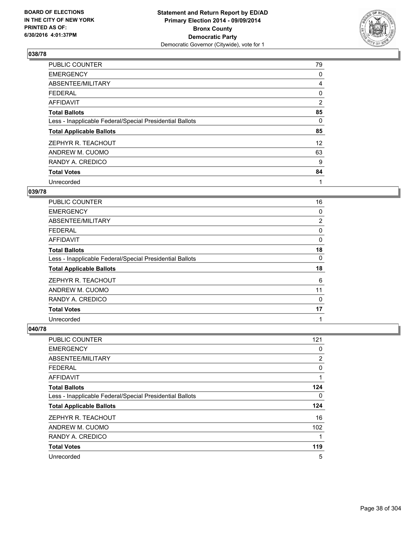

| <b>PUBLIC COUNTER</b>                                    | 79 |
|----------------------------------------------------------|----|
| <b>EMERGENCY</b>                                         | 0  |
| ABSENTEE/MILITARY                                        | 4  |
| <b>FEDERAL</b>                                           | 0  |
| AFFIDAVIT                                                | 2  |
| <b>Total Ballots</b>                                     | 85 |
| Less - Inapplicable Federal/Special Presidential Ballots | 0  |
| <b>Total Applicable Ballots</b>                          | 85 |
| ZEPHYR R. TEACHOUT                                       | 12 |
| ANDREW M. CUOMO                                          | 63 |
| RANDY A. CREDICO                                         | 9  |
| <b>Total Votes</b>                                       | 84 |
| Unrecorded                                               | 1  |

# **039/78**

| PUBLIC COUNTER                                           | 16             |
|----------------------------------------------------------|----------------|
| <b>EMERGENCY</b>                                         | 0              |
| ABSENTEE/MILITARY                                        | $\overline{2}$ |
| <b>FEDERAL</b>                                           | 0              |
| AFFIDAVIT                                                | 0              |
| <b>Total Ballots</b>                                     | 18             |
| Less - Inapplicable Federal/Special Presidential Ballots | 0              |
| <b>Total Applicable Ballots</b>                          | 18             |
| ZEPHYR R. TEACHOUT                                       | 6              |
| ANDREW M. CUOMO                                          | 11             |
| RANDY A. CREDICO                                         | $\Omega$       |
| <b>Total Votes</b>                                       | 17             |
| Unrecorded                                               | 1              |

| PUBLIC COUNTER                                           | 121 |
|----------------------------------------------------------|-----|
| <b>EMERGENCY</b>                                         | 0   |
| ABSENTEE/MILITARY                                        | 2   |
| <b>FEDERAL</b>                                           | 0   |
| AFFIDAVIT                                                | 1   |
| <b>Total Ballots</b>                                     | 124 |
| Less - Inapplicable Federal/Special Presidential Ballots | 0   |
| <b>Total Applicable Ballots</b>                          | 124 |
| ZEPHYR R. TEACHOUT                                       | 16  |
| ANDREW M. CUOMO                                          | 102 |
| RANDY A. CREDICO                                         | 1   |
| <b>Total Votes</b>                                       | 119 |
| Unrecorded                                               | 5   |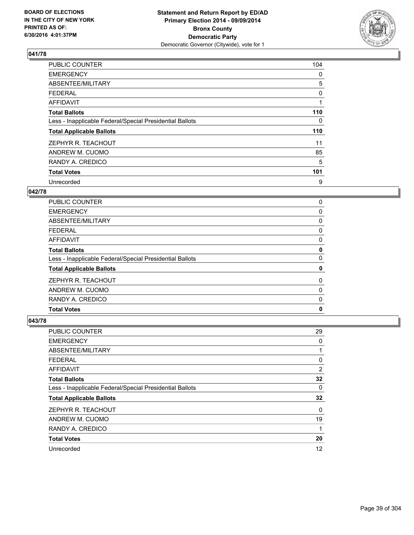

| <b>PUBLIC COUNTER</b>                                    | 104 |
|----------------------------------------------------------|-----|
| <b>EMERGENCY</b>                                         | 0   |
| ABSENTEE/MILITARY                                        | 5   |
| <b>FEDERAL</b>                                           | 0   |
| <b>AFFIDAVIT</b>                                         |     |
| <b>Total Ballots</b>                                     | 110 |
| Less - Inapplicable Federal/Special Presidential Ballots | 0   |
| <b>Total Applicable Ballots</b>                          | 110 |
| ZEPHYR R. TEACHOUT                                       | 11  |
| ANDREW M. CUOMO                                          | 85  |
| RANDY A. CREDICO                                         | 5   |
| <b>Total Votes</b>                                       | 101 |
| Unrecorded                                               | 9   |

### **042/78**

| PUBLIC COUNTER                                           | 0 |
|----------------------------------------------------------|---|
| <b>EMERGENCY</b>                                         | 0 |
| ABSENTEE/MILITARY                                        | 0 |
| <b>FEDERAL</b>                                           | 0 |
| AFFIDAVIT                                                | 0 |
| <b>Total Ballots</b>                                     | 0 |
| Less - Inapplicable Federal/Special Presidential Ballots | 0 |
| <b>Total Applicable Ballots</b>                          | 0 |
| ZEPHYR R. TEACHOUT                                       | 0 |
| ANDREW M. CUOMO                                          | 0 |
| RANDY A. CREDICO                                         | 0 |
| <b>Total Votes</b>                                       | 0 |
|                                                          |   |

| PUBLIC COUNTER                                           | 29 |
|----------------------------------------------------------|----|
| <b>EMERGENCY</b>                                         | 0  |
| ABSENTEE/MILITARY                                        | 1  |
| FEDERAL                                                  | 0  |
| AFFIDAVIT                                                | 2  |
| <b>Total Ballots</b>                                     | 32 |
| Less - Inapplicable Federal/Special Presidential Ballots | 0  |
| <b>Total Applicable Ballots</b>                          | 32 |
| ZEPHYR R. TEACHOUT                                       | 0  |
| ANDREW M. CUOMO                                          | 19 |
| RANDY A. CREDICO                                         | 1  |
| <b>Total Votes</b>                                       | 20 |
| Unrecorded                                               | 12 |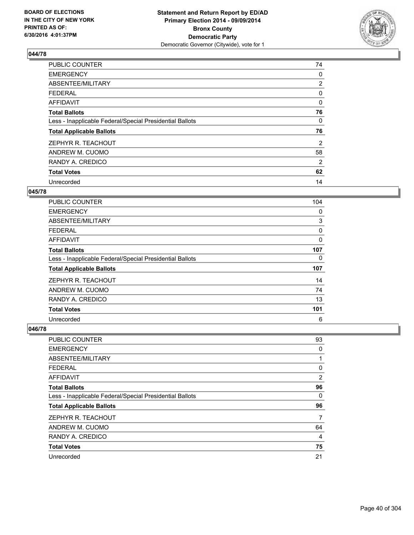

| PUBLIC COUNTER                                           | 74             |
|----------------------------------------------------------|----------------|
| <b>EMERGENCY</b>                                         | 0              |
| ABSENTEE/MILITARY                                        | $\overline{2}$ |
| <b>FEDERAL</b>                                           | 0              |
| <b>AFFIDAVIT</b>                                         | 0              |
| <b>Total Ballots</b>                                     | 76             |
| Less - Inapplicable Federal/Special Presidential Ballots | 0              |
| <b>Total Applicable Ballots</b>                          | 76             |
| ZEPHYR R. TEACHOUT                                       | 2              |
| ANDREW M. CUOMO                                          | 58             |
| RANDY A. CREDICO                                         | 2              |
| <b>Total Votes</b>                                       | 62             |
| Unrecorded                                               | 14             |

# **045/78**

| <b>PUBLIC COUNTER</b>                                    | 104 |
|----------------------------------------------------------|-----|
| <b>EMERGENCY</b>                                         | 0   |
| ABSENTEE/MILITARY                                        | 3   |
| <b>FEDERAL</b>                                           | 0   |
| AFFIDAVIT                                                | 0   |
| <b>Total Ballots</b>                                     | 107 |
| Less - Inapplicable Federal/Special Presidential Ballots | 0   |
| <b>Total Applicable Ballots</b>                          | 107 |
| ZEPHYR R. TEACHOUT                                       | 14  |
| ANDREW M. CUOMO                                          | 74  |
| RANDY A. CREDICO                                         | 13  |
| <b>Total Votes</b>                                       | 101 |
| Unrecorded                                               | 6   |

| PUBLIC COUNTER                                           | 93             |
|----------------------------------------------------------|----------------|
| <b>EMERGENCY</b>                                         | 0              |
| ABSENTEE/MILITARY                                        | 1              |
| <b>FEDERAL</b>                                           | 0              |
| AFFIDAVIT                                                | $\overline{2}$ |
| <b>Total Ballots</b>                                     | 96             |
| Less - Inapplicable Federal/Special Presidential Ballots | 0              |
| <b>Total Applicable Ballots</b>                          | 96             |
| ZEPHYR R. TEACHOUT                                       | 7              |
| ANDREW M. CUOMO                                          | 64             |
| RANDY A. CREDICO                                         | 4              |
| <b>Total Votes</b>                                       | 75             |
| Unrecorded                                               | 21             |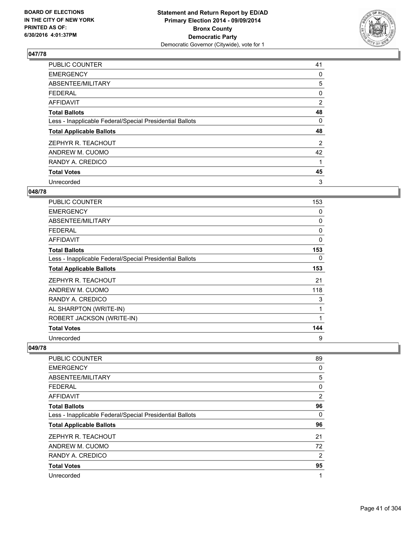

| PUBLIC COUNTER                                           | 41 |
|----------------------------------------------------------|----|
| <b>EMERGENCY</b>                                         | 0  |
| ABSENTEE/MILITARY                                        | 5  |
| <b>FEDERAL</b>                                           | 0  |
| AFFIDAVIT                                                | 2  |
| <b>Total Ballots</b>                                     | 48 |
| Less - Inapplicable Federal/Special Presidential Ballots | 0  |
| <b>Total Applicable Ballots</b>                          | 48 |
| ZEPHYR R. TEACHOUT                                       | 2  |
| ANDREW M. CUOMO                                          | 42 |
| RANDY A. CREDICO                                         | 1  |
| <b>Total Votes</b>                                       | 45 |
| Unrecorded                                               | 3  |

# **048/78**

| PUBLIC COUNTER                                           | 153      |
|----------------------------------------------------------|----------|
| <b>EMERGENCY</b>                                         | 0        |
| <b>ABSENTEE/MILITARY</b>                                 | 0        |
| FEDERAL                                                  | 0        |
| <b>AFFIDAVIT</b>                                         | $\Omega$ |
| <b>Total Ballots</b>                                     | 153      |
| Less - Inapplicable Federal/Special Presidential Ballots | 0        |
| <b>Total Applicable Ballots</b>                          | 153      |
| ZEPHYR R. TEACHOUT                                       | 21       |
| ANDREW M. CUOMO                                          | 118      |
| RANDY A. CREDICO                                         | 3        |
| AL SHARPTON (WRITE-IN)                                   | 1        |
| ROBERT JACKSON (WRITE-IN)                                | 1        |
| <b>Total Votes</b>                                       | 144      |
| Unrecorded                                               | 9        |

| <b>PUBLIC COUNTER</b>                                    | 89             |
|----------------------------------------------------------|----------------|
| <b>EMERGENCY</b>                                         | 0              |
| ABSENTEE/MILITARY                                        | 5              |
| <b>FEDERAL</b>                                           | 0              |
| AFFIDAVIT                                                | $\overline{2}$ |
| <b>Total Ballots</b>                                     | 96             |
| Less - Inapplicable Federal/Special Presidential Ballots | 0              |
| <b>Total Applicable Ballots</b>                          | 96             |
| ZEPHYR R. TEACHOUT                                       | 21             |
| ANDREW M. CUOMO                                          | 72             |
| RANDY A. CREDICO                                         | 2              |
| <b>Total Votes</b>                                       | 95             |
| Unrecorded                                               | 1              |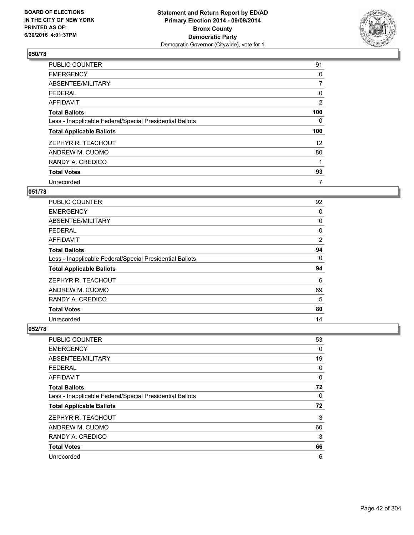

| <b>PUBLIC COUNTER</b>                                    | 91             |
|----------------------------------------------------------|----------------|
| <b>EMERGENCY</b>                                         | 0              |
| ABSENTEE/MILITARY                                        | $\overline{7}$ |
| <b>FEDERAL</b>                                           | 0              |
| AFFIDAVIT                                                | 2              |
| <b>Total Ballots</b>                                     | 100            |
| Less - Inapplicable Federal/Special Presidential Ballots | 0              |
| <b>Total Applicable Ballots</b>                          | 100            |
| ZEPHYR R. TEACHOUT                                       | 12             |
| ANDREW M. CUOMO                                          | 80             |
| RANDY A. CREDICO                                         | 1              |
| <b>Total Votes</b>                                       | 93             |
| Unrecorded                                               | 7              |

# **051/78**

| <b>PUBLIC COUNTER</b>                                    | 92 |
|----------------------------------------------------------|----|
| <b>EMERGENCY</b>                                         | 0  |
| ABSENTEE/MILITARY                                        | 0  |
| <b>FEDERAL</b>                                           | 0  |
| <b>AFFIDAVIT</b>                                         | 2  |
| <b>Total Ballots</b>                                     | 94 |
| Less - Inapplicable Federal/Special Presidential Ballots | 0  |
| <b>Total Applicable Ballots</b>                          | 94 |
| ZEPHYR R. TEACHOUT                                       | 6  |
| ANDREW M. CUOMO                                          | 69 |
| RANDY A. CREDICO                                         | 5  |
| <b>Total Votes</b>                                       | 80 |
| Unrecorded                                               | 14 |

| <b>PUBLIC COUNTER</b>                                    | 53 |
|----------------------------------------------------------|----|
| <b>EMERGENCY</b>                                         | 0  |
| ABSENTEE/MILITARY                                        | 19 |
| <b>FEDERAL</b>                                           | 0  |
| AFFIDAVIT                                                | 0  |
| <b>Total Ballots</b>                                     | 72 |
| Less - Inapplicable Federal/Special Presidential Ballots | 0  |
| <b>Total Applicable Ballots</b>                          | 72 |
| ZEPHYR R. TEACHOUT                                       | 3  |
| ANDREW M. CUOMO                                          | 60 |
| RANDY A. CREDICO                                         | 3  |
| <b>Total Votes</b>                                       | 66 |
| Unrecorded                                               | 6  |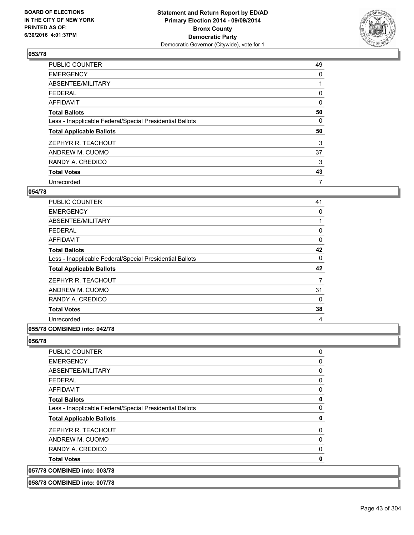

| PUBLIC COUNTER                                           | 49 |
|----------------------------------------------------------|----|
| <b>EMERGENCY</b>                                         | 0  |
| ABSENTEE/MILITARY                                        |    |
| <b>FEDERAL</b>                                           | 0  |
| AFFIDAVIT                                                | 0  |
| <b>Total Ballots</b>                                     | 50 |
| Less - Inapplicable Federal/Special Presidential Ballots | 0  |
| <b>Total Applicable Ballots</b>                          | 50 |
| ZEPHYR R. TEACHOUT                                       | 3  |
| ANDREW M. CUOMO                                          | 37 |
| RANDY A. CREDICO                                         | 3  |
| <b>Total Votes</b>                                       | 43 |
| Unrecorded                                               | 7  |

# **054/78**

| <b>PUBLIC COUNTER</b>                                    | 41 |
|----------------------------------------------------------|----|
| <b>EMERGENCY</b>                                         | 0  |
| ABSENTEE/MILITARY                                        | 1  |
| <b>FEDERAL</b>                                           | 0  |
| <b>AFFIDAVIT</b>                                         | 0  |
| <b>Total Ballots</b>                                     | 42 |
| Less - Inapplicable Federal/Special Presidential Ballots | 0  |
| <b>Total Applicable Ballots</b>                          | 42 |
|                                                          |    |
| ZEPHYR R. TEACHOUT                                       | 7  |
| ANDREW M. CUOMO                                          | 31 |
| RANDY A. CREDICO                                         | 0  |
| <b>Total Votes</b>                                       | 38 |
| Unrecorded                                               | 4  |

### **055/78 COMBINED into: 042/78**

| 058/78 COMBINED into: 007/78                             |             |
|----------------------------------------------------------|-------------|
| 057/78 COMBINED into: 003/78                             |             |
| <b>Total Votes</b>                                       | $\mathbf 0$ |
| RANDY A. CREDICO                                         | 0           |
| ANDREW M. CUOMO                                          | 0           |
| ZEPHYR R. TEACHOUT                                       | 0           |
| <b>Total Applicable Ballots</b>                          | $\mathbf 0$ |
| Less - Inapplicable Federal/Special Presidential Ballots | 0           |
| <b>Total Ballots</b>                                     | $\mathbf 0$ |
| <b>AFFIDAVIT</b>                                         | 0           |
| <b>FEDERAL</b>                                           | 0           |
| ABSENTEE/MILITARY                                        | 0           |
| <b>EMERGENCY</b>                                         | 0           |
| <b>PUBLIC COUNTER</b>                                    | 0           |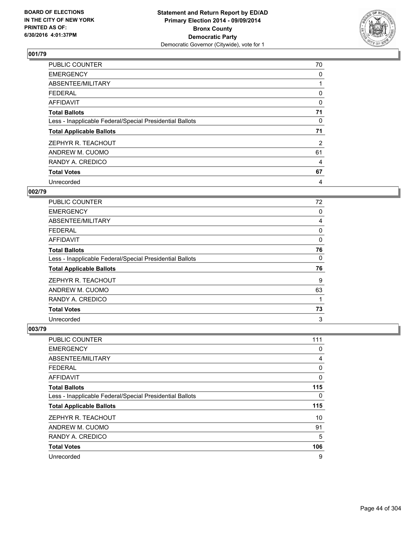

| PUBLIC COUNTER                                           | 70 |
|----------------------------------------------------------|----|
| <b>EMERGENCY</b>                                         | 0  |
| ABSENTEE/MILITARY                                        |    |
| <b>FEDERAL</b>                                           | 0  |
| <b>AFFIDAVIT</b>                                         | 0  |
| <b>Total Ballots</b>                                     | 71 |
| Less - Inapplicable Federal/Special Presidential Ballots | 0  |
| <b>Total Applicable Ballots</b>                          | 71 |
| ZEPHYR R. TEACHOUT                                       | 2  |
| ANDREW M. CUOMO                                          | 61 |
| RANDY A. CREDICO                                         | 4  |
| <b>Total Votes</b>                                       | 67 |
| Unrecorded                                               | 4  |

#### **002/79**

| PUBLIC COUNTER                                           | 72 |
|----------------------------------------------------------|----|
| <b>EMERGENCY</b>                                         | 0  |
| ABSENTEE/MILITARY                                        | 4  |
| <b>FEDERAL</b>                                           | 0  |
| AFFIDAVIT                                                | 0  |
| <b>Total Ballots</b>                                     | 76 |
| Less - Inapplicable Federal/Special Presidential Ballots | 0  |
| <b>Total Applicable Ballots</b>                          | 76 |
| ZEPHYR R. TEACHOUT                                       | 9  |
| ANDREW M. CUOMO                                          | 63 |
| RANDY A. CREDICO                                         | 1  |
| <b>Total Votes</b>                                       | 73 |
| Unrecorded                                               | 3  |

| PUBLIC COUNTER                                           | 111 |
|----------------------------------------------------------|-----|
| <b>EMERGENCY</b>                                         | 0   |
| ABSENTEE/MILITARY                                        | 4   |
| <b>FEDERAL</b>                                           | 0   |
| <b>AFFIDAVIT</b>                                         | 0   |
| <b>Total Ballots</b>                                     | 115 |
| Less - Inapplicable Federal/Special Presidential Ballots | 0   |
| <b>Total Applicable Ballots</b>                          | 115 |
| ZEPHYR R. TEACHOUT                                       | 10  |
| ANDREW M. CUOMO                                          | 91  |
| RANDY A. CREDICO                                         | 5   |
| <b>Total Votes</b>                                       | 106 |
| Unrecorded                                               | 9   |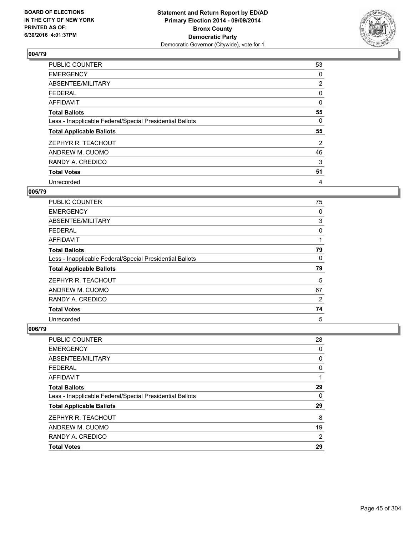

| PUBLIC COUNTER                                           | 53             |
|----------------------------------------------------------|----------------|
| <b>EMERGENCY</b>                                         | 0              |
| ABSENTEE/MILITARY                                        | $\overline{2}$ |
| <b>FEDERAL</b>                                           | 0              |
| AFFIDAVIT                                                | 0              |
| <b>Total Ballots</b>                                     | 55             |
| Less - Inapplicable Federal/Special Presidential Ballots | 0              |
| <b>Total Applicable Ballots</b>                          | 55             |
| ZEPHYR R. TEACHOUT                                       | 2              |
| ANDREW M. CUOMO                                          | 46             |
| RANDY A. CREDICO                                         | 3              |
| <b>Total Votes</b>                                       | 51             |
| Unrecorded                                               | 4              |

### **005/79**

| <b>PUBLIC COUNTER</b>                                    | 75 |
|----------------------------------------------------------|----|
| <b>EMERGENCY</b>                                         | 0  |
| ABSENTEE/MILITARY                                        | 3  |
| <b>FEDERAL</b>                                           | 0  |
| AFFIDAVIT                                                |    |
| <b>Total Ballots</b>                                     | 79 |
| Less - Inapplicable Federal/Special Presidential Ballots | 0  |
| <b>Total Applicable Ballots</b>                          | 79 |
| ZEPHYR R. TEACHOUT                                       | 5  |
| ANDREW M. CUOMO                                          | 67 |
| RANDY A. CREDICO                                         | 2  |
| <b>Total Votes</b>                                       | 74 |
| Unrecorded                                               | 5  |

| <b>PUBLIC COUNTER</b>                                    | 28 |
|----------------------------------------------------------|----|
| <b>EMERGENCY</b>                                         | 0  |
| ABSENTEE/MILITARY                                        | 0  |
| <b>FEDERAL</b>                                           | 0  |
| <b>AFFIDAVIT</b>                                         |    |
| <b>Total Ballots</b>                                     | 29 |
| Less - Inapplicable Federal/Special Presidential Ballots | 0  |
| <b>Total Applicable Ballots</b>                          | 29 |
| ZEPHYR R. TEACHOUT                                       | 8  |
| ANDREW M. CUOMO                                          | 19 |
| RANDY A. CREDICO                                         | 2  |
| <b>Total Votes</b>                                       | 29 |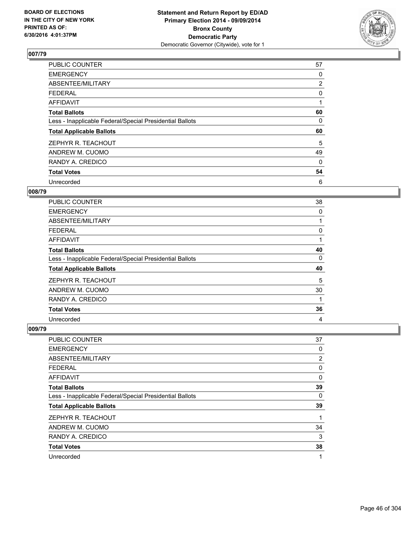

| PUBLIC COUNTER                                           | 57             |
|----------------------------------------------------------|----------------|
| <b>EMERGENCY</b>                                         | 0              |
| ABSENTEE/MILITARY                                        | $\overline{2}$ |
| <b>FEDERAL</b>                                           | 0              |
| <b>AFFIDAVIT</b>                                         | 1              |
| <b>Total Ballots</b>                                     | 60             |
| Less - Inapplicable Federal/Special Presidential Ballots | 0              |
| <b>Total Applicable Ballots</b>                          | 60             |
| ZEPHYR R. TEACHOUT                                       | 5              |
| ANDREW M. CUOMO                                          | 49             |
| RANDY A. CREDICO                                         | 0              |
| <b>Total Votes</b>                                       | 54             |
| Unrecorded                                               | 6              |

# **008/79**

| PUBLIC COUNTER                                           | 38 |
|----------------------------------------------------------|----|
| <b>EMERGENCY</b>                                         | 0  |
| ABSENTEE/MILITARY                                        |    |
| <b>FEDERAL</b>                                           | 0  |
| AFFIDAVIT                                                |    |
| <b>Total Ballots</b>                                     | 40 |
| Less - Inapplicable Federal/Special Presidential Ballots | 0  |
| <b>Total Applicable Ballots</b>                          | 40 |
| ZEPHYR R. TEACHOUT                                       | 5  |
| ANDREW M. CUOMO                                          | 30 |
| RANDY A. CREDICO                                         | 1  |
| <b>Total Votes</b>                                       | 36 |
| Unrecorded                                               | 4  |

| <b>PUBLIC COUNTER</b>                                    | 37 |
|----------------------------------------------------------|----|
| <b>EMERGENCY</b>                                         | 0  |
| ABSENTEE/MILITARY                                        | 2  |
| <b>FEDERAL</b>                                           | 0  |
| AFFIDAVIT                                                | 0  |
| <b>Total Ballots</b>                                     | 39 |
| Less - Inapplicable Federal/Special Presidential Ballots | 0  |
| <b>Total Applicable Ballots</b>                          | 39 |
| ZEPHYR R. TEACHOUT                                       | 1  |
| ANDREW M. CUOMO                                          | 34 |
| RANDY A. CREDICO                                         | 3  |
| <b>Total Votes</b>                                       | 38 |
| Unrecorded                                               | 1  |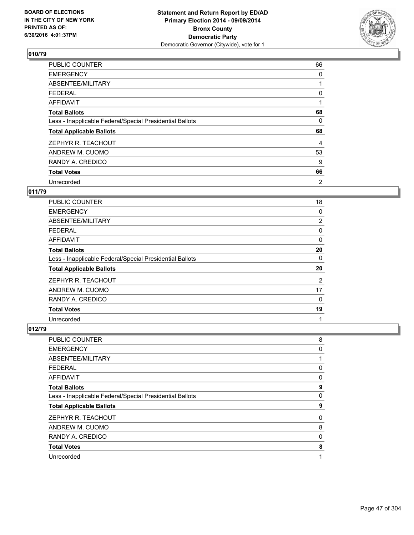

| <b>PUBLIC COUNTER</b>                                    | 66 |
|----------------------------------------------------------|----|
| <b>EMERGENCY</b>                                         | 0  |
| ABSENTEE/MILITARY                                        |    |
| <b>FEDERAL</b>                                           | 0  |
| <b>AFFIDAVIT</b>                                         |    |
| <b>Total Ballots</b>                                     | 68 |
| Less - Inapplicable Federal/Special Presidential Ballots | 0  |
| <b>Total Applicable Ballots</b>                          | 68 |
| ZEPHYR R. TEACHOUT                                       | 4  |
| ANDREW M. CUOMO                                          | 53 |
| RANDY A. CREDICO                                         | 9  |
| <b>Total Votes</b>                                       | 66 |
| Unrecorded                                               | 2  |

# **011/79**

| <b>PUBLIC COUNTER</b>                                    | 18             |
|----------------------------------------------------------|----------------|
| <b>EMERGENCY</b>                                         | 0              |
| ABSENTEE/MILITARY                                        | $\overline{2}$ |
| FEDERAL                                                  | 0              |
| AFFIDAVIT                                                | 0              |
| <b>Total Ballots</b>                                     | 20             |
| Less - Inapplicable Federal/Special Presidential Ballots | 0              |
| <b>Total Applicable Ballots</b>                          | 20             |
| ZEPHYR R. TEACHOUT                                       | 2              |
| ANDREW M. CUOMO                                          | 17             |
| RANDY A. CREDICO                                         | 0              |
| <b>Total Votes</b>                                       | 19             |
| Unrecorded                                               | 1              |

| <b>PUBLIC COUNTER</b>                                    | 8 |
|----------------------------------------------------------|---|
| <b>EMERGENCY</b>                                         | 0 |
| ABSENTEE/MILITARY                                        |   |
| <b>FEDERAL</b>                                           | 0 |
| <b>AFFIDAVIT</b>                                         | 0 |
| <b>Total Ballots</b>                                     | 9 |
| Less - Inapplicable Federal/Special Presidential Ballots | 0 |
| <b>Total Applicable Ballots</b>                          | 9 |
| ZEPHYR R. TEACHOUT                                       | 0 |
| ANDREW M. CUOMO                                          | 8 |
| RANDY A. CREDICO                                         | 0 |
| <b>Total Votes</b>                                       | 8 |
| Unrecorded                                               | 1 |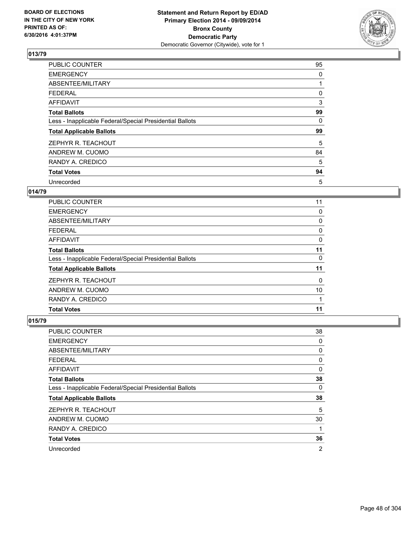

| <b>PUBLIC COUNTER</b>                                    | 95       |
|----------------------------------------------------------|----------|
| <b>EMERGENCY</b>                                         | 0        |
| ABSENTEE/MILITARY                                        |          |
| <b>FEDERAL</b>                                           | 0        |
| AFFIDAVIT                                                | 3        |
| <b>Total Ballots</b>                                     | 99       |
| Less - Inapplicable Federal/Special Presidential Ballots | $\Omega$ |
| <b>Total Applicable Ballots</b>                          | 99       |
| ZEPHYR R. TEACHOUT                                       | 5        |
| ANDREW M. CUOMO                                          | 84       |
| RANDY A. CREDICO                                         | 5        |
| <b>Total Votes</b>                                       | 94       |
| Unrecorded                                               | 5        |

# **014/79**

| PUBLIC COUNTER                                           | 11 |
|----------------------------------------------------------|----|
| <b>EMERGENCY</b>                                         | 0  |
| ABSENTEE/MILITARY                                        | 0  |
| <b>FEDERAL</b>                                           | 0  |
| AFFIDAVIT                                                | 0  |
| <b>Total Ballots</b>                                     | 11 |
| Less - Inapplicable Federal/Special Presidential Ballots | 0  |
| <b>Total Applicable Ballots</b>                          | 11 |
| ZEPHYR R. TEACHOUT                                       | 0  |
| ANDREW M. CUOMO                                          | 10 |
| RANDY A. CREDICO                                         |    |
| <b>Total Votes</b>                                       | 11 |
|                                                          |    |

| PUBLIC COUNTER                                           | 38 |
|----------------------------------------------------------|----|
| <b>EMERGENCY</b>                                         | 0  |
| ABSENTEE/MILITARY                                        | 0  |
| <b>FEDERAL</b>                                           | 0  |
| AFFIDAVIT                                                | 0  |
| <b>Total Ballots</b>                                     | 38 |
| Less - Inapplicable Federal/Special Presidential Ballots | 0  |
| <b>Total Applicable Ballots</b>                          | 38 |
| ZEPHYR R. TEACHOUT                                       | 5  |
| ANDREW M. CUOMO                                          | 30 |
| RANDY A. CREDICO                                         | 1  |
| <b>Total Votes</b>                                       | 36 |
| Unrecorded                                               | 2  |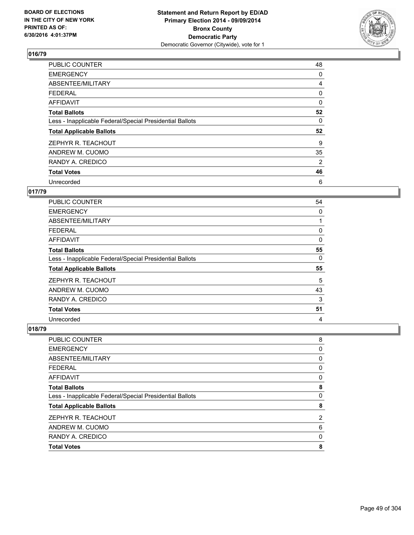

| PUBLIC COUNTER                                           | 48 |
|----------------------------------------------------------|----|
| <b>EMERGENCY</b>                                         | 0  |
| ABSENTEE/MILITARY                                        | 4  |
| <b>FEDERAL</b>                                           | 0  |
| AFFIDAVIT                                                | 0  |
| <b>Total Ballots</b>                                     | 52 |
| Less - Inapplicable Federal/Special Presidential Ballots | 0  |
| <b>Total Applicable Ballots</b>                          | 52 |
| ZEPHYR R. TEACHOUT                                       | 9  |
| ANDREW M. CUOMO                                          | 35 |
| RANDY A. CREDICO                                         | 2  |
| <b>Total Votes</b>                                       | 46 |
| Unrecorded                                               | 6  |

# **017/79**

| <b>PUBLIC COUNTER</b>                                    | 54       |
|----------------------------------------------------------|----------|
| <b>EMERGENCY</b>                                         | 0        |
| ABSENTEE/MILITARY                                        |          |
| <b>FEDERAL</b>                                           | 0        |
| AFFIDAVIT                                                | 0        |
| <b>Total Ballots</b>                                     | 55       |
| Less - Inapplicable Federal/Special Presidential Ballots | $\Omega$ |
| <b>Total Applicable Ballots</b>                          | 55       |
| ZEPHYR R. TEACHOUT                                       | 5        |
| ANDREW M. CUOMO                                          | 43       |
| RANDY A. CREDICO                                         | 3        |
| <b>Total Votes</b>                                       | 51       |
| Unrecorded                                               | 4        |

| PUBLIC COUNTER                                           | 8 |
|----------------------------------------------------------|---|
| <b>EMERGENCY</b>                                         | 0 |
| <b>ABSENTEE/MILITARY</b>                                 | 0 |
| <b>FEDERAL</b>                                           | 0 |
| <b>AFFIDAVIT</b>                                         | 0 |
| <b>Total Ballots</b>                                     | 8 |
| Less - Inapplicable Federal/Special Presidential Ballots | 0 |
| <b>Total Applicable Ballots</b>                          | 8 |
| ZEPHYR R. TEACHOUT                                       | 2 |
| ANDREW M. CUOMO                                          | 6 |
| RANDY A. CREDICO                                         | 0 |
| <b>Total Votes</b>                                       | 8 |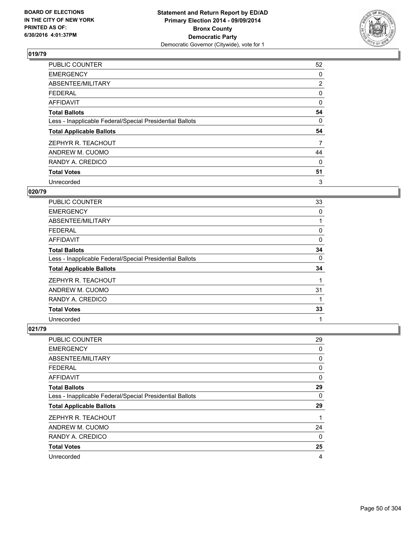

| PUBLIC COUNTER                                           | 52             |
|----------------------------------------------------------|----------------|
| <b>EMERGENCY</b>                                         | 0              |
| ABSENTEE/MILITARY                                        | $\overline{2}$ |
| <b>FEDERAL</b>                                           | 0              |
| AFFIDAVIT                                                | 0              |
| <b>Total Ballots</b>                                     | 54             |
| Less - Inapplicable Federal/Special Presidential Ballots | 0              |
| <b>Total Applicable Ballots</b>                          | 54             |
| ZEPHYR R. TEACHOUT                                       | 7              |
| ANDREW M. CUOMO                                          | 44             |
| RANDY A. CREDICO                                         | 0              |
| <b>Total Votes</b>                                       | 51             |
| Unrecorded                                               | 3              |

# **020/79**

| PUBLIC COUNTER                                           | 33 |
|----------------------------------------------------------|----|
| <b>EMERGENCY</b>                                         | 0  |
| ABSENTEE/MILITARY                                        |    |
| <b>FEDERAL</b>                                           | 0  |
| AFFIDAVIT                                                | 0  |
| <b>Total Ballots</b>                                     | 34 |
| Less - Inapplicable Federal/Special Presidential Ballots | 0  |
| <b>Total Applicable Ballots</b>                          | 34 |
| ZEPHYR R. TEACHOUT                                       |    |
| ANDREW M. CUOMO                                          | 31 |
| RANDY A. CREDICO                                         |    |
| <b>Total Votes</b>                                       | 33 |
| Unrecorded                                               | 1  |

| <b>PUBLIC COUNTER</b>                                    | 29 |
|----------------------------------------------------------|----|
| <b>EMERGENCY</b>                                         | 0  |
| ABSENTEE/MILITARY                                        | 0  |
| <b>FEDERAL</b>                                           | 0  |
| AFFIDAVIT                                                | 0  |
| <b>Total Ballots</b>                                     | 29 |
| Less - Inapplicable Federal/Special Presidential Ballots | 0  |
| <b>Total Applicable Ballots</b>                          | 29 |
| ZEPHYR R. TEACHOUT                                       | 1  |
| ANDREW M. CUOMO                                          | 24 |
| RANDY A. CREDICO                                         | 0  |
| <b>Total Votes</b>                                       | 25 |
| Unrecorded                                               | 4  |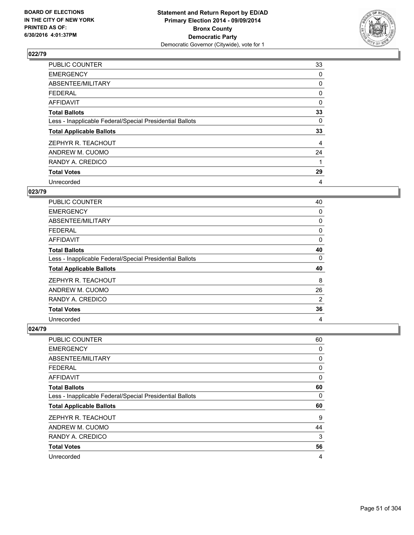

| PUBLIC COUNTER                                           | 33 |
|----------------------------------------------------------|----|
| <b>EMERGENCY</b>                                         | 0  |
| ABSENTEE/MILITARY                                        | 0  |
| <b>FEDERAL</b>                                           | 0  |
| AFFIDAVIT                                                | 0  |
| <b>Total Ballots</b>                                     | 33 |
| Less - Inapplicable Federal/Special Presidential Ballots | 0  |
| <b>Total Applicable Ballots</b>                          | 33 |
| ZEPHYR R. TEACHOUT                                       | 4  |
| ANDREW M. CUOMO                                          | 24 |
| RANDY A. CREDICO                                         | 1  |
| <b>Total Votes</b>                                       | 29 |
| Unrecorded                                               | 4  |

# **023/79**

| PUBLIC COUNTER                                           | 40 |
|----------------------------------------------------------|----|
| <b>EMERGENCY</b>                                         | 0  |
| ABSENTEE/MILITARY                                        | 0  |
| <b>FEDERAL</b>                                           | 0  |
| AFFIDAVIT                                                | 0  |
| <b>Total Ballots</b>                                     | 40 |
| Less - Inapplicable Federal/Special Presidential Ballots | 0  |
| <b>Total Applicable Ballots</b>                          | 40 |
| ZEPHYR R. TEACHOUT                                       | 8  |
| ANDREW M. CUOMO                                          | 26 |
| RANDY A. CREDICO                                         | 2  |
| <b>Total Votes</b>                                       | 36 |
| Unrecorded                                               | 4  |

| PUBLIC COUNTER                                           | 60 |
|----------------------------------------------------------|----|
| <b>EMERGENCY</b>                                         | 0  |
| ABSENTEE/MILITARY                                        | 0  |
| <b>FEDERAL</b>                                           | 0  |
| <b>AFFIDAVIT</b>                                         | 0  |
| <b>Total Ballots</b>                                     | 60 |
| Less - Inapplicable Federal/Special Presidential Ballots | 0  |
| <b>Total Applicable Ballots</b>                          | 60 |
| ZEPHYR R. TEACHOUT                                       | 9  |
| ANDREW M. CUOMO                                          | 44 |
| RANDY A. CREDICO                                         | 3  |
| <b>Total Votes</b>                                       | 56 |
| Unrecorded                                               | 4  |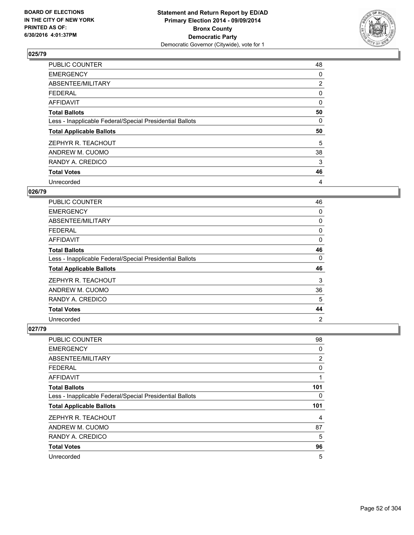

| PUBLIC COUNTER                                           | 48             |
|----------------------------------------------------------|----------------|
| <b>EMERGENCY</b>                                         | 0              |
| ABSENTEE/MILITARY                                        | $\overline{2}$ |
| <b>FEDERAL</b>                                           | 0              |
| AFFIDAVIT                                                | 0              |
| <b>Total Ballots</b>                                     | 50             |
| Less - Inapplicable Federal/Special Presidential Ballots | 0              |
| <b>Total Applicable Ballots</b>                          | 50             |
| ZEPHYR R. TEACHOUT                                       | 5              |
| ANDREW M. CUOMO                                          | 38             |
| RANDY A. CREDICO                                         | 3              |
| <b>Total Votes</b>                                       | 46             |
| Unrecorded                                               | 4              |

# **026/79**

| PUBLIC COUNTER                                           | 46             |
|----------------------------------------------------------|----------------|
| <b>EMERGENCY</b>                                         | 0              |
| ABSENTEE/MILITARY                                        | 0              |
| <b>FEDERAL</b>                                           | 0              |
| AFFIDAVIT                                                | 0              |
| <b>Total Ballots</b>                                     | 46             |
| Less - Inapplicable Federal/Special Presidential Ballots | 0              |
| <b>Total Applicable Ballots</b>                          | 46             |
| ZEPHYR R. TEACHOUT                                       | 3              |
| ANDREW M. CUOMO                                          | 36             |
| RANDY A. CREDICO                                         | 5              |
| <b>Total Votes</b>                                       | 44             |
| Unrecorded                                               | $\overline{2}$ |

| <b>PUBLIC COUNTER</b>                                    | 98  |
|----------------------------------------------------------|-----|
| <b>EMERGENCY</b>                                         | 0   |
| ABSENTEE/MILITARY                                        | 2   |
| <b>FEDERAL</b>                                           | 0   |
| AFFIDAVIT                                                | 1   |
| <b>Total Ballots</b>                                     | 101 |
| Less - Inapplicable Federal/Special Presidential Ballots | 0   |
| <b>Total Applicable Ballots</b>                          | 101 |
| ZEPHYR R. TEACHOUT                                       | 4   |
| ANDREW M. CUOMO                                          | 87  |
| RANDY A. CREDICO                                         | 5   |
| <b>Total Votes</b>                                       | 96  |
| Unrecorded                                               | 5   |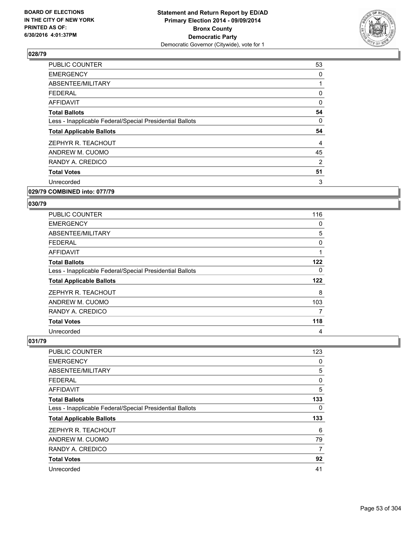

| <b>PUBLIC COUNTER</b>                                    | 53 |
|----------------------------------------------------------|----|
| <b>EMERGENCY</b>                                         | 0  |
| ABSENTEE/MILITARY                                        |    |
| <b>FEDERAL</b>                                           | 0  |
| <b>AFFIDAVIT</b>                                         | 0  |
| <b>Total Ballots</b>                                     | 54 |
| Less - Inapplicable Federal/Special Presidential Ballots | 0  |
| <b>Total Applicable Ballots</b>                          | 54 |
| ZEPHYR R. TEACHOUT                                       | 4  |
| ANDREW M. CUOMO                                          | 45 |
| RANDY A. CREDICO                                         | 2  |
|                                                          |    |
| <b>Total Votes</b>                                       | 51 |
| Unrecorded                                               | 3  |

#### **029/79 COMBINED into: 077/79**

#### **030/79**

| <b>PUBLIC COUNTER</b>                                    | 116 |
|----------------------------------------------------------|-----|
| <b>EMERGENCY</b>                                         | 0   |
| ABSENTEE/MILITARY                                        | 5   |
| <b>FEDERAL</b>                                           | 0   |
| AFFIDAVIT                                                | 1   |
| <b>Total Ballots</b>                                     | 122 |
| Less - Inapplicable Federal/Special Presidential Ballots | 0   |
| <b>Total Applicable Ballots</b>                          | 122 |
| ZEPHYR R. TEACHOUT                                       | 8   |
| ANDREW M. CUOMO                                          | 103 |
| RANDY A. CREDICO                                         | 7   |
| <b>Total Votes</b>                                       | 118 |
| Unrecorded                                               | 4   |

| <b>PUBLIC COUNTER</b>                                    | 123 |
|----------------------------------------------------------|-----|
| <b>EMERGENCY</b>                                         | 0   |
| ABSENTEE/MILITARY                                        | 5   |
| <b>FEDERAL</b>                                           | 0   |
| AFFIDAVIT                                                | 5   |
| <b>Total Ballots</b>                                     | 133 |
| Less - Inapplicable Federal/Special Presidential Ballots | 0   |
| <b>Total Applicable Ballots</b>                          | 133 |
| ZEPHYR R. TEACHOUT                                       | 6   |
| ANDREW M. CUOMO                                          | 79  |
| RANDY A. CREDICO                                         | 7   |
| <b>Total Votes</b>                                       | 92  |
| Unrecorded                                               | 41  |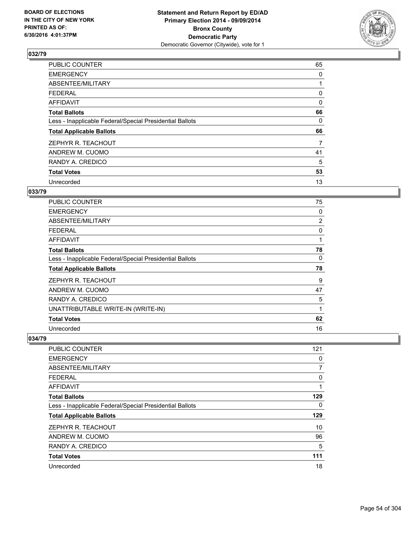

| PUBLIC COUNTER                                           | 65 |
|----------------------------------------------------------|----|
| <b>EMERGENCY</b>                                         | 0  |
| ABSENTEE/MILITARY                                        |    |
| <b>FEDERAL</b>                                           | 0  |
| AFFIDAVIT                                                | 0  |
| <b>Total Ballots</b>                                     | 66 |
| Less - Inapplicable Federal/Special Presidential Ballots | 0  |
| <b>Total Applicable Ballots</b>                          | 66 |
| ZEPHYR R. TEACHOUT                                       | 7  |
| ANDREW M. CUOMO                                          | 41 |
| RANDY A. CREDICO                                         | 5  |
| <b>Total Votes</b>                                       | 53 |
| Unrecorded                                               | 13 |

### **033/79**

| PUBLIC COUNTER                                           | 75 |
|----------------------------------------------------------|----|
| <b>EMERGENCY</b>                                         | 0  |
| ABSENTEE/MILITARY                                        | 2  |
| <b>FEDERAL</b>                                           | 0  |
| AFFIDAVIT                                                | 1  |
| <b>Total Ballots</b>                                     | 78 |
| Less - Inapplicable Federal/Special Presidential Ballots | 0  |
| <b>Total Applicable Ballots</b>                          | 78 |
| ZEPHYR R. TEACHOUT                                       | 9  |
| ANDREW M. CUOMO                                          | 47 |
| RANDY A. CREDICO                                         | 5  |
| UNATTRIBUTABLE WRITE-IN (WRITE-IN)                       | 1  |
| <b>Total Votes</b>                                       | 62 |
| Unrecorded                                               | 16 |

| <b>PUBLIC COUNTER</b>                                    | 121 |
|----------------------------------------------------------|-----|
| <b>EMERGENCY</b>                                         | 0   |
| ABSENTEE/MILITARY                                        | 7   |
| FEDERAL                                                  | 0   |
| AFFIDAVIT                                                |     |
| <b>Total Ballots</b>                                     | 129 |
| Less - Inapplicable Federal/Special Presidential Ballots | 0   |
| <b>Total Applicable Ballots</b>                          | 129 |
| ZEPHYR R. TEACHOUT                                       | 10  |
| ANDREW M. CUOMO                                          | 96  |
| RANDY A. CREDICO                                         | 5   |
| <b>Total Votes</b>                                       | 111 |
| Unrecorded                                               | 18  |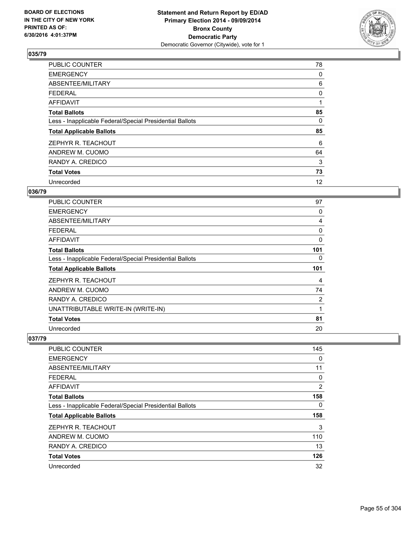

| PUBLIC COUNTER                                           | 78 |
|----------------------------------------------------------|----|
| <b>EMERGENCY</b>                                         | 0  |
| ABSENTEE/MILITARY                                        | 6  |
| <b>FEDERAL</b>                                           | 0  |
| AFFIDAVIT                                                | 1  |
| <b>Total Ballots</b>                                     | 85 |
| Less - Inapplicable Federal/Special Presidential Ballots | 0  |
| <b>Total Applicable Ballots</b>                          | 85 |
| ZEPHYR R. TEACHOUT                                       | 6  |
| ANDREW M. CUOMO                                          | 64 |
| RANDY A. CREDICO                                         | 3  |
| <b>Total Votes</b>                                       | 73 |
| Unrecorded                                               | 12 |

# **036/79**

| <b>PUBLIC COUNTER</b>                                    | 97  |
|----------------------------------------------------------|-----|
| <b>EMERGENCY</b>                                         | 0   |
| ABSENTEE/MILITARY                                        | 4   |
| <b>FEDERAL</b>                                           | 0   |
| AFFIDAVIT                                                | 0   |
| <b>Total Ballots</b>                                     | 101 |
| Less - Inapplicable Federal/Special Presidential Ballots | 0   |
| <b>Total Applicable Ballots</b>                          | 101 |
| ZEPHYR R. TEACHOUT                                       | 4   |
| ANDREW M. CUOMO                                          | 74  |
| RANDY A. CREDICO                                         | 2   |
| UNATTRIBUTABLE WRITE-IN (WRITE-IN)                       | 1   |
| <b>Total Votes</b>                                       | 81  |
| Unrecorded                                               | 20  |

| <b>PUBLIC COUNTER</b>                                    | 145 |
|----------------------------------------------------------|-----|
| <b>EMERGENCY</b>                                         | 0   |
| ABSENTEE/MILITARY                                        | 11  |
| FEDERAL                                                  | 0   |
| AFFIDAVIT                                                | 2   |
| <b>Total Ballots</b>                                     | 158 |
| Less - Inapplicable Federal/Special Presidential Ballots | 0   |
| <b>Total Applicable Ballots</b>                          | 158 |
| ZEPHYR R. TEACHOUT                                       | 3   |
| ANDREW M. CUOMO                                          | 110 |
| RANDY A. CREDICO                                         | 13  |
| <b>Total Votes</b>                                       | 126 |
| Unrecorded                                               | 32  |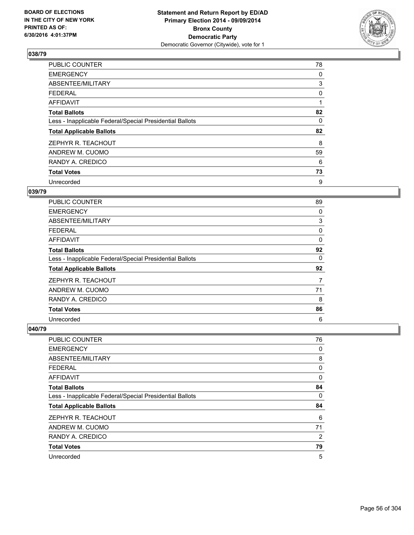

| <b>PUBLIC COUNTER</b>                                    | 78 |
|----------------------------------------------------------|----|
| <b>EMERGENCY</b>                                         | 0  |
| ABSENTEE/MILITARY                                        | 3  |
| <b>FEDERAL</b>                                           | 0  |
| AFFIDAVIT                                                | 1  |
| <b>Total Ballots</b>                                     | 82 |
| Less - Inapplicable Federal/Special Presidential Ballots | 0  |
| <b>Total Applicable Ballots</b>                          | 82 |
| ZEPHYR R. TEACHOUT                                       | 8  |
| ANDREW M. CUOMO                                          | 59 |
| RANDY A. CREDICO                                         | 6  |
| <b>Total Votes</b>                                       | 73 |
| Unrecorded                                               | 9  |

# **039/79**

| <b>PUBLIC COUNTER</b>                                    | 89 |
|----------------------------------------------------------|----|
| <b>EMERGENCY</b>                                         | 0  |
| ABSENTEE/MILITARY                                        | 3  |
| <b>FEDERAL</b>                                           | 0  |
| <b>AFFIDAVIT</b>                                         | 0  |
| <b>Total Ballots</b>                                     | 92 |
| Less - Inapplicable Federal/Special Presidential Ballots | 0  |
| <b>Total Applicable Ballots</b>                          | 92 |
| ZEPHYR R. TEACHOUT                                       | 7  |
| ANDREW M. CUOMO                                          | 71 |
| RANDY A. CREDICO                                         | 8  |
| <b>Total Votes</b>                                       | 86 |
| Unrecorded                                               | 6  |

| PUBLIC COUNTER                                           | 76 |
|----------------------------------------------------------|----|
| <b>EMERGENCY</b>                                         | 0  |
| ABSENTEE/MILITARY                                        | 8  |
| <b>FEDERAL</b>                                           | 0  |
| AFFIDAVIT                                                | 0  |
| <b>Total Ballots</b>                                     | 84 |
| Less - Inapplicable Federal/Special Presidential Ballots | 0  |
| <b>Total Applicable Ballots</b>                          | 84 |
| ZEPHYR R. TEACHOUT                                       | 6  |
| ANDREW M. CUOMO                                          | 71 |
| RANDY A. CREDICO                                         | 2  |
| <b>Total Votes</b>                                       | 79 |
| Unrecorded                                               | 5  |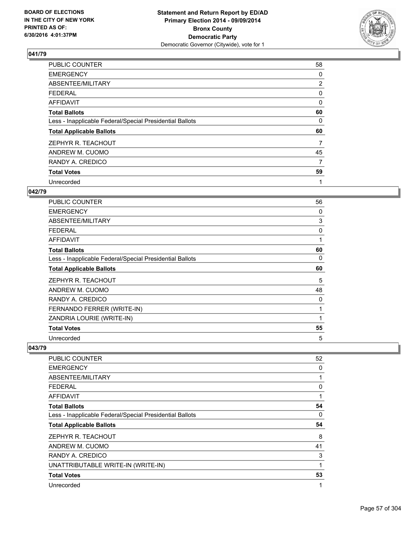

| PUBLIC COUNTER                                           | 58             |
|----------------------------------------------------------|----------------|
| <b>EMERGENCY</b>                                         | 0              |
| ABSENTEE/MILITARY                                        | $\overline{2}$ |
| <b>FEDERAL</b>                                           | 0              |
| AFFIDAVIT                                                | 0              |
| <b>Total Ballots</b>                                     | 60             |
| Less - Inapplicable Federal/Special Presidential Ballots | 0              |
| <b>Total Applicable Ballots</b>                          | 60             |
| ZEPHYR R. TEACHOUT                                       | 7              |
| ANDREW M. CUOMO                                          | 45             |
| RANDY A. CREDICO                                         | 7              |
| <b>Total Votes</b>                                       | 59             |
| Unrecorded                                               | 1              |

### **042/79**

| PUBLIC COUNTER                                           | 56           |
|----------------------------------------------------------|--------------|
| <b>EMERGENCY</b>                                         | 0            |
| ABSENTEE/MILITARY                                        | 3            |
| <b>FEDERAL</b>                                           | 0            |
| <b>AFFIDAVIT</b>                                         | 1            |
| <b>Total Ballots</b>                                     | 60           |
| Less - Inapplicable Federal/Special Presidential Ballots | 0            |
| <b>Total Applicable Ballots</b>                          | 60           |
| ZEPHYR R. TEACHOUT                                       | 5            |
| ANDREW M. CUOMO                                          | 48           |
| RANDY A. CREDICO                                         | 0            |
| FERNANDO FERRER (WRITE-IN)                               | 1            |
| ZANDRIA LOURIE (WRITE-IN)                                | $\mathbf{1}$ |
| <b>Total Votes</b>                                       | 55           |
| Unrecorded                                               | 5            |

| <b>PUBLIC COUNTER</b>                                    | 52           |
|----------------------------------------------------------|--------------|
| <b>EMERGENCY</b>                                         | 0            |
| ABSENTEE/MILITARY                                        | $\mathbf{1}$ |
| <b>FEDERAL</b>                                           | 0            |
| AFFIDAVIT                                                | 1            |
| <b>Total Ballots</b>                                     | 54           |
| Less - Inapplicable Federal/Special Presidential Ballots | 0            |
| <b>Total Applicable Ballots</b>                          | 54           |
| ZEPHYR R. TEACHOUT                                       | 8            |
| ANDREW M. CUOMO                                          | 41           |
| RANDY A. CREDICO                                         | 3            |
| UNATTRIBUTABLE WRITE-IN (WRITE-IN)                       | 1            |
| <b>Total Votes</b>                                       | 53           |
| Unrecorded                                               | 1            |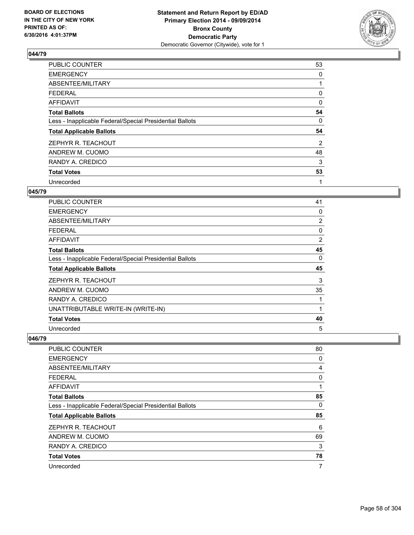

| PUBLIC COUNTER                                           | 53 |
|----------------------------------------------------------|----|
| <b>EMERGENCY</b>                                         | 0  |
| ABSENTEE/MILITARY                                        |    |
| <b>FEDERAL</b>                                           | 0  |
| AFFIDAVIT                                                | 0  |
| <b>Total Ballots</b>                                     | 54 |
| Less - Inapplicable Federal/Special Presidential Ballots | 0  |
| <b>Total Applicable Ballots</b>                          | 54 |
| ZEPHYR R. TEACHOUT                                       | 2  |
| ANDREW M. CUOMO                                          | 48 |
| RANDY A. CREDICO                                         | 3  |
| <b>Total Votes</b>                                       | 53 |
| Unrecorded                                               | 1  |

### **045/79**

| <b>PUBLIC COUNTER</b>                                    | 41 |
|----------------------------------------------------------|----|
| <b>EMERGENCY</b>                                         | 0  |
| ABSENTEE/MILITARY                                        | 2  |
| <b>FEDERAL</b>                                           | 0  |
| AFFIDAVIT                                                | 2  |
| <b>Total Ballots</b>                                     | 45 |
| Less - Inapplicable Federal/Special Presidential Ballots | 0  |
| <b>Total Applicable Ballots</b>                          | 45 |
| ZEPHYR R. TEACHOUT                                       | 3  |
| ANDREW M. CUOMO                                          | 35 |
| RANDY A. CREDICO                                         | 1  |
| UNATTRIBUTABLE WRITE-IN (WRITE-IN)                       | 1  |
| <b>Total Votes</b>                                       | 40 |
| Unrecorded                                               | 5  |

| <b>PUBLIC COUNTER</b>                                    | 80 |
|----------------------------------------------------------|----|
| <b>EMERGENCY</b>                                         | 0  |
| ABSENTEE/MILITARY                                        | 4  |
| <b>FEDERAL</b>                                           | 0  |
| AFFIDAVIT                                                |    |
| <b>Total Ballots</b>                                     | 85 |
| Less - Inapplicable Federal/Special Presidential Ballots | 0  |
| <b>Total Applicable Ballots</b>                          | 85 |
| ZEPHYR R. TEACHOUT                                       | 6  |
| ANDREW M. CUOMO                                          | 69 |
| RANDY A. CREDICO                                         | 3  |
| <b>Total Votes</b>                                       | 78 |
| Unrecorded                                               | 7  |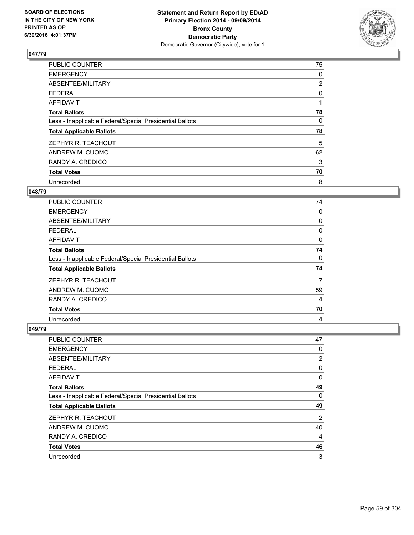

| PUBLIC COUNTER                                           | 75             |
|----------------------------------------------------------|----------------|
| <b>EMERGENCY</b>                                         | 0              |
| ABSENTEE/MILITARY                                        | $\overline{2}$ |
| <b>FEDERAL</b>                                           | 0              |
| AFFIDAVIT                                                | 1              |
| <b>Total Ballots</b>                                     | 78             |
| Less - Inapplicable Federal/Special Presidential Ballots | 0              |
| <b>Total Applicable Ballots</b>                          | 78             |
| ZEPHYR R. TEACHOUT                                       | 5              |
| ANDREW M. CUOMO                                          | 62             |
| RANDY A. CREDICO                                         | 3              |
| <b>Total Votes</b>                                       | 70             |
| Unrecorded                                               | 8              |

# **048/79**

| <b>PUBLIC COUNTER</b>                                    | 74 |
|----------------------------------------------------------|----|
| <b>EMERGENCY</b>                                         | 0  |
| ABSENTEE/MILITARY                                        | 0  |
| <b>FEDERAL</b>                                           | 0  |
| AFFIDAVIT                                                | 0  |
| <b>Total Ballots</b>                                     | 74 |
| Less - Inapplicable Federal/Special Presidential Ballots | 0  |
| <b>Total Applicable Ballots</b>                          | 74 |
| ZEPHYR R. TEACHOUT                                       | 7  |
| ANDREW M. CUOMO                                          | 59 |
| RANDY A. CREDICO                                         | 4  |
| <b>Total Votes</b>                                       | 70 |
| Unrecorded                                               | 4  |

| PUBLIC COUNTER                                           | 47 |
|----------------------------------------------------------|----|
| <b>EMERGENCY</b>                                         | 0  |
| ABSENTEE/MILITARY                                        | 2  |
| <b>FEDERAL</b>                                           | 0  |
| AFFIDAVIT                                                | 0  |
| <b>Total Ballots</b>                                     | 49 |
| Less - Inapplicable Federal/Special Presidential Ballots | 0  |
| <b>Total Applicable Ballots</b>                          | 49 |
| ZEPHYR R. TEACHOUT                                       | 2  |
| ANDREW M. CUOMO                                          | 40 |
| RANDY A. CREDICO                                         | 4  |
| <b>Total Votes</b>                                       | 46 |
| Unrecorded                                               | 3  |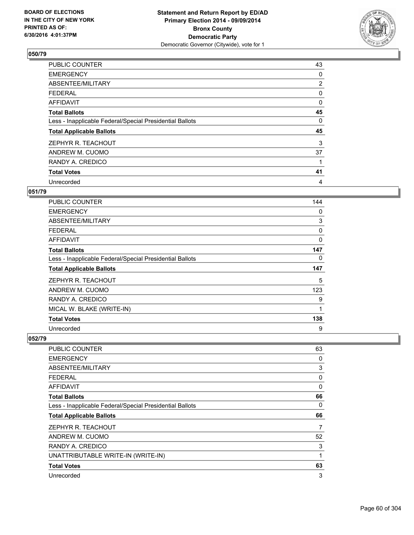

| PUBLIC COUNTER                                           | 43             |
|----------------------------------------------------------|----------------|
| <b>EMERGENCY</b>                                         | 0              |
| ABSENTEE/MILITARY                                        | $\overline{2}$ |
| <b>FEDERAL</b>                                           | 0              |
| <b>AFFIDAVIT</b>                                         | 0              |
| <b>Total Ballots</b>                                     | 45             |
| Less - Inapplicable Federal/Special Presidential Ballots | 0              |
| <b>Total Applicable Ballots</b>                          | 45             |
| ZEPHYR R. TEACHOUT                                       | 3              |
| ANDREW M. CUOMO                                          | 37             |
| RANDY A. CREDICO                                         | 1              |
| <b>Total Votes</b>                                       | 41             |
| Unrecorded                                               | 4              |

# **051/79**

| PUBLIC COUNTER                                           | 144          |
|----------------------------------------------------------|--------------|
| <b>EMERGENCY</b>                                         | 0            |
| ABSENTEE/MILITARY                                        | 3            |
| <b>FEDERAL</b>                                           | 0            |
| AFFIDAVIT                                                | $\mathbf{0}$ |
| <b>Total Ballots</b>                                     | 147          |
| Less - Inapplicable Federal/Special Presidential Ballots | 0            |
| <b>Total Applicable Ballots</b>                          | 147          |
| ZEPHYR R. TEACHOUT                                       | 5            |
| ANDREW M. CUOMO                                          | 123          |
| RANDY A. CREDICO                                         | 9            |
| MICAL W. BLAKE (WRITE-IN)                                | 1            |
| <b>Total Votes</b>                                       | 138          |
|                                                          | 9            |

| <b>PUBLIC COUNTER</b>                                    | 63 |
|----------------------------------------------------------|----|
| <b>EMERGENCY</b>                                         | 0  |
| ABSENTEE/MILITARY                                        | 3  |
| <b>FEDERAL</b>                                           | 0  |
| <b>AFFIDAVIT</b>                                         | 0  |
| <b>Total Ballots</b>                                     | 66 |
| Less - Inapplicable Federal/Special Presidential Ballots | 0  |
| <b>Total Applicable Ballots</b>                          | 66 |
|                                                          |    |
| ZEPHYR R. TEACHOUT                                       | 7  |
| ANDREW M. CUOMO                                          | 52 |
| RANDY A. CREDICO                                         | 3  |
| UNATTRIBUTABLE WRITE-IN (WRITE-IN)                       | 1  |
| <b>Total Votes</b>                                       | 63 |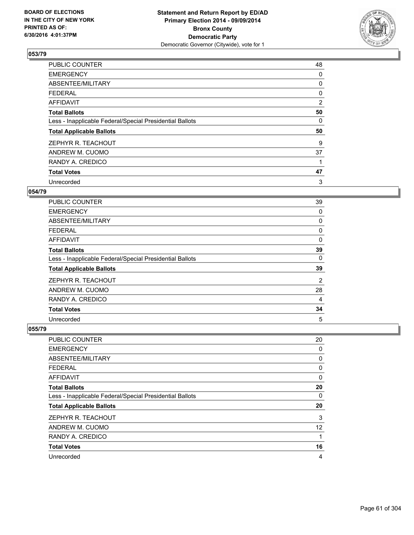

| PUBLIC COUNTER                                           | 48 |
|----------------------------------------------------------|----|
| <b>EMERGENCY</b>                                         | 0  |
| ABSENTEE/MILITARY                                        | 0  |
| <b>FEDERAL</b>                                           | 0  |
| AFFIDAVIT                                                | 2  |
| <b>Total Ballots</b>                                     | 50 |
| Less - Inapplicable Federal/Special Presidential Ballots | 0  |
| <b>Total Applicable Ballots</b>                          | 50 |
| ZEPHYR R. TEACHOUT                                       | 9  |
| ANDREW M. CUOMO                                          | 37 |
| RANDY A. CREDICO                                         |    |
| <b>Total Votes</b>                                       | 47 |
| Unrecorded                                               | 3  |

# **054/79**

| <b>PUBLIC COUNTER</b>                                    | 39 |
|----------------------------------------------------------|----|
| <b>EMERGENCY</b>                                         | 0  |
| ABSENTEE/MILITARY                                        | 0  |
| <b>FEDERAL</b>                                           | 0  |
| AFFIDAVIT                                                | 0  |
| <b>Total Ballots</b>                                     | 39 |
| Less - Inapplicable Federal/Special Presidential Ballots | 0  |
| <b>Total Applicable Ballots</b>                          | 39 |
| ZEPHYR R. TEACHOUT                                       | 2  |
| ANDREW M. CUOMO                                          | 28 |
| RANDY A. CREDICO                                         | 4  |
| <b>Total Votes</b>                                       | 34 |
| Unrecorded                                               | 5  |

| PUBLIC COUNTER                                           | 20                |
|----------------------------------------------------------|-------------------|
| <b>EMERGENCY</b>                                         | 0                 |
| ABSENTEE/MILITARY                                        | 0                 |
| <b>FEDERAL</b>                                           | 0                 |
| AFFIDAVIT                                                | 0                 |
| <b>Total Ballots</b>                                     | 20                |
| Less - Inapplicable Federal/Special Presidential Ballots | 0                 |
| <b>Total Applicable Ballots</b>                          | 20                |
| ZEPHYR R. TEACHOUT                                       | 3                 |
| ANDREW M. CUOMO                                          | $12 \overline{ }$ |
| RANDY A. CREDICO                                         | 1                 |
| <b>Total Votes</b>                                       | 16                |
| Unrecorded                                               | 4                 |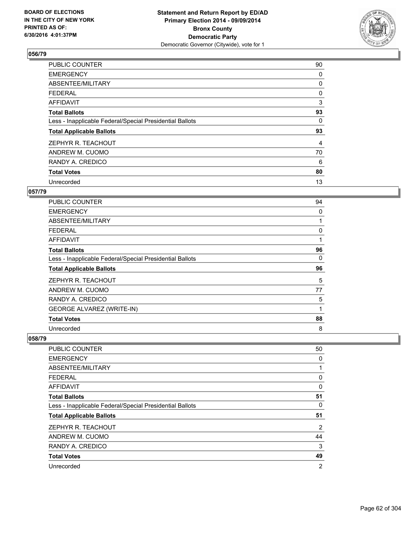

| PUBLIC COUNTER                                           | 90 |
|----------------------------------------------------------|----|
| <b>EMERGENCY</b>                                         | 0  |
| ABSENTEE/MILITARY                                        | 0  |
| <b>FEDERAL</b>                                           | 0  |
| <b>AFFIDAVIT</b>                                         | 3  |
| <b>Total Ballots</b>                                     | 93 |
| Less - Inapplicable Federal/Special Presidential Ballots | 0  |
| <b>Total Applicable Ballots</b>                          | 93 |
| ZEPHYR R. TEACHOUT                                       | 4  |
| ANDREW M. CUOMO                                          | 70 |
| RANDY A. CREDICO                                         | 6  |
| <b>Total Votes</b>                                       | 80 |
| Unrecorded                                               | 13 |

### **057/79**

| <b>PUBLIC COUNTER</b>                                    | 94 |
|----------------------------------------------------------|----|
| <b>EMERGENCY</b>                                         | 0  |
| ABSENTEE/MILITARY                                        | 1  |
| <b>FEDERAL</b>                                           | 0  |
| AFFIDAVIT                                                | 1  |
| <b>Total Ballots</b>                                     | 96 |
| Less - Inapplicable Federal/Special Presidential Ballots | 0  |
|                                                          |    |
| <b>Total Applicable Ballots</b>                          | 96 |
| ZEPHYR R. TEACHOUT                                       | 5  |
| ANDREW M. CUOMO                                          | 77 |
| RANDY A. CREDICO                                         | 5  |
| <b>GEORGE ALVAREZ (WRITE-IN)</b>                         | 1  |
| <b>Total Votes</b>                                       | 88 |

| <b>PUBLIC COUNTER</b>                                    | 50             |
|----------------------------------------------------------|----------------|
| <b>EMERGENCY</b>                                         | 0              |
| ABSENTEE/MILITARY                                        |                |
| FEDERAL                                                  | 0              |
| AFFIDAVIT                                                | 0              |
| <b>Total Ballots</b>                                     | 51             |
| Less - Inapplicable Federal/Special Presidential Ballots | 0              |
| <b>Total Applicable Ballots</b>                          | 51             |
| ZEPHYR R. TEACHOUT                                       | 2              |
| ANDREW M. CUOMO                                          | 44             |
| RANDY A. CREDICO                                         | 3              |
| <b>Total Votes</b>                                       | 49             |
| Unrecorded                                               | $\overline{2}$ |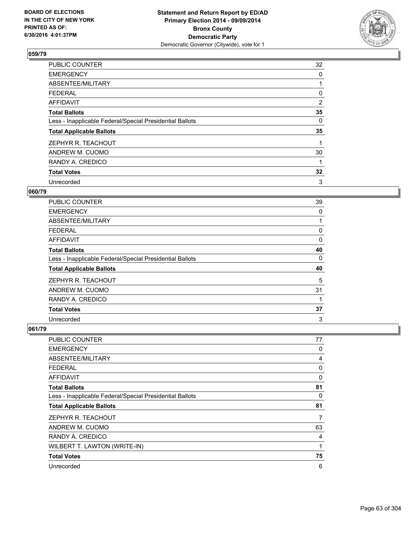

| <b>PUBLIC COUNTER</b>                                    | 32 |
|----------------------------------------------------------|----|
| <b>EMERGENCY</b>                                         | 0  |
| ABSENTEE/MILITARY                                        |    |
| <b>FEDERAL</b>                                           | 0  |
| AFFIDAVIT                                                | 2  |
| <b>Total Ballots</b>                                     | 35 |
| Less - Inapplicable Federal/Special Presidential Ballots | 0  |
| <b>Total Applicable Ballots</b>                          | 35 |
| ZEPHYR R. TEACHOUT                                       |    |
| ANDREW M. CUOMO                                          | 30 |
| RANDY A. CREDICO                                         | 1  |
| <b>Total Votes</b>                                       | 32 |
| Unrecorded                                               | 3  |

### **060/79**

| <b>PUBLIC COUNTER</b>                                    | 39 |
|----------------------------------------------------------|----|
| <b>EMERGENCY</b>                                         | 0  |
| ABSENTEE/MILITARY                                        |    |
| <b>FEDERAL</b>                                           | 0  |
| <b>AFFIDAVIT</b>                                         | 0  |
| <b>Total Ballots</b>                                     | 40 |
| Less - Inapplicable Federal/Special Presidential Ballots | 0  |
| <b>Total Applicable Ballots</b>                          | 40 |
| ZEPHYR R. TEACHOUT                                       | 5  |
| ANDREW M. CUOMO                                          | 31 |
| RANDY A. CREDICO                                         | 1  |
| <b>Total Votes</b>                                       | 37 |
| Unrecorded                                               | 3  |

| PUBLIC COUNTER                                           | 77 |
|----------------------------------------------------------|----|
| <b>EMERGENCY</b>                                         | 0  |
| ABSENTEE/MILITARY                                        | 4  |
| <b>FEDERAL</b>                                           | 0  |
| AFFIDAVIT                                                | 0  |
| <b>Total Ballots</b>                                     | 81 |
| Less - Inapplicable Federal/Special Presidential Ballots | 0  |
| <b>Total Applicable Ballots</b>                          | 81 |
| ZEPHYR R. TEACHOUT                                       | 7  |
| ANDREW M. CUOMO                                          | 63 |
| RANDY A. CREDICO                                         | 4  |
| WILBERT T. LAWTON (WRITE-IN)                             | 1  |
| <b>Total Votes</b>                                       | 75 |
| Unrecorded                                               | 6  |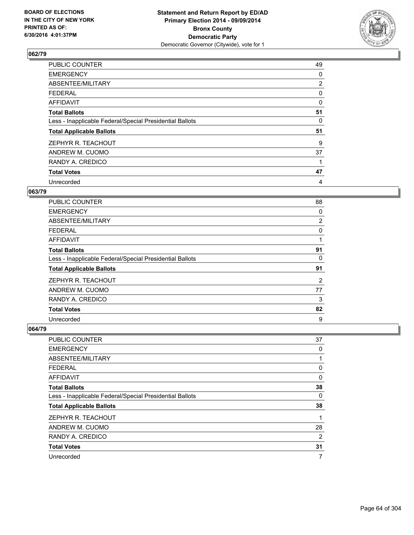

| PUBLIC COUNTER                                           | 49             |
|----------------------------------------------------------|----------------|
| <b>EMERGENCY</b>                                         | 0              |
| ABSENTEE/MILITARY                                        | $\overline{2}$ |
| <b>FEDERAL</b>                                           | 0              |
| AFFIDAVIT                                                | 0              |
| <b>Total Ballots</b>                                     | 51             |
| Less - Inapplicable Federal/Special Presidential Ballots | 0              |
| <b>Total Applicable Ballots</b>                          | 51             |
| ZEPHYR R. TEACHOUT                                       | 9              |
| ANDREW M. CUOMO                                          | 37             |
| RANDY A. CREDICO                                         |                |
| <b>Total Votes</b>                                       | 47             |
| Unrecorded                                               | 4              |

# **063/79**

| <b>PUBLIC COUNTER</b>                                    | 88             |
|----------------------------------------------------------|----------------|
| <b>EMERGENCY</b>                                         | 0              |
| ABSENTEE/MILITARY                                        | $\overline{2}$ |
| <b>FEDERAL</b>                                           | 0              |
| <b>AFFIDAVIT</b>                                         |                |
| <b>Total Ballots</b>                                     | 91             |
| Less - Inapplicable Federal/Special Presidential Ballots | 0              |
| <b>Total Applicable Ballots</b>                          | 91             |
| ZEPHYR R. TEACHOUT                                       | $\overline{2}$ |
| ANDREW M. CUOMO                                          | 77             |
| RANDY A. CREDICO                                         | 3              |
| <b>Total Votes</b>                                       | 82             |
| Unrecorded                                               | 9              |

| <b>PUBLIC COUNTER</b>                                    | 37 |
|----------------------------------------------------------|----|
| <b>EMERGENCY</b>                                         | 0  |
| ABSENTEE/MILITARY                                        |    |
| <b>FEDERAL</b>                                           | 0  |
| AFFIDAVIT                                                | 0  |
| <b>Total Ballots</b>                                     | 38 |
| Less - Inapplicable Federal/Special Presidential Ballots | 0  |
| <b>Total Applicable Ballots</b>                          | 38 |
| ZEPHYR R. TEACHOUT                                       | 1  |
| ANDREW M. CUOMO                                          | 28 |
| RANDY A. CREDICO                                         | 2  |
| <b>Total Votes</b>                                       | 31 |
| Unrecorded                                               | 7  |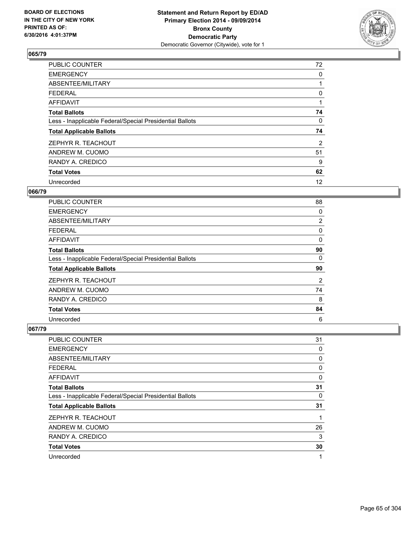

| PUBLIC COUNTER                                           | 72 |
|----------------------------------------------------------|----|
| <b>EMERGENCY</b>                                         | 0  |
| ABSENTEE/MILITARY                                        |    |
| <b>FEDERAL</b>                                           | 0  |
| <b>AFFIDAVIT</b>                                         |    |
| <b>Total Ballots</b>                                     | 74 |
| Less - Inapplicable Federal/Special Presidential Ballots | 0  |
| <b>Total Applicable Ballots</b>                          | 74 |
| ZEPHYR R. TEACHOUT                                       | 2  |
| ANDREW M. CUOMO                                          | 51 |
| RANDY A. CREDICO                                         | 9  |
| <b>Total Votes</b>                                       | 62 |
| Unrecorded                                               | 12 |

# **066/79**

| <b>PUBLIC COUNTER</b>                                    | 88 |
|----------------------------------------------------------|----|
| <b>EMERGENCY</b>                                         | 0  |
| ABSENTEE/MILITARY                                        | 2  |
| <b>FEDERAL</b>                                           | 0  |
| <b>AFFIDAVIT</b>                                         | 0  |
| <b>Total Ballots</b>                                     | 90 |
| Less - Inapplicable Federal/Special Presidential Ballots | 0  |
| <b>Total Applicable Ballots</b>                          | 90 |
| ZEPHYR R. TEACHOUT                                       | 2  |
| ANDREW M. CUOMO                                          | 74 |
| RANDY A. CREDICO                                         | 8  |
| <b>Total Votes</b>                                       | 84 |
| Unrecorded                                               | 6  |

| PUBLIC COUNTER                                           | 31 |
|----------------------------------------------------------|----|
| <b>EMERGENCY</b>                                         | 0  |
| ABSENTEE/MILITARY                                        | 0  |
| <b>FEDERAL</b>                                           | 0  |
| AFFIDAVIT                                                | 0  |
| <b>Total Ballots</b>                                     | 31 |
| Less - Inapplicable Federal/Special Presidential Ballots | 0  |
| <b>Total Applicable Ballots</b>                          | 31 |
| ZEPHYR R. TEACHOUT                                       | 1  |
| ANDREW M. CUOMO                                          | 26 |
| RANDY A. CREDICO                                         | 3  |
| <b>Total Votes</b>                                       | 30 |
| Unrecorded                                               | 1  |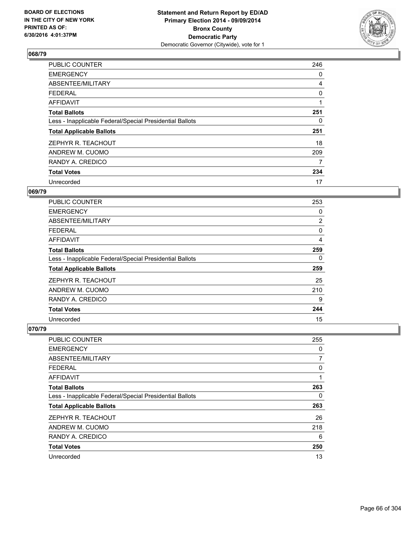

| <b>PUBLIC COUNTER</b>                                    | 246 |
|----------------------------------------------------------|-----|
| <b>EMERGENCY</b>                                         | 0   |
| ABSENTEE/MILITARY                                        | 4   |
| <b>FEDERAL</b>                                           | 0   |
| AFFIDAVIT                                                | 1   |
| <b>Total Ballots</b>                                     | 251 |
| Less - Inapplicable Federal/Special Presidential Ballots | 0   |
| <b>Total Applicable Ballots</b>                          | 251 |
| ZEPHYR R. TEACHOUT                                       | 18  |
| ANDREW M. CUOMO                                          | 209 |
| RANDY A. CREDICO                                         | 7   |
| <b>Total Votes</b>                                       | 234 |
| Unrecorded                                               | 17  |

### **069/79**

| <b>PUBLIC COUNTER</b>                                    | 253 |
|----------------------------------------------------------|-----|
| <b>EMERGENCY</b>                                         | 0   |
| ABSENTEE/MILITARY                                        | 2   |
| FEDERAL                                                  | 0   |
| <b>AFFIDAVIT</b>                                         | 4   |
| <b>Total Ballots</b>                                     | 259 |
| Less - Inapplicable Federal/Special Presidential Ballots | 0   |
| <b>Total Applicable Ballots</b>                          | 259 |
| ZEPHYR R. TEACHOUT                                       | 25  |
| ANDREW M. CUOMO                                          | 210 |
| RANDY A. CREDICO                                         | 9   |
| <b>Total Votes</b>                                       | 244 |
| Unrecorded                                               | 15  |

| PUBLIC COUNTER                                           | 255 |
|----------------------------------------------------------|-----|
| <b>EMERGENCY</b>                                         | 0   |
| ABSENTEE/MILITARY                                        | 7   |
| <b>FEDERAL</b>                                           | 0   |
| AFFIDAVIT                                                | 1   |
| <b>Total Ballots</b>                                     | 263 |
| Less - Inapplicable Federal/Special Presidential Ballots | 0   |
| <b>Total Applicable Ballots</b>                          | 263 |
| ZEPHYR R. TEACHOUT                                       | 26  |
| ANDREW M. CUOMO                                          | 218 |
| RANDY A. CREDICO                                         | 6   |
| <b>Total Votes</b>                                       | 250 |
| Unrecorded                                               | 13  |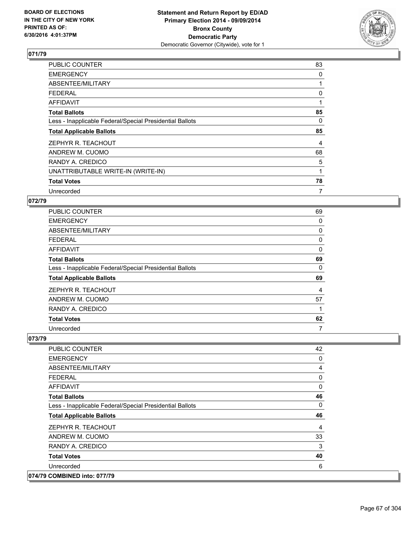

| <b>PUBLIC COUNTER</b>                                    | 83 |
|----------------------------------------------------------|----|
| <b>EMERGENCY</b>                                         | 0  |
| ABSENTEE/MILITARY                                        |    |
| <b>FEDERAL</b>                                           | 0  |
| AFFIDAVIT                                                |    |
| <b>Total Ballots</b>                                     | 85 |
| Less - Inapplicable Federal/Special Presidential Ballots | 0  |
| <b>Total Applicable Ballots</b>                          | 85 |
| ZEPHYR R. TEACHOUT                                       | 4  |
| ANDREW M. CUOMO                                          | 68 |
| RANDY A. CREDICO                                         | 5  |
| UNATTRIBUTABLE WRITE-IN (WRITE-IN)                       |    |
| <b>Total Votes</b>                                       | 78 |
| Unrecorded                                               | 7  |

### **072/79**

| PUBLIC COUNTER                                           | 69 |
|----------------------------------------------------------|----|
| <b>EMERGENCY</b>                                         | 0  |
| ABSENTEE/MILITARY                                        | 0  |
| <b>FEDERAL</b>                                           | 0  |
| <b>AFFIDAVIT</b>                                         | 0  |
| <b>Total Ballots</b>                                     | 69 |
| Less - Inapplicable Federal/Special Presidential Ballots | 0  |
| <b>Total Applicable Ballots</b>                          | 69 |
| ZEPHYR R. TEACHOUT                                       | 4  |
| ANDREW M. CUOMO                                          | 57 |
| RANDY A. CREDICO                                         | 1  |
| <b>Total Votes</b>                                       | 62 |
| Unrecorded                                               | 7  |

| <b>PUBLIC COUNTER</b>                                    | 42 |
|----------------------------------------------------------|----|
| <b>EMERGENCY</b>                                         | 0  |
| ABSENTEE/MILITARY                                        | 4  |
| <b>FEDERAL</b>                                           | 0  |
| AFFIDAVIT                                                | 0  |
| <b>Total Ballots</b>                                     | 46 |
| Less - Inapplicable Federal/Special Presidential Ballots | 0  |
|                                                          |    |
| <b>Total Applicable Ballots</b>                          | 46 |
| ZEPHYR R. TEACHOUT                                       | 4  |
| ANDREW M. CUOMO                                          | 33 |
| RANDY A. CREDICO                                         | 3  |
| <b>Total Votes</b>                                       | 40 |
| Unrecorded                                               | 6  |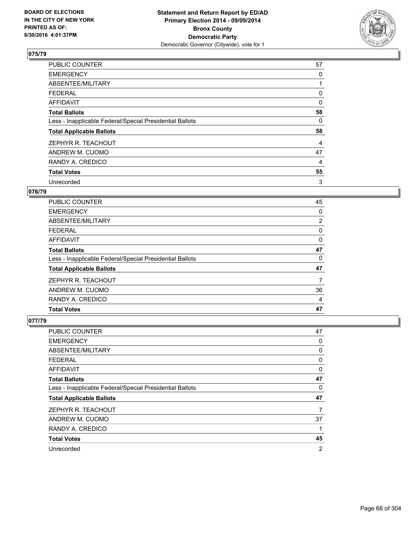

| <b>PUBLIC COUNTER</b>                                    | 57 |
|----------------------------------------------------------|----|
| <b>EMERGENCY</b>                                         | 0  |
| ABSENTEE/MILITARY                                        |    |
| <b>FEDERAL</b>                                           | 0  |
| AFFIDAVIT                                                | 0  |
| <b>Total Ballots</b>                                     | 58 |
| Less - Inapplicable Federal/Special Presidential Ballots | 0  |
| <b>Total Applicable Ballots</b>                          | 58 |
| ZEPHYR R. TEACHOUT                                       | 4  |
| ANDREW M. CUOMO                                          | 47 |
| RANDY A. CREDICO                                         | 4  |
| <b>Total Votes</b>                                       | 55 |
| Unrecorded                                               | 3  |

# **076/79**

| <b>PUBLIC COUNTER</b>                                    | 45             |
|----------------------------------------------------------|----------------|
|                                                          |                |
| <b>EMERGENCY</b>                                         | 0              |
| ABSENTEE/MILITARY                                        | $\overline{2}$ |
| FEDERAL                                                  | 0              |
| AFFIDAVIT                                                | 0              |
| <b>Total Ballots</b>                                     | 47             |
| Less - Inapplicable Federal/Special Presidential Ballots | 0              |
| <b>Total Applicable Ballots</b>                          | 47             |
| ZEPHYR R. TEACHOUT                                       | 7              |
| ANDREW M. CUOMO                                          | 36             |
| RANDY A. CREDICO                                         | 4              |
| <b>Total Votes</b>                                       | 47             |

| <b>PUBLIC COUNTER</b>                                    | 47             |
|----------------------------------------------------------|----------------|
| <b>EMERGENCY</b>                                         | 0              |
| ABSENTEE/MILITARY                                        | 0              |
| <b>FEDERAL</b>                                           | 0              |
| AFFIDAVIT                                                | 0              |
| <b>Total Ballots</b>                                     | 47             |
| Less - Inapplicable Federal/Special Presidential Ballots | 0              |
| <b>Total Applicable Ballots</b>                          | 47             |
| ZEPHYR R. TEACHOUT                                       | 7              |
| ANDREW M. CUOMO                                          | 37             |
| RANDY A. CREDICO                                         |                |
| <b>Total Votes</b>                                       | 45             |
| Unrecorded                                               | $\overline{2}$ |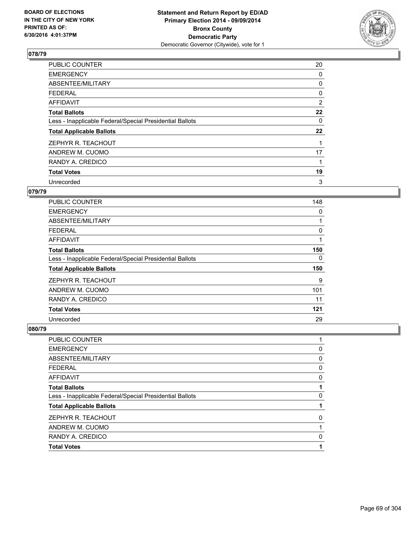

| PUBLIC COUNTER                                           | 20 |
|----------------------------------------------------------|----|
| <b>EMERGENCY</b>                                         | 0  |
| ABSENTEE/MILITARY                                        | 0  |
| <b>FEDERAL</b>                                           | 0  |
| AFFIDAVIT                                                | 2  |
| <b>Total Ballots</b>                                     | 22 |
| Less - Inapplicable Federal/Special Presidential Ballots | 0  |
| <b>Total Applicable Ballots</b>                          | 22 |
| ZEPHYR R. TEACHOUT                                       |    |
| ANDREW M. CUOMO                                          | 17 |
| RANDY A. CREDICO                                         |    |
| <b>Total Votes</b>                                       | 19 |
| Unrecorded                                               | 3  |

# **079/79**

| PUBLIC COUNTER                                           | 148 |
|----------------------------------------------------------|-----|
| <b>EMERGENCY</b>                                         | 0   |
| ABSENTEE/MILITARY                                        |     |
| <b>FEDERAL</b>                                           | 0   |
| AFFIDAVIT                                                |     |
| <b>Total Ballots</b>                                     | 150 |
| Less - Inapplicable Federal/Special Presidential Ballots | 0   |
| <b>Total Applicable Ballots</b>                          | 150 |
| ZEPHYR R. TEACHOUT                                       | 9   |
| ANDREW M. CUOMO                                          | 101 |
| RANDY A. CREDICO                                         | 11  |
| <b>Total Votes</b>                                       | 121 |
| Unrecorded                                               | 29  |

| <b>Total Votes</b>                                       |   |
|----------------------------------------------------------|---|
| RANDY A. CREDICO                                         | 0 |
| ANDREW M. CUOMO                                          |   |
| ZEPHYR R. TEACHOUT                                       | 0 |
| <b>Total Applicable Ballots</b>                          |   |
| Less - Inapplicable Federal/Special Presidential Ballots | 0 |
| <b>Total Ballots</b>                                     |   |
| <b>AFFIDAVIT</b>                                         | 0 |
| <b>FEDERAL</b>                                           | 0 |
| ABSENTEE/MILITARY                                        | 0 |
| <b>EMERGENCY</b>                                         | 0 |
| PUBLIC COUNTER                                           |   |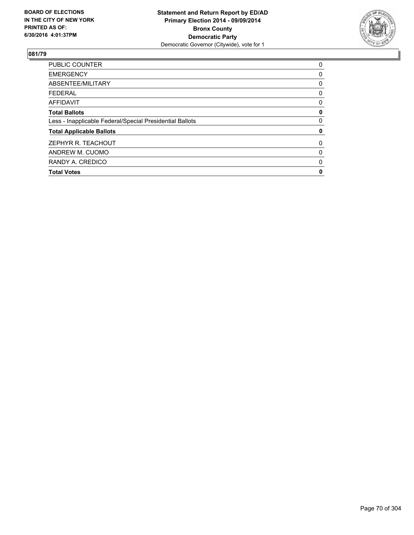

| <b>PUBLIC COUNTER</b>                                    | 0        |
|----------------------------------------------------------|----------|
| <b>EMERGENCY</b>                                         | 0        |
| ABSENTEE/MILITARY                                        | 0        |
| <b>FEDERAL</b>                                           | 0        |
| AFFIDAVIT                                                | 0        |
| <b>Total Ballots</b>                                     | 0        |
| Less - Inapplicable Federal/Special Presidential Ballots | 0        |
| <b>Total Applicable Ballots</b>                          | 0        |
| ZEPHYR R. TEACHOUT                                       | $\Omega$ |
| ANDREW M. CUOMO                                          | 0        |
| RANDY A. CREDICO                                         | 0        |
| <b>Total Votes</b>                                       | 0        |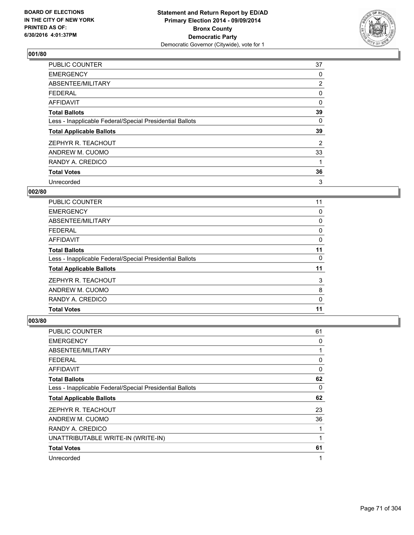

| <b>PUBLIC COUNTER</b>                                    | 37             |
|----------------------------------------------------------|----------------|
| <b>EMERGENCY</b>                                         | 0              |
| ABSENTEE/MILITARY                                        | $\overline{2}$ |
| <b>FEDERAL</b>                                           | 0              |
| <b>AFFIDAVIT</b>                                         | 0              |
| <b>Total Ballots</b>                                     | 39             |
| Less - Inapplicable Federal/Special Presidential Ballots | 0              |
| <b>Total Applicable Ballots</b>                          | 39             |
| ZEPHYR R. TEACHOUT                                       | 2              |
| ANDREW M. CUOMO                                          | 33             |
| RANDY A. CREDICO                                         | 1              |
| <b>Total Votes</b>                                       | 36             |
| Unrecorded                                               | 3              |

### **002/80**

| PUBLIC COUNTER                                           | 11 |
|----------------------------------------------------------|----|
| <b>EMERGENCY</b>                                         | 0  |
| ABSENTEE/MILITARY                                        | 0  |
| <b>FEDERAL</b>                                           | 0  |
| AFFIDAVIT                                                | 0  |
| <b>Total Ballots</b>                                     | 11 |
| Less - Inapplicable Federal/Special Presidential Ballots | 0  |
| <b>Total Applicable Ballots</b>                          | 11 |
| ZEPHYR R. TEACHOUT                                       | 3  |
| ANDREW M. CUOMO                                          | 8  |
| RANDY A. CREDICO                                         | 0  |
| <b>Total Votes</b>                                       | 11 |
|                                                          |    |

| <b>PUBLIC COUNTER</b>                                    | 61 |
|----------------------------------------------------------|----|
| <b>EMERGENCY</b>                                         | 0  |
| ABSENTEE/MILITARY                                        |    |
| <b>FEDERAL</b>                                           | 0  |
| AFFIDAVIT                                                | 0  |
| <b>Total Ballots</b>                                     | 62 |
| Less - Inapplicable Federal/Special Presidential Ballots | 0  |
| <b>Total Applicable Ballots</b>                          | 62 |
| ZEPHYR R. TEACHOUT                                       | 23 |
| ANDREW M. CUOMO                                          | 36 |
| RANDY A. CREDICO                                         |    |
| UNATTRIBUTABLE WRITE-IN (WRITE-IN)                       |    |
| <b>Total Votes</b>                                       | 61 |
| Unrecorded                                               | 1  |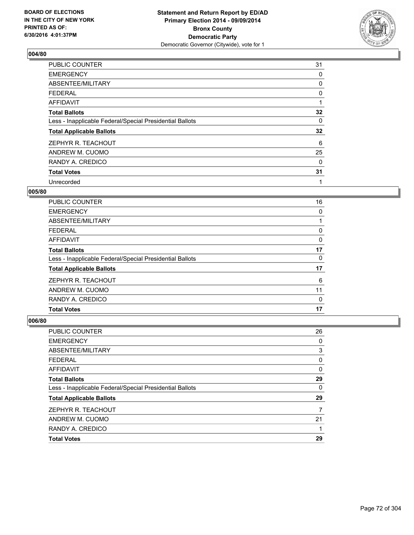

| <b>PUBLIC COUNTER</b>                                    | 31 |
|----------------------------------------------------------|----|
| <b>EMERGENCY</b>                                         | 0  |
| ABSENTEE/MILITARY                                        | 0  |
| <b>FEDERAL</b>                                           | 0  |
| AFFIDAVIT                                                |    |
| <b>Total Ballots</b>                                     | 32 |
| Less - Inapplicable Federal/Special Presidential Ballots | 0  |
| <b>Total Applicable Ballots</b>                          | 32 |
| ZEPHYR R. TEACHOUT                                       | 6  |
| ANDREW M. CUOMO                                          | 25 |
| RANDY A. CREDICO                                         | 0  |
| <b>Total Votes</b>                                       | 31 |
| Unrecorded                                               | 1  |

### **005/80**

| 16 |
|----|
| 0  |
|    |
| 0  |
| 0  |
| 17 |
| 0  |
| 17 |
| 6  |
| 11 |
| 0  |
| 17 |
|    |

| <b>PUBLIC COUNTER</b>                                    | 26 |
|----------------------------------------------------------|----|
| <b>EMERGENCY</b>                                         | 0  |
| ABSENTEE/MILITARY                                        | 3  |
| <b>FEDERAL</b>                                           | 0  |
| <b>AFFIDAVIT</b>                                         | 0  |
| <b>Total Ballots</b>                                     | 29 |
| Less - Inapplicable Federal/Special Presidential Ballots | 0  |
| <b>Total Applicable Ballots</b>                          | 29 |
| ZEPHYR R. TEACHOUT                                       | 7  |
| ANDREW M. CUOMO                                          | 21 |
| RANDY A. CREDICO                                         |    |
| <b>Total Votes</b>                                       | 29 |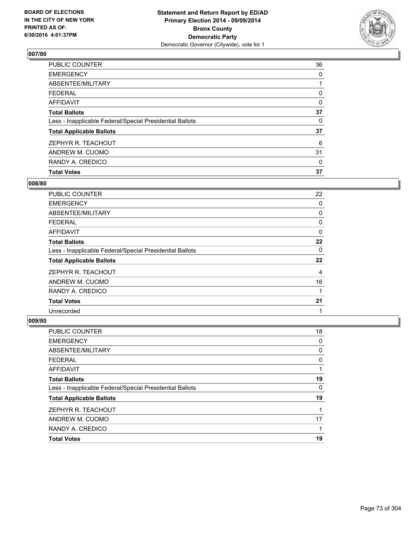

| <b>Total Votes</b>                                       | 37 |
|----------------------------------------------------------|----|
| RANDY A. CREDICO                                         | 0  |
| ANDREW M. CUOMO                                          | 31 |
| ZEPHYR R. TEACHOUT                                       | 6  |
| <b>Total Applicable Ballots</b>                          | 37 |
| Less - Inapplicable Federal/Special Presidential Ballots | 0  |
| <b>Total Ballots</b>                                     | 37 |
| AFFIDAVIT                                                | 0  |
| <b>FEDERAL</b>                                           | 0  |
| ABSENTEE/MILITARY                                        |    |
| <b>EMERGENCY</b>                                         | 0  |
| <b>PUBLIC COUNTER</b>                                    | 36 |

## **008/80**

| <b>PUBLIC COUNTER</b>                                    | 22       |
|----------------------------------------------------------|----------|
| <b>EMERGENCY</b>                                         | 0        |
| ABSENTEE/MILITARY                                        | 0        |
| <b>FEDERAL</b>                                           | 0        |
| <b>AFFIDAVIT</b>                                         | 0        |
| <b>Total Ballots</b>                                     | 22       |
| Less - Inapplicable Federal/Special Presidential Ballots | $\Omega$ |
| <b>Total Applicable Ballots</b>                          | 22       |
| ZEPHYR R. TEACHOUT                                       | 4        |
| ANDREW M. CUOMO                                          | 16       |
| RANDY A. CREDICO                                         |          |
| <b>Total Votes</b>                                       | 21       |
| Unrecorded                                               | 1        |

| <b>PUBLIC COUNTER</b>                                    | 18 |
|----------------------------------------------------------|----|
| <b>EMERGENCY</b>                                         | 0  |
| ABSENTEE/MILITARY                                        | 0  |
| <b>FEDERAL</b>                                           | 0  |
| <b>AFFIDAVIT</b>                                         |    |
| <b>Total Ballots</b>                                     | 19 |
| Less - Inapplicable Federal/Special Presidential Ballots | 0  |
| <b>Total Applicable Ballots</b>                          | 19 |
| ZEPHYR R. TEACHOUT                                       |    |
| ANDREW M. CUOMO                                          | 17 |
| RANDY A. CREDICO                                         |    |
| <b>Total Votes</b>                                       | 19 |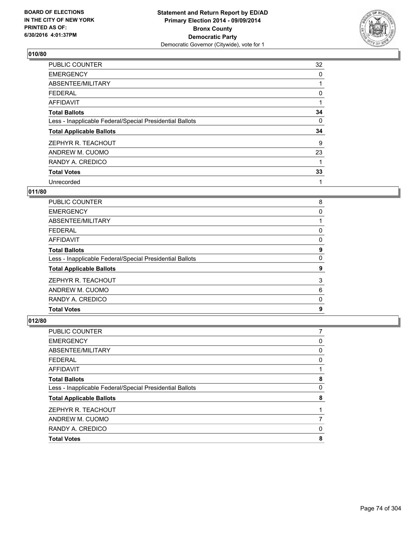

| <b>PUBLIC COUNTER</b>                                    | 32 |
|----------------------------------------------------------|----|
| <b>EMERGENCY</b>                                         | 0  |
| ABSENTEE/MILITARY                                        |    |
| <b>FEDERAL</b>                                           | 0  |
| <b>AFFIDAVIT</b>                                         |    |
| <b>Total Ballots</b>                                     | 34 |
| Less - Inapplicable Federal/Special Presidential Ballots | 0  |
| <b>Total Applicable Ballots</b>                          | 34 |
| ZEPHYR R. TEACHOUT                                       | 9  |
| ANDREW M. CUOMO                                          | 23 |
| RANDY A. CREDICO                                         | 1  |
| <b>Total Votes</b>                                       | 33 |
| Unrecorded                                               | 1  |

# **011/80**

| <b>PUBLIC COUNTER</b>                                    | 8 |
|----------------------------------------------------------|---|
| <b>EMERGENCY</b>                                         | 0 |
| ABSENTEE/MILITARY                                        |   |
| <b>FEDERAL</b>                                           | 0 |
| AFFIDAVIT                                                | 0 |
| <b>Total Ballots</b>                                     | 9 |
| Less - Inapplicable Federal/Special Presidential Ballots | 0 |
| <b>Total Applicable Ballots</b>                          | 9 |
| ZEPHYR R. TEACHOUT                                       | 3 |
| ANDREW M. CUOMO                                          | 6 |
| RANDY A. CREDICO                                         | 0 |
| <b>Total Votes</b>                                       | 9 |
|                                                          |   |

| PUBLIC COUNTER                                           |   |
|----------------------------------------------------------|---|
| <b>EMERGENCY</b>                                         | 0 |
| ABSENTEE/MILITARY                                        | 0 |
| <b>FEDERAL</b>                                           | 0 |
| <b>AFFIDAVIT</b>                                         |   |
| <b>Total Ballots</b>                                     | 8 |
| Less - Inapplicable Federal/Special Presidential Ballots | 0 |
| <b>Total Applicable Ballots</b>                          | 8 |
| ZEPHYR R. TEACHOUT                                       |   |
| ANDREW M. CUOMO                                          |   |
| RANDY A. CREDICO                                         | 0 |
| <b>Total Votes</b>                                       | 8 |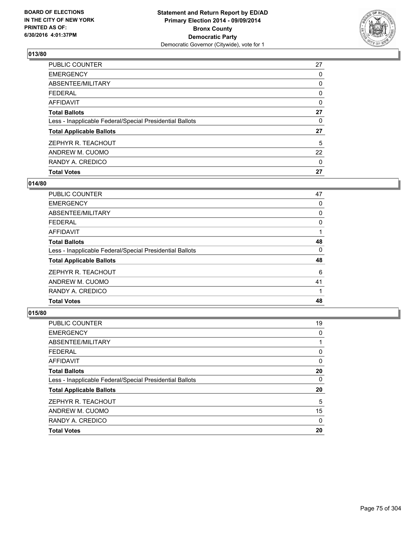

| <b>PUBLIC COUNTER</b>                                    | 27 |
|----------------------------------------------------------|----|
| <b>EMERGENCY</b>                                         | 0  |
| ABSENTEE/MILITARY                                        | 0  |
| <b>FEDERAL</b>                                           | 0  |
| <b>AFFIDAVIT</b>                                         | 0  |
| <b>Total Ballots</b>                                     | 27 |
| Less - Inapplicable Federal/Special Presidential Ballots | 0  |
| <b>Total Applicable Ballots</b>                          | 27 |
| ZEPHYR R. TEACHOUT                                       | 5  |
| ANDREW M. CUOMO                                          | 22 |
| RANDY A. CREDICO                                         | 0  |
| <b>Total Votes</b>                                       | 27 |

# **014/80**

| <b>PUBLIC COUNTER</b>                                    | 47 |
|----------------------------------------------------------|----|
| <b>EMERGENCY</b>                                         | 0  |
| ABSENTEE/MILITARY                                        | 0  |
| <b>FEDERAL</b>                                           | 0  |
| AFFIDAVIT                                                |    |
| <b>Total Ballots</b>                                     | 48 |
| Less - Inapplicable Federal/Special Presidential Ballots | 0  |
| <b>Total Applicable Ballots</b>                          | 48 |
| ZEPHYR R. TEACHOUT                                       | 6  |
| ANDREW M. CUOMO                                          | 41 |
| RANDY A. CREDICO                                         |    |
| <b>Total Votes</b>                                       | 48 |
|                                                          |    |

| PUBLIC COUNTER                                           | 19 |
|----------------------------------------------------------|----|
| <b>EMERGENCY</b>                                         | 0  |
| ABSENTEE/MILITARY                                        |    |
| <b>FEDERAL</b>                                           | 0  |
| <b>AFFIDAVIT</b>                                         | 0  |
| <b>Total Ballots</b>                                     | 20 |
| Less - Inapplicable Federal/Special Presidential Ballots | 0  |
| <b>Total Applicable Ballots</b>                          | 20 |
| ZEPHYR R. TEACHOUT                                       | 5  |
| ANDREW M. CUOMO                                          | 15 |
| RANDY A. CREDICO                                         | 0  |
| <b>Total Votes</b>                                       | 20 |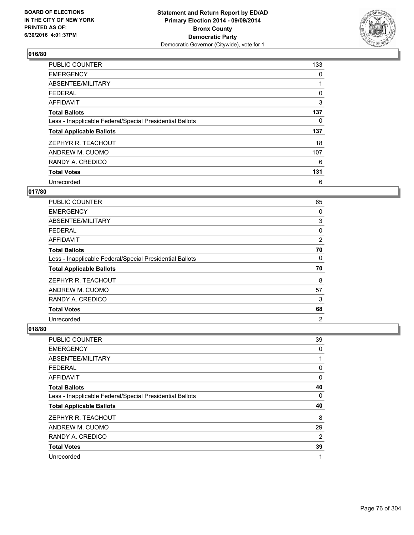

| PUBLIC COUNTER                                           | 133 |
|----------------------------------------------------------|-----|
| <b>EMERGENCY</b>                                         | 0   |
| ABSENTEE/MILITARY                                        |     |
| <b>FEDERAL</b>                                           | 0   |
| <b>AFFIDAVIT</b>                                         | 3   |
| <b>Total Ballots</b>                                     | 137 |
| Less - Inapplicable Federal/Special Presidential Ballots | 0   |
| <b>Total Applicable Ballots</b>                          | 137 |
| ZEPHYR R. TEACHOUT                                       | 18  |
| ANDREW M. CUOMO                                          | 107 |
| RANDY A. CREDICO                                         | 6   |
| <b>Total Votes</b>                                       | 131 |
| Unrecorded                                               | 6   |

### **017/80**

| PUBLIC COUNTER                                           | 65             |
|----------------------------------------------------------|----------------|
| <b>EMERGENCY</b>                                         | 0              |
| ABSENTEE/MILITARY                                        | 3              |
| <b>FEDERAL</b>                                           | 0              |
| <b>AFFIDAVIT</b>                                         | $\overline{2}$ |
| <b>Total Ballots</b>                                     | 70             |
| Less - Inapplicable Federal/Special Presidential Ballots | 0              |
| <b>Total Applicable Ballots</b>                          | 70             |
| ZEPHYR R. TEACHOUT                                       | 8              |
| ANDREW M. CUOMO                                          | 57             |
| RANDY A. CREDICO                                         | 3              |
| <b>Total Votes</b>                                       | 68             |
| Unrecorded                                               | $\overline{2}$ |

| <b>PUBLIC COUNTER</b>                                    | 39 |
|----------------------------------------------------------|----|
| <b>EMERGENCY</b>                                         | 0  |
| ABSENTEE/MILITARY                                        |    |
| <b>FEDERAL</b>                                           | 0  |
| AFFIDAVIT                                                | 0  |
| <b>Total Ballots</b>                                     | 40 |
| Less - Inapplicable Federal/Special Presidential Ballots | 0  |
| <b>Total Applicable Ballots</b>                          | 40 |
| ZEPHYR R. TEACHOUT                                       | 8  |
| ANDREW M. CUOMO                                          | 29 |
| RANDY A. CREDICO                                         | 2  |
| <b>Total Votes</b>                                       | 39 |
| Unrecorded                                               | 1  |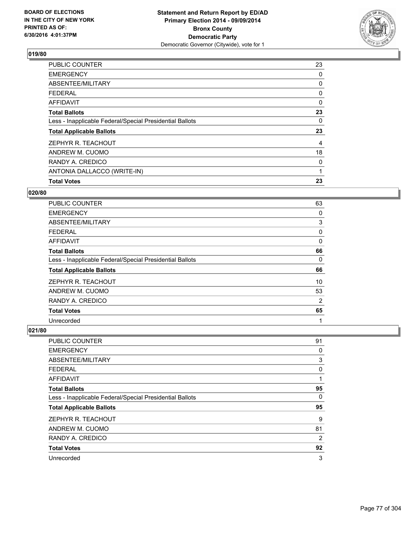

| <b>PUBLIC COUNTER</b>                                    | 23 |
|----------------------------------------------------------|----|
| <b>EMERGENCY</b>                                         | 0  |
| ABSENTEE/MILITARY                                        | 0  |
| <b>FEDERAL</b>                                           | 0  |
| AFFIDAVIT                                                | 0  |
| <b>Total Ballots</b>                                     | 23 |
| Less - Inapplicable Federal/Special Presidential Ballots | 0  |
| <b>Total Applicable Ballots</b>                          | 23 |
| ZEPHYR R. TEACHOUT                                       | 4  |
| ANDREW M. CUOMO                                          | 18 |
| RANDY A. CREDICO                                         | 0  |
| ANTONIA DALLACCO (WRITE-IN)                              |    |
| <b>Total Votes</b>                                       | 23 |

### **020/80**

| PUBLIC COUNTER                                           | 63 |
|----------------------------------------------------------|----|
| <b>EMERGENCY</b>                                         | 0  |
| ABSENTEE/MILITARY                                        | 3  |
| <b>FEDERAL</b>                                           | 0  |
| AFFIDAVIT                                                | 0  |
| <b>Total Ballots</b>                                     | 66 |
| Less - Inapplicable Federal/Special Presidential Ballots | 0  |
| <b>Total Applicable Ballots</b>                          | 66 |
| ZEPHYR R. TEACHOUT                                       | 10 |
| ANDREW M. CUOMO                                          | 53 |
| RANDY A. CREDICO                                         | 2  |
| <b>Total Votes</b>                                       | 65 |
| Unrecorded                                               | 1  |

| PUBLIC COUNTER                                           | 91 |
|----------------------------------------------------------|----|
| <b>EMERGENCY</b>                                         | 0  |
| ABSENTEE/MILITARY                                        | 3  |
| <b>FEDERAL</b>                                           | 0  |
| <b>AFFIDAVIT</b>                                         |    |
| <b>Total Ballots</b>                                     | 95 |
| Less - Inapplicable Federal/Special Presidential Ballots | 0  |
| <b>Total Applicable Ballots</b>                          | 95 |
| ZEPHYR R. TEACHOUT                                       | 9  |
| ANDREW M. CUOMO                                          | 81 |
| RANDY A. CREDICO                                         | 2  |
| <b>Total Votes</b>                                       | 92 |
| Unrecorded                                               | 3  |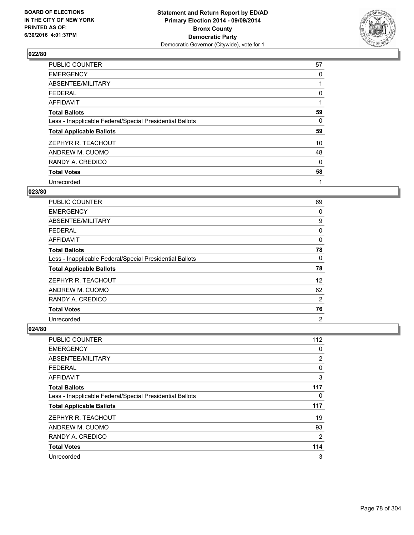

| <b>PUBLIC COUNTER</b>                                    | 57 |
|----------------------------------------------------------|----|
| <b>EMERGENCY</b>                                         | 0  |
| ABSENTEE/MILITARY                                        |    |
| <b>FEDERAL</b>                                           | 0  |
| AFFIDAVIT                                                | 1  |
| <b>Total Ballots</b>                                     | 59 |
| Less - Inapplicable Federal/Special Presidential Ballots | 0  |
| <b>Total Applicable Ballots</b>                          | 59 |
| ZEPHYR R. TEACHOUT                                       | 10 |
| ANDREW M. CUOMO                                          | 48 |
| RANDY A. CREDICO                                         | 0  |
| <b>Total Votes</b>                                       | 58 |
| Unrecorded                                               | 1  |

# **023/80**

| <b>PUBLIC COUNTER</b>                                    | 69             |
|----------------------------------------------------------|----------------|
| <b>EMERGENCY</b>                                         | 0              |
| ABSENTEE/MILITARY                                        | 9              |
| <b>FEDERAL</b>                                           | 0              |
| AFFIDAVIT                                                | 0              |
| <b>Total Ballots</b>                                     | 78             |
| Less - Inapplicable Federal/Special Presidential Ballots | 0              |
| <b>Total Applicable Ballots</b>                          | 78             |
| ZEPHYR R. TEACHOUT                                       | 12             |
| ANDREW M. CUOMO                                          | 62             |
| RANDY A. CREDICO                                         | 2              |
| <b>Total Votes</b>                                       | 76             |
| Unrecorded                                               | $\overline{2}$ |

| PUBLIC COUNTER                                           | 112 |
|----------------------------------------------------------|-----|
| <b>EMERGENCY</b>                                         | 0   |
| ABSENTEE/MILITARY                                        | 2   |
| <b>FEDERAL</b>                                           | 0   |
| AFFIDAVIT                                                | 3   |
| <b>Total Ballots</b>                                     | 117 |
| Less - Inapplicable Federal/Special Presidential Ballots | 0   |
| <b>Total Applicable Ballots</b>                          | 117 |
| ZEPHYR R. TEACHOUT                                       | 19  |
| ANDREW M. CUOMO                                          | 93  |
| RANDY A. CREDICO                                         | 2   |
| <b>Total Votes</b>                                       | 114 |
| Unrecorded                                               | 3   |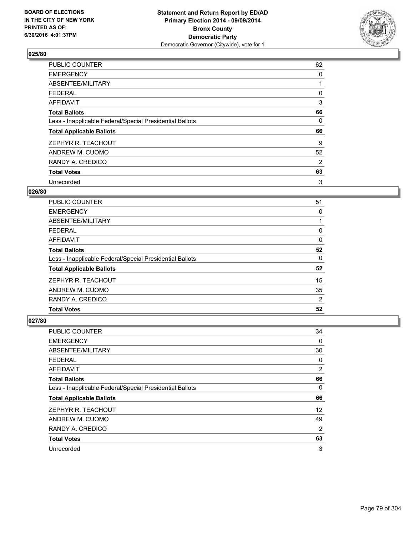

| <b>PUBLIC COUNTER</b>                                    | 62 |
|----------------------------------------------------------|----|
| <b>EMERGENCY</b>                                         | 0  |
| ABSENTEE/MILITARY                                        |    |
| <b>FEDERAL</b>                                           | 0  |
| AFFIDAVIT                                                | 3  |
| <b>Total Ballots</b>                                     | 66 |
| Less - Inapplicable Federal/Special Presidential Ballots | 0  |
| <b>Total Applicable Ballots</b>                          | 66 |
| ZEPHYR R. TEACHOUT                                       | 9  |
| ANDREW M. CUOMO                                          | 52 |
| RANDY A. CREDICO                                         | 2  |
| <b>Total Votes</b>                                       | 63 |
| Unrecorded                                               | 3  |

### **026/80**

| PUBLIC COUNTER                                           | 51 |
|----------------------------------------------------------|----|
| <b>EMERGENCY</b>                                         | 0  |
| ABSENTEE/MILITARY                                        |    |
| <b>FEDERAL</b>                                           | 0  |
| AFFIDAVIT                                                | 0  |
| <b>Total Ballots</b>                                     | 52 |
| Less - Inapplicable Federal/Special Presidential Ballots | 0  |
| <b>Total Applicable Ballots</b>                          | 52 |
| ZEPHYR R. TEACHOUT                                       | 15 |
| ANDREW M. CUOMO                                          | 35 |
| RANDY A. CREDICO                                         | 2  |
| <b>Total Votes</b>                                       | 52 |

| PUBLIC COUNTER                                           | 34             |
|----------------------------------------------------------|----------------|
| <b>EMERGENCY</b>                                         | $\Omega$       |
| ABSENTEE/MILITARY                                        | 30             |
| <b>FEDERAL</b>                                           | 0              |
| AFFIDAVIT                                                | 2              |
| <b>Total Ballots</b>                                     | 66             |
| Less - Inapplicable Federal/Special Presidential Ballots | 0              |
| <b>Total Applicable Ballots</b>                          | 66             |
| ZEPHYR R. TEACHOUT                                       | 12             |
| ANDREW M. CUOMO                                          | 49             |
| RANDY A. CREDICO                                         | $\overline{2}$ |
| <b>Total Votes</b>                                       | 63             |
| Unrecorded                                               | 3              |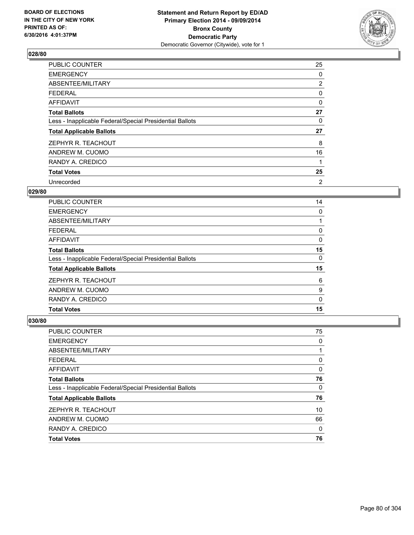

| PUBLIC COUNTER                                           | 25             |
|----------------------------------------------------------|----------------|
| <b>EMERGENCY</b>                                         | 0              |
| ABSENTEE/MILITARY                                        | $\overline{2}$ |
| <b>FEDERAL</b>                                           | 0              |
| <b>AFFIDAVIT</b>                                         | 0              |
| <b>Total Ballots</b>                                     | 27             |
| Less - Inapplicable Federal/Special Presidential Ballots | 0              |
| <b>Total Applicable Ballots</b>                          | 27             |
| ZEPHYR R. TEACHOUT                                       | 8              |
| ANDREW M. CUOMO                                          | 16             |
| RANDY A. CREDICO                                         | 1              |
| <b>Total Votes</b>                                       | 25             |
| Unrecorded                                               | 2              |

# **029/80**

| <b>PUBLIC COUNTER</b>                                    | 14 |
|----------------------------------------------------------|----|
| <b>EMERGENCY</b>                                         | 0  |
| ABSENTEE/MILITARY                                        |    |
| <b>FEDERAL</b>                                           | 0  |
| AFFIDAVIT                                                | 0  |
| <b>Total Ballots</b>                                     | 15 |
| Less - Inapplicable Federal/Special Presidential Ballots | 0  |
| <b>Total Applicable Ballots</b>                          | 15 |
| ZEPHYR R. TEACHOUT                                       | 6  |
| ANDREW M. CUOMO                                          | 9  |
| RANDY A. CREDICO                                         | 0  |
| <b>Total Votes</b>                                       | 15 |

| <b>PUBLIC COUNTER</b>                                    | 75 |
|----------------------------------------------------------|----|
| <b>EMERGENCY</b>                                         | 0  |
| ABSENTEE/MILITARY                                        |    |
| <b>FEDERAL</b>                                           | 0  |
| <b>AFFIDAVIT</b>                                         | 0  |
| <b>Total Ballots</b>                                     | 76 |
| Less - Inapplicable Federal/Special Presidential Ballots | 0  |
| <b>Total Applicable Ballots</b>                          | 76 |
| ZEPHYR R. TEACHOUT                                       | 10 |
| ANDREW M. CUOMO                                          | 66 |
| RANDY A. CREDICO                                         | 0  |
| <b>Total Votes</b>                                       | 76 |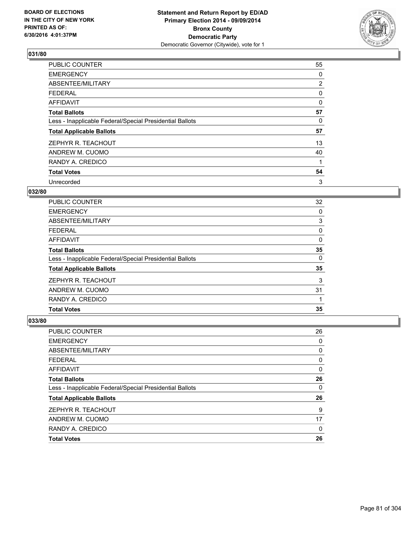

| <b>PUBLIC COUNTER</b>                                    | 55             |
|----------------------------------------------------------|----------------|
| <b>EMERGENCY</b>                                         | 0              |
| ABSENTEE/MILITARY                                        | $\overline{2}$ |
| <b>FEDERAL</b>                                           | 0              |
| <b>AFFIDAVIT</b>                                         | 0              |
| <b>Total Ballots</b>                                     | 57             |
| Less - Inapplicable Federal/Special Presidential Ballots | 0              |
| <b>Total Applicable Ballots</b>                          | 57             |
| ZEPHYR R. TEACHOUT                                       | 13             |
| ANDREW M. CUOMO                                          | 40             |
| RANDY A. CREDICO                                         |                |
| <b>Total Votes</b>                                       | 54             |
| Unrecorded                                               | 3              |

# **032/80**

| <b>PUBLIC COUNTER</b>                                    | 32 |
|----------------------------------------------------------|----|
| <b>EMERGENCY</b>                                         | 0  |
| ABSENTEE/MILITARY                                        | 3  |
| <b>FEDERAL</b>                                           | 0  |
| AFFIDAVIT                                                | 0  |
| <b>Total Ballots</b>                                     | 35 |
| Less - Inapplicable Federal/Special Presidential Ballots | 0  |
| <b>Total Applicable Ballots</b>                          | 35 |
| ZEPHYR R. TEACHOUT                                       | 3  |
| ANDREW M. CUOMO                                          | 31 |
| RANDY A. CREDICO                                         |    |
| <b>Total Votes</b>                                       | 35 |

| PUBLIC COUNTER                                           | 26 |
|----------------------------------------------------------|----|
| <b>EMERGENCY</b>                                         | 0  |
| ABSENTEE/MILITARY                                        | 0  |
| <b>FEDERAL</b>                                           | 0  |
| <b>AFFIDAVIT</b>                                         | 0  |
| <b>Total Ballots</b>                                     | 26 |
| Less - Inapplicable Federal/Special Presidential Ballots | 0  |
| <b>Total Applicable Ballots</b>                          | 26 |
| ZEPHYR R. TEACHOUT                                       | 9  |
| ANDREW M. CUOMO                                          | 17 |
| RANDY A. CREDICO                                         | 0  |
| <b>Total Votes</b>                                       | 26 |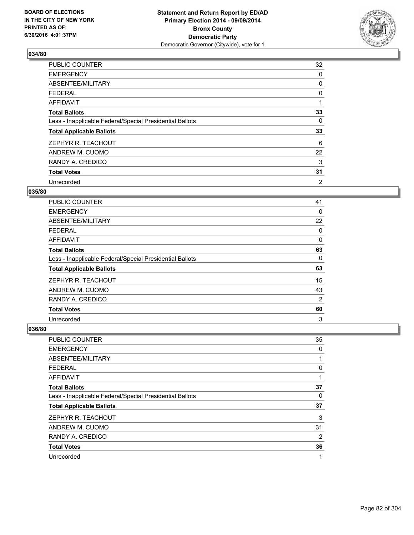

| <b>PUBLIC COUNTER</b>                                    | 32 |
|----------------------------------------------------------|----|
| <b>EMERGENCY</b>                                         | 0  |
| ABSENTEE/MILITARY                                        | 0  |
| <b>FEDERAL</b>                                           | 0  |
| AFFIDAVIT                                                |    |
| <b>Total Ballots</b>                                     | 33 |
| Less - Inapplicable Federal/Special Presidential Ballots | 0  |
| <b>Total Applicable Ballots</b>                          | 33 |
| ZEPHYR R. TEACHOUT                                       | 6  |
| ANDREW M. CUOMO                                          | 22 |
| RANDY A. CREDICO                                         | 3  |
| <b>Total Votes</b>                                       | 31 |
| Unrecorded                                               | 2  |

# **035/80**

| <b>PUBLIC COUNTER</b>                                    | 41 |
|----------------------------------------------------------|----|
| <b>EMERGENCY</b>                                         | 0  |
| ABSENTEE/MILITARY                                        | 22 |
| <b>FEDERAL</b>                                           | 0  |
| AFFIDAVIT                                                | 0  |
| <b>Total Ballots</b>                                     | 63 |
| Less - Inapplicable Federal/Special Presidential Ballots | 0  |
| <b>Total Applicable Ballots</b>                          | 63 |
| ZEPHYR R. TEACHOUT                                       | 15 |
| ANDREW M. CUOMO                                          | 43 |
| RANDY A. CREDICO                                         | 2  |
| <b>Total Votes</b>                                       | 60 |
| Unrecorded                                               | 3  |

| <b>PUBLIC COUNTER</b>                                    | 35 |
|----------------------------------------------------------|----|
| <b>EMERGENCY</b>                                         | 0  |
| ABSENTEE/MILITARY                                        | 1  |
| <b>FEDERAL</b>                                           | 0  |
| AFFIDAVIT                                                | 1  |
| <b>Total Ballots</b>                                     | 37 |
| Less - Inapplicable Federal/Special Presidential Ballots | 0  |
| <b>Total Applicable Ballots</b>                          | 37 |
| ZEPHYR R. TEACHOUT                                       | 3  |
| ANDREW M. CUOMO                                          | 31 |
| RANDY A. CREDICO                                         | 2  |
| <b>Total Votes</b>                                       | 36 |
| Unrecorded                                               | 1  |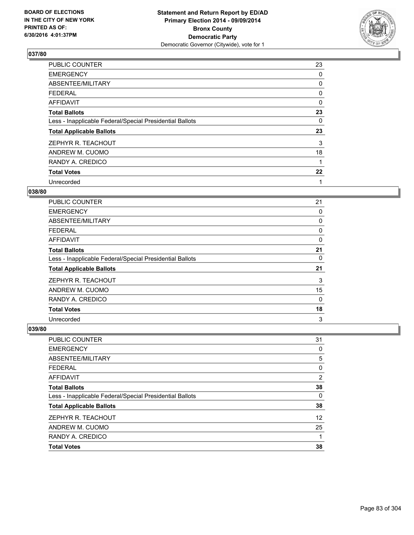

| PUBLIC COUNTER                                           | 23 |
|----------------------------------------------------------|----|
| <b>EMERGENCY</b>                                         | 0  |
| ABSENTEE/MILITARY                                        | 0  |
| <b>FEDERAL</b>                                           | 0  |
| AFFIDAVIT                                                | 0  |
| <b>Total Ballots</b>                                     | 23 |
| Less - Inapplicable Federal/Special Presidential Ballots | 0  |
| <b>Total Applicable Ballots</b>                          | 23 |
| ZEPHYR R. TEACHOUT                                       | 3  |
| ANDREW M. CUOMO                                          | 18 |
| RANDY A. CREDICO                                         | 1  |
| <b>Total Votes</b>                                       | 22 |
| Unrecorded                                               | 1  |

## **038/80**

| <b>PUBLIC COUNTER</b>                                    | 21 |
|----------------------------------------------------------|----|
| <b>EMERGENCY</b>                                         | 0  |
| ABSENTEE/MILITARY                                        | 0  |
| <b>FEDERAL</b>                                           | 0  |
| AFFIDAVIT                                                | 0  |
| <b>Total Ballots</b>                                     | 21 |
| Less - Inapplicable Federal/Special Presidential Ballots | 0  |
| <b>Total Applicable Ballots</b>                          | 21 |
| ZEPHYR R. TEACHOUT                                       | 3  |
| ANDREW M. CUOMO                                          | 15 |
| RANDY A. CREDICO                                         | 0  |
| <b>Total Votes</b>                                       | 18 |
| Unrecorded                                               | 3  |

| PUBLIC COUNTER                                           | 31 |
|----------------------------------------------------------|----|
| <b>EMERGENCY</b>                                         | 0  |
| ABSENTEE/MILITARY                                        | 5  |
| <b>FEDERAL</b>                                           | 0  |
| <b>AFFIDAVIT</b>                                         | 2  |
| <b>Total Ballots</b>                                     | 38 |
| Less - Inapplicable Federal/Special Presidential Ballots | 0  |
| <b>Total Applicable Ballots</b>                          | 38 |
| ZEPHYR R. TEACHOUT                                       | 12 |
| ANDREW M. CUOMO                                          | 25 |
| RANDY A. CREDICO                                         | 1  |
| <b>Total Votes</b>                                       | 38 |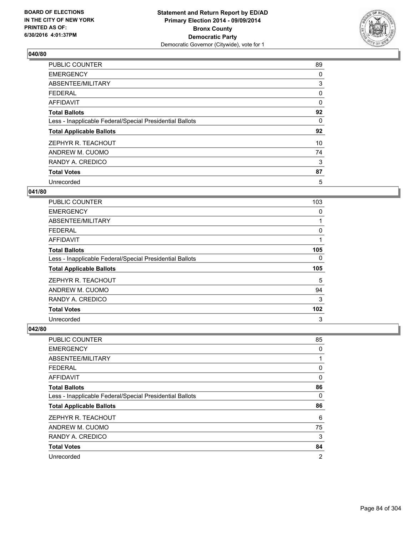

| PUBLIC COUNTER                                           | 89 |
|----------------------------------------------------------|----|
| <b>EMERGENCY</b>                                         | 0  |
| ABSENTEE/MILITARY                                        | 3  |
| <b>FEDERAL</b>                                           | 0  |
| AFFIDAVIT                                                | 0  |
| <b>Total Ballots</b>                                     | 92 |
| Less - Inapplicable Federal/Special Presidential Ballots | 0  |
| <b>Total Applicable Ballots</b>                          | 92 |
| ZEPHYR R. TEACHOUT                                       | 10 |
| ANDREW M. CUOMO                                          | 74 |
| RANDY A. CREDICO                                         | 3  |
| <b>Total Votes</b>                                       | 87 |
| Unrecorded                                               | 5  |

## **041/80**

| PUBLIC COUNTER                                           | 103 |
|----------------------------------------------------------|-----|
| <b>EMERGENCY</b>                                         | 0   |
| ABSENTEE/MILITARY                                        |     |
| <b>FEDERAL</b>                                           | 0   |
| AFFIDAVIT                                                |     |
| <b>Total Ballots</b>                                     | 105 |
| Less - Inapplicable Federal/Special Presidential Ballots | 0   |
| <b>Total Applicable Ballots</b>                          | 105 |
| ZEPHYR R. TEACHOUT                                       | 5   |
| ANDREW M. CUOMO                                          | 94  |
| RANDY A. CREDICO                                         | 3   |
| <b>Total Votes</b>                                       | 102 |
| Unrecorded                                               | 3   |

| PUBLIC COUNTER                                           | 85             |
|----------------------------------------------------------|----------------|
| <b>EMERGENCY</b>                                         | 0              |
| ABSENTEE/MILITARY                                        | 1              |
| <b>FEDERAL</b>                                           | 0              |
| AFFIDAVIT                                                | 0              |
| <b>Total Ballots</b>                                     | 86             |
| Less - Inapplicable Federal/Special Presidential Ballots | 0              |
| <b>Total Applicable Ballots</b>                          | 86             |
| ZEPHYR R. TEACHOUT                                       | 6              |
| ANDREW M. CUOMO                                          | 75             |
| RANDY A. CREDICO                                         | 3              |
| <b>Total Votes</b>                                       | 84             |
| Unrecorded                                               | $\overline{2}$ |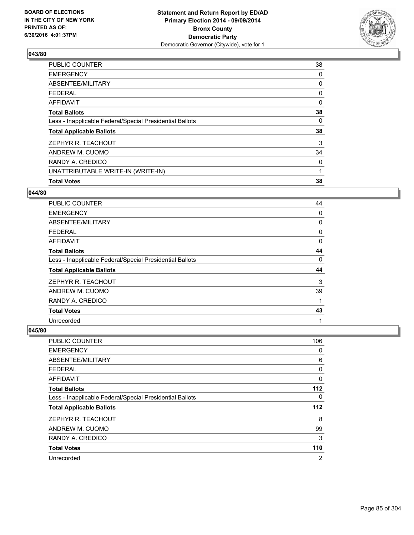

| 38       |
|----------|
| 0        |
| 0        |
| 0        |
| $\Omega$ |
| 38       |
| 0        |
| 38       |
| 3        |
| 34       |
| 0        |
| 1        |
| 38       |
|          |

#### **044/80**

| <b>PUBLIC COUNTER</b>                                    | 44 |
|----------------------------------------------------------|----|
| <b>EMERGENCY</b>                                         | 0  |
| ABSENTEE/MILITARY                                        | 0  |
| <b>FEDERAL</b>                                           | 0  |
| AFFIDAVIT                                                | 0  |
| <b>Total Ballots</b>                                     | 44 |
| Less - Inapplicable Federal/Special Presidential Ballots | 0  |
| <b>Total Applicable Ballots</b>                          | 44 |
| ZEPHYR R. TEACHOUT                                       | 3  |
| ANDREW M. CUOMO                                          | 39 |
| RANDY A. CREDICO                                         | 1  |
| <b>Total Votes</b>                                       | 43 |
| Unrecorded                                               | 1  |

| <b>PUBLIC COUNTER</b>                                    | 106            |
|----------------------------------------------------------|----------------|
| <b>EMERGENCY</b>                                         | 0              |
| ABSENTEE/MILITARY                                        | 6              |
| <b>FEDERAL</b>                                           | 0              |
| <b>AFFIDAVIT</b>                                         | 0              |
| <b>Total Ballots</b>                                     | 112            |
| Less - Inapplicable Federal/Special Presidential Ballots | 0              |
| <b>Total Applicable Ballots</b>                          | 112            |
| ZEPHYR R. TEACHOUT                                       | 8              |
| ANDREW M. CUOMO                                          | 99             |
| RANDY A. CREDICO                                         | 3              |
| <b>Total Votes</b>                                       | 110            |
| Unrecorded                                               | $\overline{2}$ |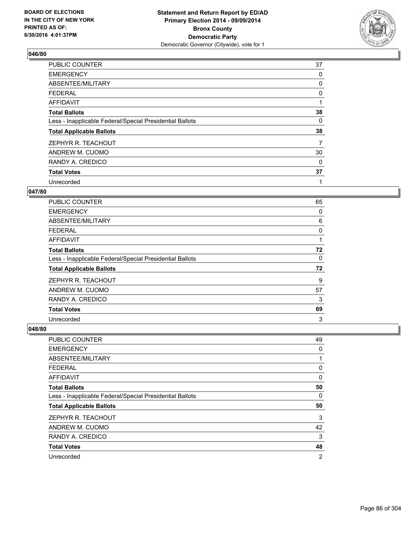

| PUBLIC COUNTER                                           | 37 |
|----------------------------------------------------------|----|
| <b>EMERGENCY</b>                                         | 0  |
| ABSENTEE/MILITARY                                        | 0  |
| <b>FEDERAL</b>                                           | 0  |
| <b>AFFIDAVIT</b>                                         | 1  |
| <b>Total Ballots</b>                                     | 38 |
| Less - Inapplicable Federal/Special Presidential Ballots | 0  |
| <b>Total Applicable Ballots</b>                          | 38 |
| ZEPHYR R. TEACHOUT                                       | 7  |
| ANDREW M. CUOMO                                          | 30 |
| RANDY A. CREDICO                                         | 0  |
| <b>Total Votes</b>                                       | 37 |
| Unrecorded                                               | 1  |

## **047/80**

| <b>PUBLIC COUNTER</b>                                    | 65 |
|----------------------------------------------------------|----|
| <b>EMERGENCY</b>                                         | 0  |
| ABSENTEE/MILITARY                                        | 6  |
| <b>FEDERAL</b>                                           | 0  |
| AFFIDAVIT                                                |    |
| <b>Total Ballots</b>                                     | 72 |
| Less - Inapplicable Federal/Special Presidential Ballots | 0  |
| <b>Total Applicable Ballots</b>                          | 72 |
| ZEPHYR R. TEACHOUT                                       | 9  |
| ANDREW M. CUOMO                                          | 57 |
| RANDY A. CREDICO                                         | 3  |
| <b>Total Votes</b>                                       | 69 |
| Unrecorded                                               | 3  |

| PUBLIC COUNTER                                           | 49 |
|----------------------------------------------------------|----|
| <b>EMERGENCY</b>                                         | 0  |
| ABSENTEE/MILITARY                                        | 1  |
| <b>FEDERAL</b>                                           | 0  |
| <b>AFFIDAVIT</b>                                         | 0  |
| <b>Total Ballots</b>                                     | 50 |
| Less - Inapplicable Federal/Special Presidential Ballots | 0  |
| <b>Total Applicable Ballots</b>                          | 50 |
| ZEPHYR R. TEACHOUT                                       | 3  |
| ANDREW M. CUOMO                                          | 42 |
| RANDY A. CREDICO                                         | 3  |
| <b>Total Votes</b>                                       | 48 |
| Unrecorded                                               | 2  |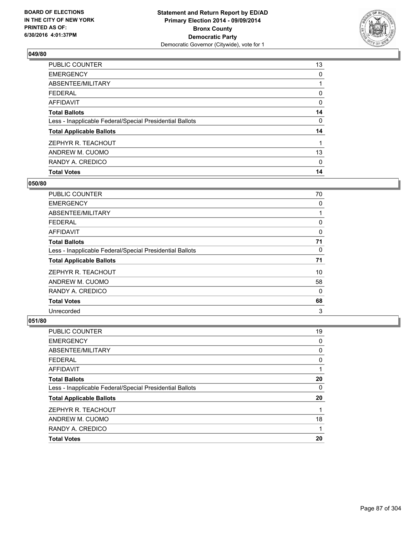

| <b>Total Votes</b>                                       | 14 |
|----------------------------------------------------------|----|
| RANDY A. CREDICO                                         | 0  |
| ANDREW M. CUOMO                                          | 13 |
| ZEPHYR R. TEACHOUT                                       |    |
| <b>Total Applicable Ballots</b>                          | 14 |
| Less - Inapplicable Federal/Special Presidential Ballots | 0  |
| <b>Total Ballots</b>                                     | 14 |
| AFFIDAVIT                                                | 0  |
| <b>FEDERAL</b>                                           | 0  |
| ABSENTEE/MILITARY                                        |    |
| <b>EMERGENCY</b>                                         | 0  |
| PUBLIC COUNTER                                           | 13 |

## **050/80**

| <b>PUBLIC COUNTER</b>                                    | 70 |
|----------------------------------------------------------|----|
| <b>EMERGENCY</b>                                         | 0  |
| ABSENTEE/MILITARY                                        |    |
| <b>FEDERAL</b>                                           | 0  |
| AFFIDAVIT                                                | 0  |
| <b>Total Ballots</b>                                     | 71 |
| Less - Inapplicable Federal/Special Presidential Ballots | 0  |
| <b>Total Applicable Ballots</b>                          | 71 |
| ZEPHYR R. TEACHOUT                                       | 10 |
| ANDREW M. CUOMO                                          | 58 |
| RANDY A. CREDICO                                         | 0  |
| <b>Total Votes</b>                                       | 68 |
| Unrecorded                                               | 3  |

| <b>PUBLIC COUNTER</b>                                    | 19 |
|----------------------------------------------------------|----|
| <b>EMERGENCY</b>                                         | 0  |
| ABSENTEE/MILITARY                                        | 0  |
| <b>FEDERAL</b>                                           | 0  |
| <b>AFFIDAVIT</b>                                         |    |
| <b>Total Ballots</b>                                     | 20 |
| Less - Inapplicable Federal/Special Presidential Ballots | 0  |
| <b>Total Applicable Ballots</b>                          | 20 |
| ZEPHYR R. TEACHOUT                                       |    |
| ANDREW M. CUOMO                                          | 18 |
| RANDY A. CREDICO                                         |    |
| <b>Total Votes</b>                                       | 20 |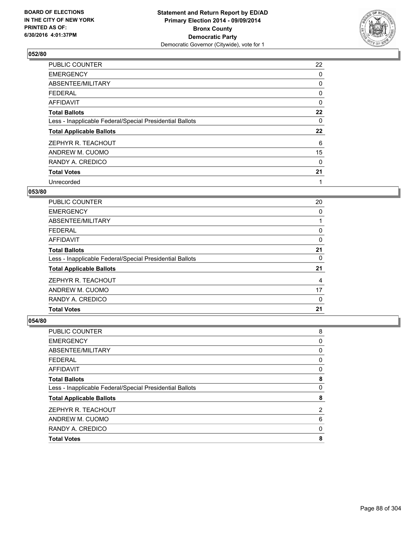

| PUBLIC COUNTER                                           | 22 |
|----------------------------------------------------------|----|
| <b>EMERGENCY</b>                                         | 0  |
| ABSENTEE/MILITARY                                        | 0  |
| <b>FEDERAL</b>                                           | 0  |
| AFFIDAVIT                                                | 0  |
| <b>Total Ballots</b>                                     | 22 |
| Less - Inapplicable Federal/Special Presidential Ballots | 0  |
| <b>Total Applicable Ballots</b>                          | 22 |
| ZEPHYR R. TEACHOUT                                       | 6  |
| ANDREW M. CUOMO                                          | 15 |
| RANDY A. CREDICO                                         | 0  |
| <b>Total Votes</b>                                       | 21 |
| Unrecorded                                               | 1  |

# **053/80**

| PUBLIC COUNTER                                           | 20 |
|----------------------------------------------------------|----|
| <b>EMERGENCY</b>                                         | 0  |
| ABSENTEE/MILITARY                                        |    |
| <b>FEDERAL</b>                                           | 0  |
| AFFIDAVIT                                                | 0  |
| <b>Total Ballots</b>                                     | 21 |
| Less - Inapplicable Federal/Special Presidential Ballots | 0  |
| <b>Total Applicable Ballots</b>                          | 21 |
| ZEPHYR R. TEACHOUT                                       | 4  |
| ANDREW M. CUOMO                                          | 17 |
| RANDY A. CREDICO                                         | 0  |
| <b>Total Votes</b>                                       | 21 |
|                                                          |    |

| <b>Total Votes</b>                                       | 8 |
|----------------------------------------------------------|---|
| RANDY A. CREDICO                                         | 0 |
| ANDREW M. CUOMO                                          | 6 |
| ZEPHYR R. TEACHOUT                                       | 2 |
| <b>Total Applicable Ballots</b>                          | 8 |
| Less - Inapplicable Federal/Special Presidential Ballots | 0 |
| <b>Total Ballots</b>                                     | 8 |
| <b>AFFIDAVIT</b>                                         | 0 |
| <b>FEDERAL</b>                                           | 0 |
| ABSENTEE/MILITARY                                        | 0 |
| <b>EMERGENCY</b>                                         | 0 |
| PUBLIC COUNTER                                           | 8 |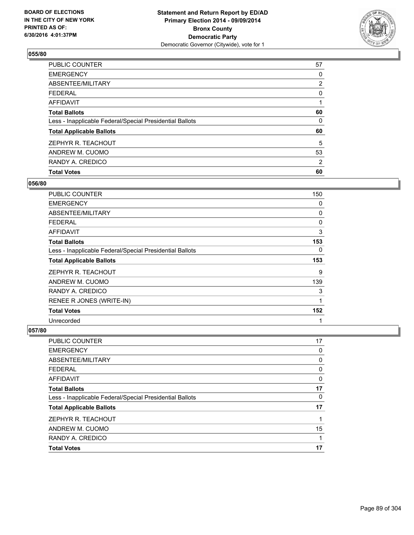

| <b>Total Votes</b>                                       | 60             |
|----------------------------------------------------------|----------------|
| RANDY A. CREDICO                                         | 2              |
| ANDREW M. CUOMO                                          | 53             |
| ZEPHYR R. TEACHOUT                                       | 5              |
| <b>Total Applicable Ballots</b>                          | 60             |
| Less - Inapplicable Federal/Special Presidential Ballots | 0              |
| <b>Total Ballots</b>                                     | 60             |
| <b>AFFIDAVIT</b>                                         |                |
| FEDERAL                                                  | 0              |
| ABSENTEE/MILITARY                                        | $\overline{2}$ |
| <b>EMERGENCY</b>                                         | 0              |
| PUBLIC COUNTER                                           | 57             |

## **056/80**

| PUBLIC COUNTER                                           | 150 |
|----------------------------------------------------------|-----|
| EMERGENCY                                                | 0   |
| ABSENTEE/MILITARY                                        | 0   |
| <b>FEDERAL</b>                                           | 0   |
| AFFIDAVIT                                                | 3   |
| <b>Total Ballots</b>                                     | 153 |
| Less - Inapplicable Federal/Special Presidential Ballots | 0   |
| <b>Total Applicable Ballots</b>                          |     |
|                                                          | 153 |
| ZEPHYR R. TEACHOUT                                       | 9   |
| ANDREW M. CUOMO                                          | 139 |
| RANDY A. CREDICO                                         | 3   |
| RENEE R JONES (WRITE-IN)                                 | 1   |
| <b>Total Votes</b>                                       | 152 |

| PUBLIC COUNTER                                           | 17 |
|----------------------------------------------------------|----|
| <b>EMERGENCY</b>                                         | 0  |
| <b>ABSENTEE/MILITARY</b>                                 | 0  |
| <b>FEDERAL</b>                                           | 0  |
| <b>AFFIDAVIT</b>                                         | 0  |
| <b>Total Ballots</b>                                     | 17 |
| Less - Inapplicable Federal/Special Presidential Ballots | 0  |
| <b>Total Applicable Ballots</b>                          | 17 |
| ZEPHYR R. TEACHOUT                                       |    |
| ANDREW M. CUOMO                                          | 15 |
| RANDY A. CREDICO                                         |    |
| <b>Total Votes</b>                                       | 17 |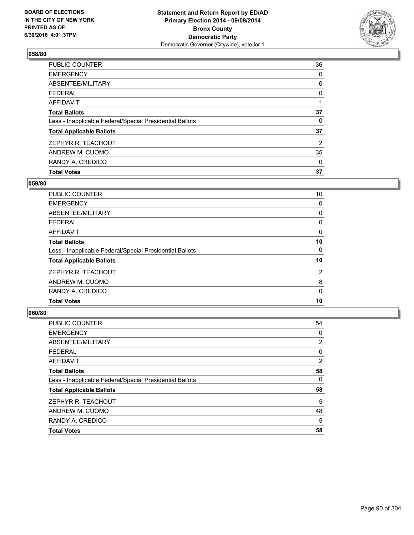

| <b>Total Votes</b>                                       | 37             |
|----------------------------------------------------------|----------------|
| RANDY A. CREDICO                                         | 0              |
| ANDREW M. CUOMO                                          | 35             |
| ZEPHYR R. TEACHOUT                                       | $\overline{2}$ |
| <b>Total Applicable Ballots</b>                          | 37             |
| Less - Inapplicable Federal/Special Presidential Ballots | 0              |
| <b>Total Ballots</b>                                     | 37             |
| <b>AFFIDAVIT</b>                                         |                |
| <b>FEDERAL</b>                                           | 0              |
| ABSENTEE/MILITARY                                        | 0              |
| <b>EMERGENCY</b>                                         | 0              |
| PUBLIC COUNTER                                           | 36             |

## **059/80**

| <b>PUBLIC COUNTER</b>                                    | 10             |
|----------------------------------------------------------|----------------|
| <b>EMERGENCY</b>                                         | 0              |
| ABSENTEE/MILITARY                                        | 0              |
| <b>FEDERAL</b>                                           | 0              |
| AFFIDAVIT                                                | 0              |
| <b>Total Ballots</b>                                     | 10             |
| Less - Inapplicable Federal/Special Presidential Ballots | 0              |
| <b>Total Applicable Ballots</b>                          | 10             |
| ZEPHYR R. TEACHOUT                                       | $\overline{2}$ |
| ANDREW M. CUOMO                                          | 8              |
| RANDY A. CREDICO                                         | 0              |
| <b>Total Votes</b>                                       | 10             |
|                                                          |                |

| PUBLIC COUNTER                                           | 54 |
|----------------------------------------------------------|----|
| <b>EMERGENCY</b>                                         | 0  |
| ABSENTEE/MILITARY                                        | 2  |
| <b>FEDERAL</b>                                           | 0  |
| <b>AFFIDAVIT</b>                                         | 2  |
| <b>Total Ballots</b>                                     | 58 |
| Less - Inapplicable Federal/Special Presidential Ballots | 0  |
| <b>Total Applicable Ballots</b>                          | 58 |
| ZEPHYR R. TEACHOUT                                       | 5  |
| ANDREW M. CUOMO                                          | 48 |
| RANDY A. CREDICO                                         | 5  |
| <b>Total Votes</b>                                       | 58 |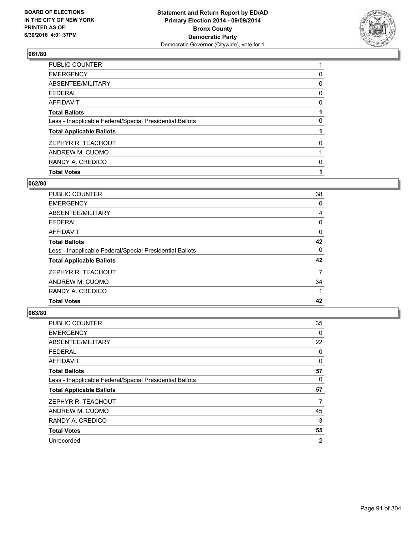

| <b>Total Votes</b>                                       |   |
|----------------------------------------------------------|---|
| RANDY A. CREDICO                                         | 0 |
| ANDREW M. CUOMO                                          |   |
| ZEPHYR R. TEACHOUT                                       | 0 |
| <b>Total Applicable Ballots</b>                          |   |
| Less - Inapplicable Federal/Special Presidential Ballots | 0 |
| <b>Total Ballots</b>                                     |   |
| <b>AFFIDAVIT</b>                                         | 0 |
| <b>FEDERAL</b>                                           | 0 |
| ABSENTEE/MILITARY                                        | 0 |
| <b>EMERGENCY</b>                                         | 0 |
| <b>PUBLIC COUNTER</b>                                    |   |

## **062/80**

| <b>PUBLIC COUNTER</b>                                    | 38       |
|----------------------------------------------------------|----------|
| <b>EMERGENCY</b>                                         | 0        |
| ABSENTEE/MILITARY                                        | 4        |
| <b>FEDERAL</b>                                           | 0        |
| AFFIDAVIT                                                | $\Omega$ |
| <b>Total Ballots</b>                                     | 42       |
| Less - Inapplicable Federal/Special Presidential Ballots | 0        |
| <b>Total Applicable Ballots</b>                          | 42       |
| ZEPHYR R. TEACHOUT                                       | 7        |
| ANDREW M. CUOMO                                          | 34       |
| RANDY A. CREDICO                                         |          |
| <b>Total Votes</b>                                       | 42       |
|                                                          |          |

| PUBLIC COUNTER                                           | 35       |
|----------------------------------------------------------|----------|
| <b>EMERGENCY</b>                                         | $\Omega$ |
| ABSENTEE/MILITARY                                        | 22       |
| <b>FEDERAL</b>                                           | 0        |
| <b>AFFIDAVIT</b>                                         | 0        |
| <b>Total Ballots</b>                                     | 57       |
| Less - Inapplicable Federal/Special Presidential Ballots | 0        |
| <b>Total Applicable Ballots</b>                          | 57       |
| ZEPHYR R. TEACHOUT                                       | 7        |
| ANDREW M. CUOMO                                          | 45       |
| RANDY A. CREDICO                                         | 3        |
| <b>Total Votes</b>                                       | 55       |
| Unrecorded                                               | 2        |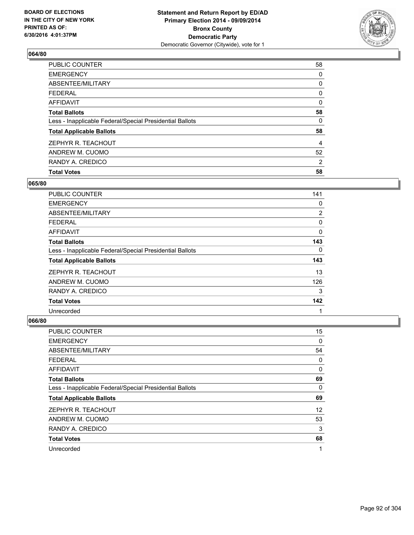

| PUBLIC COUNTER                                           | 58 |
|----------------------------------------------------------|----|
| <b>EMERGENCY</b>                                         | 0  |
| ABSENTEE/MILITARY                                        | 0  |
| <b>FEDERAL</b>                                           | 0  |
| <b>AFFIDAVIT</b>                                         | 0  |
| <b>Total Ballots</b>                                     | 58 |
| Less - Inapplicable Federal/Special Presidential Ballots | 0  |
| <b>Total Applicable Ballots</b>                          | 58 |
| ZEPHYR R. TEACHOUT                                       | 4  |
| ANDREW M. CUOMO                                          | 52 |
| RANDY A. CREDICO                                         | 2  |
| <b>Total Votes</b>                                       | 58 |

## **065/80**

| <b>PUBLIC COUNTER</b>                                    | 141      |
|----------------------------------------------------------|----------|
| <b>EMERGENCY</b>                                         | 0        |
| ABSENTEE/MILITARY                                        | 2        |
| <b>FEDERAL</b>                                           | 0        |
| AFFIDAVIT                                                | 0        |
| <b>Total Ballots</b>                                     | 143      |
| Less - Inapplicable Federal/Special Presidential Ballots | $\Omega$ |
| <b>Total Applicable Ballots</b>                          | 143      |
| ZEPHYR R. TEACHOUT                                       | 13       |
| ANDREW M. CUOMO                                          | 126      |
| RANDY A. CREDICO                                         | 3        |
| <b>Total Votes</b>                                       | 142      |
| Unrecorded                                               | 1        |

| PUBLIC COUNTER                                           | 15                |
|----------------------------------------------------------|-------------------|
| <b>EMERGENCY</b>                                         | 0                 |
| ABSENTEE/MILITARY                                        | 54                |
| <b>FEDERAL</b>                                           | 0                 |
| AFFIDAVIT                                                | 0                 |
| <b>Total Ballots</b>                                     | 69                |
| Less - Inapplicable Federal/Special Presidential Ballots | 0                 |
| <b>Total Applicable Ballots</b>                          | 69                |
| ZEPHYR R. TEACHOUT                                       | $12 \overline{ }$ |
| ANDREW M. CUOMO                                          | 53                |
| RANDY A. CREDICO                                         | 3                 |
| <b>Total Votes</b>                                       | 68                |
| Unrecorded                                               | 1                 |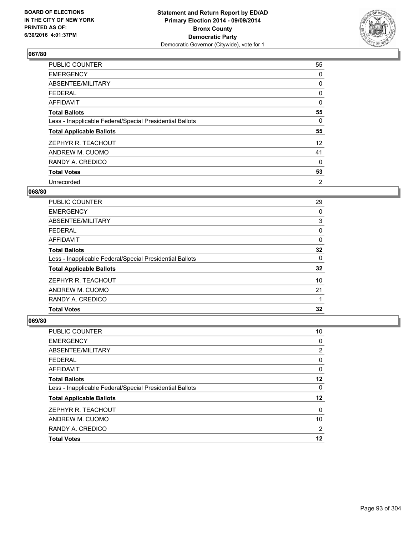

| <b>PUBLIC COUNTER</b>                                    | 55 |
|----------------------------------------------------------|----|
| <b>EMERGENCY</b>                                         | 0  |
| ABSENTEE/MILITARY                                        | 0  |
| <b>FEDERAL</b>                                           | 0  |
| AFFIDAVIT                                                | 0  |
| <b>Total Ballots</b>                                     | 55 |
| Less - Inapplicable Federal/Special Presidential Ballots | 0  |
| <b>Total Applicable Ballots</b>                          | 55 |
| ZEPHYR R. TEACHOUT                                       | 12 |
| ANDREW M. CUOMO                                          | 41 |
| RANDY A. CREDICO                                         | 0  |
| <b>Total Votes</b>                                       | 53 |
| Unrecorded                                               | 2  |

### **068/80**

| PUBLIC COUNTER                                           | 29 |
|----------------------------------------------------------|----|
| <b>EMERGENCY</b>                                         | 0  |
| ABSENTEE/MILITARY                                        | 3  |
| <b>FEDERAL</b>                                           | 0  |
| AFFIDAVIT                                                | 0  |
| <b>Total Ballots</b>                                     | 32 |
| Less - Inapplicable Federal/Special Presidential Ballots | 0  |
| <b>Total Applicable Ballots</b>                          | 32 |
| ZEPHYR R. TEACHOUT                                       | 10 |
| ANDREW M. CUOMO                                          | 21 |
| RANDY A. CREDICO                                         |    |
| <b>Total Votes</b>                                       | 32 |

| PUBLIC COUNTER                                           | 10      |
|----------------------------------------------------------|---------|
| <b>EMERGENCY</b>                                         | 0       |
| ABSENTEE/MILITARY                                        | 2       |
| <b>FEDERAL</b>                                           | 0       |
| <b>AFFIDAVIT</b>                                         | 0       |
| <b>Total Ballots</b>                                     | 12      |
| Less - Inapplicable Federal/Special Presidential Ballots | 0       |
| <b>Total Applicable Ballots</b>                          | $12 \,$ |
| ZEPHYR R. TEACHOUT                                       | 0       |
| ANDREW M. CUOMO                                          | 10      |
| RANDY A. CREDICO                                         | 2       |
| <b>Total Votes</b>                                       | 12      |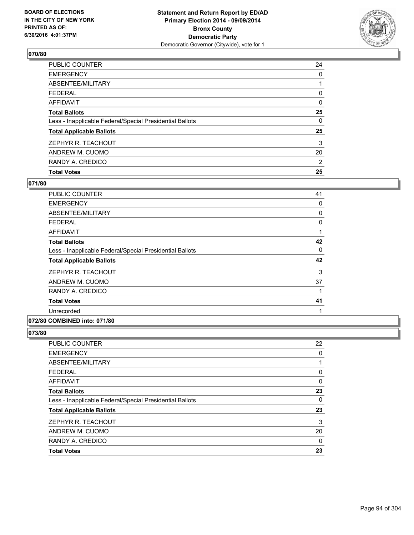

| PUBLIC COUNTER                                           | 24             |
|----------------------------------------------------------|----------------|
| <b>EMERGENCY</b>                                         | 0              |
| ABSENTEE/MILITARY                                        |                |
| <b>FEDERAL</b>                                           | 0              |
| <b>AFFIDAVIT</b>                                         | 0              |
| <b>Total Ballots</b>                                     | 25             |
| Less - Inapplicable Federal/Special Presidential Ballots | 0              |
| <b>Total Applicable Ballots</b>                          | 25             |
| ZEPHYR R. TEACHOUT                                       | 3              |
| ANDREW M. CUOMO                                          | 20             |
| RANDY A. CREDICO                                         | $\overline{2}$ |
| <b>Total Votes</b>                                       | 25             |

## **071/80**

| 41 |
|----|
| 0  |
| 0  |
| 0  |
| 1  |
| 42 |
| 0  |
| 42 |
| 3  |
| 37 |
| 1  |
| 41 |
| 1  |
|    |

#### **072/80 COMBINED into: 071/80**

| PUBLIC COUNTER                                           | 22 |
|----------------------------------------------------------|----|
| <b>EMERGENCY</b>                                         | 0  |
| ABSENTEE/MILITARY                                        |    |
| <b>FEDERAL</b>                                           | 0  |
| <b>AFFIDAVIT</b>                                         | 0  |
| <b>Total Ballots</b>                                     | 23 |
| Less - Inapplicable Federal/Special Presidential Ballots | 0  |
| <b>Total Applicable Ballots</b>                          | 23 |
| ZEPHYR R. TEACHOUT                                       | 3  |
| ANDREW M. CUOMO                                          | 20 |
| RANDY A. CREDICO                                         | 0  |
| <b>Total Votes</b>                                       | 23 |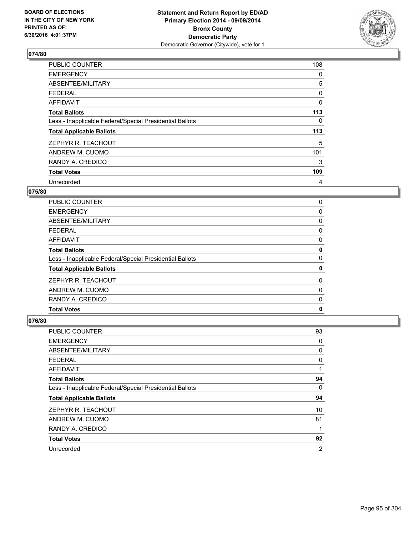

| <b>PUBLIC COUNTER</b>                                    | 108      |
|----------------------------------------------------------|----------|
| <b>EMERGENCY</b>                                         | 0        |
| ABSENTEE/MILITARY                                        | 5        |
| <b>FEDERAL</b>                                           | 0        |
| <b>AFFIDAVIT</b>                                         | $\Omega$ |
| <b>Total Ballots</b>                                     | 113      |
| Less - Inapplicable Federal/Special Presidential Ballots | 0        |
| <b>Total Applicable Ballots</b>                          | 113      |
| ZEPHYR R. TEACHOUT                                       | 5        |
| ANDREW M. CUOMO                                          | 101      |
| RANDY A. CREDICO                                         | 3        |
| <b>Total Votes</b>                                       | 109      |
| Unrecorded                                               | 4        |

# **075/80**

| <b>PUBLIC COUNTER</b>                                    | 0 |
|----------------------------------------------------------|---|
| <b>EMERGENCY</b>                                         | 0 |
| ABSENTEE/MILITARY                                        | 0 |
| <b>FEDERAL</b>                                           | 0 |
| AFFIDAVIT                                                | 0 |
| <b>Total Ballots</b>                                     | 0 |
| Less - Inapplicable Federal/Special Presidential Ballots | 0 |
| <b>Total Applicable Ballots</b>                          | 0 |
| ZEPHYR R. TEACHOUT                                       | 0 |
| ANDREW M. CUOMO                                          | 0 |
| RANDY A. CREDICO                                         | 0 |
| <b>Total Votes</b>                                       | 0 |
|                                                          |   |

| PUBLIC COUNTER                                           | 93             |
|----------------------------------------------------------|----------------|
| <b>EMERGENCY</b>                                         | 0              |
| ABSENTEE/MILITARY                                        | 0              |
| <b>FEDERAL</b>                                           | 0              |
| AFFIDAVIT                                                | 1              |
| <b>Total Ballots</b>                                     | 94             |
| Less - Inapplicable Federal/Special Presidential Ballots | 0              |
| <b>Total Applicable Ballots</b>                          | 94             |
| ZEPHYR R. TEACHOUT                                       | 10             |
| ANDREW M. CUOMO                                          | 81             |
| RANDY A. CREDICO                                         | 1              |
| <b>Total Votes</b>                                       | 92             |
| Unrecorded                                               | $\overline{2}$ |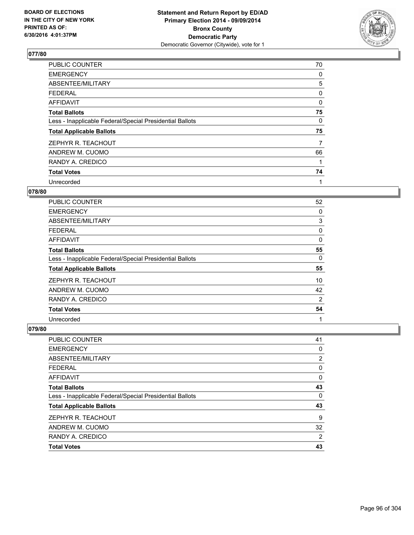

| PUBLIC COUNTER                                           | 70 |
|----------------------------------------------------------|----|
| <b>EMERGENCY</b>                                         | 0  |
| ABSENTEE/MILITARY                                        | 5  |
| <b>FEDERAL</b>                                           | 0  |
| <b>AFFIDAVIT</b>                                         | 0  |
| <b>Total Ballots</b>                                     | 75 |
| Less - Inapplicable Federal/Special Presidential Ballots | 0  |
| <b>Total Applicable Ballots</b>                          | 75 |
| ZEPHYR R. TEACHOUT                                       | 7  |
| ANDREW M. CUOMO                                          | 66 |
| RANDY A. CREDICO                                         |    |
| <b>Total Votes</b>                                       | 74 |
| Unrecorded                                               | 1  |

#### **078/80**

| <b>PUBLIC COUNTER</b>                                    | 52 |
|----------------------------------------------------------|----|
| <b>EMERGENCY</b>                                         | 0  |
| ABSENTEE/MILITARY                                        | 3  |
| <b>FEDERAL</b>                                           | 0  |
| AFFIDAVIT                                                | 0  |
| <b>Total Ballots</b>                                     | 55 |
| Less - Inapplicable Federal/Special Presidential Ballots | 0  |
| <b>Total Applicable Ballots</b>                          | 55 |
| ZEPHYR R. TEACHOUT                                       | 10 |
| ANDREW M. CUOMO                                          | 42 |
| RANDY A. CREDICO                                         | 2  |
| <b>Total Votes</b>                                       | 54 |
| Unrecorded                                               | 1  |

| PUBLIC COUNTER                                           | 41             |
|----------------------------------------------------------|----------------|
| <b>EMERGENCY</b>                                         | 0              |
| ABSENTEE/MILITARY                                        | 2              |
| FEDERAL                                                  | 0              |
| <b>AFFIDAVIT</b>                                         | 0              |
| <b>Total Ballots</b>                                     | 43             |
| Less - Inapplicable Federal/Special Presidential Ballots | 0              |
| <b>Total Applicable Ballots</b>                          | 43             |
| ZEPHYR R. TEACHOUT                                       | 9              |
| ANDREW M. CUOMO                                          | 32             |
| RANDY A. CREDICO                                         | $\overline{2}$ |
| <b>Total Votes</b>                                       | 43             |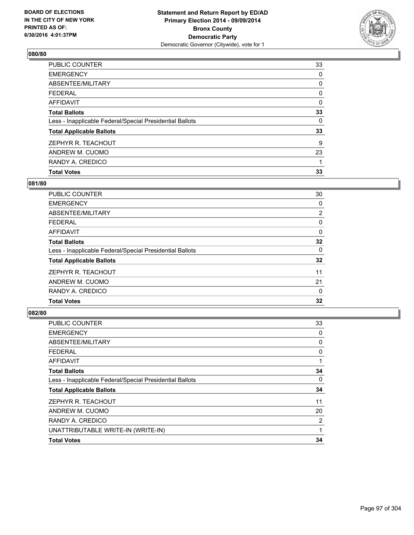

| <b>Total Votes</b>                                       | 33       |
|----------------------------------------------------------|----------|
| RANDY A. CREDICO                                         |          |
| ANDREW M. CUOMO                                          | 23       |
| ZEPHYR R. TEACHOUT                                       | 9        |
| <b>Total Applicable Ballots</b>                          | 33       |
| Less - Inapplicable Federal/Special Presidential Ballots | 0        |
| <b>Total Ballots</b>                                     | 33       |
| <b>AFFIDAVIT</b>                                         | $\Omega$ |
| FEDERAL                                                  | 0        |
| ABSENTEE/MILITARY                                        | 0        |
| <b>EMERGENCY</b>                                         | 0        |
| PUBLIC COUNTER                                           | 33       |

## **081/80**

| PUBLIC COUNTER                                           | 30 |
|----------------------------------------------------------|----|
| <b>EMERGENCY</b>                                         | 0  |
| ABSENTEE/MILITARY                                        | 2  |
| <b>FEDERAL</b>                                           | 0  |
| AFFIDAVIT                                                | 0  |
| <b>Total Ballots</b>                                     | 32 |
| Less - Inapplicable Federal/Special Presidential Ballots | 0  |
| <b>Total Applicable Ballots</b>                          | 32 |
| ZEPHYR R. TEACHOUT                                       | 11 |
| ANDREW M. CUOMO                                          | 21 |
| RANDY A. CREDICO                                         | 0  |
| <b>Total Votes</b>                                       | 32 |
|                                                          |    |

| PUBLIC COUNTER                                           | 33 |
|----------------------------------------------------------|----|
| <b>EMERGENCY</b>                                         | 0  |
| ABSENTEE/MILITARY                                        | 0  |
| <b>FEDERAL</b>                                           | 0  |
| <b>AFFIDAVIT</b>                                         |    |
| <b>Total Ballots</b>                                     | 34 |
| Less - Inapplicable Federal/Special Presidential Ballots | 0  |
| <b>Total Applicable Ballots</b>                          | 34 |
| ZEPHYR R. TEACHOUT                                       | 11 |
| ANDREW M. CUOMO                                          | 20 |
| RANDY A. CREDICO                                         | 2  |
| UNATTRIBUTABLE WRITE-IN (WRITE-IN)                       | 1  |
| <b>Total Votes</b>                                       | 34 |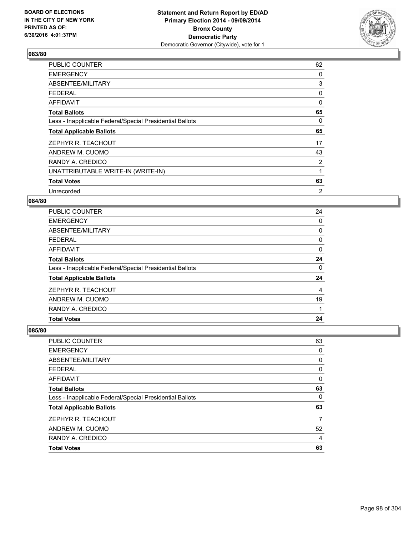

| PUBLIC COUNTER                                           | 62             |
|----------------------------------------------------------|----------------|
| <b>EMERGENCY</b>                                         | 0              |
| ABSENTEE/MILITARY                                        | 3              |
| <b>FEDERAL</b>                                           | 0              |
| <b>AFFIDAVIT</b>                                         | 0              |
| <b>Total Ballots</b>                                     | 65             |
| Less - Inapplicable Federal/Special Presidential Ballots | 0              |
| <b>Total Applicable Ballots</b>                          | 65             |
| ZEPHYR R. TEACHOUT                                       | 17             |
| ANDREW M. CUOMO                                          | 43             |
| RANDY A. CREDICO                                         | $\overline{2}$ |
| UNATTRIBUTABLE WRITE-IN (WRITE-IN)                       | 1              |
| <b>Total Votes</b>                                       | 63             |
| Unrecorded                                               | $\overline{2}$ |

## **084/80**

| <b>PUBLIC COUNTER</b>                                    | 24 |
|----------------------------------------------------------|----|
| <b>EMERGENCY</b>                                         | 0  |
| ABSENTEE/MILITARY                                        | 0  |
| <b>FEDERAL</b>                                           | 0  |
| AFFIDAVIT                                                | 0  |
| <b>Total Ballots</b>                                     | 24 |
| Less - Inapplicable Federal/Special Presidential Ballots | 0  |
| <b>Total Applicable Ballots</b>                          | 24 |
| ZEPHYR R. TEACHOUT                                       | 4  |
| ANDREW M. CUOMO                                          | 19 |
| RANDY A. CREDICO                                         |    |
| <b>Total Votes</b>                                       | 24 |

| PUBLIC COUNTER                                           | 63 |
|----------------------------------------------------------|----|
| <b>EMERGENCY</b>                                         | 0  |
| ABSENTEE/MILITARY                                        | 0  |
| FEDERAL                                                  | 0  |
| <b>AFFIDAVIT</b>                                         | 0  |
| <b>Total Ballots</b>                                     | 63 |
| Less - Inapplicable Federal/Special Presidential Ballots | 0  |
| <b>Total Applicable Ballots</b>                          | 63 |
| ZEPHYR R. TEACHOUT                                       | 7  |
| ANDREW M. CUOMO                                          | 52 |
| RANDY A. CREDICO                                         | 4  |
| <b>Total Votes</b>                                       | 63 |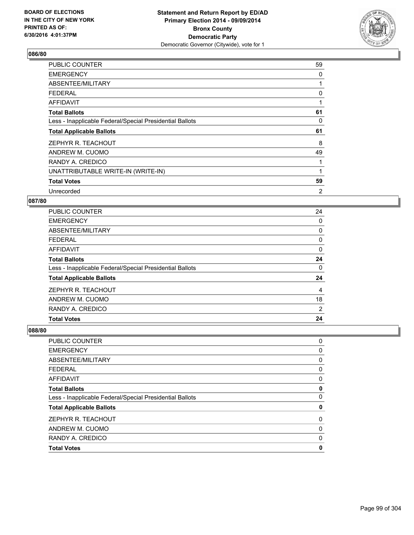

| PUBLIC COUNTER                                           | 59 |
|----------------------------------------------------------|----|
| <b>EMERGENCY</b>                                         | 0  |
| ABSENTEE/MILITARY                                        | 1  |
| <b>FEDERAL</b>                                           | 0  |
| <b>AFFIDAVIT</b>                                         |    |
| <b>Total Ballots</b>                                     | 61 |
| Less - Inapplicable Federal/Special Presidential Ballots | 0  |
| <b>Total Applicable Ballots</b>                          | 61 |
| ZEPHYR R. TEACHOUT                                       | 8  |
| ANDREW M. CUOMO                                          | 49 |
| RANDY A. CREDICO                                         | 1  |
| UNATTRIBUTABLE WRITE-IN (WRITE-IN)                       | 1  |
| <b>Total Votes</b>                                       | 59 |
| Unrecorded                                               | 2  |

## **087/80**

| <b>PUBLIC COUNTER</b>                                    | 24 |
|----------------------------------------------------------|----|
| <b>EMERGENCY</b>                                         | 0  |
| ABSENTEE/MILITARY                                        | 0  |
| FEDERAL                                                  | 0  |
| AFFIDAVIT                                                | 0  |
| <b>Total Ballots</b>                                     | 24 |
| Less - Inapplicable Federal/Special Presidential Ballots | 0  |
| <b>Total Applicable Ballots</b>                          | 24 |
| ZEPHYR R. TEACHOUT                                       | 4  |
| ANDREW M. CUOMO                                          | 18 |
| RANDY A. CREDICO                                         | 2  |
| <b>Total Votes</b>                                       | 24 |

| PUBLIC COUNTER                                           | 0 |
|----------------------------------------------------------|---|
| <b>EMERGENCY</b>                                         | 0 |
| <b>ABSENTEE/MILITARY</b>                                 | 0 |
| <b>FEDERAL</b>                                           | 0 |
| AFFIDAVIT                                                | 0 |
| <b>Total Ballots</b>                                     | 0 |
| Less - Inapplicable Federal/Special Presidential Ballots | 0 |
| <b>Total Applicable Ballots</b>                          | 0 |
| ZEPHYR R. TEACHOUT                                       | 0 |
| ANDREW M. CUOMO                                          | 0 |
| RANDY A. CREDICO                                         | 0 |
| <b>Total Votes</b>                                       | 0 |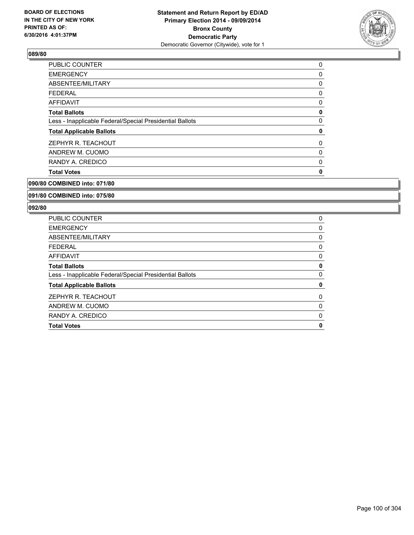

| <b>Total Votes</b>                                       | 0 |
|----------------------------------------------------------|---|
| RANDY A. CREDICO                                         | 0 |
| ANDREW M. CUOMO                                          | 0 |
| ZEPHYR R. TEACHOUT                                       | 0 |
| <b>Total Applicable Ballots</b>                          | 0 |
| Less - Inapplicable Federal/Special Presidential Ballots | 0 |
| <b>Total Ballots</b>                                     | 0 |
| AFFIDAVIT                                                | 0 |
| <b>FEDERAL</b>                                           | 0 |
| ABSENTEE/MILITARY                                        | 0 |
| <b>EMERGENCY</b>                                         | 0 |
| PUBLIC COUNTER                                           | 0 |

**090/80 COMBINED into: 071/80**

#### **091/80 COMBINED into: 075/80**

| <b>PUBLIC COUNTER</b>                                    | 0        |
|----------------------------------------------------------|----------|
| <b>EMERGENCY</b>                                         | 0        |
| ABSENTEE/MILITARY                                        | 0        |
| <b>FEDERAL</b>                                           | 0        |
| AFFIDAVIT                                                | 0        |
| <b>Total Ballots</b>                                     | 0        |
| Less - Inapplicable Federal/Special Presidential Ballots | 0        |
| <b>Total Applicable Ballots</b>                          | 0        |
| ZEPHYR R. TEACHOUT                                       | $\Omega$ |
| ANDREW M. CUOMO                                          | 0        |
| RANDY A. CREDICO                                         | 0        |
| <b>Total Votes</b>                                       | 0        |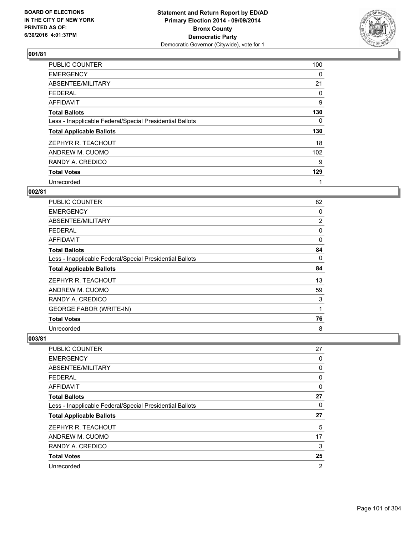

| <b>PUBLIC COUNTER</b>                                    | 100      |
|----------------------------------------------------------|----------|
| <b>EMERGENCY</b>                                         | 0        |
| ABSENTEE/MILITARY                                        | 21       |
| <b>FEDERAL</b>                                           | 0        |
| AFFIDAVIT                                                | 9        |
| <b>Total Ballots</b>                                     | 130      |
| Less - Inapplicable Federal/Special Presidential Ballots | $\Omega$ |
| <b>Total Applicable Ballots</b>                          | 130      |
| ZEPHYR R. TEACHOUT                                       | 18       |
| ANDREW M. CUOMO                                          | 102      |
| RANDY A. CREDICO                                         | 9        |
| <b>Total Votes</b>                                       | 129      |
| Unrecorded                                               | 1        |

# **002/81**

| PUBLIC COUNTER                                           | 82       |
|----------------------------------------------------------|----------|
| <b>EMERGENCY</b>                                         | 0        |
| ABSENTEE/MILITARY                                        | 2        |
| <b>FEDERAL</b>                                           | 0        |
| AFFIDAVIT                                                | $\Omega$ |
| <b>Total Ballots</b>                                     | 84       |
| Less - Inapplicable Federal/Special Presidential Ballots | 0        |
| <b>Total Applicable Ballots</b>                          | 84       |
| ZEPHYR R. TEACHOUT                                       | 13       |
| ANDREW M. CUOMO                                          | 59       |
| RANDY A. CREDICO                                         | 3        |
| <b>GEORGE FABOR (WRITE-IN)</b>                           | 1        |
| <b>Total Votes</b>                                       | 76       |
| Unrecorded                                               | 8        |

| <b>PUBLIC COUNTER</b>                                    | 27             |
|----------------------------------------------------------|----------------|
| <b>EMERGENCY</b>                                         | 0              |
| ABSENTEE/MILITARY                                        | 0              |
| <b>FEDERAL</b>                                           | 0              |
| AFFIDAVIT                                                | 0              |
| <b>Total Ballots</b>                                     | 27             |
| Less - Inapplicable Federal/Special Presidential Ballots | 0              |
| <b>Total Applicable Ballots</b>                          | 27             |
| ZEPHYR R. TEACHOUT                                       | 5              |
| ANDREW M. CUOMO                                          | 17             |
| RANDY A. CREDICO                                         | 3              |
| <b>Total Votes</b>                                       | 25             |
| Unrecorded                                               | $\overline{2}$ |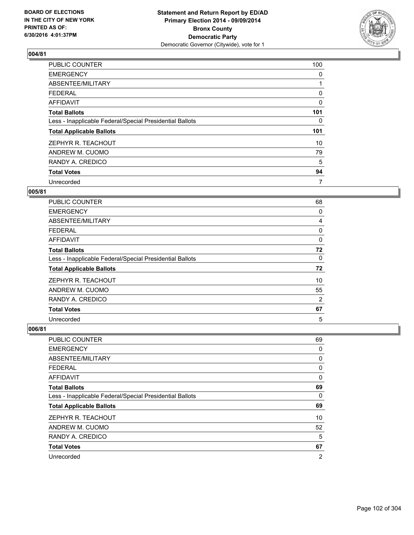

| <b>PUBLIC COUNTER</b>                                    | 100      |
|----------------------------------------------------------|----------|
| <b>EMERGENCY</b>                                         | 0        |
| ABSENTEE/MILITARY                                        |          |
| <b>FEDERAL</b>                                           | 0        |
| AFFIDAVIT                                                | $\Omega$ |
| <b>Total Ballots</b>                                     | 101      |
| Less - Inapplicable Federal/Special Presidential Ballots | 0        |
| <b>Total Applicable Ballots</b>                          | 101      |
| ZEPHYR R. TEACHOUT                                       | 10       |
| ANDREW M. CUOMO                                          | 79       |
| RANDY A. CREDICO                                         | 5        |
| <b>Total Votes</b>                                       | 94       |
| Unrecorded                                               | 7        |

### **005/81**

| PUBLIC COUNTER                                           | 68 |
|----------------------------------------------------------|----|
| <b>EMERGENCY</b>                                         | 0  |
| ABSENTEE/MILITARY                                        | 4  |
| <b>FEDERAL</b>                                           | 0  |
| AFFIDAVIT                                                | 0  |
| <b>Total Ballots</b>                                     | 72 |
| Less - Inapplicable Federal/Special Presidential Ballots | 0  |
| <b>Total Applicable Ballots</b>                          | 72 |
| ZEPHYR R. TEACHOUT                                       | 10 |
| ANDREW M. CUOMO                                          | 55 |
| RANDY A. CREDICO                                         | 2  |
| <b>Total Votes</b>                                       | 67 |
| Unrecorded                                               | 5  |

| <b>PUBLIC COUNTER</b>                                    | 69             |
|----------------------------------------------------------|----------------|
| <b>EMERGENCY</b>                                         | 0              |
| ABSENTEE/MILITARY                                        | 0              |
| <b>FEDERAL</b>                                           | 0              |
| AFFIDAVIT                                                | 0              |
| <b>Total Ballots</b>                                     | 69             |
| Less - Inapplicable Federal/Special Presidential Ballots | 0              |
| <b>Total Applicable Ballots</b>                          | 69             |
| ZEPHYR R. TEACHOUT                                       | 10             |
| ANDREW M. CUOMO                                          | 52             |
| RANDY A. CREDICO                                         | 5              |
| <b>Total Votes</b>                                       | 67             |
| Unrecorded                                               | $\overline{2}$ |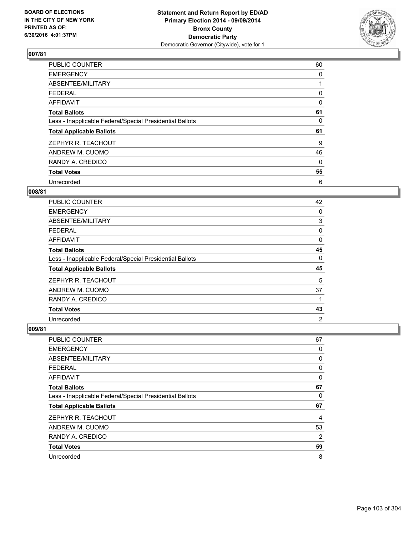

| <b>PUBLIC COUNTER</b>                                    | 60 |
|----------------------------------------------------------|----|
| <b>EMERGENCY</b>                                         | 0  |
| ABSENTEE/MILITARY                                        |    |
| <b>FEDERAL</b>                                           | 0  |
| AFFIDAVIT                                                | 0  |
| <b>Total Ballots</b>                                     | 61 |
| Less - Inapplicable Federal/Special Presidential Ballots | 0  |
| <b>Total Applicable Ballots</b>                          | 61 |
| ZEPHYR R. TEACHOUT                                       | 9  |
| ANDREW M. CUOMO                                          | 46 |
| RANDY A. CREDICO                                         | 0  |
| <b>Total Votes</b>                                       | 55 |
| Unrecorded                                               | 6  |

## **008/81**

| <b>PUBLIC COUNTER</b>                                    | 42 |
|----------------------------------------------------------|----|
| <b>EMERGENCY</b>                                         | 0  |
| ABSENTEE/MILITARY                                        | 3  |
| <b>FEDERAL</b>                                           | 0  |
| AFFIDAVIT                                                | 0  |
| <b>Total Ballots</b>                                     | 45 |
| Less - Inapplicable Federal/Special Presidential Ballots | 0  |
| <b>Total Applicable Ballots</b>                          | 45 |
| ZEPHYR R. TEACHOUT                                       | 5  |
| ANDREW M. CUOMO                                          | 37 |
| RANDY A. CREDICO                                         | 1  |
| <b>Total Votes</b>                                       | 43 |
| Unrecorded                                               | 2  |

| PUBLIC COUNTER                                           | 67 |
|----------------------------------------------------------|----|
| <b>EMERGENCY</b>                                         | 0  |
| ABSENTEE/MILITARY                                        | 0  |
| <b>FEDERAL</b>                                           | 0  |
| <b>AFFIDAVIT</b>                                         | 0  |
| <b>Total Ballots</b>                                     | 67 |
| Less - Inapplicable Federal/Special Presidential Ballots | 0  |
| <b>Total Applicable Ballots</b>                          | 67 |
| ZEPHYR R. TEACHOUT                                       | 4  |
| ANDREW M. CUOMO                                          | 53 |
| RANDY A. CREDICO                                         | 2  |
| <b>Total Votes</b>                                       | 59 |
| Unrecorded                                               | 8  |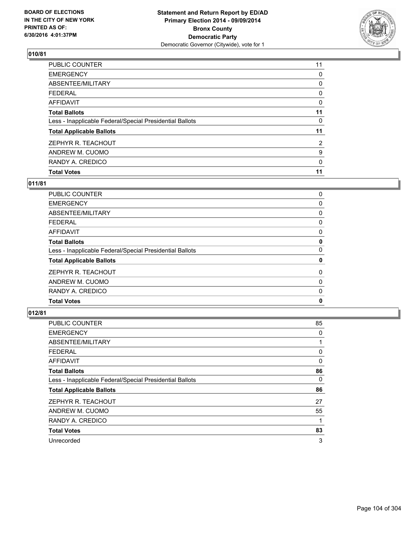

| PUBLIC COUNTER                                           | 11             |
|----------------------------------------------------------|----------------|
| <b>EMERGENCY</b>                                         | 0              |
| ABSENTEE/MILITARY                                        | 0              |
| <b>FEDERAL</b>                                           | 0              |
| <b>AFFIDAVIT</b>                                         | 0              |
| <b>Total Ballots</b>                                     | 11             |
| Less - Inapplicable Federal/Special Presidential Ballots | 0              |
| <b>Total Applicable Ballots</b>                          | 11             |
| ZEPHYR R. TEACHOUT                                       | $\overline{2}$ |
| ANDREW M. CUOMO                                          | 9              |
| RANDY A. CREDICO                                         | 0              |
| <b>Total Votes</b>                                       | 11             |

## **011/81**

| PUBLIC COUNTER                                           | 0 |
|----------------------------------------------------------|---|
| <b>EMERGENCY</b>                                         | 0 |
| ABSENTEE/MILITARY                                        | 0 |
| <b>FEDERAL</b>                                           | 0 |
| <b>AFFIDAVIT</b>                                         | 0 |
| <b>Total Ballots</b>                                     | 0 |
| Less - Inapplicable Federal/Special Presidential Ballots | 0 |
| <b>Total Applicable Ballots</b>                          | 0 |
| ZEPHYR R. TEACHOUT                                       | 0 |
| ANDREW M. CUOMO                                          | 0 |
| RANDY A. CREDICO                                         | 0 |
| <b>Total Votes</b>                                       | 0 |
|                                                          |   |

| PUBLIC COUNTER                                           | 85 |
|----------------------------------------------------------|----|
| <b>EMERGENCY</b>                                         | 0  |
| ABSENTEE/MILITARY                                        |    |
| <b>FEDERAL</b>                                           | 0  |
| <b>AFFIDAVIT</b>                                         | 0  |
| <b>Total Ballots</b>                                     | 86 |
| Less - Inapplicable Federal/Special Presidential Ballots | 0  |
| <b>Total Applicable Ballots</b>                          | 86 |
| ZEPHYR R. TEACHOUT                                       | 27 |
| ANDREW M. CUOMO                                          | 55 |
| RANDY A. CREDICO                                         | 1  |
| <b>Total Votes</b>                                       | 83 |
| Unrecorded                                               | 3  |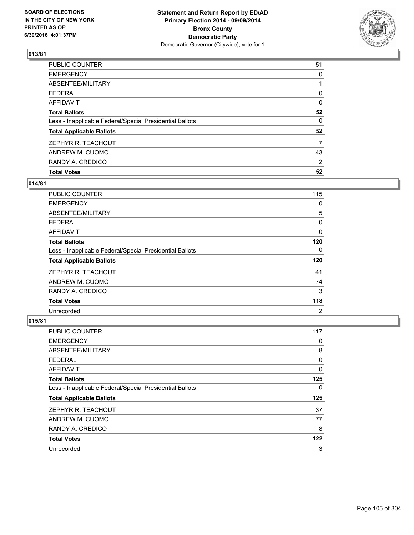

| <b>Total Votes</b>                                       | 52       |
|----------------------------------------------------------|----------|
| RANDY A. CREDICO                                         | 2        |
| ANDREW M. CUOMO                                          | 43       |
| ZEPHYR R. TEACHOUT                                       | 7        |
| <b>Total Applicable Ballots</b>                          | 52       |
| Less - Inapplicable Federal/Special Presidential Ballots | 0        |
| <b>Total Ballots</b>                                     | 52       |
| <b>AFFIDAVIT</b>                                         | $\Omega$ |
| <b>FEDERAL</b>                                           | 0        |
| ABSENTEE/MILITARY                                        |          |
| <b>EMERGENCY</b>                                         | 0        |
| PUBLIC COUNTER                                           | 51       |

# **014/81**

| <b>PUBLIC COUNTER</b>                                    | 115            |
|----------------------------------------------------------|----------------|
| <b>EMERGENCY</b>                                         | 0              |
| ABSENTEE/MILITARY                                        | 5              |
| <b>FEDERAL</b>                                           | 0              |
| AFFIDAVIT                                                | 0              |
| <b>Total Ballots</b>                                     | 120            |
| Less - Inapplicable Federal/Special Presidential Ballots | 0              |
| <b>Total Applicable Ballots</b>                          | 120            |
| ZEPHYR R. TEACHOUT                                       | 41             |
| ANDREW M. CUOMO                                          | 74             |
| RANDY A. CREDICO                                         | 3              |
| <b>Total Votes</b>                                       | 118            |
| Unrecorded                                               | $\overline{2}$ |

| PUBLIC COUNTER                                           | 117 |
|----------------------------------------------------------|-----|
| <b>EMERGENCY</b>                                         | 0   |
| ABSENTEE/MILITARY                                        | 8   |
| <b>FEDERAL</b>                                           | 0   |
| AFFIDAVIT                                                | 0   |
| <b>Total Ballots</b>                                     | 125 |
| Less - Inapplicable Federal/Special Presidential Ballots | 0   |
| <b>Total Applicable Ballots</b>                          | 125 |
| ZEPHYR R. TEACHOUT                                       | 37  |
| ANDREW M. CUOMO                                          | 77  |
| RANDY A. CREDICO                                         | 8   |
| <b>Total Votes</b>                                       | 122 |
| Unrecorded                                               | 3   |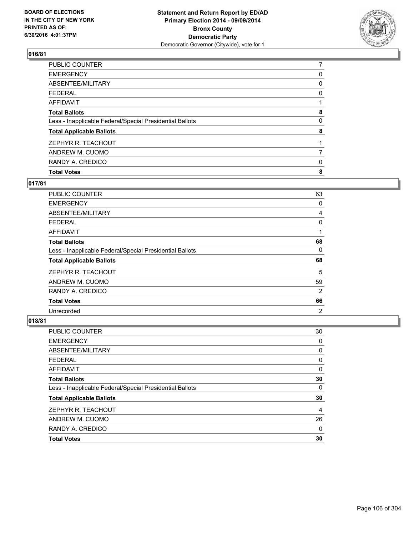

| <b>Total Votes</b>                                       | 8 |
|----------------------------------------------------------|---|
| RANDY A. CREDICO                                         | 0 |
| ANDREW M. CUOMO                                          |   |
| ZEPHYR R. TEACHOUT                                       |   |
| <b>Total Applicable Ballots</b>                          | 8 |
| Less - Inapplicable Federal/Special Presidential Ballots | 0 |
| <b>Total Ballots</b>                                     | 8 |
| <b>AFFIDAVIT</b>                                         |   |
| <b>FEDERAL</b>                                           | 0 |
| ABSENTEE/MILITARY                                        | 0 |
| <b>EMERGENCY</b>                                         | 0 |
| PUBLIC COUNTER                                           |   |

## **017/81**

| <b>PUBLIC COUNTER</b>                                    | 63             |
|----------------------------------------------------------|----------------|
| <b>EMERGENCY</b>                                         | 0              |
| ABSENTEE/MILITARY                                        | 4              |
| <b>FEDERAL</b>                                           | 0              |
| AFFIDAVIT                                                | 1              |
| <b>Total Ballots</b>                                     | 68             |
| Less - Inapplicable Federal/Special Presidential Ballots | 0              |
| <b>Total Applicable Ballots</b>                          | 68             |
| ZEPHYR R. TEACHOUT                                       | 5              |
| ANDREW M. CUOMO                                          | 59             |
| RANDY A. CREDICO                                         | 2              |
| <b>Total Votes</b>                                       | 66             |
| Unrecorded                                               | $\overline{2}$ |

| PUBLIC COUNTER                                           | 30 |
|----------------------------------------------------------|----|
| <b>EMERGENCY</b>                                         | 0  |
| ABSENTEE/MILITARY                                        | 0  |
| <b>FEDERAL</b>                                           | 0  |
| <b>AFFIDAVIT</b>                                         | 0  |
| <b>Total Ballots</b>                                     | 30 |
| Less - Inapplicable Federal/Special Presidential Ballots | 0  |
| <b>Total Applicable Ballots</b>                          | 30 |
| ZEPHYR R. TEACHOUT                                       | 4  |
| ANDREW M. CUOMO                                          | 26 |
| RANDY A. CREDICO                                         | 0  |
| <b>Total Votes</b>                                       | 30 |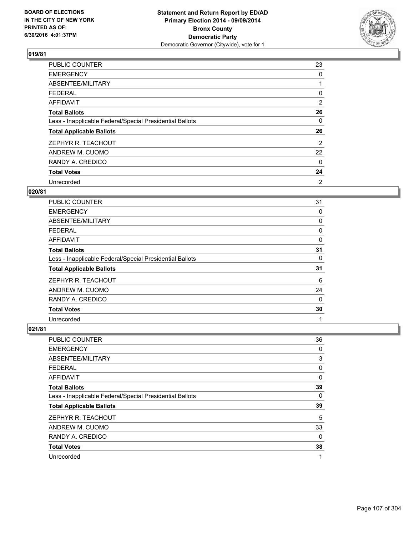

| <b>PUBLIC COUNTER</b>                                    | 23 |
|----------------------------------------------------------|----|
| <b>EMERGENCY</b>                                         | 0  |
| ABSENTEE/MILITARY                                        |    |
| <b>FEDERAL</b>                                           | 0  |
| AFFIDAVIT                                                | 2  |
| <b>Total Ballots</b>                                     | 26 |
| Less - Inapplicable Federal/Special Presidential Ballots | 0  |
| <b>Total Applicable Ballots</b>                          | 26 |
| ZEPHYR R. TEACHOUT                                       | 2  |
| ANDREW M. CUOMO                                          | 22 |
| RANDY A. CREDICO                                         | 0  |
| <b>Total Votes</b>                                       | 24 |
| Unrecorded                                               | 2  |

## **020/81**

| <b>PUBLIC COUNTER</b>                                    | 31       |
|----------------------------------------------------------|----------|
| <b>EMERGENCY</b>                                         | 0        |
| ABSENTEE/MILITARY                                        | 0        |
| FEDERAL                                                  | 0        |
| AFFIDAVIT                                                | 0        |
| <b>Total Ballots</b>                                     | 31       |
| Less - Inapplicable Federal/Special Presidential Ballots | 0        |
| <b>Total Applicable Ballots</b>                          | 31       |
| ZEPHYR R. TEACHOUT                                       | 6        |
| ANDREW M. CUOMO                                          | 24       |
| RANDY A. CREDICO                                         | $\Omega$ |
| <b>Total Votes</b>                                       | 30       |
| Unrecorded                                               | 1        |

| PUBLIC COUNTER                                           | 36 |
|----------------------------------------------------------|----|
| <b>EMERGENCY</b>                                         | 0  |
| ABSENTEE/MILITARY                                        | 3  |
| <b>FEDERAL</b>                                           | 0  |
| AFFIDAVIT                                                | 0  |
| <b>Total Ballots</b>                                     | 39 |
| Less - Inapplicable Federal/Special Presidential Ballots | 0  |
| <b>Total Applicable Ballots</b>                          | 39 |
| ZEPHYR R. TEACHOUT                                       | 5  |
| ANDREW M. CUOMO                                          | 33 |
| RANDY A. CREDICO                                         | 0  |
| <b>Total Votes</b>                                       | 38 |
| Unrecorded                                               | 1  |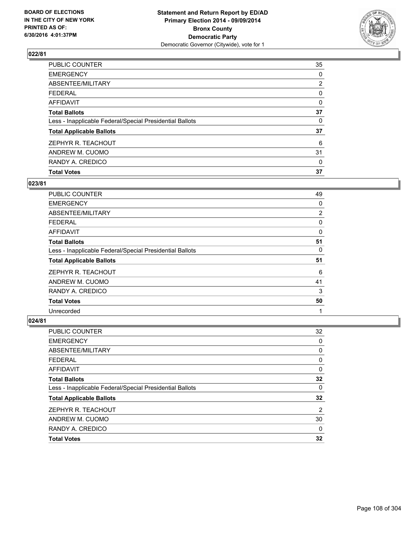

| <b>Total Votes</b>                                       | 37             |
|----------------------------------------------------------|----------------|
| RANDY A. CREDICO                                         | 0              |
| ANDREW M. CUOMO                                          | 31             |
| ZEPHYR R. TEACHOUT                                       | 6              |
| <b>Total Applicable Ballots</b>                          | 37             |
| Less - Inapplicable Federal/Special Presidential Ballots | 0              |
| <b>Total Ballots</b>                                     | 37             |
| <b>AFFIDAVIT</b>                                         | 0              |
| <b>FEDERAL</b>                                           | 0              |
| ABSENTEE/MILITARY                                        | $\overline{2}$ |
| <b>EMERGENCY</b>                                         | 0              |
| PUBLIC COUNTER                                           | 35             |

## **023/81**

| <b>PUBLIC COUNTER</b>                                    | 49 |
|----------------------------------------------------------|----|
| <b>EMERGENCY</b>                                         | 0  |
| ABSENTEE/MILITARY                                        | 2  |
| <b>FEDERAL</b>                                           | 0  |
| AFFIDAVIT                                                | 0  |
| <b>Total Ballots</b>                                     | 51 |
| Less - Inapplicable Federal/Special Presidential Ballots | 0  |
| <b>Total Applicable Ballots</b>                          | 51 |
| ZEPHYR R. TEACHOUT                                       | 6  |
| ANDREW M. CUOMO                                          | 41 |
| RANDY A. CREDICO                                         | 3  |
| <b>Total Votes</b>                                       | 50 |
| Unrecorded                                               | 1  |

| PUBLIC COUNTER                                           | 32 |
|----------------------------------------------------------|----|
| <b>EMERGENCY</b>                                         | 0  |
| ABSENTEE/MILITARY                                        | 0  |
| <b>FEDERAL</b>                                           | 0  |
| <b>AFFIDAVIT</b>                                         | 0  |
| <b>Total Ballots</b>                                     | 32 |
| Less - Inapplicable Federal/Special Presidential Ballots | 0  |
| <b>Total Applicable Ballots</b>                          | 32 |
| ZEPHYR R. TEACHOUT                                       | 2  |
| ANDREW M. CUOMO                                          | 30 |
| RANDY A. CREDICO                                         | 0  |
| <b>Total Votes</b>                                       | 32 |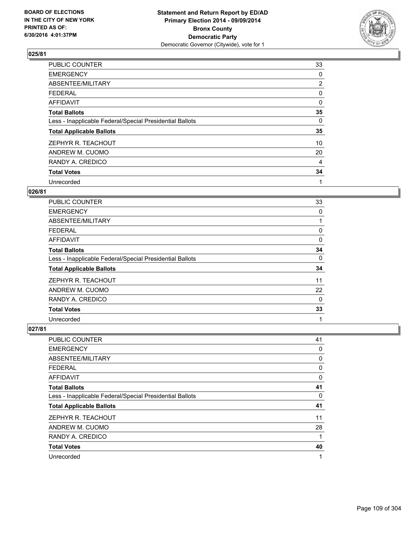

| <b>PUBLIC COUNTER</b>                                    | 33             |
|----------------------------------------------------------|----------------|
| <b>EMERGENCY</b>                                         | 0              |
| ABSENTEE/MILITARY                                        | $\overline{2}$ |
| <b>FEDERAL</b>                                           | 0              |
| AFFIDAVIT                                                | 0              |
| <b>Total Ballots</b>                                     | 35             |
| Less - Inapplicable Federal/Special Presidential Ballots | 0              |
| <b>Total Applicable Ballots</b>                          | 35             |
| ZEPHYR R. TEACHOUT                                       | 10             |
| ANDREW M. CUOMO                                          | 20             |
| RANDY A. CREDICO                                         | 4              |
| <b>Total Votes</b>                                       | 34             |
| Unrecorded                                               | 1              |

### **026/81**

| <b>PUBLIC COUNTER</b>                                    | 33 |
|----------------------------------------------------------|----|
| <b>EMERGENCY</b>                                         | 0  |
| ABSENTEE/MILITARY                                        |    |
| <b>FEDERAL</b>                                           | 0  |
| AFFIDAVIT                                                | 0  |
| <b>Total Ballots</b>                                     | 34 |
| Less - Inapplicable Federal/Special Presidential Ballots | 0  |
| <b>Total Applicable Ballots</b>                          | 34 |
| ZEPHYR R. TEACHOUT                                       | 11 |
| ANDREW M. CUOMO                                          | 22 |
| RANDY A. CREDICO                                         | 0  |
| <b>Total Votes</b>                                       | 33 |
| Unrecorded                                               | 1  |

| PUBLIC COUNTER                                           | 41 |
|----------------------------------------------------------|----|
| <b>EMERGENCY</b>                                         | 0  |
| ABSENTEE/MILITARY                                        | 0  |
| <b>FEDERAL</b>                                           | 0  |
| AFFIDAVIT                                                | 0  |
| <b>Total Ballots</b>                                     | 41 |
| Less - Inapplicable Federal/Special Presidential Ballots | 0  |
| <b>Total Applicable Ballots</b>                          | 41 |
| ZEPHYR R. TEACHOUT                                       | 11 |
| ANDREW M. CUOMO                                          | 28 |
| RANDY A. CREDICO                                         | 1  |
| <b>Total Votes</b>                                       | 40 |
| Unrecorded                                               | 1  |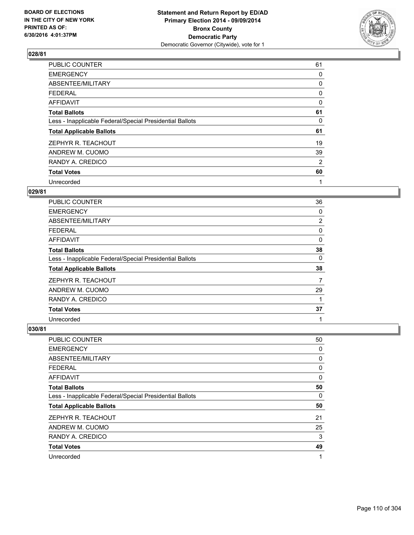

| <b>PUBLIC COUNTER</b>                                    | 61 |
|----------------------------------------------------------|----|
| <b>EMERGENCY</b>                                         | 0  |
| ABSENTEE/MILITARY                                        | 0  |
| <b>FEDERAL</b>                                           | 0  |
| AFFIDAVIT                                                | 0  |
| <b>Total Ballots</b>                                     | 61 |
| Less - Inapplicable Federal/Special Presidential Ballots | 0  |
| <b>Total Applicable Ballots</b>                          | 61 |
| ZEPHYR R. TEACHOUT                                       | 19 |
| ANDREW M. CUOMO                                          | 39 |
| RANDY A. CREDICO                                         | 2  |
| <b>Total Votes</b>                                       | 60 |
| Unrecorded                                               | 1  |

# **029/81**

| <b>PUBLIC COUNTER</b>                                    | 36 |
|----------------------------------------------------------|----|
| <b>EMERGENCY</b>                                         | 0  |
| ABSENTEE/MILITARY                                        | 2  |
| <b>FEDERAL</b>                                           | 0  |
| AFFIDAVIT                                                | 0  |
| <b>Total Ballots</b>                                     | 38 |
| Less - Inapplicable Federal/Special Presidential Ballots | 0  |
| <b>Total Applicable Ballots</b>                          | 38 |
| ZEPHYR R. TEACHOUT                                       | 7  |
| ANDREW M. CUOMO                                          | 29 |
| RANDY A. CREDICO                                         | 1  |
| <b>Total Votes</b>                                       | 37 |
| Unrecorded                                               | 1  |

| PUBLIC COUNTER                                           | 50 |
|----------------------------------------------------------|----|
| <b>EMERGENCY</b>                                         | 0  |
| ABSENTEE/MILITARY                                        | 0  |
| <b>FEDERAL</b>                                           | 0  |
| AFFIDAVIT                                                | 0  |
| <b>Total Ballots</b>                                     | 50 |
| Less - Inapplicable Federal/Special Presidential Ballots | 0  |
| <b>Total Applicable Ballots</b>                          | 50 |
| ZEPHYR R. TEACHOUT                                       | 21 |
| ANDREW M. CUOMO                                          | 25 |
| RANDY A. CREDICO                                         | 3  |
| <b>Total Votes</b>                                       | 49 |
| Unrecorded                                               | 1  |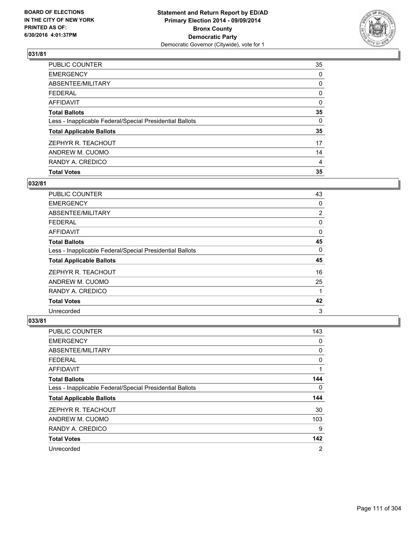

| <b>Total Votes</b>                                       | 35 |
|----------------------------------------------------------|----|
| RANDY A. CREDICO                                         | 4  |
| ANDREW M. CUOMO                                          | 14 |
| ZEPHYR R. TEACHOUT                                       | 17 |
| <b>Total Applicable Ballots</b>                          | 35 |
| Less - Inapplicable Federal/Special Presidential Ballots | 0  |
| <b>Total Ballots</b>                                     | 35 |
| <b>AFFIDAVIT</b>                                         | 0  |
| <b>FEDERAL</b>                                           | 0  |
| ABSENTEE/MILITARY                                        | 0  |
| <b>EMERGENCY</b>                                         | 0  |
| PUBLIC COUNTER                                           | 35 |

### **032/81**

| PUBLIC COUNTER                                           | 43 |
|----------------------------------------------------------|----|
| <b>EMERGENCY</b>                                         | 0  |
| ABSENTEE/MILITARY                                        | 2  |
| <b>FEDERAL</b>                                           | 0  |
| AFFIDAVIT                                                | 0  |
| <b>Total Ballots</b>                                     | 45 |
| Less - Inapplicable Federal/Special Presidential Ballots | 0  |
| <b>Total Applicable Ballots</b>                          | 45 |
| ZEPHYR R. TEACHOUT                                       | 16 |
| ANDREW M. CUOMO                                          | 25 |
| RANDY A. CREDICO                                         | 1  |
| <b>Total Votes</b>                                       | 42 |
| Unrecorded                                               | 3  |

| PUBLIC COUNTER                                           | 143            |
|----------------------------------------------------------|----------------|
| <b>EMERGENCY</b>                                         | 0              |
| ABSENTEE/MILITARY                                        | 0              |
| <b>FEDERAL</b>                                           | 0              |
| <b>AFFIDAVIT</b>                                         | 1              |
| <b>Total Ballots</b>                                     | 144            |
| Less - Inapplicable Federal/Special Presidential Ballots | 0              |
| <b>Total Applicable Ballots</b>                          | 144            |
| ZEPHYR R. TEACHOUT                                       | 30             |
| ANDREW M. CUOMO                                          | 103            |
| RANDY A. CREDICO                                         | 9              |
| <b>Total Votes</b>                                       | 142            |
| Unrecorded                                               | $\overline{2}$ |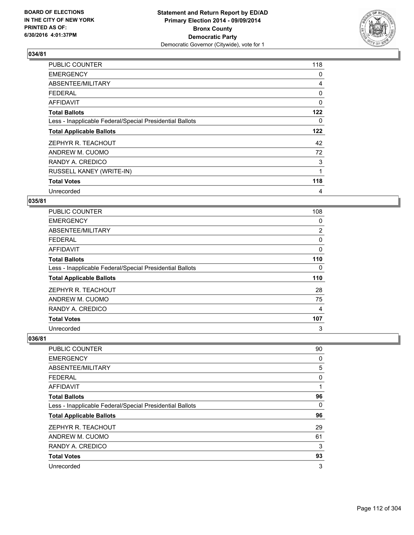

| <b>PUBLIC COUNTER</b>                                    | 118      |
|----------------------------------------------------------|----------|
| <b>EMERGENCY</b>                                         | 0        |
| ABSENTEE/MILITARY                                        | 4        |
| <b>FEDERAL</b>                                           | 0        |
| AFFIDAVIT                                                | $\Omega$ |
| <b>Total Ballots</b>                                     | 122      |
| Less - Inapplicable Federal/Special Presidential Ballots | 0        |
| <b>Total Applicable Ballots</b>                          | 122      |
| ZEPHYR R. TEACHOUT                                       | 42       |
| ANDREW M. CUOMO                                          | 72       |
| RANDY A. CREDICO                                         | 3        |
| RUSSELL KANEY (WRITE-IN)                                 | 1        |
| <b>Total Votes</b>                                       | 118      |
| Unrecorded                                               | 4        |

### **035/81**

| PUBLIC COUNTER                                           | 108 |
|----------------------------------------------------------|-----|
| <b>EMERGENCY</b>                                         | 0   |
| ABSENTEE/MILITARY                                        | 2   |
| <b>FEDERAL</b>                                           | 0   |
| AFFIDAVIT                                                | 0   |
| <b>Total Ballots</b>                                     | 110 |
| Less - Inapplicable Federal/Special Presidential Ballots | 0   |
| <b>Total Applicable Ballots</b>                          | 110 |
| ZEPHYR R. TEACHOUT                                       | 28  |
| ANDREW M. CUOMO                                          | 75  |
| RANDY A. CREDICO                                         | 4   |
| <b>Total Votes</b>                                       | 107 |
| Unrecorded                                               | 3   |

| PUBLIC COUNTER                                           | 90 |
|----------------------------------------------------------|----|
| <b>EMERGENCY</b>                                         | 0  |
| ABSENTEE/MILITARY                                        | 5  |
| <b>FEDERAL</b>                                           | 0  |
| AFFIDAVIT                                                | 1  |
| <b>Total Ballots</b>                                     | 96 |
| Less - Inapplicable Federal/Special Presidential Ballots | 0  |
| <b>Total Applicable Ballots</b>                          | 96 |
| ZEPHYR R. TEACHOUT                                       | 29 |
| ANDREW M. CUOMO                                          | 61 |
| RANDY A. CREDICO                                         | 3  |
| <b>Total Votes</b>                                       | 93 |
| Unrecorded                                               | 3  |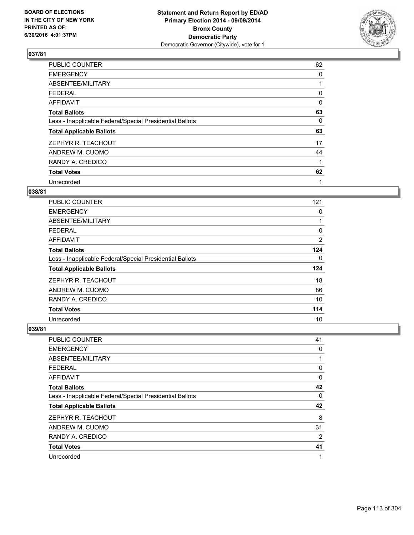

| <b>PUBLIC COUNTER</b>                                    | 62 |
|----------------------------------------------------------|----|
| <b>EMERGENCY</b>                                         | 0  |
| ABSENTEE/MILITARY                                        |    |
| <b>FEDERAL</b>                                           | 0  |
| AFFIDAVIT                                                | 0  |
| <b>Total Ballots</b>                                     | 63 |
| Less - Inapplicable Federal/Special Presidential Ballots | 0  |
| <b>Total Applicable Ballots</b>                          | 63 |
| ZEPHYR R. TEACHOUT                                       | 17 |
| ANDREW M. CUOMO                                          | 44 |
| RANDY A. CREDICO                                         | 1  |
| <b>Total Votes</b>                                       | 62 |
| Unrecorded                                               | 1  |

#### **038/81**

| PUBLIC COUNTER                                           | 121 |
|----------------------------------------------------------|-----|
| <b>EMERGENCY</b>                                         | 0   |
| ABSENTEE/MILITARY                                        |     |
| <b>FEDERAL</b>                                           | 0   |
| AFFIDAVIT                                                | 2   |
| <b>Total Ballots</b>                                     | 124 |
| Less - Inapplicable Federal/Special Presidential Ballots | 0   |
| <b>Total Applicable Ballots</b>                          | 124 |
| ZEPHYR R. TEACHOUT                                       | 18  |
| ANDREW M. CUOMO                                          | 86  |
| RANDY A. CREDICO                                         | 10  |
| <b>Total Votes</b>                                       | 114 |
| Unrecorded                                               | 10  |

| PUBLIC COUNTER                                           | 41 |
|----------------------------------------------------------|----|
| <b>EMERGENCY</b>                                         | 0  |
| ABSENTEE/MILITARY                                        | 1  |
| <b>FEDERAL</b>                                           | 0  |
| AFFIDAVIT                                                | 0  |
| <b>Total Ballots</b>                                     | 42 |
| Less - Inapplicable Federal/Special Presidential Ballots | 0  |
| <b>Total Applicable Ballots</b>                          | 42 |
| ZEPHYR R. TEACHOUT                                       | 8  |
| ANDREW M. CUOMO                                          | 31 |
| RANDY A. CREDICO                                         | 2  |
| <b>Total Votes</b>                                       | 41 |
| Unrecorded                                               | 1  |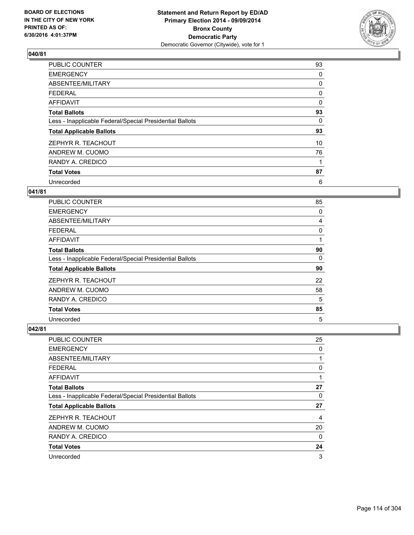

| <b>PUBLIC COUNTER</b>                                    | 93       |
|----------------------------------------------------------|----------|
| <b>EMERGENCY</b>                                         | 0        |
| ABSENTEE/MILITARY                                        | 0        |
| <b>FEDERAL</b>                                           | 0        |
| AFFIDAVIT                                                | $\Omega$ |
| <b>Total Ballots</b>                                     | 93       |
| Less - Inapplicable Federal/Special Presidential Ballots | 0        |
| <b>Total Applicable Ballots</b>                          | 93       |
| ZEPHYR R. TEACHOUT                                       | 10       |
| ANDREW M. CUOMO                                          | 76       |
| RANDY A. CREDICO                                         | 1        |
| <b>Total Votes</b>                                       | 87       |
| Unrecorded                                               | 6        |

### **041/81**

| <b>PUBLIC COUNTER</b>                                    | 85 |
|----------------------------------------------------------|----|
| <b>EMERGENCY</b>                                         | 0  |
| ABSENTEE/MILITARY                                        | 4  |
| <b>FEDERAL</b>                                           | 0  |
| AFFIDAVIT                                                |    |
| <b>Total Ballots</b>                                     | 90 |
| Less - Inapplicable Federal/Special Presidential Ballots | 0  |
| <b>Total Applicable Ballots</b>                          | 90 |
| ZEPHYR R. TEACHOUT                                       | 22 |
| ANDREW M. CUOMO                                          | 58 |
| RANDY A. CREDICO                                         | 5  |
| <b>Total Votes</b>                                       | 85 |
| Unrecorded                                               | 5  |

| PUBLIC COUNTER                                           | 25             |
|----------------------------------------------------------|----------------|
| <b>EMERGENCY</b>                                         | 0              |
| ABSENTEE/MILITARY                                        |                |
| <b>FEDERAL</b>                                           | 0              |
| <b>AFFIDAVIT</b>                                         | 1              |
| <b>Total Ballots</b>                                     | 27             |
| Less - Inapplicable Federal/Special Presidential Ballots | 0              |
| <b>Total Applicable Ballots</b>                          | 27             |
| ZEPHYR R. TEACHOUT                                       | $\overline{4}$ |
| ANDREW M. CUOMO                                          | 20             |
| RANDY A. CREDICO                                         | $\Omega$       |
| <b>Total Votes</b>                                       | 24             |
| Unrecorded                                               | 3              |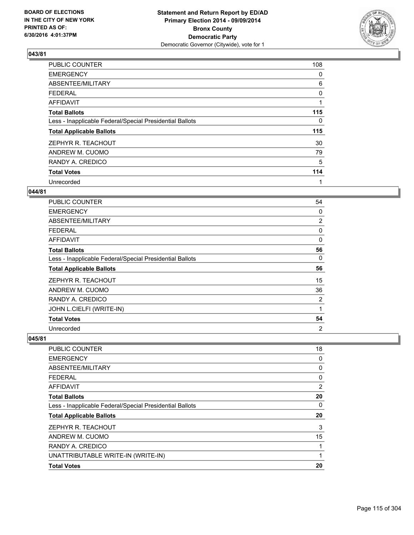

| <b>PUBLIC COUNTER</b>                                    | 108 |
|----------------------------------------------------------|-----|
| <b>EMERGENCY</b>                                         | 0   |
| ABSENTEE/MILITARY                                        | 6   |
| <b>FEDERAL</b>                                           | 0   |
| AFFIDAVIT                                                |     |
| <b>Total Ballots</b>                                     | 115 |
| Less - Inapplicable Federal/Special Presidential Ballots | 0   |
| <b>Total Applicable Ballots</b>                          | 115 |
| ZEPHYR R. TEACHOUT                                       | 30  |
| ANDREW M. CUOMO                                          | 79  |
| RANDY A. CREDICO                                         | 5   |
| <b>Total Votes</b>                                       | 114 |
| Unrecorded                                               | 1   |

# **044/81**

| PUBLIC COUNTER                                           | 54 |
|----------------------------------------------------------|----|
| EMERGENCY                                                | 0  |
| ABSENTEE/MILITARY                                        | 2  |
| FEDERAL                                                  | 0  |
| AFFIDAVIT                                                | 0  |
| <b>Total Ballots</b>                                     | 56 |
| Less - Inapplicable Federal/Special Presidential Ballots | 0  |
| <b>Total Applicable Ballots</b>                          | 56 |
| ZEPHYR R. TEACHOUT                                       | 15 |
| ANDREW M. CUOMO                                          | 36 |
| RANDY A. CREDICO                                         | 2  |
| JOHN L.CIELFI (WRITE-IN)                                 | 1  |
| <b>Total Votes</b>                                       | 54 |
| Unrecorded                                               | 2  |

| <b>Total Votes</b>                                       | 20 |
|----------------------------------------------------------|----|
| UNATTRIBUTABLE WRITE-IN (WRITE-IN)                       | 1  |
| RANDY A. CREDICO                                         |    |
| ANDREW M. CUOMO                                          | 15 |
| ZEPHYR R. TEACHOUT                                       | 3  |
| <b>Total Applicable Ballots</b>                          | 20 |
| Less - Inapplicable Federal/Special Presidential Ballots | 0  |
| <b>Total Ballots</b>                                     | 20 |
| AFFIDAVIT                                                | 2  |
| <b>FEDERAL</b>                                           | 0  |
| ABSENTEE/MILITARY                                        | 0  |
| <b>EMERGENCY</b>                                         | 0  |
| PUBLIC COUNTER                                           | 18 |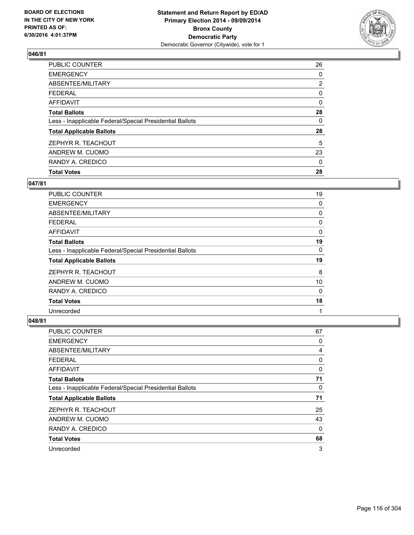

| <b>Total Votes</b>                                       | 28             |
|----------------------------------------------------------|----------------|
| RANDY A. CREDICO                                         | 0              |
| ANDREW M. CUOMO                                          | 23             |
| ZEPHYR R. TEACHOUT                                       | 5              |
| <b>Total Applicable Ballots</b>                          | 28             |
| Less - Inapplicable Federal/Special Presidential Ballots | 0              |
| <b>Total Ballots</b>                                     | 28             |
| <b>AFFIDAVIT</b>                                         | 0              |
| <b>FEDERAL</b>                                           | 0              |
| ABSENTEE/MILITARY                                        | $\overline{2}$ |
| <b>EMERGENCY</b>                                         | 0              |
| PUBLIC COUNTER                                           | 26             |

### **047/81**

| PUBLIC COUNTER                                           | 19       |
|----------------------------------------------------------|----------|
| <b>EMERGENCY</b>                                         | 0        |
| ABSENTEE/MILITARY                                        | 0        |
| <b>FEDERAL</b>                                           | 0        |
| AFFIDAVIT                                                | 0        |
| <b>Total Ballots</b>                                     | 19       |
| Less - Inapplicable Federal/Special Presidential Ballots | $\Omega$ |
| <b>Total Applicable Ballots</b>                          | 19       |
| ZEPHYR R. TEACHOUT                                       | 8        |
| ANDREW M. CUOMO                                          | 10       |
| RANDY A. CREDICO                                         | $\Omega$ |
| <b>Total Votes</b>                                       | 18       |
| Unrecorded                                               | 1        |

| <b>PUBLIC COUNTER</b>                                    | 67 |
|----------------------------------------------------------|----|
| <b>EMERGENCY</b>                                         | 0  |
| ABSENTEE/MILITARY                                        | 4  |
| <b>FEDERAL</b>                                           | 0  |
| AFFIDAVIT                                                | 0  |
| <b>Total Ballots</b>                                     | 71 |
| Less - Inapplicable Federal/Special Presidential Ballots | 0  |
| <b>Total Applicable Ballots</b>                          | 71 |
| ZEPHYR R. TEACHOUT                                       | 25 |
| ANDREW M. CUOMO                                          | 43 |
| RANDY A. CREDICO                                         | 0  |
| <b>Total Votes</b>                                       | 68 |
| Unrecorded                                               | 3  |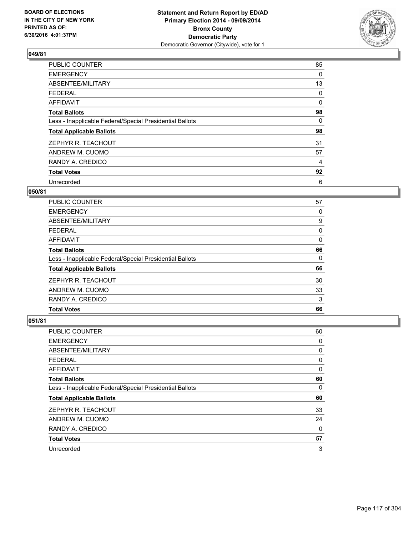

| <b>PUBLIC COUNTER</b>                                    | 85       |
|----------------------------------------------------------|----------|
| <b>EMERGENCY</b>                                         | 0        |
| ABSENTEE/MILITARY                                        | 13       |
| <b>FEDERAL</b>                                           | 0        |
| AFFIDAVIT                                                | $\Omega$ |
| <b>Total Ballots</b>                                     | 98       |
| Less - Inapplicable Federal/Special Presidential Ballots | $\Omega$ |
| <b>Total Applicable Ballots</b>                          | 98       |
| ZEPHYR R. TEACHOUT                                       | 31       |
| ANDREW M. CUOMO                                          | 57       |
| RANDY A. CREDICO                                         | 4        |
| <b>Total Votes</b>                                       | 92       |
| Unrecorded                                               | 6        |

#### **050/81**

| PUBLIC COUNTER                                           | 57 |
|----------------------------------------------------------|----|
| <b>EMERGENCY</b>                                         | 0  |
| ABSENTEE/MILITARY                                        | 9  |
| <b>FEDERAL</b>                                           | 0  |
| AFFIDAVIT                                                | 0  |
| <b>Total Ballots</b>                                     | 66 |
| Less - Inapplicable Federal/Special Presidential Ballots | 0  |
| <b>Total Applicable Ballots</b>                          | 66 |
| ZEPHYR R. TEACHOUT                                       | 30 |
| ANDREW M. CUOMO                                          | 33 |
| RANDY A. CREDICO                                         | 3  |
| <b>Total Votes</b>                                       | 66 |

| PUBLIC COUNTER                                           | 60 |
|----------------------------------------------------------|----|
| <b>EMERGENCY</b>                                         | 0  |
| ABSENTEE/MILITARY                                        | 0  |
| FEDERAL                                                  | 0  |
| AFFIDAVIT                                                | 0  |
| <b>Total Ballots</b>                                     | 60 |
| Less - Inapplicable Federal/Special Presidential Ballots | 0  |
| <b>Total Applicable Ballots</b>                          | 60 |
| ZEPHYR R. TEACHOUT                                       | 33 |
| ANDREW M. CUOMO                                          | 24 |
| RANDY A. CREDICO                                         | 0  |
| <b>Total Votes</b>                                       | 57 |
| Unrecorded                                               | 3  |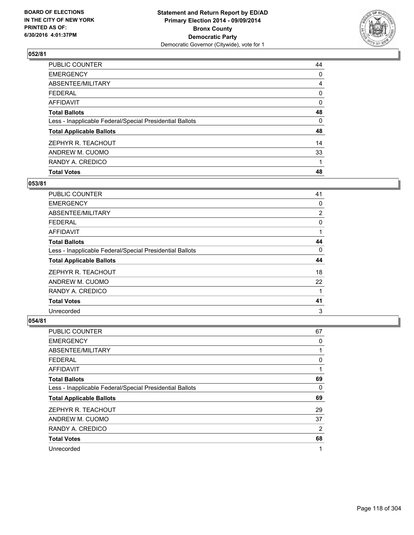

| <b>Total Votes</b>                                       | 48 |
|----------------------------------------------------------|----|
| RANDY A. CREDICO                                         |    |
| ANDREW M. CUOMO                                          | 33 |
| ZEPHYR R. TEACHOUT                                       | 14 |
| <b>Total Applicable Ballots</b>                          | 48 |
| Less - Inapplicable Federal/Special Presidential Ballots | 0  |
| <b>Total Ballots</b>                                     | 48 |
| <b>AFFIDAVIT</b>                                         | 0  |
| <b>FEDERAL</b>                                           | 0  |
| ABSENTEE/MILITARY                                        | 4  |
| <b>EMERGENCY</b>                                         | 0  |
| PUBLIC COUNTER                                           | 44 |

### **053/81**

| <b>PUBLIC COUNTER</b>                                    | 41       |
|----------------------------------------------------------|----------|
| <b>EMERGENCY</b>                                         | 0        |
| ABSENTEE/MILITARY                                        | 2        |
| <b>FEDERAL</b>                                           | 0        |
| AFFIDAVIT                                                |          |
| <b>Total Ballots</b>                                     | 44       |
| Less - Inapplicable Federal/Special Presidential Ballots | $\Omega$ |
| <b>Total Applicable Ballots</b>                          | 44       |
| ZEPHYR R. TEACHOUT                                       | 18       |
| ANDREW M. CUOMO                                          | 22       |
| RANDY A. CREDICO                                         | 1        |
| <b>Total Votes</b>                                       | 41       |
| Unrecorded                                               | 3        |

| PUBLIC COUNTER                                           | 67 |
|----------------------------------------------------------|----|
| <b>EMERGENCY</b>                                         | 0  |
| ABSENTEE/MILITARY                                        |    |
| <b>FEDERAL</b>                                           | 0  |
| <b>AFFIDAVIT</b>                                         |    |
| <b>Total Ballots</b>                                     | 69 |
| Less - Inapplicable Federal/Special Presidential Ballots | 0  |
| <b>Total Applicable Ballots</b>                          | 69 |
| ZEPHYR R. TEACHOUT                                       | 29 |
| ANDREW M. CUOMO                                          | 37 |
| RANDY A. CREDICO                                         | 2  |
| <b>Total Votes</b>                                       | 68 |
| Unrecorded                                               | 1  |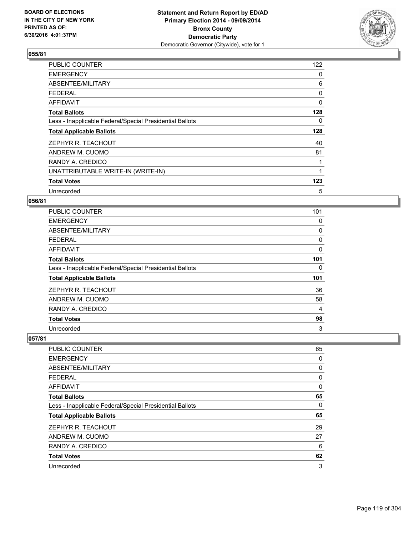

| <b>PUBLIC COUNTER</b>                                    | 122      |
|----------------------------------------------------------|----------|
| <b>EMERGENCY</b>                                         | 0        |
| ABSENTEE/MILITARY                                        | 6        |
| <b>FEDERAL</b>                                           | 0        |
| <b>AFFIDAVIT</b>                                         | $\Omega$ |
| <b>Total Ballots</b>                                     | 128      |
| Less - Inapplicable Federal/Special Presidential Ballots | 0        |
| <b>Total Applicable Ballots</b>                          | 128      |
| ZEPHYR R. TEACHOUT                                       | 40       |
| ANDREW M. CUOMO                                          | 81       |
| RANDY A. CREDICO                                         | 1        |
| UNATTRIBUTABLE WRITE-IN (WRITE-IN)                       |          |
| <b>Total Votes</b>                                       | 123      |
| Unrecorded                                               | 5        |

### **056/81**

| <b>PUBLIC COUNTER</b>                                    | 101 |
|----------------------------------------------------------|-----|
| <b>EMERGENCY</b>                                         | 0   |
| ABSENTEE/MILITARY                                        | 0   |
| <b>FEDERAL</b>                                           | 0   |
| AFFIDAVIT                                                | 0   |
| <b>Total Ballots</b>                                     | 101 |
| Less - Inapplicable Federal/Special Presidential Ballots | 0   |
| <b>Total Applicable Ballots</b>                          | 101 |
| ZEPHYR R. TEACHOUT                                       | 36  |
| ANDREW M. CUOMO                                          | 58  |
| RANDY A. CREDICO                                         | 4   |
| <b>Total Votes</b>                                       | 98  |
| Unrecorded                                               | 3   |

| PUBLIC COUNTER                                           | 65 |
|----------------------------------------------------------|----|
| <b>EMERGENCY</b>                                         | 0  |
| ABSENTEE/MILITARY                                        | 0  |
| <b>FEDERAL</b>                                           | 0  |
| AFFIDAVIT                                                | 0  |
| <b>Total Ballots</b>                                     | 65 |
| Less - Inapplicable Federal/Special Presidential Ballots | 0  |
| <b>Total Applicable Ballots</b>                          | 65 |
| ZEPHYR R. TEACHOUT                                       | 29 |
| ANDREW M. CUOMO                                          | 27 |
| RANDY A. CREDICO                                         | 6  |
| <b>Total Votes</b>                                       | 62 |
| Unrecorded                                               | 3  |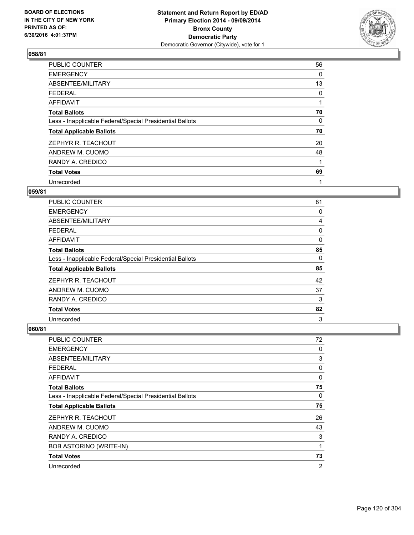

| <b>PUBLIC COUNTER</b>                                    | 56 |
|----------------------------------------------------------|----|
| <b>EMERGENCY</b>                                         | 0  |
| ABSENTEE/MILITARY                                        | 13 |
| <b>FEDERAL</b>                                           | 0  |
| AFFIDAVIT                                                | 1  |
| <b>Total Ballots</b>                                     | 70 |
| Less - Inapplicable Federal/Special Presidential Ballots | 0  |
| <b>Total Applicable Ballots</b>                          | 70 |
| ZEPHYR R. TEACHOUT                                       | 20 |
| ANDREW M. CUOMO                                          | 48 |
| RANDY A. CREDICO                                         | 1  |
| <b>Total Votes</b>                                       | 69 |
| Unrecorded                                               | 1  |

# **059/81**

| <b>PUBLIC COUNTER</b>                                    | 81 |
|----------------------------------------------------------|----|
| <b>EMERGENCY</b>                                         | 0  |
| ABSENTEE/MILITARY                                        | 4  |
| <b>FEDERAL</b>                                           | 0  |
| AFFIDAVIT                                                | 0  |
| <b>Total Ballots</b>                                     | 85 |
| Less - Inapplicable Federal/Special Presidential Ballots | 0  |
| <b>Total Applicable Ballots</b>                          | 85 |
| ZEPHYR R. TEACHOUT                                       | 42 |
| ANDREW M. CUOMO                                          | 37 |
| RANDY A. CREDICO                                         | 3  |
| <b>Total Votes</b>                                       | 82 |
| Unrecorded                                               | 3  |

| PUBLIC COUNTER                                           | 72             |
|----------------------------------------------------------|----------------|
| <b>EMERGENCY</b>                                         | 0              |
| ABSENTEE/MILITARY                                        | 3              |
| <b>FEDERAL</b>                                           | 0              |
| AFFIDAVIT                                                | 0              |
| <b>Total Ballots</b>                                     | 75             |
| Less - Inapplicable Federal/Special Presidential Ballots | 0              |
| <b>Total Applicable Ballots</b>                          | 75             |
| ZEPHYR R. TEACHOUT                                       | 26             |
| ANDREW M. CUOMO                                          | 43             |
| RANDY A. CREDICO                                         | 3              |
| <b>BOB ASTORINO (WRITE-IN)</b>                           | 1              |
| <b>Total Votes</b>                                       | 73             |
| Unrecorded                                               | $\overline{2}$ |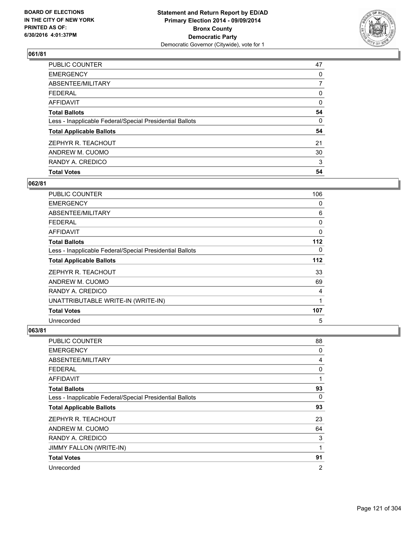

| <b>Total Votes</b>                                       | 54 |
|----------------------------------------------------------|----|
| RANDY A. CREDICO                                         | 3  |
| ANDREW M. CUOMO                                          | 30 |
| ZEPHYR R. TEACHOUT                                       | 21 |
| <b>Total Applicable Ballots</b>                          | 54 |
| Less - Inapplicable Federal/Special Presidential Ballots | 0  |
| <b>Total Ballots</b>                                     | 54 |
| <b>AFFIDAVIT</b>                                         | 0  |
| <b>FEDERAL</b>                                           | 0  |
| ABSENTEE/MILITARY                                        | 7  |
| <b>EMERGENCY</b>                                         | 0  |
| PUBLIC COUNTER                                           | 47 |

### **062/81**

| <b>PUBLIC COUNTER</b>                                    | 106 |
|----------------------------------------------------------|-----|
| <b>EMERGENCY</b>                                         | 0   |
| ABSENTEE/MILITARY                                        | 6   |
| <b>FEDERAL</b>                                           | 0   |
| AFFIDAVIT                                                | 0   |
| <b>Total Ballots</b>                                     | 112 |
| Less - Inapplicable Federal/Special Presidential Ballots | 0   |
| <b>Total Applicable Ballots</b>                          | 112 |
| ZEPHYR R. TEACHOUT                                       | 33  |
| ANDREW M. CUOMO                                          | 69  |
| RANDY A. CREDICO                                         | 4   |
| UNATTRIBUTABLE WRITE-IN (WRITE-IN)                       | 1   |
| <b>Total Votes</b>                                       | 107 |
| Unrecorded                                               | 5   |

| <b>PUBLIC COUNTER</b>                                    | 88 |
|----------------------------------------------------------|----|
| <b>EMERGENCY</b>                                         | 0  |
| ABSENTEE/MILITARY                                        | 4  |
| <b>FEDERAL</b>                                           | 0  |
| AFFIDAVIT                                                | 1  |
| <b>Total Ballots</b>                                     | 93 |
| Less - Inapplicable Federal/Special Presidential Ballots | 0  |
| <b>Total Applicable Ballots</b>                          | 93 |
| ZEPHYR R. TEACHOUT                                       | 23 |
| ANDREW M. CUOMO                                          | 64 |
| RANDY A. CREDICO                                         | 3  |
| JIMMY FALLON (WRITE-IN)                                  | 1  |
| <b>Total Votes</b>                                       | 91 |
| Unrecorded                                               | 2  |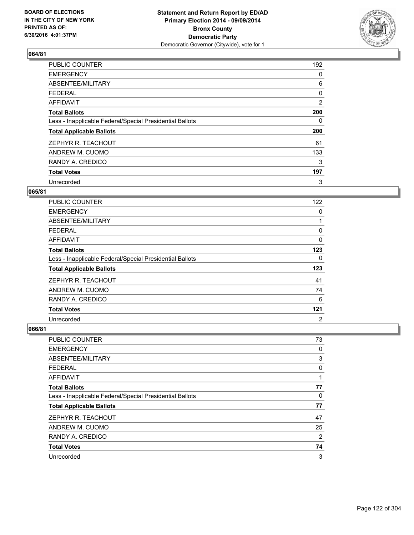

| <b>PUBLIC COUNTER</b>                                    | 192 |
|----------------------------------------------------------|-----|
| <b>EMERGENCY</b>                                         | 0   |
| ABSENTEE/MILITARY                                        | 6   |
| FEDERAL                                                  | 0   |
| <b>AFFIDAVIT</b>                                         | 2   |
| <b>Total Ballots</b>                                     | 200 |
| Less - Inapplicable Federal/Special Presidential Ballots | 0   |
| <b>Total Applicable Ballots</b>                          | 200 |
| ZEPHYR R. TEACHOUT                                       | 61  |
| ANDREW M. CUOMO                                          | 133 |
| RANDY A. CREDICO                                         | 3   |
| <b>Total Votes</b>                                       | 197 |
| Unrecorded                                               | 3   |

#### **065/81**

| <b>PUBLIC COUNTER</b>                                    | 122            |
|----------------------------------------------------------|----------------|
| <b>EMERGENCY</b>                                         | 0              |
| ABSENTEE/MILITARY                                        |                |
| <b>FEDERAL</b>                                           | 0              |
| AFFIDAVIT                                                | 0              |
| <b>Total Ballots</b>                                     | 123            |
| Less - Inapplicable Federal/Special Presidential Ballots | 0              |
| <b>Total Applicable Ballots</b>                          | 123            |
| ZEPHYR R. TEACHOUT                                       | 41             |
| ANDREW M. CUOMO                                          | 74             |
| RANDY A. CREDICO                                         | 6              |
| <b>Total Votes</b>                                       | 121            |
| Unrecorded                                               | $\overline{2}$ |

| <b>PUBLIC COUNTER</b>                                    | 73 |
|----------------------------------------------------------|----|
| <b>EMERGENCY</b>                                         | 0  |
| ABSENTEE/MILITARY                                        | 3  |
| FEDERAL                                                  | 0  |
| AFFIDAVIT                                                | 1  |
| <b>Total Ballots</b>                                     | 77 |
| Less - Inapplicable Federal/Special Presidential Ballots | 0  |
| <b>Total Applicable Ballots</b>                          | 77 |
| ZEPHYR R. TEACHOUT                                       | 47 |
| ANDREW M. CUOMO                                          | 25 |
| RANDY A. CREDICO                                         | 2  |
| <b>Total Votes</b>                                       | 74 |
| Unrecorded                                               | 3  |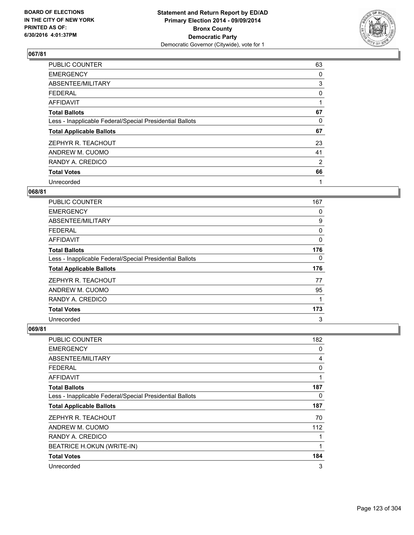

| <b>PUBLIC COUNTER</b>                                    | 63 |
|----------------------------------------------------------|----|
| <b>EMERGENCY</b>                                         | 0  |
| ABSENTEE/MILITARY                                        | 3  |
| <b>FEDERAL</b>                                           | 0  |
| AFFIDAVIT                                                | 1  |
| <b>Total Ballots</b>                                     | 67 |
| Less - Inapplicable Federal/Special Presidential Ballots | 0  |
| <b>Total Applicable Ballots</b>                          | 67 |
| ZEPHYR R. TEACHOUT                                       | 23 |
| ANDREW M. CUOMO                                          | 41 |
| RANDY A. CREDICO                                         | 2  |
| <b>Total Votes</b>                                       | 66 |
| Unrecorded                                               | 1  |

#### **068/81**

| <b>PUBLIC COUNTER</b>                                    | 167 |
|----------------------------------------------------------|-----|
| <b>EMERGENCY</b>                                         | 0   |
| ABSENTEE/MILITARY                                        | 9   |
| <b>FEDERAL</b>                                           | 0   |
| AFFIDAVIT                                                | 0   |
| <b>Total Ballots</b>                                     | 176 |
| Less - Inapplicable Federal/Special Presidential Ballots | 0   |
| <b>Total Applicable Ballots</b>                          | 176 |
| ZEPHYR R. TEACHOUT                                       | 77  |
| ANDREW M. CUOMO                                          | 95  |
| RANDY A. CREDICO                                         | 1   |
| <b>Total Votes</b>                                       | 173 |
| Unrecorded                                               | 3   |

| <b>PUBLIC COUNTER</b>                                    | 182 |
|----------------------------------------------------------|-----|
| <b>EMERGENCY</b>                                         | 0   |
| ABSENTEE/MILITARY                                        | 4   |
| <b>FEDERAL</b>                                           | 0   |
| AFFIDAVIT                                                | 1   |
| <b>Total Ballots</b>                                     | 187 |
| Less - Inapplicable Federal/Special Presidential Ballots | 0   |
| <b>Total Applicable Ballots</b>                          | 187 |
| ZEPHYR R. TEACHOUT                                       | 70  |
| ANDREW M. CUOMO                                          | 112 |
| RANDY A. CREDICO                                         | 1   |
| BEATRICE H.OKUN (WRITE-IN)                               | 1   |
| <b>Total Votes</b>                                       | 184 |
| Unrecorded                                               | 3   |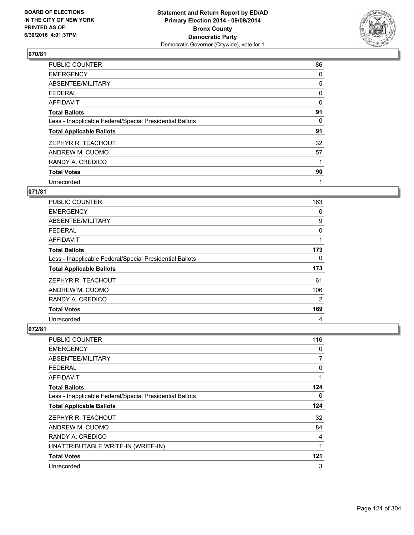

| <b>PUBLIC COUNTER</b>                                    | 86 |
|----------------------------------------------------------|----|
| <b>EMERGENCY</b>                                         | 0  |
| ABSENTEE/MILITARY                                        | 5  |
| FEDERAL                                                  | 0  |
| <b>AFFIDAVIT</b>                                         | 0  |
| <b>Total Ballots</b>                                     | 91 |
| Less - Inapplicable Federal/Special Presidential Ballots | 0  |
| <b>Total Applicable Ballots</b>                          | 91 |
| ZEPHYR R. TEACHOUT                                       | 32 |
| ANDREW M. CUOMO                                          | 57 |
| RANDY A. CREDICO                                         | 1  |
| <b>Total Votes</b>                                       | 90 |
| Unrecorded                                               | 1  |

# **071/81**

| <b>PUBLIC COUNTER</b>                                    | 163 |
|----------------------------------------------------------|-----|
| <b>EMERGENCY</b>                                         | 0   |
| ABSENTEE/MILITARY                                        | 9   |
| <b>FEDERAL</b>                                           | 0   |
| <b>AFFIDAVIT</b>                                         | 1   |
| <b>Total Ballots</b>                                     | 173 |
| Less - Inapplicable Federal/Special Presidential Ballots | 0   |
| <b>Total Applicable Ballots</b>                          | 173 |
| ZEPHYR R. TEACHOUT                                       | 61  |
| ANDREW M. CUOMO                                          | 106 |
| RANDY A. CREDICO                                         | 2   |
| <b>Total Votes</b>                                       | 169 |
| Unrecorded                                               | 4   |

| <b>PUBLIC COUNTER</b>                                    | 116 |
|----------------------------------------------------------|-----|
| <b>EMERGENCY</b>                                         | 0   |
| ABSENTEE/MILITARY                                        | 7   |
| <b>FEDERAL</b>                                           | 0   |
| AFFIDAVIT                                                |     |
| <b>Total Ballots</b>                                     | 124 |
| Less - Inapplicable Federal/Special Presidential Ballots | 0   |
| <b>Total Applicable Ballots</b>                          | 124 |
| ZEPHYR R. TEACHOUT                                       | 32  |
| ANDREW M. CUOMO                                          | 84  |
| RANDY A. CREDICO                                         | 4   |
| UNATTRIBUTABLE WRITE-IN (WRITE-IN)                       |     |
| <b>Total Votes</b>                                       | 121 |
| Unrecorded                                               | 3   |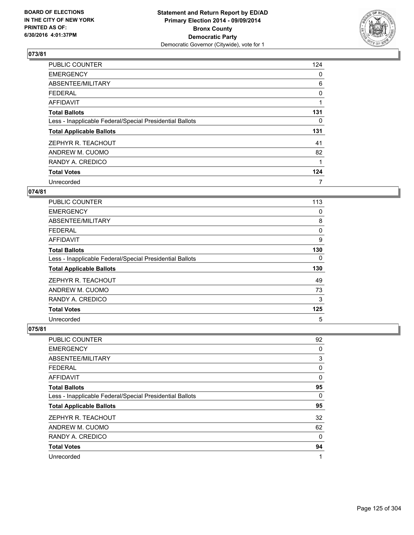

| <b>PUBLIC COUNTER</b>                                    | 124 |
|----------------------------------------------------------|-----|
| <b>EMERGENCY</b>                                         | 0   |
| ABSENTEE/MILITARY                                        | 6   |
| <b>FEDERAL</b>                                           | 0   |
| AFFIDAVIT                                                |     |
| <b>Total Ballots</b>                                     | 131 |
| Less - Inapplicable Federal/Special Presidential Ballots | 0   |
| <b>Total Applicable Ballots</b>                          | 131 |
| ZEPHYR R. TEACHOUT                                       | 41  |
| ANDREW M. CUOMO                                          | 82  |
| RANDY A. CREDICO                                         |     |
| <b>Total Votes</b>                                       | 124 |
| Unrecorded                                               | 7   |

#### **074/81**

| <b>PUBLIC COUNTER</b>                                    | 113 |
|----------------------------------------------------------|-----|
| <b>EMERGENCY</b>                                         | 0   |
| ABSENTEE/MILITARY                                        | 8   |
| <b>FEDERAL</b>                                           | 0   |
| AFFIDAVIT                                                | 9   |
| <b>Total Ballots</b>                                     | 130 |
| Less - Inapplicable Federal/Special Presidential Ballots | 0   |
| <b>Total Applicable Ballots</b>                          | 130 |
| ZEPHYR R. TEACHOUT                                       | 49  |
| ANDREW M. CUOMO                                          | 73  |
| RANDY A. CREDICO                                         | 3   |
| <b>Total Votes</b>                                       | 125 |
| Unrecorded                                               | 5   |

| PUBLIC COUNTER                                           | 92       |
|----------------------------------------------------------|----------|
| <b>EMERGENCY</b>                                         | 0        |
| ABSENTEE/MILITARY                                        | 3        |
| <b>FEDERAL</b>                                           | 0        |
| <b>AFFIDAVIT</b>                                         | 0        |
| <b>Total Ballots</b>                                     | 95       |
| Less - Inapplicable Federal/Special Presidential Ballots | 0        |
| <b>Total Applicable Ballots</b>                          | 95       |
| ZEPHYR R. TEACHOUT                                       | 32       |
| ANDREW M. CUOMO                                          | 62       |
| RANDY A. CREDICO                                         | $\Omega$ |
| <b>Total Votes</b>                                       | 94       |
| Unrecorded                                               | 1        |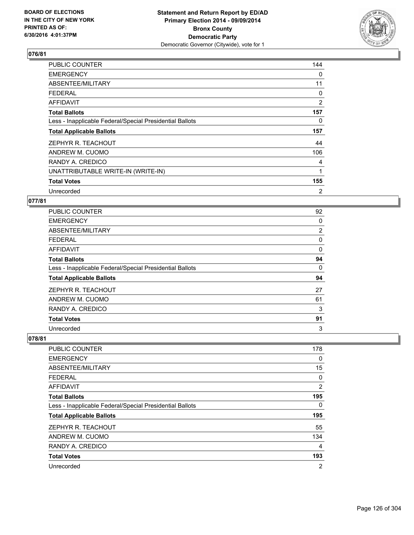

| <b>PUBLIC COUNTER</b>                                    | 144            |
|----------------------------------------------------------|----------------|
| <b>EMERGENCY</b>                                         | 0              |
| ABSENTEE/MILITARY                                        | 11             |
| <b>FEDERAL</b>                                           | 0              |
| <b>AFFIDAVIT</b>                                         | $\overline{2}$ |
| <b>Total Ballots</b>                                     | 157            |
| Less - Inapplicable Federal/Special Presidential Ballots | 0              |
| <b>Total Applicable Ballots</b>                          | 157            |
| ZEPHYR R. TEACHOUT                                       | 44             |
| ANDREW M. CUOMO                                          | 106            |
| RANDY A. CREDICO                                         | 4              |
| UNATTRIBUTABLE WRITE-IN (WRITE-IN)                       | 1              |
| <b>Total Votes</b>                                       | 155            |
| Unrecorded                                               | $\overline{2}$ |

## **077/81**

| PUBLIC COUNTER                                           | 92             |
|----------------------------------------------------------|----------------|
| <b>EMERGENCY</b>                                         | 0              |
| ABSENTEE/MILITARY                                        | $\overline{2}$ |
| <b>FEDERAL</b>                                           | 0              |
| AFFIDAVIT                                                | 0              |
| <b>Total Ballots</b>                                     | 94             |
| Less - Inapplicable Federal/Special Presidential Ballots | 0              |
| <b>Total Applicable Ballots</b>                          | 94             |
| ZEPHYR R. TEACHOUT                                       | 27             |
| ANDREW M. CUOMO                                          | 61             |
| RANDY A. CREDICO                                         | 3              |
| <b>Total Votes</b>                                       | 91             |
| Unrecorded                                               | 3              |

| PUBLIC COUNTER                                           | 178            |
|----------------------------------------------------------|----------------|
| <b>EMERGENCY</b>                                         | 0              |
| ABSENTEE/MILITARY                                        | 15             |
| <b>FEDERAL</b>                                           | 0              |
| AFFIDAVIT                                                | 2              |
| <b>Total Ballots</b>                                     | 195            |
| Less - Inapplicable Federal/Special Presidential Ballots | 0              |
| <b>Total Applicable Ballots</b>                          | 195            |
| ZEPHYR R. TEACHOUT                                       | 55             |
| ANDREW M. CUOMO                                          | 134            |
| RANDY A. CREDICO                                         | 4              |
| <b>Total Votes</b>                                       | 193            |
| Unrecorded                                               | $\overline{2}$ |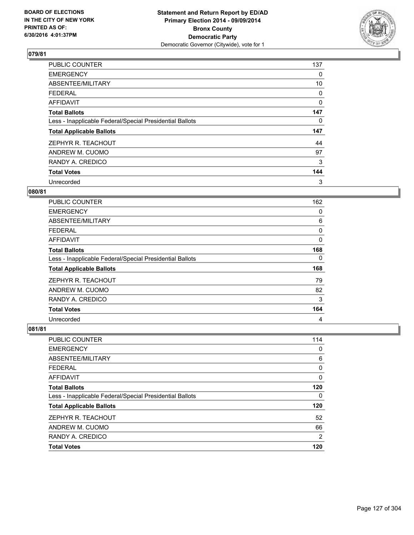

| <b>PUBLIC COUNTER</b>                                    | 137 |
|----------------------------------------------------------|-----|
| <b>EMERGENCY</b>                                         | 0   |
| ABSENTEE/MILITARY                                        | 10  |
| <b>FEDERAL</b>                                           | 0   |
| <b>AFFIDAVIT</b>                                         | 0   |
| <b>Total Ballots</b>                                     | 147 |
| Less - Inapplicable Federal/Special Presidential Ballots | 0   |
| <b>Total Applicable Ballots</b>                          | 147 |
| ZEPHYR R. TEACHOUT                                       | 44  |
| ANDREW M. CUOMO                                          | 97  |
| RANDY A. CREDICO                                         | 3   |
| <b>Total Votes</b>                                       | 144 |
| Unrecorded                                               | 3   |

#### **080/81**

| <b>PUBLIC COUNTER</b>                                    | 162 |
|----------------------------------------------------------|-----|
| <b>EMERGENCY</b>                                         | 0   |
| ABSENTEE/MILITARY                                        | 6   |
| <b>FEDERAL</b>                                           | 0   |
| AFFIDAVIT                                                | 0   |
| <b>Total Ballots</b>                                     | 168 |
| Less - Inapplicable Federal/Special Presidential Ballots | 0   |
| <b>Total Applicable Ballots</b>                          | 168 |
| ZEPHYR R. TEACHOUT                                       | 79  |
| ANDREW M. CUOMO                                          | 82  |
| RANDY A. CREDICO                                         | 3   |
| <b>Total Votes</b>                                       | 164 |
| Unrecorded                                               | 4   |

| <b>PUBLIC COUNTER</b>                                    | 114            |
|----------------------------------------------------------|----------------|
| <b>EMERGENCY</b>                                         | 0              |
| ABSENTEE/MILITARY                                        | 6              |
| FEDERAL                                                  | 0              |
| <b>AFFIDAVIT</b>                                         | 0              |
| <b>Total Ballots</b>                                     | 120            |
| Less - Inapplicable Federal/Special Presidential Ballots | 0              |
| <b>Total Applicable Ballots</b>                          | 120            |
| ZEPHYR R. TEACHOUT                                       | 52             |
| ANDREW M. CUOMO                                          | 66             |
| RANDY A. CREDICO                                         | $\overline{2}$ |
| <b>Total Votes</b>                                       | 120            |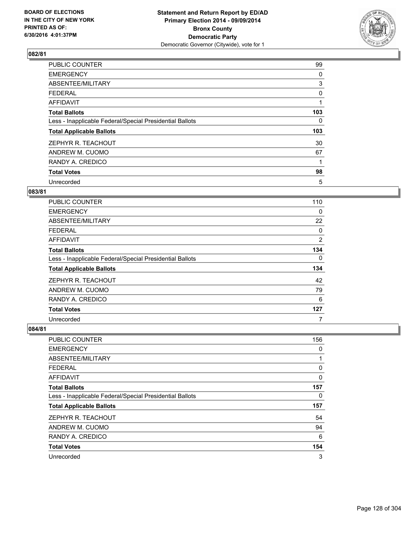

| <b>PUBLIC COUNTER</b>                                    | 99       |
|----------------------------------------------------------|----------|
| <b>EMERGENCY</b>                                         | 0        |
| ABSENTEE/MILITARY                                        | 3        |
| <b>FEDERAL</b>                                           | 0        |
| AFFIDAVIT                                                | 1        |
| <b>Total Ballots</b>                                     | 103      |
| Less - Inapplicable Federal/Special Presidential Ballots | $\Omega$ |
| <b>Total Applicable Ballots</b>                          | 103      |
| ZEPHYR R. TEACHOUT                                       | 30       |
| ANDREW M. CUOMO                                          | 67       |
| RANDY A. CREDICO                                         |          |
| <b>Total Votes</b>                                       | 98       |
| Unrecorded                                               | 5        |

### **083/81**

| <b>PUBLIC COUNTER</b>                                    | 110            |
|----------------------------------------------------------|----------------|
| <b>EMERGENCY</b>                                         | 0              |
| ABSENTEE/MILITARY                                        | 22             |
| <b>FEDERAL</b>                                           | 0              |
| AFFIDAVIT                                                | $\overline{2}$ |
| <b>Total Ballots</b>                                     | 134            |
| Less - Inapplicable Federal/Special Presidential Ballots | 0              |
| <b>Total Applicable Ballots</b>                          | 134            |
| ZEPHYR R. TEACHOUT                                       | 42             |
| ANDREW M. CUOMO                                          | 79             |
| RANDY A. CREDICO                                         | 6              |
| <b>Total Votes</b>                                       | 127            |
| Unrecorded                                               | 7              |

| PUBLIC COUNTER                                           | 156 |
|----------------------------------------------------------|-----|
| <b>EMERGENCY</b>                                         | 0   |
| ABSENTEE/MILITARY                                        | 1   |
| <b>FEDERAL</b>                                           | 0   |
| AFFIDAVIT                                                | 0   |
| <b>Total Ballots</b>                                     | 157 |
| Less - Inapplicable Federal/Special Presidential Ballots | 0   |
| <b>Total Applicable Ballots</b>                          | 157 |
| ZEPHYR R. TEACHOUT                                       | 54  |
| ANDREW M. CUOMO                                          | 94  |
| RANDY A. CREDICO                                         | 6   |
| <b>Total Votes</b>                                       | 154 |
| Unrecorded                                               | 3   |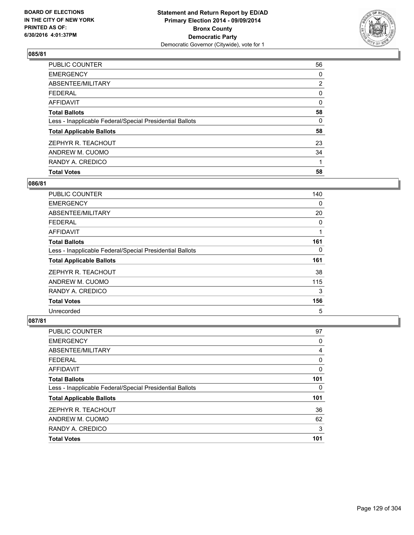

| <b>Total Votes</b>                                       | 58             |
|----------------------------------------------------------|----------------|
| RANDY A. CREDICO                                         |                |
| ANDREW M. CUOMO                                          | 34             |
| ZEPHYR R. TEACHOUT                                       | 23             |
| <b>Total Applicable Ballots</b>                          | 58             |
| Less - Inapplicable Federal/Special Presidential Ballots | 0              |
| <b>Total Ballots</b>                                     | 58             |
| <b>AFFIDAVIT</b>                                         | 0              |
| <b>FEDERAL</b>                                           | 0              |
| ABSENTEE/MILITARY                                        | $\overline{2}$ |
| <b>EMERGENCY</b>                                         | 0              |
| PUBLIC COUNTER                                           | 56             |

### **086/81**

| <b>PUBLIC COUNTER</b>                                    | 140 |
|----------------------------------------------------------|-----|
| <b>EMERGENCY</b>                                         | 0   |
| ABSENTEE/MILITARY                                        | 20  |
| <b>FEDERAL</b>                                           | 0   |
| AFFIDAVIT                                                | 1   |
| <b>Total Ballots</b>                                     | 161 |
| Less - Inapplicable Federal/Special Presidential Ballots | 0   |
| <b>Total Applicable Ballots</b>                          | 161 |
| ZEPHYR R. TEACHOUT                                       | 38  |
| ANDREW M. CUOMO                                          | 115 |
| RANDY A. CREDICO                                         | 3   |
| <b>Total Votes</b>                                       | 156 |
| Unrecorded                                               | 5   |

| <b>PUBLIC COUNTER</b>                                    | 97  |
|----------------------------------------------------------|-----|
| <b>EMERGENCY</b>                                         | 0   |
| ABSENTEE/MILITARY                                        | 4   |
| <b>FEDERAL</b>                                           | 0   |
| <b>AFFIDAVIT</b>                                         | 0   |
| <b>Total Ballots</b>                                     | 101 |
| Less - Inapplicable Federal/Special Presidential Ballots | 0   |
| <b>Total Applicable Ballots</b>                          | 101 |
| ZEPHYR R. TEACHOUT                                       | 36  |
| ANDREW M. CUOMO                                          | 62  |
| RANDY A. CREDICO                                         | 3   |
| <b>Total Votes</b>                                       | 101 |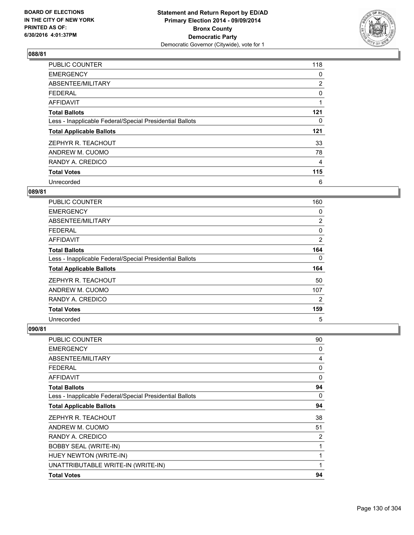

| <b>PUBLIC COUNTER</b>                                    | 118            |
|----------------------------------------------------------|----------------|
| <b>EMERGENCY</b>                                         | 0              |
| ABSENTEE/MILITARY                                        | $\overline{2}$ |
| FEDERAL                                                  | 0              |
| <b>AFFIDAVIT</b>                                         |                |
| <b>Total Ballots</b>                                     | 121            |
| Less - Inapplicable Federal/Special Presidential Ballots | 0              |
| <b>Total Applicable Ballots</b>                          | 121            |
| ZEPHYR R. TEACHOUT                                       | 33             |
| ANDREW M. CUOMO                                          | 78             |
| RANDY A. CREDICO                                         | 4              |
| <b>Total Votes</b>                                       | 115            |
| Unrecorded                                               | 6              |

#### **089/81**

| <b>PUBLIC COUNTER</b>                                    | 160            |
|----------------------------------------------------------|----------------|
| <b>EMERGENCY</b>                                         | 0              |
| ABSENTEE/MILITARY                                        | $\overline{2}$ |
| <b>FEDERAL</b>                                           | 0              |
| AFFIDAVIT                                                | 2              |
| <b>Total Ballots</b>                                     | 164            |
| Less - Inapplicable Federal/Special Presidential Ballots | 0              |
| <b>Total Applicable Ballots</b>                          | 164            |
| ZEPHYR R. TEACHOUT                                       | 50             |
| ANDREW M. CUOMO                                          | 107            |
| RANDY A. CREDICO                                         | $\overline{2}$ |
| <b>Total Votes</b>                                       | 159            |
| Unrecorded                                               | 5              |

| PUBLIC COUNTER                                           | 90 |
|----------------------------------------------------------|----|
| <b>EMERGENCY</b>                                         | 0  |
| ABSENTEE/MILITARY                                        | 4  |
| <b>FEDERAL</b>                                           | 0  |
| <b>AFFIDAVIT</b>                                         | 0  |
| <b>Total Ballots</b>                                     | 94 |
| Less - Inapplicable Federal/Special Presidential Ballots | 0  |
| <b>Total Applicable Ballots</b>                          | 94 |
| ZEPHYR R. TEACHOUT                                       | 38 |
| ANDREW M. CUOMO                                          | 51 |
| RANDY A. CREDICO                                         | 2  |
| <b>BOBBY SEAL (WRITE-IN)</b>                             | 1  |
| HUEY NEWTON (WRITE-IN)                                   | 1  |
| UNATTRIBUTABLE WRITE-IN (WRITE-IN)                       | 1  |
| <b>Total Votes</b>                                       | 94 |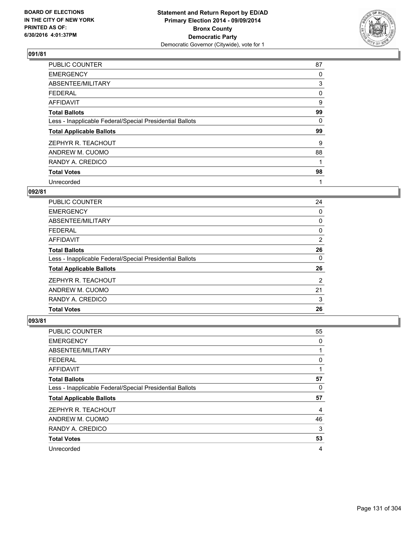

| <b>PUBLIC COUNTER</b>                                    | 87 |
|----------------------------------------------------------|----|
| <b>EMERGENCY</b>                                         | 0  |
| ABSENTEE/MILITARY                                        | 3  |
| <b>FEDERAL</b>                                           | 0  |
| AFFIDAVIT                                                | 9  |
| <b>Total Ballots</b>                                     | 99 |
| Less - Inapplicable Federal/Special Presidential Ballots | 0  |
| <b>Total Applicable Ballots</b>                          | 99 |
| ZEPHYR R. TEACHOUT                                       | 9  |
| ANDREW M. CUOMO                                          | 88 |
| RANDY A. CREDICO                                         | 1  |
| <b>Total Votes</b>                                       | 98 |
| Unrecorded                                               | 1  |

# **092/81**

| <b>PUBLIC COUNTER</b>                                    | 24 |
|----------------------------------------------------------|----|
| <b>EMERGENCY</b>                                         | 0  |
| ABSENTEE/MILITARY                                        | 0  |
| FEDERAL                                                  | 0  |
| AFFIDAVIT                                                | 2  |
| <b>Total Ballots</b>                                     | 26 |
| Less - Inapplicable Federal/Special Presidential Ballots | 0  |
| <b>Total Applicable Ballots</b>                          | 26 |
| ZEPHYR R. TEACHOUT                                       | 2  |
| ANDREW M. CUOMO                                          | 21 |
| RANDY A. CREDICO                                         | 3  |
| <b>Total Votes</b>                                       | 26 |
|                                                          |    |

| <b>PUBLIC COUNTER</b>                                    | 55 |
|----------------------------------------------------------|----|
| <b>EMERGENCY</b>                                         | 0  |
| ABSENTEE/MILITARY                                        | 1  |
| <b>FEDERAL</b>                                           | 0  |
| AFFIDAVIT                                                |    |
| <b>Total Ballots</b>                                     | 57 |
| Less - Inapplicable Federal/Special Presidential Ballots | 0  |
| <b>Total Applicable Ballots</b>                          | 57 |
| ZEPHYR R. TEACHOUT                                       | 4  |
| ANDREW M. CUOMO                                          | 46 |
| RANDY A. CREDICO                                         | 3  |
| <b>Total Votes</b>                                       | 53 |
| Unrecorded                                               | 4  |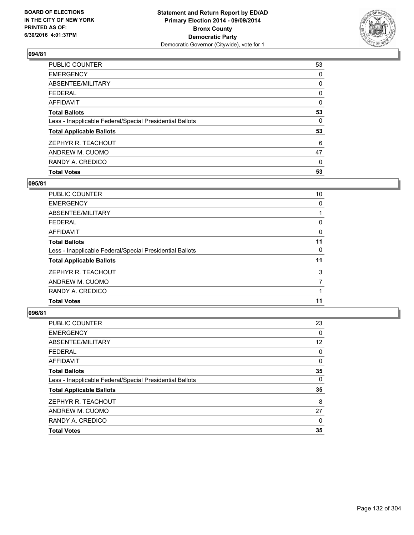

| <b>Total Votes</b>                                       | 53 |
|----------------------------------------------------------|----|
| RANDY A. CREDICO                                         | 0  |
| ANDREW M. CUOMO                                          | 47 |
| ZEPHYR R. TEACHOUT                                       | 6  |
| <b>Total Applicable Ballots</b>                          | 53 |
| Less - Inapplicable Federal/Special Presidential Ballots | 0  |
| <b>Total Ballots</b>                                     | 53 |
| <b>AFFIDAVIT</b>                                         | 0  |
| <b>FEDERAL</b>                                           | 0  |
| ABSENTEE/MILITARY                                        | 0  |
| <b>EMERGENCY</b>                                         | 0  |
| PUBLIC COUNTER                                           | 53 |

### **095/81**

| <b>PUBLIC COUNTER</b>                                    | 10       |
|----------------------------------------------------------|----------|
| <b>EMERGENCY</b>                                         | 0        |
| ABSENTEE/MILITARY                                        |          |
| <b>FEDERAL</b>                                           | 0        |
| <b>AFFIDAVIT</b>                                         | $\Omega$ |
| <b>Total Ballots</b>                                     | 11       |
| Less - Inapplicable Federal/Special Presidential Ballots | 0        |
| <b>Total Applicable Ballots</b>                          | 11       |
| ZEPHYR R. TEACHOUT                                       | 3        |
| ANDREW M. CUOMO                                          | 7        |
| RANDY A. CREDICO                                         |          |
| <b>Total Votes</b>                                       | 11       |
|                                                          |          |

| <b>PUBLIC COUNTER</b>                                    | 23 |
|----------------------------------------------------------|----|
| <b>EMERGENCY</b>                                         | 0  |
| ABSENTEE/MILITARY                                        | 12 |
| <b>FEDERAL</b>                                           | 0  |
| <b>AFFIDAVIT</b>                                         | 0  |
| <b>Total Ballots</b>                                     | 35 |
| Less - Inapplicable Federal/Special Presidential Ballots | 0  |
| <b>Total Applicable Ballots</b>                          | 35 |
| ZEPHYR R. TEACHOUT                                       | 8  |
| ANDREW M. CUOMO                                          | 27 |
| RANDY A. CREDICO                                         | 0  |
| <b>Total Votes</b>                                       | 35 |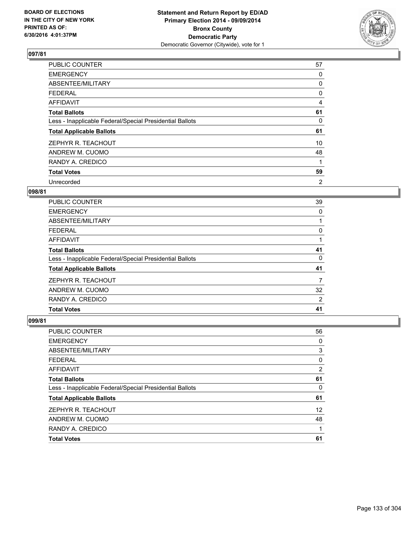

| <b>PUBLIC COUNTER</b>                                    | 57 |
|----------------------------------------------------------|----|
| <b>EMERGENCY</b>                                         | 0  |
| ABSENTEE/MILITARY                                        | 0  |
| <b>FEDERAL</b>                                           | 0  |
| AFFIDAVIT                                                | 4  |
| <b>Total Ballots</b>                                     | 61 |
| Less - Inapplicable Federal/Special Presidential Ballots | 0  |
| <b>Total Applicable Ballots</b>                          | 61 |
| ZEPHYR R. TEACHOUT                                       | 10 |
| ANDREW M. CUOMO                                          | 48 |
| RANDY A. CREDICO                                         | 1  |
| <b>Total Votes</b>                                       | 59 |
| Unrecorded                                               | 2  |

### **098/81**

| <b>PUBLIC COUNTER</b>                                    | 39 |
|----------------------------------------------------------|----|
| <b>EMERGENCY</b>                                         | 0  |
| ABSENTEE/MILITARY                                        |    |
| <b>FEDERAL</b>                                           | 0  |
| AFFIDAVIT                                                |    |
| <b>Total Ballots</b>                                     | 41 |
| Less - Inapplicable Federal/Special Presidential Ballots | 0  |
| <b>Total Applicable Ballots</b>                          | 41 |
| ZEPHYR R. TEACHOUT                                       | 7  |
| ANDREW M. CUOMO                                          | 32 |
| RANDY A. CREDICO                                         | 2  |
| <b>Total Votes</b>                                       | 41 |

| <b>PUBLIC COUNTER</b>                                    | 56                |
|----------------------------------------------------------|-------------------|
| <b>EMERGENCY</b>                                         | 0                 |
| ABSENTEE/MILITARY                                        | 3                 |
| <b>FEDERAL</b>                                           | 0                 |
| <b>AFFIDAVIT</b>                                         | 2                 |
| <b>Total Ballots</b>                                     | 61                |
| Less - Inapplicable Federal/Special Presidential Ballots | 0                 |
| <b>Total Applicable Ballots</b>                          | 61                |
| ZEPHYR R. TEACHOUT                                       | $12 \overline{ }$ |
| ANDREW M. CUOMO                                          | 48                |
| RANDY A. CREDICO                                         |                   |
| <b>Total Votes</b>                                       | 61                |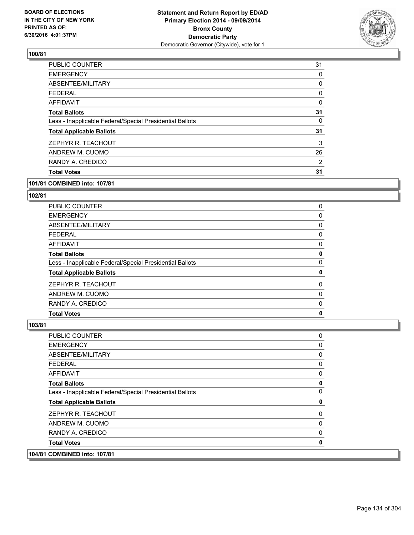

| <b>PUBLIC COUNTER</b>                                    | 31 |
|----------------------------------------------------------|----|
| <b>EMERGENCY</b>                                         | 0  |
| ABSENTEE/MILITARY                                        | 0  |
| <b>FEDERAL</b>                                           | 0  |
| AFFIDAVIT                                                | 0  |
| <b>Total Ballots</b>                                     | 31 |
| Less - Inapplicable Federal/Special Presidential Ballots | 0  |
| <b>Total Applicable Ballots</b>                          | 31 |
| ZEPHYR R. TEACHOUT                                       | 3  |
| ANDREW M. CUOMO                                          | 26 |
| RANDY A. CREDICO                                         | 2  |
| <b>Total Votes</b>                                       | 31 |

#### **101/81 COMBINED into: 107/81**

#### **102/81**

| <b>PUBLIC COUNTER</b>                                    | 0 |
|----------------------------------------------------------|---|
| <b>EMERGENCY</b>                                         | 0 |
| ABSENTEE/MILITARY                                        | 0 |
| <b>FEDERAL</b>                                           | 0 |
| AFFIDAVIT                                                | 0 |
| <b>Total Ballots</b>                                     | 0 |
| Less - Inapplicable Federal/Special Presidential Ballots | 0 |
| <b>Total Applicable Ballots</b>                          | 0 |
| ZEPHYR R. TEACHOUT                                       | 0 |
| ANDREW M. CUOMO                                          | 0 |
| RANDY A. CREDICO                                         | 0 |
| <b>Total Votes</b>                                       | 0 |

| 104/81 COMBINED into: 107/81                             |   |
|----------------------------------------------------------|---|
| <b>Total Votes</b>                                       | 0 |
| RANDY A. CREDICO                                         | 0 |
| ANDREW M. CUOMO                                          | 0 |
| ZEPHYR R. TEACHOUT                                       | 0 |
| <b>Total Applicable Ballots</b>                          | 0 |
| Less - Inapplicable Federal/Special Presidential Ballots | 0 |
| <b>Total Ballots</b>                                     | 0 |
| AFFIDAVIT                                                | 0 |
| <b>FEDERAL</b>                                           | 0 |
| ABSENTEE/MILITARY                                        | 0 |
| <b>EMERGENCY</b>                                         | 0 |
| <b>PUBLIC COUNTER</b>                                    | 0 |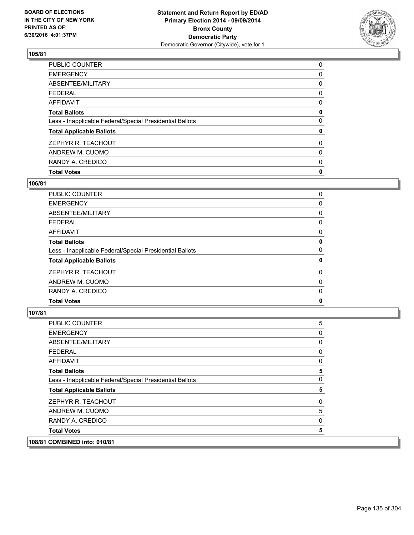

| <b>Total Votes</b>                                       | 0 |
|----------------------------------------------------------|---|
| RANDY A. CREDICO                                         | 0 |
| ANDREW M. CUOMO                                          | 0 |
| ZEPHYR R. TEACHOUT                                       | 0 |
| <b>Total Applicable Ballots</b>                          | 0 |
| Less - Inapplicable Federal/Special Presidential Ballots | 0 |
| <b>Total Ballots</b>                                     | 0 |
| <b>AFFIDAVIT</b>                                         | 0 |
| <b>FEDERAL</b>                                           | 0 |
| ABSENTEE/MILITARY                                        | 0 |
| <b>EMERGENCY</b>                                         | 0 |
| PUBLIC COUNTER                                           | 0 |

### **106/81**

| PUBLIC COUNTER                                           | 0 |
|----------------------------------------------------------|---|
| <b>EMERGENCY</b>                                         | 0 |
| ABSENTEE/MILITARY                                        | 0 |
| <b>FEDERAL</b>                                           | 0 |
| <b>AFFIDAVIT</b>                                         | 0 |
| <b>Total Ballots</b>                                     | 0 |
| Less - Inapplicable Federal/Special Presidential Ballots | 0 |
| <b>Total Applicable Ballots</b>                          | 0 |
| ZEPHYR R. TEACHOUT                                       | 0 |
| ANDREW M. CUOMO                                          | 0 |
| RANDY A. CREDICO                                         | 0 |
| <b>Total Votes</b>                                       | 0 |
|                                                          |   |

#### **107/81**

| COMBINED into: 010/81                                    |   |
|----------------------------------------------------------|---|
| <b>Total Votes</b>                                       | 5 |
| RANDY A. CREDICO                                         | 0 |
| ANDREW M. CUOMO                                          | 5 |
| ZEPHYR R. TEACHOUT                                       | 0 |
| <b>Total Applicable Ballots</b>                          | 5 |
| Less - Inapplicable Federal/Special Presidential Ballots | 0 |
| <b>Total Ballots</b>                                     | 5 |
| <b>AFFIDAVIT</b>                                         | 0 |
| <b>FEDERAL</b>                                           | 0 |
| ABSENTEE/MILITARY                                        | 0 |
| <b>EMERGENCY</b>                                         | 0 |
| PUBLIC COUNTER                                           | 5 |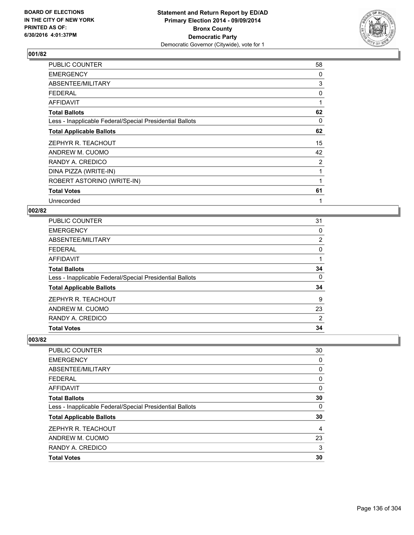

| PUBLIC COUNTER                                           | 58 |
|----------------------------------------------------------|----|
| <b>EMERGENCY</b>                                         | 0  |
| ABSENTEE/MILITARY                                        | 3  |
| <b>FEDERAL</b>                                           | 0  |
| AFFIDAVIT                                                | 1  |
| <b>Total Ballots</b>                                     | 62 |
| Less - Inapplicable Federal/Special Presidential Ballots | 0  |
| <b>Total Applicable Ballots</b>                          | 62 |
| ZEPHYR R. TEACHOUT                                       | 15 |
| ANDREW M. CUOMO                                          | 42 |
| RANDY A. CREDICO                                         | 2  |
| DINA PIZZA (WRITE-IN)                                    | 1  |
| ROBERT ASTORINO (WRITE-IN)                               |    |
| <b>Total Votes</b>                                       | 61 |
| Unrecorded                                               | 1  |

#### **002/82**

| <b>PUBLIC COUNTER</b>                                    | 31 |
|----------------------------------------------------------|----|
| <b>EMERGENCY</b>                                         | 0  |
| ABSENTEE/MILITARY                                        | 2  |
| <b>FEDERAL</b>                                           | 0  |
| <b>AFFIDAVIT</b>                                         |    |
| <b>Total Ballots</b>                                     | 34 |
| Less - Inapplicable Federal/Special Presidential Ballots | 0  |
| <b>Total Applicable Ballots</b>                          | 34 |
| ZEPHYR R. TEACHOUT                                       | 9  |
| ANDREW M. CUOMO                                          | 23 |
| RANDY A. CREDICO                                         | 2  |
| <b>Total Votes</b>                                       | 34 |

| PUBLIC COUNTER                                           | 30 |
|----------------------------------------------------------|----|
| <b>EMERGENCY</b>                                         | 0  |
| ABSENTEE/MILITARY                                        | 0  |
| <b>FEDERAL</b>                                           | 0  |
| AFFIDAVIT                                                | 0  |
| <b>Total Ballots</b>                                     | 30 |
| Less - Inapplicable Federal/Special Presidential Ballots | 0  |
| <b>Total Applicable Ballots</b>                          | 30 |
| ZEPHYR R. TEACHOUT                                       | 4  |
| ANDREW M. CUOMO                                          | 23 |
| RANDY A. CREDICO                                         | 3  |
| <b>Total Votes</b>                                       | 30 |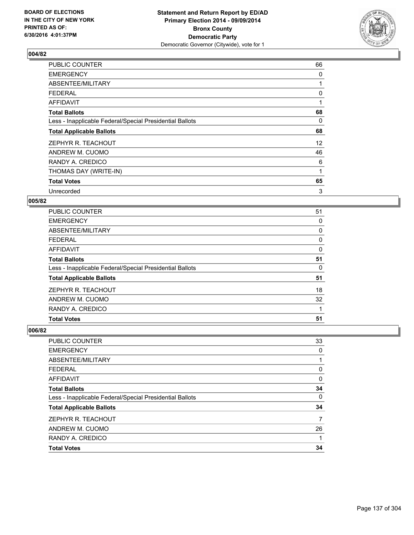

| <b>PUBLIC COUNTER</b>                                    | 66                |
|----------------------------------------------------------|-------------------|
| <b>EMERGENCY</b>                                         | 0                 |
| ABSENTEE/MILITARY                                        | 1                 |
| <b>FEDERAL</b>                                           | 0                 |
| <b>AFFIDAVIT</b>                                         |                   |
| <b>Total Ballots</b>                                     | 68                |
| Less - Inapplicable Federal/Special Presidential Ballots | 0                 |
| <b>Total Applicable Ballots</b>                          | 68                |
| ZEPHYR R. TEACHOUT                                       | $12 \overline{ }$ |
| ANDREW M. CUOMO                                          | 46                |
| RANDY A. CREDICO                                         | 6                 |
| THOMAS DAY (WRITE-IN)                                    | 1                 |
| <b>Total Votes</b>                                       | 65                |
| Unrecorded                                               | 3                 |

## **005/82**

| PUBLIC COUNTER                                           | 51 |
|----------------------------------------------------------|----|
| <b>EMERGENCY</b>                                         | 0  |
| ABSENTEE/MILITARY                                        | 0  |
| <b>FEDERAL</b>                                           | 0  |
| AFFIDAVIT                                                | 0  |
| <b>Total Ballots</b>                                     | 51 |
| Less - Inapplicable Federal/Special Presidential Ballots | 0  |
| <b>Total Applicable Ballots</b>                          | 51 |
| ZEPHYR R. TEACHOUT                                       | 18 |
| ANDREW M. CUOMO                                          | 32 |
| RANDY A. CREDICO                                         |    |
| <b>Total Votes</b>                                       | 51 |

| <b>PUBLIC COUNTER</b>                                    | 33 |
|----------------------------------------------------------|----|
| <b>EMERGENCY</b>                                         | 0  |
| <b>ABSENTEE/MILITARY</b>                                 |    |
| <b>FEDERAL</b>                                           | 0  |
| <b>AFFIDAVIT</b>                                         | 0  |
| <b>Total Ballots</b>                                     | 34 |
| Less - Inapplicable Federal/Special Presidential Ballots | 0  |
| <b>Total Applicable Ballots</b>                          | 34 |
| ZEPHYR R. TEACHOUT                                       | 7  |
| ANDREW M. CUOMO                                          | 26 |
| RANDY A. CREDICO                                         |    |
| <b>Total Votes</b>                                       | 34 |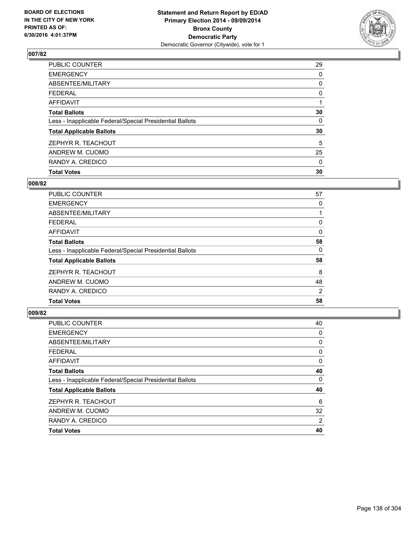

| <b>Total Votes</b>                                       | 30 |
|----------------------------------------------------------|----|
| RANDY A. CREDICO                                         | 0  |
| ANDREW M. CUOMO                                          | 25 |
| ZEPHYR R. TEACHOUT                                       | 5  |
| <b>Total Applicable Ballots</b>                          | 30 |
| Less - Inapplicable Federal/Special Presidential Ballots | 0  |
| <b>Total Ballots</b>                                     | 30 |
| <b>AFFIDAVIT</b>                                         |    |
| <b>FEDERAL</b>                                           | 0  |
| ABSENTEE/MILITARY                                        | 0  |
| <b>EMERGENCY</b>                                         | 0  |
| PUBLIC COUNTER                                           | 29 |

### **008/82**

| <b>PUBLIC COUNTER</b>                                    | 57             |
|----------------------------------------------------------|----------------|
| <b>EMERGENCY</b>                                         | 0              |
| ABSENTEE/MILITARY                                        |                |
| <b>FEDERAL</b>                                           | 0              |
| AFFIDAVIT                                                | 0              |
| <b>Total Ballots</b>                                     | 58             |
| Less - Inapplicable Federal/Special Presidential Ballots | 0              |
| <b>Total Applicable Ballots</b>                          | 58             |
| ZEPHYR R. TEACHOUT                                       | 8              |
| ANDREW M. CUOMO                                          | 48             |
| RANDY A. CREDICO                                         | $\overline{2}$ |
| <b>Total Votes</b>                                       | 58             |
|                                                          |                |

| <b>PUBLIC COUNTER</b>                                    | 40 |
|----------------------------------------------------------|----|
| <b>EMERGENCY</b>                                         | 0  |
| ABSENTEE/MILITARY                                        | 0  |
| <b>FEDERAL</b>                                           | 0  |
| <b>AFFIDAVIT</b>                                         | 0  |
| <b>Total Ballots</b>                                     | 40 |
| Less - Inapplicable Federal/Special Presidential Ballots | 0  |
| <b>Total Applicable Ballots</b>                          | 40 |
| ZEPHYR R. TEACHOUT                                       | 6  |
| ANDREW M. CUOMO                                          | 32 |
| RANDY A. CREDICO                                         | 2  |
| <b>Total Votes</b>                                       | 40 |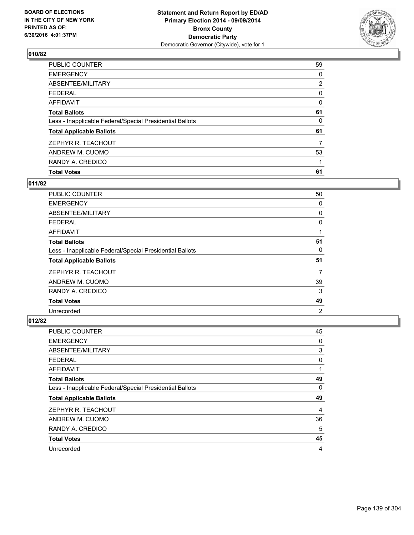

| <b>Total Votes</b>                                       | 61             |
|----------------------------------------------------------|----------------|
| RANDY A. CREDICO                                         |                |
| ANDREW M. CUOMO                                          | 53             |
| ZEPHYR R. TEACHOUT                                       | 7              |
| <b>Total Applicable Ballots</b>                          | 61             |
| Less - Inapplicable Federal/Special Presidential Ballots | 0              |
| <b>Total Ballots</b>                                     | 61             |
| <b>AFFIDAVIT</b>                                         | 0              |
| <b>FEDERAL</b>                                           | 0              |
| ABSENTEE/MILITARY                                        | $\overline{2}$ |
| <b>EMERGENCY</b>                                         | 0              |
| PUBLIC COUNTER                                           | 59             |

### **011/82**

| <b>PUBLIC COUNTER</b>                                    | 50             |
|----------------------------------------------------------|----------------|
| <b>EMERGENCY</b>                                         | 0              |
| ABSENTEE/MILITARY                                        | 0              |
| <b>FEDERAL</b>                                           | 0              |
| AFFIDAVIT                                                |                |
| <b>Total Ballots</b>                                     | 51             |
| Less - Inapplicable Federal/Special Presidential Ballots | 0              |
| <b>Total Applicable Ballots</b>                          | 51             |
| ZEPHYR R. TEACHOUT                                       | 7              |
| ANDREW M. CUOMO                                          | 39             |
| RANDY A. CREDICO                                         | 3              |
| <b>Total Votes</b>                                       | 49             |
| Unrecorded                                               | $\overline{2}$ |

| <b>PUBLIC COUNTER</b>                                    | 45 |
|----------------------------------------------------------|----|
| <b>EMERGENCY</b>                                         | 0  |
| ABSENTEE/MILITARY                                        | 3  |
| <b>FEDERAL</b>                                           | 0  |
| <b>AFFIDAVIT</b>                                         | 1  |
| <b>Total Ballots</b>                                     | 49 |
| Less - Inapplicable Federal/Special Presidential Ballots | 0  |
| <b>Total Applicable Ballots</b>                          | 49 |
| ZEPHYR R. TEACHOUT                                       | 4  |
| ANDREW M. CUOMO                                          | 36 |
| RANDY A. CREDICO                                         | 5  |
| <b>Total Votes</b>                                       | 45 |
| Unrecorded                                               | 4  |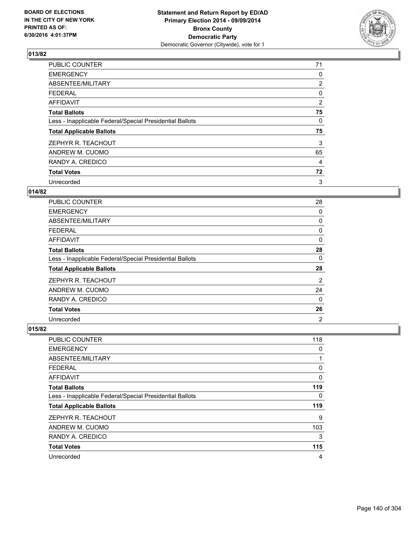

| <b>PUBLIC COUNTER</b>                                    | 71             |
|----------------------------------------------------------|----------------|
| <b>EMERGENCY</b>                                         | 0              |
| ABSENTEE/MILITARY                                        | $\overline{2}$ |
| <b>FEDERAL</b>                                           | 0              |
| <b>AFFIDAVIT</b>                                         | 2              |
| <b>Total Ballots</b>                                     | 75             |
| Less - Inapplicable Federal/Special Presidential Ballots | 0              |
| <b>Total Applicable Ballots</b>                          | 75             |
| ZEPHYR R. TEACHOUT                                       | 3              |
| ANDREW M. CUOMO                                          | 65             |
| RANDY A. CREDICO                                         | 4              |
| <b>Total Votes</b>                                       | 72             |
| Unrecorded                                               | 3              |

### **014/82**

| <b>PUBLIC COUNTER</b>                                    | 28             |
|----------------------------------------------------------|----------------|
| <b>EMERGENCY</b>                                         | 0              |
| ABSENTEE/MILITARY                                        | 0              |
| <b>FEDERAL</b>                                           | 0              |
| AFFIDAVIT                                                | 0              |
| <b>Total Ballots</b>                                     | 28             |
| Less - Inapplicable Federal/Special Presidential Ballots | 0              |
| <b>Total Applicable Ballots</b>                          | 28             |
| ZEPHYR R. TEACHOUT                                       | 2              |
| ANDREW M. CUOMO                                          | 24             |
| RANDY A. CREDICO                                         | $\Omega$       |
| <b>Total Votes</b>                                       | 26             |
| Unrecorded                                               | $\overline{2}$ |

| <b>PUBLIC COUNTER</b>                                    | 118 |
|----------------------------------------------------------|-----|
| <b>EMERGENCY</b>                                         | 0   |
| ABSENTEE/MILITARY                                        |     |
| FEDERAL                                                  | 0   |
| AFFIDAVIT                                                | 0   |
| <b>Total Ballots</b>                                     | 119 |
| Less - Inapplicable Federal/Special Presidential Ballots | 0   |
| <b>Total Applicable Ballots</b>                          | 119 |
| ZEPHYR R. TEACHOUT                                       | 9   |
| ANDREW M. CUOMO                                          | 103 |
| RANDY A. CREDICO                                         | 3   |
| <b>Total Votes</b>                                       | 115 |
| Unrecorded                                               | 4   |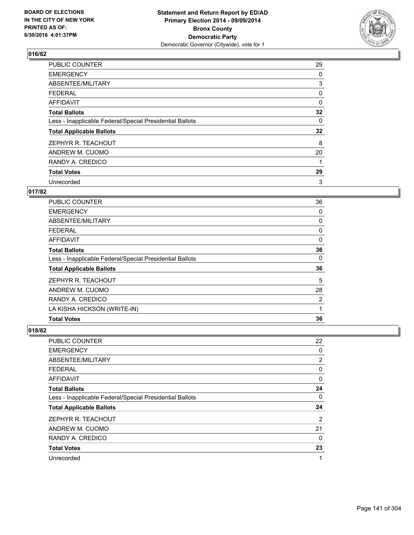

| <b>PUBLIC COUNTER</b>                                    | 29 |
|----------------------------------------------------------|----|
| <b>EMERGENCY</b>                                         | 0  |
| ABSENTEE/MILITARY                                        | 3  |
| <b>FEDERAL</b>                                           | 0  |
| <b>AFFIDAVIT</b>                                         | 0  |
| <b>Total Ballots</b>                                     | 32 |
| Less - Inapplicable Federal/Special Presidential Ballots | 0  |
| <b>Total Applicable Ballots</b>                          | 32 |
| ZEPHYR R. TEACHOUT                                       | 8  |
| ANDREW M. CUOMO                                          | 20 |
| RANDY A. CREDICO                                         | 1  |
| <b>Total Votes</b>                                       | 29 |
| Unrecorded                                               | 3  |

### **017/82**

| <b>PUBLIC COUNTER</b>                                    | 36 |
|----------------------------------------------------------|----|
| <b>EMERGENCY</b>                                         | 0  |
| ABSENTEE/MILITARY                                        | 0  |
| <b>FEDERAL</b>                                           | 0  |
| <b>AFFIDAVIT</b>                                         | 0  |
| <b>Total Ballots</b>                                     | 36 |
| Less - Inapplicable Federal/Special Presidential Ballots | 0  |
| <b>Total Applicable Ballots</b>                          | 36 |
| ZEPHYR R. TEACHOUT                                       | 5  |
| ANDREW M. CUOMO                                          | 28 |
| RANDY A. CREDICO                                         | 2  |
| LA KISHA HICKSON (WRITE-IN)                              | 1  |
| <b>Total Votes</b>                                       | 36 |

| PUBLIC COUNTER                                           | 22             |
|----------------------------------------------------------|----------------|
| <b>EMERGENCY</b>                                         | 0              |
| ABSENTEE/MILITARY                                        | $\overline{2}$ |
| <b>FEDERAL</b>                                           | 0              |
| <b>AFFIDAVIT</b>                                         | 0              |
| <b>Total Ballots</b>                                     | 24             |
| Less - Inapplicable Federal/Special Presidential Ballots | 0              |
| <b>Total Applicable Ballots</b>                          | 24             |
| ZEPHYR R. TEACHOUT                                       | 2              |
| ANDREW M. CUOMO                                          | 21             |
| RANDY A. CREDICO                                         | 0              |
| <b>Total Votes</b>                                       | 23             |
| Unrecorded                                               | 1              |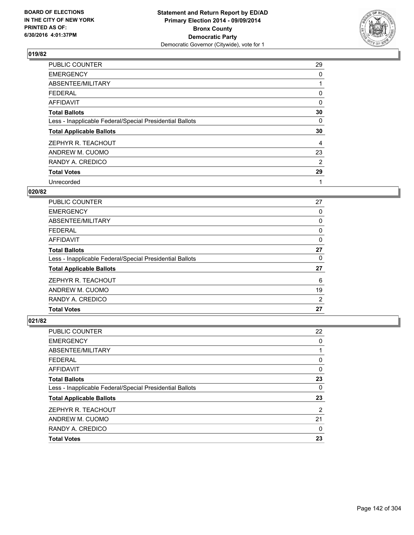

| <b>PUBLIC COUNTER</b>                                    | 29 |
|----------------------------------------------------------|----|
| <b>EMERGENCY</b>                                         | 0  |
| ABSENTEE/MILITARY                                        |    |
| <b>FEDERAL</b>                                           | 0  |
| AFFIDAVIT                                                | 0  |
| <b>Total Ballots</b>                                     | 30 |
| Less - Inapplicable Federal/Special Presidential Ballots | 0  |
| <b>Total Applicable Ballots</b>                          | 30 |
| ZEPHYR R. TEACHOUT                                       | 4  |
| ANDREW M. CUOMO                                          | 23 |
| RANDY A. CREDICO                                         | 2  |
| <b>Total Votes</b>                                       | 29 |
| Unrecorded                                               | 1  |

# **020/82**

| <b>PUBLIC COUNTER</b>                                    | 27             |
|----------------------------------------------------------|----------------|
| <b>EMERGENCY</b>                                         | 0              |
| ABSENTEE/MILITARY                                        | 0              |
| <b>FEDERAL</b>                                           | 0              |
| AFFIDAVIT                                                | 0              |
| <b>Total Ballots</b>                                     | 27             |
| Less - Inapplicable Federal/Special Presidential Ballots | 0              |
| <b>Total Applicable Ballots</b>                          | 27             |
| ZEPHYR R. TEACHOUT                                       | 6              |
| ANDREW M. CUOMO                                          | 19             |
| RANDY A. CREDICO                                         | $\overline{2}$ |
| <b>Total Votes</b>                                       | 27             |

| PUBLIC COUNTER                                           | 22 |
|----------------------------------------------------------|----|
| <b>EMERGENCY</b>                                         | 0  |
| ABSENTEE/MILITARY                                        |    |
| <b>FEDERAL</b>                                           | 0  |
| <b>AFFIDAVIT</b>                                         | 0  |
| <b>Total Ballots</b>                                     | 23 |
| Less - Inapplicable Federal/Special Presidential Ballots | 0  |
| <b>Total Applicable Ballots</b>                          | 23 |
| ZEPHYR R. TEACHOUT                                       | 2  |
| ANDREW M. CUOMO                                          | 21 |
| RANDY A. CREDICO                                         | 0  |
| <b>Total Votes</b>                                       | 23 |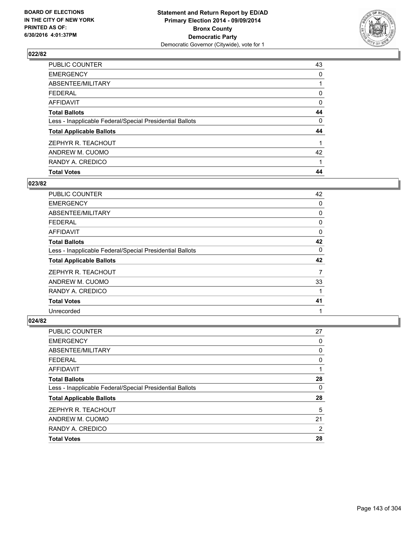

| <b>Total Votes</b>                                       | 44 |
|----------------------------------------------------------|----|
| RANDY A. CREDICO                                         |    |
| ANDREW M. CUOMO                                          | 42 |
| ZEPHYR R. TEACHOUT                                       |    |
| <b>Total Applicable Ballots</b>                          | 44 |
| Less - Inapplicable Federal/Special Presidential Ballots | 0  |
| <b>Total Ballots</b>                                     | 44 |
| <b>AFFIDAVIT</b>                                         | 0  |
| <b>FEDERAL</b>                                           | 0  |
| ABSENTEE/MILITARY                                        |    |
| <b>EMERGENCY</b>                                         | 0  |
| PUBLIC COUNTER                                           | 43 |

### **023/82**

| <b>PUBLIC COUNTER</b>                                    | 42       |
|----------------------------------------------------------|----------|
| <b>EMERGENCY</b>                                         | 0        |
| ABSENTEE/MILITARY                                        | 0        |
| <b>FEDERAL</b>                                           | 0        |
| AFFIDAVIT                                                | 0        |
| <b>Total Ballots</b>                                     | 42       |
| Less - Inapplicable Federal/Special Presidential Ballots | $\Omega$ |
| <b>Total Applicable Ballots</b>                          | 42       |
| ZEPHYR R. TEACHOUT                                       | 7        |
| ANDREW M. CUOMO                                          | 33       |
| RANDY A. CREDICO                                         |          |
| <b>Total Votes</b>                                       | 41       |
| Unrecorded                                               | 1        |

| <b>PUBLIC COUNTER</b>                                    | 27 |
|----------------------------------------------------------|----|
| <b>EMERGENCY</b>                                         | 0  |
| ABSENTEE/MILITARY                                        | 0  |
| <b>FEDERAL</b>                                           | 0  |
| <b>AFFIDAVIT</b>                                         |    |
| <b>Total Ballots</b>                                     | 28 |
| Less - Inapplicable Federal/Special Presidential Ballots | 0  |
| <b>Total Applicable Ballots</b>                          | 28 |
| ZEPHYR R. TEACHOUT                                       | 5  |
| ANDREW M. CUOMO                                          | 21 |
| RANDY A. CREDICO                                         | 2  |
| <b>Total Votes</b>                                       | 28 |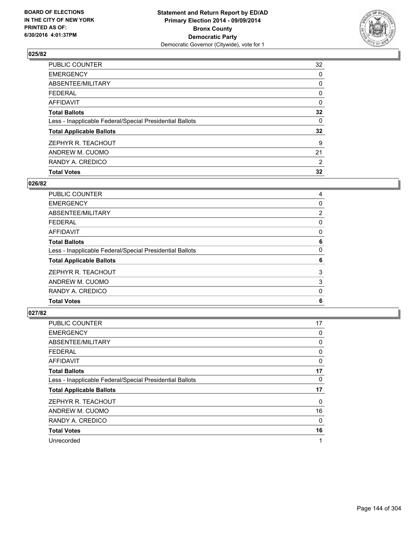

| <b>Total Votes</b>                                       | 32 |
|----------------------------------------------------------|----|
| RANDY A. CREDICO                                         | 2  |
| ANDREW M. CUOMO                                          | 21 |
| ZEPHYR R. TEACHOUT                                       | 9  |
| <b>Total Applicable Ballots</b>                          | 32 |
| Less - Inapplicable Federal/Special Presidential Ballots | 0  |
| <b>Total Ballots</b>                                     | 32 |
| <b>AFFIDAVIT</b>                                         | 0  |
| <b>FEDERAL</b>                                           | 0  |
| ABSENTEE/MILITARY                                        | 0  |
| <b>EMERGENCY</b>                                         | 0  |
| PUBLIC COUNTER                                           | 32 |

### **026/82**

| PUBLIC COUNTER                                           | 4 |
|----------------------------------------------------------|---|
| <b>EMERGENCY</b>                                         | 0 |
| ABSENTEE/MILITARY                                        | 2 |
| <b>FEDERAL</b>                                           | 0 |
| <b>AFFIDAVIT</b>                                         | 0 |
| <b>Total Ballots</b>                                     | 6 |
| Less - Inapplicable Federal/Special Presidential Ballots | 0 |
| <b>Total Applicable Ballots</b>                          | 6 |
| ZEPHYR R. TEACHOUT                                       | 3 |
| ANDREW M. CUOMO                                          | 3 |
| RANDY A. CREDICO                                         | 0 |
| <b>Total Votes</b>                                       | 6 |
|                                                          |   |

| <b>PUBLIC COUNTER</b>                                    | 17 |
|----------------------------------------------------------|----|
| <b>EMERGENCY</b>                                         | 0  |
| ABSENTEE/MILITARY                                        | 0  |
| <b>FEDERAL</b>                                           | 0  |
| <b>AFFIDAVIT</b>                                         | 0  |
| <b>Total Ballots</b>                                     | 17 |
| Less - Inapplicable Federal/Special Presidential Ballots | 0  |
| <b>Total Applicable Ballots</b>                          | 17 |
| ZEPHYR R. TEACHOUT                                       | 0  |
| ANDREW M. CUOMO                                          | 16 |
| RANDY A. CREDICO                                         | 0  |
| <b>Total Votes</b>                                       | 16 |
| Unrecorded                                               | 1  |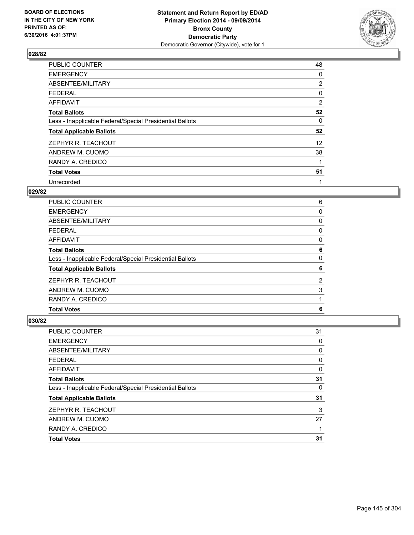

| <b>PUBLIC COUNTER</b>                                    | 48             |
|----------------------------------------------------------|----------------|
| <b>EMERGENCY</b>                                         | 0              |
| ABSENTEE/MILITARY                                        | $\overline{2}$ |
| <b>FEDERAL</b>                                           | 0              |
| AFFIDAVIT                                                | 2              |
| <b>Total Ballots</b>                                     | 52             |
| Less - Inapplicable Federal/Special Presidential Ballots | 0              |
| <b>Total Applicable Ballots</b>                          | 52             |
| ZEPHYR R. TEACHOUT                                       | 12             |
| ANDREW M. CUOMO                                          | 38             |
| RANDY A. CREDICO                                         |                |
| <b>Total Votes</b>                                       | 51             |
| Unrecorded                                               | 1              |

# **029/82**

| <b>PUBLIC COUNTER</b>                                    | 6 |
|----------------------------------------------------------|---|
| <b>EMERGENCY</b>                                         | 0 |
| ABSENTEE/MILITARY                                        | 0 |
| <b>FEDERAL</b>                                           | 0 |
| AFFIDAVIT                                                | 0 |
| <b>Total Ballots</b>                                     | 6 |
| Less - Inapplicable Federal/Special Presidential Ballots | 0 |
| <b>Total Applicable Ballots</b>                          | 6 |
| ZEPHYR R. TEACHOUT                                       | 2 |
| ANDREW M. CUOMO                                          | 3 |
| RANDY A. CREDICO                                         |   |
| <b>Total Votes</b>                                       | 6 |
|                                                          |   |

| PUBLIC COUNTER                                           | 31 |
|----------------------------------------------------------|----|
| <b>EMERGENCY</b>                                         | 0  |
| ABSENTEE/MILITARY                                        | 0  |
| <b>FEDERAL</b>                                           | 0  |
| <b>AFFIDAVIT</b>                                         | 0  |
| <b>Total Ballots</b>                                     | 31 |
| Less - Inapplicable Federal/Special Presidential Ballots | 0  |
| <b>Total Applicable Ballots</b>                          | 31 |
| ZEPHYR R. TEACHOUT                                       | 3  |
| ANDREW M. CUOMO                                          | 27 |
| RANDY A. CREDICO                                         |    |
| <b>Total Votes</b>                                       | 31 |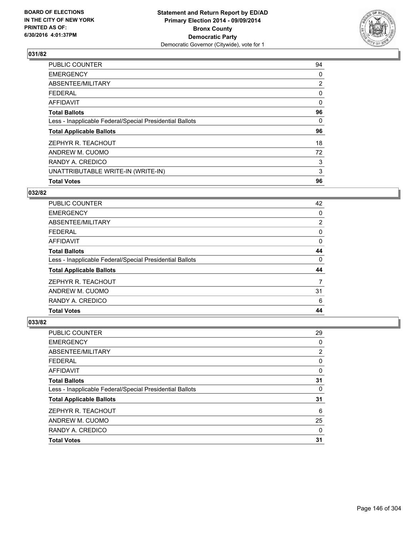

| 94             |
|----------------|
| 0              |
| $\overline{2}$ |
| 0              |
| $\Omega$       |
| 96             |
| 0              |
| 96             |
| 18             |
| 72             |
| 3              |
| 3              |
| 96             |
|                |

# **032/82**

| <b>PUBLIC COUNTER</b>                                    | 42                    |
|----------------------------------------------------------|-----------------------|
| <b>EMERGENCY</b>                                         | 0                     |
| ABSENTEE/MILITARY                                        | $\mathbf{2}^{\prime}$ |
| <b>FEDERAL</b>                                           | 0                     |
| AFFIDAVIT                                                | 0                     |
| <b>Total Ballots</b>                                     | 44                    |
| Less - Inapplicable Federal/Special Presidential Ballots | 0                     |
| <b>Total Applicable Ballots</b>                          | 44                    |
| ZEPHYR R. TEACHOUT                                       | 7                     |
| ANDREW M. CUOMO                                          | 31                    |
| RANDY A. CREDICO                                         | 6                     |
| <b>Total Votes</b>                                       | 44                    |

| PUBLIC COUNTER                                           | 29       |
|----------------------------------------------------------|----------|
| <b>EMERGENCY</b>                                         | 0        |
| <b>ABSENTEE/MILITARY</b>                                 | 2        |
| <b>FEDERAL</b>                                           | 0        |
| <b>AFFIDAVIT</b>                                         | 0        |
| <b>Total Ballots</b>                                     | 31       |
| Less - Inapplicable Federal/Special Presidential Ballots | 0        |
| <b>Total Applicable Ballots</b>                          | 31       |
| ZEPHYR R. TEACHOUT                                       | 6        |
| ANDREW M. CUOMO                                          | 25       |
| RANDY A. CREDICO                                         | $\Omega$ |
| <b>Total Votes</b>                                       | 31       |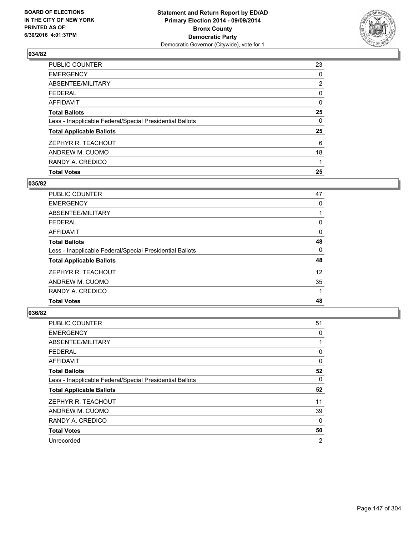

| <b>Total Votes</b>                                       | 25             |
|----------------------------------------------------------|----------------|
| RANDY A. CREDICO                                         |                |
| ANDREW M. CUOMO                                          | 18             |
| ZEPHYR R. TEACHOUT                                       | 6              |
| <b>Total Applicable Ballots</b>                          | 25             |
| Less - Inapplicable Federal/Special Presidential Ballots | 0              |
| <b>Total Ballots</b>                                     | 25             |
| <b>AFFIDAVIT</b>                                         | 0              |
| <b>FEDERAL</b>                                           | 0              |
| ABSENTEE/MILITARY                                        | $\overline{2}$ |
| <b>EMERGENCY</b>                                         | 0              |
| PUBLIC COUNTER                                           | 23             |

### **035/82**

| <b>PUBLIC COUNTER</b>                                    | 47       |
|----------------------------------------------------------|----------|
| <b>EMERGENCY</b>                                         | 0        |
| ABSENTEE/MILITARY                                        |          |
| <b>FEDERAL</b>                                           | 0        |
| AFFIDAVIT                                                | $\Omega$ |
| <b>Total Ballots</b>                                     | 48       |
| Less - Inapplicable Federal/Special Presidential Ballots | 0        |
| <b>Total Applicable Ballots</b>                          | 48       |
| ZEPHYR R. TEACHOUT                                       | 12       |
| ANDREW M. CUOMO                                          | 35       |
| RANDY A. CREDICO                                         |          |
| <b>Total Votes</b>                                       | 48       |
|                                                          |          |

| PUBLIC COUNTER                                           | 51 |
|----------------------------------------------------------|----|
| <b>EMERGENCY</b>                                         | 0  |
| ABSENTEE/MILITARY                                        | 1  |
| <b>FEDERAL</b>                                           | 0  |
| <b>AFFIDAVIT</b>                                         | 0  |
| <b>Total Ballots</b>                                     | 52 |
| Less - Inapplicable Federal/Special Presidential Ballots | 0  |
| <b>Total Applicable Ballots</b>                          | 52 |
| ZEPHYR R. TEACHOUT                                       | 11 |
| ANDREW M. CUOMO                                          | 39 |
| RANDY A. CREDICO                                         | 0  |
| <b>Total Votes</b>                                       | 50 |
| Unrecorded                                               | 2  |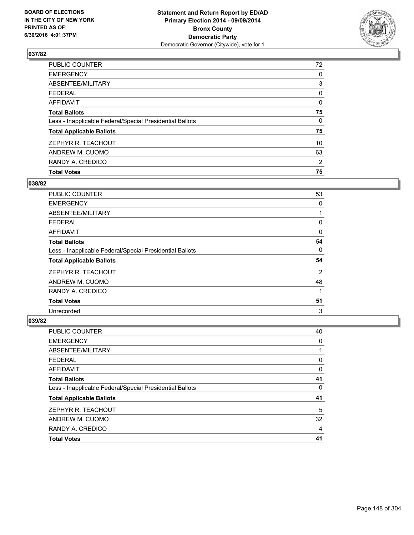

| <b>Total Votes</b>                                       | 75             |
|----------------------------------------------------------|----------------|
| RANDY A. CREDICO                                         | $\overline{2}$ |
| ANDREW M. CUOMO                                          | 63             |
| ZEPHYR R. TEACHOUT                                       | 10             |
| <b>Total Applicable Ballots</b>                          | 75             |
| Less - Inapplicable Federal/Special Presidential Ballots | 0              |
| <b>Total Ballots</b>                                     | 75             |
| <b>AFFIDAVIT</b>                                         | 0              |
| <b>FEDERAL</b>                                           | 0              |
| ABSENTEE/MILITARY                                        | 3              |
| <b>EMERGENCY</b>                                         | 0              |
| PUBLIC COUNTER                                           | 72             |

### **038/82**

| <b>PUBLIC COUNTER</b>                                    | 53 |
|----------------------------------------------------------|----|
| <b>EMERGENCY</b>                                         | 0  |
| ABSENTEE/MILITARY                                        |    |
| <b>FEDERAL</b>                                           | 0  |
| AFFIDAVIT                                                | 0  |
| <b>Total Ballots</b>                                     | 54 |
| Less - Inapplicable Federal/Special Presidential Ballots | 0  |
| <b>Total Applicable Ballots</b>                          | 54 |
| ZEPHYR R. TEACHOUT                                       | 2  |
| ANDREW M. CUOMO                                          | 48 |
| RANDY A. CREDICO                                         | 1  |
| <b>Total Votes</b>                                       | 51 |
| Unrecorded                                               | 3  |

| <b>PUBLIC COUNTER</b>                                    | 40 |
|----------------------------------------------------------|----|
| <b>EMERGENCY</b>                                         | 0  |
| ABSENTEE/MILITARY                                        |    |
| <b>FEDERAL</b>                                           | 0  |
| <b>AFFIDAVIT</b>                                         | 0  |
| <b>Total Ballots</b>                                     | 41 |
| Less - Inapplicable Federal/Special Presidential Ballots | 0  |
| <b>Total Applicable Ballots</b>                          | 41 |
| ZEPHYR R. TEACHOUT                                       | 5  |
| ANDREW M. CUOMO                                          | 32 |
| RANDY A. CREDICO                                         | 4  |
| <b>Total Votes</b>                                       | 41 |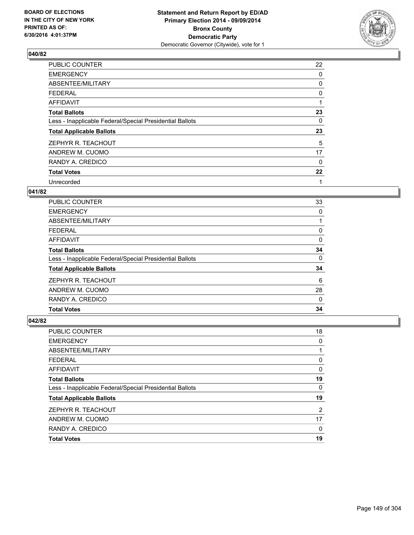

| PUBLIC COUNTER                                           | 22 |
|----------------------------------------------------------|----|
| <b>EMERGENCY</b>                                         | 0  |
| ABSENTEE/MILITARY                                        | 0  |
| <b>FEDERAL</b>                                           | 0  |
| AFFIDAVIT                                                | 1  |
| <b>Total Ballots</b>                                     | 23 |
| Less - Inapplicable Federal/Special Presidential Ballots | 0  |
| <b>Total Applicable Ballots</b>                          | 23 |
| ZEPHYR R. TEACHOUT                                       | 5  |
| ANDREW M. CUOMO                                          | 17 |
| RANDY A. CREDICO                                         | 0  |
| <b>Total Votes</b>                                       | 22 |
| Unrecorded                                               | 1  |

# **041/82**

| PUBLIC COUNTER                                           | 33 |
|----------------------------------------------------------|----|
| <b>EMERGENCY</b>                                         | 0  |
| ABSENTEE/MILITARY                                        |    |
| <b>FEDERAL</b>                                           | 0  |
| AFFIDAVIT                                                | 0  |
| <b>Total Ballots</b>                                     | 34 |
| Less - Inapplicable Federal/Special Presidential Ballots | 0  |
| <b>Total Applicable Ballots</b>                          | 34 |
| ZEPHYR R. TEACHOUT                                       | 6  |
| ANDREW M. CUOMO                                          | 28 |
| RANDY A. CREDICO                                         | 0  |
| <b>Total Votes</b>                                       | 34 |

| PUBLIC COUNTER                                           | 18 |
|----------------------------------------------------------|----|
| <b>EMERGENCY</b>                                         | 0  |
| ABSENTEE/MILITARY                                        |    |
| <b>FEDERAL</b>                                           | 0  |
| <b>AFFIDAVIT</b>                                         | 0  |
| <b>Total Ballots</b>                                     | 19 |
| Less - Inapplicable Federal/Special Presidential Ballots | 0  |
| <b>Total Applicable Ballots</b>                          | 19 |
| ZEPHYR R. TEACHOUT                                       | 2  |
| ANDREW M. CUOMO                                          | 17 |
| RANDY A. CREDICO                                         | 0  |
| <b>Total Votes</b>                                       | 19 |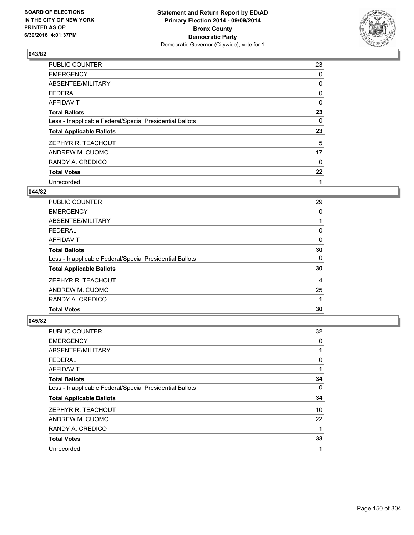

| <b>PUBLIC COUNTER</b>                                    | 23 |
|----------------------------------------------------------|----|
| <b>EMERGENCY</b>                                         | 0  |
| ABSENTEE/MILITARY                                        | 0  |
| <b>FEDERAL</b>                                           | 0  |
| AFFIDAVIT                                                | 0  |
| <b>Total Ballots</b>                                     | 23 |
| Less - Inapplicable Federal/Special Presidential Ballots | 0  |
| <b>Total Applicable Ballots</b>                          | 23 |
| ZEPHYR R. TEACHOUT                                       | 5  |
| ANDREW M. CUOMO                                          | 17 |
| RANDY A. CREDICO                                         | 0  |
| <b>Total Votes</b>                                       | 22 |
| Unrecorded                                               | 1  |

### **044/82**

| PUBLIC COUNTER                                           | 29 |
|----------------------------------------------------------|----|
| <b>EMERGENCY</b>                                         | 0  |
| ABSENTEE/MILITARY                                        |    |
| <b>FEDERAL</b>                                           | 0  |
| AFFIDAVIT                                                | 0  |
| <b>Total Ballots</b>                                     | 30 |
| Less - Inapplicable Federal/Special Presidential Ballots | 0  |
| <b>Total Applicable Ballots</b>                          | 30 |
| ZEPHYR R. TEACHOUT                                       | 4  |
| ANDREW M. CUOMO                                          | 25 |
| RANDY A. CREDICO                                         |    |
| <b>Total Votes</b>                                       | 30 |
|                                                          |    |

| PUBLIC COUNTER                                           | 32 |
|----------------------------------------------------------|----|
| <b>EMERGENCY</b>                                         | 0  |
| ABSENTEE/MILITARY                                        | 1  |
| <b>FEDERAL</b>                                           | 0  |
| AFFIDAVIT                                                |    |
| <b>Total Ballots</b>                                     | 34 |
| Less - Inapplicable Federal/Special Presidential Ballots | 0  |
| <b>Total Applicable Ballots</b>                          | 34 |
| ZEPHYR R. TEACHOUT                                       | 10 |
| ANDREW M. CUOMO                                          | 22 |
| RANDY A. CREDICO                                         |    |
| <b>Total Votes</b>                                       | 33 |
| Unrecorded                                               | 1  |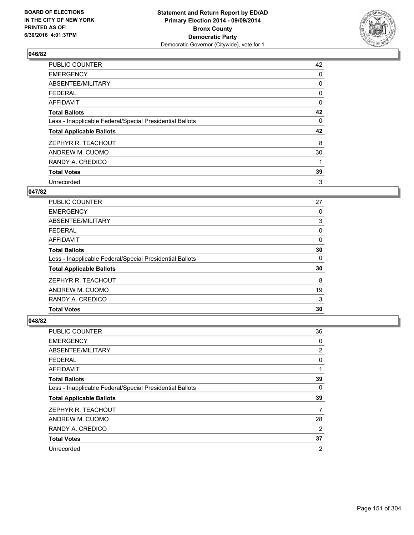

| <b>PUBLIC COUNTER</b>                                    | 42 |
|----------------------------------------------------------|----|
| <b>EMERGENCY</b>                                         | 0  |
| ABSENTEE/MILITARY                                        | 0  |
| <b>FEDERAL</b>                                           | 0  |
| AFFIDAVIT                                                | 0  |
| <b>Total Ballots</b>                                     | 42 |
| Less - Inapplicable Federal/Special Presidential Ballots | 0  |
| <b>Total Applicable Ballots</b>                          | 42 |
| ZEPHYR R. TEACHOUT                                       | 8  |
| ANDREW M. CUOMO                                          | 30 |
| RANDY A. CREDICO                                         | 1  |
| <b>Total Votes</b>                                       | 39 |
| Unrecorded                                               | 3  |

### **047/82**

| <b>PUBLIC COUNTER</b>                                    | 27 |
|----------------------------------------------------------|----|
| <b>EMERGENCY</b>                                         | 0  |
| ABSENTEE/MILITARY                                        | 3  |
| <b>FEDERAL</b>                                           | 0  |
| AFFIDAVIT                                                | 0  |
| <b>Total Ballots</b>                                     | 30 |
| Less - Inapplicable Federal/Special Presidential Ballots | 0  |
| <b>Total Applicable Ballots</b>                          | 30 |
| ZEPHYR R. TEACHOUT                                       | 8  |
| ANDREW M. CUOMO                                          | 19 |
| RANDY A. CREDICO                                         | 3  |
| <b>Total Votes</b>                                       | 30 |

| PUBLIC COUNTER                                           | 36             |
|----------------------------------------------------------|----------------|
| <b>EMERGENCY</b>                                         | 0              |
| ABSENTEE/MILITARY                                        | 2              |
| <b>FEDERAL</b>                                           | 0              |
| AFFIDAVIT                                                | 1              |
| <b>Total Ballots</b>                                     | 39             |
| Less - Inapplicable Federal/Special Presidential Ballots | 0              |
| <b>Total Applicable Ballots</b>                          | 39             |
| ZEPHYR R. TEACHOUT                                       | 7              |
| ANDREW M. CUOMO                                          | 28             |
| RANDY A. CREDICO                                         | 2              |
| <b>Total Votes</b>                                       | 37             |
| Unrecorded                                               | $\overline{2}$ |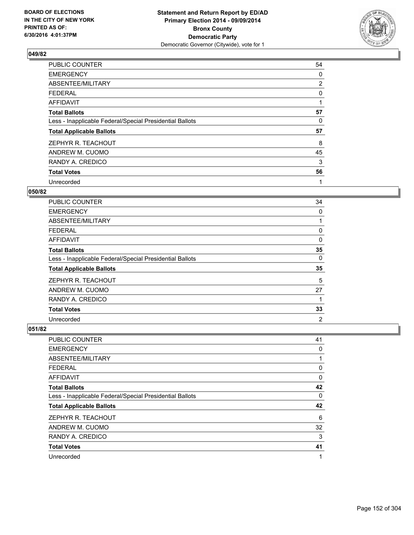

| PUBLIC COUNTER                                           | 54             |
|----------------------------------------------------------|----------------|
| <b>EMERGENCY</b>                                         | 0              |
| ABSENTEE/MILITARY                                        | $\overline{2}$ |
| <b>FEDERAL</b>                                           | 0              |
| AFFIDAVIT                                                | 1              |
| <b>Total Ballots</b>                                     | 57             |
| Less - Inapplicable Federal/Special Presidential Ballots | 0              |
| <b>Total Applicable Ballots</b>                          | 57             |
| ZEPHYR R. TEACHOUT                                       | 8              |
| ANDREW M. CUOMO                                          | 45             |
| RANDY A. CREDICO                                         | 3              |
| <b>Total Votes</b>                                       | 56             |
| Unrecorded                                               | 1              |

### **050/82**

| PUBLIC COUNTER                                           | 34             |
|----------------------------------------------------------|----------------|
| <b>EMERGENCY</b>                                         | 0              |
| ABSENTEE/MILITARY                                        |                |
| <b>FEDERAL</b>                                           | 0              |
| <b>AFFIDAVIT</b>                                         | 0              |
| <b>Total Ballots</b>                                     | 35             |
| Less - Inapplicable Federal/Special Presidential Ballots | 0              |
| <b>Total Applicable Ballots</b>                          | 35             |
| ZEPHYR R. TEACHOUT                                       | 5              |
| ANDREW M. CUOMO                                          | 27             |
| RANDY A. CREDICO                                         | 1              |
| <b>Total Votes</b>                                       | 33             |
| Unrecorded                                               | $\overline{2}$ |

| <b>PUBLIC COUNTER</b>                                    | 41 |
|----------------------------------------------------------|----|
| <b>EMERGENCY</b>                                         | 0  |
| ABSENTEE/MILITARY                                        |    |
| <b>FEDERAL</b>                                           | 0  |
| <b>AFFIDAVIT</b>                                         | 0  |
| <b>Total Ballots</b>                                     | 42 |
| Less - Inapplicable Federal/Special Presidential Ballots | 0  |
| <b>Total Applicable Ballots</b>                          | 42 |
| ZEPHYR R. TEACHOUT                                       | 6  |
| ANDREW M. CUOMO                                          | 32 |
| RANDY A. CREDICO                                         | 3  |
| <b>Total Votes</b>                                       | 41 |
| Unrecorded                                               | 1  |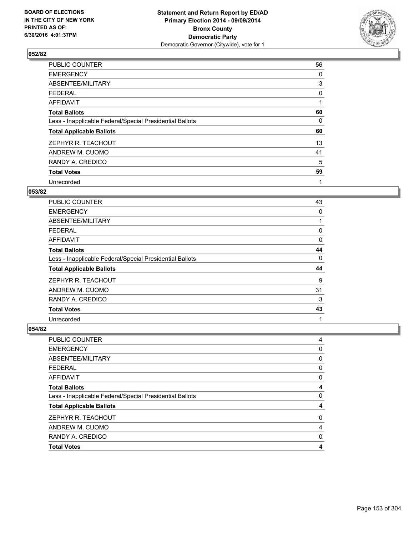

| PUBLIC COUNTER                                           | 56 |
|----------------------------------------------------------|----|
| <b>EMERGENCY</b>                                         | 0  |
| ABSENTEE/MILITARY                                        | 3  |
| <b>FEDERAL</b>                                           | 0  |
| AFFIDAVIT                                                | 1  |
| <b>Total Ballots</b>                                     | 60 |
| Less - Inapplicable Federal/Special Presidential Ballots | 0  |
| <b>Total Applicable Ballots</b>                          | 60 |
| ZEPHYR R. TEACHOUT                                       | 13 |
| ANDREW M. CUOMO                                          | 41 |
| RANDY A. CREDICO                                         | 5  |
| <b>Total Votes</b>                                       | 59 |
| Unrecorded                                               | 1  |

# **053/82**

| PUBLIC COUNTER                                           | 43       |
|----------------------------------------------------------|----------|
| <b>EMERGENCY</b>                                         | $\Omega$ |
| ABSENTEE/MILITARY                                        |          |
| <b>FEDERAL</b>                                           | 0        |
| AFFIDAVIT                                                | 0        |
| <b>Total Ballots</b>                                     | 44       |
| Less - Inapplicable Federal/Special Presidential Ballots | 0        |
| <b>Total Applicable Ballots</b>                          | 44       |
| ZEPHYR R. TEACHOUT                                       | 9        |
| ANDREW M. CUOMO                                          | 31       |
| RANDY A. CREDICO                                         | 3        |
| <b>Total Votes</b>                                       | 43       |
| Unrecorded                                               | 1        |

| PUBLIC COUNTER                                           | 4 |
|----------------------------------------------------------|---|
| <b>EMERGENCY</b>                                         |   |
|                                                          | 0 |
| ABSENTEE/MILITARY                                        | 0 |
| <b>FEDERAL</b>                                           | 0 |
| <b>AFFIDAVIT</b>                                         | 0 |
| <b>Total Ballots</b>                                     | 4 |
| Less - Inapplicable Federal/Special Presidential Ballots | 0 |
| <b>Total Applicable Ballots</b>                          | 4 |
| ZEPHYR R. TEACHOUT                                       | 0 |
| ANDREW M. CUOMO                                          | 4 |
| RANDY A. CREDICO                                         | 0 |
| <b>Total Votes</b>                                       | 4 |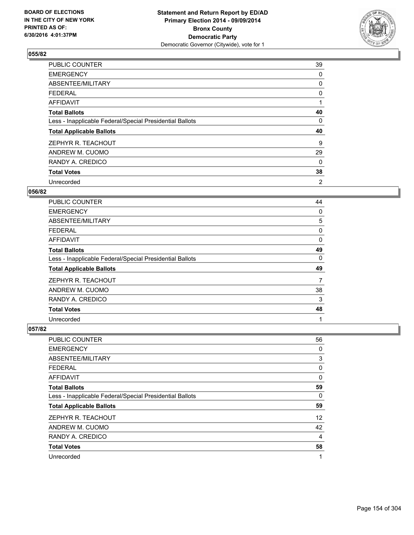

| PUBLIC COUNTER                                           | 39 |
|----------------------------------------------------------|----|
| <b>EMERGENCY</b>                                         | 0  |
| ABSENTEE/MILITARY                                        | 0  |
| <b>FEDERAL</b>                                           | 0  |
| AFFIDAVIT                                                | 1  |
| <b>Total Ballots</b>                                     | 40 |
| Less - Inapplicable Federal/Special Presidential Ballots | 0  |
| <b>Total Applicable Ballots</b>                          | 40 |
| ZEPHYR R. TEACHOUT                                       | 9  |
| ANDREW M. CUOMO                                          | 29 |
| RANDY A. CREDICO                                         | 0  |
| <b>Total Votes</b>                                       | 38 |
| Unrecorded                                               | 2  |

### **056/82**

| PUBLIC COUNTER                                           | 44       |
|----------------------------------------------------------|----------|
| <b>EMERGENCY</b>                                         | $\Omega$ |
| ABSENTEE/MILITARY                                        | 5        |
| <b>FEDERAL</b>                                           | 0        |
| <b>AFFIDAVIT</b>                                         | 0        |
| <b>Total Ballots</b>                                     | 49       |
| Less - Inapplicable Federal/Special Presidential Ballots | 0        |
| <b>Total Applicable Ballots</b>                          | 49       |
| ZEPHYR R. TEACHOUT                                       | 7        |
| ANDREW M. CUOMO                                          | 38       |
| RANDY A. CREDICO                                         | 3        |
| <b>Total Votes</b>                                       | 48       |
| Unrecorded                                               | 1        |

| <b>PUBLIC COUNTER</b>                                    | 56                |
|----------------------------------------------------------|-------------------|
| <b>EMERGENCY</b>                                         | 0                 |
| ABSENTEE/MILITARY                                        | 3                 |
| <b>FEDERAL</b>                                           | 0                 |
| AFFIDAVIT                                                | 0                 |
| <b>Total Ballots</b>                                     | 59                |
| Less - Inapplicable Federal/Special Presidential Ballots | 0                 |
| <b>Total Applicable Ballots</b>                          | 59                |
| ZEPHYR R. TEACHOUT                                       | $12 \overline{ }$ |
| ANDREW M. CUOMO                                          | 42                |
| RANDY A. CREDICO                                         | 4                 |
| <b>Total Votes</b>                                       | 58                |
| Unrecorded                                               | 1                 |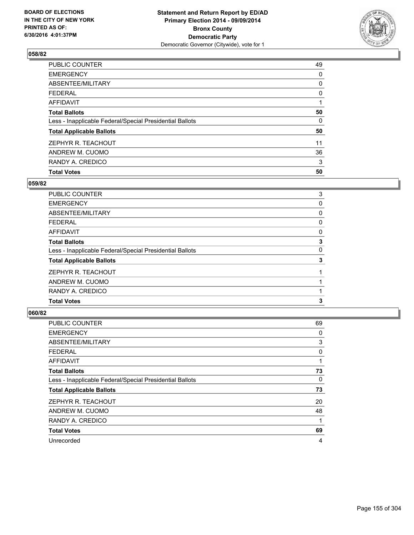

| <b>Total Votes</b>                                       | 50 |
|----------------------------------------------------------|----|
| RANDY A. CREDICO                                         | 3  |
| ANDREW M. CUOMO                                          | 36 |
| ZEPHYR R. TEACHOUT                                       | 11 |
| <b>Total Applicable Ballots</b>                          | 50 |
| Less - Inapplicable Federal/Special Presidential Ballots | 0  |
| <b>Total Ballots</b>                                     | 50 |
| <b>AFFIDAVIT</b>                                         |    |
| <b>FEDERAL</b>                                           | 0  |
| ABSENTEE/MILITARY                                        | 0  |
| <b>EMERGENCY</b>                                         | 0  |
| PUBLIC COUNTER                                           | 49 |

### **059/82**

| PUBLIC COUNTER                                           | 3 |
|----------------------------------------------------------|---|
| <b>EMERGENCY</b>                                         | 0 |
| ABSENTEE/MILITARY                                        | 0 |
| <b>FEDERAL</b>                                           | 0 |
| <b>AFFIDAVIT</b>                                         | 0 |
| <b>Total Ballots</b>                                     | 3 |
| Less - Inapplicable Federal/Special Presidential Ballots | 0 |
| <b>Total Applicable Ballots</b>                          | 3 |
| ZEPHYR R. TEACHOUT                                       |   |
| ANDREW M. CUOMO                                          |   |
| RANDY A. CREDICO                                         |   |
| <b>Total Votes</b>                                       | 3 |
|                                                          |   |

| PUBLIC COUNTER                                           | 69 |
|----------------------------------------------------------|----|
| <b>EMERGENCY</b>                                         | 0  |
| ABSENTEE/MILITARY                                        | 3  |
| <b>FEDERAL</b>                                           | 0  |
| <b>AFFIDAVIT</b>                                         |    |
| <b>Total Ballots</b>                                     | 73 |
| Less - Inapplicable Federal/Special Presidential Ballots | 0  |
| <b>Total Applicable Ballots</b>                          | 73 |
| ZEPHYR R. TEACHOUT                                       | 20 |
| ANDREW M. CUOMO                                          | 48 |
| RANDY A. CREDICO                                         | 1  |
| <b>Total Votes</b>                                       | 69 |
| Unrecorded                                               | 4  |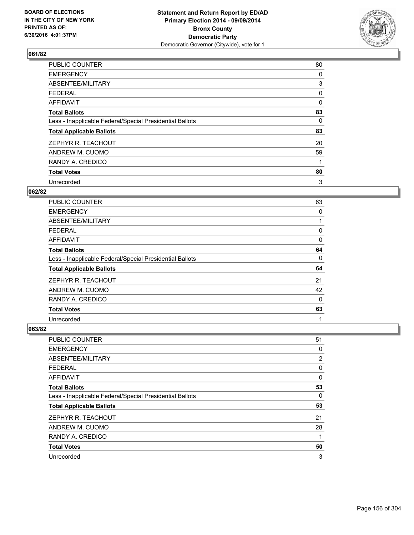

| PUBLIC COUNTER                                           | 80 |
|----------------------------------------------------------|----|
| <b>EMERGENCY</b>                                         | 0  |
| ABSENTEE/MILITARY                                        | 3  |
| <b>FEDERAL</b>                                           | 0  |
| <b>AFFIDAVIT</b>                                         | 0  |
| <b>Total Ballots</b>                                     | 83 |
| Less - Inapplicable Federal/Special Presidential Ballots | 0  |
| <b>Total Applicable Ballots</b>                          | 83 |
| ZEPHYR R. TEACHOUT                                       | 20 |
| ANDREW M. CUOMO                                          | 59 |
| RANDY A. CREDICO                                         | 1  |
| <b>Total Votes</b>                                       | 80 |
| Unrecorded                                               | 3  |

#### **062/82**

| <b>PUBLIC COUNTER</b>                                    | 63       |
|----------------------------------------------------------|----------|
| <b>EMERGENCY</b>                                         | $\Omega$ |
| ABSENTEE/MILITARY                                        |          |
| <b>FEDERAL</b>                                           | 0        |
| <b>AFFIDAVIT</b>                                         | 0        |
| <b>Total Ballots</b>                                     | 64       |
| Less - Inapplicable Federal/Special Presidential Ballots | 0        |
| <b>Total Applicable Ballots</b>                          | 64       |
| ZEPHYR R. TEACHOUT                                       | 21       |
| ANDREW M. CUOMO                                          | 42       |
| RANDY A. CREDICO                                         | $\Omega$ |
| <b>Total Votes</b>                                       | 63       |
| Unrecorded                                               | 1        |

| <b>PUBLIC COUNTER</b>                                    | 51 |
|----------------------------------------------------------|----|
| <b>EMERGENCY</b>                                         | 0  |
| ABSENTEE/MILITARY                                        | 2  |
| <b>FEDERAL</b>                                           | 0  |
| AFFIDAVIT                                                | 0  |
| <b>Total Ballots</b>                                     | 53 |
| Less - Inapplicable Federal/Special Presidential Ballots | 0  |
| <b>Total Applicable Ballots</b>                          | 53 |
| ZEPHYR R. TEACHOUT                                       | 21 |
| ANDREW M. CUOMO                                          | 28 |
| RANDY A. CREDICO                                         | 1  |
| <b>Total Votes</b>                                       | 50 |
| Unrecorded                                               | 3  |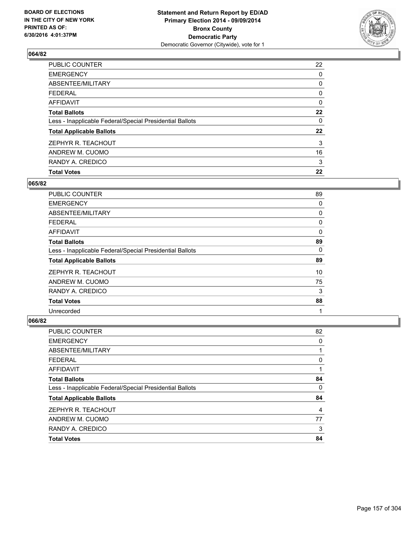

| PUBLIC COUNTER                                           | 22 |
|----------------------------------------------------------|----|
| <b>EMERGENCY</b>                                         | 0  |
| ABSENTEE/MILITARY                                        | 0  |
| <b>FEDERAL</b>                                           | 0  |
| <b>AFFIDAVIT</b>                                         | 0  |
| <b>Total Ballots</b>                                     | 22 |
| Less - Inapplicable Federal/Special Presidential Ballots | 0  |
| <b>Total Applicable Ballots</b>                          | 22 |
| ZEPHYR R. TEACHOUT                                       | 3  |
| ANDREW M. CUOMO                                          | 16 |
| RANDY A. CREDICO                                         | 3  |
| <b>Total Votes</b>                                       | 22 |

## **065/82**

| PUBLIC COUNTER                                           | 89 |
|----------------------------------------------------------|----|
| <b>EMERGENCY</b>                                         | 0  |
| ABSENTEE/MILITARY                                        | 0  |
| <b>FEDERAL</b>                                           | 0  |
| AFFIDAVIT                                                | 0  |
| <b>Total Ballots</b>                                     | 89 |
| Less - Inapplicable Federal/Special Presidential Ballots | 0  |
| <b>Total Applicable Ballots</b>                          | 89 |
| ZEPHYR R. TEACHOUT                                       | 10 |
| ANDREW M. CUOMO                                          | 75 |
| RANDY A. CREDICO                                         | 3  |
| <b>Total Votes</b>                                       | 88 |
| Unrecorded                                               | 1  |

| PUBLIC COUNTER                                           | 82 |
|----------------------------------------------------------|----|
| <b>EMERGENCY</b>                                         | 0  |
| ABSENTEE/MILITARY                                        |    |
| <b>FEDERAL</b>                                           | 0  |
| <b>AFFIDAVIT</b>                                         |    |
| <b>Total Ballots</b>                                     | 84 |
| Less - Inapplicable Federal/Special Presidential Ballots | 0  |
| <b>Total Applicable Ballots</b>                          | 84 |
| ZEPHYR R. TEACHOUT                                       | 4  |
| ANDREW M. CUOMO                                          | 77 |
| RANDY A. CREDICO                                         | 3  |
| <b>Total Votes</b>                                       | 84 |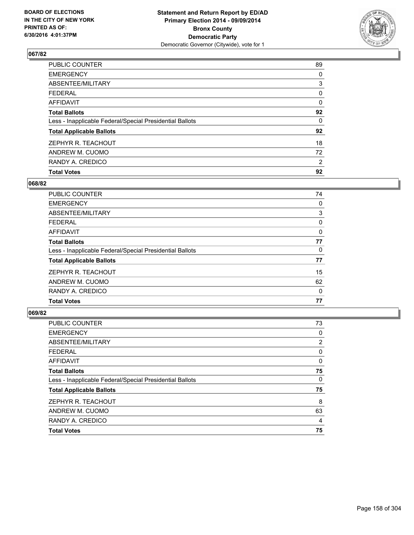

| <b>Total Votes</b>                                       | 92             |
|----------------------------------------------------------|----------------|
| RANDY A. CREDICO                                         | $\overline{2}$ |
| ANDREW M. CUOMO                                          | 72             |
| ZEPHYR R. TEACHOUT                                       | 18             |
| <b>Total Applicable Ballots</b>                          | 92             |
| Less - Inapplicable Federal/Special Presidential Ballots | 0              |
| <b>Total Ballots</b>                                     | 92             |
| <b>AFFIDAVIT</b>                                         | 0              |
| <b>FEDERAL</b>                                           | 0              |
| ABSENTEE/MILITARY                                        | 3              |
| <b>EMERGENCY</b>                                         | 0              |
| PUBLIC COUNTER                                           | 89             |

## **068/82**

| <b>PUBLIC COUNTER</b>                                    | 74 |
|----------------------------------------------------------|----|
| <b>EMERGENCY</b>                                         | 0  |
| ABSENTEE/MILITARY                                        | 3  |
| <b>FEDERAL</b>                                           | 0  |
| AFFIDAVIT                                                | 0  |
| <b>Total Ballots</b>                                     | 77 |
| Less - Inapplicable Federal/Special Presidential Ballots | 0  |
| <b>Total Applicable Ballots</b>                          | 77 |
| ZEPHYR R. TEACHOUT                                       | 15 |
| ANDREW M. CUOMO                                          | 62 |
| RANDY A. CREDICO                                         | 0  |
| <b>Total Votes</b>                                       | 77 |
|                                                          |    |

| PUBLIC COUNTER                                           | 73 |
|----------------------------------------------------------|----|
| <b>EMERGENCY</b>                                         | 0  |
| ABSENTEE/MILITARY                                        | 2  |
| <b>FEDERAL</b>                                           | 0  |
| <b>AFFIDAVIT</b>                                         | 0  |
| <b>Total Ballots</b>                                     | 75 |
| Less - Inapplicable Federal/Special Presidential Ballots | 0  |
| <b>Total Applicable Ballots</b>                          | 75 |
| ZEPHYR R. TEACHOUT                                       | 8  |
| ANDREW M. CUOMO                                          | 63 |
| RANDY A. CREDICO                                         | 4  |
| <b>Total Votes</b>                                       | 75 |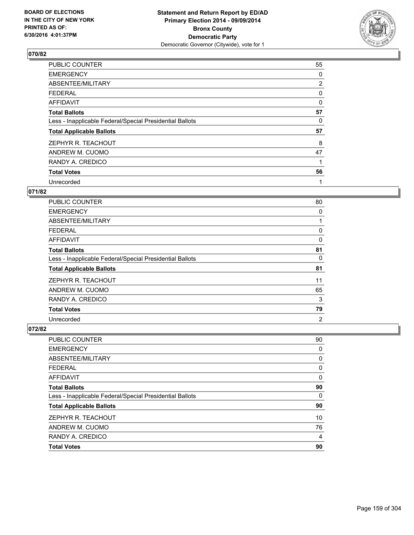

| PUBLIC COUNTER                                           | 55             |
|----------------------------------------------------------|----------------|
| <b>EMERGENCY</b>                                         | 0              |
| ABSENTEE/MILITARY                                        | $\overline{2}$ |
| <b>FEDERAL</b>                                           | 0              |
| <b>AFFIDAVIT</b>                                         | 0              |
| <b>Total Ballots</b>                                     | 57             |
| Less - Inapplicable Federal/Special Presidential Ballots | 0              |
| <b>Total Applicable Ballots</b>                          | 57             |
| ZEPHYR R. TEACHOUT                                       | 8              |
| ANDREW M. CUOMO                                          | 47             |
| RANDY A. CREDICO                                         | 1              |
| <b>Total Votes</b>                                       | 56             |
| Unrecorded                                               | 1              |

# **071/82**

| <b>PUBLIC COUNTER</b>                                    | 80             |
|----------------------------------------------------------|----------------|
| <b>EMERGENCY</b>                                         | 0              |
| ABSENTEE/MILITARY                                        |                |
| <b>FEDERAL</b>                                           | 0              |
| <b>AFFIDAVIT</b>                                         | 0              |
| <b>Total Ballots</b>                                     | 81             |
| Less - Inapplicable Federal/Special Presidential Ballots | 0              |
| <b>Total Applicable Ballots</b>                          | 81             |
| ZEPHYR R. TEACHOUT                                       | 11             |
| ANDREW M. CUOMO                                          | 65             |
| RANDY A. CREDICO                                         | 3              |
| <b>Total Votes</b>                                       | 79             |
| Unrecorded                                               | $\overline{2}$ |

| <b>PUBLIC COUNTER</b>                                    | 90 |
|----------------------------------------------------------|----|
| <b>EMERGENCY</b>                                         | 0  |
| ABSENTEE/MILITARY                                        | 0  |
| <b>FEDERAL</b>                                           | 0  |
| <b>AFFIDAVIT</b>                                         | 0  |
| <b>Total Ballots</b>                                     | 90 |
| Less - Inapplicable Federal/Special Presidential Ballots | 0  |
| <b>Total Applicable Ballots</b>                          | 90 |
| ZEPHYR R. TEACHOUT                                       | 10 |
| ANDREW M. CUOMO                                          | 76 |
| RANDY A. CREDICO                                         | 4  |
| <b>Total Votes</b>                                       | 90 |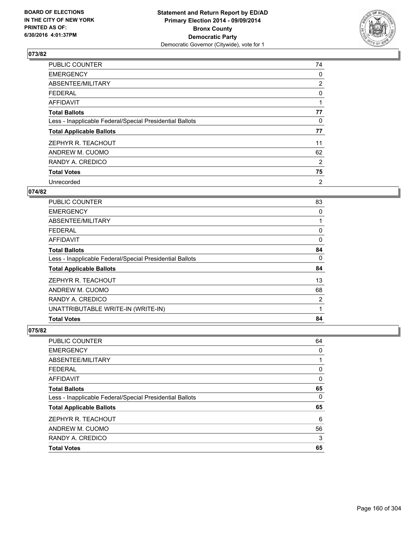

| <b>PUBLIC COUNTER</b>                                    | 74             |
|----------------------------------------------------------|----------------|
| <b>EMERGENCY</b>                                         | 0              |
| ABSENTEE/MILITARY                                        | $\overline{2}$ |
| <b>FEDERAL</b>                                           | 0              |
| AFFIDAVIT                                                | 1              |
| <b>Total Ballots</b>                                     | 77             |
| Less - Inapplicable Federal/Special Presidential Ballots | 0              |
| <b>Total Applicable Ballots</b>                          | 77             |
| ZEPHYR R. TEACHOUT                                       | 11             |
| ANDREW M. CUOMO                                          | 62             |
| RANDY A. CREDICO                                         | 2              |
| <b>Total Votes</b>                                       | 75             |
| Unrecorded                                               | 2              |

### **074/82**

| <b>Total Votes</b>                                       | 84 |
|----------------------------------------------------------|----|
| UNATTRIBUTABLE WRITE-IN (WRITE-IN)                       | 1  |
| RANDY A. CREDICO                                         | 2  |
| ANDREW M. CUOMO                                          | 68 |
| ZEPHYR R. TEACHOUT                                       | 13 |
| <b>Total Applicable Ballots</b>                          | 84 |
| Less - Inapplicable Federal/Special Presidential Ballots | 0  |
| <b>Total Ballots</b>                                     | 84 |
| AFFIDAVIT                                                | 0  |
| <b>FEDERAL</b>                                           | 0  |
| ABSENTEE/MILITARY                                        |    |
| <b>EMERGENCY</b>                                         | 0  |
| <b>PUBLIC COUNTER</b>                                    | 83 |

| PUBLIC COUNTER                                           | 64 |
|----------------------------------------------------------|----|
| <b>EMERGENCY</b>                                         | 0  |
| ABSENTEE/MILITARY                                        |    |
| <b>FEDERAL</b>                                           | 0  |
| <b>AFFIDAVIT</b>                                         | 0  |
| <b>Total Ballots</b>                                     | 65 |
| Less - Inapplicable Federal/Special Presidential Ballots | 0  |
| <b>Total Applicable Ballots</b>                          | 65 |
| ZEPHYR R. TEACHOUT                                       | 6  |
| ANDREW M. CUOMO                                          | 56 |
| RANDY A. CREDICO                                         | 3  |
| <b>Total Votes</b>                                       | 65 |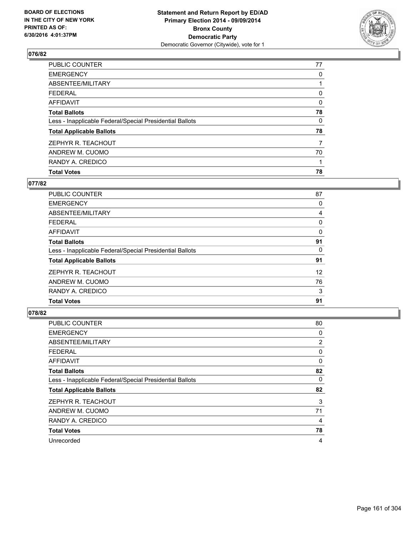

| PUBLIC COUNTER                                           | 77 |
|----------------------------------------------------------|----|
| <b>EMERGENCY</b>                                         | 0  |
| ABSENTEE/MILITARY                                        |    |
| <b>FEDERAL</b>                                           | 0  |
| <b>AFFIDAVIT</b>                                         | 0  |
| <b>Total Ballots</b>                                     | 78 |
| Less - Inapplicable Federal/Special Presidential Ballots | 0  |
| <b>Total Applicable Ballots</b>                          | 78 |
| ZEPHYR R. TEACHOUT                                       | 7  |
| ANDREW M. CUOMO                                          | 70 |
| RANDY A. CREDICO                                         |    |
| <b>Total Votes</b>                                       | 78 |

# **077/82**

| <b>PUBLIC COUNTER</b>                                    | 87 |
|----------------------------------------------------------|----|
| <b>EMERGENCY</b>                                         | 0  |
| ABSENTEE/MILITARY                                        | 4  |
| <b>FEDERAL</b>                                           | 0  |
| AFFIDAVIT                                                | 0  |
| <b>Total Ballots</b>                                     | 91 |
| Less - Inapplicable Federal/Special Presidential Ballots | 0  |
| <b>Total Applicable Ballots</b>                          | 91 |
| ZEPHYR R. TEACHOUT                                       | 12 |
| ANDREW M. CUOMO                                          | 76 |
| RANDY A. CREDICO                                         | 3  |
| <b>Total Votes</b>                                       | 91 |
|                                                          |    |

| PUBLIC COUNTER                                           | 80 |
|----------------------------------------------------------|----|
| <b>EMERGENCY</b>                                         | 0  |
| ABSENTEE/MILITARY                                        | 2  |
| <b>FEDERAL</b>                                           | 0  |
| <b>AFFIDAVIT</b>                                         | 0  |
| <b>Total Ballots</b>                                     | 82 |
| Less - Inapplicable Federal/Special Presidential Ballots | 0  |
| <b>Total Applicable Ballots</b>                          | 82 |
| ZEPHYR R. TEACHOUT                                       | 3  |
| ANDREW M. CUOMO                                          | 71 |
| RANDY A. CREDICO                                         | 4  |
| <b>Total Votes</b>                                       | 78 |
| Unrecorded                                               | 4  |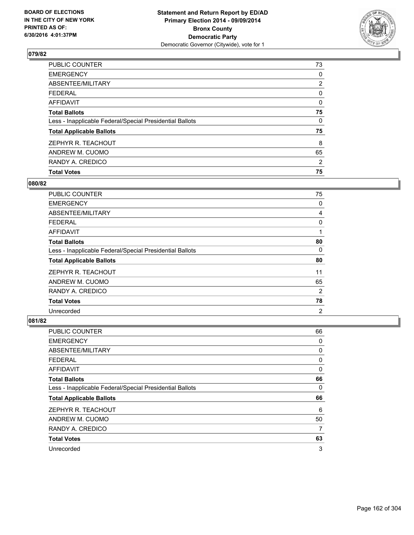

| <b>Total Votes</b>                                       | 75             |
|----------------------------------------------------------|----------------|
| RANDY A. CREDICO                                         | $\overline{2}$ |
| ANDREW M. CUOMO                                          | 65             |
| ZEPHYR R. TEACHOUT                                       | 8              |
| <b>Total Applicable Ballots</b>                          | 75             |
| Less - Inapplicable Federal/Special Presidential Ballots | 0              |
| <b>Total Ballots</b>                                     | 75             |
| AFFIDAVIT                                                | 0              |
| <b>FEDERAL</b>                                           | 0              |
| ABSENTEE/MILITARY                                        | $\overline{2}$ |
| <b>EMERGENCY</b>                                         | 0              |
| <b>PUBLIC COUNTER</b>                                    | 73             |

### **080/82**

| PUBLIC COUNTER                                           | 75             |
|----------------------------------------------------------|----------------|
| <b>EMERGENCY</b>                                         | 0              |
| ABSENTEE/MILITARY                                        | 4              |
| <b>FEDERAL</b>                                           | 0              |
| AFFIDAVIT                                                | 1              |
| <b>Total Ballots</b>                                     | 80             |
| Less - Inapplicable Federal/Special Presidential Ballots | 0              |
| <b>Total Applicable Ballots</b>                          | 80             |
| ZEPHYR R. TEACHOUT                                       | 11             |
| ANDREW M. CUOMO                                          | 65             |
| RANDY A. CREDICO                                         | 2              |
| <b>Total Votes</b>                                       | 78             |
| Unrecorded                                               | $\overline{2}$ |

| <b>PUBLIC COUNTER</b>                                    | 66 |
|----------------------------------------------------------|----|
| <b>EMERGENCY</b>                                         | 0  |
| ABSENTEE/MILITARY                                        | 0  |
| <b>FEDERAL</b>                                           | 0  |
| AFFIDAVIT                                                | 0  |
| <b>Total Ballots</b>                                     | 66 |
| Less - Inapplicable Federal/Special Presidential Ballots | 0  |
| <b>Total Applicable Ballots</b>                          | 66 |
| ZEPHYR R. TEACHOUT                                       | 6  |
| ANDREW M. CUOMO                                          | 50 |
| RANDY A. CREDICO                                         | 7  |
| <b>Total Votes</b>                                       | 63 |
| Unrecorded                                               | 3  |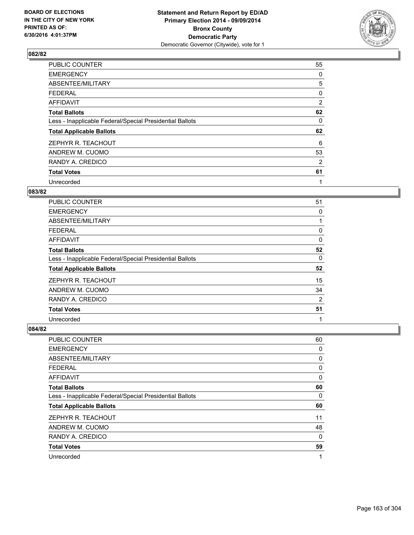

| <b>PUBLIC COUNTER</b>                                    | 55 |
|----------------------------------------------------------|----|
| <b>EMERGENCY</b>                                         | 0  |
| ABSENTEE/MILITARY                                        | 5  |
| <b>FEDERAL</b>                                           | 0  |
| AFFIDAVIT                                                | 2  |
| <b>Total Ballots</b>                                     | 62 |
| Less - Inapplicable Federal/Special Presidential Ballots | 0  |
| <b>Total Applicable Ballots</b>                          | 62 |
| ZEPHYR R. TEACHOUT                                       | 6  |
| ANDREW M. CUOMO                                          | 53 |
| RANDY A. CREDICO                                         | 2  |
| <b>Total Votes</b>                                       | 61 |
| Unrecorded                                               | 1  |

# **083/82**

| <b>PUBLIC COUNTER</b>                                    | 51             |
|----------------------------------------------------------|----------------|
| <b>EMERGENCY</b>                                         | 0              |
| ABSENTEE/MILITARY                                        |                |
| <b>FEDERAL</b>                                           | 0              |
| AFFIDAVIT                                                | 0              |
| <b>Total Ballots</b>                                     | 52             |
| Less - Inapplicable Federal/Special Presidential Ballots | 0              |
| <b>Total Applicable Ballots</b>                          | 52             |
| ZEPHYR R. TEACHOUT                                       | 15             |
| ANDREW M. CUOMO                                          | 34             |
| RANDY A. CREDICO                                         | $\overline{2}$ |
| <b>Total Votes</b>                                       | 51             |
| Unrecorded                                               | 1              |

| <b>PUBLIC COUNTER</b>                                    | 60       |
|----------------------------------------------------------|----------|
| <b>EMERGENCY</b>                                         | 0        |
| ABSENTEE/MILITARY                                        | 0        |
| <b>FEDERAL</b>                                           | 0        |
| AFFIDAVIT                                                | 0        |
| <b>Total Ballots</b>                                     | 60       |
| Less - Inapplicable Federal/Special Presidential Ballots | 0        |
| <b>Total Applicable Ballots</b>                          | 60       |
| ZEPHYR R. TEACHOUT                                       | 11       |
| ANDREW M. CUOMO                                          | 48       |
| RANDY A. CREDICO                                         | $\Omega$ |
| <b>Total Votes</b>                                       | 59       |
| Unrecorded                                               | 1        |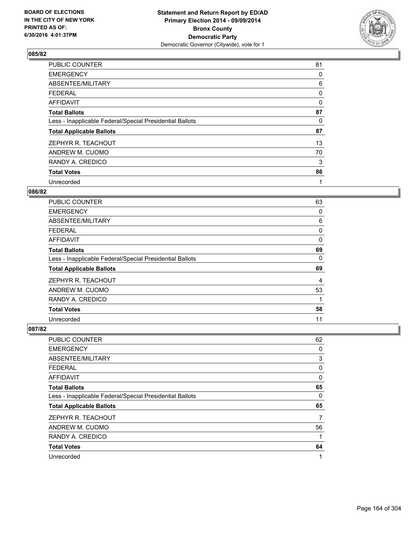

| <b>PUBLIC COUNTER</b>                                    | 81 |
|----------------------------------------------------------|----|
| <b>EMERGENCY</b>                                         | 0  |
| ABSENTEE/MILITARY                                        | 6  |
| <b>FEDERAL</b>                                           | 0  |
| AFFIDAVIT                                                | 0  |
| <b>Total Ballots</b>                                     | 87 |
| Less - Inapplicable Federal/Special Presidential Ballots | 0  |
| <b>Total Applicable Ballots</b>                          | 87 |
| ZEPHYR R. TEACHOUT                                       | 13 |
| ANDREW M. CUOMO                                          | 70 |
| RANDY A. CREDICO                                         | 3  |
| <b>Total Votes</b>                                       | 86 |
| Unrecorded                                               | 1  |

### **086/82**

| <b>PUBLIC COUNTER</b>                                    | 63 |
|----------------------------------------------------------|----|
| <b>EMERGENCY</b>                                         | 0  |
| ABSENTEE/MILITARY                                        | 6  |
| <b>FEDERAL</b>                                           | 0  |
| <b>AFFIDAVIT</b>                                         | 0  |
| <b>Total Ballots</b>                                     | 69 |
| Less - Inapplicable Federal/Special Presidential Ballots | 0  |
| <b>Total Applicable Ballots</b>                          | 69 |
| ZEPHYR R. TEACHOUT                                       | 4  |
| ANDREW M. CUOMO                                          | 53 |
| RANDY A. CREDICO                                         | 1  |
| <b>Total Votes</b>                                       | 58 |
| Unrecorded                                               | 11 |

| <b>PUBLIC COUNTER</b>                                    | 62          |
|----------------------------------------------------------|-------------|
| <b>EMERGENCY</b>                                         | 0           |
| ABSENTEE/MILITARY                                        | 3           |
| <b>FEDERAL</b>                                           | 0           |
| <b>AFFIDAVIT</b>                                         | 0           |
| <b>Total Ballots</b>                                     | 65          |
| Less - Inapplicable Federal/Special Presidential Ballots | 0           |
| <b>Total Applicable Ballots</b>                          | 65          |
| ZEPHYR R. TEACHOUT                                       | 7           |
| ANDREW M. CUOMO                                          | 56          |
| RANDY A. CREDICO                                         | 1           |
| <b>Total Votes</b>                                       | 64          |
| Unrecorded                                               | $\mathbf 1$ |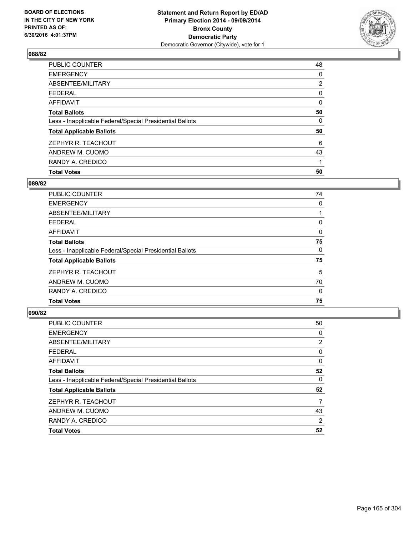

| <b>Total Votes</b>                                       | 50             |
|----------------------------------------------------------|----------------|
| RANDY A. CREDICO                                         |                |
| ANDREW M. CUOMO                                          | 43             |
| ZEPHYR R. TEACHOUT                                       | 6              |
| <b>Total Applicable Ballots</b>                          | 50             |
| Less - Inapplicable Federal/Special Presidential Ballots | 0              |
| <b>Total Ballots</b>                                     | 50             |
| AFFIDAVIT                                                | 0              |
| <b>FEDERAL</b>                                           | 0              |
| ABSENTEE/MILITARY                                        | $\overline{2}$ |
| <b>EMERGENCY</b>                                         | 0              |
| <b>PUBLIC COUNTER</b>                                    | 48             |

### **089/82**

| <b>PUBLIC COUNTER</b>                                    | 74 |
|----------------------------------------------------------|----|
| <b>EMERGENCY</b>                                         | 0  |
| ABSENTEE/MILITARY                                        |    |
| <b>FEDERAL</b>                                           | 0  |
| AFFIDAVIT                                                | 0  |
| <b>Total Ballots</b>                                     | 75 |
| Less - Inapplicable Federal/Special Presidential Ballots | 0  |
| <b>Total Applicable Ballots</b>                          | 75 |
| ZEPHYR R. TEACHOUT                                       | 5  |
| ANDREW M. CUOMO                                          | 70 |
| RANDY A. CREDICO                                         | 0  |
| <b>Total Votes</b>                                       | 75 |
|                                                          |    |

| <b>PUBLIC COUNTER</b>                                    | 50             |
|----------------------------------------------------------|----------------|
| <b>EMERGENCY</b>                                         | 0              |
| ABSENTEE/MILITARY                                        | $\overline{2}$ |
| <b>FEDERAL</b>                                           | 0              |
| <b>AFFIDAVIT</b>                                         | 0              |
| <b>Total Ballots</b>                                     | 52             |
| Less - Inapplicable Federal/Special Presidential Ballots | 0              |
| <b>Total Applicable Ballots</b>                          | 52             |
| ZEPHYR R. TEACHOUT                                       | 7              |
| ANDREW M. CUOMO                                          | 43             |
| RANDY A. CREDICO                                         | $\overline{2}$ |
| <b>Total Votes</b>                                       | 52             |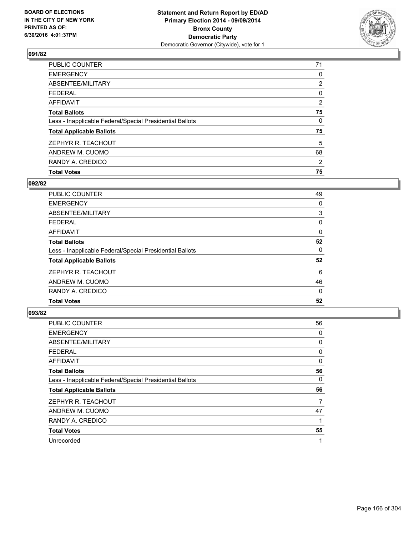

| PUBLIC COUNTER                                           | 71             |
|----------------------------------------------------------|----------------|
| <b>EMERGENCY</b>                                         | 0              |
| ABSENTEE/MILITARY                                        | $\overline{2}$ |
| <b>FEDERAL</b>                                           | 0              |
| <b>AFFIDAVIT</b>                                         | $\overline{2}$ |
| <b>Total Ballots</b>                                     | 75             |
| Less - Inapplicable Federal/Special Presidential Ballots | 0              |
| <b>Total Applicable Ballots</b>                          | 75             |
| ZEPHYR R. TEACHOUT                                       | 5              |
| ANDREW M. CUOMO                                          | 68             |
| RANDY A. CREDICO                                         | 2              |
| <b>Total Votes</b>                                       | 75             |

## **092/82**

| <b>PUBLIC COUNTER</b>                                    | 49 |
|----------------------------------------------------------|----|
| <b>EMERGENCY</b>                                         | 0  |
| ABSENTEE/MILITARY                                        | 3  |
| <b>FEDERAL</b>                                           | 0  |
| AFFIDAVIT                                                | 0  |
| <b>Total Ballots</b>                                     | 52 |
| Less - Inapplicable Federal/Special Presidential Ballots | 0  |
| <b>Total Applicable Ballots</b>                          | 52 |
| ZEPHYR R. TEACHOUT                                       | 6  |
| ANDREW M. CUOMO                                          | 46 |
| RANDY A. CREDICO                                         | 0  |
| <b>Total Votes</b>                                       | 52 |
|                                                          |    |

| PUBLIC COUNTER                                           | 56 |
|----------------------------------------------------------|----|
| <b>EMERGENCY</b>                                         | 0  |
| ABSENTEE/MILITARY                                        | 0  |
| <b>FEDERAL</b>                                           | 0  |
| <b>AFFIDAVIT</b>                                         | 0  |
| <b>Total Ballots</b>                                     | 56 |
| Less - Inapplicable Federal/Special Presidential Ballots | 0  |
| <b>Total Applicable Ballots</b>                          | 56 |
| ZEPHYR R. TEACHOUT                                       | 7  |
| ANDREW M. CUOMO                                          | 47 |
| RANDY A. CREDICO                                         | 1  |
| <b>Total Votes</b>                                       | 55 |
| Unrecorded                                               | 1  |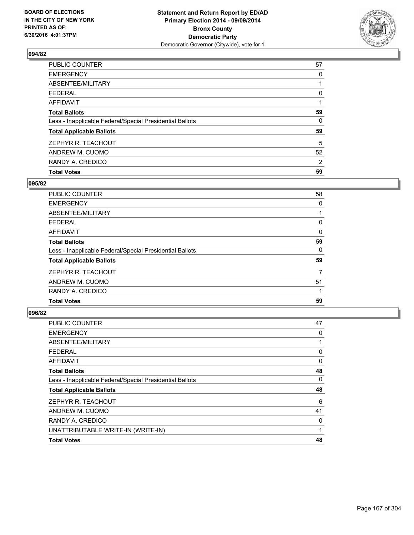

| <b>PUBLIC COUNTER</b>                                    | 57             |
|----------------------------------------------------------|----------------|
| <b>EMERGENCY</b>                                         | 0              |
| ABSENTEE/MILITARY                                        |                |
| <b>FEDERAL</b>                                           | 0              |
| <b>AFFIDAVIT</b>                                         |                |
| <b>Total Ballots</b>                                     | 59             |
| Less - Inapplicable Federal/Special Presidential Ballots | 0              |
| <b>Total Applicable Ballots</b>                          | 59             |
| ZEPHYR R. TEACHOUT                                       | 5              |
| ANDREW M. CUOMO                                          | 52             |
| RANDY A. CREDICO                                         | $\overline{2}$ |
| <b>Total Votes</b>                                       | 59             |

## **095/82**

| <b>PUBLIC COUNTER</b>                                    | 58       |
|----------------------------------------------------------|----------|
| <b>EMERGENCY</b>                                         | 0        |
| ABSENTEE/MILITARY                                        |          |
| <b>FEDERAL</b>                                           | 0        |
| AFFIDAVIT                                                | $\Omega$ |
| <b>Total Ballots</b>                                     | 59       |
| Less - Inapplicable Federal/Special Presidential Ballots | 0        |
| <b>Total Applicable Ballots</b>                          | 59       |
| ZEPHYR R. TEACHOUT                                       | 7        |
| ANDREW M. CUOMO                                          | 51       |
| RANDY A. CREDICO                                         |          |
| <b>Total Votes</b>                                       | 59       |
|                                                          |          |

| <b>PUBLIC COUNTER</b>                                    | 47 |
|----------------------------------------------------------|----|
| <b>EMERGENCY</b>                                         | 0  |
| ABSENTEE/MILITARY                                        | 1  |
| <b>FEDERAL</b>                                           | 0  |
| <b>AFFIDAVIT</b>                                         | 0  |
| <b>Total Ballots</b>                                     | 48 |
| Less - Inapplicable Federal/Special Presidential Ballots | 0  |
| <b>Total Applicable Ballots</b>                          | 48 |
| ZEPHYR R. TEACHOUT                                       | 6  |
| ANDREW M. CUOMO                                          | 41 |
| RANDY A. CREDICO                                         | 0  |
| UNATTRIBUTABLE WRITE-IN (WRITE-IN)                       | 1  |
| <b>Total Votes</b>                                       | 48 |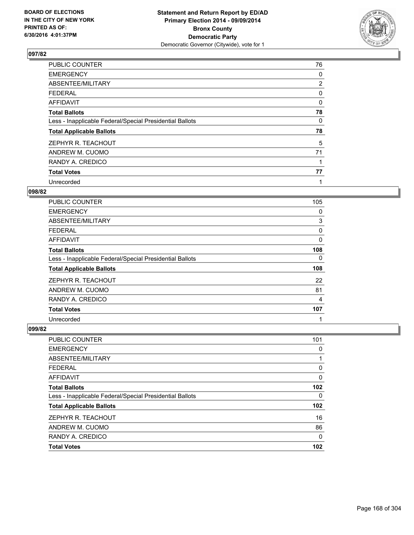

| <b>PUBLIC COUNTER</b>                                    | 76             |
|----------------------------------------------------------|----------------|
| <b>EMERGENCY</b>                                         | 0              |
| ABSENTEE/MILITARY                                        | $\overline{2}$ |
| <b>FEDERAL</b>                                           | 0              |
| AFFIDAVIT                                                | 0              |
| <b>Total Ballots</b>                                     | 78             |
| Less - Inapplicable Federal/Special Presidential Ballots | 0              |
| <b>Total Applicable Ballots</b>                          | 78             |
| ZEPHYR R. TEACHOUT                                       | 5              |
| ANDREW M. CUOMO                                          | 71             |
| RANDY A. CREDICO                                         |                |
| <b>Total Votes</b>                                       | 77             |
| Unrecorded                                               | 1              |

### **098/82**

| <b>PUBLIC COUNTER</b>                                    | 105 |
|----------------------------------------------------------|-----|
| <b>EMERGENCY</b>                                         | 0   |
| ABSENTEE/MILITARY                                        | 3   |
| <b>FEDERAL</b>                                           | 0   |
| AFFIDAVIT                                                | 0   |
| <b>Total Ballots</b>                                     | 108 |
| Less - Inapplicable Federal/Special Presidential Ballots | 0   |
| <b>Total Applicable Ballots</b>                          | 108 |
| ZEPHYR R. TEACHOUT                                       | 22  |
| ANDREW M. CUOMO                                          | 81  |
| RANDY A. CREDICO                                         | 4   |
| <b>Total Votes</b>                                       | 107 |
| Unrecorded                                               | 1   |

| <b>PUBLIC COUNTER</b>                                    | 101 |
|----------------------------------------------------------|-----|
| <b>EMERGENCY</b>                                         | 0   |
| ABSENTEE/MILITARY                                        |     |
| <b>FEDERAL</b>                                           | 0   |
| <b>AFFIDAVIT</b>                                         | 0   |
| <b>Total Ballots</b>                                     | 102 |
| Less - Inapplicable Federal/Special Presidential Ballots | 0   |
| <b>Total Applicable Ballots</b>                          | 102 |
| ZEPHYR R. TEACHOUT                                       | 16  |
| ANDREW M. CUOMO                                          | 86  |
| RANDY A. CREDICO                                         | 0   |
| <b>Total Votes</b>                                       | 102 |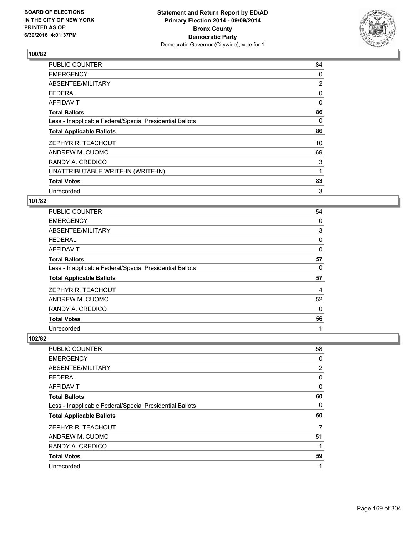

| <b>PUBLIC COUNTER</b>                                    | 84             |
|----------------------------------------------------------|----------------|
| <b>EMERGENCY</b>                                         | 0              |
| ABSENTEE/MILITARY                                        | $\overline{2}$ |
| <b>FEDERAL</b>                                           | 0              |
| AFFIDAVIT                                                | $\Omega$       |
| <b>Total Ballots</b>                                     | 86             |
| Less - Inapplicable Federal/Special Presidential Ballots | 0              |
| <b>Total Applicable Ballots</b>                          | 86             |
| ZEPHYR R. TEACHOUT                                       | 10             |
| ANDREW M. CUOMO                                          | 69             |
| RANDY A. CREDICO                                         | 3              |
| UNATTRIBUTABLE WRITE-IN (WRITE-IN)                       | 1              |
| <b>Total Votes</b>                                       | 83             |
| Unrecorded                                               | 3              |

### **101/82**

| PUBLIC COUNTER                                           | 54 |
|----------------------------------------------------------|----|
| <b>EMERGENCY</b>                                         | 0  |
| ABSENTEE/MILITARY                                        | 3  |
| <b>FEDERAL</b>                                           | 0  |
| AFFIDAVIT                                                | 0  |
| <b>Total Ballots</b>                                     | 57 |
| Less - Inapplicable Federal/Special Presidential Ballots | 0  |
| <b>Total Applicable Ballots</b>                          | 57 |
| ZEPHYR R. TEACHOUT                                       | 4  |
| ANDREW M. CUOMO                                          | 52 |
| RANDY A. CREDICO                                         | 0  |
| <b>Total Votes</b>                                       | 56 |
| Unrecorded                                               | 1  |

| <b>PUBLIC COUNTER</b>                                    | 58             |
|----------------------------------------------------------|----------------|
| <b>EMERGENCY</b>                                         | 0              |
| ABSENTEE/MILITARY                                        | $\overline{2}$ |
| <b>FEDERAL</b>                                           | 0              |
| AFFIDAVIT                                                | 0              |
| <b>Total Ballots</b>                                     | 60             |
| Less - Inapplicable Federal/Special Presidential Ballots | 0              |
| <b>Total Applicable Ballots</b>                          | 60             |
| ZEPHYR R. TEACHOUT                                       | 7              |
| ANDREW M. CUOMO                                          | 51             |
| RANDY A. CREDICO                                         |                |
| <b>Total Votes</b>                                       | 59             |
| Unrecorded                                               | 1              |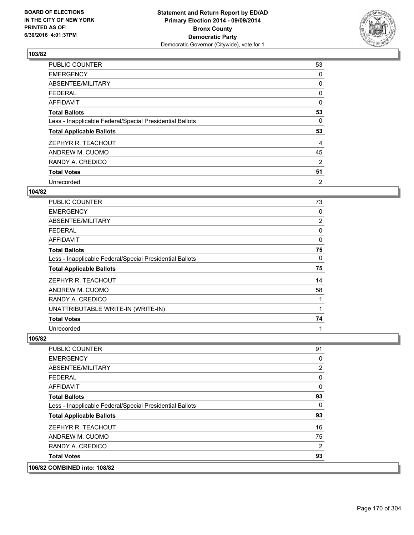

| PUBLIC COUNTER                                           | 53 |
|----------------------------------------------------------|----|
| <b>EMERGENCY</b>                                         | 0  |
| ABSENTEE/MILITARY                                        | 0  |
| <b>FEDERAL</b>                                           | 0  |
| <b>AFFIDAVIT</b>                                         | 0  |
| <b>Total Ballots</b>                                     | 53 |
| Less - Inapplicable Federal/Special Presidential Ballots | 0  |
| <b>Total Applicable Ballots</b>                          | 53 |
| ZEPHYR R. TEACHOUT                                       | 4  |
| ANDREW M. CUOMO                                          | 45 |
| RANDY A. CREDICO                                         | 2  |
| <b>Total Votes</b>                                       | 51 |
| Unrecorded                                               | 2  |

### **104/82**

| <b>PUBLIC COUNTER</b>                                    | 73             |
|----------------------------------------------------------|----------------|
| <b>EMERGENCY</b>                                         | 0              |
| ABSENTEE/MILITARY                                        | $\overline{2}$ |
| <b>FEDERAL</b>                                           | 0              |
| AFFIDAVIT                                                | 0              |
| <b>Total Ballots</b>                                     | 75             |
| Less - Inapplicable Federal/Special Presidential Ballots | 0              |
| <b>Total Applicable Ballots</b>                          | 75             |
| ZEPHYR R. TEACHOUT                                       | 14             |
| ANDREW M. CUOMO                                          | 58             |
| RANDY A. CREDICO                                         | 1              |
| UNATTRIBUTABLE WRITE-IN (WRITE-IN)                       | 1              |
| <b>Total Votes</b>                                       | 74             |
| Unrecorded                                               | 1              |

| RANDY A. CREDICO                                         | $\overline{2}$ |
|----------------------------------------------------------|----------------|
| ANDREW M. CUOMO                                          | 75             |
| ZEPHYR R. TEACHOUT                                       | 16             |
| <b>Total Applicable Ballots</b>                          | 93             |
| Less - Inapplicable Federal/Special Presidential Ballots | 0              |
| <b>Total Ballots</b>                                     | 93             |
| AFFIDAVIT                                                | 0              |
| <b>FEDERAL</b>                                           | 0              |
| ABSENTEE/MILITARY                                        | 2              |
| <b>EMERGENCY</b>                                         | 0              |
| <b>PUBLIC COUNTER</b>                                    | 91             |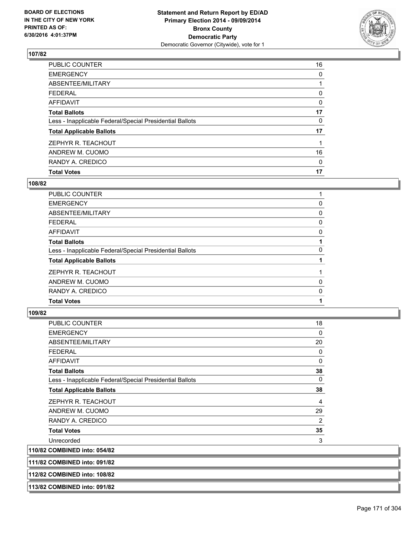

| <b>Total Votes</b>                                       | 17 |
|----------------------------------------------------------|----|
| RANDY A. CREDICO                                         | 0  |
| ANDREW M. CUOMO                                          | 16 |
| ZEPHYR R. TEACHOUT                                       |    |
| <b>Total Applicable Ballots</b>                          | 17 |
| Less - Inapplicable Federal/Special Presidential Ballots | 0  |
| <b>Total Ballots</b>                                     | 17 |
| <b>AFFIDAVIT</b>                                         | 0  |
| <b>FEDERAL</b>                                           | 0  |
| ABSENTEE/MILITARY                                        |    |
| <b>EMERGENCY</b>                                         | 0  |
| PUBLIC COUNTER                                           | 16 |

## **108/82**

| <b>PUBLIC COUNTER</b>                                    |   |
|----------------------------------------------------------|---|
| <b>EMERGENCY</b>                                         | 0 |
| ABSENTEE/MILITARY                                        | 0 |
| <b>FEDERAL</b>                                           | 0 |
| <b>AFFIDAVIT</b>                                         | 0 |
| <b>Total Ballots</b>                                     |   |
| Less - Inapplicable Federal/Special Presidential Ballots | 0 |
| <b>Total Applicable Ballots</b>                          |   |
| ZEPHYR R. TEACHOUT                                       |   |
| ANDREW M. CUOMO                                          | 0 |
| RANDY A. CREDICO                                         | 0 |
| <b>Total Votes</b>                                       |   |
|                                                          |   |

| PUBLIC COUNTER                                           | 18       |
|----------------------------------------------------------|----------|
| <b>EMERGENCY</b>                                         | 0        |
| ABSENTEE/MILITARY                                        | 20       |
| <b>FEDERAL</b>                                           | 0        |
| <b>AFFIDAVIT</b>                                         | $\Omega$ |
| <b>Total Ballots</b>                                     | 38       |
| Less - Inapplicable Federal/Special Presidential Ballots | 0        |
| <b>Total Applicable Ballots</b>                          | 38       |
| ZEPHYR R. TEACHOUT                                       | 4        |
| ANDREW M. CUOMO                                          | 29       |
| RANDY A. CREDICO                                         | 2        |
| <b>Total Votes</b>                                       | 35       |
| Unrecorded                                               | 3        |
| 110/82 COMBINED into: 054/82                             |          |
| 111/82 COMBINED into: 091/82                             |          |
| 112/82 COMBINED into: 108/82                             |          |
| 113/82 COMBINED into: 091/82                             |          |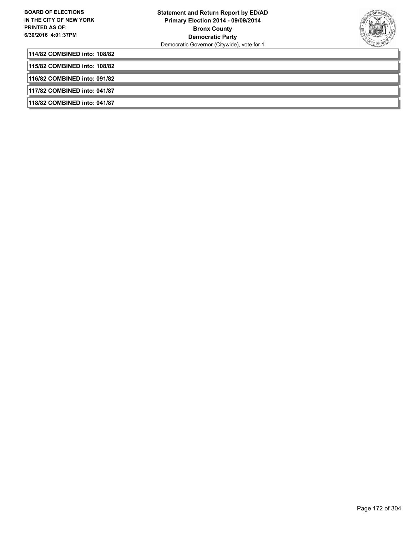

**114/82 COMBINED into: 108/82**

**115/82 COMBINED into: 108/82**

**116/82 COMBINED into: 091/82**

**117/82 COMBINED into: 041/87**

**118/82 COMBINED into: 041/87**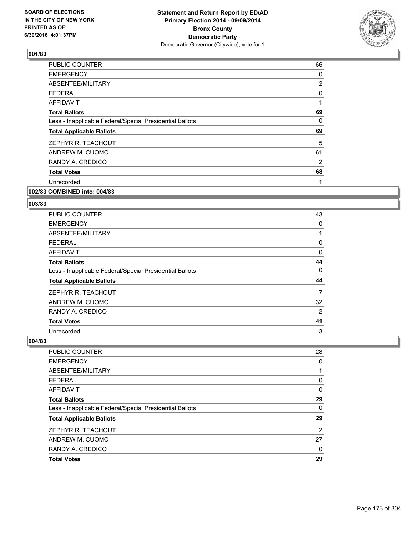

| <b>PUBLIC COUNTER</b>                                    | 66             |
|----------------------------------------------------------|----------------|
| <b>EMERGENCY</b>                                         | 0              |
| ABSENTEE/MILITARY                                        | $\overline{2}$ |
| <b>FEDERAL</b>                                           | 0              |
| <b>AFFIDAVIT</b>                                         | 1              |
| <b>Total Ballots</b>                                     | 69             |
| Less - Inapplicable Federal/Special Presidential Ballots | 0              |
| <b>Total Applicable Ballots</b>                          | 69             |
| ZEPHYR R. TEACHOUT                                       | 5              |
| ANDREW M. CUOMO                                          | 61             |
| RANDY A. CREDICO                                         | 2              |
| <b>Total Votes</b>                                       | 68             |
| Unrecorded                                               | 1              |
|                                                          |                |

#### **002/83 COMBINED into: 004/83**

#### **003/83**

| PUBLIC COUNTER                                           | 43             |
|----------------------------------------------------------|----------------|
| <b>EMERGENCY</b>                                         | 0              |
| ABSENTEE/MILITARY                                        | 1              |
| <b>FEDERAL</b>                                           | 0              |
| AFFIDAVIT                                                | 0              |
| <b>Total Ballots</b>                                     | 44             |
| Less - Inapplicable Federal/Special Presidential Ballots | 0              |
| <b>Total Applicable Ballots</b>                          | 44             |
| ZEPHYR R. TEACHOUT                                       | 7              |
| ANDREW M. CUOMO                                          | 32             |
| RANDY A. CREDICO                                         | $\overline{2}$ |
| <b>Total Votes</b>                                       | 41             |
| Unrecorded                                               | 3              |

| PUBLIC COUNTER                                           | 28 |
|----------------------------------------------------------|----|
| <b>EMERGENCY</b>                                         | 0  |
| ABSENTEE/MILITARY                                        |    |
| <b>FEDERAL</b>                                           | 0  |
| <b>AFFIDAVIT</b>                                         | 0  |
| <b>Total Ballots</b>                                     | 29 |
| Less - Inapplicable Federal/Special Presidential Ballots | 0  |
| <b>Total Applicable Ballots</b>                          | 29 |
| ZEPHYR R. TEACHOUT                                       | 2  |
| ANDREW M. CUOMO                                          | 27 |
| RANDY A. CREDICO                                         | 0  |
| <b>Total Votes</b>                                       | 29 |
|                                                          |    |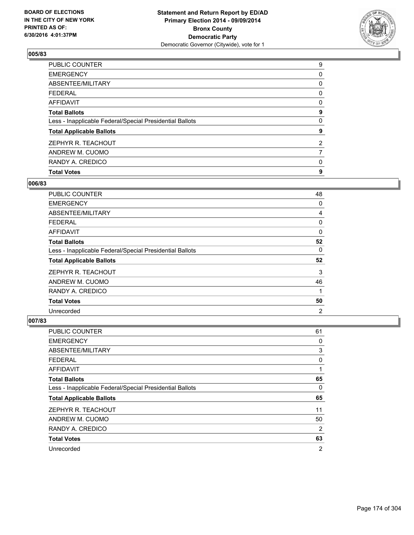

| <b>Total Votes</b>                                       | 9                     |
|----------------------------------------------------------|-----------------------|
| RANDY A. CREDICO                                         | 0                     |
| ANDREW M. CUOMO                                          | 7                     |
| ZEPHYR R. TEACHOUT                                       | $\mathbf{2}^{\prime}$ |
| <b>Total Applicable Ballots</b>                          | 9                     |
| Less - Inapplicable Federal/Special Presidential Ballots | 0                     |
| <b>Total Ballots</b>                                     | 9                     |
| <b>AFFIDAVIT</b>                                         | 0                     |
| <b>FEDERAL</b>                                           | 0                     |
| ABSENTEE/MILITARY                                        | 0                     |
| <b>EMERGENCY</b>                                         | 0                     |
| PUBLIC COUNTER                                           | 9                     |

## **006/83**

| <b>PUBLIC COUNTER</b>                                    | 48             |
|----------------------------------------------------------|----------------|
| <b>EMERGENCY</b>                                         | 0              |
| ABSENTEE/MILITARY                                        | 4              |
| <b>FEDERAL</b>                                           | 0              |
| AFFIDAVIT                                                | 0              |
| <b>Total Ballots</b>                                     | 52             |
| Less - Inapplicable Federal/Special Presidential Ballots | 0              |
| <b>Total Applicable Ballots</b>                          | 52             |
| ZEPHYR R. TEACHOUT                                       | 3              |
| ANDREW M. CUOMO                                          | 46             |
| RANDY A. CREDICO                                         | 1              |
| <b>Total Votes</b>                                       | 50             |
| Unrecorded                                               | $\overline{2}$ |

| <b>PUBLIC COUNTER</b>                                    | 61 |
|----------------------------------------------------------|----|
| <b>EMERGENCY</b>                                         | 0  |
| ABSENTEE/MILITARY                                        | 3  |
| <b>FEDERAL</b>                                           | 0  |
| <b>AFFIDAVIT</b>                                         | 1  |
| <b>Total Ballots</b>                                     | 65 |
| Less - Inapplicable Federal/Special Presidential Ballots | 0  |
| <b>Total Applicable Ballots</b>                          | 65 |
| ZEPHYR R. TEACHOUT                                       | 11 |
| ANDREW M. CUOMO                                          | 50 |
| RANDY A. CREDICO                                         | 2  |
| <b>Total Votes</b>                                       | 63 |
| Unrecorded                                               | 2  |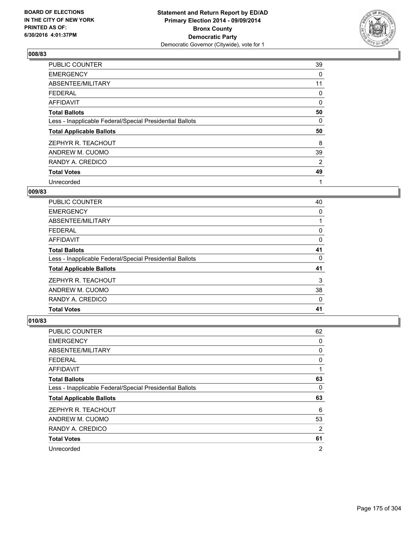

| PUBLIC COUNTER                                           | 39 |
|----------------------------------------------------------|----|
| <b>EMERGENCY</b>                                         | 0  |
| ABSENTEE/MILITARY                                        | 11 |
| <b>FEDERAL</b>                                           | 0  |
| AFFIDAVIT                                                | 0  |
| <b>Total Ballots</b>                                     | 50 |
| Less - Inapplicable Federal/Special Presidential Ballots | 0  |
| <b>Total Applicable Ballots</b>                          | 50 |
| ZEPHYR R. TEACHOUT                                       | 8  |
| ANDREW M. CUOMO                                          | 39 |
| RANDY A. CREDICO                                         | 2  |
| <b>Total Votes</b>                                       | 49 |
| Unrecorded                                               | 1  |

# **009/83**

| <b>PUBLIC COUNTER</b>                                    | 40 |
|----------------------------------------------------------|----|
| <b>EMERGENCY</b>                                         | 0  |
| ABSENTEE/MILITARY                                        |    |
| <b>FEDERAL</b>                                           | 0  |
| AFFIDAVIT                                                | 0  |
| <b>Total Ballots</b>                                     | 41 |
| Less - Inapplicable Federal/Special Presidential Ballots | 0  |
| <b>Total Applicable Ballots</b>                          | 41 |
| ZEPHYR R. TEACHOUT                                       | 3  |
| ANDREW M. CUOMO                                          | 38 |
| RANDY A. CREDICO                                         | 0  |
| <b>Total Votes</b>                                       | 41 |
|                                                          |    |

| <b>PUBLIC COUNTER</b>                                    | 62 |
|----------------------------------------------------------|----|
| <b>EMERGENCY</b>                                         | 0  |
| ABSENTEE/MILITARY                                        | 0  |
| FEDERAL                                                  | 0  |
| AFFIDAVIT                                                | 1  |
| <b>Total Ballots</b>                                     | 63 |
| Less - Inapplicable Federal/Special Presidential Ballots | 0  |
| <b>Total Applicable Ballots</b>                          | 63 |
| ZEPHYR R. TEACHOUT                                       | 6  |
| ANDREW M. CUOMO                                          | 53 |
| RANDY A. CREDICO                                         | 2  |
| <b>Total Votes</b>                                       | 61 |
| Unrecorded                                               | 2  |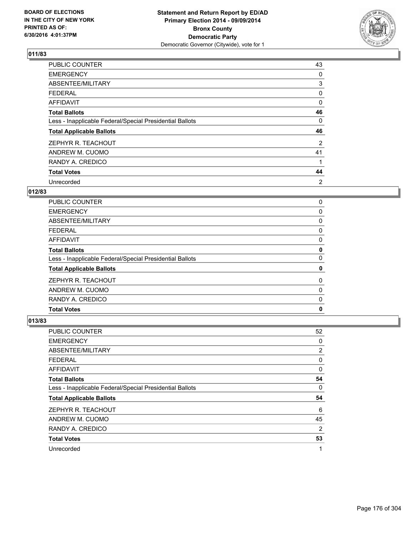

| <b>PUBLIC COUNTER</b>                                    | 43 |
|----------------------------------------------------------|----|
| <b>EMERGENCY</b>                                         | 0  |
| ABSENTEE/MILITARY                                        | 3  |
| <b>FEDERAL</b>                                           | 0  |
| AFFIDAVIT                                                | 0  |
| <b>Total Ballots</b>                                     | 46 |
| Less - Inapplicable Federal/Special Presidential Ballots | 0  |
| <b>Total Applicable Ballots</b>                          | 46 |
| ZEPHYR R. TEACHOUT                                       | 2  |
| ANDREW M. CUOMO                                          | 41 |
| RANDY A. CREDICO                                         | 1  |
| <b>Total Votes</b>                                       | 44 |
| Unrecorded                                               | 2  |

# **012/83**

| <b>PUBLIC COUNTER</b>                                    | 0 |
|----------------------------------------------------------|---|
| <b>EMERGENCY</b>                                         | 0 |
| ABSENTEE/MILITARY                                        | 0 |
| <b>FEDERAL</b>                                           | 0 |
| AFFIDAVIT                                                | 0 |
| <b>Total Ballots</b>                                     | 0 |
| Less - Inapplicable Federal/Special Presidential Ballots | 0 |
| <b>Total Applicable Ballots</b>                          | 0 |
| ZEPHYR R. TEACHOUT                                       | 0 |
| ANDREW M. CUOMO                                          | 0 |
| RANDY A. CREDICO                                         | 0 |
| <b>Total Votes</b>                                       | 0 |
|                                                          |   |

| <b>PUBLIC COUNTER</b>                                    | 52 |
|----------------------------------------------------------|----|
| <b>EMERGENCY</b>                                         | 0  |
| ABSENTEE/MILITARY                                        | 2  |
| <b>FEDERAL</b>                                           | 0  |
| AFFIDAVIT                                                | 0  |
| <b>Total Ballots</b>                                     | 54 |
| Less - Inapplicable Federal/Special Presidential Ballots | 0  |
| <b>Total Applicable Ballots</b>                          | 54 |
| ZEPHYR R. TEACHOUT                                       | 6  |
| ANDREW M. CUOMO                                          | 45 |
| RANDY A. CREDICO                                         | 2  |
| <b>Total Votes</b>                                       | 53 |
| Unrecorded                                               | 1  |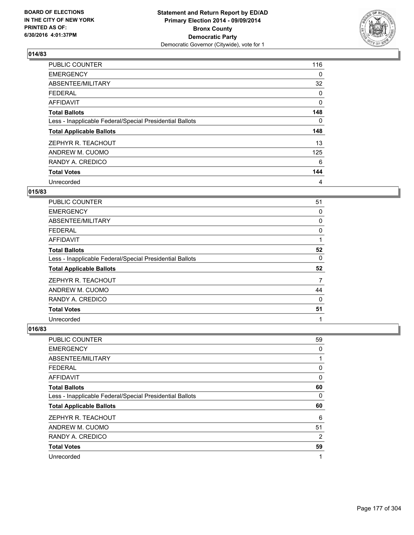

| <b>PUBLIC COUNTER</b>                                    | 116          |
|----------------------------------------------------------|--------------|
| <b>EMERGENCY</b>                                         | 0            |
| ABSENTEE/MILITARY                                        | 32           |
| <b>FEDERAL</b>                                           | 0            |
| AFFIDAVIT                                                | $\mathbf{0}$ |
| <b>Total Ballots</b>                                     | 148          |
| Less - Inapplicable Federal/Special Presidential Ballots | 0            |
| <b>Total Applicable Ballots</b>                          | 148          |
| ZEPHYR R. TEACHOUT                                       | 13           |
| ANDREW M. CUOMO                                          | 125          |
| RANDY A. CREDICO                                         | 6            |
| <b>Total Votes</b>                                       | 144          |
| Unrecorded                                               | 4            |

# **015/83**

| <b>PUBLIC COUNTER</b>                                    | 51 |
|----------------------------------------------------------|----|
| <b>EMERGENCY</b>                                         | 0  |
| ABSENTEE/MILITARY                                        | 0  |
| <b>FEDERAL</b>                                           | 0  |
| AFFIDAVIT                                                |    |
| <b>Total Ballots</b>                                     | 52 |
| Less - Inapplicable Federal/Special Presidential Ballots | 0  |
| <b>Total Applicable Ballots</b>                          | 52 |
| ZEPHYR R. TEACHOUT                                       | 7  |
| ANDREW M. CUOMO                                          | 44 |
| RANDY A. CREDICO                                         | 0  |
| <b>Total Votes</b>                                       | 51 |
| Unrecorded                                               | 1  |

| <b>PUBLIC COUNTER</b>                                    | 59             |
|----------------------------------------------------------|----------------|
| <b>EMERGENCY</b>                                         | 0              |
| ABSENTEE/MILITARY                                        | 1              |
| <b>FEDERAL</b>                                           | 0              |
| AFFIDAVIT                                                | 0              |
| <b>Total Ballots</b>                                     | 60             |
| Less - Inapplicable Federal/Special Presidential Ballots | 0              |
| <b>Total Applicable Ballots</b>                          | 60             |
| ZEPHYR R. TEACHOUT                                       | 6              |
| ANDREW M. CUOMO                                          | 51             |
| RANDY A. CREDICO                                         | $\overline{2}$ |
| <b>Total Votes</b>                                       | 59             |
| Unrecorded                                               | 1              |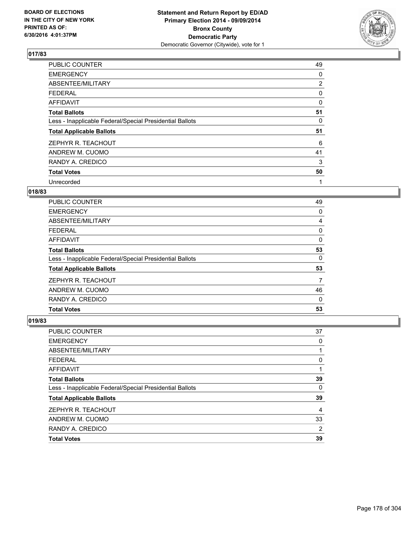

| <b>PUBLIC COUNTER</b>                                    | 49             |
|----------------------------------------------------------|----------------|
| <b>EMERGENCY</b>                                         | 0              |
| ABSENTEE/MILITARY                                        | $\overline{2}$ |
| <b>FEDERAL</b>                                           | 0              |
| AFFIDAVIT                                                | 0              |
| <b>Total Ballots</b>                                     | 51             |
| Less - Inapplicable Federal/Special Presidential Ballots | 0              |
| <b>Total Applicable Ballots</b>                          | 51             |
| ZEPHYR R. TEACHOUT                                       | 6              |
| ANDREW M. CUOMO                                          | 41             |
| RANDY A. CREDICO                                         | 3              |
| <b>Total Votes</b>                                       | 50             |
| Unrecorded                                               | 1              |

# **018/83**

| <b>PUBLIC COUNTER</b>                                    | 49 |
|----------------------------------------------------------|----|
| <b>EMERGENCY</b>                                         | 0  |
| ABSENTEE/MILITARY                                        | 4  |
| <b>FEDERAL</b>                                           | 0  |
| AFFIDAVIT                                                | 0  |
| <b>Total Ballots</b>                                     | 53 |
| Less - Inapplicable Federal/Special Presidential Ballots | 0  |
| <b>Total Applicable Ballots</b>                          | 53 |
| ZEPHYR R. TEACHOUT                                       | 7  |
| ANDREW M. CUOMO                                          | 46 |
| RANDY A. CREDICO                                         | 0  |
| <b>Total Votes</b>                                       | 53 |
|                                                          |    |

| <b>PUBLIC COUNTER</b>                                    | 37 |
|----------------------------------------------------------|----|
| <b>EMERGENCY</b>                                         | 0  |
| ABSENTEE/MILITARY                                        |    |
| <b>FEDERAL</b>                                           | 0  |
| <b>AFFIDAVIT</b>                                         |    |
| <b>Total Ballots</b>                                     | 39 |
| Less - Inapplicable Federal/Special Presidential Ballots | 0  |
| <b>Total Applicable Ballots</b>                          | 39 |
| ZEPHYR R. TEACHOUT                                       | 4  |
| ANDREW M. CUOMO                                          | 33 |
| RANDY A. CREDICO                                         | 2  |
| <b>Total Votes</b>                                       | 39 |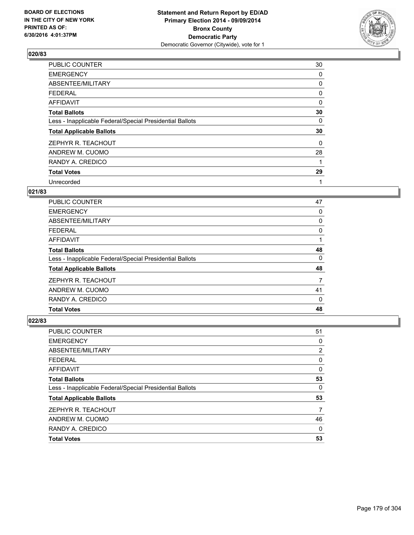

| PUBLIC COUNTER                                           | 30 |
|----------------------------------------------------------|----|
| <b>EMERGENCY</b>                                         | 0  |
| ABSENTEE/MILITARY                                        | 0  |
| <b>FEDERAL</b>                                           | 0  |
| <b>AFFIDAVIT</b>                                         | 0  |
| <b>Total Ballots</b>                                     | 30 |
| Less - Inapplicable Federal/Special Presidential Ballots | 0  |
| <b>Total Applicable Ballots</b>                          | 30 |
| ZEPHYR R. TEACHOUT                                       | 0  |
| ANDREW M. CUOMO                                          | 28 |
| RANDY A. CREDICO                                         | 1  |
| <b>Total Votes</b>                                       | 29 |
| Unrecorded                                               | 1  |

# **021/83**

| PUBLIC COUNTER                                           | 47 |
|----------------------------------------------------------|----|
| <b>EMERGENCY</b>                                         | 0  |
| ABSENTEE/MILITARY                                        | 0  |
| <b>FEDERAL</b>                                           | 0  |
| AFFIDAVIT                                                |    |
| <b>Total Ballots</b>                                     | 48 |
| Less - Inapplicable Federal/Special Presidential Ballots | 0  |
| <b>Total Applicable Ballots</b>                          | 48 |
| ZEPHYR R. TEACHOUT                                       | 7  |
| ANDREW M. CUOMO                                          | 41 |
| RANDY A. CREDICO                                         | 0  |
| <b>Total Votes</b>                                       | 48 |

| <b>PUBLIC COUNTER</b>                                    | 51 |
|----------------------------------------------------------|----|
| <b>EMERGENCY</b>                                         | 0  |
| ABSENTEE/MILITARY                                        | 2  |
| <b>FEDERAL</b>                                           | 0  |
| <b>AFFIDAVIT</b>                                         | 0  |
| <b>Total Ballots</b>                                     | 53 |
| Less - Inapplicable Federal/Special Presidential Ballots | 0  |
| <b>Total Applicable Ballots</b>                          | 53 |
| ZEPHYR R. TEACHOUT                                       | 7  |
| ANDREW M. CUOMO                                          | 46 |
| RANDY A. CREDICO                                         | 0  |
| <b>Total Votes</b>                                       | 53 |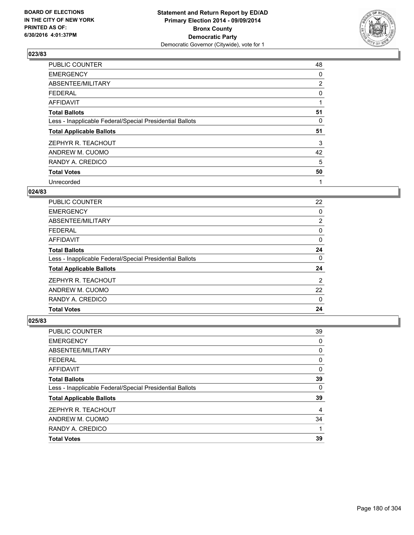

| <b>PUBLIC COUNTER</b>                                    | 48             |
|----------------------------------------------------------|----------------|
| <b>EMERGENCY</b>                                         | 0              |
| ABSENTEE/MILITARY                                        | $\overline{2}$ |
| <b>FEDERAL</b>                                           | 0              |
| AFFIDAVIT                                                | 1              |
| <b>Total Ballots</b>                                     | 51             |
| Less - Inapplicable Federal/Special Presidential Ballots | 0              |
| <b>Total Applicable Ballots</b>                          | 51             |
| ZEPHYR R. TEACHOUT                                       | 3              |
| ANDREW M. CUOMO                                          | 42             |
| RANDY A. CREDICO                                         | 5              |
| <b>Total Votes</b>                                       | 50             |
| Unrecorded                                               | 1              |

### **024/83**

| <b>PUBLIC COUNTER</b>                                    | 22             |
|----------------------------------------------------------|----------------|
| <b>EMERGENCY</b>                                         | 0              |
| ABSENTEE/MILITARY                                        | $\overline{2}$ |
| FEDERAL                                                  | 0              |
| AFFIDAVIT                                                | 0              |
| <b>Total Ballots</b>                                     | 24             |
| Less - Inapplicable Federal/Special Presidential Ballots | 0              |
| <b>Total Applicable Ballots</b>                          | 24             |
| ZEPHYR R. TEACHOUT                                       | $\overline{2}$ |
| ANDREW M. CUOMO                                          | 22             |
| RANDY A. CREDICO                                         | 0              |
| <b>Total Votes</b>                                       | 24             |

| <b>PUBLIC COUNTER</b>                                    | 39 |
|----------------------------------------------------------|----|
| <b>EMERGENCY</b>                                         | 0  |
| ABSENTEE/MILITARY                                        | 0  |
| <b>FEDERAL</b>                                           | 0  |
| <b>AFFIDAVIT</b>                                         | 0  |
| <b>Total Ballots</b>                                     | 39 |
| Less - Inapplicable Federal/Special Presidential Ballots | 0  |
| <b>Total Applicable Ballots</b>                          | 39 |
| ZEPHYR R. TEACHOUT                                       | 4  |
| ANDREW M. CUOMO                                          | 34 |
| RANDY A. CREDICO                                         | 1  |
| <b>Total Votes</b>                                       | 39 |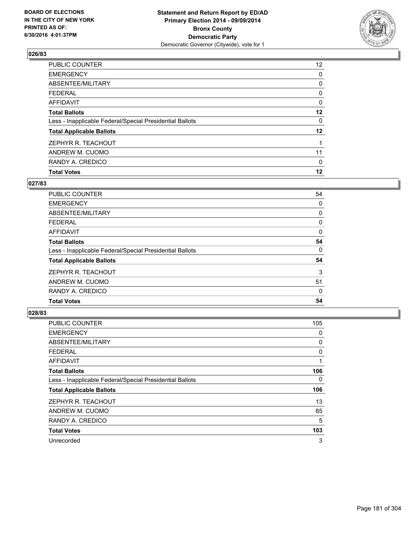

| <b>Total Votes</b>                                       | 12                |
|----------------------------------------------------------|-------------------|
| RANDY A. CREDICO                                         | 0                 |
| ANDREW M. CUOMO                                          | 11                |
| ZEPHYR R. TEACHOUT                                       |                   |
| <b>Total Applicable Ballots</b>                          | $12 \,$           |
| Less - Inapplicable Federal/Special Presidential Ballots | 0                 |
| <b>Total Ballots</b>                                     | 12                |
| <b>AFFIDAVIT</b>                                         | 0                 |
| <b>FEDERAL</b>                                           | 0                 |
| ABSENTEE/MILITARY                                        | 0                 |
| <b>EMERGENCY</b>                                         | 0                 |
| <b>PUBLIC COUNTER</b>                                    | $12 \overline{ }$ |

### **027/83**

| PUBLIC COUNTER                                           | 54 |
|----------------------------------------------------------|----|
| <b>EMERGENCY</b>                                         | 0  |
| ABSENTEE/MILITARY                                        | 0  |
| <b>FEDERAL</b>                                           | 0  |
| AFFIDAVIT                                                | 0  |
| <b>Total Ballots</b>                                     | 54 |
| Less - Inapplicable Federal/Special Presidential Ballots | 0  |
| <b>Total Applicable Ballots</b>                          | 54 |
| ZEPHYR R. TEACHOUT                                       | 3  |
| ANDREW M. CUOMO                                          | 51 |
| RANDY A. CREDICO                                         | 0  |
| <b>Total Votes</b>                                       | 54 |
|                                                          |    |

| <b>PUBLIC COUNTER</b>                                    | 105 |
|----------------------------------------------------------|-----|
| <b>EMERGENCY</b>                                         | 0   |
| ABSENTEE/MILITARY                                        | 0   |
| <b>FEDERAL</b>                                           | 0   |
| <b>AFFIDAVIT</b>                                         | 1   |
| <b>Total Ballots</b>                                     | 106 |
| Less - Inapplicable Federal/Special Presidential Ballots | 0   |
| <b>Total Applicable Ballots</b>                          | 106 |
| ZEPHYR R. TEACHOUT                                       | 13  |
| ANDREW M. CUOMO                                          | 85  |
| RANDY A. CREDICO                                         | 5   |
| <b>Total Votes</b>                                       | 103 |
| Unrecorded                                               | 3   |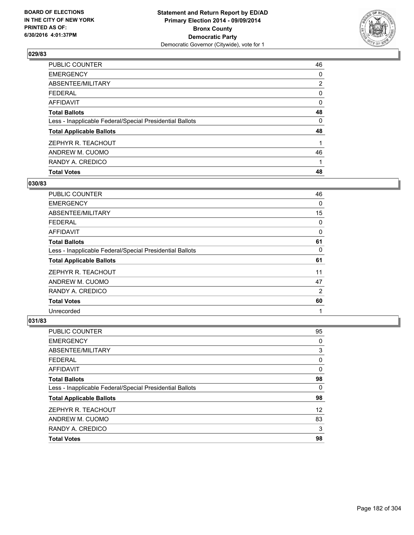

| <b>Total Votes</b>                                       | 48             |
|----------------------------------------------------------|----------------|
| RANDY A. CREDICO                                         |                |
| ANDREW M. CUOMO                                          | 46             |
| ZEPHYR R. TEACHOUT                                       |                |
| <b>Total Applicable Ballots</b>                          | 48             |
| Less - Inapplicable Federal/Special Presidential Ballots | 0              |
| <b>Total Ballots</b>                                     | 48             |
| <b>AFFIDAVIT</b>                                         | 0              |
| <b>FEDERAL</b>                                           | 0              |
| ABSENTEE/MILITARY                                        | $\overline{2}$ |
| <b>EMERGENCY</b>                                         | 0              |
| <b>PUBLIC COUNTER</b>                                    | 46             |

### **030/83**

| <b>PUBLIC COUNTER</b>                                    | 46 |
|----------------------------------------------------------|----|
| <b>EMERGENCY</b>                                         | 0  |
| ABSENTEE/MILITARY                                        | 15 |
| <b>FEDERAL</b>                                           | 0  |
| AFFIDAVIT                                                | 0  |
| <b>Total Ballots</b>                                     | 61 |
| Less - Inapplicable Federal/Special Presidential Ballots | 0  |
| <b>Total Applicable Ballots</b>                          | 61 |
| ZEPHYR R. TEACHOUT                                       | 11 |
| ANDREW M. CUOMO                                          | 47 |
| RANDY A. CREDICO                                         | 2  |
| <b>Total Votes</b>                                       | 60 |
| Unrecorded                                               | 1  |

| PUBLIC COUNTER                                           | 95                |
|----------------------------------------------------------|-------------------|
| <b>EMERGENCY</b>                                         | 0                 |
| <b>ABSENTEE/MILITARY</b>                                 | 3                 |
| <b>FEDERAL</b>                                           | 0                 |
| <b>AFFIDAVIT</b>                                         | 0                 |
| <b>Total Ballots</b>                                     | 98                |
| Less - Inapplicable Federal/Special Presidential Ballots | 0                 |
| <b>Total Applicable Ballots</b>                          | 98                |
| ZEPHYR R. TEACHOUT                                       | $12 \overline{ }$ |
| ANDREW M. CUOMO                                          | 83                |
| RANDY A. CREDICO                                         | 3                 |
| <b>Total Votes</b>                                       | 98                |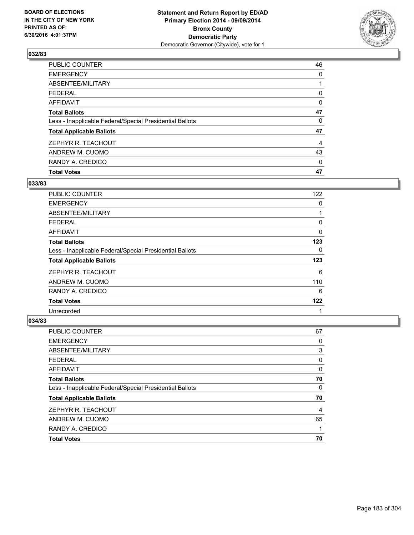

| <b>Total Votes</b>                                       | 47 |
|----------------------------------------------------------|----|
| RANDY A. CREDICO                                         | 0  |
| ANDREW M. CUOMO                                          | 43 |
| ZEPHYR R. TEACHOUT                                       | 4  |
| <b>Total Applicable Ballots</b>                          | 47 |
| Less - Inapplicable Federal/Special Presidential Ballots | 0  |
| <b>Total Ballots</b>                                     | 47 |
| <b>AFFIDAVIT</b>                                         | 0  |
| <b>FEDERAL</b>                                           | 0  |
| ABSENTEE/MILITARY                                        |    |
| <b>EMERGENCY</b>                                         | 0  |
| PUBLIC COUNTER                                           | 46 |

### **033/83**

| <b>PUBLIC COUNTER</b>                                    | 122 |
|----------------------------------------------------------|-----|
| <b>EMERGENCY</b>                                         | 0   |
| ABSENTEE/MILITARY                                        |     |
| <b>FEDERAL</b>                                           | 0   |
| AFFIDAVIT                                                | 0   |
| <b>Total Ballots</b>                                     | 123 |
| Less - Inapplicable Federal/Special Presidential Ballots | 0   |
| <b>Total Applicable Ballots</b>                          | 123 |
| ZEPHYR R. TEACHOUT                                       | 6   |
| ANDREW M. CUOMO                                          | 110 |
| RANDY A. CREDICO                                         | 6   |
| <b>Total Votes</b>                                       | 122 |
| Unrecorded                                               | 1   |

| <b>PUBLIC COUNTER</b>                                    | 67 |
|----------------------------------------------------------|----|
| <b>EMERGENCY</b>                                         | 0  |
| ABSENTEE/MILITARY                                        | 3  |
| FEDERAL                                                  | 0  |
| <b>AFFIDAVIT</b>                                         | 0  |
| <b>Total Ballots</b>                                     | 70 |
| Less - Inapplicable Federal/Special Presidential Ballots | 0  |
| <b>Total Applicable Ballots</b>                          | 70 |
| ZEPHYR R. TEACHOUT                                       | 4  |
| ANDREW M. CUOMO                                          | 65 |
| RANDY A. CREDICO                                         |    |
| <b>Total Votes</b>                                       | 70 |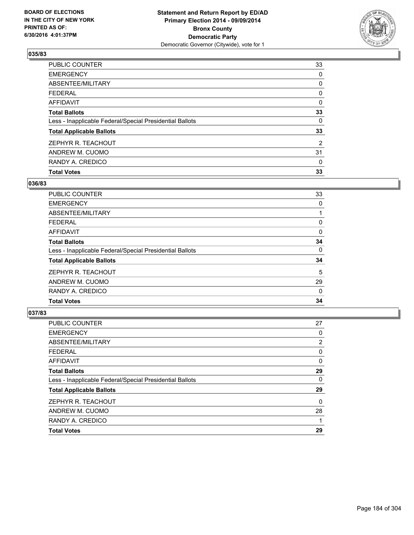

| <b>Total Votes</b>                                       | 33             |
|----------------------------------------------------------|----------------|
| RANDY A. CREDICO                                         | 0              |
| ANDREW M. CUOMO                                          | 31             |
| ZEPHYR R. TEACHOUT                                       | $\overline{2}$ |
| <b>Total Applicable Ballots</b>                          | 33             |
| Less - Inapplicable Federal/Special Presidential Ballots | 0              |
| <b>Total Ballots</b>                                     | 33             |
| <b>AFFIDAVIT</b>                                         | 0              |
| <b>FEDERAL</b>                                           | 0              |
| ABSENTEE/MILITARY                                        | 0              |
| <b>EMERGENCY</b>                                         | 0              |
| <b>PUBLIC COUNTER</b>                                    | 33             |

### **036/83**

| <b>PUBLIC COUNTER</b>                                    | 33       |
|----------------------------------------------------------|----------|
| <b>EMERGENCY</b>                                         | 0        |
| ABSENTEE/MILITARY                                        |          |
| <b>FEDERAL</b>                                           | 0        |
| AFFIDAVIT                                                | 0        |
| <b>Total Ballots</b>                                     | 34       |
| Less - Inapplicable Federal/Special Presidential Ballots | 0        |
| <b>Total Applicable Ballots</b>                          | 34       |
| ZEPHYR R. TEACHOUT                                       | 5        |
| ANDREW M. CUOMO                                          | 29       |
| RANDY A. CREDICO                                         | $\Omega$ |
| <b>Total Votes</b>                                       | 34       |
|                                                          |          |

| PUBLIC COUNTER                                           | 27 |
|----------------------------------------------------------|----|
| <b>EMERGENCY</b>                                         | 0  |
| ABSENTEE/MILITARY                                        | 2  |
| <b>FEDERAL</b>                                           | 0  |
| <b>AFFIDAVIT</b>                                         | 0  |
| <b>Total Ballots</b>                                     | 29 |
| Less - Inapplicable Federal/Special Presidential Ballots | 0  |
| <b>Total Applicable Ballots</b>                          | 29 |
| ZEPHYR R. TEACHOUT                                       | 0  |
| ANDREW M. CUOMO                                          | 28 |
| RANDY A. CREDICO                                         |    |
| <b>Total Votes</b>                                       | 29 |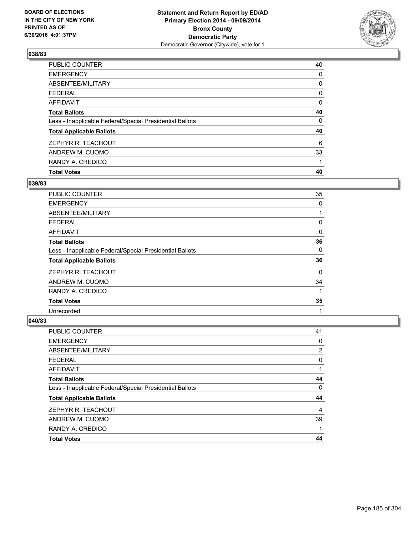

| <b>Total Votes</b>                                       | 40 |
|----------------------------------------------------------|----|
| RANDY A. CREDICO                                         |    |
| ANDREW M. CUOMO                                          | 33 |
| ZEPHYR R. TEACHOUT                                       | 6  |
| <b>Total Applicable Ballots</b>                          | 40 |
| Less - Inapplicable Federal/Special Presidential Ballots | 0  |
| <b>Total Ballots</b>                                     | 40 |
| AFFIDAVIT                                                | 0  |
| <b>FEDERAL</b>                                           | 0  |
| ABSENTEE/MILITARY                                        | 0  |
| <b>EMERGENCY</b>                                         | 0  |
| PUBLIC COUNTER                                           | 40 |

### **039/83**

| <b>PUBLIC COUNTER</b>                                    | 35 |
|----------------------------------------------------------|----|
| <b>EMERGENCY</b>                                         | 0  |
| ABSENTEE/MILITARY                                        |    |
| <b>FEDERAL</b>                                           | 0  |
| AFFIDAVIT                                                | 0  |
| <b>Total Ballots</b>                                     | 36 |
| Less - Inapplicable Federal/Special Presidential Ballots | 0  |
| <b>Total Applicable Ballots</b>                          | 36 |
| ZEPHYR R. TEACHOUT                                       | 0  |
| ANDREW M. CUOMO                                          | 34 |
| RANDY A. CREDICO                                         |    |
| <b>Total Votes</b>                                       | 35 |
| Unrecorded                                               | 1  |

| <b>PUBLIC COUNTER</b>                                    | 41 |
|----------------------------------------------------------|----|
| <b>EMERGENCY</b>                                         | 0  |
| ABSENTEE/MILITARY                                        | 2  |
| <b>FEDERAL</b>                                           | 0  |
| <b>AFFIDAVIT</b>                                         |    |
| <b>Total Ballots</b>                                     | 44 |
| Less - Inapplicable Federal/Special Presidential Ballots | 0  |
| <b>Total Applicable Ballots</b>                          | 44 |
| ZEPHYR R. TEACHOUT                                       | 4  |
| ANDREW M. CUOMO                                          | 39 |
| RANDY A. CREDICO                                         |    |
| <b>Total Votes</b>                                       | 44 |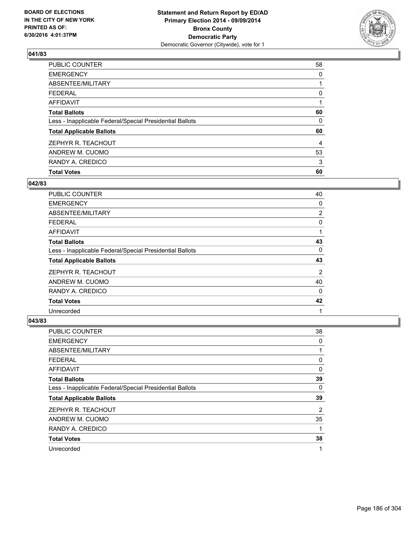

| <b>Total Votes</b>                                       | 60 |
|----------------------------------------------------------|----|
| RANDY A. CREDICO                                         | 3  |
| ANDREW M. CUOMO                                          | 53 |
| ZEPHYR R. TEACHOUT                                       | 4  |
| <b>Total Applicable Ballots</b>                          | 60 |
| Less - Inapplicable Federal/Special Presidential Ballots | 0  |
| <b>Total Ballots</b>                                     | 60 |
| AFFIDAVIT                                                |    |
| <b>FEDERAL</b>                                           | 0  |
| ABSENTEE/MILITARY                                        |    |
| <b>EMERGENCY</b>                                         | 0  |
| PUBLIC COUNTER                                           | 58 |

### **042/83**

| <b>PUBLIC COUNTER</b>                                    | 40 |
|----------------------------------------------------------|----|
| <b>EMERGENCY</b>                                         | 0  |
| ABSENTEE/MILITARY                                        | 2  |
| <b>FEDERAL</b>                                           | 0  |
| AFFIDAVIT                                                |    |
| <b>Total Ballots</b>                                     | 43 |
| Less - Inapplicable Federal/Special Presidential Ballots | 0  |
| <b>Total Applicable Ballots</b>                          | 43 |
| ZEPHYR R. TEACHOUT                                       | 2  |
| ANDREW M. CUOMO                                          | 40 |
| RANDY A. CREDICO                                         | 0  |
| <b>Total Votes</b>                                       | 42 |
| Unrecorded                                               | 1  |

| <b>PUBLIC COUNTER</b>                                    | 38 |
|----------------------------------------------------------|----|
| <b>EMERGENCY</b>                                         | 0  |
| ABSENTEE/MILITARY                                        | 1  |
| <b>FEDERAL</b>                                           | 0  |
| <b>AFFIDAVIT</b>                                         | 0  |
| <b>Total Ballots</b>                                     | 39 |
| Less - Inapplicable Federal/Special Presidential Ballots | 0  |
| <b>Total Applicable Ballots</b>                          | 39 |
| ZEPHYR R. TEACHOUT                                       | 2  |
| ANDREW M. CUOMO                                          | 35 |
| RANDY A. CREDICO                                         |    |
| <b>Total Votes</b>                                       | 38 |
| Unrecorded                                               | 1  |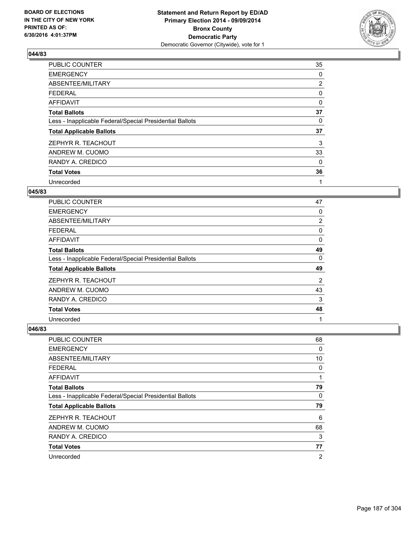

| PUBLIC COUNTER                                           | 35             |
|----------------------------------------------------------|----------------|
| <b>EMERGENCY</b>                                         | 0              |
| ABSENTEE/MILITARY                                        | $\overline{2}$ |
| <b>FEDERAL</b>                                           | 0              |
| AFFIDAVIT                                                | 0              |
| <b>Total Ballots</b>                                     | 37             |
| Less - Inapplicable Federal/Special Presidential Ballots | 0              |
| <b>Total Applicable Ballots</b>                          | 37             |
| ZEPHYR R. TEACHOUT                                       | 3              |
| ANDREW M. CUOMO                                          | 33             |
| RANDY A. CREDICO                                         | 0              |
| <b>Total Votes</b>                                       | 36             |
| Unrecorded                                               | 1              |

### **045/83**

| <b>PUBLIC COUNTER</b>                                    | 47 |
|----------------------------------------------------------|----|
| <b>EMERGENCY</b>                                         | 0  |
| ABSENTEE/MILITARY                                        | 2  |
| <b>FEDERAL</b>                                           | 0  |
| AFFIDAVIT                                                | 0  |
| <b>Total Ballots</b>                                     | 49 |
| Less - Inapplicable Federal/Special Presidential Ballots | 0  |
| <b>Total Applicable Ballots</b>                          | 49 |
| ZEPHYR R. TEACHOUT                                       | 2  |
| ANDREW M. CUOMO                                          | 43 |
| RANDY A. CREDICO                                         | 3  |
| <b>Total Votes</b>                                       | 48 |
| Unrecorded                                               | 1  |

| PUBLIC COUNTER                                           | 68             |
|----------------------------------------------------------|----------------|
| <b>EMERGENCY</b>                                         | 0              |
| ABSENTEE/MILITARY                                        | 10             |
| <b>FEDERAL</b>                                           | 0              |
| AFFIDAVIT                                                | 1              |
| <b>Total Ballots</b>                                     | 79             |
| Less - Inapplicable Federal/Special Presidential Ballots | 0              |
| <b>Total Applicable Ballots</b>                          | 79             |
| ZEPHYR R. TEACHOUT                                       | 6              |
| ANDREW M. CUOMO                                          | 68             |
| RANDY A. CREDICO                                         | 3              |
| <b>Total Votes</b>                                       | 77             |
| Unrecorded                                               | $\overline{2}$ |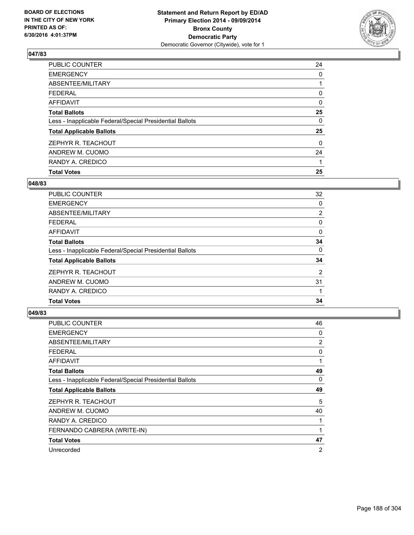

| <b>Total Votes</b>                                       | 25       |
|----------------------------------------------------------|----------|
| RANDY A. CREDICO                                         |          |
| ANDREW M. CUOMO                                          | 24       |
| ZEPHYR R. TEACHOUT                                       | $\Omega$ |
| <b>Total Applicable Ballots</b>                          | 25       |
| Less - Inapplicable Federal/Special Presidential Ballots | 0        |
| <b>Total Ballots</b>                                     | 25       |
| <b>AFFIDAVIT</b>                                         | 0        |
| <b>FEDERAL</b>                                           | 0        |
| ABSENTEE/MILITARY                                        |          |
| <b>EMERGENCY</b>                                         | 0        |
| <b>PUBLIC COUNTER</b>                                    | 24       |

### **048/83**

| PUBLIC COUNTER                                           | 32 |
|----------------------------------------------------------|----|
| <b>EMERGENCY</b>                                         | 0  |
| ABSENTEE/MILITARY                                        | 2  |
| FEDERAL                                                  | 0  |
| AFFIDAVIT                                                | 0  |
| <b>Total Ballots</b>                                     | 34 |
| Less - Inapplicable Federal/Special Presidential Ballots | 0  |
| <b>Total Applicable Ballots</b>                          | 34 |
| ZEPHYR R. TEACHOUT                                       | 2  |
| ANDREW M. CUOMO                                          | 31 |
| RANDY A. CREDICO                                         |    |
| <b>Total Votes</b>                                       | 34 |
|                                                          |    |

| <b>PUBLIC COUNTER</b>                                    | 46 |
|----------------------------------------------------------|----|
| <b>EMERGENCY</b>                                         | 0  |
| ABSENTEE/MILITARY                                        | 2  |
| <b>FEDERAL</b>                                           | 0  |
| AFFIDAVIT                                                | 1  |
| <b>Total Ballots</b>                                     | 49 |
| Less - Inapplicable Federal/Special Presidential Ballots | 0  |
| <b>Total Applicable Ballots</b>                          | 49 |
| ZEPHYR R. TEACHOUT                                       | 5  |
| ANDREW M. CUOMO                                          | 40 |
| RANDY A. CREDICO                                         | 1  |
| FERNANDO CABRERA (WRITE-IN)                              | 1  |
| <b>Total Votes</b>                                       | 47 |
| Unrecorded                                               | 2  |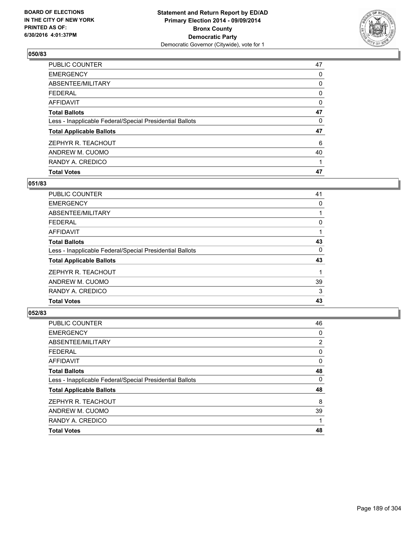

| <b>Total Votes</b>                                       | 47 |
|----------------------------------------------------------|----|
| RANDY A. CREDICO                                         |    |
| ANDREW M. CUOMO                                          | 40 |
| ZEPHYR R. TEACHOUT                                       | 6  |
| <b>Total Applicable Ballots</b>                          | 47 |
| Less - Inapplicable Federal/Special Presidential Ballots | 0  |
| <b>Total Ballots</b>                                     | 47 |
| <b>AFFIDAVIT</b>                                         | 0  |
| <b>FEDERAL</b>                                           | 0  |
| ABSENTEE/MILITARY                                        | 0  |
| <b>EMERGENCY</b>                                         | 0  |
| PUBLIC COUNTER                                           | 47 |

### **051/83**

| <b>PUBLIC COUNTER</b>                                    | 41 |
|----------------------------------------------------------|----|
| <b>EMERGENCY</b>                                         | 0  |
| ABSENTEE/MILITARY                                        |    |
| <b>FEDERAL</b>                                           | 0  |
| AFFIDAVIT                                                |    |
| <b>Total Ballots</b>                                     | 43 |
| Less - Inapplicable Federal/Special Presidential Ballots | 0  |
| <b>Total Applicable Ballots</b>                          | 43 |
| ZEPHYR R. TEACHOUT                                       |    |
| ANDREW M. CUOMO                                          | 39 |
| RANDY A. CREDICO                                         | 3  |
| <b>Total Votes</b>                                       | 43 |
|                                                          |    |

| <b>PUBLIC COUNTER</b>                                    | 46 |
|----------------------------------------------------------|----|
| <b>EMERGENCY</b>                                         | 0  |
| ABSENTEE/MILITARY                                        | 2  |
| <b>FEDERAL</b>                                           | 0  |
| <b>AFFIDAVIT</b>                                         | 0  |
| <b>Total Ballots</b>                                     | 48 |
| Less - Inapplicable Federal/Special Presidential Ballots | 0  |
| <b>Total Applicable Ballots</b>                          | 48 |
| ZEPHYR R. TEACHOUT                                       | 8  |
| ANDREW M. CUOMO                                          | 39 |
| RANDY A. CREDICO                                         |    |
| <b>Total Votes</b>                                       | 48 |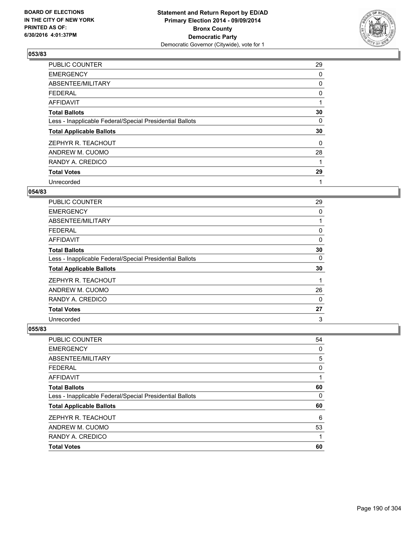

| PUBLIC COUNTER                                           | 29 |
|----------------------------------------------------------|----|
| <b>EMERGENCY</b>                                         | 0  |
| ABSENTEE/MILITARY                                        | 0  |
| <b>FEDERAL</b>                                           | 0  |
| AFFIDAVIT                                                | 1  |
| <b>Total Ballots</b>                                     | 30 |
| Less - Inapplicable Federal/Special Presidential Ballots | 0  |
| <b>Total Applicable Ballots</b>                          | 30 |
| ZEPHYR R. TEACHOUT                                       | 0  |
| ANDREW M. CUOMO                                          | 28 |
| RANDY A. CREDICO                                         | 1  |
| <b>Total Votes</b>                                       | 29 |
| Unrecorded                                               | 1  |

# **054/83**

| <b>PUBLIC COUNTER</b>                                    | 29       |
|----------------------------------------------------------|----------|
| <b>EMERGENCY</b>                                         | 0        |
| ABSENTEE/MILITARY                                        |          |
| <b>FEDERAL</b>                                           | 0        |
| AFFIDAVIT                                                | 0        |
| <b>Total Ballots</b>                                     | 30       |
| Less - Inapplicable Federal/Special Presidential Ballots | 0        |
| <b>Total Applicable Ballots</b>                          | 30       |
| ZEPHYR R. TEACHOUT                                       |          |
| ANDREW M. CUOMO                                          | 26       |
| RANDY A. CREDICO                                         | $\Omega$ |
| <b>Total Votes</b>                                       | 27       |
| Unrecorded                                               | 3        |

| <b>PUBLIC COUNTER</b>                                    | 54 |
|----------------------------------------------------------|----|
| <b>EMERGENCY</b>                                         | 0  |
| ABSENTEE/MILITARY                                        | 5  |
| <b>FEDERAL</b>                                           | 0  |
| AFFIDAVIT                                                | 1  |
| <b>Total Ballots</b>                                     | 60 |
| Less - Inapplicable Federal/Special Presidential Ballots | 0  |
| <b>Total Applicable Ballots</b>                          | 60 |
| ZEPHYR R. TEACHOUT                                       | 6  |
| ANDREW M. CUOMO                                          | 53 |
| RANDY A. CREDICO                                         | 1  |
| <b>Total Votes</b>                                       | 60 |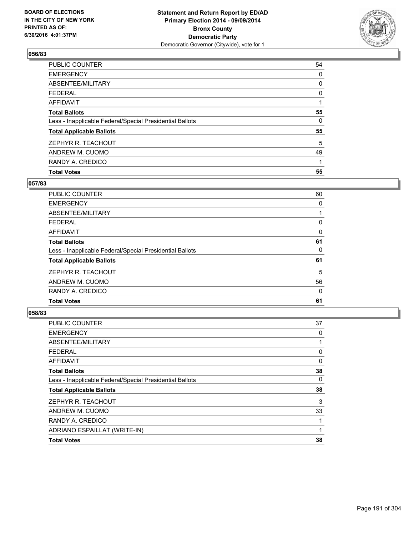

| <b>Total Votes</b>                                       | 55 |
|----------------------------------------------------------|----|
| RANDY A. CREDICO                                         |    |
| ANDREW M. CUOMO                                          | 49 |
| ZEPHYR R. TEACHOUT                                       | 5  |
| <b>Total Applicable Ballots</b>                          | 55 |
| Less - Inapplicable Federal/Special Presidential Ballots | 0  |
| <b>Total Ballots</b>                                     | 55 |
| AFFIDAVIT                                                |    |
| <b>FEDERAL</b>                                           | 0  |
| ABSENTEE/MILITARY                                        | 0  |
| <b>EMERGENCY</b>                                         | 0  |
| PUBLIC COUNTER                                           | 54 |

## **057/83**

| <b>PUBLIC COUNTER</b>                                    | 60 |
|----------------------------------------------------------|----|
| <b>EMERGENCY</b>                                         | 0  |
| ABSENTEE/MILITARY                                        |    |
| <b>FEDERAL</b>                                           | 0  |
| AFFIDAVIT                                                | 0  |
| <b>Total Ballots</b>                                     | 61 |
| Less - Inapplicable Federal/Special Presidential Ballots | 0  |
| <b>Total Applicable Ballots</b>                          | 61 |
| ZEPHYR R. TEACHOUT                                       | 5  |
| ANDREW M. CUOMO                                          | 56 |
| RANDY A. CREDICO                                         | 0  |
| <b>Total Votes</b>                                       | 61 |
|                                                          |    |

| PUBLIC COUNTER                                           | 37 |
|----------------------------------------------------------|----|
| <b>EMERGENCY</b>                                         | 0  |
| ABSENTEE/MILITARY                                        |    |
| <b>FEDERAL</b>                                           | 0  |
| <b>AFFIDAVIT</b>                                         | 0  |
| <b>Total Ballots</b>                                     | 38 |
| Less - Inapplicable Federal/Special Presidential Ballots | 0  |
| <b>Total Applicable Ballots</b>                          | 38 |
| ZEPHYR R. TEACHOUT                                       | 3  |
| ANDREW M. CUOMO                                          | 33 |
| RANDY A. CREDICO                                         |    |
| ADRIANO ESPAILLAT (WRITE-IN)                             |    |
| <b>Total Votes</b>                                       | 38 |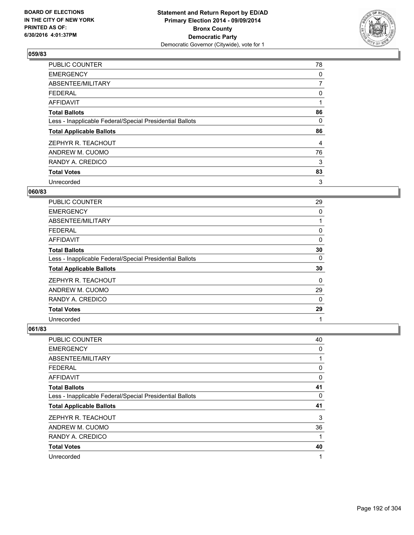

| PUBLIC COUNTER                                           | 78             |
|----------------------------------------------------------|----------------|
| <b>EMERGENCY</b>                                         | 0              |
| ABSENTEE/MILITARY                                        | $\overline{7}$ |
| <b>FEDERAL</b>                                           | 0              |
| AFFIDAVIT                                                | 1              |
| <b>Total Ballots</b>                                     | 86             |
| Less - Inapplicable Federal/Special Presidential Ballots | 0              |
| <b>Total Applicable Ballots</b>                          | 86             |
| ZEPHYR R. TEACHOUT                                       | 4              |
| ANDREW M. CUOMO                                          | 76             |
| RANDY A. CREDICO                                         | 3              |
| <b>Total Votes</b>                                       | 83             |
| Unrecorded                                               | 3              |

### **060/83**

| PUBLIC COUNTER                                           | 29       |
|----------------------------------------------------------|----------|
| <b>EMERGENCY</b>                                         | 0        |
| ABSENTEE/MILITARY                                        |          |
| <b>FEDERAL</b>                                           | 0        |
| AFFIDAVIT                                                | 0        |
| <b>Total Ballots</b>                                     | 30       |
| Less - Inapplicable Federal/Special Presidential Ballots | 0        |
| <b>Total Applicable Ballots</b>                          | 30       |
| ZEPHYR R. TEACHOUT                                       | 0        |
| ANDREW M. CUOMO                                          | 29       |
| RANDY A. CREDICO                                         | $\Omega$ |
| <b>Total Votes</b>                                       | 29       |
| Unrecorded                                               | 1        |

| <b>PUBLIC COUNTER</b>                                    | 40 |
|----------------------------------------------------------|----|
| <b>EMERGENCY</b>                                         | 0  |
| ABSENTEE/MILITARY                                        | 1  |
| <b>FEDERAL</b>                                           | 0  |
| <b>AFFIDAVIT</b>                                         | 0  |
| <b>Total Ballots</b>                                     | 41 |
| Less - Inapplicable Federal/Special Presidential Ballots | 0  |
| <b>Total Applicable Ballots</b>                          | 41 |
| ZEPHYR R. TEACHOUT                                       | 3  |
| ANDREW M. CUOMO                                          | 36 |
| RANDY A. CREDICO                                         | 1  |
| <b>Total Votes</b>                                       | 40 |
| Unrecorded                                               | 1  |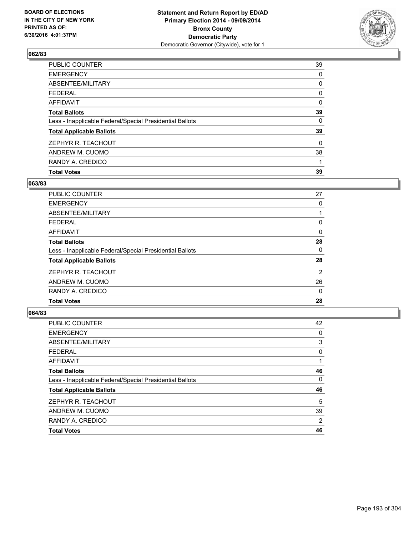

| <b>Total Votes</b>                                       | 39       |
|----------------------------------------------------------|----------|
| RANDY A. CREDICO                                         |          |
| ANDREW M. CUOMO                                          | 38       |
| ZEPHYR R. TEACHOUT                                       | $\Omega$ |
| <b>Total Applicable Ballots</b>                          | 39       |
| Less - Inapplicable Federal/Special Presidential Ballots | 0        |
| <b>Total Ballots</b>                                     | 39       |
| AFFIDAVIT                                                | 0        |
| <b>FEDERAL</b>                                           | 0        |
| ABSENTEE/MILITARY                                        | 0        |
| <b>EMERGENCY</b>                                         | 0        |
| PUBLIC COUNTER                                           | 39       |

## **063/83**

| PUBLIC COUNTER                                           | 27 |
|----------------------------------------------------------|----|
| <b>EMERGENCY</b>                                         | 0  |
| ABSENTEE/MILITARY                                        |    |
| <b>FEDERAL</b>                                           | 0  |
| AFFIDAVIT                                                | 0  |
| <b>Total Ballots</b>                                     | 28 |
| Less - Inapplicable Federal/Special Presidential Ballots | 0  |
| <b>Total Applicable Ballots</b>                          | 28 |
| ZEPHYR R. TEACHOUT                                       | 2  |
| ANDREW M. CUOMO                                          | 26 |
| RANDY A. CREDICO                                         | 0  |
| <b>Total Votes</b>                                       | 28 |
|                                                          |    |

| <b>PUBLIC COUNTER</b>                                    | 42 |
|----------------------------------------------------------|----|
| <b>EMERGENCY</b>                                         | 0  |
| ABSENTEE/MILITARY                                        | 3  |
| <b>FEDERAL</b>                                           | 0  |
| <b>AFFIDAVIT</b>                                         |    |
| <b>Total Ballots</b>                                     | 46 |
| Less - Inapplicable Federal/Special Presidential Ballots | 0  |
| <b>Total Applicable Ballots</b>                          | 46 |
| ZEPHYR R. TEACHOUT                                       | 5  |
| ANDREW M. CUOMO                                          | 39 |
| RANDY A. CREDICO                                         | 2  |
| <b>Total Votes</b>                                       | 46 |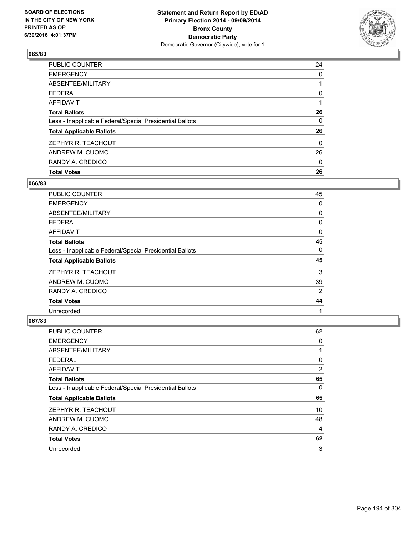

| <b>Total Votes</b>                                       | 26       |
|----------------------------------------------------------|----------|
| RANDY A. CREDICO                                         | 0        |
| ANDREW M. CUOMO                                          | 26       |
| ZEPHYR R. TEACHOUT                                       | $\Omega$ |
| <b>Total Applicable Ballots</b>                          | 26       |
| Less - Inapplicable Federal/Special Presidential Ballots | 0        |
| <b>Total Ballots</b>                                     | 26       |
| <b>AFFIDAVIT</b>                                         |          |
| <b>FEDERAL</b>                                           | 0        |
| ABSENTEE/MILITARY                                        |          |
| <b>EMERGENCY</b>                                         | 0        |
| <b>PUBLIC COUNTER</b>                                    | 24       |

### **066/83**

| <b>PUBLIC COUNTER</b>                                    | 45 |
|----------------------------------------------------------|----|
| <b>EMERGENCY</b>                                         | 0  |
| ABSENTEE/MILITARY                                        | 0  |
| <b>FEDERAL</b>                                           | 0  |
| AFFIDAVIT                                                | 0  |
| <b>Total Ballots</b>                                     | 45 |
| Less - Inapplicable Federal/Special Presidential Ballots | 0  |
| <b>Total Applicable Ballots</b>                          | 45 |
| ZEPHYR R. TEACHOUT                                       | 3  |
| ANDREW M. CUOMO                                          | 39 |
| RANDY A. CREDICO                                         | 2  |
| <b>Total Votes</b>                                       | 44 |
| Unrecorded                                               | 1  |

| <b>PUBLIC COUNTER</b>                                    | 62 |
|----------------------------------------------------------|----|
| <b>EMERGENCY</b>                                         | 0  |
| ABSENTEE/MILITARY                                        | 1  |
| <b>FEDERAL</b>                                           | 0  |
| <b>AFFIDAVIT</b>                                         | 2  |
| <b>Total Ballots</b>                                     | 65 |
| Less - Inapplicable Federal/Special Presidential Ballots | 0  |
| <b>Total Applicable Ballots</b>                          | 65 |
| ZEPHYR R. TEACHOUT                                       | 10 |
| ANDREW M. CUOMO                                          | 48 |
| RANDY A. CREDICO                                         | 4  |
| <b>Total Votes</b>                                       | 62 |
| Unrecorded                                               | 3  |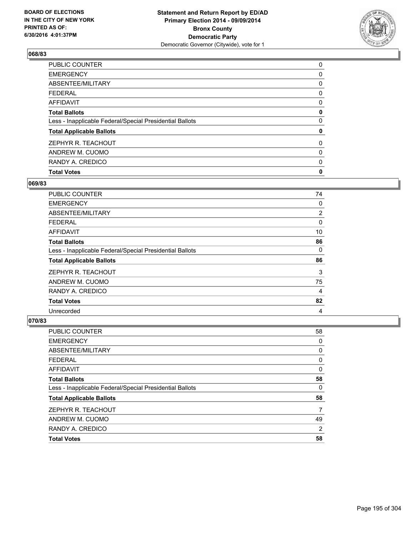

| <b>Total Votes</b>                                       | 0 |
|----------------------------------------------------------|---|
| RANDY A. CREDICO                                         | 0 |
| ANDREW M. CUOMO                                          | 0 |
| ZEPHYR R. TEACHOUT                                       | 0 |
| <b>Total Applicable Ballots</b>                          | 0 |
| Less - Inapplicable Federal/Special Presidential Ballots | 0 |
| <b>Total Ballots</b>                                     | 0 |
| AFFIDAVIT                                                | 0 |
| <b>FEDERAL</b>                                           | 0 |
| ABSENTEE/MILITARY                                        | 0 |
| <b>EMERGENCY</b>                                         | 0 |
| PUBLIC COUNTER                                           | 0 |

### **069/83**

| <b>PUBLIC COUNTER</b>                                    | 74 |
|----------------------------------------------------------|----|
| <b>EMERGENCY</b>                                         | 0  |
| ABSENTEE/MILITARY                                        | 2  |
| <b>FEDERAL</b>                                           | 0  |
| AFFIDAVIT                                                | 10 |
| <b>Total Ballots</b>                                     | 86 |
| Less - Inapplicable Federal/Special Presidential Ballots | 0  |
| <b>Total Applicable Ballots</b>                          | 86 |
| ZEPHYR R. TEACHOUT                                       | 3  |
| ANDREW M. CUOMO                                          | 75 |
| RANDY A. CREDICO                                         | 4  |
| <b>Total Votes</b>                                       | 82 |
| Unrecorded                                               | 4  |

| <b>PUBLIC COUNTER</b>                                    | 58 |
|----------------------------------------------------------|----|
| <b>EMERGENCY</b>                                         | 0  |
| ABSENTEE/MILITARY                                        | 0  |
| <b>FEDERAL</b>                                           | 0  |
| <b>AFFIDAVIT</b>                                         | 0  |
| <b>Total Ballots</b>                                     | 58 |
| Less - Inapplicable Federal/Special Presidential Ballots | 0  |
| <b>Total Applicable Ballots</b>                          | 58 |
| ZEPHYR R. TEACHOUT                                       | 7  |
| ANDREW M. CUOMO                                          | 49 |
| RANDY A. CREDICO                                         | 2  |
| <b>Total Votes</b>                                       | 58 |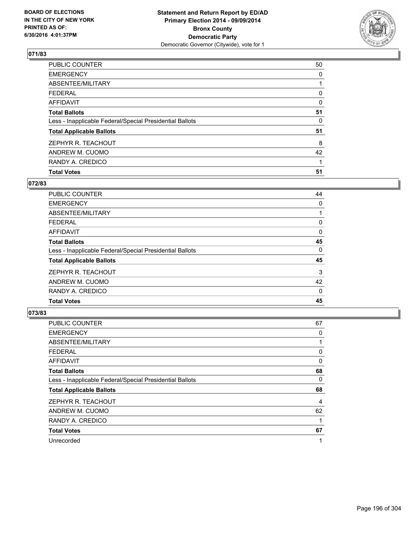

| <b>PUBLIC COUNTER</b>                                    | 50 |
|----------------------------------------------------------|----|
| <b>EMERGENCY</b>                                         | 0  |
| ABSENTEE/MILITARY                                        |    |
| <b>FEDERAL</b>                                           | 0  |
| <b>AFFIDAVIT</b>                                         | 0  |
| <b>Total Ballots</b>                                     | 51 |
| Less - Inapplicable Federal/Special Presidential Ballots | 0  |
| <b>Total Applicable Ballots</b>                          | 51 |
| ZEPHYR R. TEACHOUT                                       | 8  |
| ANDREW M. CUOMO                                          | 42 |
| RANDY A. CREDICO                                         |    |
| <b>Total Votes</b>                                       | 51 |

## **072/83**

| <b>PUBLIC COUNTER</b>                                    | 44       |
|----------------------------------------------------------|----------|
| <b>EMERGENCY</b>                                         | 0        |
| ABSENTEE/MILITARY                                        |          |
| <b>FEDERAL</b>                                           | 0        |
| AFFIDAVIT                                                | $\Omega$ |
| <b>Total Ballots</b>                                     | 45       |
| Less - Inapplicable Federal/Special Presidential Ballots | 0        |
| <b>Total Applicable Ballots</b>                          | 45       |
| ZEPHYR R. TEACHOUT                                       | 3        |
| ANDREW M. CUOMO                                          | 42       |
| RANDY A. CREDICO                                         | 0        |
| <b>Total Votes</b>                                       | 45       |
|                                                          |          |

| <b>PUBLIC COUNTER</b>                                    | 67 |
|----------------------------------------------------------|----|
| <b>EMERGENCY</b>                                         | 0  |
| ABSENTEE/MILITARY                                        |    |
| <b>FEDERAL</b>                                           | 0  |
| <b>AFFIDAVIT</b>                                         | 0  |
| <b>Total Ballots</b>                                     | 68 |
| Less - Inapplicable Federal/Special Presidential Ballots | 0  |
| <b>Total Applicable Ballots</b>                          | 68 |
| ZEPHYR R. TEACHOUT                                       | 4  |
| ANDREW M. CUOMO                                          | 62 |
| RANDY A. CREDICO                                         | 1  |
| <b>Total Votes</b>                                       | 67 |
| Unrecorded                                               | 1  |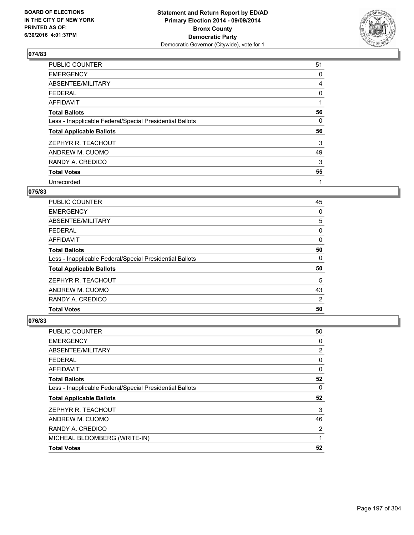

| PUBLIC COUNTER                                           | 51 |
|----------------------------------------------------------|----|
| <b>EMERGENCY</b>                                         | 0  |
| ABSENTEE/MILITARY                                        | 4  |
| <b>FEDERAL</b>                                           | 0  |
| AFFIDAVIT                                                | 1  |
| <b>Total Ballots</b>                                     | 56 |
| Less - Inapplicable Federal/Special Presidential Ballots | 0  |
| <b>Total Applicable Ballots</b>                          | 56 |
| ZEPHYR R. TEACHOUT                                       | 3  |
| ANDREW M. CUOMO                                          | 49 |
| RANDY A. CREDICO                                         | 3  |
| <b>Total Votes</b>                                       | 55 |
| Unrecorded                                               | 1  |

# **075/83**

| <b>PUBLIC COUNTER</b>                                    | 45 |
|----------------------------------------------------------|----|
| <b>EMERGENCY</b>                                         | 0  |
| ABSENTEE/MILITARY                                        | 5  |
| <b>FEDERAL</b>                                           | 0  |
| AFFIDAVIT                                                | 0  |
| <b>Total Ballots</b>                                     | 50 |
| Less - Inapplicable Federal/Special Presidential Ballots | 0  |
| <b>Total Applicable Ballots</b>                          | 50 |
| ZEPHYR R. TEACHOUT                                       | 5  |
| ANDREW M. CUOMO                                          | 43 |
| RANDY A. CREDICO                                         | 2  |
| <b>Total Votes</b>                                       | 50 |

| <b>Total Votes</b>                                       | 52 |
|----------------------------------------------------------|----|
| MICHEAL BLOOMBERG (WRITE-IN)                             | 1  |
| RANDY A. CREDICO                                         | 2  |
| ANDREW M. CUOMO                                          | 46 |
| ZEPHYR R. TEACHOUT                                       | 3  |
| <b>Total Applicable Ballots</b>                          | 52 |
| Less - Inapplicable Federal/Special Presidential Ballots | 0  |
| <b>Total Ballots</b>                                     | 52 |
| <b>AFFIDAVIT</b>                                         | 0  |
| <b>FEDERAL</b>                                           | 0  |
| ABSENTEE/MILITARY                                        | 2  |
| <b>EMERGENCY</b>                                         | 0  |
| <b>PUBLIC COUNTER</b>                                    | 50 |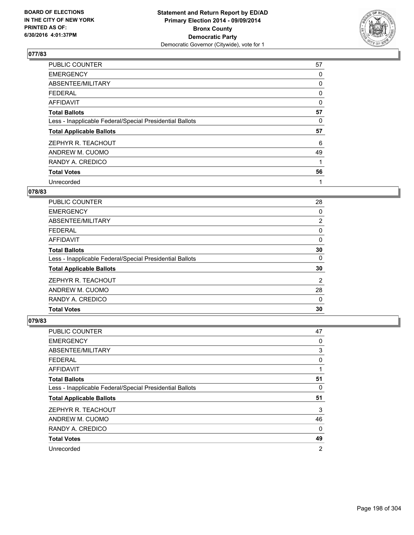

| <b>PUBLIC COUNTER</b>                                    | 57 |
|----------------------------------------------------------|----|
| <b>EMERGENCY</b>                                         | 0  |
| ABSENTEE/MILITARY                                        | 0  |
| <b>FEDERAL</b>                                           | 0  |
| AFFIDAVIT                                                | 0  |
| <b>Total Ballots</b>                                     | 57 |
| Less - Inapplicable Federal/Special Presidential Ballots | 0  |
| <b>Total Applicable Ballots</b>                          | 57 |
| ZEPHYR R. TEACHOUT                                       | 6  |
| ANDREW M. CUOMO                                          | 49 |
| RANDY A. CREDICO                                         | 1  |
| <b>Total Votes</b>                                       | 56 |
| Unrecorded                                               | 1  |

# **078/83**

| PUBLIC COUNTER                                           | 28             |
|----------------------------------------------------------|----------------|
| <b>EMERGENCY</b>                                         | 0              |
| ABSENTEE/MILITARY                                        | $\overline{2}$ |
| <b>FEDERAL</b>                                           | 0              |
| AFFIDAVIT                                                | 0              |
| <b>Total Ballots</b>                                     | 30             |
| Less - Inapplicable Federal/Special Presidential Ballots | 0              |
| <b>Total Applicable Ballots</b>                          | 30             |
| ZEPHYR R. TEACHOUT                                       | 2              |
| ANDREW M. CUOMO                                          | 28             |
| RANDY A. CREDICO                                         | 0              |
| <b>Total Votes</b>                                       | 30             |
|                                                          |                |

| <b>PUBLIC COUNTER</b>                                    | 47 |
|----------------------------------------------------------|----|
| <b>EMERGENCY</b>                                         | 0  |
| ABSENTEE/MILITARY                                        | 3  |
| <b>FEDERAL</b>                                           | 0  |
| AFFIDAVIT                                                |    |
| <b>Total Ballots</b>                                     | 51 |
| Less - Inapplicable Federal/Special Presidential Ballots | 0  |
| <b>Total Applicable Ballots</b>                          | 51 |
| ZEPHYR R. TEACHOUT                                       | 3  |
| ANDREW M. CUOMO                                          | 46 |
| RANDY A. CREDICO                                         | 0  |
| <b>Total Votes</b>                                       | 49 |
| Unrecorded                                               | 2  |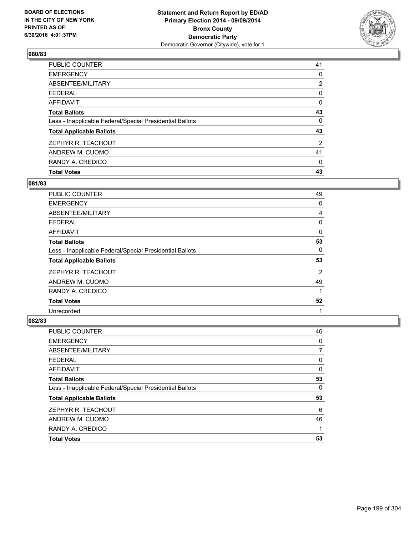

| <b>Total Votes</b>                                       | 43             |
|----------------------------------------------------------|----------------|
| RANDY A. CREDICO                                         | 0              |
| ANDREW M. CUOMO                                          | 41             |
| ZEPHYR R. TEACHOUT                                       | $\overline{2}$ |
| <b>Total Applicable Ballots</b>                          | 43             |
| Less - Inapplicable Federal/Special Presidential Ballots | 0              |
| <b>Total Ballots</b>                                     | 43             |
| <b>AFFIDAVIT</b>                                         | 0              |
| <b>FEDERAL</b>                                           | 0              |
| ABSENTEE/MILITARY                                        | $\overline{2}$ |
| <b>EMERGENCY</b>                                         | 0              |
| <b>PUBLIC COUNTER</b>                                    | 41             |

### **081/83**

| PUBLIC COUNTER                                           | 49 |
|----------------------------------------------------------|----|
| <b>EMERGENCY</b>                                         | 0  |
| ABSENTEE/MILITARY                                        | 4  |
| <b>FEDERAL</b>                                           | 0  |
| AFFIDAVIT                                                | 0  |
| <b>Total Ballots</b>                                     | 53 |
| Less - Inapplicable Federal/Special Presidential Ballots | 0  |
| <b>Total Applicable Ballots</b>                          | 53 |
| ZEPHYR R. TEACHOUT                                       | 2  |
| ANDREW M. CUOMO                                          | 49 |
| RANDY A. CREDICO                                         | 1  |
| <b>Total Votes</b>                                       | 52 |
| Unrecorded                                               | 1  |

| <b>PUBLIC COUNTER</b>                                    | 46 |
|----------------------------------------------------------|----|
| <b>EMERGENCY</b>                                         | 0  |
| ABSENTEE/MILITARY                                        | 7  |
| <b>FEDERAL</b>                                           | 0  |
| <b>AFFIDAVIT</b>                                         | 0  |
| <b>Total Ballots</b>                                     | 53 |
| Less - Inapplicable Federal/Special Presidential Ballots | 0  |
| <b>Total Applicable Ballots</b>                          | 53 |
| ZEPHYR R. TEACHOUT                                       | 6  |
| ANDREW M. CUOMO                                          | 46 |
| RANDY A. CREDICO                                         |    |
| <b>Total Votes</b>                                       | 53 |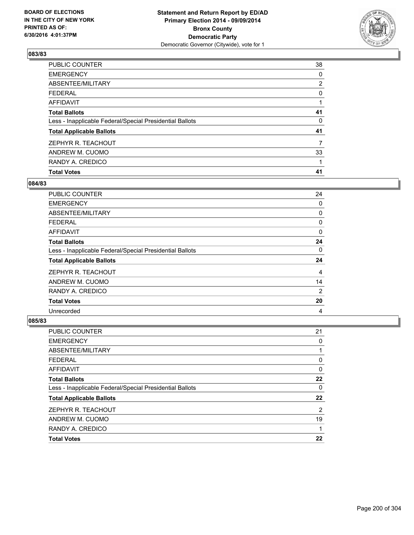

| <b>Total Votes</b>                                       | 41             |
|----------------------------------------------------------|----------------|
| RANDY A. CREDICO                                         |                |
| ANDREW M. CUOMO                                          | 33             |
| ZEPHYR R. TEACHOUT                                       | 7              |
| <b>Total Applicable Ballots</b>                          | 41             |
| Less - Inapplicable Federal/Special Presidential Ballots | 0              |
| <b>Total Ballots</b>                                     | 41             |
| AFFIDAVIT                                                |                |
| <b>FEDERAL</b>                                           | 0              |
| ABSENTEE/MILITARY                                        | $\overline{2}$ |
| <b>EMERGENCY</b>                                         | 0              |
| PUBLIC COUNTER                                           | 38             |

### **084/83**

| <b>PUBLIC COUNTER</b>                                    | 24 |
|----------------------------------------------------------|----|
| <b>EMERGENCY</b>                                         | 0  |
| ABSENTEE/MILITARY                                        | 0  |
| <b>FEDERAL</b>                                           | 0  |
| AFFIDAVIT                                                | 0  |
| <b>Total Ballots</b>                                     | 24 |
| Less - Inapplicable Federal/Special Presidential Ballots | 0  |
| <b>Total Applicable Ballots</b>                          | 24 |
| ZEPHYR R. TEACHOUT                                       | 4  |
| ANDREW M. CUOMO                                          | 14 |
| RANDY A. CREDICO                                         | 2  |
| <b>Total Votes</b>                                       | 20 |
| Unrecorded                                               | 4  |

| <b>PUBLIC COUNTER</b>                                    | 21 |
|----------------------------------------------------------|----|
| <b>EMERGENCY</b>                                         | 0  |
| ABSENTEE/MILITARY                                        |    |
| <b>FEDERAL</b>                                           | 0  |
| <b>AFFIDAVIT</b>                                         | 0  |
| <b>Total Ballots</b>                                     | 22 |
| Less - Inapplicable Federal/Special Presidential Ballots | 0  |
| <b>Total Applicable Ballots</b>                          | 22 |
| ZEPHYR R. TEACHOUT                                       | 2  |
| ANDREW M. CUOMO                                          | 19 |
| RANDY A. CREDICO                                         |    |
| <b>Total Votes</b>                                       | 22 |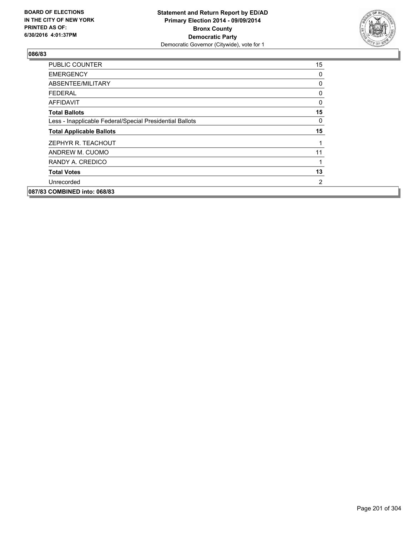

| PUBLIC COUNTER                                           | 15 |
|----------------------------------------------------------|----|
| <b>EMERGENCY</b>                                         | 0  |
| ABSENTEE/MILITARY                                        | 0  |
| <b>FEDERAL</b>                                           | 0  |
| <b>AFFIDAVIT</b>                                         | 0  |
| <b>Total Ballots</b>                                     | 15 |
| Less - Inapplicable Federal/Special Presidential Ballots | 0  |
| <b>Total Applicable Ballots</b>                          | 15 |
| ZEPHYR R. TEACHOUT                                       |    |
| ANDREW M. CUOMO                                          | 11 |
| RANDY A. CREDICO                                         | 1  |
| <b>Total Votes</b>                                       | 13 |
| Unrecorded                                               | 2  |
| 087/83 COMBINED into: 068/83                             |    |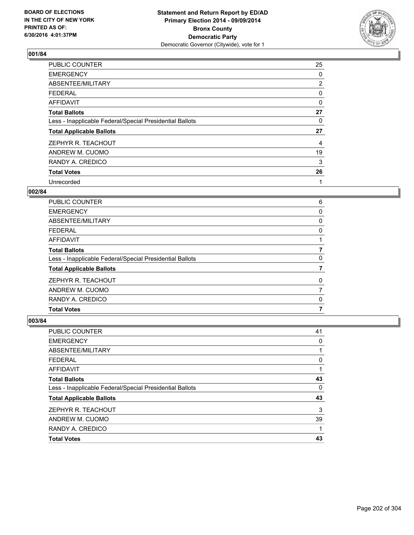

| <b>PUBLIC COUNTER</b>                                    | 25             |
|----------------------------------------------------------|----------------|
| <b>EMERGENCY</b>                                         | 0              |
| ABSENTEE/MILITARY                                        | $\overline{2}$ |
| <b>FEDERAL</b>                                           | 0              |
| AFFIDAVIT                                                | $\Omega$       |
| <b>Total Ballots</b>                                     | 27             |
| Less - Inapplicable Federal/Special Presidential Ballots | 0              |
| <b>Total Applicable Ballots</b>                          | 27             |
| ZEPHYR R. TEACHOUT                                       | 4              |
| ANDREW M. CUOMO                                          | 19             |
| RANDY A. CREDICO                                         | 3              |
| <b>Total Votes</b>                                       | 26             |
| Unrecorded                                               | 1              |

#### **002/84**

| 6 |
|---|
| 0 |
| 0 |
| 0 |
|   |
|   |
| 0 |
|   |
| 0 |
|   |
| 0 |
| 7 |
|   |

| <b>PUBLIC COUNTER</b>                                    | 41 |
|----------------------------------------------------------|----|
| <b>EMERGENCY</b>                                         | 0  |
| ABSENTEE/MILITARY                                        |    |
| <b>FEDERAL</b>                                           | 0  |
| <b>AFFIDAVIT</b>                                         |    |
| <b>Total Ballots</b>                                     | 43 |
| Less - Inapplicable Federal/Special Presidential Ballots | 0  |
| <b>Total Applicable Ballots</b>                          | 43 |
| ZEPHYR R. TEACHOUT                                       | 3  |
| ANDREW M. CUOMO                                          | 39 |
| RANDY A. CREDICO                                         |    |
| <b>Total Votes</b>                                       | 43 |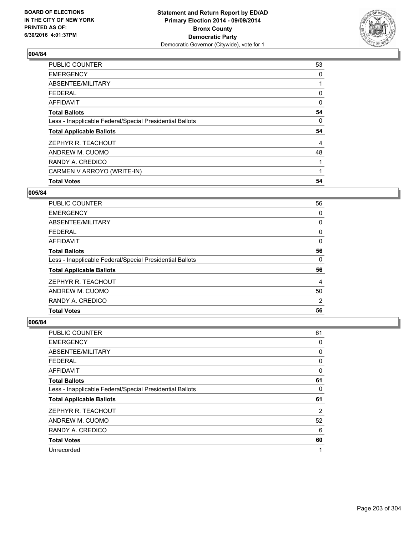

| <b>Total Votes</b>                                       | 54 |
|----------------------------------------------------------|----|
|                                                          |    |
| CARMEN V ARROYO (WRITE-IN)                               |    |
| RANDY A. CREDICO                                         |    |
| ANDREW M. CUOMO                                          | 48 |
| ZEPHYR R. TEACHOUT                                       | 4  |
| <b>Total Applicable Ballots</b>                          | 54 |
| Less - Inapplicable Federal/Special Presidential Ballots | 0  |
| <b>Total Ballots</b>                                     | 54 |
| <b>AFFIDAVIT</b>                                         | 0  |
| <b>FEDERAL</b>                                           | 0  |
| ABSENTEE/MILITARY                                        |    |
| <b>EMERGENCY</b>                                         | 0  |
| <b>PUBLIC COUNTER</b>                                    | 53 |

#### **005/84**

| <b>PUBLIC COUNTER</b>                                    | 56 |
|----------------------------------------------------------|----|
| <b>EMERGENCY</b>                                         | 0  |
| ABSENTEE/MILITARY                                        | 0  |
| <b>FEDERAL</b>                                           | 0  |
| AFFIDAVIT                                                | 0  |
| <b>Total Ballots</b>                                     | 56 |
| Less - Inapplicable Federal/Special Presidential Ballots | 0  |
| <b>Total Applicable Ballots</b>                          | 56 |
| ZEPHYR R. TEACHOUT                                       | 4  |
| ANDREW M. CUOMO                                          | 50 |
| RANDY A. CREDICO                                         | 2  |
| <b>Total Votes</b>                                       | 56 |

| PUBLIC COUNTER                                           | 61 |
|----------------------------------------------------------|----|
| <b>EMERGENCY</b>                                         | 0  |
| ABSENTEE/MILITARY                                        | 0  |
| <b>FEDERAL</b>                                           | 0  |
| <b>AFFIDAVIT</b>                                         | 0  |
| <b>Total Ballots</b>                                     | 61 |
| Less - Inapplicable Federal/Special Presidential Ballots | 0  |
| <b>Total Applicable Ballots</b>                          | 61 |
| ZEPHYR R. TEACHOUT                                       | 2  |
| ANDREW M. CUOMO                                          | 52 |
| RANDY A. CREDICO                                         | 6  |
| <b>Total Votes</b>                                       | 60 |
| Unrecorded                                               | 1  |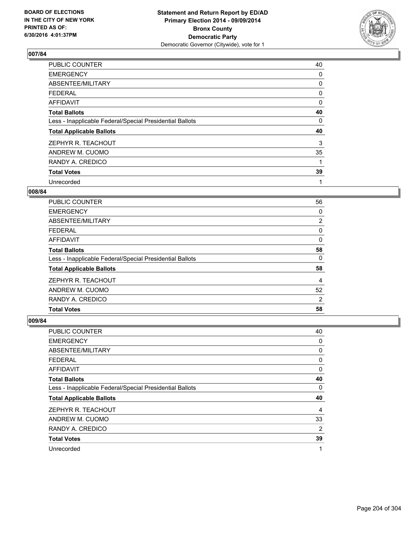

| PUBLIC COUNTER                                           | 40 |
|----------------------------------------------------------|----|
| <b>EMERGENCY</b>                                         | 0  |
| ABSENTEE/MILITARY                                        | 0  |
| <b>FEDERAL</b>                                           | 0  |
| AFFIDAVIT                                                | 0  |
| <b>Total Ballots</b>                                     | 40 |
| Less - Inapplicable Federal/Special Presidential Ballots | 0  |
| <b>Total Applicable Ballots</b>                          | 40 |
| ZEPHYR R. TEACHOUT                                       | 3  |
| ANDREW M. CUOMO                                          | 35 |
| RANDY A. CREDICO                                         | 1  |
| <b>Total Votes</b>                                       | 39 |
| Unrecorded                                               | 1  |

### **008/84**

| <b>PUBLIC COUNTER</b>                                    | 56 |
|----------------------------------------------------------|----|
| <b>EMERGENCY</b>                                         | 0  |
| ABSENTEE/MILITARY                                        | 2  |
| <b>FEDERAL</b>                                           | 0  |
| AFFIDAVIT                                                | 0  |
| <b>Total Ballots</b>                                     | 58 |
| Less - Inapplicable Federal/Special Presidential Ballots | 0  |
| <b>Total Applicable Ballots</b>                          | 58 |
| ZEPHYR R. TEACHOUT                                       | 4  |
| ANDREW M. CUOMO                                          | 52 |
| RANDY A. CREDICO                                         | 2  |
| <b>Total Votes</b>                                       | 58 |
|                                                          |    |

| <b>PUBLIC COUNTER</b>                                    | 40             |
|----------------------------------------------------------|----------------|
| <b>EMERGENCY</b>                                         | 0              |
| ABSENTEE/MILITARY                                        | 0              |
| <b>FEDERAL</b>                                           | 0              |
| AFFIDAVIT                                                | 0              |
| <b>Total Ballots</b>                                     | 40             |
| Less - Inapplicable Federal/Special Presidential Ballots | 0              |
| <b>Total Applicable Ballots</b>                          | 40             |
| ZEPHYR R. TEACHOUT                                       | 4              |
| ANDREW M. CUOMO                                          | 33             |
| RANDY A. CREDICO                                         | $\overline{2}$ |
| <b>Total Votes</b>                                       | 39             |
| Unrecorded                                               | 1              |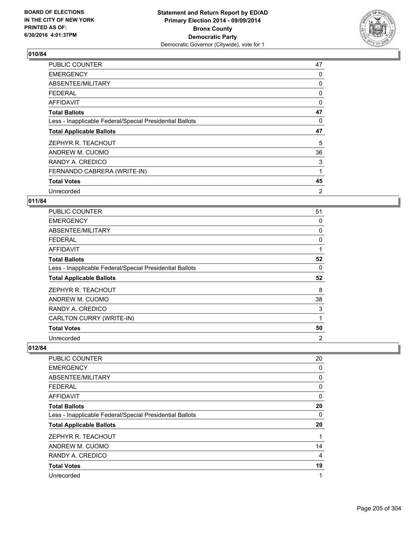

| <b>PUBLIC COUNTER</b>                                    | 47 |
|----------------------------------------------------------|----|
| <b>EMERGENCY</b>                                         | 0  |
| ABSENTEE/MILITARY                                        | 0  |
| <b>FEDERAL</b>                                           | 0  |
| AFFIDAVIT                                                | 0  |
| <b>Total Ballots</b>                                     | 47 |
| Less - Inapplicable Federal/Special Presidential Ballots | 0  |
| <b>Total Applicable Ballots</b>                          | 47 |
| ZEPHYR R. TEACHOUT                                       | 5  |
| ANDREW M. CUOMO                                          | 36 |
| RANDY A. CREDICO                                         | 3  |
| FERNANDO CABRERA (WRITE-IN)                              | 1  |
| <b>Total Votes</b>                                       | 45 |
| Unrecorded                                               | 2  |

### **011/84**

| <b>PUBLIC COUNTER</b>                                    | 51 |
|----------------------------------------------------------|----|
| <b>EMERGENCY</b>                                         | 0  |
| ABSENTEE/MILITARY                                        | 0  |
| <b>FEDERAL</b>                                           | 0  |
| AFFIDAVIT                                                | 1  |
| <b>Total Ballots</b>                                     | 52 |
| Less - Inapplicable Federal/Special Presidential Ballots | 0  |
| <b>Total Applicable Ballots</b>                          | 52 |
| ZEPHYR R. TEACHOUT                                       | 8  |
| ANDREW M. CUOMO                                          | 38 |
| RANDY A. CREDICO                                         | 3  |
| CARLTON CURRY (WRITE-IN)                                 | 1  |
| <b>Total Votes</b>                                       | 50 |
| Unrecorded                                               | 2  |

| <b>PUBLIC COUNTER</b>                                    | 20 |
|----------------------------------------------------------|----|
| <b>EMERGENCY</b>                                         | 0  |
| ABSENTEE/MILITARY                                        | 0  |
| <b>FEDERAL</b>                                           | 0  |
| AFFIDAVIT                                                | 0  |
| <b>Total Ballots</b>                                     | 20 |
| Less - Inapplicable Federal/Special Presidential Ballots | 0  |
| <b>Total Applicable Ballots</b>                          | 20 |
| ZEPHYR R. TEACHOUT                                       | 1  |
| ANDREW M. CUOMO                                          | 14 |
| RANDY A. CREDICO                                         | 4  |
| <b>Total Votes</b>                                       | 19 |
| Unrecorded                                               | 1  |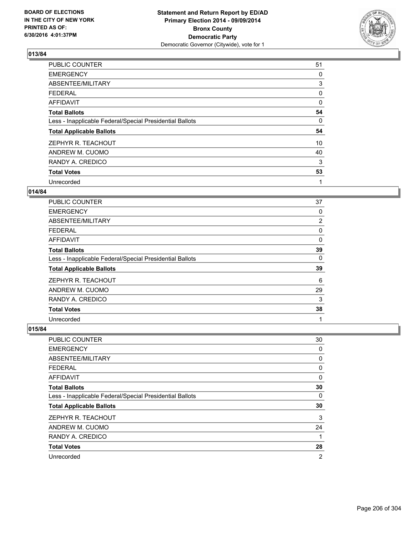

| <b>PUBLIC COUNTER</b>                                    | 51 |
|----------------------------------------------------------|----|
| <b>EMERGENCY</b>                                         | 0  |
| ABSENTEE/MILITARY                                        | 3  |
| <b>FEDERAL</b>                                           | 0  |
| <b>AFFIDAVIT</b>                                         | 0  |
| <b>Total Ballots</b>                                     | 54 |
| Less - Inapplicable Federal/Special Presidential Ballots | 0  |
| <b>Total Applicable Ballots</b>                          | 54 |
| ZEPHYR R. TEACHOUT                                       | 10 |
| ANDREW M. CUOMO                                          | 40 |
| RANDY A. CREDICO                                         | 3  |
| <b>Total Votes</b>                                       | 53 |
| Unrecorded                                               | 1  |

### **014/84**

| <b>PUBLIC COUNTER</b>                                    | 37 |
|----------------------------------------------------------|----|
| <b>EMERGENCY</b>                                         | 0  |
| ABSENTEE/MILITARY                                        | 2  |
| <b>FEDERAL</b>                                           | 0  |
| AFFIDAVIT                                                | 0  |
| <b>Total Ballots</b>                                     | 39 |
| Less - Inapplicable Federal/Special Presidential Ballots | 0  |
| <b>Total Applicable Ballots</b>                          | 39 |
| ZEPHYR R. TEACHOUT                                       | 6  |
| ANDREW M. CUOMO                                          | 29 |
| RANDY A. CREDICO                                         | 3  |
| <b>Total Votes</b>                                       | 38 |
| Unrecorded                                               | 1  |

| <b>PUBLIC COUNTER</b>                                    | 30 |
|----------------------------------------------------------|----|
| <b>EMERGENCY</b>                                         | 0  |
| ABSENTEE/MILITARY                                        | 0  |
| <b>FEDERAL</b>                                           | 0  |
| <b>AFFIDAVIT</b>                                         | 0  |
| <b>Total Ballots</b>                                     | 30 |
| Less - Inapplicable Federal/Special Presidential Ballots | 0  |
| <b>Total Applicable Ballots</b>                          | 30 |
| ZEPHYR R. TEACHOUT                                       | 3  |
| ANDREW M. CUOMO                                          | 24 |
| RANDY A. CREDICO                                         | 1  |
| <b>Total Votes</b>                                       | 28 |
| Unrecorded                                               | 2  |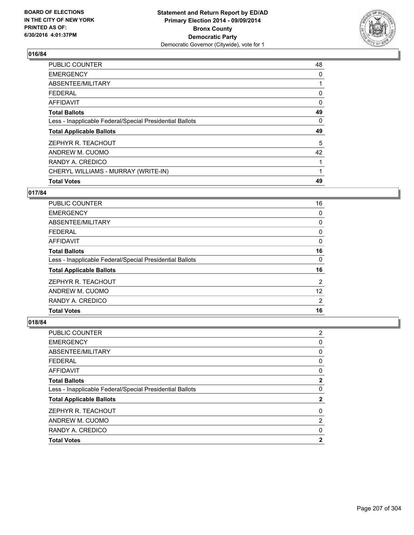

| <b>PUBLIC COUNTER</b>                                    | 48       |
|----------------------------------------------------------|----------|
| <b>EMERGENCY</b>                                         | 0        |
| ABSENTEE/MILITARY                                        |          |
| <b>FEDERAL</b>                                           | 0        |
| AFFIDAVIT                                                | $\Omega$ |
| <b>Total Ballots</b>                                     | 49       |
| Less - Inapplicable Federal/Special Presidential Ballots | 0        |
| <b>Total Applicable Ballots</b>                          | 49       |
| ZEPHYR R. TEACHOUT                                       | 5        |
| ANDREW M. CUOMO                                          | 42       |
| RANDY A. CREDICO                                         |          |
| CHERYL WILLIAMS - MURRAY (WRITE-IN)                      |          |
| <b>Total Votes</b>                                       | 49       |
|                                                          |          |

## **017/84**

| <b>PUBLIC COUNTER</b>                                    | 16             |
|----------------------------------------------------------|----------------|
| <b>EMERGENCY</b>                                         | 0              |
| ABSENTEE/MILITARY                                        | 0              |
| <b>FEDERAL</b>                                           | 0              |
| AFFIDAVIT                                                | 0              |
| <b>Total Ballots</b>                                     | 16             |
| Less - Inapplicable Federal/Special Presidential Ballots | 0              |
| <b>Total Applicable Ballots</b>                          | 16             |
| ZEPHYR R. TEACHOUT                                       | $\overline{2}$ |
| ANDREW M. CUOMO                                          | 12             |
| RANDY A. CREDICO                                         | 2              |
| <b>Total Votes</b>                                       | 16             |

| PUBLIC COUNTER                                           | $\overline{2}$ |
|----------------------------------------------------------|----------------|
| <b>EMERGENCY</b>                                         | 0              |
| ABSENTEE/MILITARY                                        | 0              |
| <b>FEDERAL</b>                                           | 0              |
| AFFIDAVIT                                                | 0              |
| <b>Total Ballots</b>                                     | $\mathbf{2}$   |
| Less - Inapplicable Federal/Special Presidential Ballots | 0              |
| <b>Total Applicable Ballots</b>                          | $\mathbf{2}$   |
| ZEPHYR R. TEACHOUT                                       | 0              |
| ANDREW M. CUOMO                                          | $\overline{2}$ |
| RANDY A. CREDICO                                         | 0              |
| <b>Total Votes</b>                                       | $\mathbf{2}$   |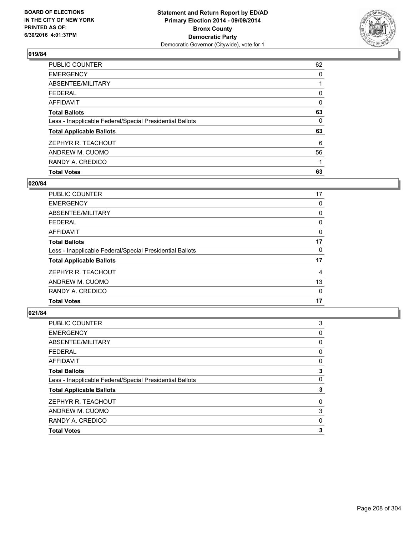

| <b>Total Votes</b>                                       | 63 |
|----------------------------------------------------------|----|
| RANDY A. CREDICO                                         |    |
| ANDREW M. CUOMO                                          | 56 |
| ZEPHYR R. TEACHOUT                                       | 6  |
| <b>Total Applicable Ballots</b>                          | 63 |
| Less - Inapplicable Federal/Special Presidential Ballots | 0  |
| <b>Total Ballots</b>                                     | 63 |
| AFFIDAVIT                                                | 0  |
| <b>FEDERAL</b>                                           | 0  |
| ABSENTEE/MILITARY                                        |    |
| <b>EMERGENCY</b>                                         | 0  |
| PUBLIC COUNTER                                           | 62 |

### **020/84**

| <b>PUBLIC COUNTER</b>                                    | 17 |
|----------------------------------------------------------|----|
| <b>EMERGENCY</b>                                         | 0  |
| ABSENTEE/MILITARY                                        | 0  |
| <b>FEDERAL</b>                                           | 0  |
| AFFIDAVIT                                                | 0  |
| <b>Total Ballots</b>                                     | 17 |
| Less - Inapplicable Federal/Special Presidential Ballots | 0  |
| <b>Total Applicable Ballots</b>                          | 17 |
| ZEPHYR R. TEACHOUT                                       | 4  |
| ANDREW M. CUOMO                                          | 13 |
| RANDY A. CREDICO                                         | 0  |
| <b>Total Votes</b>                                       | 17 |
|                                                          |    |

| PUBLIC COUNTER                                           | 3 |
|----------------------------------------------------------|---|
| <b>EMERGENCY</b>                                         | 0 |
| ABSENTEE/MILITARY                                        | 0 |
| <b>FEDERAL</b>                                           | 0 |
| <b>AFFIDAVIT</b>                                         | 0 |
| <b>Total Ballots</b>                                     | 3 |
| Less - Inapplicable Federal/Special Presidential Ballots | 0 |
| <b>Total Applicable Ballots</b>                          | 3 |
| ZEPHYR R. TEACHOUT                                       | 0 |
| ANDREW M. CUOMO                                          | 3 |
| RANDY A. CREDICO                                         | 0 |
| <b>Total Votes</b>                                       | 3 |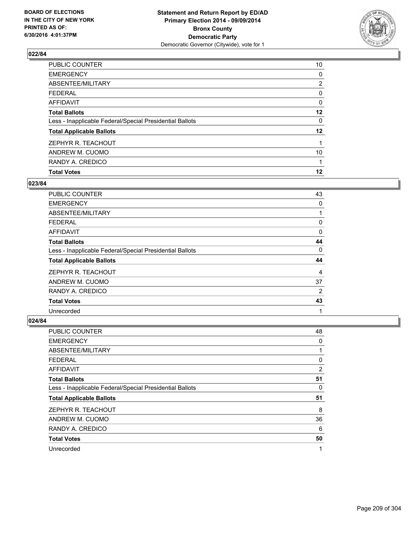

| <b>Total Votes</b>                                       | 12             |
|----------------------------------------------------------|----------------|
| RANDY A. CREDICO                                         |                |
| ANDREW M. CUOMO                                          | 10             |
| ZEPHYR R. TEACHOUT                                       |                |
| <b>Total Applicable Ballots</b>                          | $12 \,$        |
| Less - Inapplicable Federal/Special Presidential Ballots | 0              |
| <b>Total Ballots</b>                                     | 12             |
| <b>AFFIDAVIT</b>                                         | 0              |
| <b>FEDERAL</b>                                           | 0              |
| ABSENTEE/MILITARY                                        | $\overline{2}$ |
| <b>EMERGENCY</b>                                         | 0              |
| <b>PUBLIC COUNTER</b>                                    | 10             |

### **023/84**

| <b>PUBLIC COUNTER</b>                                    | 43             |
|----------------------------------------------------------|----------------|
| <b>EMERGENCY</b>                                         | 0              |
| ABSENTEE/MILITARY                                        |                |
| <b>FEDERAL</b>                                           | 0              |
| AFFIDAVIT                                                | 0              |
| <b>Total Ballots</b>                                     | 44             |
| Less - Inapplicable Federal/Special Presidential Ballots | $\Omega$       |
| <b>Total Applicable Ballots</b>                          | 44             |
| ZEPHYR R. TEACHOUT                                       | 4              |
| ANDREW M. CUOMO                                          | 37             |
| RANDY A. CREDICO                                         | $\overline{2}$ |
| <b>Total Votes</b>                                       | 43             |
| Unrecorded                                               | 1              |

| PUBLIC COUNTER                                           | 48 |
|----------------------------------------------------------|----|
| <b>EMERGENCY</b>                                         | 0  |
| ABSENTEE/MILITARY                                        |    |
| <b>FEDERAL</b>                                           | 0  |
| AFFIDAVIT                                                | 2  |
| <b>Total Ballots</b>                                     | 51 |
| Less - Inapplicable Federal/Special Presidential Ballots | 0  |
| <b>Total Applicable Ballots</b>                          | 51 |
| ZEPHYR R. TEACHOUT                                       | 8  |
| ANDREW M. CUOMO                                          | 36 |
| RANDY A. CREDICO                                         | 6  |
| <b>Total Votes</b>                                       | 50 |
| Unrecorded                                               | 1  |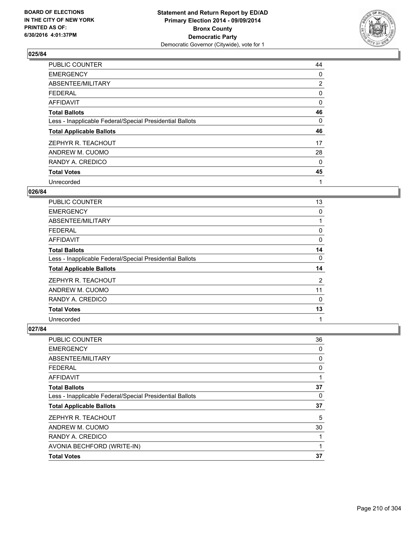

| <b>PUBLIC COUNTER</b>                                    | 44             |
|----------------------------------------------------------|----------------|
| <b>EMERGENCY</b>                                         | 0              |
| ABSENTEE/MILITARY                                        | $\overline{2}$ |
| <b>FEDERAL</b>                                           | 0              |
| AFFIDAVIT                                                | 0              |
| <b>Total Ballots</b>                                     | 46             |
| Less - Inapplicable Federal/Special Presidential Ballots | 0              |
| <b>Total Applicable Ballots</b>                          | 46             |
| ZEPHYR R. TEACHOUT                                       | 17             |
| ANDREW M. CUOMO                                          | 28             |
| RANDY A. CREDICO                                         | 0              |
| <b>Total Votes</b>                                       | 45             |
| Unrecorded                                               | 1              |

# **026/84**

| <b>PUBLIC COUNTER</b>                                    | 13             |
|----------------------------------------------------------|----------------|
| <b>EMERGENCY</b>                                         | 0              |
| ABSENTEE/MILITARY                                        |                |
| <b>FEDERAL</b>                                           | 0              |
| AFFIDAVIT                                                | 0              |
| <b>Total Ballots</b>                                     | 14             |
| Less - Inapplicable Federal/Special Presidential Ballots | 0              |
| <b>Total Applicable Ballots</b>                          | 14             |
| ZEPHYR R. TEACHOUT                                       | $\overline{2}$ |
| ANDREW M. CUOMO                                          | 11             |
| RANDY A. CREDICO                                         | 0              |
| <b>Total Votes</b>                                       | 13             |
| Unrecorded                                               | 1              |

| PUBLIC COUNTER                                           | 36 |
|----------------------------------------------------------|----|
| <b>EMERGENCY</b>                                         | 0  |
| ABSENTEE/MILITARY                                        | 0  |
| <b>FEDERAL</b>                                           | 0  |
| AFFIDAVIT                                                | 1  |
| <b>Total Ballots</b>                                     | 37 |
| Less - Inapplicable Federal/Special Presidential Ballots | 0  |
| <b>Total Applicable Ballots</b>                          | 37 |
| ZEPHYR R. TEACHOUT                                       | 5  |
| ANDREW M. CUOMO                                          | 30 |
| RANDY A. CREDICO                                         | 1  |
| AVONIA BECHFORD (WRITE-IN)                               | 1  |
| <b>Total Votes</b>                                       | 37 |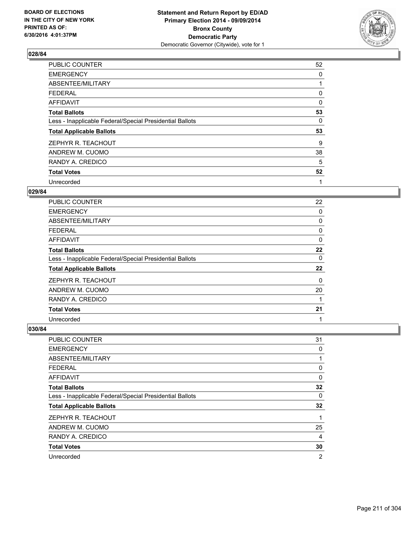

| PUBLIC COUNTER                                           | 52 |
|----------------------------------------------------------|----|
| <b>EMERGENCY</b>                                         | 0  |
| ABSENTEE/MILITARY                                        |    |
| <b>FEDERAL</b>                                           | 0  |
| AFFIDAVIT                                                | 0  |
| <b>Total Ballots</b>                                     | 53 |
| Less - Inapplicable Federal/Special Presidential Ballots | 0  |
| <b>Total Applicable Ballots</b>                          | 53 |
| ZEPHYR R. TEACHOUT                                       | 9  |
| ANDREW M. CUOMO                                          | 38 |
| RANDY A. CREDICO                                         | 5  |
| <b>Total Votes</b>                                       | 52 |
| Unrecorded                                               | 1  |

# **029/84**

| <b>PUBLIC COUNTER</b>                                    | 22 |
|----------------------------------------------------------|----|
| <b>EMERGENCY</b>                                         | 0  |
| ABSENTEE/MILITARY                                        | 0  |
| <b>FEDERAL</b>                                           | 0  |
| AFFIDAVIT                                                | 0  |
| <b>Total Ballots</b>                                     | 22 |
| Less - Inapplicable Federal/Special Presidential Ballots | 0  |
| <b>Total Applicable Ballots</b>                          | 22 |
| ZEPHYR R. TEACHOUT                                       | 0  |
| ANDREW M. CUOMO                                          | 20 |
| RANDY A. CREDICO                                         |    |
| <b>Total Votes</b>                                       | 21 |
| Unrecorded                                               | 1  |

| <b>PUBLIC COUNTER</b>                                    | 31 |
|----------------------------------------------------------|----|
| <b>EMERGENCY</b>                                         | 0  |
| ABSENTEE/MILITARY                                        |    |
| <b>FEDERAL</b>                                           | 0  |
| <b>AFFIDAVIT</b>                                         | 0  |
| <b>Total Ballots</b>                                     | 32 |
| Less - Inapplicable Federal/Special Presidential Ballots | 0  |
| <b>Total Applicable Ballots</b>                          | 32 |
| ZEPHYR R. TEACHOUT                                       | 1  |
| ANDREW M. CUOMO                                          | 25 |
| RANDY A. CREDICO                                         | 4  |
| <b>Total Votes</b>                                       | 30 |
| Unrecorded                                               | 2  |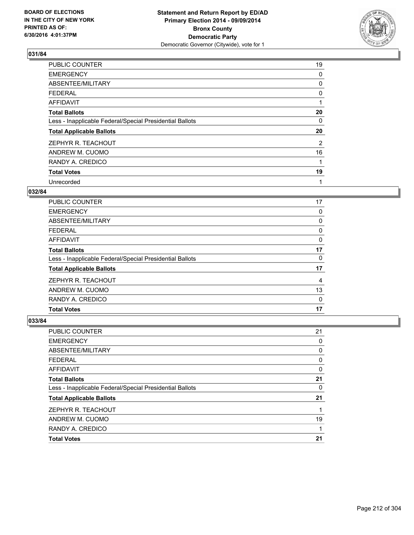

| PUBLIC COUNTER                                           | 19 |
|----------------------------------------------------------|----|
| <b>EMERGENCY</b>                                         | 0  |
| ABSENTEE/MILITARY                                        | 0  |
| <b>FEDERAL</b>                                           | 0  |
| AFFIDAVIT                                                | 1  |
| <b>Total Ballots</b>                                     | 20 |
| Less - Inapplicable Federal/Special Presidential Ballots | 0  |
| <b>Total Applicable Ballots</b>                          | 20 |
| ZEPHYR R. TEACHOUT                                       | 2  |
| ANDREW M. CUOMO                                          | 16 |
| RANDY A. CREDICO                                         | 1  |
| <b>Total Votes</b>                                       | 19 |
| Unrecorded                                               | 1  |

# **032/84**

| <b>PUBLIC COUNTER</b>                                    | 17 |
|----------------------------------------------------------|----|
| <b>EMERGENCY</b>                                         | 0  |
| ABSENTEE/MILITARY                                        | 0  |
| FEDERAL                                                  | 0  |
| AFFIDAVIT                                                | 0  |
| <b>Total Ballots</b>                                     | 17 |
| Less - Inapplicable Federal/Special Presidential Ballots | 0  |
| <b>Total Applicable Ballots</b>                          | 17 |
| ZEPHYR R. TEACHOUT                                       | 4  |
| ANDREW M. CUOMO                                          | 13 |
| RANDY A. CREDICO                                         | 0  |
| <b>Total Votes</b>                                       | 17 |

| <b>PUBLIC COUNTER</b>                                    | 21 |
|----------------------------------------------------------|----|
| <b>EMERGENCY</b>                                         | 0  |
| ABSENTEE/MILITARY                                        | 0  |
| <b>FEDERAL</b>                                           | 0  |
| <b>AFFIDAVIT</b>                                         | 0  |
| <b>Total Ballots</b>                                     | 21 |
| Less - Inapplicable Federal/Special Presidential Ballots | 0  |
| <b>Total Applicable Ballots</b>                          | 21 |
| ZEPHYR R. TEACHOUT                                       |    |
| ANDREW M. CUOMO                                          | 19 |
| RANDY A. CREDICO                                         |    |
| <b>Total Votes</b>                                       | 21 |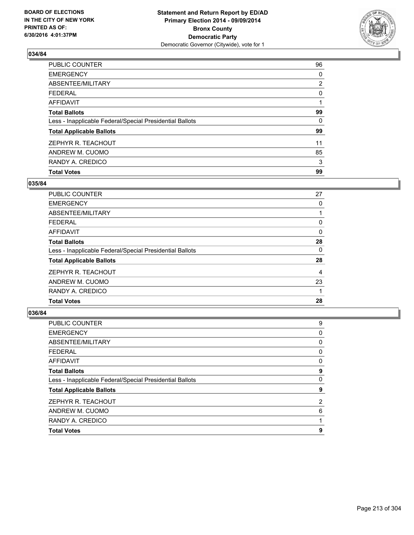

| <b>Total Votes</b>                                       | 99             |
|----------------------------------------------------------|----------------|
| RANDY A. CREDICO                                         | 3              |
| ANDREW M. CUOMO                                          | 85             |
| ZEPHYR R. TEACHOUT                                       | 11             |
| <b>Total Applicable Ballots</b>                          | 99             |
| Less - Inapplicable Federal/Special Presidential Ballots | 0              |
| <b>Total Ballots</b>                                     | 99             |
| <b>AFFIDAVIT</b>                                         |                |
| <b>FEDERAL</b>                                           | 0              |
| ABSENTEE/MILITARY                                        | $\overline{2}$ |
| <b>EMERGENCY</b>                                         | 0              |
| <b>PUBLIC COUNTER</b>                                    | 96             |

### **035/84**

| PUBLIC COUNTER                                           | 27 |
|----------------------------------------------------------|----|
| <b>EMERGENCY</b>                                         | 0  |
| ABSENTEE/MILITARY                                        |    |
| <b>FEDERAL</b>                                           | 0  |
| AFFIDAVIT                                                | 0  |
| <b>Total Ballots</b>                                     | 28 |
| Less - Inapplicable Federal/Special Presidential Ballots | 0  |
| <b>Total Applicable Ballots</b>                          | 28 |
| ZEPHYR R. TEACHOUT                                       | 4  |
| ANDREW M. CUOMO                                          | 23 |
| RANDY A. CREDICO                                         |    |
| <b>Total Votes</b>                                       | 28 |
|                                                          |    |

| <b>Total Votes</b>                                       | 9 |
|----------------------------------------------------------|---|
| RANDY A. CREDICO                                         |   |
| ANDREW M. CUOMO                                          | 6 |
| ZEPHYR R. TEACHOUT                                       | 2 |
| <b>Total Applicable Ballots</b>                          | 9 |
| Less - Inapplicable Federal/Special Presidential Ballots | 0 |
| <b>Total Ballots</b>                                     | 9 |
| <b>AFFIDAVIT</b>                                         | 0 |
| <b>FEDERAL</b>                                           | 0 |
| <b>ABSENTEE/MILITARY</b>                                 | 0 |
| <b>EMERGENCY</b>                                         | 0 |
| PUBLIC COUNTER                                           | 9 |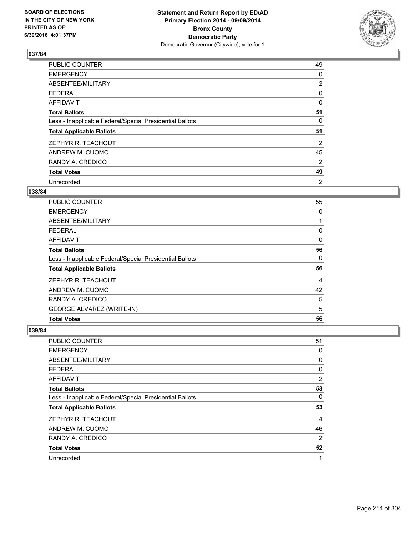

| PUBLIC COUNTER                                           | 49             |
|----------------------------------------------------------|----------------|
| <b>EMERGENCY</b>                                         | 0              |
| ABSENTEE/MILITARY                                        | $\overline{2}$ |
| <b>FEDERAL</b>                                           | 0              |
| AFFIDAVIT                                                | 0              |
| <b>Total Ballots</b>                                     | 51             |
| Less - Inapplicable Federal/Special Presidential Ballots | 0              |
| <b>Total Applicable Ballots</b>                          | 51             |
| ZEPHYR R. TEACHOUT                                       | 2              |
| ANDREW M. CUOMO                                          | 45             |
| RANDY A. CREDICO                                         | 2              |
| <b>Total Votes</b>                                       | 49             |
| Unrecorded                                               | 2              |

# **038/84**

| <b>PUBLIC COUNTER</b>                                    | 55 |
|----------------------------------------------------------|----|
| <b>EMERGENCY</b>                                         | 0  |
| ABSENTEE/MILITARY                                        |    |
| FEDERAL                                                  | 0  |
| AFFIDAVIT                                                | 0  |
| <b>Total Ballots</b>                                     | 56 |
| Less - Inapplicable Federal/Special Presidential Ballots | 0  |
| <b>Total Applicable Ballots</b>                          | 56 |
| ZEPHYR R. TEACHOUT                                       | 4  |
| ANDREW M. CUOMO                                          | 42 |
| RANDY A. CREDICO                                         | 5  |
| <b>GEORGE ALVAREZ (WRITE-IN)</b>                         | 5  |
| <b>Total Votes</b>                                       | 56 |

| <b>PUBLIC COUNTER</b>                                    | 51 |
|----------------------------------------------------------|----|
| <b>EMERGENCY</b>                                         | 0  |
| ABSENTEE/MILITARY                                        | 0  |
| <b>FEDERAL</b>                                           | 0  |
| <b>AFFIDAVIT</b>                                         | 2  |
| <b>Total Ballots</b>                                     | 53 |
| Less - Inapplicable Federal/Special Presidential Ballots | 0  |
| <b>Total Applicable Ballots</b>                          | 53 |
| ZEPHYR R. TEACHOUT                                       | 4  |
| ANDREW M. CUOMO                                          | 46 |
| RANDY A. CREDICO                                         | 2  |
| <b>Total Votes</b>                                       | 52 |
| Unrecorded                                               | 1  |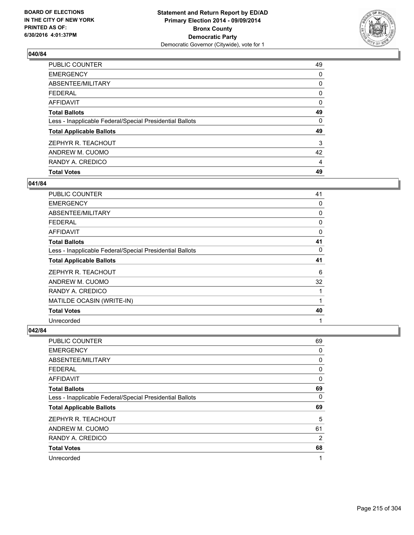

| <b>Total Votes</b>                                       | 49 |
|----------------------------------------------------------|----|
| RANDY A. CREDICO                                         | 4  |
| ANDREW M. CUOMO                                          | 42 |
| ZEPHYR R. TEACHOUT                                       | 3  |
| <b>Total Applicable Ballots</b>                          | 49 |
| Less - Inapplicable Federal/Special Presidential Ballots | 0  |
| <b>Total Ballots</b>                                     | 49 |
| AFFIDAVIT                                                | 0  |
| <b>FEDERAL</b>                                           | 0  |
| ABSENTEE/MILITARY                                        | 0  |
| <b>EMERGENCY</b>                                         | 0  |
| <b>PUBLIC COUNTER</b>                                    | 49 |

### **041/84**

| <b>PUBLIC COUNTER</b>                                    | 41 |
|----------------------------------------------------------|----|
| <b>EMERGENCY</b>                                         | 0  |
| ABSENTEE/MILITARY                                        | 0  |
| <b>FEDERAL</b>                                           | 0  |
| AFFIDAVIT                                                | 0  |
| <b>Total Ballots</b>                                     | 41 |
| Less - Inapplicable Federal/Special Presidential Ballots | 0  |
| <b>Total Applicable Ballots</b>                          | 41 |
| ZEPHYR R. TEACHOUT                                       | 6  |
| ANDREW M. CUOMO                                          | 32 |
| RANDY A. CREDICO                                         | 1  |
| MATILDE OCASIN (WRITE-IN)                                |    |
| <b>Total Votes</b>                                       | 40 |
| Unrecorded                                               | 1  |

| <b>PUBLIC COUNTER</b>                                    | 69 |
|----------------------------------------------------------|----|
| <b>EMERGENCY</b>                                         | 0  |
| ABSENTEE/MILITARY                                        | 0  |
| <b>FEDERAL</b>                                           | 0  |
| <b>AFFIDAVIT</b>                                         | 0  |
| <b>Total Ballots</b>                                     | 69 |
| Less - Inapplicable Federal/Special Presidential Ballots | 0  |
| <b>Total Applicable Ballots</b>                          | 69 |
| ZEPHYR R. TEACHOUT                                       | 5  |
| ANDREW M. CUOMO                                          | 61 |
| RANDY A. CREDICO                                         | 2  |
| <b>Total Votes</b>                                       | 68 |
| Unrecorded                                               | 1  |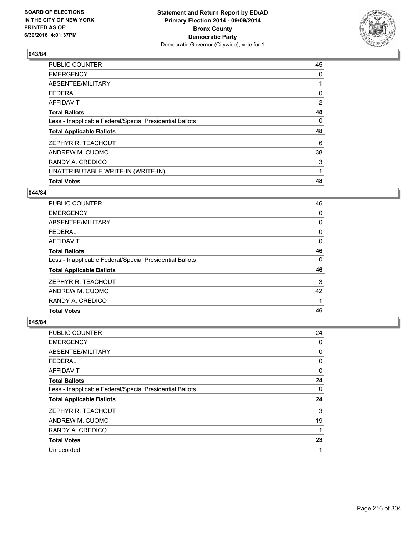

| 45             |
|----------------|
| 0              |
|                |
| 0              |
| $\overline{2}$ |
| 48             |
| 0              |
| 48             |
| 6              |
| 38             |
| 3              |
| 1              |
| 48             |
|                |

#### **044/84**

| <b>PUBLIC COUNTER</b>                                    | 46 |
|----------------------------------------------------------|----|
| <b>EMERGENCY</b>                                         | 0  |
| ABSENTEE/MILITARY                                        | 0  |
| <b>FEDERAL</b>                                           | 0  |
| AFFIDAVIT                                                | 0  |
| <b>Total Ballots</b>                                     | 46 |
| Less - Inapplicable Federal/Special Presidential Ballots | 0  |
| <b>Total Applicable Ballots</b>                          | 46 |
| ZEPHYR R. TEACHOUT                                       | 3  |
| ANDREW M. CUOMO                                          | 42 |
| RANDY A. CREDICO                                         |    |
| <b>Total Votes</b>                                       | 46 |

| <b>PUBLIC COUNTER</b>                                    | 24 |
|----------------------------------------------------------|----|
| <b>EMERGENCY</b>                                         | 0  |
| ABSENTEE/MILITARY                                        | 0  |
| <b>FEDERAL</b>                                           | 0  |
| <b>AFFIDAVIT</b>                                         | 0  |
| <b>Total Ballots</b>                                     | 24 |
| Less - Inapplicable Federal/Special Presidential Ballots | 0  |
| <b>Total Applicable Ballots</b>                          | 24 |
| ZEPHYR R. TEACHOUT                                       | 3  |
| ANDREW M. CUOMO                                          | 19 |
| RANDY A. CREDICO                                         |    |
| <b>Total Votes</b>                                       | 23 |
| Unrecorded                                               |    |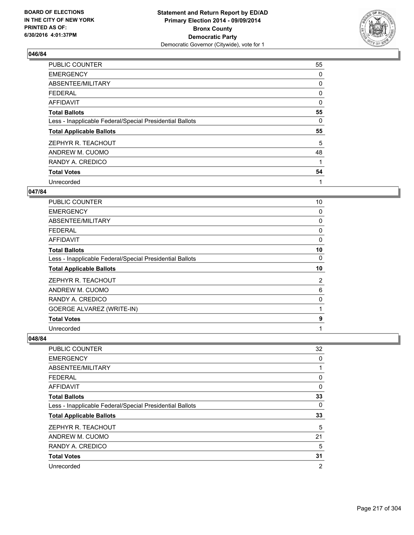

| PUBLIC COUNTER                                           | 55 |
|----------------------------------------------------------|----|
| <b>EMERGENCY</b>                                         | 0  |
| ABSENTEE/MILITARY                                        | 0  |
| <b>FEDERAL</b>                                           | 0  |
| <b>AFFIDAVIT</b>                                         | 0  |
| <b>Total Ballots</b>                                     | 55 |
| Less - Inapplicable Federal/Special Presidential Ballots | 0  |
| <b>Total Applicable Ballots</b>                          | 55 |
| ZEPHYR R. TEACHOUT                                       | 5  |
| ANDREW M. CUOMO                                          | 48 |
| RANDY A. CREDICO                                         | 1  |
| <b>Total Votes</b>                                       | 54 |
| Unrecorded                                               | 1  |

# **047/84**

| PUBLIC COUNTER                                           | 10       |
|----------------------------------------------------------|----------|
| <b>EMERGENCY</b>                                         | 0        |
| ABSENTEE/MILITARY                                        | 0        |
| <b>FEDERAL</b>                                           | 0        |
| <b>AFFIDAVIT</b>                                         | $\Omega$ |
| <b>Total Ballots</b>                                     | 10       |
| Less - Inapplicable Federal/Special Presidential Ballots | 0        |
| <b>Total Applicable Ballots</b>                          | 10       |
| ZEPHYR R. TEACHOUT                                       | 2        |
| ANDREW M. CUOMO                                          | 6        |
|                                                          |          |
| RANDY A. CREDICO                                         | 0        |
| <b>GOERGE ALVAREZ (WRITE-IN)</b>                         | 1        |
| <b>Total Votes</b>                                       | 9        |

| PUBLIC COUNTER                                           | 32             |
|----------------------------------------------------------|----------------|
| <b>EMERGENCY</b>                                         | 0              |
| ABSENTEE/MILITARY                                        | 1              |
| <b>FEDERAL</b>                                           | 0              |
| AFFIDAVIT                                                | 0              |
| <b>Total Ballots</b>                                     | 33             |
| Less - Inapplicable Federal/Special Presidential Ballots | 0              |
| <b>Total Applicable Ballots</b>                          | 33             |
| ZEPHYR R. TEACHOUT                                       | 5              |
| ANDREW M. CUOMO                                          | 21             |
| RANDY A. CREDICO                                         | 5              |
| <b>Total Votes</b>                                       | 31             |
| Unrecorded                                               | $\overline{2}$ |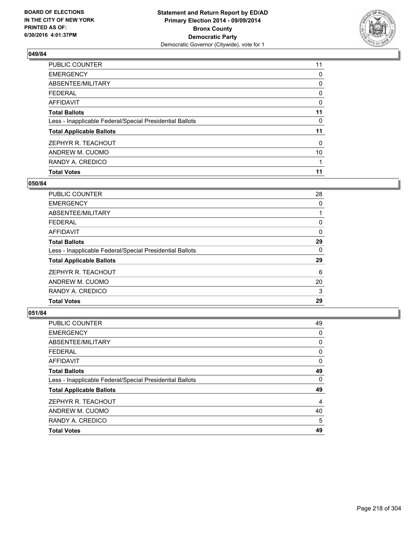

| <b>Total Votes</b>                                       | 11       |
|----------------------------------------------------------|----------|
| RANDY A. CREDICO                                         |          |
| ANDREW M. CUOMO                                          | 10       |
| ZEPHYR R. TEACHOUT                                       | $\Omega$ |
| <b>Total Applicable Ballots</b>                          | 11       |
| Less - Inapplicable Federal/Special Presidential Ballots | 0        |
| <b>Total Ballots</b>                                     | 11       |
| <b>AFFIDAVIT</b>                                         | 0        |
| <b>FEDERAL</b>                                           | 0        |
| ABSENTEE/MILITARY                                        | 0        |
| <b>EMERGENCY</b>                                         | 0        |
| PUBLIC COUNTER                                           | 11       |

### **050/84**

| <b>PUBLIC COUNTER</b>                                    | 28 |
|----------------------------------------------------------|----|
| <b>EMERGENCY</b>                                         | 0  |
| ABSENTEE/MILITARY                                        |    |
| <b>FEDERAL</b>                                           | 0  |
| AFFIDAVIT                                                | 0  |
| <b>Total Ballots</b>                                     | 29 |
| Less - Inapplicable Federal/Special Presidential Ballots | 0  |
| <b>Total Applicable Ballots</b>                          | 29 |
| ZEPHYR R. TEACHOUT                                       | 6  |
| ANDREW M. CUOMO                                          | 20 |
| RANDY A. CREDICO                                         | 3  |
| <b>Total Votes</b>                                       | 29 |
|                                                          |    |

| PUBLIC COUNTER                                           | 49 |
|----------------------------------------------------------|----|
| <b>EMERGENCY</b>                                         | 0  |
| ABSENTEE/MILITARY                                        | 0  |
| <b>FEDERAL</b>                                           | 0  |
| <b>AFFIDAVIT</b>                                         | 0  |
| <b>Total Ballots</b>                                     | 49 |
| Less - Inapplicable Federal/Special Presidential Ballots | 0  |
| <b>Total Applicable Ballots</b>                          | 49 |
| ZEPHYR R. TEACHOUT                                       | 4  |
| ANDREW M. CUOMO                                          | 40 |
| RANDY A. CREDICO                                         | 5  |
| <b>Total Votes</b>                                       | 49 |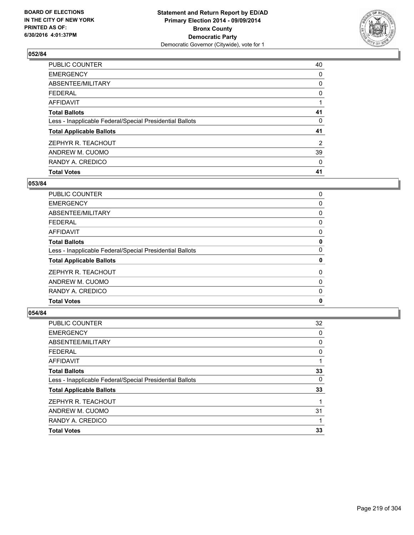

| <b>Total Votes</b>                                       | 41             |
|----------------------------------------------------------|----------------|
| RANDY A. CREDICO                                         | 0              |
| ANDREW M. CUOMO                                          | 39             |
| ZEPHYR R. TEACHOUT                                       | $\overline{2}$ |
| <b>Total Applicable Ballots</b>                          | 41             |
| Less - Inapplicable Federal/Special Presidential Ballots | 0              |
| <b>Total Ballots</b>                                     | 41             |
| <b>AFFIDAVIT</b>                                         |                |
| <b>FEDERAL</b>                                           | 0              |
| ABSENTEE/MILITARY                                        | 0              |
| <b>EMERGENCY</b>                                         | 0              |
| PUBLIC COUNTER                                           | 40             |

### **053/84**

| PUBLIC COUNTER                                           | 0 |
|----------------------------------------------------------|---|
| <b>EMERGENCY</b>                                         | 0 |
| ABSENTEE/MILITARY                                        | 0 |
| <b>FEDERAL</b>                                           | 0 |
| <b>AFFIDAVIT</b>                                         | 0 |
| <b>Total Ballots</b>                                     | 0 |
| Less - Inapplicable Federal/Special Presidential Ballots | 0 |
| <b>Total Applicable Ballots</b>                          | 0 |
| ZEPHYR R. TEACHOUT                                       | 0 |
| ANDREW M. CUOMO                                          | 0 |
| RANDY A. CREDICO                                         | 0 |
| <b>Total Votes</b>                                       | 0 |
|                                                          |   |

| PUBLIC COUNTER                                           | 32 |
|----------------------------------------------------------|----|
| <b>EMERGENCY</b>                                         | 0  |
| ABSENTEE/MILITARY                                        | 0  |
| <b>FEDERAL</b>                                           | 0  |
| <b>AFFIDAVIT</b>                                         |    |
| <b>Total Ballots</b>                                     | 33 |
| Less - Inapplicable Federal/Special Presidential Ballots | 0  |
| <b>Total Applicable Ballots</b>                          | 33 |
| ZEPHYR R. TEACHOUT                                       |    |
| ANDREW M. CUOMO                                          | 31 |
| RANDY A. CREDICO                                         |    |
| <b>Total Votes</b>                                       | 33 |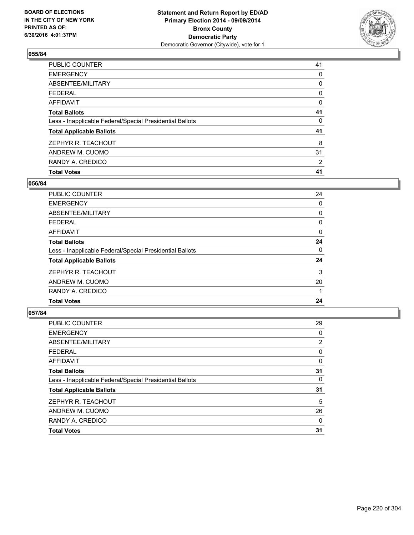

| <b>Total Votes</b>                                       | 41 |
|----------------------------------------------------------|----|
| RANDY A. CREDICO                                         | 2  |
| ANDREW M. CUOMO                                          | 31 |
| ZEPHYR R. TEACHOUT                                       | 8  |
| <b>Total Applicable Ballots</b>                          | 41 |
| Less - Inapplicable Federal/Special Presidential Ballots | 0  |
| <b>Total Ballots</b>                                     | 41 |
| <b>AFFIDAVIT</b>                                         | 0  |
| <b>FEDERAL</b>                                           | 0  |
| ABSENTEE/MILITARY                                        | 0  |
| <b>EMERGENCY</b>                                         | 0  |
| PUBLIC COUNTER                                           | 41 |

### **056/84**

| <b>PUBLIC COUNTER</b>                                    | 24 |
|----------------------------------------------------------|----|
| <b>EMERGENCY</b>                                         | 0  |
| ABSENTEE/MILITARY                                        | 0  |
| <b>FEDERAL</b>                                           | 0  |
| AFFIDAVIT                                                | 0  |
| <b>Total Ballots</b>                                     | 24 |
| Less - Inapplicable Federal/Special Presidential Ballots | 0  |
| <b>Total Applicable Ballots</b>                          | 24 |
| ZEPHYR R. TEACHOUT                                       | 3  |
| ANDREW M. CUOMO                                          | 20 |
| RANDY A. CREDICO                                         |    |
| <b>Total Votes</b>                                       | 24 |
|                                                          |    |

| PUBLIC COUNTER                                           | 29 |
|----------------------------------------------------------|----|
| <b>EMERGENCY</b>                                         | 0  |
| ABSENTEE/MILITARY                                        | 2  |
| <b>FEDERAL</b>                                           | 0  |
| <b>AFFIDAVIT</b>                                         | 0  |
| <b>Total Ballots</b>                                     | 31 |
| Less - Inapplicable Federal/Special Presidential Ballots | 0  |
| <b>Total Applicable Ballots</b>                          | 31 |
| ZEPHYR R. TEACHOUT                                       | 5  |
| ANDREW M. CUOMO                                          | 26 |
| RANDY A. CREDICO                                         | 0  |
| <b>Total Votes</b>                                       | 31 |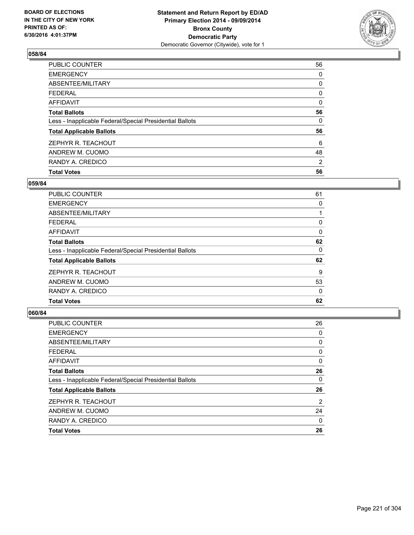

| <b>Total Votes</b>                                       | 56             |
|----------------------------------------------------------|----------------|
| RANDY A. CREDICO                                         | $\overline{2}$ |
| ANDREW M. CUOMO                                          | 48             |
| ZEPHYR R. TEACHOUT                                       | 6              |
| <b>Total Applicable Ballots</b>                          | 56             |
| Less - Inapplicable Federal/Special Presidential Ballots | 0              |
| <b>Total Ballots</b>                                     | 56             |
| AFFIDAVIT                                                | 0              |
| <b>FEDERAL</b>                                           | 0              |
| ABSENTEE/MILITARY                                        | 0              |
| <b>EMERGENCY</b>                                         | 0              |
| PUBLIC COUNTER                                           | 56             |

### **059/84**

| PUBLIC COUNTER                                           | 61       |
|----------------------------------------------------------|----------|
| <b>EMERGENCY</b>                                         | 0        |
| ABSENTEE/MILITARY                                        |          |
| <b>FEDERAL</b>                                           | 0        |
| AFFIDAVIT                                                | $\Omega$ |
| <b>Total Ballots</b>                                     | 62       |
| Less - Inapplicable Federal/Special Presidential Ballots | 0        |
| <b>Total Applicable Ballots</b>                          | 62       |
| ZEPHYR R. TEACHOUT                                       | 9        |
| ANDREW M. CUOMO                                          | 53       |
| RANDY A. CREDICO                                         | 0        |
| <b>Total Votes</b>                                       | 62       |
|                                                          |          |

| PUBLIC COUNTER                                           | 26 |
|----------------------------------------------------------|----|
| <b>EMERGENCY</b>                                         | 0  |
| ABSENTEE/MILITARY                                        | 0  |
| <b>FEDERAL</b>                                           | 0  |
| <b>AFFIDAVIT</b>                                         | 0  |
| <b>Total Ballots</b>                                     | 26 |
| Less - Inapplicable Federal/Special Presidential Ballots | 0  |
| <b>Total Applicable Ballots</b>                          | 26 |
| ZEPHYR R. TEACHOUT                                       | 2  |
| ANDREW M. CUOMO                                          | 24 |
| RANDY A. CREDICO                                         | 0  |
| <b>Total Votes</b>                                       | 26 |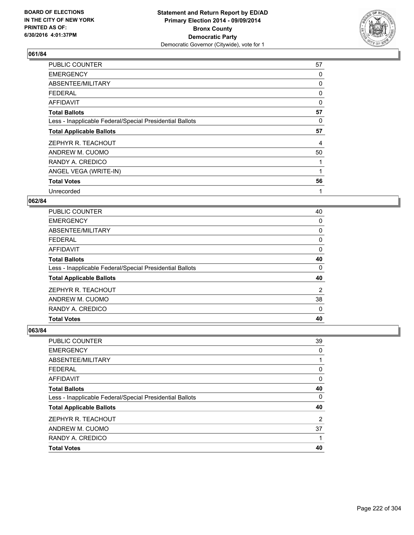

| <b>PUBLIC COUNTER</b>                                    | 57 |
|----------------------------------------------------------|----|
| <b>EMERGENCY</b>                                         | 0  |
| ABSENTEE/MILITARY                                        | 0  |
| <b>FEDERAL</b>                                           | 0  |
| <b>AFFIDAVIT</b>                                         | 0  |
| <b>Total Ballots</b>                                     | 57 |
| Less - Inapplicable Federal/Special Presidential Ballots | 0  |
| <b>Total Applicable Ballots</b>                          | 57 |
| ZEPHYR R. TEACHOUT                                       | 4  |
| ANDREW M. CUOMO                                          | 50 |
| RANDY A. CREDICO                                         |    |
| ANGEL VEGA (WRITE-IN)                                    |    |
| <b>Total Votes</b>                                       | 56 |
| Unrecorded                                               | 1  |

### **062/84**

| PUBLIC COUNTER                                           | 40 |
|----------------------------------------------------------|----|
| <b>EMERGENCY</b>                                         | 0  |
| ABSENTEE/MILITARY                                        | 0  |
| <b>FEDERAL</b>                                           | 0  |
| AFFIDAVIT                                                | 0  |
| <b>Total Ballots</b>                                     | 40 |
| Less - Inapplicable Federal/Special Presidential Ballots | 0  |
| <b>Total Applicable Ballots</b>                          | 40 |
| ZEPHYR R. TEACHOUT                                       | 2  |
| ANDREW M. CUOMO                                          | 38 |
| RANDY A. CREDICO                                         | 0  |
| <b>Total Votes</b>                                       | 40 |

| PUBLIC COUNTER                                           | 39 |
|----------------------------------------------------------|----|
| <b>EMERGENCY</b>                                         | 0  |
| <b>ABSENTEE/MILITARY</b>                                 |    |
| <b>FEDERAL</b>                                           | 0  |
| <b>AFFIDAVIT</b>                                         | 0  |
| <b>Total Ballots</b>                                     | 40 |
| Less - Inapplicable Federal/Special Presidential Ballots | 0  |
| <b>Total Applicable Ballots</b>                          | 40 |
| ZEPHYR R. TEACHOUT                                       | 2  |
| ANDREW M. CUOMO                                          | 37 |
| RANDY A. CREDICO                                         |    |
| <b>Total Votes</b>                                       | 40 |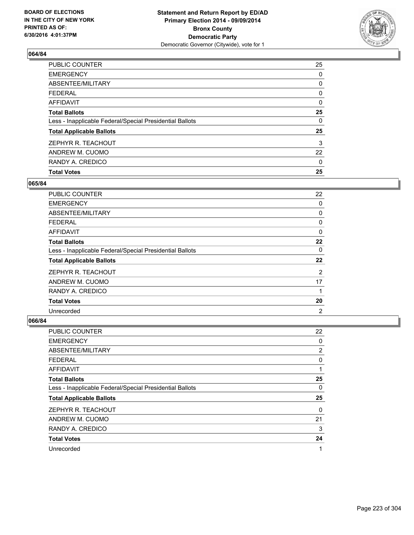

| <b>PUBLIC COUNTER</b>                                    | 25 |
|----------------------------------------------------------|----|
| <b>EMERGENCY</b>                                         | 0  |
| ABSENTEE/MILITARY                                        | 0  |
| <b>FEDERAL</b>                                           | 0  |
| <b>AFFIDAVIT</b>                                         | 0  |
| <b>Total Ballots</b>                                     | 25 |
| Less - Inapplicable Federal/Special Presidential Ballots | 0  |
| <b>Total Applicable Ballots</b>                          | 25 |
| ZEPHYR R. TEACHOUT                                       | 3  |
| ANDREW M. CUOMO                                          | 22 |
| RANDY A. CREDICO                                         | 0  |
| <b>Total Votes</b>                                       | 25 |

## **065/84**

| PUBLIC COUNTER                                           | 22             |
|----------------------------------------------------------|----------------|
| <b>EMERGENCY</b>                                         | 0              |
| ABSENTEE/MILITARY                                        | 0              |
| <b>FEDERAL</b>                                           | 0              |
| <b>AFFIDAVIT</b>                                         | $\Omega$       |
| <b>Total Ballots</b>                                     | 22             |
| Less - Inapplicable Federal/Special Presidential Ballots | 0              |
| <b>Total Applicable Ballots</b>                          | 22             |
| ZEPHYR R. TEACHOUT                                       | 2              |
| ANDREW M. CUOMO                                          | 17             |
| RANDY A. CREDICO                                         | 1              |
| <b>Total Votes</b>                                       | 20             |
| Unrecorded                                               | $\overline{2}$ |

| PUBLIC COUNTER                                           | 22 |
|----------------------------------------------------------|----|
| <b>EMERGENCY</b>                                         | 0  |
| ABSENTEE/MILITARY                                        | 2  |
| <b>FEDERAL</b>                                           | 0  |
| AFFIDAVIT                                                | 1  |
| <b>Total Ballots</b>                                     | 25 |
| Less - Inapplicable Federal/Special Presidential Ballots | 0  |
| <b>Total Applicable Ballots</b>                          | 25 |
| ZEPHYR R. TEACHOUT                                       | 0  |
| ANDREW M. CUOMO                                          | 21 |
| RANDY A. CREDICO                                         | 3  |
| <b>Total Votes</b>                                       | 24 |
| Unrecorded                                               | 1  |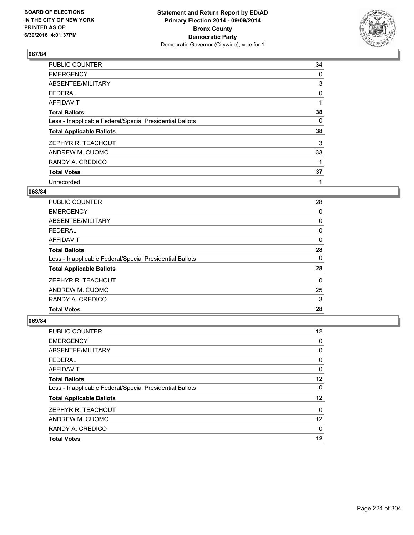

| <b>PUBLIC COUNTER</b>                                    | 34 |
|----------------------------------------------------------|----|
| <b>EMERGENCY</b>                                         | 0  |
| ABSENTEE/MILITARY                                        | 3  |
| <b>FEDERAL</b>                                           | 0  |
| AFFIDAVIT                                                | 1  |
| <b>Total Ballots</b>                                     | 38 |
| Less - Inapplicable Federal/Special Presidential Ballots | 0  |
| <b>Total Applicable Ballots</b>                          | 38 |
| ZEPHYR R. TEACHOUT                                       | 3  |
| ANDREW M. CUOMO                                          | 33 |
| RANDY A. CREDICO                                         | 1  |
| <b>Total Votes</b>                                       | 37 |
| Unrecorded                                               | 1  |

# **068/84**

| PUBLIC COUNTER                                           | 28 |
|----------------------------------------------------------|----|
| <b>EMERGENCY</b>                                         | 0  |
| ABSENTEE/MILITARY                                        | 0  |
| <b>FEDERAL</b>                                           | 0  |
| AFFIDAVIT                                                | 0  |
| <b>Total Ballots</b>                                     | 28 |
| Less - Inapplicable Federal/Special Presidential Ballots | 0  |
| <b>Total Applicable Ballots</b>                          | 28 |
| ZEPHYR R. TEACHOUT                                       | 0  |
| ANDREW M. CUOMO                                          | 25 |
| RANDY A. CREDICO                                         | 3  |
| <b>Total Votes</b>                                       | 28 |
|                                                          |    |

| PUBLIC COUNTER                                           | $12 \overline{ }$ |
|----------------------------------------------------------|-------------------|
| <b>EMERGENCY</b>                                         | 0                 |
| ABSENTEE/MILITARY                                        | 0                 |
| <b>FEDERAL</b>                                           | 0                 |
| <b>AFFIDAVIT</b>                                         | 0                 |
| <b>Total Ballots</b>                                     | 12                |
| Less - Inapplicable Federal/Special Presidential Ballots | 0                 |
| <b>Total Applicable Ballots</b>                          | 12                |
| ZEPHYR R. TEACHOUT                                       | 0                 |
| ANDREW M. CUOMO                                          | 12                |
| RANDY A. CREDICO                                         | 0                 |
| <b>Total Votes</b>                                       | 12                |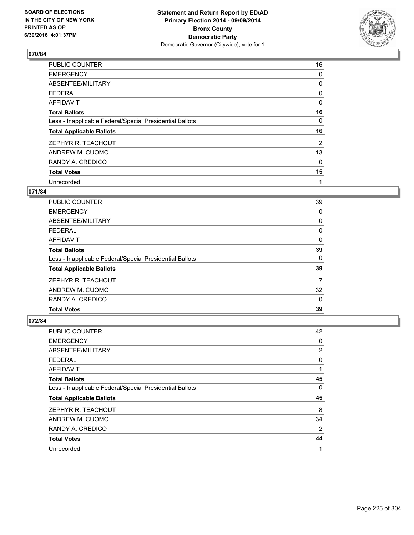

| PUBLIC COUNTER                                           | 16 |
|----------------------------------------------------------|----|
| <b>EMERGENCY</b>                                         | 0  |
| ABSENTEE/MILITARY                                        | 0  |
| <b>FEDERAL</b>                                           | 0  |
| AFFIDAVIT                                                | 0  |
| <b>Total Ballots</b>                                     | 16 |
| Less - Inapplicable Federal/Special Presidential Ballots | 0  |
| <b>Total Applicable Ballots</b>                          | 16 |
| ZEPHYR R. TEACHOUT                                       | 2  |
| ANDREW M. CUOMO                                          | 13 |
| RANDY A. CREDICO                                         | 0  |
| <b>Total Votes</b>                                       | 15 |
| Unrecorded                                               | 1  |

# **071/84**

| PUBLIC COUNTER                                           | 39 |
|----------------------------------------------------------|----|
| <b>EMERGENCY</b>                                         | 0  |
| ABSENTEE/MILITARY                                        | 0  |
| <b>FEDERAL</b>                                           | 0  |
| AFFIDAVIT                                                | 0  |
| <b>Total Ballots</b>                                     | 39 |
| Less - Inapplicable Federal/Special Presidential Ballots | 0  |
| <b>Total Applicable Ballots</b>                          | 39 |
| ZEPHYR R. TEACHOUT                                       | 7  |
| ANDREW M. CUOMO                                          | 32 |
| RANDY A. CREDICO                                         | 0  |
| <b>Total Votes</b>                                       | 39 |

| PUBLIC COUNTER                                           | 42 |
|----------------------------------------------------------|----|
| <b>EMERGENCY</b>                                         | 0  |
| ABSENTEE/MILITARY                                        | 2  |
| <b>FEDERAL</b>                                           | 0  |
| AFFIDAVIT                                                | 1  |
| <b>Total Ballots</b>                                     | 45 |
| Less - Inapplicable Federal/Special Presidential Ballots | 0  |
| <b>Total Applicable Ballots</b>                          | 45 |
| ZEPHYR R. TEACHOUT                                       | 8  |
| ANDREW M. CUOMO                                          | 34 |
| RANDY A. CREDICO                                         | 2  |
| <b>Total Votes</b>                                       | 44 |
| Unrecorded                                               | 1  |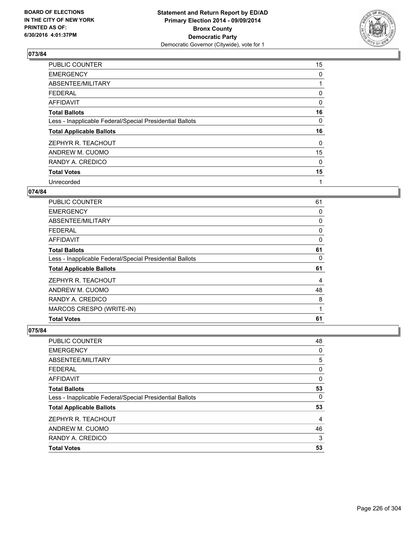

| PUBLIC COUNTER                                           | 15 |
|----------------------------------------------------------|----|
| <b>EMERGENCY</b>                                         | 0  |
| ABSENTEE/MILITARY                                        |    |
| <b>FEDERAL</b>                                           | 0  |
| AFFIDAVIT                                                | 0  |
| <b>Total Ballots</b>                                     | 16 |
| Less - Inapplicable Federal/Special Presidential Ballots | 0  |
| <b>Total Applicable Ballots</b>                          | 16 |
| ZEPHYR R. TEACHOUT                                       | 0  |
| ANDREW M. CUOMO                                          | 15 |
| RANDY A. CREDICO                                         | 0  |
| <b>Total Votes</b>                                       | 15 |
| Unrecorded                                               | 1  |

# **074/84**

| <b>PUBLIC COUNTER</b>                                    | 61 |
|----------------------------------------------------------|----|
| <b>EMERGENCY</b>                                         | 0  |
| ABSENTEE/MILITARY                                        | 0  |
| <b>FEDERAL</b>                                           | 0  |
| AFFIDAVIT                                                | 0  |
| <b>Total Ballots</b>                                     | 61 |
| Less - Inapplicable Federal/Special Presidential Ballots | 0  |
| <b>Total Applicable Ballots</b>                          | 61 |
| ZEPHYR R. TEACHOUT                                       | 4  |
| ANDREW M. CUOMO                                          | 48 |
| RANDY A. CREDICO                                         | 8  |
| MARCOS CRESPO (WRITE-IN)                                 | 1  |
| <b>Total Votes</b>                                       | 61 |
|                                                          |    |

| PUBLIC COUNTER                                           | 48 |
|----------------------------------------------------------|----|
| <b>EMERGENCY</b>                                         | 0  |
| <b>ABSENTEE/MILITARY</b>                                 | 5  |
| <b>FEDERAL</b>                                           | 0  |
| <b>AFFIDAVIT</b>                                         | 0  |
| <b>Total Ballots</b>                                     | 53 |
| Less - Inapplicable Federal/Special Presidential Ballots | 0  |
| <b>Total Applicable Ballots</b>                          | 53 |
| ZEPHYR R. TEACHOUT                                       | 4  |
| ANDREW M. CUOMO                                          | 46 |
| RANDY A. CREDICO                                         | 3  |
| <b>Total Votes</b>                                       | 53 |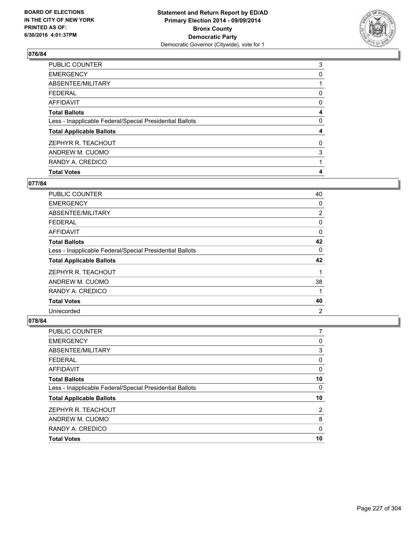

| <b>Total Votes</b>                                       | 4 |
|----------------------------------------------------------|---|
| RANDY A. CREDICO                                         |   |
| ANDREW M. CUOMO                                          | 3 |
| ZEPHYR R. TEACHOUT                                       | 0 |
| <b>Total Applicable Ballots</b>                          | 4 |
| Less - Inapplicable Federal/Special Presidential Ballots | 0 |
| <b>Total Ballots</b>                                     | 4 |
| <b>AFFIDAVIT</b>                                         | 0 |
| <b>FEDERAL</b>                                           | 0 |
| ABSENTEE/MILITARY                                        |   |
| <b>EMERGENCY</b>                                         | 0 |
| PUBLIC COUNTER                                           | 3 |

### **077/84**

| <b>PUBLIC COUNTER</b>                                    | 40             |
|----------------------------------------------------------|----------------|
| <b>EMERGENCY</b>                                         | 0              |
| ABSENTEE/MILITARY                                        | 2              |
| <b>FEDERAL</b>                                           | 0              |
| AFFIDAVIT                                                | 0              |
| <b>Total Ballots</b>                                     | 42             |
| Less - Inapplicable Federal/Special Presidential Ballots | $\mathbf{0}$   |
| <b>Total Applicable Ballots</b>                          | 42             |
| ZEPHYR R. TEACHOUT                                       |                |
| ANDREW M. CUOMO                                          | 38             |
| RANDY A. CREDICO                                         |                |
| <b>Total Votes</b>                                       | 40             |
| Unrecorded                                               | $\overline{2}$ |

| <b>PUBLIC COUNTER</b>                                    |    |
|----------------------------------------------------------|----|
| <b>EMERGENCY</b>                                         | 0  |
| ABSENTEE/MILITARY                                        | 3  |
| <b>FEDERAL</b>                                           | 0  |
| <b>AFFIDAVIT</b>                                         | 0  |
| <b>Total Ballots</b>                                     | 10 |
| Less - Inapplicable Federal/Special Presidential Ballots | 0  |
| <b>Total Applicable Ballots</b>                          | 10 |
| ZEPHYR R. TEACHOUT                                       | 2  |
| ANDREW M. CUOMO                                          | 8  |
| RANDY A. CREDICO                                         | 0  |
| <b>Total Votes</b>                                       | 10 |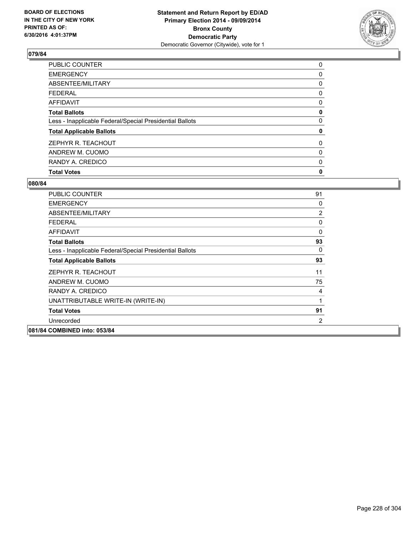

| <b>Total Votes</b>                                       | 0 |
|----------------------------------------------------------|---|
| RANDY A. CREDICO                                         | 0 |
| ANDREW M. CUOMO                                          | 0 |
| ZEPHYR R. TEACHOUT                                       | 0 |
| <b>Total Applicable Ballots</b>                          | 0 |
| Less - Inapplicable Federal/Special Presidential Ballots | 0 |
| <b>Total Ballots</b>                                     | 0 |
| <b>AFFIDAVIT</b>                                         | 0 |
| <b>FEDERAL</b>                                           | 0 |
| ABSENTEE/MILITARY                                        | 0 |
| <b>EMERGENCY</b>                                         | 0 |
| PUBLIC COUNTER                                           | 0 |

| PUBLIC COUNTER                                           | 91          |
|----------------------------------------------------------|-------------|
| <b>EMERGENCY</b>                                         | 0           |
| ABSENTEE/MILITARY                                        | 2           |
| <b>FEDERAL</b>                                           | 0           |
| <b>AFFIDAVIT</b>                                         | 0           |
| <b>Total Ballots</b>                                     | 93          |
| Less - Inapplicable Federal/Special Presidential Ballots | 0           |
| <b>Total Applicable Ballots</b>                          | 93          |
| ZEPHYR R. TEACHOUT                                       | 11          |
| ANDREW M. CUOMO                                          | 75          |
| RANDY A. CREDICO                                         | 4           |
| UNATTRIBUTABLE WRITE-IN (WRITE-IN)                       | $\mathbf 1$ |
| <b>Total Votes</b>                                       | 91          |
| Unrecorded                                               | 2           |
| 081/84 COMBINED into: 053/84                             |             |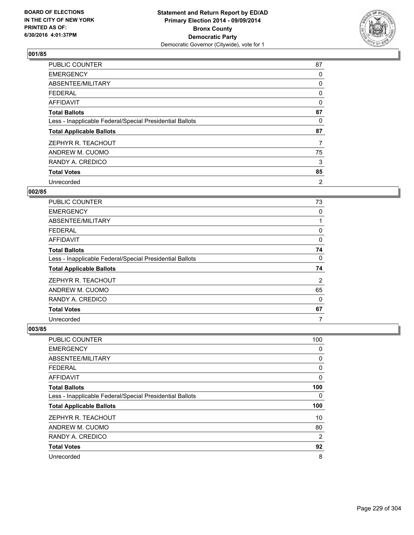

| <b>PUBLIC COUNTER</b>                                    | 87 |
|----------------------------------------------------------|----|
| <b>EMERGENCY</b>                                         | 0  |
| ABSENTEE/MILITARY                                        | 0  |
| <b>FEDERAL</b>                                           | 0  |
| AFFIDAVIT                                                | 0  |
| <b>Total Ballots</b>                                     | 87 |
| Less - Inapplicable Federal/Special Presidential Ballots | 0  |
| <b>Total Applicable Ballots</b>                          | 87 |
| ZEPHYR R. TEACHOUT                                       | 7  |
| ANDREW M. CUOMO                                          | 75 |
| RANDY A. CREDICO                                         | 3  |
| <b>Total Votes</b>                                       | 85 |
| Unrecorded                                               | 2  |

# **002/85**

| PUBLIC COUNTER                                           | 73 |
|----------------------------------------------------------|----|
| <b>EMERGENCY</b>                                         | 0  |
| ABSENTEE/MILITARY                                        |    |
| <b>FEDERAL</b>                                           | 0  |
| AFFIDAVIT                                                | 0  |
| <b>Total Ballots</b>                                     | 74 |
| Less - Inapplicable Federal/Special Presidential Ballots | 0  |
| <b>Total Applicable Ballots</b>                          | 74 |
| ZEPHYR R. TEACHOUT                                       | 2  |
| ANDREW M. CUOMO                                          | 65 |
| RANDY A. CREDICO                                         | 0  |
| <b>Total Votes</b>                                       | 67 |
| Unrecorded                                               | 7  |

| PUBLIC COUNTER                                           | 100 |
|----------------------------------------------------------|-----|
| <b>EMERGENCY</b>                                         | 0   |
| ABSENTEE/MILITARY                                        | 0   |
| <b>FEDERAL</b>                                           | 0   |
| AFFIDAVIT                                                | 0   |
| <b>Total Ballots</b>                                     | 100 |
| Less - Inapplicable Federal/Special Presidential Ballots | 0   |
| <b>Total Applicable Ballots</b>                          | 100 |
| ZEPHYR R. TEACHOUT                                       | 10  |
| ANDREW M. CUOMO                                          | 80  |
| RANDY A. CREDICO                                         | 2   |
| <b>Total Votes</b>                                       | 92  |
| Unrecorded                                               | 8   |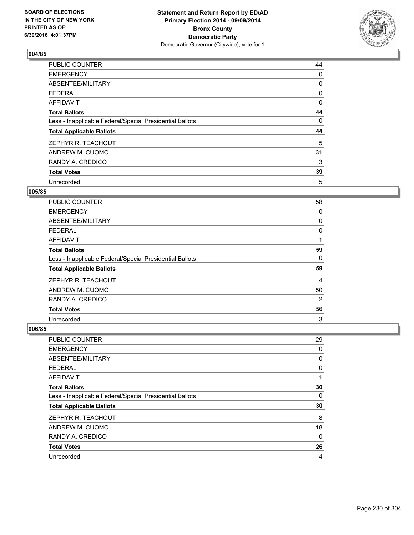

| PUBLIC COUNTER                                           | 44 |
|----------------------------------------------------------|----|
| <b>EMERGENCY</b>                                         | 0  |
| ABSENTEE/MILITARY                                        | 0  |
| <b>FEDERAL</b>                                           | 0  |
| AFFIDAVIT                                                | 0  |
| <b>Total Ballots</b>                                     | 44 |
| Less - Inapplicable Federal/Special Presidential Ballots | 0  |
| <b>Total Applicable Ballots</b>                          | 44 |
| ZEPHYR R. TEACHOUT                                       | 5  |
| ANDREW M. CUOMO                                          | 31 |
| RANDY A. CREDICO                                         | 3  |
| <b>Total Votes</b>                                       | 39 |
| Unrecorded                                               | 5  |

#### **005/85**

| <b>PUBLIC COUNTER</b>                                    | 58 |
|----------------------------------------------------------|----|
| <b>EMERGENCY</b>                                         | 0  |
| ABSENTEE/MILITARY                                        | 0  |
| <b>FEDERAL</b>                                           | 0  |
| AFFIDAVIT                                                |    |
| <b>Total Ballots</b>                                     | 59 |
| Less - Inapplicable Federal/Special Presidential Ballots | 0  |
| <b>Total Applicable Ballots</b>                          | 59 |
| ZEPHYR R. TEACHOUT                                       | 4  |
| ANDREW M. CUOMO                                          | 50 |
| RANDY A. CREDICO                                         | 2  |
| <b>Total Votes</b>                                       | 56 |
| Unrecorded                                               | 3  |

| <b>PUBLIC COUNTER</b>                                    | 29          |
|----------------------------------------------------------|-------------|
| <b>EMERGENCY</b>                                         | 0           |
| ABSENTEE/MILITARY                                        | 0           |
| <b>FEDERAL</b>                                           | 0           |
| AFFIDAVIT                                                | 1           |
| <b>Total Ballots</b>                                     | 30          |
| Less - Inapplicable Federal/Special Presidential Ballots | 0           |
| <b>Total Applicable Ballots</b>                          | 30          |
| ZEPHYR R. TEACHOUT                                       | 8           |
| ANDREW M. CUOMO                                          | 18          |
| RANDY A. CREDICO                                         | $\mathbf 0$ |
| <b>Total Votes</b>                                       | 26          |
| Unrecorded                                               | 4           |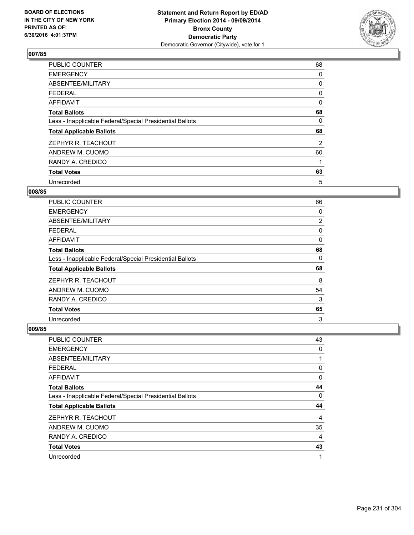

| PUBLIC COUNTER                                           | 68 |
|----------------------------------------------------------|----|
| <b>EMERGENCY</b>                                         | 0  |
| ABSENTEE/MILITARY                                        | 0  |
| <b>FEDERAL</b>                                           | 0  |
| <b>AFFIDAVIT</b>                                         | 0  |
| <b>Total Ballots</b>                                     | 68 |
| Less - Inapplicable Federal/Special Presidential Ballots | 0  |
| <b>Total Applicable Ballots</b>                          | 68 |
| ZEPHYR R. TEACHOUT                                       | 2  |
| ANDREW M. CUOMO                                          | 60 |
| RANDY A. CREDICO                                         | 1  |
| <b>Total Votes</b>                                       | 63 |
| Unrecorded                                               | 5  |

### **008/85**

| <b>PUBLIC COUNTER</b>                                    | 66 |
|----------------------------------------------------------|----|
| <b>EMERGENCY</b>                                         | 0  |
| ABSENTEE/MILITARY                                        | 2  |
| <b>FEDERAL</b>                                           | 0  |
| AFFIDAVIT                                                | 0  |
| <b>Total Ballots</b>                                     | 68 |
| Less - Inapplicable Federal/Special Presidential Ballots | 0  |
| <b>Total Applicable Ballots</b>                          | 68 |
| ZEPHYR R. TEACHOUT                                       | 8  |
| ANDREW M. CUOMO                                          | 54 |
| RANDY A. CREDICO                                         | 3  |
| <b>Total Votes</b>                                       | 65 |
| Unrecorded                                               | 3  |

| PUBLIC COUNTER                                           | 43             |
|----------------------------------------------------------|----------------|
| <b>EMERGENCY</b>                                         | 0              |
| ABSENTEE/MILITARY                                        | 1              |
| <b>FEDERAL</b>                                           | 0              |
| AFFIDAVIT                                                | 0              |
| <b>Total Ballots</b>                                     | 44             |
| Less - Inapplicable Federal/Special Presidential Ballots | 0              |
| <b>Total Applicable Ballots</b>                          | 44             |
| ZEPHYR R. TEACHOUT                                       | $\overline{4}$ |
| ANDREW M. CUOMO                                          | 35             |
| RANDY A. CREDICO                                         | 4              |
| <b>Total Votes</b>                                       | 43             |
| Unrecorded                                               | 1              |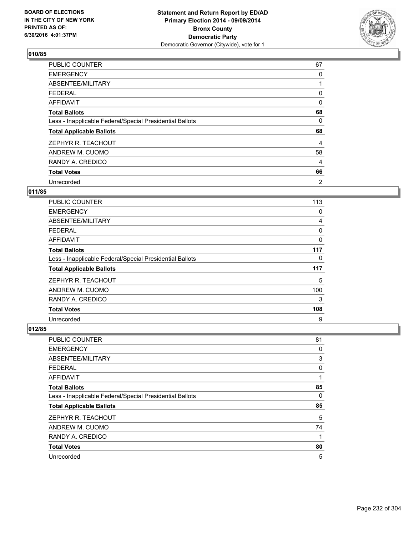

| <b>PUBLIC COUNTER</b>                                    | 67             |
|----------------------------------------------------------|----------------|
| <b>EMERGENCY</b>                                         | 0              |
| ABSENTEE/MILITARY                                        |                |
| <b>FEDERAL</b>                                           | 0              |
| AFFIDAVIT                                                | $\Omega$       |
| <b>Total Ballots</b>                                     | 68             |
| Less - Inapplicable Federal/Special Presidential Ballots | 0              |
| <b>Total Applicable Ballots</b>                          | 68             |
| ZEPHYR R. TEACHOUT                                       | 4              |
| ANDREW M. CUOMO                                          | 58             |
| RANDY A. CREDICO                                         | 4              |
| <b>Total Votes</b>                                       | 66             |
| Unrecorded                                               | $\overline{2}$ |

#### **011/85**

| <b>PUBLIC COUNTER</b>                                    | 113 |
|----------------------------------------------------------|-----|
| <b>EMERGENCY</b>                                         | 0   |
| ABSENTEE/MILITARY                                        | 4   |
| <b>FEDERAL</b>                                           | 0   |
| AFFIDAVIT                                                | 0   |
| <b>Total Ballots</b>                                     | 117 |
| Less - Inapplicable Federal/Special Presidential Ballots | 0   |
| <b>Total Applicable Ballots</b>                          | 117 |
| ZEPHYR R. TEACHOUT                                       | 5   |
| ANDREW M. CUOMO                                          | 100 |
| RANDY A. CREDICO                                         | 3   |
| <b>Total Votes</b>                                       | 108 |
| Unrecorded                                               | 9   |

| PUBLIC COUNTER                                           | 81 |
|----------------------------------------------------------|----|
| <b>EMERGENCY</b>                                         | 0  |
| ABSENTEE/MILITARY                                        | 3  |
| <b>FEDERAL</b>                                           | 0  |
| <b>AFFIDAVIT</b>                                         | 1  |
| <b>Total Ballots</b>                                     | 85 |
| Less - Inapplicable Federal/Special Presidential Ballots | 0  |
| <b>Total Applicable Ballots</b>                          | 85 |
| ZEPHYR R. TEACHOUT                                       | 5  |
| ANDREW M. CUOMO                                          | 74 |
| RANDY A. CREDICO                                         | 1  |
| <b>Total Votes</b>                                       | 80 |
| Unrecorded                                               | 5  |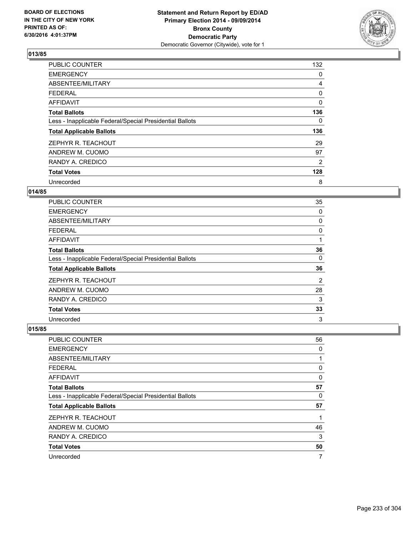

| <b>PUBLIC COUNTER</b>                                    | 132      |
|----------------------------------------------------------|----------|
| <b>EMERGENCY</b>                                         | 0        |
| ABSENTEE/MILITARY                                        | 4        |
| <b>FEDERAL</b>                                           | 0        |
| <b>AFFIDAVIT</b>                                         | $\Omega$ |
| <b>Total Ballots</b>                                     | 136      |
| Less - Inapplicable Federal/Special Presidential Ballots | 0        |
| <b>Total Applicable Ballots</b>                          | 136      |
| ZEPHYR R. TEACHOUT                                       | 29       |
| ANDREW M. CUOMO                                          | 97       |
| RANDY A. CREDICO                                         | 2        |
| <b>Total Votes</b>                                       | 128      |
| Unrecorded                                               | 8        |

### **014/85**

| <b>PUBLIC COUNTER</b>                                    | 35             |
|----------------------------------------------------------|----------------|
| <b>EMERGENCY</b>                                         | 0              |
| ABSENTEE/MILITARY                                        | 0              |
| <b>FEDERAL</b>                                           | 0              |
| <b>AFFIDAVIT</b>                                         | 1              |
| <b>Total Ballots</b>                                     | 36             |
| Less - Inapplicable Federal/Special Presidential Ballots | 0              |
| <b>Total Applicable Ballots</b>                          | 36             |
| ZEPHYR R. TEACHOUT                                       | $\overline{2}$ |
| ANDREW M. CUOMO                                          | 28             |
| RANDY A. CREDICO                                         | 3              |
| <b>Total Votes</b>                                       | 33             |
| Unrecorded                                               | 3              |

| PUBLIC COUNTER                                           | 56 |
|----------------------------------------------------------|----|
| <b>EMERGENCY</b>                                         | 0  |
| ABSENTEE/MILITARY                                        | 1  |
| <b>FEDERAL</b>                                           | 0  |
| <b>AFFIDAVIT</b>                                         | 0  |
| <b>Total Ballots</b>                                     | 57 |
| Less - Inapplicable Federal/Special Presidential Ballots | 0  |
| <b>Total Applicable Ballots</b>                          | 57 |
| ZEPHYR R. TEACHOUT                                       | 1  |
| ANDREW M. CUOMO                                          | 46 |
| RANDY A. CREDICO                                         | 3  |
| <b>Total Votes</b>                                       | 50 |
| Unrecorded                                               | 7  |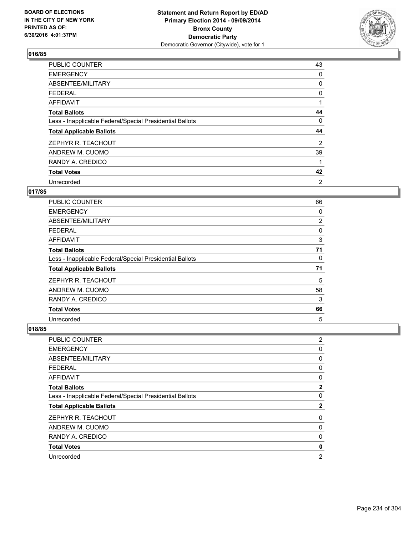

| PUBLIC COUNTER                                           | 43 |
|----------------------------------------------------------|----|
| <b>EMERGENCY</b>                                         | 0  |
| ABSENTEE/MILITARY                                        | 0  |
| <b>FEDERAL</b>                                           | 0  |
| <b>AFFIDAVIT</b>                                         |    |
| <b>Total Ballots</b>                                     | 44 |
| Less - Inapplicable Federal/Special Presidential Ballots | 0  |
| <b>Total Applicable Ballots</b>                          | 44 |
| ZEPHYR R. TEACHOUT                                       | 2  |
| ANDREW M. CUOMO                                          | 39 |
| RANDY A. CREDICO                                         | 1  |
| <b>Total Votes</b>                                       | 42 |
| Unrecorded                                               | 2  |

# **017/85**

| <b>PUBLIC COUNTER</b>                                    | 66 |
|----------------------------------------------------------|----|
| <b>EMERGENCY</b>                                         | 0  |
| ABSENTEE/MILITARY                                        | 2  |
| <b>FEDERAL</b>                                           | 0  |
| AFFIDAVIT                                                | 3  |
| <b>Total Ballots</b>                                     | 71 |
| Less - Inapplicable Federal/Special Presidential Ballots | 0  |
| <b>Total Applicable Ballots</b>                          | 71 |
| ZEPHYR R. TEACHOUT                                       | 5  |
| ANDREW M. CUOMO                                          | 58 |
| RANDY A. CREDICO                                         | 3  |
| <b>Total Votes</b>                                       | 66 |
| Unrecorded                                               | 5  |

| <b>PUBLIC COUNTER</b>                                    | $\overline{2}$ |
|----------------------------------------------------------|----------------|
| <b>EMERGENCY</b>                                         | 0              |
| ABSENTEE/MILITARY                                        | 0              |
| <b>FEDERAL</b>                                           | 0              |
| <b>AFFIDAVIT</b>                                         | 0              |
| <b>Total Ballots</b>                                     | $\mathbf{2}$   |
| Less - Inapplicable Federal/Special Presidential Ballots | 0              |
| <b>Total Applicable Ballots</b>                          | $\mathbf{2}$   |
| ZEPHYR R. TEACHOUT                                       | 0              |
| ANDREW M. CUOMO                                          | 0              |
| RANDY A. CREDICO                                         | 0              |
| <b>Total Votes</b>                                       | 0              |
| Unrecorded                                               | $\overline{2}$ |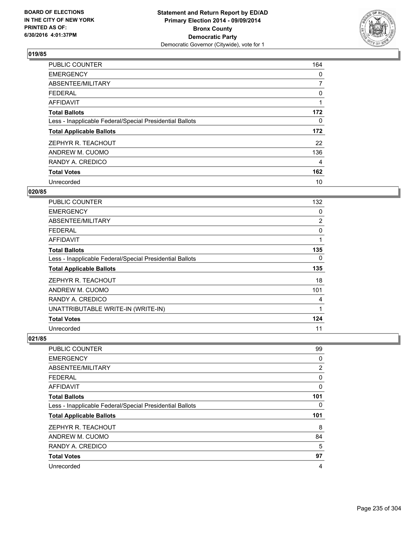

| <b>PUBLIC COUNTER</b>                                    | 164      |
|----------------------------------------------------------|----------|
| <b>EMERGENCY</b>                                         | 0        |
| ABSENTEE/MILITARY                                        | 7        |
| <b>FEDERAL</b>                                           | 0        |
| AFFIDAVIT                                                | 1        |
| <b>Total Ballots</b>                                     | 172      |
| Less - Inapplicable Federal/Special Presidential Ballots | $\Omega$ |
| <b>Total Applicable Ballots</b>                          | 172      |
| ZEPHYR R. TEACHOUT                                       | 22       |
| ANDREW M. CUOMO                                          | 136      |
| RANDY A. CREDICO                                         | 4        |
| <b>Total Votes</b>                                       | 162      |
| Unrecorded                                               | 10       |

# **020/85**

| PUBLIC COUNTER                                           | 132 |
|----------------------------------------------------------|-----|
| <b>EMERGENCY</b>                                         | 0   |
| ABSENTEE/MILITARY                                        | 2   |
| <b>FEDERAL</b>                                           | 0   |
| AFFIDAVIT                                                | 1   |
| <b>Total Ballots</b>                                     | 135 |
| Less - Inapplicable Federal/Special Presidential Ballots | 0   |
| <b>Total Applicable Ballots</b>                          | 135 |
| ZEPHYR R. TEACHOUT                                       | 18  |
| ANDREW M. CUOMO                                          | 101 |
| RANDY A. CREDICO                                         | 4   |
| UNATTRIBUTABLE WRITE-IN (WRITE-IN)                       | 1   |
| <b>Total Votes</b>                                       | 124 |
| Unrecorded                                               | 11  |

| <b>PUBLIC COUNTER</b>                                    | 99  |
|----------------------------------------------------------|-----|
| <b>EMERGENCY</b>                                         | 0   |
| ABSENTEE/MILITARY                                        | 2   |
| <b>FEDERAL</b>                                           | 0   |
| AFFIDAVIT                                                | 0   |
| <b>Total Ballots</b>                                     | 101 |
| Less - Inapplicable Federal/Special Presidential Ballots | 0   |
| <b>Total Applicable Ballots</b>                          | 101 |
| ZEPHYR R. TEACHOUT                                       | 8   |
| ANDREW M. CUOMO                                          | 84  |
| RANDY A. CREDICO                                         | 5   |
| <b>Total Votes</b>                                       | 97  |
| Unrecorded                                               | 4   |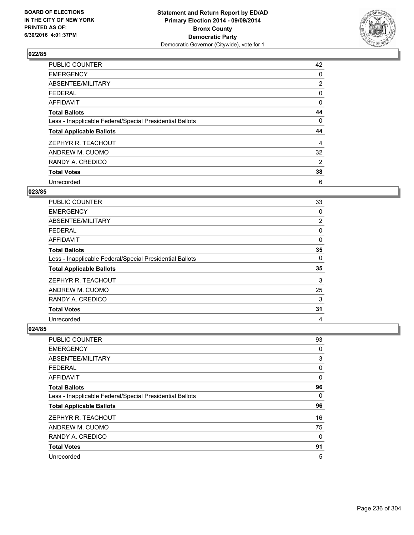

| PUBLIC COUNTER                                           | 42             |
|----------------------------------------------------------|----------------|
| <b>EMERGENCY</b>                                         | 0              |
| ABSENTEE/MILITARY                                        | $\overline{2}$ |
| <b>FEDERAL</b>                                           | 0              |
| AFFIDAVIT                                                | 0              |
| <b>Total Ballots</b>                                     | 44             |
| Less - Inapplicable Federal/Special Presidential Ballots | 0              |
| <b>Total Applicable Ballots</b>                          | 44             |
| ZEPHYR R. TEACHOUT                                       | 4              |
| ANDREW M. CUOMO                                          | 32             |
| RANDY A. CREDICO                                         | 2              |
| <b>Total Votes</b>                                       | 38             |
| Unrecorded                                               | 6              |

# **023/85**

| PUBLIC COUNTER                                           | 33             |
|----------------------------------------------------------|----------------|
| <b>EMERGENCY</b>                                         | 0              |
| ABSENTEE/MILITARY                                        | $\overline{2}$ |
| <b>FEDERAL</b>                                           | 0              |
| AFFIDAVIT                                                | 0              |
| <b>Total Ballots</b>                                     | 35             |
| Less - Inapplicable Federal/Special Presidential Ballots | 0              |
| <b>Total Applicable Ballots</b>                          | 35             |
| ZEPHYR R. TEACHOUT                                       | 3              |
| ANDREW M. CUOMO                                          | 25             |
| RANDY A. CREDICO                                         | 3              |
| <b>Total Votes</b>                                       | 31             |
| Unrecorded                                               | 4              |

| PUBLIC COUNTER                                           | 93 |
|----------------------------------------------------------|----|
| <b>EMERGENCY</b>                                         | 0  |
| ABSENTEE/MILITARY                                        | 3  |
| <b>FEDERAL</b>                                           | 0  |
| <b>AFFIDAVIT</b>                                         | 0  |
| <b>Total Ballots</b>                                     | 96 |
| Less - Inapplicable Federal/Special Presidential Ballots | 0  |
| <b>Total Applicable Ballots</b>                          | 96 |
| ZEPHYR R. TEACHOUT                                       | 16 |
| ANDREW M. CUOMO                                          | 75 |
| RANDY A. CREDICO                                         | 0  |
| <b>Total Votes</b>                                       | 91 |
| Unrecorded                                               | 5  |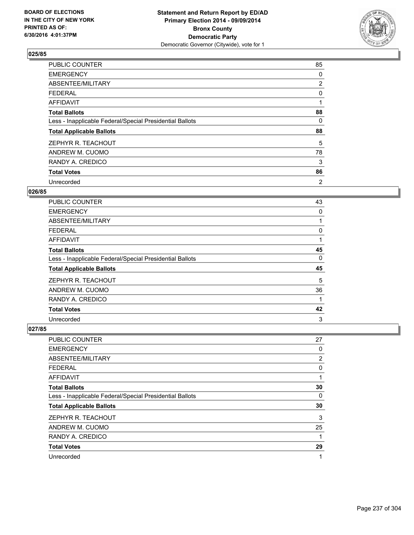

| PUBLIC COUNTER                                           | 85             |
|----------------------------------------------------------|----------------|
| <b>EMERGENCY</b>                                         | 0              |
| ABSENTEE/MILITARY                                        | $\overline{2}$ |
| <b>FEDERAL</b>                                           | 0              |
| AFFIDAVIT                                                | 1              |
| <b>Total Ballots</b>                                     | 88             |
| Less - Inapplicable Federal/Special Presidential Ballots | 0              |
| <b>Total Applicable Ballots</b>                          | 88             |
| ZEPHYR R. TEACHOUT                                       | 5              |
| ANDREW M. CUOMO                                          | 78             |
| RANDY A. CREDICO                                         | 3              |
| <b>Total Votes</b>                                       | 86             |
| Unrecorded                                               | 2              |

## **026/85**

| <b>PUBLIC COUNTER</b>                                    | 43 |
|----------------------------------------------------------|----|
| <b>EMERGENCY</b>                                         | 0  |
| ABSENTEE/MILITARY                                        |    |
| <b>FEDERAL</b>                                           | 0  |
| AFFIDAVIT                                                |    |
| <b>Total Ballots</b>                                     | 45 |
| Less - Inapplicable Federal/Special Presidential Ballots | 0  |
| <b>Total Applicable Ballots</b>                          | 45 |
| ZEPHYR R. TEACHOUT                                       | 5  |
| ANDREW M. CUOMO                                          | 36 |
| RANDY A. CREDICO                                         | 1  |
| <b>Total Votes</b>                                       | 42 |
| Unrecorded                                               | 3  |

| <b>PUBLIC COUNTER</b>                                    | 27 |
|----------------------------------------------------------|----|
| <b>EMERGENCY</b>                                         | 0  |
| ABSENTEE/MILITARY                                        | 2  |
| FEDERAL                                                  | 0  |
| AFFIDAVIT                                                | 1  |
| <b>Total Ballots</b>                                     | 30 |
| Less - Inapplicable Federal/Special Presidential Ballots | 0  |
| <b>Total Applicable Ballots</b>                          | 30 |
| ZEPHYR R. TEACHOUT                                       | 3  |
| ANDREW M. CUOMO                                          | 25 |
| RANDY A. CREDICO                                         | 1  |
| <b>Total Votes</b>                                       | 29 |
| Unrecorded                                               | 1  |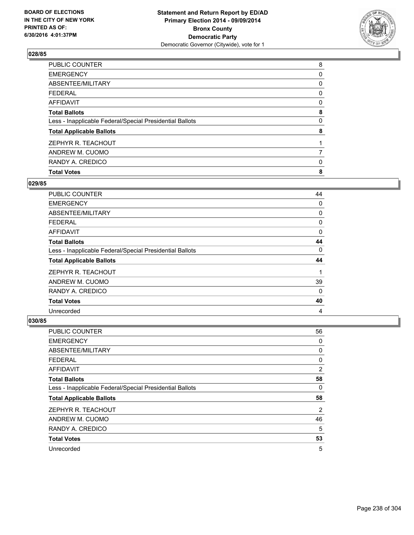

| <b>Total Votes</b>                                       | 8 |
|----------------------------------------------------------|---|
| RANDY A. CREDICO                                         | 0 |
| ANDREW M. CUOMO                                          |   |
| ZEPHYR R. TEACHOUT                                       |   |
| <b>Total Applicable Ballots</b>                          | 8 |
| Less - Inapplicable Federal/Special Presidential Ballots | 0 |
| <b>Total Ballots</b>                                     | 8 |
| <b>AFFIDAVIT</b>                                         | 0 |
| <b>FEDERAL</b>                                           | 0 |
| ABSENTEE/MILITARY                                        | 0 |
| <b>EMERGENCY</b>                                         | 0 |
| PUBLIC COUNTER                                           | 8 |

### **029/85**

| PUBLIC COUNTER                                           | 44       |
|----------------------------------------------------------|----------|
| <b>EMERGENCY</b>                                         | 0        |
| ABSENTEE/MILITARY                                        | 0        |
| <b>FEDERAL</b>                                           | 0        |
| AFFIDAVIT                                                | 0        |
| <b>Total Ballots</b>                                     | 44       |
| Less - Inapplicable Federal/Special Presidential Ballots | 0        |
| <b>Total Applicable Ballots</b>                          | 44       |
| ZEPHYR R. TEACHOUT                                       |          |
| ANDREW M. CUOMO                                          | 39       |
| RANDY A. CREDICO                                         | $\Omega$ |
| <b>Total Votes</b>                                       | 40       |
| Unrecorded                                               | 4        |

| PUBLIC COUNTER                                           | 56             |
|----------------------------------------------------------|----------------|
| <b>EMERGENCY</b>                                         | 0              |
| ABSENTEE/MILITARY                                        | 0              |
| <b>FEDERAL</b>                                           | 0              |
| <b>AFFIDAVIT</b>                                         | $\overline{2}$ |
| <b>Total Ballots</b>                                     | 58             |
| Less - Inapplicable Federal/Special Presidential Ballots | 0              |
| <b>Total Applicable Ballots</b>                          | 58             |
| ZEPHYR R. TEACHOUT                                       | 2              |
| ANDREW M. CUOMO                                          | 46             |
| RANDY A. CREDICO                                         | 5              |
| <b>Total Votes</b>                                       | 53             |
| Unrecorded                                               | 5              |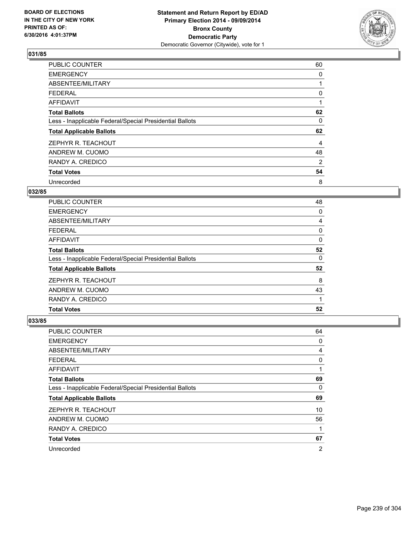

| PUBLIC COUNTER                                           | 60 |
|----------------------------------------------------------|----|
| <b>EMERGENCY</b>                                         | 0  |
| ABSENTEE/MILITARY                                        |    |
| <b>FEDERAL</b>                                           | 0  |
| AFFIDAVIT                                                | 1  |
| <b>Total Ballots</b>                                     | 62 |
| Less - Inapplicable Federal/Special Presidential Ballots | 0  |
| <b>Total Applicable Ballots</b>                          | 62 |
| ZEPHYR R. TEACHOUT                                       | 4  |
| ANDREW M. CUOMO                                          | 48 |
| RANDY A. CREDICO                                         | 2  |
| <b>Total Votes</b>                                       | 54 |
| Unrecorded                                               | 8  |

# **032/85**

| <b>PUBLIC COUNTER</b>                                    | 48 |
|----------------------------------------------------------|----|
| <b>EMERGENCY</b>                                         | 0  |
| ABSENTEE/MILITARY                                        | 4  |
| FEDERAL                                                  | 0  |
| AFFIDAVIT                                                | 0  |
| <b>Total Ballots</b>                                     | 52 |
| Less - Inapplicable Federal/Special Presidential Ballots | 0  |
| <b>Total Applicable Ballots</b>                          | 52 |
| ZEPHYR R. TEACHOUT                                       | 8  |
| ANDREW M. CUOMO                                          | 43 |
| RANDY A. CREDICO                                         |    |
| <b>Total Votes</b>                                       | 52 |

| <b>PUBLIC COUNTER</b>                                    | 64 |
|----------------------------------------------------------|----|
| <b>EMERGENCY</b>                                         | 0  |
| ABSENTEE/MILITARY                                        | 4  |
| <b>FEDERAL</b>                                           | 0  |
| AFFIDAVIT                                                | 1  |
| <b>Total Ballots</b>                                     | 69 |
| Less - Inapplicable Federal/Special Presidential Ballots | 0  |
| <b>Total Applicable Ballots</b>                          | 69 |
| ZEPHYR R. TEACHOUT                                       | 10 |
| ANDREW M. CUOMO                                          | 56 |
| RANDY A. CREDICO                                         | 1  |
| <b>Total Votes</b>                                       | 67 |
| Unrecorded                                               | 2  |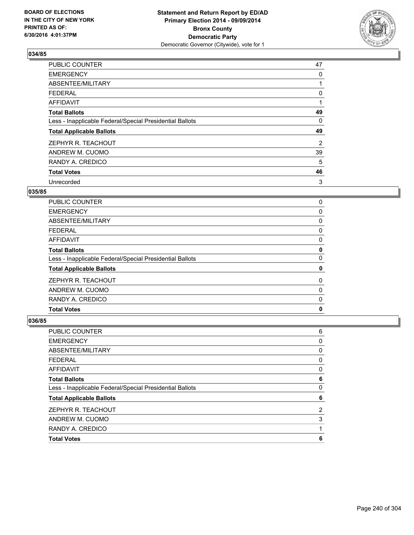

| <b>PUBLIC COUNTER</b>                                    | 47 |
|----------------------------------------------------------|----|
| <b>EMERGENCY</b>                                         | 0  |
| ABSENTEE/MILITARY                                        |    |
| <b>FEDERAL</b>                                           | 0  |
| AFFIDAVIT                                                |    |
| <b>Total Ballots</b>                                     | 49 |
| Less - Inapplicable Federal/Special Presidential Ballots | 0  |
| <b>Total Applicable Ballots</b>                          | 49 |
| ZEPHYR R. TEACHOUT                                       | 2  |
| ANDREW M. CUOMO                                          | 39 |
| RANDY A. CREDICO                                         | 5  |
| <b>Total Votes</b>                                       | 46 |
| Unrecorded                                               | 3  |

# **035/85**

| <b>PUBLIC COUNTER</b>                                    | 0 |
|----------------------------------------------------------|---|
| <b>EMERGENCY</b>                                         | 0 |
| ABSENTEE/MILITARY                                        | 0 |
| <b>FEDERAL</b>                                           | 0 |
| AFFIDAVIT                                                | 0 |
| <b>Total Ballots</b>                                     | 0 |
| Less - Inapplicable Federal/Special Presidential Ballots | 0 |
| <b>Total Applicable Ballots</b>                          | 0 |
| ZEPHYR R. TEACHOUT                                       | 0 |
| ANDREW M. CUOMO                                          | 0 |
| RANDY A. CREDICO                                         | 0 |
| <b>Total Votes</b>                                       | 0 |
|                                                          |   |

| <b>Total Votes</b>                                       | 6 |
|----------------------------------------------------------|---|
| RANDY A. CREDICO                                         |   |
| ANDREW M. CUOMO                                          | 3 |
| ZEPHYR R. TEACHOUT                                       | 2 |
| <b>Total Applicable Ballots</b>                          | 6 |
| Less - Inapplicable Federal/Special Presidential Ballots | 0 |
| <b>Total Ballots</b>                                     | 6 |
| <b>AFFIDAVIT</b>                                         | 0 |
| <b>FEDERAL</b>                                           | 0 |
| ABSENTEE/MILITARY                                        | 0 |
| <b>EMERGENCY</b>                                         | 0 |
| PUBLIC COUNTER                                           | 6 |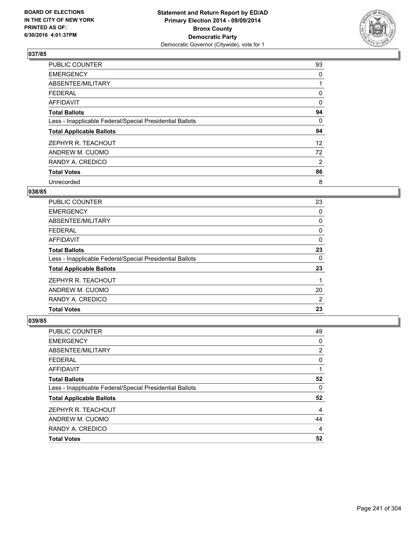

| <b>PUBLIC COUNTER</b>                                    | 93                |
|----------------------------------------------------------|-------------------|
| <b>EMERGENCY</b>                                         | 0                 |
| ABSENTEE/MILITARY                                        |                   |
| <b>FEDERAL</b>                                           | 0                 |
| AFFIDAVIT                                                | 0                 |
| <b>Total Ballots</b>                                     | 94                |
| Less - Inapplicable Federal/Special Presidential Ballots | 0                 |
| <b>Total Applicable Ballots</b>                          | 94                |
| ZEPHYR R. TEACHOUT                                       | $12 \overline{ }$ |
| ANDREW M. CUOMO                                          | 72                |
| RANDY A. CREDICO                                         | 2                 |
| <b>Total Votes</b>                                       | 86                |
| Unrecorded                                               | 8                 |

# **038/85**

| 23 |
|----|
| 0  |
| 0  |
| 0  |
| 0  |
| 23 |
| 0  |
| 23 |
|    |
| 20 |
| 2  |
| 23 |
|    |

| PUBLIC COUNTER                                           | 49 |
|----------------------------------------------------------|----|
| <b>EMERGENCY</b>                                         | 0  |
| ABSENTEE/MILITARY                                        | 2  |
| <b>FEDERAL</b>                                           | 0  |
| <b>AFFIDAVIT</b>                                         |    |
| <b>Total Ballots</b>                                     | 52 |
| Less - Inapplicable Federal/Special Presidential Ballots | 0  |
| <b>Total Applicable Ballots</b>                          | 52 |
| ZEPHYR R. TEACHOUT                                       | 4  |
| ANDREW M. CUOMO                                          | 44 |
| RANDY A. CREDICO                                         | 4  |
| <b>Total Votes</b>                                       | 52 |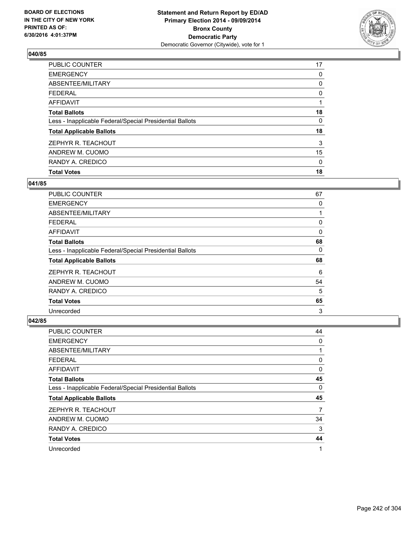

| <b>Total Votes</b>                                       | 18 |
|----------------------------------------------------------|----|
| RANDY A. CREDICO                                         | 0  |
| ANDREW M. CUOMO                                          | 15 |
| ZEPHYR R. TEACHOUT                                       | 3  |
| <b>Total Applicable Ballots</b>                          | 18 |
| Less - Inapplicable Federal/Special Presidential Ballots | 0  |
| <b>Total Ballots</b>                                     | 18 |
| <b>AFFIDAVIT</b>                                         |    |
| <b>FEDERAL</b>                                           | 0  |
| ABSENTEE/MILITARY                                        | 0  |
| <b>EMERGENCY</b>                                         | 0  |
| PUBLIC COUNTER                                           | 17 |

## **041/85**

| <b>PUBLIC COUNTER</b>                                    | 67 |
|----------------------------------------------------------|----|
| <b>EMERGENCY</b>                                         | 0  |
| ABSENTEE/MILITARY                                        |    |
| <b>FEDERAL</b>                                           | 0  |
| AFFIDAVIT                                                | 0  |
| <b>Total Ballots</b>                                     | 68 |
| Less - Inapplicable Federal/Special Presidential Ballots | 0  |
| <b>Total Applicable Ballots</b>                          | 68 |
| ZEPHYR R. TEACHOUT                                       | 6  |
| ANDREW M. CUOMO                                          | 54 |
| RANDY A. CREDICO                                         | 5  |
| <b>Total Votes</b>                                       | 65 |
| Unrecorded                                               | 3  |

| <b>PUBLIC COUNTER</b>                                    | 44 |
|----------------------------------------------------------|----|
| <b>EMERGENCY</b>                                         | 0  |
| ABSENTEE/MILITARY                                        | 1  |
| <b>FEDERAL</b>                                           | 0  |
| AFFIDAVIT                                                | 0  |
| <b>Total Ballots</b>                                     | 45 |
| Less - Inapplicable Federal/Special Presidential Ballots | 0  |
| <b>Total Applicable Ballots</b>                          | 45 |
| ZEPHYR R. TEACHOUT                                       | 7  |
| ANDREW M. CUOMO                                          | 34 |
| RANDY A. CREDICO                                         | 3  |
| <b>Total Votes</b>                                       | 44 |
| Unrecorded                                               | 1  |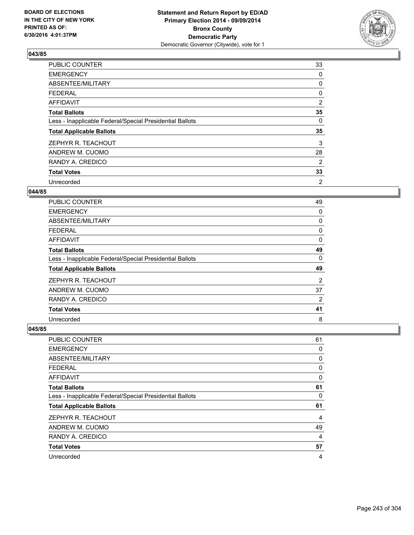

| PUBLIC COUNTER                                           | 33 |
|----------------------------------------------------------|----|
| <b>EMERGENCY</b>                                         | 0  |
| ABSENTEE/MILITARY                                        | 0  |
| <b>FEDERAL</b>                                           | 0  |
| AFFIDAVIT                                                | 2  |
| <b>Total Ballots</b>                                     | 35 |
| Less - Inapplicable Federal/Special Presidential Ballots | 0  |
| <b>Total Applicable Ballots</b>                          | 35 |
| ZEPHYR R. TEACHOUT                                       | 3  |
| ANDREW M. CUOMO                                          | 28 |
| RANDY A. CREDICO                                         | 2  |
| <b>Total Votes</b>                                       | 33 |
| Unrecorded                                               | 2  |

## **044/85**

| <b>PUBLIC COUNTER</b>                                    | 49 |
|----------------------------------------------------------|----|
| <b>EMERGENCY</b>                                         | 0  |
| ABSENTEE/MILITARY                                        | 0  |
| <b>FEDERAL</b>                                           | 0  |
| AFFIDAVIT                                                | 0  |
| <b>Total Ballots</b>                                     | 49 |
| Less - Inapplicable Federal/Special Presidential Ballots | 0  |
| <b>Total Applicable Ballots</b>                          | 49 |
| ZEPHYR R. TEACHOUT                                       | 2  |
| ANDREW M. CUOMO                                          | 37 |
| RANDY A. CREDICO                                         | 2  |
| <b>Total Votes</b>                                       | 41 |
| Unrecorded                                               | 8  |

| PUBLIC COUNTER                                           | 61 |
|----------------------------------------------------------|----|
| <b>EMERGENCY</b>                                         | 0  |
| ABSENTEE/MILITARY                                        | 0  |
| FEDERAL                                                  | 0  |
| <b>AFFIDAVIT</b>                                         | 0  |
| <b>Total Ballots</b>                                     | 61 |
| Less - Inapplicable Federal/Special Presidential Ballots | 0  |
| <b>Total Applicable Ballots</b>                          | 61 |
| ZEPHYR R. TEACHOUT                                       | 4  |
| ANDREW M. CUOMO                                          | 49 |
| RANDY A. CREDICO                                         | 4  |
| <b>Total Votes</b>                                       | 57 |
| Unrecorded                                               | 4  |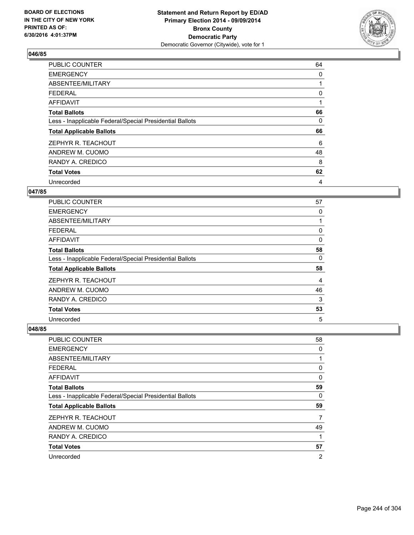

| PUBLIC COUNTER                                           | 64 |
|----------------------------------------------------------|----|
| <b>EMERGENCY</b>                                         | 0  |
| ABSENTEE/MILITARY                                        |    |
| <b>FEDERAL</b>                                           | 0  |
| <b>AFFIDAVIT</b>                                         | 1  |
| <b>Total Ballots</b>                                     | 66 |
| Less - Inapplicable Federal/Special Presidential Ballots | 0  |
| <b>Total Applicable Ballots</b>                          | 66 |
| ZEPHYR R. TEACHOUT                                       | 6  |
| ANDREW M. CUOMO                                          | 48 |
| RANDY A. CREDICO                                         | 8  |
| <b>Total Votes</b>                                       | 62 |
| Unrecorded                                               | 4  |

### **047/85**

| <b>PUBLIC COUNTER</b>                                    | 57 |
|----------------------------------------------------------|----|
| <b>EMERGENCY</b>                                         | 0  |
| ABSENTEE/MILITARY                                        |    |
| <b>FEDERAL</b>                                           | 0  |
| <b>AFFIDAVIT</b>                                         | 0  |
| <b>Total Ballots</b>                                     | 58 |
| Less - Inapplicable Federal/Special Presidential Ballots | 0  |
| <b>Total Applicable Ballots</b>                          | 58 |
| ZEPHYR R. TEACHOUT                                       | 4  |
| ANDREW M. CUOMO                                          | 46 |
| RANDY A. CREDICO                                         | 3  |
| <b>Total Votes</b>                                       | 53 |
| Unrecorded                                               | 5  |

| <b>PUBLIC COUNTER</b>                                    | 58             |
|----------------------------------------------------------|----------------|
| <b>EMERGENCY</b>                                         | 0              |
| ABSENTEE/MILITARY                                        | 1              |
| <b>FEDERAL</b>                                           | 0              |
| AFFIDAVIT                                                | 0              |
| <b>Total Ballots</b>                                     | 59             |
| Less - Inapplicable Federal/Special Presidential Ballots | 0              |
| <b>Total Applicable Ballots</b>                          | 59             |
| ZEPHYR R. TEACHOUT                                       | 7              |
| ANDREW M. CUOMO                                          | 49             |
| RANDY A. CREDICO                                         | 1              |
| <b>Total Votes</b>                                       | 57             |
| Unrecorded                                               | $\overline{2}$ |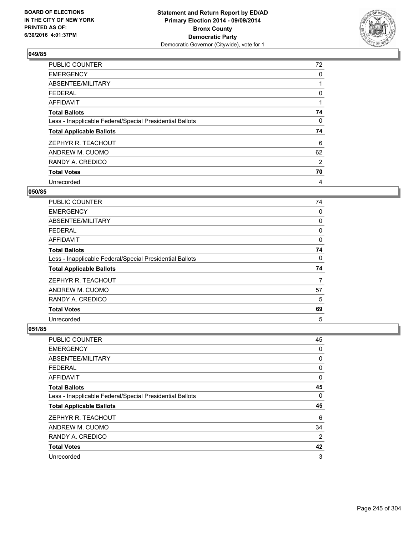

| PUBLIC COUNTER                                           | 72 |
|----------------------------------------------------------|----|
| <b>EMERGENCY</b>                                         | 0  |
| ABSENTEE/MILITARY                                        |    |
| <b>FEDERAL</b>                                           | 0  |
| AFFIDAVIT                                                | 1  |
| <b>Total Ballots</b>                                     | 74 |
| Less - Inapplicable Federal/Special Presidential Ballots | 0  |
| <b>Total Applicable Ballots</b>                          | 74 |
| ZEPHYR R. TEACHOUT                                       | 6  |
| ANDREW M. CUOMO                                          | 62 |
| RANDY A. CREDICO                                         | 2  |
| <b>Total Votes</b>                                       | 70 |
| Unrecorded                                               | 4  |

### **050/85**

| <b>PUBLIC COUNTER</b>                                    | 74 |
|----------------------------------------------------------|----|
| <b>EMERGENCY</b>                                         | 0  |
| ABSENTEE/MILITARY                                        | 0  |
| <b>FEDERAL</b>                                           | 0  |
| <b>AFFIDAVIT</b>                                         | 0  |
| <b>Total Ballots</b>                                     | 74 |
| Less - Inapplicable Federal/Special Presidential Ballots | 0  |
| <b>Total Applicable Ballots</b>                          | 74 |
| ZEPHYR R. TEACHOUT                                       | 7  |
| ANDREW M. CUOMO                                          | 57 |
| RANDY A. CREDICO                                         | 5  |
| <b>Total Votes</b>                                       | 69 |
| Unrecorded                                               | 5  |

| <b>PUBLIC COUNTER</b>                                    | 45 |
|----------------------------------------------------------|----|
| <b>EMERGENCY</b>                                         | 0  |
| ABSENTEE/MILITARY                                        | 0  |
| <b>FEDERAL</b>                                           | 0  |
| AFFIDAVIT                                                | 0  |
| <b>Total Ballots</b>                                     | 45 |
| Less - Inapplicable Federal/Special Presidential Ballots | 0  |
| <b>Total Applicable Ballots</b>                          | 45 |
| ZEPHYR R. TEACHOUT                                       | 6  |
| ANDREW M. CUOMO                                          | 34 |
| RANDY A. CREDICO                                         | 2  |
| <b>Total Votes</b>                                       | 42 |
| Unrecorded                                               | 3  |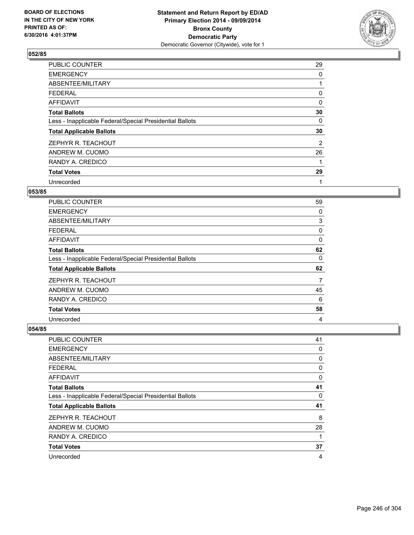

| PUBLIC COUNTER                                           | 29 |
|----------------------------------------------------------|----|
| <b>EMERGENCY</b>                                         | 0  |
| ABSENTEE/MILITARY                                        |    |
| <b>FEDERAL</b>                                           | 0  |
| <b>AFFIDAVIT</b>                                         | 0  |
| <b>Total Ballots</b>                                     | 30 |
| Less - Inapplicable Federal/Special Presidential Ballots | 0  |
| <b>Total Applicable Ballots</b>                          | 30 |
| ZEPHYR R. TEACHOUT                                       | 2  |
| ANDREW M. CUOMO                                          | 26 |
| RANDY A. CREDICO                                         | 1  |
| <b>Total Votes</b>                                       | 29 |
| Unrecorded                                               | 1  |

# **053/85**

| <b>PUBLIC COUNTER</b>                                    | 59 |
|----------------------------------------------------------|----|
| <b>EMERGENCY</b>                                         | 0  |
| ABSENTEE/MILITARY                                        | 3  |
| <b>FEDERAL</b>                                           | 0  |
| AFFIDAVIT                                                | 0  |
| <b>Total Ballots</b>                                     | 62 |
| Less - Inapplicable Federal/Special Presidential Ballots | 0  |
| <b>Total Applicable Ballots</b>                          | 62 |
| ZEPHYR R. TEACHOUT                                       | 7  |
| ANDREW M. CUOMO                                          | 45 |
| RANDY A. CREDICO                                         | 6  |
| <b>Total Votes</b>                                       | 58 |
| Unrecorded                                               | 4  |

| PUBLIC COUNTER                                           | 41 |
|----------------------------------------------------------|----|
| <b>EMERGENCY</b>                                         | 0  |
| ABSENTEE/MILITARY                                        | 0  |
| FEDERAL                                                  | 0  |
| <b>AFFIDAVIT</b>                                         | 0  |
| <b>Total Ballots</b>                                     | 41 |
| Less - Inapplicable Federal/Special Presidential Ballots | 0  |
| <b>Total Applicable Ballots</b>                          | 41 |
| ZEPHYR R. TEACHOUT                                       | 8  |
| ANDREW M. CUOMO                                          | 28 |
| RANDY A. CREDICO                                         | 1  |
| <b>Total Votes</b>                                       | 37 |
| Unrecorded                                               | 4  |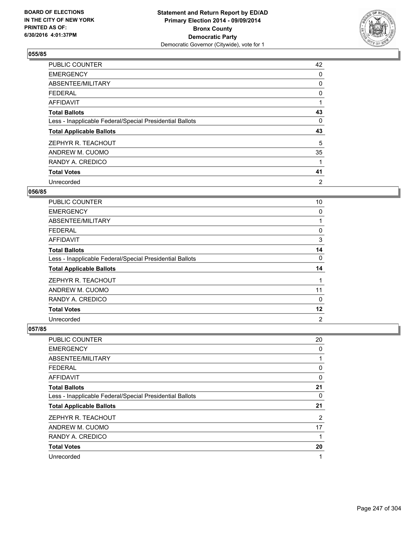

| PUBLIC COUNTER                                           | 42             |
|----------------------------------------------------------|----------------|
| <b>EMERGENCY</b>                                         | 0              |
| ABSENTEE/MILITARY                                        | 0              |
| <b>FEDERAL</b>                                           | 0              |
| AFFIDAVIT                                                |                |
| <b>Total Ballots</b>                                     | 43             |
| Less - Inapplicable Federal/Special Presidential Ballots | 0              |
| <b>Total Applicable Ballots</b>                          | 43             |
| ZEPHYR R. TEACHOUT                                       | 5              |
| ANDREW M. CUOMO                                          | 35             |
| RANDY A. CREDICO                                         | 1              |
| <b>Total Votes</b>                                       | 41             |
| Unrecorded                                               | $\overline{2}$ |

## **056/85**

| <b>PUBLIC COUNTER</b>                                    | 10             |
|----------------------------------------------------------|----------------|
| <b>EMERGENCY</b>                                         | 0              |
| ABSENTEE/MILITARY                                        |                |
| <b>FEDERAL</b>                                           | 0              |
| AFFIDAVIT                                                | 3              |
| <b>Total Ballots</b>                                     | 14             |
| Less - Inapplicable Federal/Special Presidential Ballots | 0              |
| <b>Total Applicable Ballots</b>                          | 14             |
| ZEPHYR R. TEACHOUT                                       |                |
| ANDREW M. CUOMO                                          | 11             |
| RANDY A. CREDICO                                         | $\Omega$       |
| <b>Total Votes</b>                                       | 12             |
| Unrecorded                                               | $\overline{2}$ |

| <b>PUBLIC COUNTER</b>                                    | 20 |
|----------------------------------------------------------|----|
| <b>EMERGENCY</b>                                         | 0  |
| ABSENTEE/MILITARY                                        |    |
| <b>FEDERAL</b>                                           | 0  |
| AFFIDAVIT                                                | 0  |
| <b>Total Ballots</b>                                     | 21 |
| Less - Inapplicable Federal/Special Presidential Ballots | 0  |
| <b>Total Applicable Ballots</b>                          | 21 |
| ZEPHYR R. TEACHOUT                                       | 2  |
| ANDREW M. CUOMO                                          | 17 |
| RANDY A. CREDICO                                         | 1  |
| <b>Total Votes</b>                                       | 20 |
| Unrecorded                                               | 1  |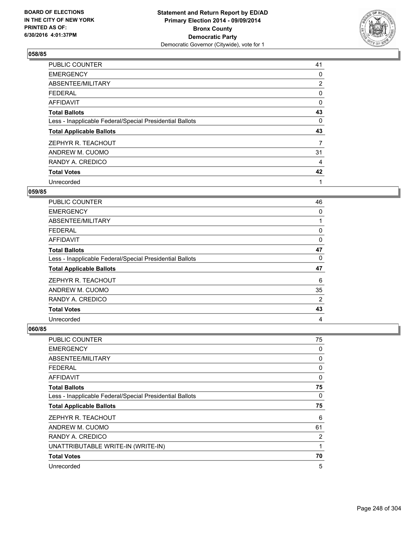

| PUBLIC COUNTER                                           | 41             |
|----------------------------------------------------------|----------------|
| <b>EMERGENCY</b>                                         | 0              |
| ABSENTEE/MILITARY                                        | $\overline{2}$ |
| <b>FEDERAL</b>                                           | 0              |
| <b>AFFIDAVIT</b>                                         | 0              |
| <b>Total Ballots</b>                                     | 43             |
| Less - Inapplicable Federal/Special Presidential Ballots | 0              |
| <b>Total Applicable Ballots</b>                          | 43             |
| ZEPHYR R. TEACHOUT                                       | 7              |
| ANDREW M. CUOMO                                          | 31             |
| RANDY A. CREDICO                                         | 4              |
| <b>Total Votes</b>                                       | 42             |
| Unrecorded                                               | 1              |

### **059/85**

| <b>PUBLIC COUNTER</b>                                    | 46 |
|----------------------------------------------------------|----|
| <b>EMERGENCY</b>                                         | 0  |
| ABSENTEE/MILITARY                                        |    |
| <b>FEDERAL</b>                                           | 0  |
| AFFIDAVIT                                                | 0  |
| <b>Total Ballots</b>                                     | 47 |
| Less - Inapplicable Federal/Special Presidential Ballots | 0  |
| <b>Total Applicable Ballots</b>                          | 47 |
| ZEPHYR R. TEACHOUT                                       | 6  |
| ANDREW M. CUOMO                                          | 35 |
| RANDY A. CREDICO                                         | 2  |
| <b>Total Votes</b>                                       | 43 |
| Unrecorded                                               | 4  |

| <b>PUBLIC COUNTER</b>                                    | 75 |
|----------------------------------------------------------|----|
| <b>EMERGENCY</b>                                         | 0  |
| ABSENTEE/MILITARY                                        | 0  |
| <b>FEDERAL</b>                                           | 0  |
| AFFIDAVIT                                                | 0  |
| <b>Total Ballots</b>                                     | 75 |
| Less - Inapplicable Federal/Special Presidential Ballots | 0  |
| <b>Total Applicable Ballots</b>                          | 75 |
| ZEPHYR R. TEACHOUT                                       | 6  |
| ANDREW M. CUOMO                                          | 61 |
| RANDY A. CREDICO                                         | 2  |
| UNATTRIBUTABLE WRITE-IN (WRITE-IN)                       | 1  |
| <b>Total Votes</b>                                       | 70 |
| Unrecorded                                               | 5  |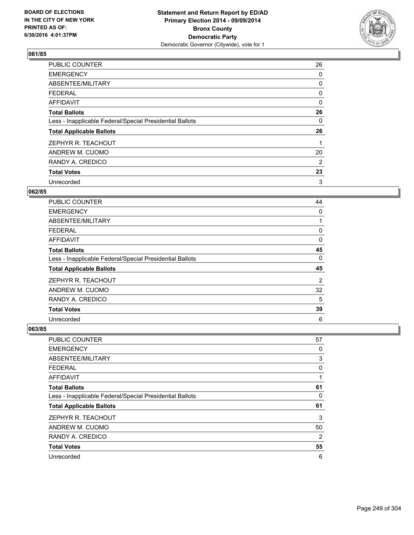

| <b>PUBLIC COUNTER</b>                                    | 26       |
|----------------------------------------------------------|----------|
| <b>EMERGENCY</b>                                         | 0        |
| ABSENTEE/MILITARY                                        | 0        |
| <b>FEDERAL</b>                                           | 0        |
| AFFIDAVIT                                                | $\Omega$ |
| <b>Total Ballots</b>                                     | 26       |
| Less - Inapplicable Federal/Special Presidential Ballots | 0        |
| <b>Total Applicable Ballots</b>                          | 26       |
| ZEPHYR R. TEACHOUT                                       |          |
| ANDREW M. CUOMO                                          | 20       |
| RANDY A. CREDICO                                         | 2        |
| <b>Total Votes</b>                                       | 23       |
| Unrecorded                                               | 3        |

#### **062/85**

| <b>PUBLIC COUNTER</b>                                    | 44 |
|----------------------------------------------------------|----|
| <b>EMERGENCY</b>                                         | 0  |
| ABSENTEE/MILITARY                                        |    |
| <b>FEDERAL</b>                                           | 0  |
| <b>AFFIDAVIT</b>                                         | 0  |
| <b>Total Ballots</b>                                     | 45 |
| Less - Inapplicable Federal/Special Presidential Ballots | 0  |
| <b>Total Applicable Ballots</b>                          | 45 |
| ZEPHYR R. TEACHOUT                                       | 2  |
| ANDREW M. CUOMO                                          | 32 |
| RANDY A. CREDICO                                         | 5  |
| <b>Total Votes</b>                                       | 39 |
| Unrecorded                                               | 6  |

| <b>PUBLIC COUNTER</b>                                    | 57 |
|----------------------------------------------------------|----|
| <b>EMERGENCY</b>                                         | 0  |
| ABSENTEE/MILITARY                                        | 3  |
| <b>FEDERAL</b>                                           | 0  |
| AFFIDAVIT                                                | 1  |
| <b>Total Ballots</b>                                     | 61 |
| Less - Inapplicable Federal/Special Presidential Ballots | 0  |
| <b>Total Applicable Ballots</b>                          | 61 |
| ZEPHYR R. TEACHOUT                                       | 3  |
| ANDREW M. CUOMO                                          | 50 |
| RANDY A. CREDICO                                         | 2  |
| <b>Total Votes</b>                                       | 55 |
| Unrecorded                                               | 6  |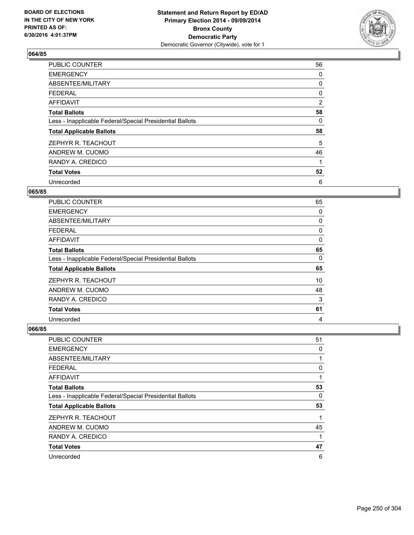

| PUBLIC COUNTER                                           | 56 |
|----------------------------------------------------------|----|
| <b>EMERGENCY</b>                                         | 0  |
| ABSENTEE/MILITARY                                        | 0  |
| <b>FEDERAL</b>                                           | 0  |
| AFFIDAVIT                                                | 2  |
| <b>Total Ballots</b>                                     | 58 |
| Less - Inapplicable Federal/Special Presidential Ballots | 0  |
| <b>Total Applicable Ballots</b>                          | 58 |
| ZEPHYR R. TEACHOUT                                       | 5  |
| ANDREW M. CUOMO                                          | 46 |
| RANDY A. CREDICO                                         | 1  |
| <b>Total Votes</b>                                       | 52 |
| Unrecorded                                               | 6  |

#### **065/85**

| <b>PUBLIC COUNTER</b>                                    | 65 |
|----------------------------------------------------------|----|
| <b>EMERGENCY</b>                                         | 0  |
| ABSENTEE/MILITARY                                        | 0  |
| <b>FEDERAL</b>                                           | 0  |
| AFFIDAVIT                                                | 0  |
| <b>Total Ballots</b>                                     | 65 |
| Less - Inapplicable Federal/Special Presidential Ballots | 0  |
| <b>Total Applicable Ballots</b>                          | 65 |
| ZEPHYR R. TEACHOUT                                       | 10 |
| ANDREW M. CUOMO                                          | 48 |
| RANDY A. CREDICO                                         | 3  |
| <b>Total Votes</b>                                       | 61 |
| Unrecorded                                               | 4  |

| <b>PUBLIC COUNTER</b>                                    | 51 |
|----------------------------------------------------------|----|
| <b>EMERGENCY</b>                                         | 0  |
| ABSENTEE/MILITARY                                        |    |
| <b>FEDERAL</b>                                           | 0  |
| AFFIDAVIT                                                |    |
| <b>Total Ballots</b>                                     | 53 |
| Less - Inapplicable Federal/Special Presidential Ballots | 0  |
| <b>Total Applicable Ballots</b>                          | 53 |
| ZEPHYR R. TEACHOUT                                       | 1  |
| ANDREW M. CUOMO                                          | 45 |
| RANDY A. CREDICO                                         | 1  |
| <b>Total Votes</b>                                       | 47 |
| Unrecorded                                               | 6  |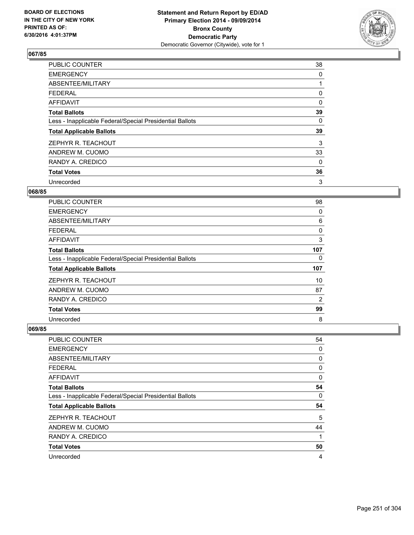

| <b>PUBLIC COUNTER</b>                                    | 38       |
|----------------------------------------------------------|----------|
| <b>EMERGENCY</b>                                         | 0        |
| ABSENTEE/MILITARY                                        |          |
| <b>FEDERAL</b>                                           | 0        |
| AFFIDAVIT                                                | $\Omega$ |
| <b>Total Ballots</b>                                     | 39       |
| Less - Inapplicable Federal/Special Presidential Ballots | 0        |
| <b>Total Applicable Ballots</b>                          | 39       |
| ZEPHYR R. TEACHOUT                                       | 3        |
| ANDREW M. CUOMO                                          | 33       |
| RANDY A. CREDICO                                         | 0        |
| <b>Total Votes</b>                                       | 36       |
| Unrecorded                                               | 3        |

# **068/85**

| <b>PUBLIC COUNTER</b>                                    | 98             |
|----------------------------------------------------------|----------------|
| <b>EMERGENCY</b>                                         | 0              |
| ABSENTEE/MILITARY                                        | 6              |
| <b>FEDERAL</b>                                           | 0              |
| <b>AFFIDAVIT</b>                                         | 3              |
| <b>Total Ballots</b>                                     | 107            |
| Less - Inapplicable Federal/Special Presidential Ballots | 0              |
| <b>Total Applicable Ballots</b>                          | 107            |
| ZEPHYR R. TEACHOUT                                       | 10             |
| ANDREW M. CUOMO                                          | 87             |
| RANDY A. CREDICO                                         | $\overline{2}$ |
| <b>Total Votes</b>                                       | 99             |
| Unrecorded                                               | 8              |

| <b>PUBLIC COUNTER</b>                                    | 54 |
|----------------------------------------------------------|----|
| <b>EMERGENCY</b>                                         | 0  |
| ABSENTEE/MILITARY                                        | 0  |
| <b>FEDERAL</b>                                           | 0  |
| AFFIDAVIT                                                | 0  |
| <b>Total Ballots</b>                                     | 54 |
| Less - Inapplicable Federal/Special Presidential Ballots | 0  |
| <b>Total Applicable Ballots</b>                          | 54 |
| ZEPHYR R. TEACHOUT                                       | 5  |
| ANDREW M. CUOMO                                          | 44 |
| RANDY A. CREDICO                                         | 1  |
| <b>Total Votes</b>                                       | 50 |
| Unrecorded                                               | 4  |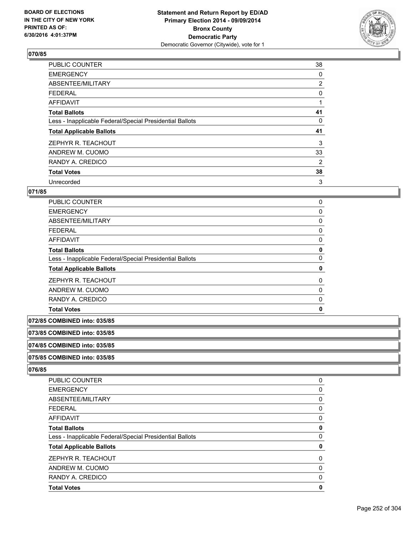

| <b>PUBLIC COUNTER</b>                                    | 38             |
|----------------------------------------------------------|----------------|
| <b>EMERGENCY</b>                                         | 0              |
| ABSENTEE/MILITARY                                        | $\overline{2}$ |
| <b>FEDERAL</b>                                           | 0              |
| AFFIDAVIT                                                | 1              |
| <b>Total Ballots</b>                                     | 41             |
| Less - Inapplicable Federal/Special Presidential Ballots | 0              |
| <b>Total Applicable Ballots</b>                          | 41             |
| ZEPHYR R. TEACHOUT                                       | 3              |
| ANDREW M. CUOMO                                          | 33             |
| RANDY A. CREDICO                                         | 2              |
| <b>Total Votes</b>                                       | 38             |
| Unrecorded                                               | 3              |

# **071/85**

| PUBLIC COUNTER                                           | 0           |
|----------------------------------------------------------|-------------|
|                                                          |             |
| <b>EMERGENCY</b>                                         | 0           |
| ABSENTEE/MILITARY                                        | 0           |
| <b>FEDERAL</b>                                           | 0           |
| AFFIDAVIT                                                | 0           |
| <b>Total Ballots</b>                                     | 0           |
| Less - Inapplicable Federal/Special Presidential Ballots | 0           |
| <b>Total Applicable Ballots</b>                          | 0           |
| ZEPHYR R. TEACHOUT                                       | 0           |
| ANDREW M. CUOMO                                          | 0           |
| RANDY A. CREDICO                                         | 0           |
| <b>Total Votes</b>                                       | $\mathbf 0$ |

**072/85 COMBINED into: 035/85**

**073/85 COMBINED into: 035/85**

**074/85 COMBINED into: 035/85**

**075/85 COMBINED into: 035/85**

| <b>PUBLIC COUNTER</b>                                    | 0 |
|----------------------------------------------------------|---|
| <b>EMERGENCY</b>                                         | 0 |
| ABSENTEE/MILITARY                                        | 0 |
| <b>FEDERAL</b>                                           | 0 |
| AFFIDAVIT                                                | 0 |
| <b>Total Ballots</b>                                     | 0 |
| Less - Inapplicable Federal/Special Presidential Ballots | 0 |
| <b>Total Applicable Ballots</b>                          | 0 |
| ZEPHYR R. TEACHOUT                                       | 0 |
| ANDREW M. CUOMO                                          | 0 |
| RANDY A. CREDICO                                         | 0 |
| <b>Total Votes</b>                                       | 0 |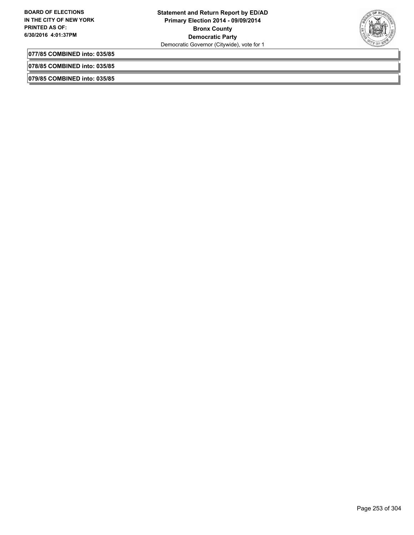

**077/85 COMBINED into: 035/85**

**078/85 COMBINED into: 035/85**

**079/85 COMBINED into: 035/85**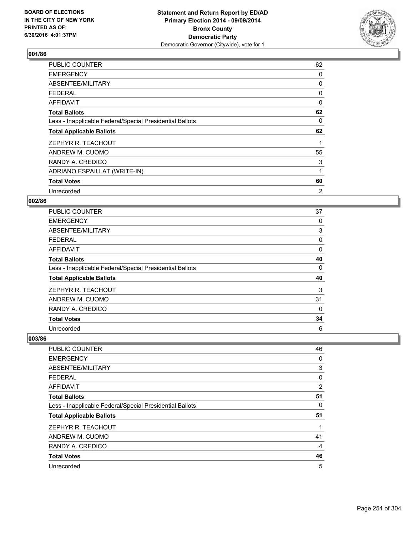

| <b>PUBLIC COUNTER</b>                                    | 62 |
|----------------------------------------------------------|----|
| <b>EMERGENCY</b>                                         | 0  |
| ABSENTEE/MILITARY                                        | 0  |
| <b>FEDERAL</b>                                           | 0  |
| <b>AFFIDAVIT</b>                                         | 0  |
| <b>Total Ballots</b>                                     | 62 |
| Less - Inapplicable Federal/Special Presidential Ballots | 0  |
| <b>Total Applicable Ballots</b>                          | 62 |
| ZEPHYR R. TEACHOUT                                       |    |
| ANDREW M. CUOMO                                          | 55 |
| RANDY A. CREDICO                                         | 3  |
| ADRIANO ESPAILLAT (WRITE-IN)                             | 1  |
| <b>Total Votes</b>                                       | 60 |
| Unrecorded                                               | 2  |

### **002/86**

| <b>PUBLIC COUNTER</b>                                    | 37 |
|----------------------------------------------------------|----|
| <b>EMERGENCY</b>                                         | 0  |
| ABSENTEE/MILITARY                                        | 3  |
| <b>FEDERAL</b>                                           | 0  |
| AFFIDAVIT                                                | 0  |
| <b>Total Ballots</b>                                     | 40 |
| Less - Inapplicable Federal/Special Presidential Ballots | 0  |
| <b>Total Applicable Ballots</b>                          | 40 |
| ZEPHYR R. TEACHOUT                                       | 3  |
| ANDREW M. CUOMO                                          | 31 |
| RANDY A. CREDICO                                         | 0  |
| <b>Total Votes</b>                                       | 34 |
| Unrecorded                                               | 6  |

| PUBLIC COUNTER                                           | 46             |
|----------------------------------------------------------|----------------|
| <b>EMERGENCY</b>                                         | 0              |
| ABSENTEE/MILITARY                                        | 3              |
| <b>FEDERAL</b>                                           | 0              |
| AFFIDAVIT                                                | $\overline{2}$ |
| <b>Total Ballots</b>                                     | 51             |
| Less - Inapplicable Federal/Special Presidential Ballots | 0              |
| <b>Total Applicable Ballots</b>                          | 51             |
| ZEPHYR R. TEACHOUT                                       |                |
| ANDREW M. CUOMO                                          | 41             |
| RANDY A. CREDICO                                         | 4              |
| <b>Total Votes</b>                                       | 46             |
| Unrecorded                                               | 5              |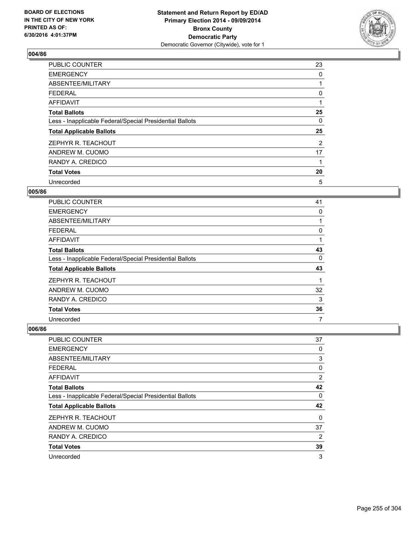

| PUBLIC COUNTER                                           | 23 |
|----------------------------------------------------------|----|
| <b>EMERGENCY</b>                                         | 0  |
| ABSENTEE/MILITARY                                        |    |
| <b>FEDERAL</b>                                           | 0  |
| AFFIDAVIT                                                |    |
| <b>Total Ballots</b>                                     | 25 |
| Less - Inapplicable Federal/Special Presidential Ballots | 0  |
| <b>Total Applicable Ballots</b>                          | 25 |
| ZEPHYR R. TEACHOUT                                       | 2  |
| ANDREW M. CUOMO                                          | 17 |
| RANDY A. CREDICO                                         | 1  |
| <b>Total Votes</b>                                       | 20 |
| Unrecorded                                               | 5  |

#### **005/86**

| <b>PUBLIC COUNTER</b>                                    | 41 |
|----------------------------------------------------------|----|
| <b>EMERGENCY</b>                                         | 0  |
| ABSENTEE/MILITARY                                        |    |
| <b>FEDERAL</b>                                           | 0  |
| AFFIDAVIT                                                |    |
| <b>Total Ballots</b>                                     | 43 |
| Less - Inapplicable Federal/Special Presidential Ballots | 0  |
| <b>Total Applicable Ballots</b>                          | 43 |
| ZEPHYR R. TEACHOUT                                       |    |
| ANDREW M. CUOMO                                          | 32 |
| RANDY A. CREDICO                                         | 3  |
| <b>Total Votes</b>                                       | 36 |
| Unrecorded                                               | 7  |

| <b>PUBLIC COUNTER</b>                                    | 37 |
|----------------------------------------------------------|----|
| <b>EMERGENCY</b>                                         | 0  |
| ABSENTEE/MILITARY                                        | 3  |
| <b>FEDERAL</b>                                           | 0  |
| AFFIDAVIT                                                | 2  |
| <b>Total Ballots</b>                                     | 42 |
| Less - Inapplicable Federal/Special Presidential Ballots | 0  |
| <b>Total Applicable Ballots</b>                          | 42 |
| ZEPHYR R. TEACHOUT                                       | 0  |
| ANDREW M. CUOMO                                          | 37 |
| RANDY A. CREDICO                                         | 2  |
| <b>Total Votes</b>                                       | 39 |
| Unrecorded                                               | 3  |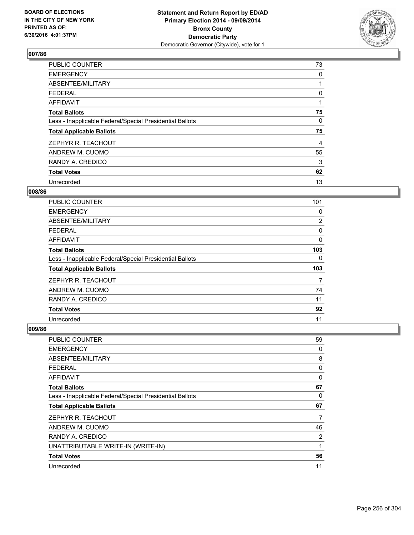

| PUBLIC COUNTER                                           | 73 |
|----------------------------------------------------------|----|
| <b>EMERGENCY</b>                                         | 0  |
| ABSENTEE/MILITARY                                        |    |
| <b>FEDERAL</b>                                           | 0  |
| <b>AFFIDAVIT</b>                                         |    |
| <b>Total Ballots</b>                                     | 75 |
| Less - Inapplicable Federal/Special Presidential Ballots | 0  |
| <b>Total Applicable Ballots</b>                          | 75 |
| ZEPHYR R. TEACHOUT                                       | 4  |
| ANDREW M. CUOMO                                          | 55 |
| RANDY A. CREDICO                                         | 3  |
| <b>Total Votes</b>                                       | 62 |
| Unrecorded                                               | 13 |

### **008/86**

| <b>PUBLIC COUNTER</b>                                    | 101            |
|----------------------------------------------------------|----------------|
| <b>EMERGENCY</b>                                         | 0              |
| ABSENTEE/MILITARY                                        | $\overline{2}$ |
| <b>FEDERAL</b>                                           | 0              |
| AFFIDAVIT                                                | 0              |
| <b>Total Ballots</b>                                     | 103            |
| Less - Inapplicable Federal/Special Presidential Ballots | 0              |
| <b>Total Applicable Ballots</b>                          | 103            |
| ZEPHYR R. TEACHOUT                                       | 7              |
| ANDREW M. CUOMO                                          | 74             |
| RANDY A. CREDICO                                         | 11             |
| <b>Total Votes</b>                                       | 92             |
| Unrecorded                                               | 11             |

| <b>PUBLIC COUNTER</b>                                    | 59 |
|----------------------------------------------------------|----|
| <b>EMERGENCY</b>                                         | 0  |
| ABSENTEE/MILITARY                                        | 8  |
| <b>FEDERAL</b>                                           | 0  |
| AFFIDAVIT                                                | 0  |
| <b>Total Ballots</b>                                     | 67 |
| Less - Inapplicable Federal/Special Presidential Ballots | 0  |
| <b>Total Applicable Ballots</b>                          | 67 |
| ZEPHYR R. TEACHOUT                                       |    |
| ANDREW M. CUOMO                                          | 46 |
| RANDY A. CREDICO                                         | 2  |
| UNATTRIBUTABLE WRITE-IN (WRITE-IN)                       | 1  |
| <b>Total Votes</b>                                       | 56 |
| Unrecorded                                               | 11 |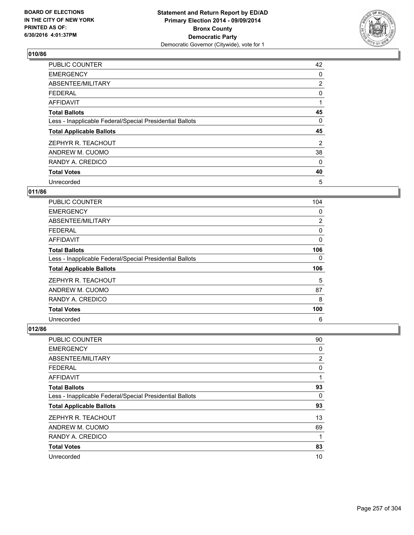

| <b>PUBLIC COUNTER</b>                                    | 42             |
|----------------------------------------------------------|----------------|
| <b>EMERGENCY</b>                                         | 0              |
| ABSENTEE/MILITARY                                        | $\overline{2}$ |
| <b>FEDERAL</b>                                           | 0              |
| <b>AFFIDAVIT</b>                                         |                |
| <b>Total Ballots</b>                                     | 45             |
| Less - Inapplicable Federal/Special Presidential Ballots | 0              |
| <b>Total Applicable Ballots</b>                          | 45             |
| ZEPHYR R. TEACHOUT                                       | 2              |
| ANDREW M. CUOMO                                          | 38             |
| RANDY A. CREDICO                                         | 0              |
| <b>Total Votes</b>                                       | 40             |
| Unrecorded                                               | 5              |

## **011/86**

| <b>PUBLIC COUNTER</b>                                    | 104            |
|----------------------------------------------------------|----------------|
| <b>EMERGENCY</b>                                         | 0              |
| ABSENTEE/MILITARY                                        | $\overline{2}$ |
| <b>FEDERAL</b>                                           | 0              |
| AFFIDAVIT                                                | 0              |
| <b>Total Ballots</b>                                     | 106            |
| Less - Inapplicable Federal/Special Presidential Ballots | 0              |
| <b>Total Applicable Ballots</b>                          | 106            |
| ZEPHYR R. TEACHOUT                                       | 5              |
| ANDREW M. CUOMO                                          | 87             |
| RANDY A. CREDICO                                         | 8              |
| <b>Total Votes</b>                                       | 100            |
| Unrecorded                                               | 6              |

| PUBLIC COUNTER                                           | 90 |
|----------------------------------------------------------|----|
| <b>EMERGENCY</b>                                         | 0  |
| ABSENTEE/MILITARY                                        | 2  |
| <b>FEDERAL</b>                                           | 0  |
| AFFIDAVIT                                                | 1  |
| <b>Total Ballots</b>                                     | 93 |
| Less - Inapplicable Federal/Special Presidential Ballots | 0  |
| <b>Total Applicable Ballots</b>                          | 93 |
| ZEPHYR R. TEACHOUT                                       | 13 |
| ANDREW M. CUOMO                                          | 69 |
| RANDY A. CREDICO                                         | 1  |
| <b>Total Votes</b>                                       | 83 |
| Unrecorded                                               | 10 |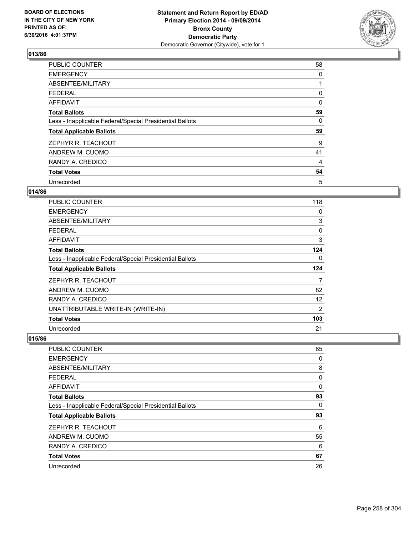

| <b>PUBLIC COUNTER</b>                                    | 58       |
|----------------------------------------------------------|----------|
| <b>EMERGENCY</b>                                         | 0        |
| ABSENTEE/MILITARY                                        |          |
| <b>FEDERAL</b>                                           | 0        |
| <b>AFFIDAVIT</b>                                         | $\Omega$ |
| <b>Total Ballots</b>                                     | 59       |
| Less - Inapplicable Federal/Special Presidential Ballots | 0        |
| <b>Total Applicable Ballots</b>                          | 59       |
| ZEPHYR R. TEACHOUT                                       | 9        |
| ANDREW M. CUOMO                                          | 41       |
| RANDY A. CREDICO                                         | 4        |
| <b>Total Votes</b>                                       | 54       |
| Unrecorded                                               | 5        |

## **014/86**

| <b>PUBLIC COUNTER</b>                                    | 118 |
|----------------------------------------------------------|-----|
| <b>EMERGENCY</b>                                         | 0   |
| ABSENTEE/MILITARY                                        | 3   |
| <b>FEDERAL</b>                                           | 0   |
| AFFIDAVIT                                                | 3   |
| <b>Total Ballots</b>                                     | 124 |
| Less - Inapplicable Federal/Special Presidential Ballots | 0   |
| <b>Total Applicable Ballots</b>                          | 124 |
| ZEPHYR R. TEACHOUT                                       | 7   |
| ANDREW M. CUOMO                                          | 82  |
| RANDY A. CREDICO                                         | 12  |
| UNATTRIBUTABLE WRITE-IN (WRITE-IN)                       | 2   |
| <b>Total Votes</b>                                       | 103 |
| Unrecorded                                               | 21  |

| PUBLIC COUNTER                                           | 85 |
|----------------------------------------------------------|----|
| <b>EMERGENCY</b>                                         | 0  |
| ABSENTEE/MILITARY                                        | 8  |
| <b>FEDERAL</b>                                           | 0  |
| AFFIDAVIT                                                | 0  |
| <b>Total Ballots</b>                                     | 93 |
| Less - Inapplicable Federal/Special Presidential Ballots | 0  |
| <b>Total Applicable Ballots</b>                          | 93 |
| ZEPHYR R. TEACHOUT                                       | 6  |
| ANDREW M. CUOMO                                          | 55 |
| RANDY A. CREDICO                                         | 6  |
| <b>Total Votes</b>                                       | 67 |
| Unrecorded                                               | 26 |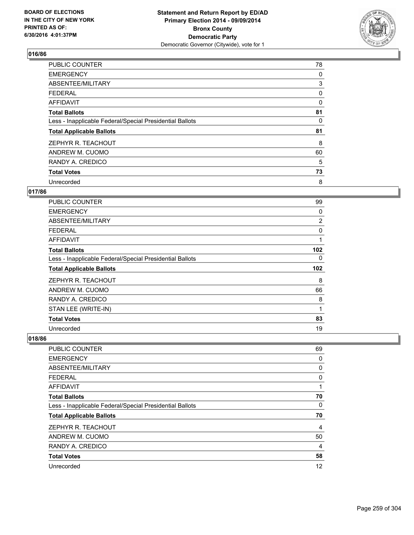

| <b>PUBLIC COUNTER</b>                                    | 78 |
|----------------------------------------------------------|----|
| <b>EMERGENCY</b>                                         | 0  |
| ABSENTEE/MILITARY                                        | 3  |
| <b>FEDERAL</b>                                           | 0  |
| AFFIDAVIT                                                | 0  |
| <b>Total Ballots</b>                                     | 81 |
| Less - Inapplicable Federal/Special Presidential Ballots | 0  |
| <b>Total Applicable Ballots</b>                          | 81 |
| ZEPHYR R. TEACHOUT                                       | 8  |
| ANDREW M. CUOMO                                          | 60 |
| RANDY A. CREDICO                                         | 5  |
| <b>Total Votes</b>                                       | 73 |
| Unrecorded                                               | 8  |

# **017/86**

| PUBLIC COUNTER                                           | 99           |
|----------------------------------------------------------|--------------|
| EMERGENCY                                                | 0            |
| ABSENTEE/MILITARY                                        | 2            |
| FEDERAL                                                  | 0            |
| AFFIDAVIT                                                | 1            |
| <b>Total Ballots</b>                                     | 102          |
| Less - Inapplicable Federal/Special Presidential Ballots | 0            |
| <b>Total Applicable Ballots</b>                          | 102          |
| ZEPHYR R. TEACHOUT                                       | 8            |
| ANDREW M. CUOMO                                          | 66           |
| RANDY A. CREDICO                                         | 8            |
| STAN LEE (WRITE-IN)                                      | $\mathbf{1}$ |
| <b>Total Votes</b>                                       | 83           |
| Unrecorded                                               | 19           |

| PUBLIC COUNTER                                           | 69             |
|----------------------------------------------------------|----------------|
| <b>EMERGENCY</b>                                         | 0              |
| ABSENTEE/MILITARY                                        | 0              |
| <b>FEDERAL</b>                                           | 0              |
| <b>AFFIDAVIT</b>                                         | 1              |
| <b>Total Ballots</b>                                     | 70             |
| Less - Inapplicable Federal/Special Presidential Ballots | 0              |
| <b>Total Applicable Ballots</b>                          | 70             |
| ZEPHYR R. TEACHOUT                                       | $\overline{4}$ |
| ANDREW M. CUOMO                                          | 50             |
| RANDY A. CREDICO                                         | 4              |
| <b>Total Votes</b>                                       | 58             |
| Unrecorded                                               | 12             |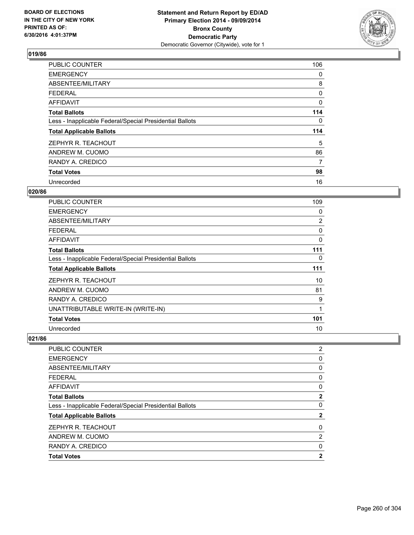

| PUBLIC COUNTER                                           | 106 |
|----------------------------------------------------------|-----|
| <b>EMERGENCY</b>                                         | 0   |
| ABSENTEE/MILITARY                                        | 8   |
| <b>FEDERAL</b>                                           | 0   |
| AFFIDAVIT                                                | 0   |
| <b>Total Ballots</b>                                     | 114 |
| Less - Inapplicable Federal/Special Presidential Ballots | 0   |
| <b>Total Applicable Ballots</b>                          | 114 |
| ZEPHYR R. TEACHOUT                                       | 5   |
| ANDREW M. CUOMO                                          | 86  |
| RANDY A. CREDICO                                         | 7   |
| <b>Total Votes</b>                                       | 98  |
| Unrecorded                                               | 16  |

# **020/86**

| PUBLIC COUNTER                                           | 109 |
|----------------------------------------------------------|-----|
| <b>EMERGENCY</b>                                         | 0   |
| ABSENTEE/MILITARY                                        | 2   |
| <b>FEDERAL</b>                                           | 0   |
| AFFIDAVIT                                                | 0   |
| <b>Total Ballots</b>                                     | 111 |
| Less - Inapplicable Federal/Special Presidential Ballots | 0   |
| <b>Total Applicable Ballots</b>                          | 111 |
| ZEPHYR R. TEACHOUT                                       | 10  |
| ANDREW M. CUOMO                                          | 81  |
| RANDY A. CREDICO                                         | 9   |
| UNATTRIBUTABLE WRITE-IN (WRITE-IN)                       | 1   |
| <b>Total Votes</b>                                       | 101 |
| Unrecorded                                               | 10  |

| PUBLIC COUNTER                                           | $\overline{2}$ |
|----------------------------------------------------------|----------------|
| <b>EMERGENCY</b>                                         | 0              |
| ABSENTEE/MILITARY                                        | 0              |
| <b>FEDERAL</b>                                           | 0              |
| <b>AFFIDAVIT</b>                                         | 0              |
| <b>Total Ballots</b>                                     | $\mathbf{2}$   |
| Less - Inapplicable Federal/Special Presidential Ballots | 0              |
| <b>Total Applicable Ballots</b>                          | $\mathbf{2}$   |
| ZEPHYR R. TEACHOUT                                       | 0              |
| ANDREW M. CUOMO                                          | 2              |
| RANDY A. CREDICO                                         | 0              |
| <b>Total Votes</b>                                       | 2              |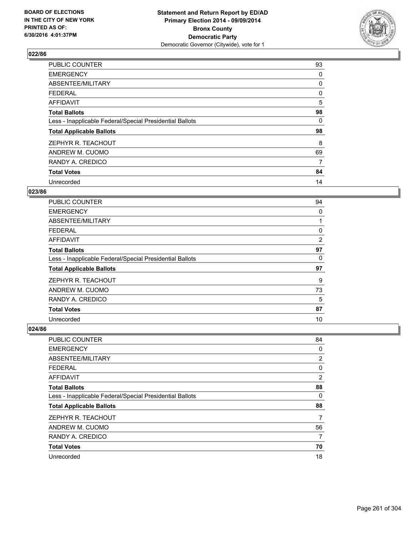

| PUBLIC COUNTER                                           | 93 |
|----------------------------------------------------------|----|
| <b>EMERGENCY</b>                                         | 0  |
| ABSENTEE/MILITARY                                        | 0  |
| <b>FEDERAL</b>                                           | 0  |
| <b>AFFIDAVIT</b>                                         | 5  |
| <b>Total Ballots</b>                                     | 98 |
| Less - Inapplicable Federal/Special Presidential Ballots | 0  |
| <b>Total Applicable Ballots</b>                          | 98 |
| ZEPHYR R. TEACHOUT                                       | 8  |
| ANDREW M. CUOMO                                          | 69 |
| RANDY A. CREDICO                                         | 7  |
| <b>Total Votes</b>                                       | 84 |
| Unrecorded                                               | 14 |

# **023/86**

| <b>PUBLIC COUNTER</b>                                    | 94 |
|----------------------------------------------------------|----|
| <b>EMERGENCY</b>                                         | 0  |
| ABSENTEE/MILITARY                                        |    |
| <b>FEDERAL</b>                                           | 0  |
| AFFIDAVIT                                                | 2  |
| <b>Total Ballots</b>                                     | 97 |
| Less - Inapplicable Federal/Special Presidential Ballots | 0  |
| <b>Total Applicable Ballots</b>                          | 97 |
| ZEPHYR R. TEACHOUT                                       | 9  |
| ANDREW M. CUOMO                                          | 73 |
| RANDY A. CREDICO                                         | 5  |
| <b>Total Votes</b>                                       | 87 |
| Unrecorded                                               | 10 |

| PUBLIC COUNTER                                           | 84 |
|----------------------------------------------------------|----|
| <b>EMERGENCY</b>                                         | 0  |
| ABSENTEE/MILITARY                                        | 2  |
| <b>FEDERAL</b>                                           | 0  |
| <b>AFFIDAVIT</b>                                         | 2  |
| <b>Total Ballots</b>                                     | 88 |
| Less - Inapplicable Federal/Special Presidential Ballots | 0  |
| <b>Total Applicable Ballots</b>                          | 88 |
| ZEPHYR R. TEACHOUT                                       | 7  |
| ANDREW M. CUOMO                                          | 56 |
| RANDY A. CREDICO                                         | 7  |
| <b>Total Votes</b>                                       | 70 |
| Unrecorded                                               | 18 |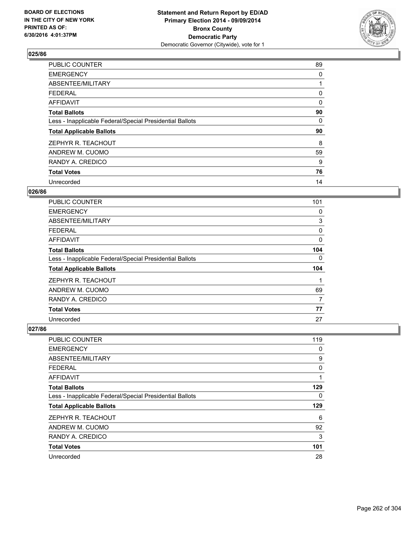

| PUBLIC COUNTER                                           | 89 |
|----------------------------------------------------------|----|
| <b>EMERGENCY</b>                                         | 0  |
| ABSENTEE/MILITARY                                        |    |
| <b>FEDERAL</b>                                           | 0  |
| <b>AFFIDAVIT</b>                                         | 0  |
| <b>Total Ballots</b>                                     | 90 |
| Less - Inapplicable Federal/Special Presidential Ballots | 0  |
| <b>Total Applicable Ballots</b>                          | 90 |
| ZEPHYR R. TEACHOUT                                       | 8  |
| ANDREW M. CUOMO                                          | 59 |
| RANDY A. CREDICO                                         | 9  |
| <b>Total Votes</b>                                       | 76 |
| Unrecorded                                               | 14 |

### **026/86**

| <b>PUBLIC COUNTER</b>                                    | 101 |
|----------------------------------------------------------|-----|
| <b>EMERGENCY</b>                                         | 0   |
| ABSENTEE/MILITARY                                        | 3   |
| <b>FEDERAL</b>                                           | 0   |
| AFFIDAVIT                                                | 0   |
| <b>Total Ballots</b>                                     | 104 |
| Less - Inapplicable Federal/Special Presidential Ballots | 0   |
| <b>Total Applicable Ballots</b>                          | 104 |
| ZEPHYR R. TEACHOUT                                       |     |
| ANDREW M. CUOMO                                          | 69  |
| RANDY A. CREDICO                                         | 7   |
| <b>Total Votes</b>                                       | 77  |
| Unrecorded                                               | 27  |

| PUBLIC COUNTER                                           | 119 |
|----------------------------------------------------------|-----|
| <b>EMERGENCY</b>                                         | 0   |
| ABSENTEE/MILITARY                                        | 9   |
| <b>FEDERAL</b>                                           | 0   |
| AFFIDAVIT                                                | 1   |
| <b>Total Ballots</b>                                     | 129 |
| Less - Inapplicable Federal/Special Presidential Ballots | 0   |
| <b>Total Applicable Ballots</b>                          | 129 |
| ZEPHYR R. TEACHOUT                                       | 6   |
| ANDREW M. CUOMO                                          | 92  |
| RANDY A. CREDICO                                         | 3   |
| <b>Total Votes</b>                                       | 101 |
| Unrecorded                                               | 28  |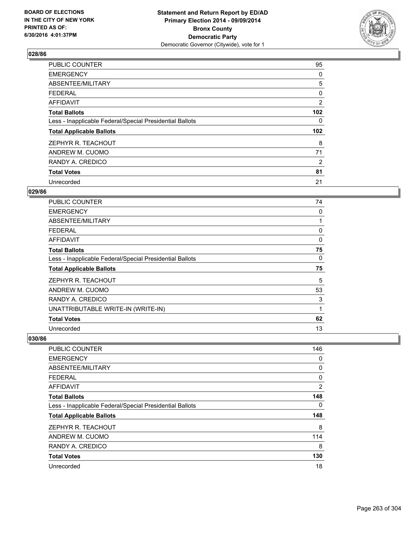

| PUBLIC COUNTER                                           | 95               |
|----------------------------------------------------------|------------------|
| <b>EMERGENCY</b>                                         | 0                |
| ABSENTEE/MILITARY                                        | 5                |
| <b>FEDERAL</b>                                           | 0                |
| AFFIDAVIT                                                | 2                |
| <b>Total Ballots</b>                                     | 102 <sub>2</sub> |
| Less - Inapplicable Federal/Special Presidential Ballots | 0                |
| <b>Total Applicable Ballots</b>                          | 102 <sub>2</sub> |
| ZEPHYR R. TEACHOUT                                       | 8                |
| ANDREW M. CUOMO                                          | 71               |
| RANDY A. CREDICO                                         | 2                |
| <b>Total Votes</b>                                       | 81               |
| Unrecorded                                               | 21               |

# **029/86**

| PUBLIC COUNTER                                           | 74 |
|----------------------------------------------------------|----|
| <b>EMERGENCY</b>                                         | 0  |
| ABSENTEE/MILITARY                                        |    |
| <b>FEDERAL</b>                                           | 0  |
| AFFIDAVIT                                                | 0  |
| <b>Total Ballots</b>                                     | 75 |
| Less - Inapplicable Federal/Special Presidential Ballots | 0  |
| <b>Total Applicable Ballots</b>                          | 75 |
| ZEPHYR R. TEACHOUT                                       | 5  |
| ANDREW M. CUOMO                                          | 53 |
| RANDY A. CREDICO                                         | 3  |
| UNATTRIBUTABLE WRITE-IN (WRITE-IN)                       | 1  |
| <b>Total Votes</b>                                       | 62 |
| Unrecorded                                               | 13 |

| <b>PUBLIC COUNTER</b>                                    | 146 |
|----------------------------------------------------------|-----|
| <b>EMERGENCY</b>                                         | 0   |
| ABSENTEE/MILITARY                                        | 0   |
| FEDERAL                                                  | 0   |
| AFFIDAVIT                                                | 2   |
| <b>Total Ballots</b>                                     | 148 |
| Less - Inapplicable Federal/Special Presidential Ballots | 0   |
| <b>Total Applicable Ballots</b>                          | 148 |
| ZEPHYR R. TEACHOUT                                       | 8   |
| ANDREW M. CUOMO                                          | 114 |
| RANDY A. CREDICO                                         | 8   |
| <b>Total Votes</b>                                       | 130 |
| Unrecorded                                               | 18  |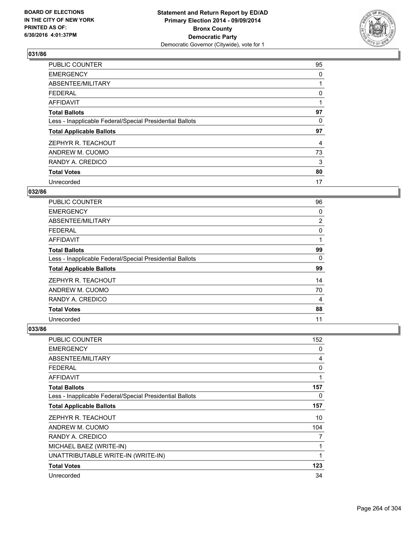

| PUBLIC COUNTER                                           | 95 |
|----------------------------------------------------------|----|
| <b>EMERGENCY</b>                                         | 0  |
| ABSENTEE/MILITARY                                        |    |
| <b>FEDERAL</b>                                           | 0  |
| AFFIDAVIT                                                | 1  |
| <b>Total Ballots</b>                                     | 97 |
| Less - Inapplicable Federal/Special Presidential Ballots | 0  |
| <b>Total Applicable Ballots</b>                          | 97 |
| ZEPHYR R. TEACHOUT                                       | 4  |
| ANDREW M. CUOMO                                          | 73 |
| RANDY A. CREDICO                                         | 3  |
| <b>Total Votes</b>                                       | 80 |
| Unrecorded                                               | 17 |

# **032/86**

| <b>PUBLIC COUNTER</b>                                    | 96             |
|----------------------------------------------------------|----------------|
| <b>EMERGENCY</b>                                         | 0              |
| ABSENTEE/MILITARY                                        | $\overline{2}$ |
| <b>FEDERAL</b>                                           | 0              |
| AFFIDAVIT                                                |                |
| <b>Total Ballots</b>                                     | 99             |
| Less - Inapplicable Federal/Special Presidential Ballots | 0              |
| <b>Total Applicable Ballots</b>                          | 99             |
| ZEPHYR R. TEACHOUT                                       | 14             |
| ANDREW M. CUOMO                                          | 70             |
| RANDY A. CREDICO                                         | 4              |
| <b>Total Votes</b>                                       | 88             |
| Unrecorded                                               | 11             |

| PUBLIC COUNTER                                           | 152 |
|----------------------------------------------------------|-----|
| <b>EMERGENCY</b>                                         | 0   |
| <b>ABSENTEE/MILITARY</b>                                 | 4   |
| <b>FEDERAL</b>                                           | 0   |
| <b>AFFIDAVIT</b>                                         | 1   |
| <b>Total Ballots</b>                                     | 157 |
| Less - Inapplicable Federal/Special Presidential Ballots | 0   |
| <b>Total Applicable Ballots</b>                          | 157 |
| ZEPHYR R. TEACHOUT                                       | 10  |
| ANDREW M. CUOMO                                          | 104 |
| RANDY A. CREDICO                                         | 7   |
| MICHAEL BAEZ (WRITE-IN)                                  | 1   |
| UNATTRIBUTABLE WRITE-IN (WRITE-IN)                       | 1   |
| <b>Total Votes</b>                                       | 123 |
| Unrecorded                                               | 34  |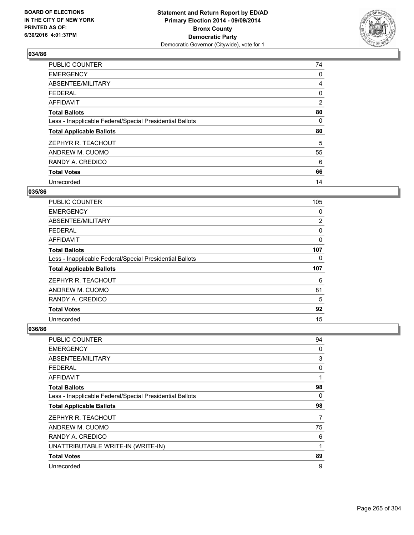

| <b>PUBLIC COUNTER</b>                                    | 74 |
|----------------------------------------------------------|----|
| <b>EMERGENCY</b>                                         | 0  |
| ABSENTEE/MILITARY                                        | 4  |
| <b>FEDERAL</b>                                           | 0  |
| AFFIDAVIT                                                | 2  |
| <b>Total Ballots</b>                                     | 80 |
| Less - Inapplicable Federal/Special Presidential Ballots | 0  |
| <b>Total Applicable Ballots</b>                          | 80 |
| ZEPHYR R. TEACHOUT                                       | 5  |
| ANDREW M. CUOMO                                          | 55 |
| RANDY A. CREDICO                                         | 6  |
| <b>Total Votes</b>                                       | 66 |
| Unrecorded                                               | 14 |

## **035/86**

| <b>PUBLIC COUNTER</b>                                    | 105 |
|----------------------------------------------------------|-----|
| <b>EMERGENCY</b>                                         | 0   |
| ABSENTEE/MILITARY                                        | 2   |
| <b>FEDERAL</b>                                           | 0   |
| AFFIDAVIT                                                | 0   |
| <b>Total Ballots</b>                                     | 107 |
| Less - Inapplicable Federal/Special Presidential Ballots | 0   |
| <b>Total Applicable Ballots</b>                          | 107 |
| ZEPHYR R. TEACHOUT                                       | 6   |
| ANDREW M. CUOMO                                          | 81  |
| RANDY A. CREDICO                                         | 5   |
| <b>Total Votes</b>                                       | 92  |
| Unrecorded                                               | 15  |

| PUBLIC COUNTER                                           | 94 |
|----------------------------------------------------------|----|
| <b>EMERGENCY</b>                                         | 0  |
| ABSENTEE/MILITARY                                        | 3  |
| <b>FEDERAL</b>                                           | 0  |
| AFFIDAVIT                                                | 1  |
| <b>Total Ballots</b>                                     | 98 |
| Less - Inapplicable Federal/Special Presidential Ballots | 0  |
| <b>Total Applicable Ballots</b>                          | 98 |
| ZEPHYR R. TEACHOUT                                       | 7  |
| ANDREW M. CUOMO                                          | 75 |
| RANDY A. CREDICO                                         | 6  |
| UNATTRIBUTABLE WRITE-IN (WRITE-IN)                       | 1  |
| <b>Total Votes</b>                                       | 89 |
| Unrecorded                                               | 9  |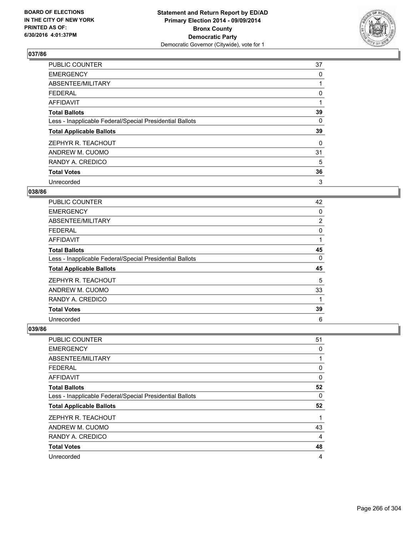

| PUBLIC COUNTER                                           | 37 |
|----------------------------------------------------------|----|
| <b>EMERGENCY</b>                                         | 0  |
| ABSENTEE/MILITARY                                        |    |
| <b>FEDERAL</b>                                           | 0  |
| AFFIDAVIT                                                | 1  |
| <b>Total Ballots</b>                                     | 39 |
| Less - Inapplicable Federal/Special Presidential Ballots | 0  |
| <b>Total Applicable Ballots</b>                          | 39 |
| ZEPHYR R. TEACHOUT                                       | 0  |
| ANDREW M. CUOMO                                          | 31 |
| RANDY A. CREDICO                                         | 5  |
| <b>Total Votes</b>                                       | 36 |
| Unrecorded                                               | 3  |

# **038/86**

| <b>PUBLIC COUNTER</b>                                    | 42             |
|----------------------------------------------------------|----------------|
| <b>EMERGENCY</b>                                         | 0              |
| ABSENTEE/MILITARY                                        | $\overline{2}$ |
| <b>FEDERAL</b>                                           | 0              |
| AFFIDAVIT                                                |                |
| <b>Total Ballots</b>                                     | 45             |
| Less - Inapplicable Federal/Special Presidential Ballots | 0              |
| <b>Total Applicable Ballots</b>                          | 45             |
| ZEPHYR R. TEACHOUT                                       | 5              |
| ANDREW M. CUOMO                                          | 33             |
| RANDY A. CREDICO                                         | 1              |
| <b>Total Votes</b>                                       | 39             |
| Unrecorded                                               | 6              |

| PUBLIC COUNTER                                           | 51 |
|----------------------------------------------------------|----|
| <b>EMERGENCY</b>                                         | 0  |
| ABSENTEE/MILITARY                                        | 1  |
| <b>FEDERAL</b>                                           | 0  |
| <b>AFFIDAVIT</b>                                         | 0  |
| <b>Total Ballots</b>                                     | 52 |
| Less - Inapplicable Federal/Special Presidential Ballots | 0  |
| <b>Total Applicable Ballots</b>                          | 52 |
| ZEPHYR R. TEACHOUT                                       | 1  |
| ANDREW M. CUOMO                                          | 43 |
| RANDY A. CREDICO                                         | 4  |
| <b>Total Votes</b>                                       | 48 |
| Unrecorded                                               | 4  |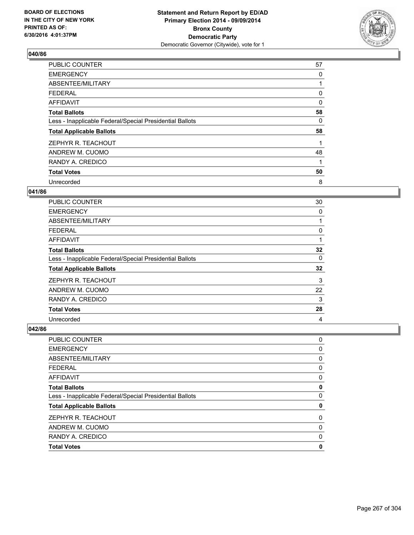

| PUBLIC COUNTER                                           | 57 |
|----------------------------------------------------------|----|
| <b>EMERGENCY</b>                                         | 0  |
| ABSENTEE/MILITARY                                        |    |
| <b>FEDERAL</b>                                           | 0  |
| AFFIDAVIT                                                | 0  |
| <b>Total Ballots</b>                                     | 58 |
| Less - Inapplicable Federal/Special Presidential Ballots | 0  |
| <b>Total Applicable Ballots</b>                          | 58 |
| ZEPHYR R. TEACHOUT                                       |    |
| ANDREW M. CUOMO                                          | 48 |
| RANDY A. CREDICO                                         | 1  |
| <b>Total Votes</b>                                       | 50 |
| Unrecorded                                               | 8  |

#### **041/86**

| <b>PUBLIC COUNTER</b>                                    | 30 |
|----------------------------------------------------------|----|
| <b>EMERGENCY</b>                                         | 0  |
| ABSENTEE/MILITARY                                        |    |
| <b>FEDERAL</b>                                           | 0  |
| <b>AFFIDAVIT</b>                                         |    |
| <b>Total Ballots</b>                                     | 32 |
| Less - Inapplicable Federal/Special Presidential Ballots | 0  |
| <b>Total Applicable Ballots</b>                          | 32 |
| ZEPHYR R. TEACHOUT                                       | 3  |
| ANDREW M. CUOMO                                          | 22 |
| RANDY A. CREDICO                                         | 3  |
| <b>Total Votes</b>                                       | 28 |
| Unrecorded                                               | 4  |

| <b>Total Votes</b>                                       | 0 |
|----------------------------------------------------------|---|
| RANDY A. CREDICO                                         | 0 |
| ANDREW M. CUOMO                                          | 0 |
| ZEPHYR R. TEACHOUT                                       | 0 |
| <b>Total Applicable Ballots</b>                          | 0 |
| Less - Inapplicable Federal/Special Presidential Ballots | 0 |
| <b>Total Ballots</b>                                     | 0 |
| <b>AFFIDAVIT</b>                                         | 0 |
| <b>FEDERAL</b>                                           | 0 |
| ABSENTEE/MILITARY                                        | 0 |
| <b>EMERGENCY</b>                                         | 0 |
| PUBLIC COUNTER                                           | 0 |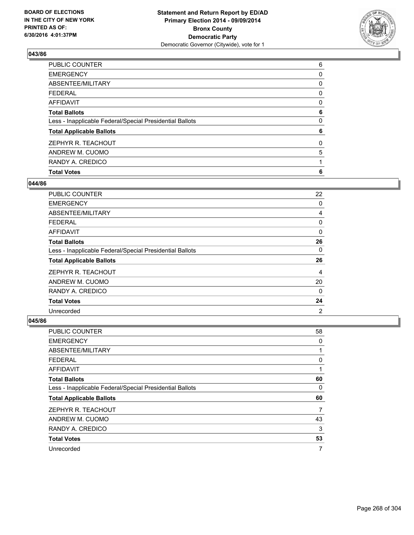

| <b>Total Votes</b>                                       | 6 |
|----------------------------------------------------------|---|
| RANDY A. CREDICO                                         |   |
| ANDREW M. CUOMO                                          | 5 |
| ZEPHYR R. TEACHOUT                                       | 0 |
| <b>Total Applicable Ballots</b>                          | 6 |
| Less - Inapplicable Federal/Special Presidential Ballots | 0 |
| <b>Total Ballots</b>                                     | 6 |
| <b>AFFIDAVIT</b>                                         | 0 |
| <b>FEDERAL</b>                                           | 0 |
| ABSENTEE/MILITARY                                        | 0 |
| <b>EMERGENCY</b>                                         | 0 |
| PUBLIC COUNTER                                           | 6 |

### **044/86**

| <b>PUBLIC COUNTER</b>                                    | 22             |
|----------------------------------------------------------|----------------|
| <b>EMERGENCY</b>                                         | 0              |
| ABSENTEE/MILITARY                                        | 4              |
| <b>FEDERAL</b>                                           | 0              |
| AFFIDAVIT                                                | 0              |
| <b>Total Ballots</b>                                     | 26             |
| Less - Inapplicable Federal/Special Presidential Ballots | 0              |
| <b>Total Applicable Ballots</b>                          | 26             |
| ZEPHYR R. TEACHOUT                                       | 4              |
| ANDREW M. CUOMO                                          | 20             |
| RANDY A. CREDICO                                         | 0              |
| <b>Total Votes</b>                                       | 24             |
| Unrecorded                                               | $\overline{2}$ |

| PUBLIC COUNTER                                           | 58 |
|----------------------------------------------------------|----|
| <b>EMERGENCY</b>                                         | 0  |
| ABSENTEE/MILITARY                                        | 1  |
| <b>FEDERAL</b>                                           | 0  |
| AFFIDAVIT                                                |    |
| <b>Total Ballots</b>                                     | 60 |
| Less - Inapplicable Federal/Special Presidential Ballots | 0  |
| <b>Total Applicable Ballots</b>                          | 60 |
| ZEPHYR R. TEACHOUT                                       | 7  |
| ANDREW M. CUOMO                                          | 43 |
| RANDY A. CREDICO                                         | 3  |
| <b>Total Votes</b>                                       | 53 |
| Unrecorded                                               | 7  |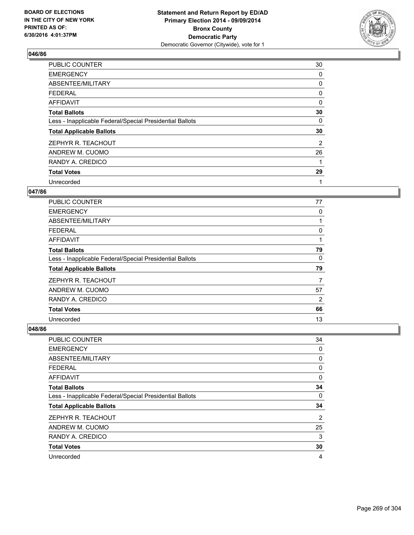

| PUBLIC COUNTER                                           | 30 |
|----------------------------------------------------------|----|
| <b>EMERGENCY</b>                                         | 0  |
| ABSENTEE/MILITARY                                        | 0  |
| <b>FEDERAL</b>                                           | 0  |
| AFFIDAVIT                                                | 0  |
| <b>Total Ballots</b>                                     | 30 |
| Less - Inapplicable Federal/Special Presidential Ballots | 0  |
| <b>Total Applicable Ballots</b>                          | 30 |
| ZEPHYR R. TEACHOUT                                       | 2  |
| ANDREW M. CUOMO                                          | 26 |
| RANDY A. CREDICO                                         | 1  |
| <b>Total Votes</b>                                       | 29 |
| Unrecorded                                               | 1  |

## **047/86**

| <b>PUBLIC COUNTER</b>                                    | 77 |
|----------------------------------------------------------|----|
| <b>EMERGENCY</b>                                         | 0  |
| ABSENTEE/MILITARY                                        |    |
| <b>FEDERAL</b>                                           | 0  |
| AFFIDAVIT                                                |    |
| <b>Total Ballots</b>                                     | 79 |
| Less - Inapplicable Federal/Special Presidential Ballots | 0  |
| <b>Total Applicable Ballots</b>                          | 79 |
| ZEPHYR R. TEACHOUT                                       | 7  |
| ANDREW M. CUOMO                                          | 57 |
| RANDY A. CREDICO                                         | 2  |
| <b>Total Votes</b>                                       | 66 |
| Unrecorded                                               | 13 |

| PUBLIC COUNTER                                           | 34 |
|----------------------------------------------------------|----|
| <b>EMERGENCY</b>                                         | 0  |
| ABSENTEE/MILITARY                                        | 0  |
| <b>FEDERAL</b>                                           | 0  |
| <b>AFFIDAVIT</b>                                         | 0  |
| <b>Total Ballots</b>                                     | 34 |
| Less - Inapplicable Federal/Special Presidential Ballots | 0  |
| <b>Total Applicable Ballots</b>                          | 34 |
| ZEPHYR R. TEACHOUT                                       | 2  |
| ANDREW M. CUOMO                                          | 25 |
| RANDY A. CREDICO                                         | 3  |
| <b>Total Votes</b>                                       | 30 |
| Unrecorded                                               | 4  |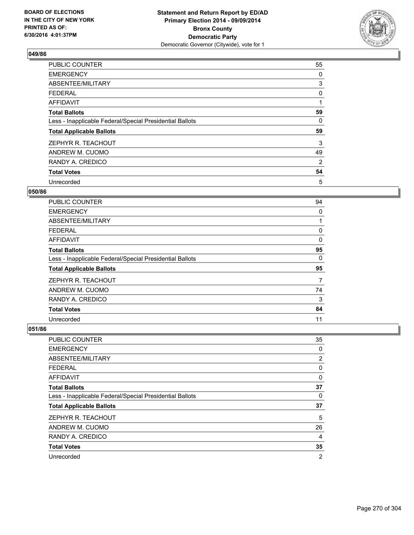

| PUBLIC COUNTER                                           | 55 |
|----------------------------------------------------------|----|
| <b>EMERGENCY</b>                                         | 0  |
| ABSENTEE/MILITARY                                        | 3  |
| <b>FEDERAL</b>                                           | 0  |
| <b>AFFIDAVIT</b>                                         | 1  |
| <b>Total Ballots</b>                                     | 59 |
| Less - Inapplicable Federal/Special Presidential Ballots | 0  |
| <b>Total Applicable Ballots</b>                          | 59 |
| ZEPHYR R. TEACHOUT                                       | 3  |
| ANDREW M. CUOMO                                          | 49 |
| RANDY A. CREDICO                                         | 2  |
| <b>Total Votes</b>                                       | 54 |
| Unrecorded                                               | 5  |

### **050/86**

| <b>PUBLIC COUNTER</b>                                    | 94 |
|----------------------------------------------------------|----|
| <b>EMERGENCY</b>                                         | 0  |
| ABSENTEE/MILITARY                                        |    |
| <b>FEDERAL</b>                                           | 0  |
| AFFIDAVIT                                                | 0  |
| <b>Total Ballots</b>                                     | 95 |
| Less - Inapplicable Federal/Special Presidential Ballots | 0  |
| <b>Total Applicable Ballots</b>                          | 95 |
| ZEPHYR R. TEACHOUT                                       | 7  |
| ANDREW M. CUOMO                                          | 74 |
| RANDY A. CREDICO                                         | 3  |
| <b>Total Votes</b>                                       | 84 |
| Unrecorded                                               | 11 |

| PUBLIC COUNTER                                           | 35             |
|----------------------------------------------------------|----------------|
| <b>EMERGENCY</b>                                         | 0              |
| ABSENTEE/MILITARY                                        | $\overline{2}$ |
| <b>FEDERAL</b>                                           | 0              |
| <b>AFFIDAVIT</b>                                         | 0              |
| <b>Total Ballots</b>                                     | 37             |
| Less - Inapplicable Federal/Special Presidential Ballots | 0              |
| <b>Total Applicable Ballots</b>                          | 37             |
| ZEPHYR R. TEACHOUT                                       | 5              |
| ANDREW M. CUOMO                                          | 26             |
| RANDY A. CREDICO                                         | 4              |
| <b>Total Votes</b>                                       | 35             |
| Unrecorded                                               | $\overline{2}$ |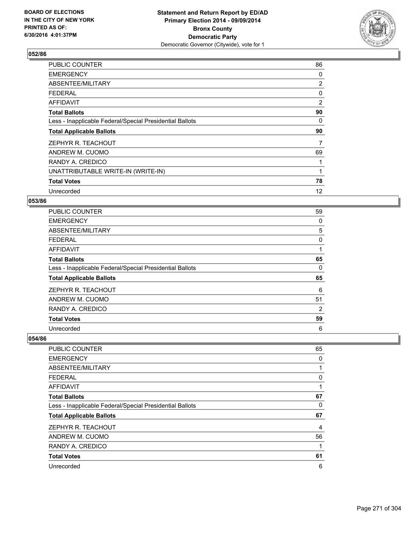

| <b>PUBLIC COUNTER</b>                                    | 86             |
|----------------------------------------------------------|----------------|
| <b>EMERGENCY</b>                                         | 0              |
| ABSENTEE/MILITARY                                        | $\overline{2}$ |
| <b>FEDERAL</b>                                           | 0              |
| AFFIDAVIT                                                | 2              |
| <b>Total Ballots</b>                                     | 90             |
| Less - Inapplicable Federal/Special Presidential Ballots | 0              |
| <b>Total Applicable Ballots</b>                          | 90             |
| ZEPHYR R. TEACHOUT                                       | 7              |
| ANDREW M. CUOMO                                          | 69             |
| RANDY A. CREDICO                                         |                |
| UNATTRIBUTABLE WRITE-IN (WRITE-IN)                       |                |
| <b>Total Votes</b>                                       | 78             |
| Unrecorded                                               | 12             |

### **053/86**

| <b>PUBLIC COUNTER</b>                                    | 59 |
|----------------------------------------------------------|----|
| <b>EMERGENCY</b>                                         | 0  |
| ABSENTEE/MILITARY                                        | 5  |
| <b>FEDERAL</b>                                           | 0  |
| AFFIDAVIT                                                | 1  |
| <b>Total Ballots</b>                                     | 65 |
| Less - Inapplicable Federal/Special Presidential Ballots | 0  |
| <b>Total Applicable Ballots</b>                          | 65 |
| ZEPHYR R. TEACHOUT                                       | 6  |
| ANDREW M. CUOMO                                          | 51 |
| RANDY A. CREDICO                                         | 2  |
| <b>Total Votes</b>                                       | 59 |
| Unrecorded                                               | 6  |

| <b>PUBLIC COUNTER</b>                                    | 65 |
|----------------------------------------------------------|----|
| <b>EMERGENCY</b>                                         | 0  |
| ABSENTEE/MILITARY                                        |    |
| <b>FEDERAL</b>                                           | 0  |
| <b>AFFIDAVIT</b>                                         |    |
| <b>Total Ballots</b>                                     | 67 |
| Less - Inapplicable Federal/Special Presidential Ballots | 0  |
| <b>Total Applicable Ballots</b>                          | 67 |
| ZEPHYR R. TEACHOUT                                       | 4  |
| ANDREW M. CUOMO                                          | 56 |
| RANDY A. CREDICO                                         |    |
| <b>Total Votes</b>                                       | 61 |
| Unrecorded                                               | 6  |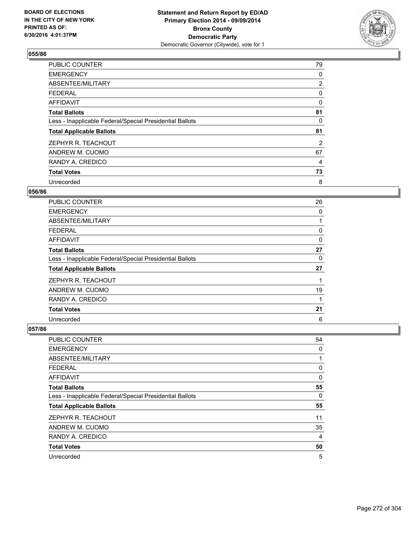

| <b>PUBLIC COUNTER</b>                                    | 79             |
|----------------------------------------------------------|----------------|
| <b>EMERGENCY</b>                                         | 0              |
| ABSENTEE/MILITARY                                        | $\overline{2}$ |
| <b>FEDERAL</b>                                           | 0              |
| <b>AFFIDAVIT</b>                                         | 0              |
| <b>Total Ballots</b>                                     | 81             |
| Less - Inapplicable Federal/Special Presidential Ballots | 0              |
| <b>Total Applicable Ballots</b>                          | 81             |
| ZEPHYR R. TEACHOUT                                       | 2              |
| ANDREW M. CUOMO                                          | 67             |
| RANDY A. CREDICO                                         | 4              |
| <b>Total Votes</b>                                       | 73             |
| Unrecorded                                               | 8              |

#### **056/86**

| PUBLIC COUNTER                                           | 26 |
|----------------------------------------------------------|----|
| <b>EMERGENCY</b>                                         | 0  |
| ABSENTEE/MILITARY                                        |    |
| <b>FEDERAL</b>                                           | 0  |
| AFFIDAVIT                                                | 0  |
| <b>Total Ballots</b>                                     | 27 |
| Less - Inapplicable Federal/Special Presidential Ballots | 0  |
| <b>Total Applicable Ballots</b>                          | 27 |
| ZEPHYR R. TEACHOUT                                       |    |
| ANDREW M. CUOMO                                          | 19 |
| RANDY A. CREDICO                                         | 1  |
| <b>Total Votes</b>                                       | 21 |
| Unrecorded                                               | 6  |

| <b>PUBLIC COUNTER</b>                                    | 54 |
|----------------------------------------------------------|----|
| <b>EMERGENCY</b>                                         | 0  |
| ABSENTEE/MILITARY                                        | 1  |
| <b>FEDERAL</b>                                           | 0  |
| <b>AFFIDAVIT</b>                                         | 0  |
| <b>Total Ballots</b>                                     | 55 |
| Less - Inapplicable Federal/Special Presidential Ballots | 0  |
| <b>Total Applicable Ballots</b>                          | 55 |
| ZEPHYR R. TEACHOUT                                       | 11 |
| ANDREW M. CUOMO                                          | 35 |
| RANDY A. CREDICO                                         | 4  |
| <b>Total Votes</b>                                       | 50 |
| Unrecorded                                               | 5  |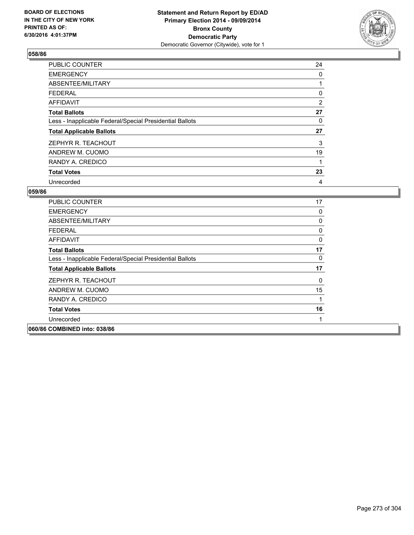

| <b>PUBLIC COUNTER</b>                                    | 24 |
|----------------------------------------------------------|----|
| <b>EMERGENCY</b>                                         | 0  |
| ABSENTEE/MILITARY                                        |    |
| <b>FEDERAL</b>                                           | 0  |
| <b>AFFIDAVIT</b>                                         | 2  |
| <b>Total Ballots</b>                                     | 27 |
| Less - Inapplicable Federal/Special Presidential Ballots | 0  |
| <b>Total Applicable Ballots</b>                          | 27 |
| ZEPHYR R. TEACHOUT                                       | 3  |
| ANDREW M. CUOMO                                          | 19 |
| RANDY A. CREDICO                                         | 1  |
| <b>Total Votes</b>                                       | 23 |
| Unrecorded                                               | 4  |

| <b>PUBLIC COUNTER</b>                                    | 17 |
|----------------------------------------------------------|----|
|                                                          |    |
| <b>EMERGENCY</b>                                         | 0  |
| ABSENTEE/MILITARY                                        | 0  |
| <b>FEDERAL</b>                                           | 0  |
| AFFIDAVIT                                                | 0  |
| <b>Total Ballots</b>                                     | 17 |
| Less - Inapplicable Federal/Special Presidential Ballots | 0  |
| <b>Total Applicable Ballots</b>                          | 17 |
| ZEPHYR R. TEACHOUT                                       | 0  |
| ANDREW M. CUOMO                                          | 15 |
| RANDY A. CREDICO                                         | 1  |
| <b>Total Votes</b>                                       | 16 |
| Unrecorded                                               |    |
| 060/86 COMBINED into: 038/86                             |    |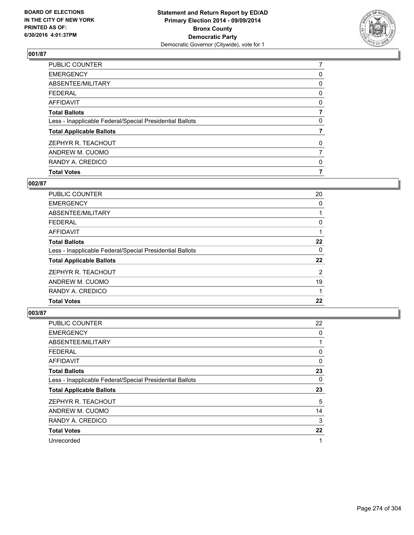

| <b>Total Votes</b>                                       | 7 |
|----------------------------------------------------------|---|
| RANDY A. CREDICO                                         | 0 |
| ANDREW M. CUOMO                                          | 7 |
| ZEPHYR R. TEACHOUT                                       | 0 |
| <b>Total Applicable Ballots</b>                          |   |
| Less - Inapplicable Federal/Special Presidential Ballots | 0 |
| <b>Total Ballots</b>                                     |   |
| <b>AFFIDAVIT</b>                                         | 0 |
| <b>FEDERAL</b>                                           | 0 |
| ABSENTEE/MILITARY                                        | 0 |
| <b>EMERGENCY</b>                                         | 0 |
| PUBLIC COUNTER                                           |   |

## **002/87**

| PUBLIC COUNTER                                           | 20 |
|----------------------------------------------------------|----|
| <b>EMERGENCY</b>                                         | 0  |
| ABSENTEE/MILITARY                                        |    |
| <b>FEDERAL</b>                                           | 0  |
| AFFIDAVIT                                                |    |
| <b>Total Ballots</b>                                     | 22 |
| Less - Inapplicable Federal/Special Presidential Ballots | 0  |
| <b>Total Applicable Ballots</b>                          | 22 |
| ZEPHYR R. TEACHOUT                                       | 2  |
| ANDREW M. CUOMO                                          | 19 |
| RANDY A. CREDICO                                         |    |
| <b>Total Votes</b>                                       | 22 |
|                                                          |    |

| PUBLIC COUNTER                                           | 22 |
|----------------------------------------------------------|----|
| <b>EMERGENCY</b>                                         | 0  |
| ABSENTEE/MILITARY                                        |    |
| <b>FEDERAL</b>                                           | 0  |
| AFFIDAVIT                                                | 0  |
| <b>Total Ballots</b>                                     | 23 |
| Less - Inapplicable Federal/Special Presidential Ballots | 0  |
| <b>Total Applicable Ballots</b>                          | 23 |
| ZEPHYR R. TEACHOUT                                       | 5  |
| ANDREW M. CUOMO                                          | 14 |
| RANDY A. CREDICO                                         | 3  |
| <b>Total Votes</b>                                       | 22 |
| Unrecorded                                               | 1  |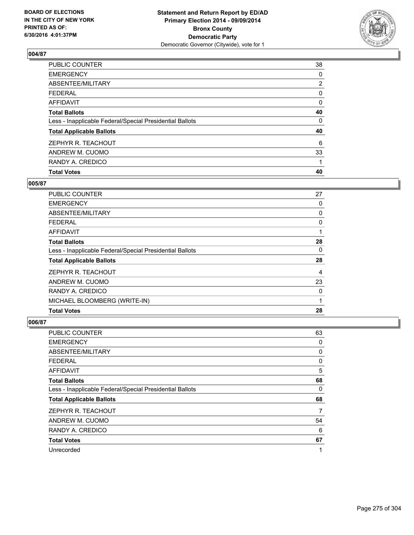

| <b>Total Votes</b>                                       | 40             |
|----------------------------------------------------------|----------------|
| RANDY A. CREDICO                                         |                |
| ANDREW M. CUOMO                                          | 33             |
| ZEPHYR R. TEACHOUT                                       | 6              |
| <b>Total Applicable Ballots</b>                          | 40             |
| Less - Inapplicable Federal/Special Presidential Ballots | 0              |
| <b>Total Ballots</b>                                     | 40             |
| AFFIDAVIT                                                | 0              |
| <b>FEDERAL</b>                                           | 0              |
| ABSENTEE/MILITARY                                        | $\overline{2}$ |
| <b>EMERGENCY</b>                                         | 0              |
| PUBLIC COUNTER                                           | 38             |

### **005/87**

| <b>PUBLIC COUNTER</b>                                    | 27 |
|----------------------------------------------------------|----|
| <b>EMERGENCY</b>                                         | 0  |
| ABSENTEE/MILITARY                                        | 0  |
| <b>FEDERAL</b>                                           | 0  |
| AFFIDAVIT                                                |    |
| <b>Total Ballots</b>                                     | 28 |
| Less - Inapplicable Federal/Special Presidential Ballots | 0  |
| <b>Total Applicable Ballots</b>                          | 28 |
| ZEPHYR R. TEACHOUT                                       | 4  |
| ANDREW M. CUOMO                                          | 23 |
| RANDY A. CREDICO                                         | 0  |
| MICHAEL BLOOMBERG (WRITE-IN)                             | 1  |
| <b>Total Votes</b>                                       | 28 |
|                                                          |    |

| PUBLIC COUNTER                                           | 63 |
|----------------------------------------------------------|----|
| <b>EMERGENCY</b>                                         | 0  |
| ABSENTEE/MILITARY                                        | 0  |
| <b>FEDERAL</b>                                           | 0  |
| <b>AFFIDAVIT</b>                                         | 5  |
| <b>Total Ballots</b>                                     | 68 |
| Less - Inapplicable Federal/Special Presidential Ballots | 0  |
| <b>Total Applicable Ballots</b>                          | 68 |
| ZEPHYR R. TEACHOUT                                       | 7  |
| ANDREW M. CUOMO                                          | 54 |
| RANDY A. CREDICO                                         | 6  |
| <b>Total Votes</b>                                       | 67 |
| Unrecorded                                               |    |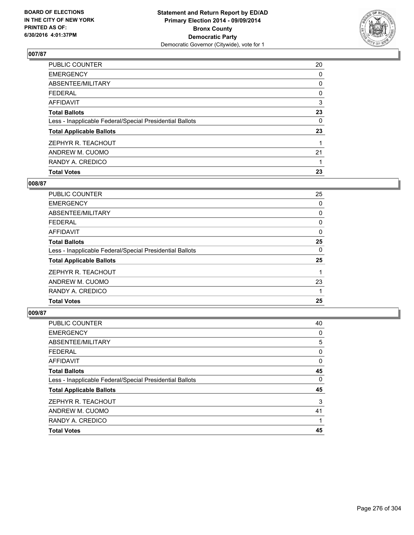

| <b>Total Votes</b>                                       | 23 |
|----------------------------------------------------------|----|
| RANDY A. CREDICO                                         |    |
| ANDREW M. CUOMO                                          | 21 |
| ZEPHYR R. TEACHOUT                                       |    |
| <b>Total Applicable Ballots</b>                          | 23 |
| Less - Inapplicable Federal/Special Presidential Ballots | 0  |
| <b>Total Ballots</b>                                     | 23 |
| AFFIDAVIT                                                | 3  |
| <b>FEDERAL</b>                                           | 0  |
| ABSENTEE/MILITARY                                        | 0  |
| <b>EMERGENCY</b>                                         | 0  |
| PUBLIC COUNTER                                           | 20 |

# **008/87**

| PUBLIC COUNTER                                           | 25 |
|----------------------------------------------------------|----|
| <b>EMERGENCY</b>                                         | 0  |
| ABSENTEE/MILITARY                                        | 0  |
| <b>FEDERAL</b>                                           | 0  |
| AFFIDAVIT                                                | 0  |
| <b>Total Ballots</b>                                     | 25 |
| Less - Inapplicable Federal/Special Presidential Ballots | 0  |
| <b>Total Applicable Ballots</b>                          | 25 |
| ZEPHYR R. TEACHOUT                                       |    |
| ANDREW M. CUOMO                                          | 23 |
| RANDY A. CREDICO                                         |    |
| <b>Total Votes</b>                                       | 25 |
|                                                          |    |

| PUBLIC COUNTER                                           | 40 |
|----------------------------------------------------------|----|
| <b>EMERGENCY</b>                                         | 0  |
| ABSENTEE/MILITARY                                        | 5  |
| <b>FEDERAL</b>                                           | 0  |
| <b>AFFIDAVIT</b>                                         | 0  |
| <b>Total Ballots</b>                                     | 45 |
| Less - Inapplicable Federal/Special Presidential Ballots | 0  |
| <b>Total Applicable Ballots</b>                          | 45 |
| ZEPHYR R. TEACHOUT                                       | 3  |
| ANDREW M. CUOMO                                          | 41 |
| RANDY A. CREDICO                                         |    |
| <b>Total Votes</b>                                       | 45 |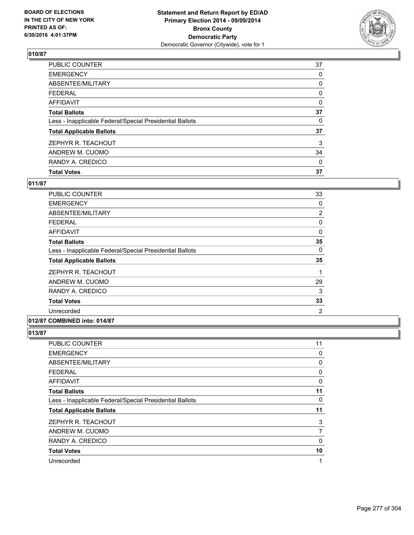

| <b>Total Votes</b>                                       | 37 |
|----------------------------------------------------------|----|
| RANDY A. CREDICO                                         | 0  |
| ANDREW M. CUOMO                                          | 34 |
| ZEPHYR R. TEACHOUT                                       | 3  |
| <b>Total Applicable Ballots</b>                          | 37 |
| Less - Inapplicable Federal/Special Presidential Ballots | 0  |
| <b>Total Ballots</b>                                     | 37 |
| <b>AFFIDAVIT</b>                                         | 0  |
| <b>FEDERAL</b>                                           | 0  |
| ABSENTEE/MILITARY                                        | 0  |
| <b>EMERGENCY</b>                                         | 0  |
| PUBLIC COUNTER                                           | 37 |

## **011/87**

| PUBLIC COUNTER                                           | 33             |
|----------------------------------------------------------|----------------|
| <b>EMERGENCY</b>                                         | 0              |
| ABSENTEE/MILITARY                                        | $\overline{2}$ |
| <b>FEDERAL</b>                                           | 0              |
| AFFIDAVIT                                                | 0              |
| <b>Total Ballots</b>                                     | 35             |
| Less - Inapplicable Federal/Special Presidential Ballots | 0              |
| <b>Total Applicable Ballots</b>                          | 35             |
| ZEPHYR R. TEACHOUT                                       |                |
| ANDREW M. CUOMO                                          | 29             |
| RANDY A. CREDICO                                         | 3              |
| <b>Total Votes</b>                                       | 33             |
| Unrecorded                                               | 2              |
|                                                          |                |

#### **012/87 COMBINED into: 014/87**

| 11       |
|----------|
| 0        |
| 0        |
| 0        |
| 0        |
| 11       |
| 0        |
| 11       |
| 3        |
| 7        |
| $\Omega$ |
| 10       |
| 1        |
|          |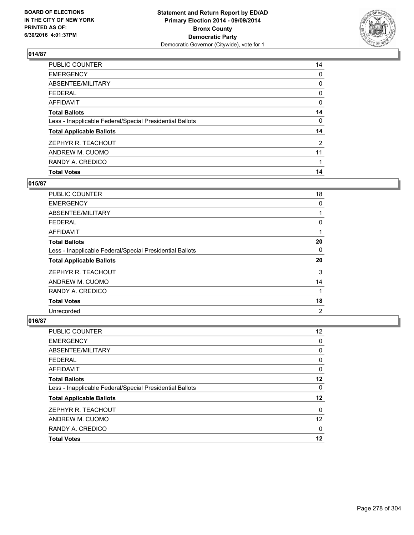

| <b>Total Votes</b>                                       | 14             |
|----------------------------------------------------------|----------------|
| RANDY A. CREDICO                                         |                |
| ANDREW M. CUOMO                                          | 11             |
| ZEPHYR R. TEACHOUT                                       | $\overline{2}$ |
| <b>Total Applicable Ballots</b>                          | 14             |
| Less - Inapplicable Federal/Special Presidential Ballots | 0              |
| <b>Total Ballots</b>                                     | 14             |
| <b>AFFIDAVIT</b>                                         | 0              |
| <b>FEDERAL</b>                                           | 0              |
| ABSENTEE/MILITARY                                        | 0              |
| <b>EMERGENCY</b>                                         | 0              |
| PUBLIC COUNTER                                           | 14             |

## **015/87**

| PUBLIC COUNTER                                           | 18             |
|----------------------------------------------------------|----------------|
| <b>EMERGENCY</b>                                         | 0              |
| ABSENTEE/MILITARY                                        |                |
| <b>FEDERAL</b>                                           | 0              |
| AFFIDAVIT                                                | 1              |
| <b>Total Ballots</b>                                     | 20             |
| Less - Inapplicable Federal/Special Presidential Ballots | 0              |
| <b>Total Applicable Ballots</b>                          | 20             |
| ZEPHYR R. TEACHOUT                                       | 3              |
| ANDREW M. CUOMO                                          | 14             |
| RANDY A. CREDICO                                         | 1              |
| <b>Total Votes</b>                                       | 18             |
| Unrecorded                                               | $\overline{2}$ |

| <b>PUBLIC COUNTER</b>                                    | 12 <sup>2</sup>   |
|----------------------------------------------------------|-------------------|
| <b>EMERGENCY</b>                                         | 0                 |
| ABSENTEE/MILITARY                                        | 0                 |
| <b>FEDERAL</b>                                           | 0                 |
| <b>AFFIDAVIT</b>                                         | 0                 |
| <b>Total Ballots</b>                                     | 12                |
| Less - Inapplicable Federal/Special Presidential Ballots | 0                 |
| <b>Total Applicable Ballots</b>                          | 12                |
| ZEPHYR R. TEACHOUT                                       | 0                 |
| ANDREW M. CUOMO                                          | $12 \overline{ }$ |
| RANDY A. CREDICO                                         | 0                 |
| <b>Total Votes</b>                                       | 12                |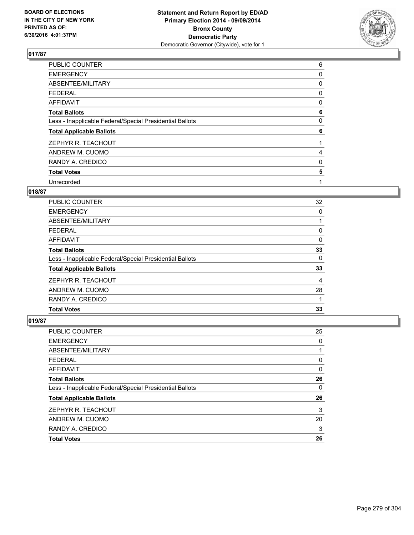

| PUBLIC COUNTER                                           | 6 |
|----------------------------------------------------------|---|
| <b>EMERGENCY</b>                                         | 0 |
| ABSENTEE/MILITARY                                        | 0 |
| <b>FEDERAL</b>                                           | 0 |
| <b>AFFIDAVIT</b>                                         | 0 |
| <b>Total Ballots</b>                                     | 6 |
| Less - Inapplicable Federal/Special Presidential Ballots | 0 |
| <b>Total Applicable Ballots</b>                          | 6 |
| ZEPHYR R. TEACHOUT                                       |   |
| ANDREW M. CUOMO                                          | 4 |
| RANDY A. CREDICO                                         | 0 |
| <b>Total Votes</b>                                       | 5 |
| Unrecorded                                               | 1 |

## **018/87**

| <b>PUBLIC COUNTER</b>                                    | 32 |
|----------------------------------------------------------|----|
| <b>EMERGENCY</b>                                         | 0  |
| ABSENTEE/MILITARY                                        |    |
| <b>FEDERAL</b>                                           | 0  |
| AFFIDAVIT                                                | 0  |
| <b>Total Ballots</b>                                     | 33 |
| Less - Inapplicable Federal/Special Presidential Ballots | 0  |
| <b>Total Applicable Ballots</b>                          | 33 |
| ZEPHYR R. TEACHOUT                                       | 4  |
| ANDREW M. CUOMO                                          | 28 |
| RANDY A. CREDICO                                         |    |
| <b>Total Votes</b>                                       | 33 |
|                                                          |    |

| <b>PUBLIC COUNTER</b>                                    | 25 |
|----------------------------------------------------------|----|
| <b>EMERGENCY</b>                                         | 0  |
| ABSENTEE/MILITARY                                        |    |
| <b>FEDERAL</b>                                           | 0  |
| <b>AFFIDAVIT</b>                                         | 0  |
| <b>Total Ballots</b>                                     | 26 |
| Less - Inapplicable Federal/Special Presidential Ballots | 0  |
| <b>Total Applicable Ballots</b>                          | 26 |
| ZEPHYR R. TEACHOUT                                       | 3  |
| ANDREW M. CUOMO                                          | 20 |
| RANDY A. CREDICO                                         | 3  |
| <b>Total Votes</b>                                       | 26 |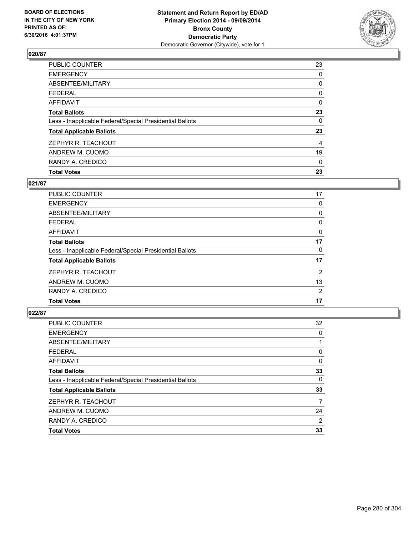

| <b>Total Votes</b>                                       | 23 |
|----------------------------------------------------------|----|
| RANDY A. CREDICO                                         | 0  |
| ANDREW M. CUOMO                                          | 19 |
| ZEPHYR R. TEACHOUT                                       | 4  |
| <b>Total Applicable Ballots</b>                          | 23 |
| Less - Inapplicable Federal/Special Presidential Ballots | 0  |
| <b>Total Ballots</b>                                     | 23 |
| <b>AFFIDAVIT</b>                                         | 0  |
| <b>FEDERAL</b>                                           | 0  |
| ABSENTEE/MILITARY                                        | 0  |
| <b>EMERGENCY</b>                                         | 0  |
| PUBLIC COUNTER                                           | 23 |

## **021/87**

| <b>PUBLIC COUNTER</b>                                    | 17 |
|----------------------------------------------------------|----|
| <b>EMERGENCY</b>                                         | 0  |
| ABSENTEE/MILITARY                                        | 0  |
| <b>FEDERAL</b>                                           | 0  |
| AFFIDAVIT                                                | 0  |
| <b>Total Ballots</b>                                     | 17 |
| Less - Inapplicable Federal/Special Presidential Ballots | 0  |
| <b>Total Applicable Ballots</b>                          | 17 |
| ZEPHYR R. TEACHOUT                                       | 2  |
| ANDREW M. CUOMO                                          | 13 |
| RANDY A. CREDICO                                         | 2  |
| <b>Total Votes</b>                                       | 17 |
|                                                          |    |

| PUBLIC COUNTER                                           | 32 |
|----------------------------------------------------------|----|
| <b>EMERGENCY</b>                                         | 0  |
| ABSENTEE/MILITARY                                        |    |
| <b>FEDERAL</b>                                           | 0  |
| <b>AFFIDAVIT</b>                                         | 0  |
| <b>Total Ballots</b>                                     | 33 |
| Less - Inapplicable Federal/Special Presidential Ballots | 0  |
| <b>Total Applicable Ballots</b>                          | 33 |
| ZEPHYR R. TEACHOUT                                       | 7  |
| ANDREW M. CUOMO                                          | 24 |
| RANDY A. CREDICO                                         | 2  |
| <b>Total Votes</b>                                       | 33 |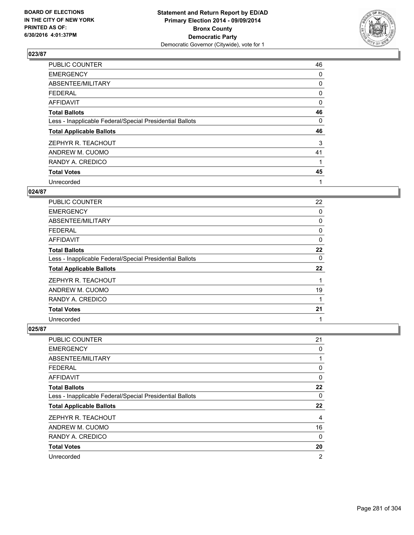

| PUBLIC COUNTER                                           | 46 |
|----------------------------------------------------------|----|
| <b>EMERGENCY</b>                                         | 0  |
| ABSENTEE/MILITARY                                        | 0  |
| <b>FEDERAL</b>                                           | 0  |
| AFFIDAVIT                                                | 0  |
| <b>Total Ballots</b>                                     | 46 |
| Less - Inapplicable Federal/Special Presidential Ballots | 0  |
| <b>Total Applicable Ballots</b>                          | 46 |
| ZEPHYR R. TEACHOUT                                       | 3  |
| ANDREW M. CUOMO                                          | 41 |
| RANDY A. CREDICO                                         | 1  |
| <b>Total Votes</b>                                       | 45 |
| Unrecorded                                               | 1  |

## **024/87**

| <b>PUBLIC COUNTER</b>                                    | 22 |
|----------------------------------------------------------|----|
| <b>EMERGENCY</b>                                         | 0  |
| ABSENTEE/MILITARY                                        | 0  |
| <b>FEDERAL</b>                                           | 0  |
| AFFIDAVIT                                                | 0  |
| <b>Total Ballots</b>                                     | 22 |
| Less - Inapplicable Federal/Special Presidential Ballots | 0  |
| <b>Total Applicable Ballots</b>                          | 22 |
| ZEPHYR R. TEACHOUT                                       |    |
| ANDREW M. CUOMO                                          | 19 |
| RANDY A. CREDICO                                         |    |
| <b>Total Votes</b>                                       | 21 |
| Unrecorded                                               | 1  |

| PUBLIC COUNTER                                           | 21             |
|----------------------------------------------------------|----------------|
| <b>EMERGENCY</b>                                         | 0              |
| ABSENTEE/MILITARY                                        | 1              |
| <b>FEDERAL</b>                                           | 0              |
| AFFIDAVIT                                                | 0              |
| <b>Total Ballots</b>                                     | 22             |
| Less - Inapplicable Federal/Special Presidential Ballots | 0              |
| <b>Total Applicable Ballots</b>                          | 22             |
| ZEPHYR R. TEACHOUT                                       | $\overline{4}$ |
| ANDREW M. CUOMO                                          | 16             |
| RANDY A. CREDICO                                         | $\Omega$       |
| <b>Total Votes</b>                                       | 20             |
| Unrecorded                                               | $\overline{2}$ |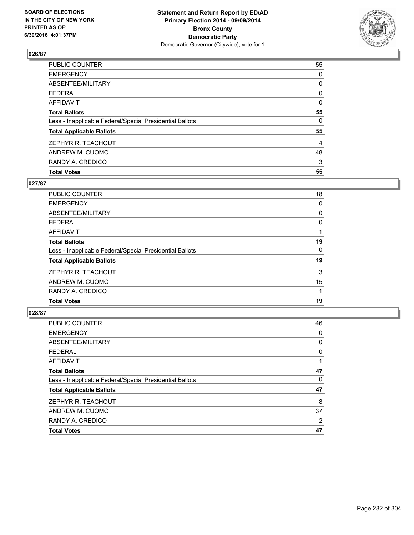

| <b>Total Votes</b>                                       | 55 |
|----------------------------------------------------------|----|
| RANDY A. CREDICO                                         | 3  |
| ANDREW M. CUOMO                                          | 48 |
| ZEPHYR R. TEACHOUT                                       | 4  |
| <b>Total Applicable Ballots</b>                          | 55 |
| Less - Inapplicable Federal/Special Presidential Ballots | 0  |
| <b>Total Ballots</b>                                     | 55 |
| <b>AFFIDAVIT</b>                                         | 0  |
| <b>FEDERAL</b>                                           | 0  |
| ABSENTEE/MILITARY                                        | 0  |
| <b>EMERGENCY</b>                                         | 0  |
| PUBLIC COUNTER                                           | 55 |

# **027/87**

| PUBLIC COUNTER                                           | 18 |
|----------------------------------------------------------|----|
| <b>EMERGENCY</b>                                         | 0  |
| ABSENTEE/MILITARY                                        | 0  |
| <b>FEDERAL</b>                                           | 0  |
| AFFIDAVIT                                                |    |
| <b>Total Ballots</b>                                     | 19 |
| Less - Inapplicable Federal/Special Presidential Ballots | 0  |
| <b>Total Applicable Ballots</b>                          | 19 |
| ZEPHYR R. TEACHOUT                                       | 3  |
| ANDREW M. CUOMO                                          | 15 |
| RANDY A. CREDICO                                         |    |
| <b>Total Votes</b>                                       | 19 |
|                                                          |    |

| PUBLIC COUNTER                                           | 46 |
|----------------------------------------------------------|----|
| <b>EMERGENCY</b>                                         | 0  |
| ABSENTEE/MILITARY                                        | 0  |
| <b>FEDERAL</b>                                           | 0  |
| <b>AFFIDAVIT</b>                                         |    |
| <b>Total Ballots</b>                                     | 47 |
| Less - Inapplicable Federal/Special Presidential Ballots | 0  |
| <b>Total Applicable Ballots</b>                          | 47 |
| ZEPHYR R. TEACHOUT                                       | 8  |
| ANDREW M. CUOMO                                          | 37 |
| RANDY A. CREDICO                                         | 2  |
| <b>Total Votes</b>                                       | 47 |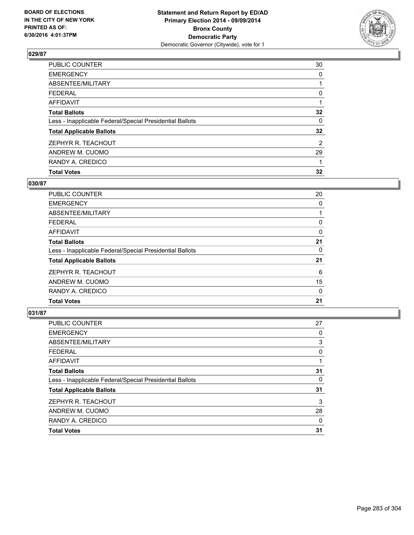

| <b>Total Votes</b>                                       | 32             |
|----------------------------------------------------------|----------------|
| RANDY A. CREDICO                                         |                |
| ANDREW M. CUOMO                                          | 29             |
| ZEPHYR R. TEACHOUT                                       | $\overline{2}$ |
| <b>Total Applicable Ballots</b>                          | 32             |
| Less - Inapplicable Federal/Special Presidential Ballots | 0              |
| <b>Total Ballots</b>                                     | 32             |
| <b>AFFIDAVIT</b>                                         |                |
| <b>FEDERAL</b>                                           | 0              |
| ABSENTEE/MILITARY                                        |                |
| <b>EMERGENCY</b>                                         | 0              |
| PUBLIC COUNTER                                           | 30             |

## **030/87**

| <b>PUBLIC COUNTER</b>                                    | 20 |
|----------------------------------------------------------|----|
| <b>EMERGENCY</b>                                         | 0  |
| ABSENTEE/MILITARY                                        |    |
| <b>FEDERAL</b>                                           | 0  |
| AFFIDAVIT                                                | 0  |
| <b>Total Ballots</b>                                     | 21 |
| Less - Inapplicable Federal/Special Presidential Ballots | 0  |
| <b>Total Applicable Ballots</b>                          | 21 |
| ZEPHYR R. TEACHOUT                                       | 6  |
| ANDREW M. CUOMO                                          | 15 |
| RANDY A. CREDICO                                         | 0  |
| <b>Total Votes</b>                                       | 21 |
|                                                          |    |

| <b>PUBLIC COUNTER</b>                                    | 27 |
|----------------------------------------------------------|----|
| <b>EMERGENCY</b>                                         | 0  |
| ABSENTEE/MILITARY                                        | 3  |
| <b>FEDERAL</b>                                           | 0  |
| <b>AFFIDAVIT</b>                                         |    |
| <b>Total Ballots</b>                                     | 31 |
| Less - Inapplicable Federal/Special Presidential Ballots | 0  |
| <b>Total Applicable Ballots</b>                          | 31 |
| ZEPHYR R. TEACHOUT                                       | 3  |
| ANDREW M. CUOMO                                          | 28 |
| RANDY A. CREDICO                                         | 0  |
| <b>Total Votes</b>                                       | 31 |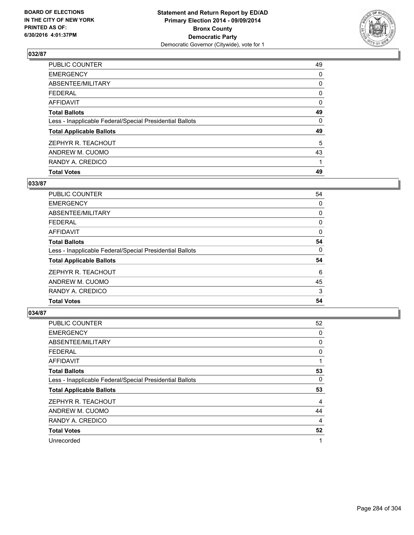

| <b>Total Votes</b>                                       | 49 |
|----------------------------------------------------------|----|
| RANDY A. CREDICO                                         |    |
| ANDREW M. CUOMO                                          | 43 |
| ZEPHYR R. TEACHOUT                                       | 5  |
| <b>Total Applicable Ballots</b>                          | 49 |
| Less - Inapplicable Federal/Special Presidential Ballots | 0  |
| <b>Total Ballots</b>                                     | 49 |
| <b>AFFIDAVIT</b>                                         | 0  |
| <b>FEDERAL</b>                                           | 0  |
| ABSENTEE/MILITARY                                        | 0  |
| <b>EMERGENCY</b>                                         | 0  |
| PUBLIC COUNTER                                           | 49 |

## **033/87**

| <b>PUBLIC COUNTER</b>                                    | 54       |
|----------------------------------------------------------|----------|
| <b>EMERGENCY</b>                                         | 0        |
| ABSENTEE/MILITARY                                        | 0        |
| <b>FEDERAL</b>                                           | 0        |
| AFFIDAVIT                                                | $\Omega$ |
| <b>Total Ballots</b>                                     | 54       |
| Less - Inapplicable Federal/Special Presidential Ballots | 0        |
| <b>Total Applicable Ballots</b>                          | 54       |
| ZEPHYR R. TEACHOUT                                       | 6        |
| ANDREW M. CUOMO                                          | 45       |
| RANDY A. CREDICO                                         | 3        |
| <b>Total Votes</b>                                       | 54       |
|                                                          |          |

| PUBLIC COUNTER                                           | 52             |
|----------------------------------------------------------|----------------|
| <b>EMERGENCY</b>                                         | 0              |
| ABSENTEE/MILITARY                                        | 0              |
| <b>FEDERAL</b>                                           | 0              |
| <b>AFFIDAVIT</b>                                         | 1              |
| <b>Total Ballots</b>                                     | 53             |
| Less - Inapplicable Federal/Special Presidential Ballots | 0              |
| <b>Total Applicable Ballots</b>                          | 53             |
| ZEPHYR R. TEACHOUT                                       | $\overline{4}$ |
| ANDREW M. CUOMO                                          | 44             |
| RANDY A. CREDICO                                         | 4              |
| <b>Total Votes</b>                                       | 52             |
| Unrecorded                                               | 1              |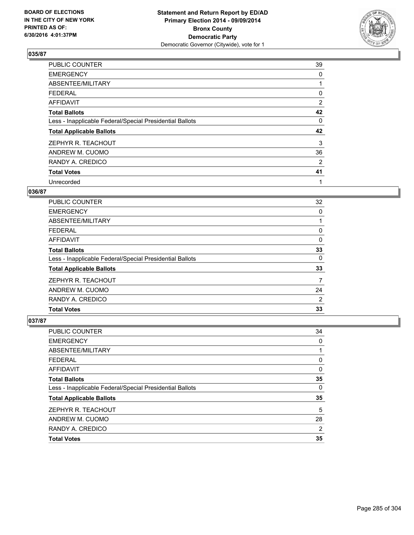

| <b>PUBLIC COUNTER</b>                                    | 39             |
|----------------------------------------------------------|----------------|
| <b>EMERGENCY</b>                                         | 0              |
| ABSENTEE/MILITARY                                        |                |
| <b>FEDERAL</b>                                           | 0              |
| AFFIDAVIT                                                | $\overline{2}$ |
| <b>Total Ballots</b>                                     | 42             |
| Less - Inapplicable Federal/Special Presidential Ballots | 0              |
| <b>Total Applicable Ballots</b>                          | 42             |
| ZEPHYR R. TEACHOUT                                       | 3              |
| ANDREW M. CUOMO                                          | 36             |
| RANDY A. CREDICO                                         | 2              |
| <b>Total Votes</b>                                       | 41             |
| Unrecorded                                               | 1              |

# **036/87**

| PUBLIC COUNTER                                           | 32 |
|----------------------------------------------------------|----|
| <b>EMERGENCY</b>                                         | 0  |
| ABSENTEE/MILITARY                                        |    |
| <b>FEDERAL</b>                                           | 0  |
| AFFIDAVIT                                                | 0  |
| <b>Total Ballots</b>                                     | 33 |
| Less - Inapplicable Federal/Special Presidential Ballots | 0  |
| <b>Total Applicable Ballots</b>                          | 33 |
| ZEPHYR R. TEACHOUT                                       | 7  |
| ANDREW M. CUOMO                                          | 24 |
| RANDY A. CREDICO                                         | 2  |
| <b>Total Votes</b>                                       | 33 |
|                                                          |    |

| PUBLIC COUNTER                                           | 34 |
|----------------------------------------------------------|----|
| <b>EMERGENCY</b>                                         | 0  |
| ABSENTEE/MILITARY                                        |    |
| <b>FEDERAL</b>                                           | 0  |
| <b>AFFIDAVIT</b>                                         | 0  |
| <b>Total Ballots</b>                                     | 35 |
| Less - Inapplicable Federal/Special Presidential Ballots | 0  |
| <b>Total Applicable Ballots</b>                          | 35 |
| ZEPHYR R. TEACHOUT                                       | 5  |
| ANDREW M. CUOMO                                          | 28 |
| RANDY A. CREDICO                                         | 2  |
| <b>Total Votes</b>                                       | 35 |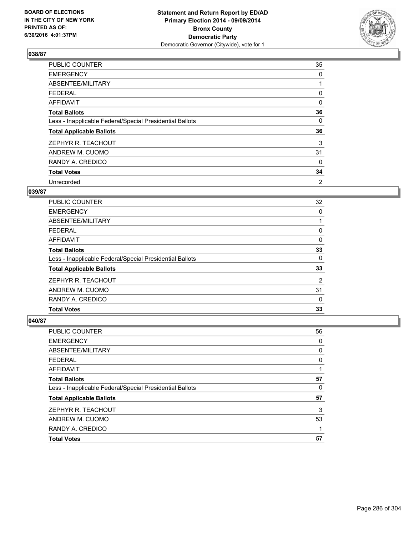

| <b>PUBLIC COUNTER</b>                                    | 35 |
|----------------------------------------------------------|----|
| <b>EMERGENCY</b>                                         | 0  |
| ABSENTEE/MILITARY                                        |    |
| <b>FEDERAL</b>                                           | 0  |
| AFFIDAVIT                                                | 0  |
| <b>Total Ballots</b>                                     | 36 |
| Less - Inapplicable Federal/Special Presidential Ballots | 0  |
| <b>Total Applicable Ballots</b>                          | 36 |
| ZEPHYR R. TEACHOUT                                       | 3  |
| ANDREW M. CUOMO                                          | 31 |
| RANDY A. CREDICO                                         | 0  |
| <b>Total Votes</b>                                       | 34 |
| Unrecorded                                               | 2  |

### **039/87**

| PUBLIC COUNTER                                           | 32 |
|----------------------------------------------------------|----|
| <b>EMERGENCY</b>                                         | 0  |
| ABSENTEE/MILITARY                                        |    |
| <b>FEDERAL</b>                                           | 0  |
| AFFIDAVIT                                                | 0  |
| <b>Total Ballots</b>                                     | 33 |
| Less - Inapplicable Federal/Special Presidential Ballots | 0  |
| <b>Total Applicable Ballots</b>                          | 33 |
| ZEPHYR R. TEACHOUT                                       | 2  |
| ANDREW M. CUOMO                                          | 31 |
| RANDY A. CREDICO                                         | 0  |
| <b>Total Votes</b>                                       | 33 |

| PUBLIC COUNTER                                           | 56 |
|----------------------------------------------------------|----|
| <b>EMERGENCY</b>                                         | 0  |
| ABSENTEE/MILITARY                                        | 0  |
| <b>FEDERAL</b>                                           | 0  |
| <b>AFFIDAVIT</b>                                         |    |
| <b>Total Ballots</b>                                     | 57 |
| Less - Inapplicable Federal/Special Presidential Ballots | 0  |
| <b>Total Applicable Ballots</b>                          | 57 |
| ZEPHYR R. TEACHOUT                                       | 3  |
| ANDREW M. CUOMO                                          | 53 |
| RANDY A. CREDICO                                         |    |
| <b>Total Votes</b>                                       | 57 |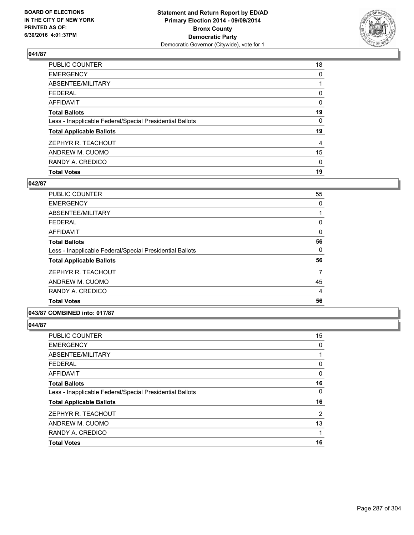

| <b>Total Votes</b>                                       | 19 |
|----------------------------------------------------------|----|
| RANDY A. CREDICO                                         | 0  |
| ANDREW M. CUOMO                                          | 15 |
| ZEPHYR R. TEACHOUT                                       | 4  |
| <b>Total Applicable Ballots</b>                          | 19 |
| Less - Inapplicable Federal/Special Presidential Ballots | 0  |
| <b>Total Ballots</b>                                     | 19 |
| <b>AFFIDAVIT</b>                                         | 0  |
| <b>FEDERAL</b>                                           | 0  |
| ABSENTEE/MILITARY                                        |    |
| <b>EMERGENCY</b>                                         | 0  |
| PUBLIC COUNTER                                           | 18 |

# **042/87**

| PUBLIC COUNTER                                           | 55 |
|----------------------------------------------------------|----|
| <b>EMERGENCY</b>                                         | 0  |
| ABSENTEE/MILITARY                                        |    |
| <b>FEDERAL</b>                                           | 0  |
| AFFIDAVIT                                                | 0  |
| <b>Total Ballots</b>                                     | 56 |
| Less - Inapplicable Federal/Special Presidential Ballots | 0  |
| <b>Total Applicable Ballots</b>                          | 56 |
| ZEPHYR R. TEACHOUT                                       | 7  |
| ANDREW M. CUOMO                                          | 45 |
| RANDY A. CREDICO                                         | 4  |
| <b>Total Votes</b>                                       | 56 |
|                                                          |    |

**043/87 COMBINED into: 017/87**

| PUBLIC COUNTER                                           | 15 |
|----------------------------------------------------------|----|
| EMERGENCY                                                | 0  |
| ABSENTEE/MILITARY                                        |    |
| FEDERAL                                                  | 0  |
| AFFIDAVIT                                                | 0  |
| Total Ballots                                            | 16 |
| Less - Inapplicable Federal/Special Presidential Ballots | 0  |
| <b>Total Applicable Ballots</b>                          | 16 |
| ZEPHYR R. TEACHOUT                                       | 2  |
| ANDREW M. CUOMO                                          | 13 |
| RANDY A. CREDICO                                         |    |
| <b>Total Votes</b>                                       | 16 |
|                                                          |    |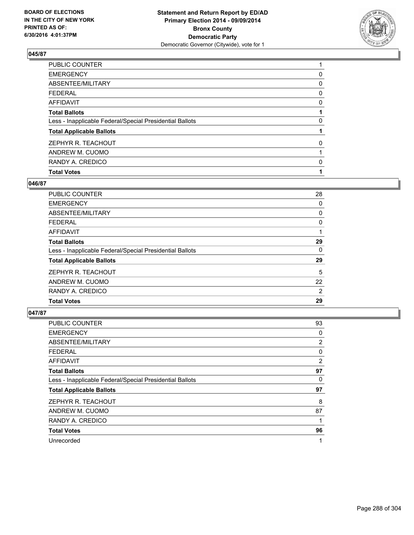

| <b>Total Votes</b>                                       |   |
|----------------------------------------------------------|---|
| RANDY A. CREDICO                                         | 0 |
| ANDREW M. CUOMO                                          |   |
| ZEPHYR R. TEACHOUT                                       | 0 |
| <b>Total Applicable Ballots</b>                          |   |
| Less - Inapplicable Federal/Special Presidential Ballots | 0 |
| <b>Total Ballots</b>                                     |   |
| <b>AFFIDAVIT</b>                                         | 0 |
| <b>FEDERAL</b>                                           | 0 |
| ABSENTEE/MILITARY                                        | 0 |
| <b>EMERGENCY</b>                                         | 0 |
| PUBLIC COUNTER                                           |   |

## **046/87**

| <b>PUBLIC COUNTER</b>                                    | 28             |
|----------------------------------------------------------|----------------|
| <b>EMERGENCY</b>                                         | 0              |
| ABSENTEE/MILITARY                                        | 0              |
| FEDERAL                                                  | 0              |
| AFFIDAVIT                                                |                |
| <b>Total Ballots</b>                                     | 29             |
| Less - Inapplicable Federal/Special Presidential Ballots | 0              |
| <b>Total Applicable Ballots</b>                          | 29             |
| ZEPHYR R. TEACHOUT                                       | 5              |
| ANDREW M. CUOMO                                          | 22             |
| RANDY A. CREDICO                                         | $\overline{2}$ |
| <b>Total Votes</b>                                       | 29             |
|                                                          |                |

| <b>PUBLIC COUNTER</b>                                    | 93 |
|----------------------------------------------------------|----|
| <b>EMERGENCY</b>                                         | 0  |
| ABSENTEE/MILITARY                                        | 2  |
| <b>FEDERAL</b>                                           | 0  |
| <b>AFFIDAVIT</b>                                         | 2  |
| <b>Total Ballots</b>                                     | 97 |
| Less - Inapplicable Federal/Special Presidential Ballots | 0  |
| <b>Total Applicable Ballots</b>                          | 97 |
| ZEPHYR R. TEACHOUT                                       | 8  |
| ANDREW M. CUOMO                                          | 87 |
| RANDY A. CREDICO                                         | 1  |
| <b>Total Votes</b>                                       | 96 |
| Unrecorded                                               | 1  |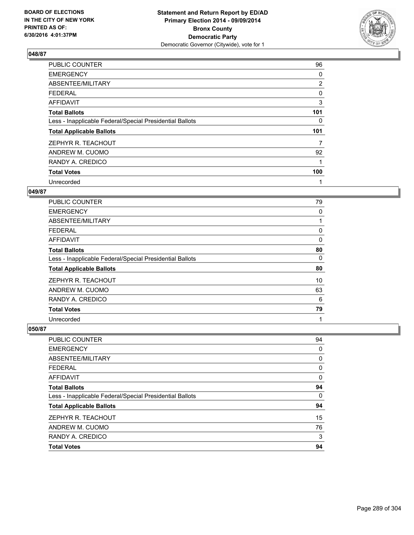

| <b>PUBLIC COUNTER</b>                                    | 96             |
|----------------------------------------------------------|----------------|
| <b>EMERGENCY</b>                                         | 0              |
| ABSENTEE/MILITARY                                        | $\overline{2}$ |
| <b>FEDERAL</b>                                           | 0              |
| AFFIDAVIT                                                | 3              |
| <b>Total Ballots</b>                                     | 101            |
| Less - Inapplicable Federal/Special Presidential Ballots | $\Omega$       |
| <b>Total Applicable Ballots</b>                          | 101            |
| ZEPHYR R. TEACHOUT                                       | 7              |
| ANDREW M. CUOMO                                          | 92             |
| RANDY A. CREDICO                                         | 1              |
| <b>Total Votes</b>                                       | 100            |
| Unrecorded                                               | 1              |

## **049/87**

| <b>PUBLIC COUNTER</b>                                    | 79 |
|----------------------------------------------------------|----|
| <b>EMERGENCY</b>                                         | 0  |
| ABSENTEE/MILITARY                                        |    |
| <b>FEDERAL</b>                                           | 0  |
| AFFIDAVIT                                                | 0  |
| <b>Total Ballots</b>                                     | 80 |
| Less - Inapplicable Federal/Special Presidential Ballots | 0  |
| <b>Total Applicable Ballots</b>                          | 80 |
| ZEPHYR R. TEACHOUT                                       | 10 |
| ANDREW M. CUOMO                                          | 63 |
| RANDY A. CREDICO                                         | 6  |
| <b>Total Votes</b>                                       | 79 |
| Unrecorded                                               | 1  |

| <b>PUBLIC COUNTER</b>                                    | 94 |
|----------------------------------------------------------|----|
| <b>EMERGENCY</b>                                         | 0  |
| ABSENTEE/MILITARY                                        | 0  |
| <b>FEDERAL</b>                                           | 0  |
| <b>AFFIDAVIT</b>                                         | 0  |
| <b>Total Ballots</b>                                     | 94 |
| Less - Inapplicable Federal/Special Presidential Ballots | 0  |
| <b>Total Applicable Ballots</b>                          | 94 |
| ZEPHYR R. TEACHOUT                                       | 15 |
| ANDREW M. CUOMO                                          | 76 |
| RANDY A. CREDICO                                         | 3  |
| <b>Total Votes</b>                                       | 94 |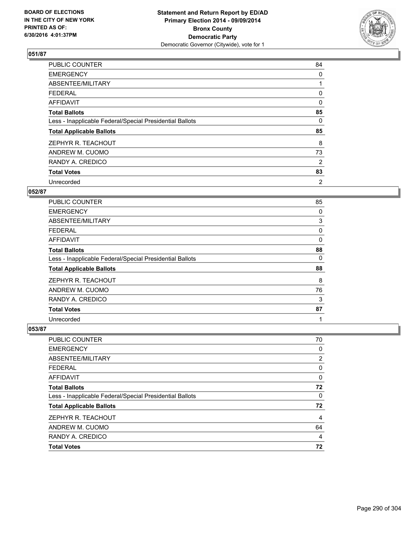

| <b>PUBLIC COUNTER</b>                                    | 84 |
|----------------------------------------------------------|----|
| <b>EMERGENCY</b>                                         | 0  |
| ABSENTEE/MILITARY                                        |    |
| <b>FEDERAL</b>                                           | 0  |
| AFFIDAVIT                                                | 0  |
| <b>Total Ballots</b>                                     | 85 |
| Less - Inapplicable Federal/Special Presidential Ballots | 0  |
| <b>Total Applicable Ballots</b>                          | 85 |
| ZEPHYR R. TEACHOUT                                       | 8  |
| ANDREW M. CUOMO                                          | 73 |
| RANDY A. CREDICO                                         | 2  |
| <b>Total Votes</b>                                       | 83 |
| Unrecorded                                               | 2  |

# **052/87**

| <b>PUBLIC COUNTER</b>                                    | 85 |
|----------------------------------------------------------|----|
| <b>EMERGENCY</b>                                         | 0  |
| ABSENTEE/MILITARY                                        | 3  |
| <b>FEDERAL</b>                                           | 0  |
| <b>AFFIDAVIT</b>                                         | 0  |
| <b>Total Ballots</b>                                     | 88 |
| Less - Inapplicable Federal/Special Presidential Ballots | 0  |
| <b>Total Applicable Ballots</b>                          | 88 |
| ZEPHYR R. TEACHOUT                                       | 8  |
| ANDREW M. CUOMO                                          | 76 |
| RANDY A. CREDICO                                         | 3  |
| <b>Total Votes</b>                                       | 87 |
| Unrecorded                                               | 1  |

| PUBLIC COUNTER                                           | 70             |
|----------------------------------------------------------|----------------|
| <b>EMERGENCY</b>                                         | 0              |
| ABSENTEE/MILITARY                                        | $\overline{2}$ |
| <b>FEDERAL</b>                                           | 0              |
| AFFIDAVIT                                                | 0              |
| <b>Total Ballots</b>                                     | 72             |
| Less - Inapplicable Federal/Special Presidential Ballots | 0              |
| <b>Total Applicable Ballots</b>                          | 72             |
| ZEPHYR R. TEACHOUT                                       | 4              |
| ANDREW M. CUOMO                                          | 64             |
| RANDY A. CREDICO                                         | 4              |
| <b>Total Votes</b>                                       | 72             |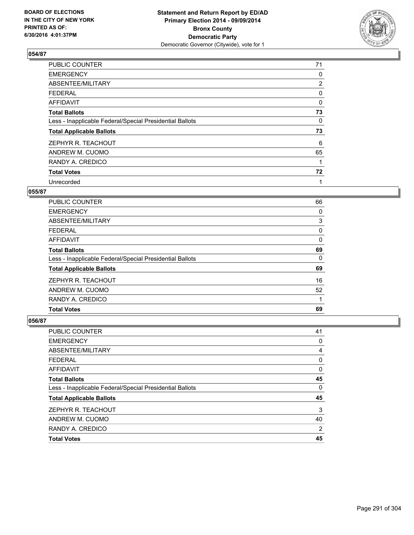

| <b>PUBLIC COUNTER</b>                                    | 71             |
|----------------------------------------------------------|----------------|
| <b>EMERGENCY</b>                                         | 0              |
| ABSENTEE/MILITARY                                        | $\overline{2}$ |
| <b>FEDERAL</b>                                           | 0              |
| AFFIDAVIT                                                | 0              |
| <b>Total Ballots</b>                                     | 73             |
| Less - Inapplicable Federal/Special Presidential Ballots | 0              |
| <b>Total Applicable Ballots</b>                          | 73             |
| ZEPHYR R. TEACHOUT                                       | 6              |
| ANDREW M. CUOMO                                          | 65             |
| RANDY A. CREDICO                                         | 1              |
| <b>Total Votes</b>                                       | 72             |
| Unrecorded                                               | 1              |

## **055/87**

| <b>PUBLIC COUNTER</b>                                    | 66 |
|----------------------------------------------------------|----|
| <b>EMERGENCY</b>                                         | 0  |
| ABSENTEE/MILITARY                                        | 3  |
| <b>FEDERAL</b>                                           | 0  |
| AFFIDAVIT                                                | 0  |
| <b>Total Ballots</b>                                     | 69 |
| Less - Inapplicable Federal/Special Presidential Ballots | 0  |
| <b>Total Applicable Ballots</b>                          | 69 |
| ZEPHYR R. TEACHOUT                                       | 16 |
| ANDREW M. CUOMO                                          | 52 |
| RANDY A. CREDICO                                         |    |
| <b>Total Votes</b>                                       | 69 |

| <b>PUBLIC COUNTER</b>                                    | 41 |
|----------------------------------------------------------|----|
| <b>EMERGENCY</b>                                         | 0  |
| ABSENTEE/MILITARY                                        | 4  |
| <b>FEDERAL</b>                                           | 0  |
| <b>AFFIDAVIT</b>                                         | 0  |
| <b>Total Ballots</b>                                     | 45 |
| Less - Inapplicable Federal/Special Presidential Ballots | 0  |
| <b>Total Applicable Ballots</b>                          | 45 |
| ZEPHYR R. TEACHOUT                                       | 3  |
| ANDREW M. CUOMO                                          | 40 |
| RANDY A. CREDICO                                         | 2  |
| <b>Total Votes</b>                                       | 45 |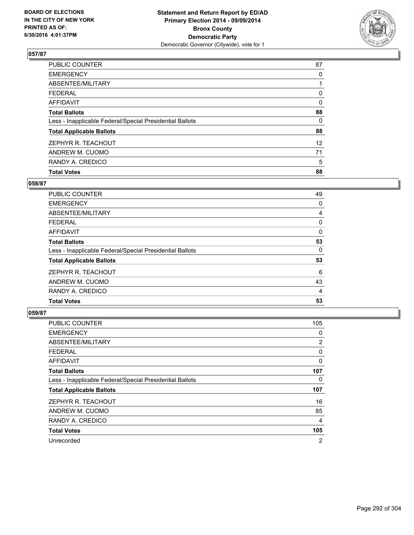

| <b>Total Votes</b>                                       | 88              |
|----------------------------------------------------------|-----------------|
| RANDY A. CREDICO                                         | 5               |
| ANDREW M. CUOMO                                          | 71              |
| ZEPHYR R. TEACHOUT                                       | 12 <sup>2</sup> |
| <b>Total Applicable Ballots</b>                          | 88              |
| Less - Inapplicable Federal/Special Presidential Ballots | 0               |
| <b>Total Ballots</b>                                     | 88              |
| <b>AFFIDAVIT</b>                                         | 0               |
| <b>FEDERAL</b>                                           | 0               |
| ABSENTEE/MILITARY                                        |                 |
| <b>EMERGENCY</b>                                         | 0               |
| <b>PUBLIC COUNTER</b>                                    | 87              |

## **058/87**

| PUBLIC COUNTER                                           | 49       |
|----------------------------------------------------------|----------|
| <b>EMERGENCY</b>                                         | 0        |
| ABSENTEE/MILITARY                                        | 4        |
| <b>FEDERAL</b>                                           | 0        |
| AFFIDAVIT                                                | $\Omega$ |
| <b>Total Ballots</b>                                     | 53       |
| Less - Inapplicable Federal/Special Presidential Ballots | 0        |
| <b>Total Applicable Ballots</b>                          | 53       |
| ZEPHYR R. TEACHOUT                                       | 6        |
| ANDREW M. CUOMO                                          | 43       |
| RANDY A. CREDICO                                         | 4        |
| <b>Total Votes</b>                                       | 53       |
|                                                          |          |

| <b>PUBLIC COUNTER</b>                                    | 105            |
|----------------------------------------------------------|----------------|
| <b>EMERGENCY</b>                                         | 0              |
| ABSENTEE/MILITARY                                        | 2              |
| <b>FEDERAL</b>                                           | 0              |
| <b>AFFIDAVIT</b>                                         | 0              |
| <b>Total Ballots</b>                                     | 107            |
| Less - Inapplicable Federal/Special Presidential Ballots | 0              |
| <b>Total Applicable Ballots</b>                          | 107            |
| ZEPHYR R. TEACHOUT                                       | 16             |
| ANDREW M. CUOMO                                          | 85             |
| RANDY A. CREDICO                                         | 4              |
| <b>Total Votes</b>                                       | 105            |
| Unrecorded                                               | $\overline{2}$ |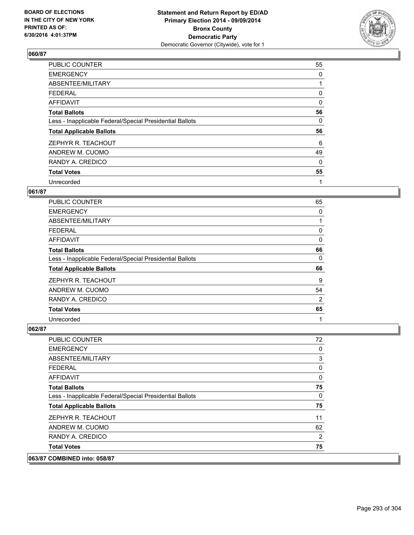

| PUBLIC COUNTER                                           | 55 |
|----------------------------------------------------------|----|
| <b>EMERGENCY</b>                                         | 0  |
| ABSENTEE/MILITARY                                        |    |
| <b>FEDERAL</b>                                           | 0  |
| <b>AFFIDAVIT</b>                                         | 0  |
| <b>Total Ballots</b>                                     | 56 |
| Less - Inapplicable Federal/Special Presidential Ballots | 0  |
| <b>Total Applicable Ballots</b>                          | 56 |
| ZEPHYR R. TEACHOUT                                       | 6  |
| ANDREW M. CUOMO                                          | 49 |
| RANDY A. CREDICO                                         | 0  |
| <b>Total Votes</b>                                       | 55 |
| Unrecorded                                               | 1  |

# **061/87**

| <b>PUBLIC COUNTER</b>                                    | 65             |
|----------------------------------------------------------|----------------|
| <b>EMERGENCY</b>                                         | 0              |
| ABSENTEE/MILITARY                                        |                |
| <b>FEDERAL</b>                                           | 0              |
| AFFIDAVIT                                                | 0              |
| <b>Total Ballots</b>                                     | 66             |
| Less - Inapplicable Federal/Special Presidential Ballots | 0              |
| <b>Total Applicable Ballots</b>                          | 66             |
| ZEPHYR R. TEACHOUT                                       | 9              |
| ANDREW M. CUOMO                                          | 54             |
| RANDY A. CREDICO                                         | $\overline{2}$ |
| <b>Total Votes</b>                                       | 65             |
| Unrecorded                                               | 1              |

## **062/87**

 $|063/87$ 

| COMBINED into: 058/87                                    |          |
|----------------------------------------------------------|----------|
| <b>Total Votes</b>                                       | 75       |
| RANDY A. CREDICO                                         | 2        |
| ANDREW M. CUOMO                                          | 62       |
| ZEPHYR R. TEACHOUT                                       | 11       |
| <b>Total Applicable Ballots</b>                          | 75       |
| Less - Inapplicable Federal/Special Presidential Ballots | $\Omega$ |
| <b>Total Ballots</b>                                     | 75       |
| AFFIDAVIT                                                | 0        |
| <b>FEDERAL</b>                                           | 0        |
| ABSENTEE/MILITARY                                        | 3        |
| <b>EMERGENCY</b>                                         | 0        |
| PUBLIC COUNTER                                           | 72       |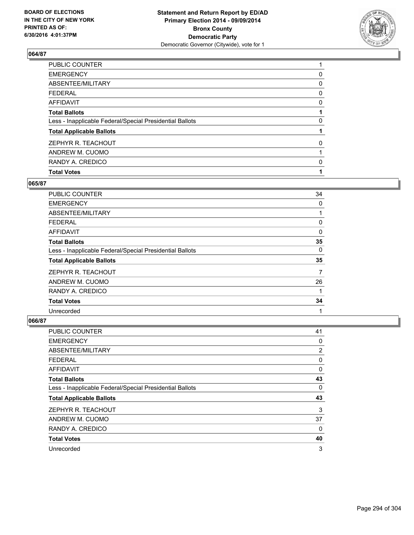

| <b>Total Votes</b>                                       |   |
|----------------------------------------------------------|---|
| RANDY A. CREDICO                                         | 0 |
| ANDREW M. CUOMO                                          |   |
| ZEPHYR R. TEACHOUT                                       | 0 |
| <b>Total Applicable Ballots</b>                          |   |
| Less - Inapplicable Federal/Special Presidential Ballots | 0 |
| <b>Total Ballots</b>                                     |   |
| <b>AFFIDAVIT</b>                                         | 0 |
| <b>FEDERAL</b>                                           | 0 |
| ABSENTEE/MILITARY                                        | 0 |
| <b>EMERGENCY</b>                                         | 0 |
| PUBLIC COUNTER                                           |   |

# **065/87**

| <b>PUBLIC COUNTER</b>                                    | 34 |
|----------------------------------------------------------|----|
| <b>EMERGENCY</b>                                         | 0  |
| ABSENTEE/MILITARY                                        |    |
| <b>FEDERAL</b>                                           | 0  |
| AFFIDAVIT                                                | 0  |
| <b>Total Ballots</b>                                     | 35 |
| Less - Inapplicable Federal/Special Presidential Ballots | 0  |
| <b>Total Applicable Ballots</b>                          | 35 |
| ZEPHYR R. TEACHOUT                                       | 7  |
| ANDREW M. CUOMO                                          | 26 |
| RANDY A. CREDICO                                         |    |
| <b>Total Votes</b>                                       | 34 |
| Unrecorded                                               | 1  |

| PUBLIC COUNTER                                           | 41 |
|----------------------------------------------------------|----|
| <b>EMERGENCY</b>                                         | 0  |
| ABSENTEE/MILITARY                                        | 2  |
| <b>FEDERAL</b>                                           | 0  |
| AFFIDAVIT                                                | 0  |
| <b>Total Ballots</b>                                     | 43 |
| Less - Inapplicable Federal/Special Presidential Ballots | 0  |
| <b>Total Applicable Ballots</b>                          | 43 |
| ZEPHYR R. TEACHOUT                                       | 3  |
| ANDREW M. CUOMO                                          | 37 |
| RANDY A. CREDICO                                         | 0  |
| <b>Total Votes</b>                                       | 40 |
| Unrecorded                                               | 3  |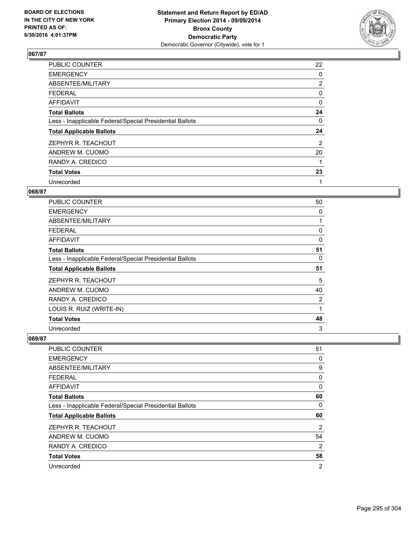

| PUBLIC COUNTER                                           | 22             |
|----------------------------------------------------------|----------------|
| <b>EMERGENCY</b>                                         | 0              |
| ABSENTEE/MILITARY                                        | $\overline{2}$ |
| <b>FEDERAL</b>                                           | 0              |
| AFFIDAVIT                                                | 0              |
| <b>Total Ballots</b>                                     | 24             |
| Less - Inapplicable Federal/Special Presidential Ballots | 0              |
| <b>Total Applicable Ballots</b>                          | 24             |
| ZEPHYR R. TEACHOUT                                       | 2              |
| ANDREW M. CUOMO                                          | 20             |
| RANDY A. CREDICO                                         | 1              |
| <b>Total Votes</b>                                       | 23             |
| Unrecorded                                               | 1              |

## **068/87**

| PUBLIC COUNTER                                           | 50 |
|----------------------------------------------------------|----|
| <b>EMERGENCY</b>                                         | 0  |
| ABSENTEE/MILITARY                                        | 1  |
| <b>FEDERAL</b>                                           | 0  |
| AFFIDAVIT                                                | 0  |
| <b>Total Ballots</b>                                     | 51 |
| Less - Inapplicable Federal/Special Presidential Ballots | 0  |
| <b>Total Applicable Ballots</b>                          | 51 |
| ZEPHYR R. TEACHOUT                                       | 5  |
| ANDREW M. CUOMO                                          | 40 |
| RANDY A. CREDICO                                         | 2  |
| LOUIS R. RUIZ (WRITE-IN)                                 | 1  |
| <b>Total Votes</b>                                       | 48 |
| Unrecorded                                               | 3  |

| PUBLIC COUNTER                                           | 51             |
|----------------------------------------------------------|----------------|
| <b>EMERGENCY</b>                                         | 0              |
| ABSENTEE/MILITARY                                        | 9              |
| <b>FEDERAL</b>                                           | 0              |
| AFFIDAVIT                                                | 0              |
| <b>Total Ballots</b>                                     | 60             |
| Less - Inapplicable Federal/Special Presidential Ballots | 0              |
| <b>Total Applicable Ballots</b>                          | 60             |
| ZEPHYR R. TEACHOUT                                       | 2              |
| ANDREW M. CUOMO                                          | 54             |
| RANDY A. CREDICO                                         | $\overline{2}$ |
| <b>Total Votes</b>                                       | 58             |
| Unrecorded                                               | $\overline{2}$ |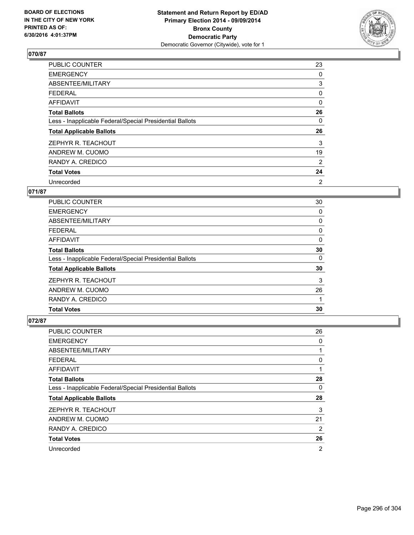

| <b>PUBLIC COUNTER</b>                                    | 23             |
|----------------------------------------------------------|----------------|
| <b>EMERGENCY</b>                                         | 0              |
| ABSENTEE/MILITARY                                        | 3              |
| <b>FEDERAL</b>                                           | 0              |
| AFFIDAVIT                                                | 0              |
| <b>Total Ballots</b>                                     | 26             |
| Less - Inapplicable Federal/Special Presidential Ballots | 0              |
| <b>Total Applicable Ballots</b>                          | 26             |
| ZEPHYR R. TEACHOUT                                       | 3              |
| ANDREW M. CUOMO                                          | 19             |
| RANDY A. CREDICO                                         | $\overline{2}$ |
| <b>Total Votes</b>                                       | 24             |
| Unrecorded                                               | 2              |

# **071/87**

| PUBLIC COUNTER                                           | 30 |
|----------------------------------------------------------|----|
| <b>EMERGENCY</b>                                         | 0  |
| ABSENTEE/MILITARY                                        | 0  |
| FEDERAL                                                  | 0  |
| AFFIDAVIT                                                | 0  |
| <b>Total Ballots</b>                                     | 30 |
| Less - Inapplicable Federal/Special Presidential Ballots | 0  |
| <b>Total Applicable Ballots</b>                          | 30 |
| ZEPHYR R. TEACHOUT                                       | 3  |
| ANDREW M. CUOMO                                          | 26 |
| RANDY A. CREDICO                                         |    |
| <b>Total Votes</b>                                       | 30 |

| PUBLIC COUNTER                                           | 26 |
|----------------------------------------------------------|----|
| <b>EMERGENCY</b>                                         | 0  |
| ABSENTEE/MILITARY                                        | 1  |
| <b>FEDERAL</b>                                           | 0  |
| AFFIDAVIT                                                | 1  |
| <b>Total Ballots</b>                                     | 28 |
| Less - Inapplicable Federal/Special Presidential Ballots | 0  |
| <b>Total Applicable Ballots</b>                          | 28 |
| ZEPHYR R. TEACHOUT                                       | 3  |
| ANDREW M. CUOMO                                          | 21 |
| RANDY A. CREDICO                                         | 2  |
| <b>Total Votes</b>                                       | 26 |
| Unrecorded                                               | 2  |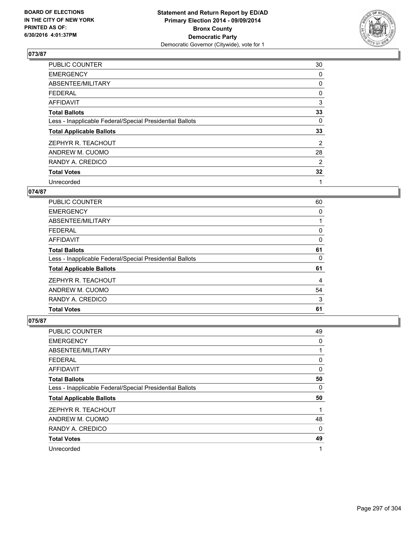

| <b>PUBLIC COUNTER</b>                                    | 30             |
|----------------------------------------------------------|----------------|
| <b>EMERGENCY</b>                                         | 0              |
| ABSENTEE/MILITARY                                        | 0              |
| <b>FEDERAL</b>                                           | 0              |
| AFFIDAVIT                                                | 3              |
| <b>Total Ballots</b>                                     | 33             |
| Less - Inapplicable Federal/Special Presidential Ballots | 0              |
| <b>Total Applicable Ballots</b>                          | 33             |
| ZEPHYR R. TEACHOUT                                       | $\overline{2}$ |
| ANDREW M. CUOMO                                          | 28             |
| RANDY A. CREDICO                                         | 2              |
| <b>Total Votes</b>                                       | 32             |
| Unrecorded                                               | 1              |

#### **074/87**

| <b>PUBLIC COUNTER</b>                                    | 60 |
|----------------------------------------------------------|----|
| <b>EMERGENCY</b>                                         | 0  |
| ABSENTEE/MILITARY                                        |    |
| FEDERAL                                                  | 0  |
| AFFIDAVIT                                                | 0  |
| <b>Total Ballots</b>                                     | 61 |
| Less - Inapplicable Federal/Special Presidential Ballots | 0  |
| <b>Total Applicable Ballots</b>                          | 61 |
| ZEPHYR R. TEACHOUT                                       | 4  |
| ANDREW M. CUOMO                                          | 54 |
| RANDY A. CREDICO                                         | 3  |
| <b>Total Votes</b>                                       | 61 |

| <b>PUBLIC COUNTER</b>                                    | 49 |
|----------------------------------------------------------|----|
| <b>EMERGENCY</b>                                         | 0  |
| ABSENTEE/MILITARY                                        | 1  |
| <b>FEDERAL</b>                                           | 0  |
| AFFIDAVIT                                                | 0  |
| <b>Total Ballots</b>                                     | 50 |
| Less - Inapplicable Federal/Special Presidential Ballots | 0  |
| <b>Total Applicable Ballots</b>                          | 50 |
| ZEPHYR R. TEACHOUT                                       | 1  |
| ANDREW M. CUOMO                                          | 48 |
| RANDY A. CREDICO                                         | 0  |
| <b>Total Votes</b>                                       | 49 |
| Unrecorded                                               | 1  |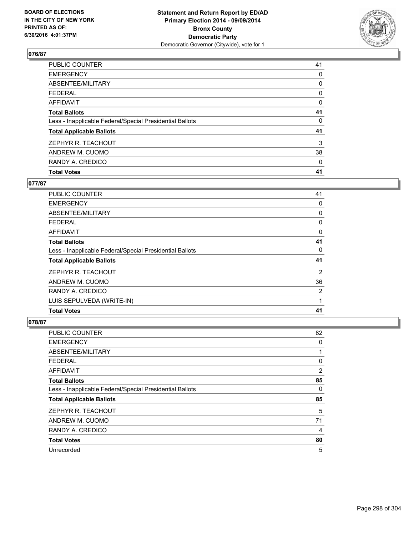

| <b>Total Votes</b>                                       | 41 |
|----------------------------------------------------------|----|
| RANDY A. CREDICO                                         | 0  |
| ANDREW M. CUOMO                                          | 38 |
| ZEPHYR R. TEACHOUT                                       | 3  |
| <b>Total Applicable Ballots</b>                          | 41 |
| Less - Inapplicable Federal/Special Presidential Ballots | 0  |
| <b>Total Ballots</b>                                     | 41 |
| <b>AFFIDAVIT</b>                                         | 0  |
| <b>FEDERAL</b>                                           | 0  |
| ABSENTEE/MILITARY                                        | 0  |
| <b>EMERGENCY</b>                                         | 0  |
| PUBLIC COUNTER                                           | 41 |

# **077/87**

| <b>PUBLIC COUNTER</b>                                    | 41 |
|----------------------------------------------------------|----|
| <b>EMERGENCY</b>                                         | 0  |
| ABSENTEE/MILITARY                                        | 0  |
| <b>FEDERAL</b>                                           | 0  |
| AFFIDAVIT                                                | 0  |
| <b>Total Ballots</b>                                     | 41 |
| Less - Inapplicable Federal/Special Presidential Ballots | 0  |
| <b>Total Applicable Ballots</b>                          | 41 |
| ZEPHYR R. TEACHOUT                                       | 2  |
| ANDREW M. CUOMO                                          | 36 |
| RANDY A. CREDICO                                         | 2  |
| LUIS SEPULVEDA (WRITE-IN)                                | 1  |
| <b>Total Votes</b>                                       | 41 |

| PUBLIC COUNTER                                           | 82 |
|----------------------------------------------------------|----|
| <b>EMERGENCY</b>                                         | 0  |
| ABSENTEE/MILITARY                                        | 1  |
| <b>FEDERAL</b>                                           | 0  |
| AFFIDAVIT                                                | 2  |
| <b>Total Ballots</b>                                     | 85 |
| Less - Inapplicable Federal/Special Presidential Ballots | 0  |
| <b>Total Applicable Ballots</b>                          | 85 |
| ZEPHYR R. TEACHOUT                                       | 5  |
| ANDREW M. CUOMO                                          | 71 |
| RANDY A. CREDICO                                         | 4  |
| <b>Total Votes</b>                                       | 80 |
| Unrecorded                                               | 5  |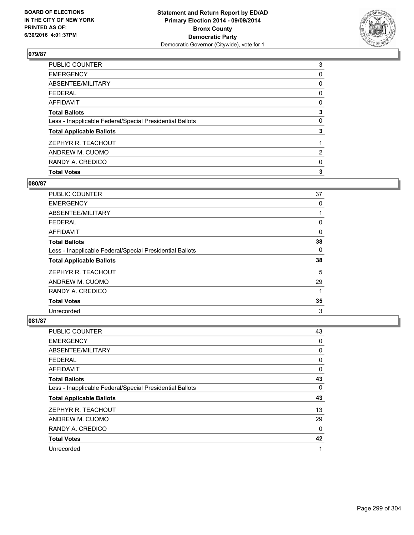

| <b>Total Votes</b>                                       | 3                     |
|----------------------------------------------------------|-----------------------|
| RANDY A. CREDICO                                         | 0                     |
| ANDREW M. CUOMO                                          | $\mathbf{2}^{\prime}$ |
| ZEPHYR R. TEACHOUT                                       |                       |
| <b>Total Applicable Ballots</b>                          | 3                     |
| Less - Inapplicable Federal/Special Presidential Ballots | 0                     |
| <b>Total Ballots</b>                                     | 3                     |
| <b>AFFIDAVIT</b>                                         | 0                     |
| <b>FEDERAL</b>                                           | 0                     |
| ABSENTEE/MILITARY                                        | 0                     |
| <b>EMERGENCY</b>                                         | 0                     |
| PUBLIC COUNTER                                           | 3                     |

## **080/87**

| <b>PUBLIC COUNTER</b>                                    | 37 |
|----------------------------------------------------------|----|
| <b>EMERGENCY</b>                                         | 0  |
| ABSENTEE/MILITARY                                        |    |
| <b>FEDERAL</b>                                           | 0  |
| AFFIDAVIT                                                | 0  |
| <b>Total Ballots</b>                                     | 38 |
| Less - Inapplicable Federal/Special Presidential Ballots | 0  |
| <b>Total Applicable Ballots</b>                          | 38 |
| ZEPHYR R. TEACHOUT                                       | 5  |
| ANDREW M. CUOMO                                          | 29 |
| RANDY A. CREDICO                                         | 1  |
| <b>Total Votes</b>                                       | 35 |
| Unrecorded                                               | 3  |

| PUBLIC COUNTER                                           | 43 |
|----------------------------------------------------------|----|
| <b>EMERGENCY</b>                                         | 0  |
| ABSENTEE/MILITARY                                        | 0  |
| <b>FEDERAL</b>                                           | 0  |
| AFFIDAVIT                                                | 0  |
| <b>Total Ballots</b>                                     | 43 |
| Less - Inapplicable Federal/Special Presidential Ballots | 0  |
| <b>Total Applicable Ballots</b>                          | 43 |
| ZEPHYR R. TEACHOUT                                       | 13 |
| ANDREW M. CUOMO                                          | 29 |
| RANDY A. CREDICO                                         | 0  |
| <b>Total Votes</b>                                       | 42 |
| Unrecorded                                               | 1  |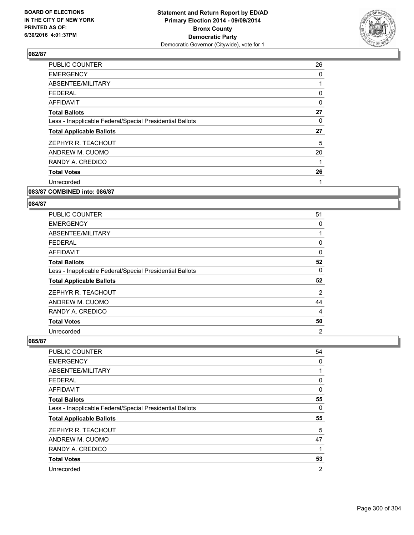

| <b>PUBLIC COUNTER</b>                                    | 26 |
|----------------------------------------------------------|----|
| <b>EMERGENCY</b>                                         | 0  |
| ABSENTEE/MILITARY                                        |    |
| <b>FEDERAL</b>                                           | 0  |
| <b>AFFIDAVIT</b>                                         | 0  |
| <b>Total Ballots</b>                                     | 27 |
| Less - Inapplicable Federal/Special Presidential Ballots | 0  |
| <b>Total Applicable Ballots</b>                          | 27 |
| ZEPHYR R. TEACHOUT                                       | 5  |
| ANDREW M. CUOMO                                          | 20 |
| RANDY A. CREDICO                                         | 1  |
| <b>Total Votes</b>                                       | 26 |
| Unrecorded                                               | 1  |
|                                                          |    |

#### **083/87 COMBINED into: 086/87**

#### **084/87**

| <b>PUBLIC COUNTER</b>                                    | 51             |
|----------------------------------------------------------|----------------|
| <b>EMERGENCY</b>                                         | 0              |
| ABSENTEE/MILITARY                                        | 1              |
| <b>FEDERAL</b>                                           | 0              |
| AFFIDAVIT                                                | 0              |
| <b>Total Ballots</b>                                     | 52             |
| Less - Inapplicable Federal/Special Presidential Ballots | 0              |
| <b>Total Applicable Ballots</b>                          | 52             |
| ZEPHYR R. TEACHOUT                                       | $\overline{2}$ |
| ANDREW M. CUOMO                                          | 44             |
| RANDY A. CREDICO                                         | 4              |
| <b>Total Votes</b>                                       | 50             |
| Unrecorded                                               | 2              |

| <b>PUBLIC COUNTER</b>                                    | 54             |
|----------------------------------------------------------|----------------|
| <b>EMERGENCY</b>                                         | 0              |
| ABSENTEE/MILITARY                                        | 1              |
| <b>FEDERAL</b>                                           | 0              |
| AFFIDAVIT                                                | 0              |
| <b>Total Ballots</b>                                     | 55             |
| Less - Inapplicable Federal/Special Presidential Ballots | 0              |
| <b>Total Applicable Ballots</b>                          | 55             |
| ZEPHYR R. TEACHOUT                                       | 5              |
| ANDREW M. CUOMO                                          | 47             |
| RANDY A. CREDICO                                         | 1              |
| <b>Total Votes</b>                                       | 53             |
| Unrecorded                                               | $\overline{2}$ |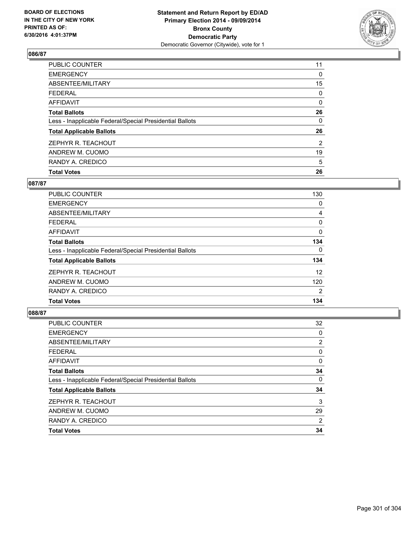

| <b>Total Votes</b>                                       | 26             |
|----------------------------------------------------------|----------------|
| RANDY A. CREDICO                                         | 5              |
| ANDREW M. CUOMO                                          | 19             |
| ZEPHYR R. TEACHOUT                                       | $\overline{2}$ |
| <b>Total Applicable Ballots</b>                          | 26             |
| Less - Inapplicable Federal/Special Presidential Ballots | 0              |
| <b>Total Ballots</b>                                     | 26             |
| <b>AFFIDAVIT</b>                                         | 0              |
| <b>FEDERAL</b>                                           | 0              |
| ABSENTEE/MILITARY                                        | 15             |
| <b>EMERGENCY</b>                                         | 0              |
| <b>PUBLIC COUNTER</b>                                    | 11             |

# **087/87**

| <b>PUBLIC COUNTER</b>                                    | 130            |
|----------------------------------------------------------|----------------|
| <b>EMERGENCY</b>                                         | 0              |
| ABSENTEE/MILITARY                                        | 4              |
| <b>FEDERAL</b>                                           | 0              |
| AFFIDAVIT                                                | $\Omega$       |
| <b>Total Ballots</b>                                     | 134            |
| Less - Inapplicable Federal/Special Presidential Ballots | 0              |
| <b>Total Applicable Ballots</b>                          | 134            |
| ZEPHYR R. TEACHOUT                                       | 12             |
| ANDREW M. CUOMO                                          | 120            |
| RANDY A. CREDICO                                         | $\overline{2}$ |
| <b>Total Votes</b>                                       | 134            |
|                                                          |                |

| <b>PUBLIC COUNTER</b>                                    | 32 |
|----------------------------------------------------------|----|
| <b>EMERGENCY</b>                                         | 0  |
| ABSENTEE/MILITARY                                        | 2  |
| <b>FEDERAL</b>                                           | 0  |
| <b>AFFIDAVIT</b>                                         | 0  |
| <b>Total Ballots</b>                                     | 34 |
| Less - Inapplicable Federal/Special Presidential Ballots | 0  |
| <b>Total Applicable Ballots</b>                          | 34 |
| ZEPHYR R. TEACHOUT                                       | 3  |
| ANDREW M. CUOMO                                          | 29 |
| RANDY A. CREDICO                                         | 2  |
| <b>Total Votes</b>                                       | 34 |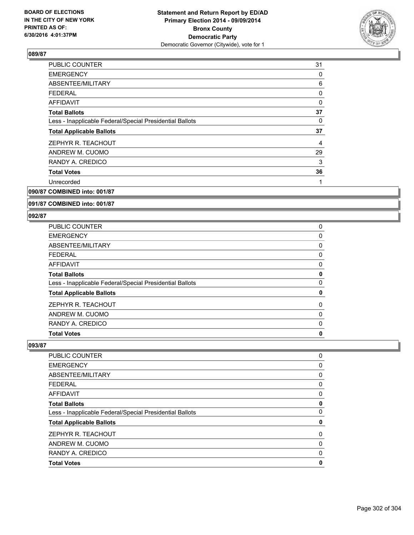

| <b>PUBLIC COUNTER</b>                                    | 31 |
|----------------------------------------------------------|----|
| <b>EMERGENCY</b>                                         | 0  |
| ABSENTEE/MILITARY                                        | 6  |
| <b>FEDERAL</b>                                           | 0  |
| <b>AFFIDAVIT</b>                                         | 0  |
| <b>Total Ballots</b>                                     | 37 |
| Less - Inapplicable Federal/Special Presidential Ballots | 0  |
| <b>Total Applicable Ballots</b>                          | 37 |
|                                                          |    |
| ZEPHYR R. TEACHOUT                                       | 4  |
| ANDREW M. CUOMO                                          | 29 |
| RANDY A. CREDICO                                         | 3  |
| <b>Total Votes</b>                                       | 36 |
| Unrecorded                                               |    |

## **090/87 COMBINED into: 001/87**

#### **091/87 COMBINED into: 001/87**

#### **092/87**

| PUBLIC COUNTER                                           | 0 |
|----------------------------------------------------------|---|
| <b>EMERGENCY</b>                                         | 0 |
| ABSENTEE/MILITARY                                        | 0 |
| FEDERAL                                                  | 0 |
| AFFIDAVIT                                                | 0 |
| <b>Total Ballots</b>                                     | 0 |
| Less - Inapplicable Federal/Special Presidential Ballots | 0 |
| <b>Total Applicable Ballots</b>                          | 0 |
| ZEPHYR R. TEACHOUT                                       | 0 |
| ANDREW M. CUOMO                                          | 0 |
| RANDY A. CREDICO                                         | 0 |
| <b>Total Votes</b>                                       | 0 |

| PUBLIC COUNTER                                           | 0 |
|----------------------------------------------------------|---|
| <b>EMERGENCY</b>                                         | 0 |
| ABSENTEE/MILITARY                                        | 0 |
| <b>FEDERAL</b>                                           | 0 |
| <b>AFFIDAVIT</b>                                         | 0 |
| <b>Total Ballots</b>                                     | 0 |
| Less - Inapplicable Federal/Special Presidential Ballots | 0 |
| <b>Total Applicable Ballots</b>                          | 0 |
| ZEPHYR R. TEACHOUT                                       | 0 |
| ANDREW M. CUOMO                                          | 0 |
| RANDY A. CREDICO                                         | 0 |
| <b>Total Votes</b>                                       | 0 |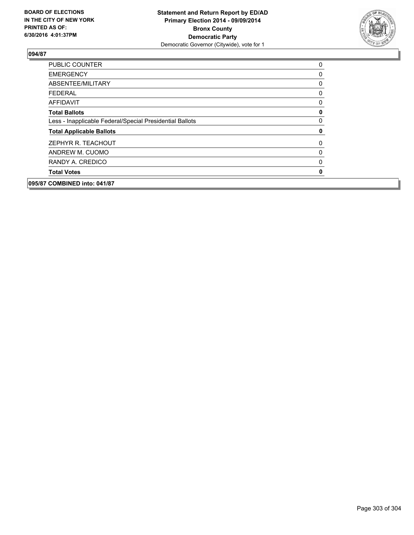

| 095/87 COMBINED into: 041/87                             |             |
|----------------------------------------------------------|-------------|
| <b>Total Votes</b>                                       | $\mathbf 0$ |
| RANDY A. CREDICO                                         | 0           |
| ANDREW M. CUOMO                                          | 0           |
| ZEPHYR R. TEACHOUT                                       | 0           |
| <b>Total Applicable Ballots</b>                          | 0           |
| Less - Inapplicable Federal/Special Presidential Ballots | 0           |
| <b>Total Ballots</b>                                     | 0           |
| <b>AFFIDAVIT</b>                                         | 0           |
| <b>FEDERAL</b>                                           | 0           |
| ABSENTEE/MILITARY                                        | 0           |
| <b>EMERGENCY</b>                                         | 0           |
| <b>PUBLIC COUNTER</b>                                    | 0           |